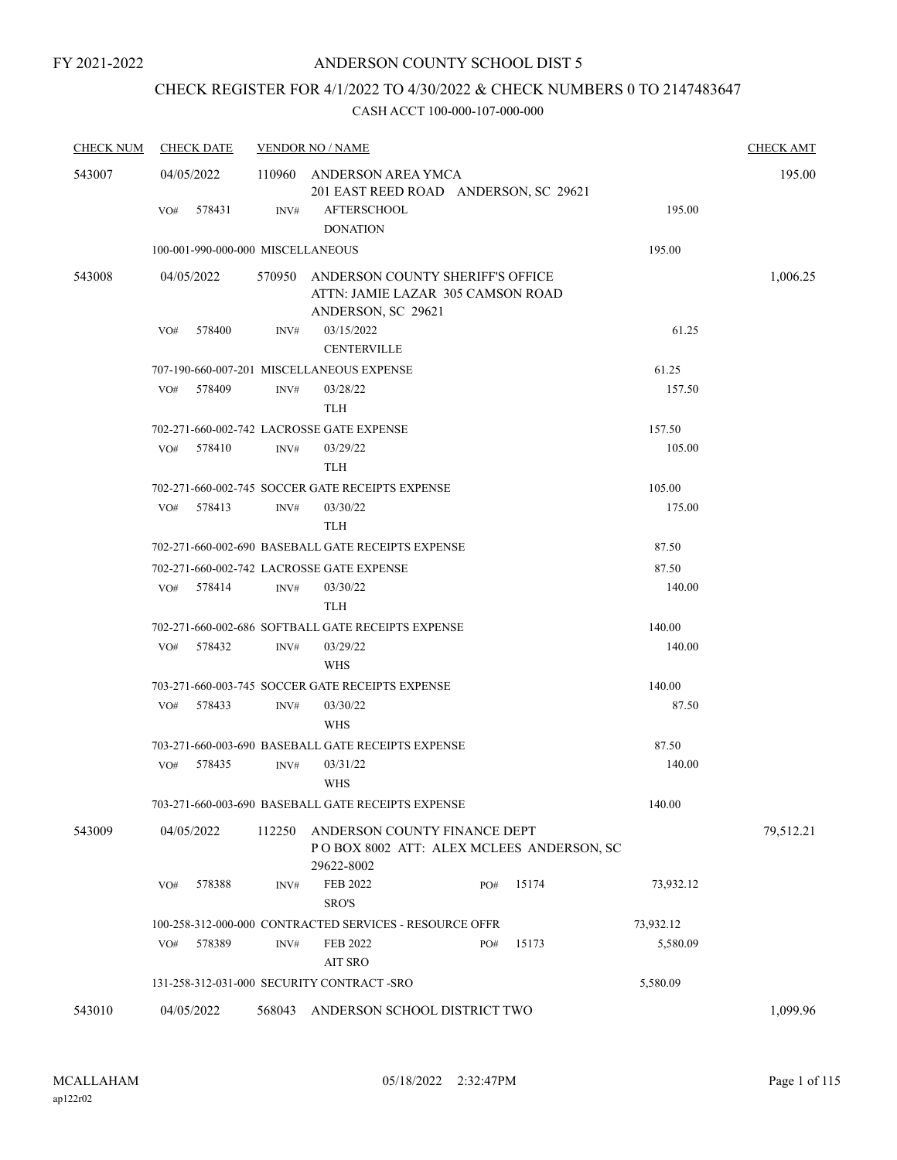# CHECK REGISTER FOR 4/1/2022 TO 4/30/2022 & CHECK NUMBERS 0 TO 2147483647

| <b>CHECK NUM</b> | <b>CHECK DATE</b> | <b>VENDOR NO / NAME</b>                                                                            | <b>CHECK AMT</b> |
|------------------|-------------------|----------------------------------------------------------------------------------------------------|------------------|
| 543007           | 04/05/2022        | 110960 ANDERSON AREA YMCA<br>201 EAST REED ROAD ANDERSON, SC 29621                                 | 195.00           |
|                  | 578431<br>VO#     | <b>AFTERSCHOOL</b><br>INV#<br><b>DONATION</b>                                                      | 195.00           |
|                  |                   | 100-001-990-000-000 MISCELLANEOUS                                                                  | 195.00           |
| 543008           | 04/05/2022        | 570950 ANDERSON COUNTY SHERIFF'S OFFICE<br>ATTN: JAMIE LAZAR 305 CAMSON ROAD<br>ANDERSON, SC 29621 | 1,006.25         |
|                  | 578400<br>VO#     | 03/15/2022<br>INV#<br><b>CENTERVILLE</b>                                                           | 61.25            |
|                  |                   | 707-190-660-007-201 MISCELLANEOUS EXPENSE                                                          | 61.25            |
|                  | 578409<br>VO#     | INV#<br>03/28/22<br><b>TLH</b>                                                                     | 157.50           |
|                  |                   | 702-271-660-002-742 LACROSSE GATE EXPENSE                                                          | 157.50           |
|                  | 578410<br>VO#     | 03/29/22<br>INV#<br><b>TLH</b>                                                                     | 105.00           |
|                  |                   | 702-271-660-002-745 SOCCER GATE RECEIPTS EXPENSE                                                   | 105.00           |
|                  | 578413<br>VO#     | 03/30/22<br>INV#<br><b>TLH</b>                                                                     | 175.00           |
|                  |                   | 702-271-660-002-690 BASEBALL GATE RECEIPTS EXPENSE                                                 | 87.50            |
|                  |                   | 702-271-660-002-742 LACROSSE GATE EXPENSE                                                          | 87.50            |
|                  | VO# 578414        | 03/30/22<br>INV#<br><b>TLH</b>                                                                     | 140.00           |
|                  | 578432<br>VO#     | 702-271-660-002-686 SOFTBALL GATE RECEIPTS EXPENSE<br>03/29/22<br>INV#<br><b>WHS</b>               | 140.00<br>140.00 |
|                  |                   | 703-271-660-003-745 SOCCER GATE RECEIPTS EXPENSE                                                   | 140.00           |
|                  | 578433<br>VO#     | INV#<br>03/30/22<br><b>WHS</b>                                                                     | 87.50            |
|                  |                   | 703-271-660-003-690 BASEBALL GATE RECEIPTS EXPENSE                                                 | 87.50            |
|                  | 578435<br>VO#     | 03/31/22<br>INV#<br><b>WHS</b>                                                                     | 140.00           |
|                  |                   | 703-271-660-003-690 BASEBALL GATE RECEIPTS EXPENSE                                                 | 140.00           |
| 543009           | 04/05/2022        | ANDERSON COUNTY FINANCE DEPT<br>112250<br>POBOX 8002 ATT: ALEX MCLEES ANDERSON, SC<br>29622-8002   | 79,512.21        |
|                  | 578388<br>VO#     | FEB 2022<br>15174<br>INV#<br>PO#<br>SRO'S                                                          | 73,932.12        |
|                  |                   | 100-258-312-000-000 CONTRACTED SERVICES - RESOURCE OFFR                                            | 73,932.12        |
|                  | 578389<br>VO#     | <b>FEB 2022</b><br>15173<br>INV#<br>PO#<br><b>AIT SRO</b>                                          | 5,580.09         |
|                  |                   | 131-258-312-031-000 SECURITY CONTRACT -SRO                                                         | 5,580.09         |
| 543010           | 04/05/2022        | 568043<br>ANDERSON SCHOOL DISTRICT TWO                                                             | 1,099.96         |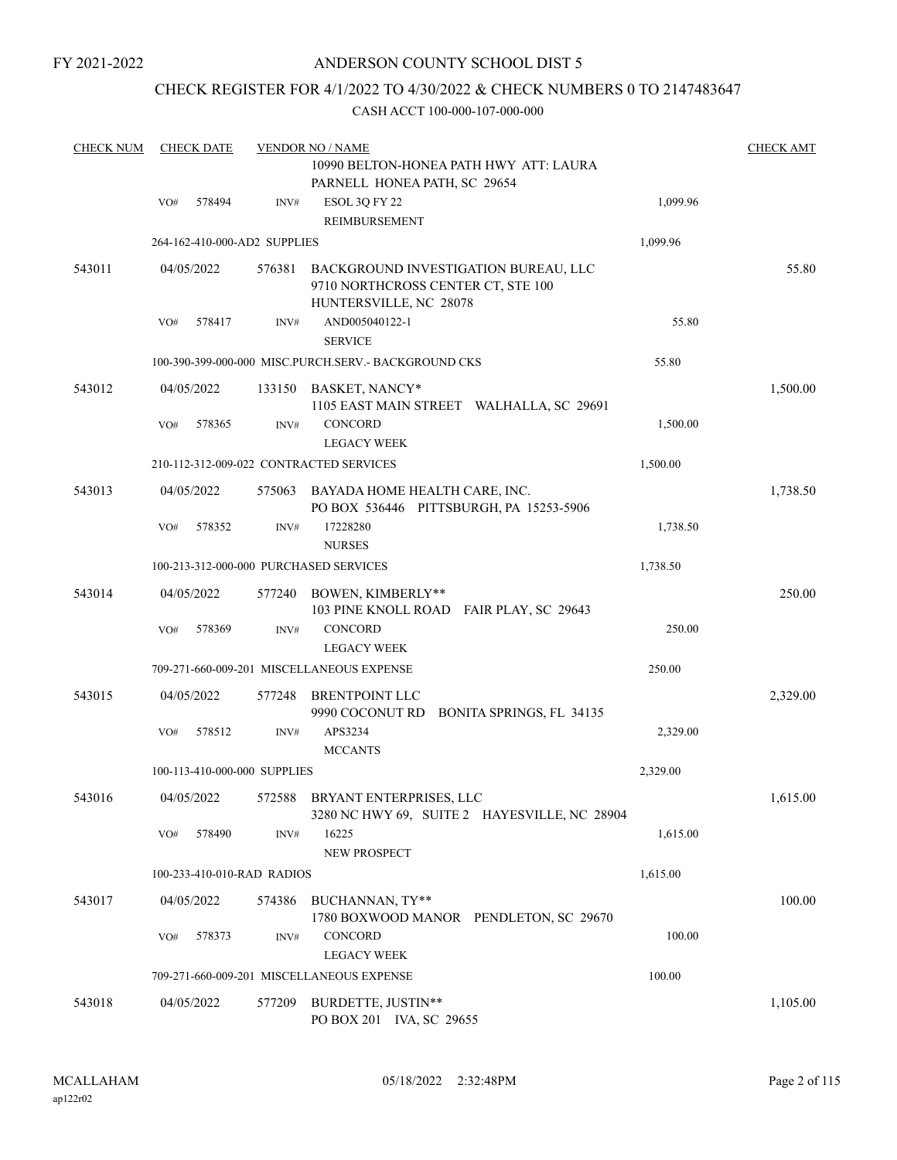# ANDERSON COUNTY SCHOOL DIST 5

# CHECK REGISTER FOR 4/1/2022 TO 4/30/2022 & CHECK NUMBERS 0 TO 2147483647

| <b>CHECK NUM</b> |     | <b>CHECK DATE</b> |                              | <b>VENDOR NO / NAME</b><br>10990 BELTON-HONEA PATH HWY ATT: LAURA<br>PARNELL HONEA PATH, SC 29654    |          | <b>CHECK AMT</b> |
|------------------|-----|-------------------|------------------------------|------------------------------------------------------------------------------------------------------|----------|------------------|
|                  | VO# | 578494            | INV#                         | ESOL 3Q FY 22<br>REIMBURSEMENT                                                                       | 1,099.96 |                  |
|                  |     |                   | 264-162-410-000-AD2 SUPPLIES |                                                                                                      | 1,099.96 |                  |
| 543011           |     | 04/05/2022        | 576381                       | BACKGROUND INVESTIGATION BUREAU, LLC<br>9710 NORTHCROSS CENTER CT, STE 100<br>HUNTERSVILLE, NC 28078 |          | 55.80            |
|                  | VO# | 578417            | INV#                         | AND005040122-1                                                                                       | 55.80    |                  |
|                  |     |                   |                              | <b>SERVICE</b>                                                                                       |          |                  |
|                  |     |                   |                              | 100-390-399-000-000 MISC.PURCH.SERV.- BACKGROUND CKS                                                 | 55.80    |                  |
| 543012           |     | 04/05/2022        | 133150                       | BASKET, NANCY*<br>1105 EAST MAIN STREET WALHALLA, SC 29691                                           |          | 1,500.00         |
|                  | VO# | 578365            | INV#                         | CONCORD<br><b>LEGACY WEEK</b>                                                                        | 1,500.00 |                  |
|                  |     |                   |                              | 210-112-312-009-022 CONTRACTED SERVICES                                                              | 1,500.00 |                  |
| 543013           |     | 04/05/2022        | 575063                       | BAYADA HOME HEALTH CARE, INC.<br>PO BOX 536446 PITTSBURGH, PA 15253-5906                             |          | 1,738.50         |
|                  | VO# | 578352            | INV#                         | 17228280<br><b>NURSES</b>                                                                            | 1,738.50 |                  |
|                  |     |                   |                              | 100-213-312-000-000 PURCHASED SERVICES                                                               | 1,738.50 |                  |
| 543014           |     | 04/05/2022        | 577240                       | <b>BOWEN, KIMBERLY**</b><br>103 PINE KNOLL ROAD FAIR PLAY, SC 29643                                  |          | 250.00           |
|                  | VO# | 578369            | INV#                         | <b>CONCORD</b><br><b>LEGACY WEEK</b>                                                                 | 250.00   |                  |
|                  |     |                   |                              | 709-271-660-009-201 MISCELLANEOUS EXPENSE                                                            | 250.00   |                  |
| 543015           |     | 04/05/2022        | 577248                       | <b>BRENTPOINT LLC</b><br>9990 COCONUT RD BONITA SPRINGS, FL 34135                                    |          | 2,329.00         |
|                  | VO# | 578512            | INV#                         | APS3234<br><b>MCCANTS</b>                                                                            | 2,329.00 |                  |
|                  |     |                   | 100-113-410-000-000 SUPPLIES |                                                                                                      | 2,329.00 |                  |
| 543016           |     | 04/05/2022        |                              | 572588 BRYANT ENTERPRISES, LLC<br>3280 NC HWY 69, SUITE 2 HAYESVILLE, NC 28904                       |          | 1,615.00         |
|                  | VO# | 578490            | INV#                         | 16225<br>NEW PROSPECT                                                                                | 1,615.00 |                  |
|                  |     |                   | 100-233-410-010-RAD RADIOS   |                                                                                                      | 1,615.00 |                  |
| 543017           |     | 04/05/2022        | 574386                       | BUCHANNAN, TY**<br>1780 BOXWOOD MANOR PENDLETON, SC 29670                                            |          | 100.00           |
|                  | VO# | 578373            | INV#                         | CONCORD<br><b>LEGACY WEEK</b>                                                                        | 100.00   |                  |
|                  |     |                   |                              | 709-271-660-009-201 MISCELLANEOUS EXPENSE                                                            | 100.00   |                  |
| 543018           |     | 04/05/2022        | 577209                       | BURDETTE, JUSTIN**<br>PO BOX 201 IVA, SC 29655                                                       |          | 1,105.00         |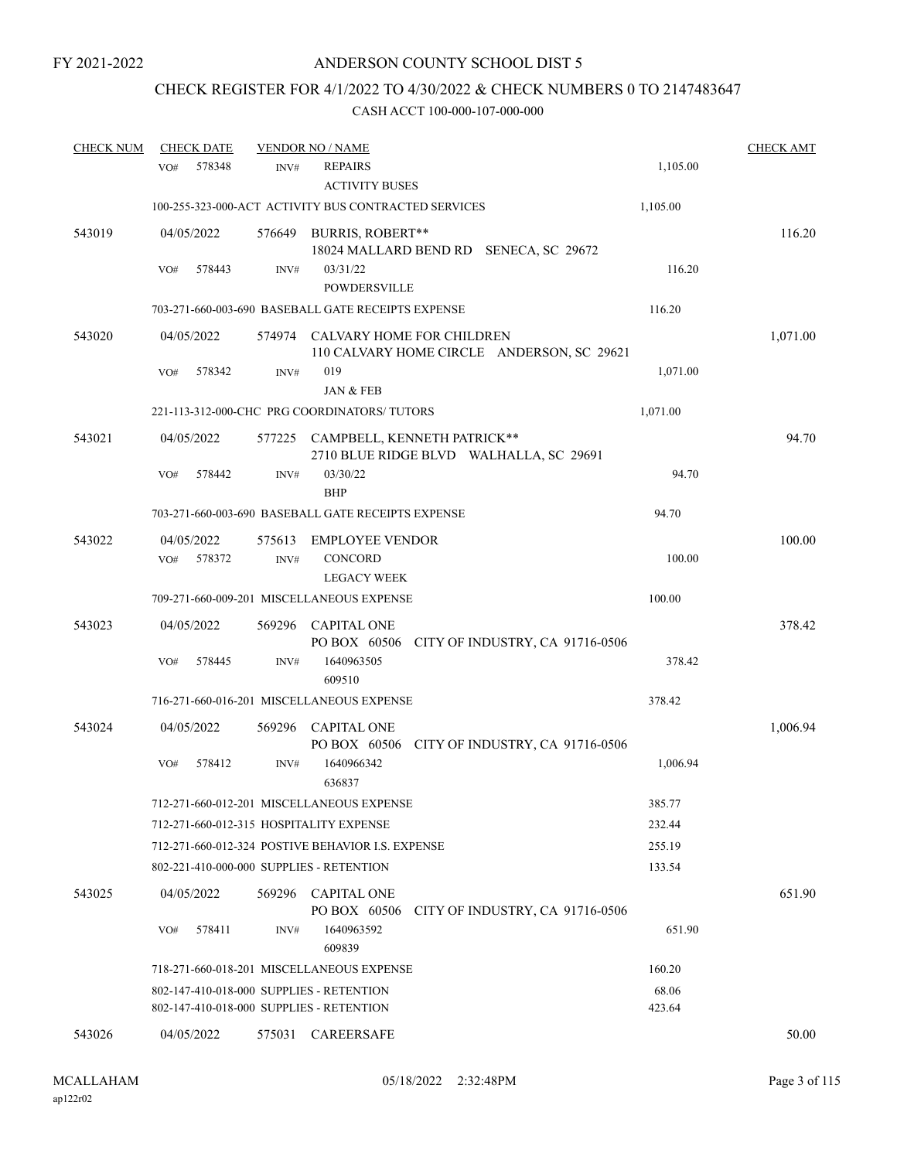# CHECK REGISTER FOR 4/1/2022 TO 4/30/2022 & CHECK NUMBERS 0 TO 2147483647

| <b>CHECK NUM</b> | <b>CHECK DATE</b>                                                                    |                | <b>VENDOR NO / NAME</b>                                 |                                              |                 | <b>CHECK AMT</b> |
|------------------|--------------------------------------------------------------------------------------|----------------|---------------------------------------------------------|----------------------------------------------|-----------------|------------------|
|                  | 578348<br>VO#                                                                        | INV#           | <b>REPAIRS</b><br><b>ACTIVITY BUSES</b>                 |                                              | 1,105.00        |                  |
|                  |                                                                                      |                | 100-255-323-000-ACT ACTIVITY BUS CONTRACTED SERVICES    |                                              | 1,105.00        |                  |
| 543019           | 04/05/2022                                                                           |                | 576649 BURRIS, ROBERT**                                 | 18024 MALLARD BEND RD SENECA, SC 29672       |                 | 116.20           |
|                  | 578443<br>VO#                                                                        | INV#           | 03/31/22<br><b>POWDERSVILLE</b>                         |                                              | 116.20          |                  |
|                  |                                                                                      |                | 703-271-660-003-690 BASEBALL GATE RECEIPTS EXPENSE      |                                              | 116.20          |                  |
| 543020           | 04/05/2022                                                                           |                | 574974 CALVARY HOME FOR CHILDREN                        | 110 CALVARY HOME CIRCLE ANDERSON, SC 29621   |                 | 1,071.00         |
|                  | 578342<br>VO#                                                                        | INV#           | 019<br>JAN & FEB                                        |                                              | 1,071.00        |                  |
|                  |                                                                                      |                | 221-113-312-000-CHC PRG COORDINATORS/ TUTORS            |                                              | 1,071.00        |                  |
| 543021           | 04/05/2022                                                                           |                | 577225 CAMPBELL, KENNETH PATRICK**                      | 2710 BLUE RIDGE BLVD WALHALLA, SC 29691      |                 | 94.70            |
|                  | 578442<br>VO#                                                                        | INV#           | 03/30/22<br><b>BHP</b>                                  |                                              | 94.70           |                  |
|                  |                                                                                      |                | 703-271-660-003-690 BASEBALL GATE RECEIPTS EXPENSE      |                                              | 94.70           |                  |
| 543022           | 04/05/2022<br>578372<br>VO#                                                          | 575613<br>INV# | <b>EMPLOYEE VENDOR</b><br>CONCORD<br><b>LEGACY WEEK</b> |                                              | 100.00          | 100.00           |
|                  |                                                                                      |                | 709-271-660-009-201 MISCELLANEOUS EXPENSE               |                                              | 100.00          |                  |
| 543023           | 04/05/2022                                                                           | 569296         | <b>CAPITAL ONE</b>                                      | PO BOX 60506 CITY OF INDUSTRY, CA 91716-0506 |                 | 378.42           |
|                  | 578445<br>VO#                                                                        | INV#           | 1640963505<br>609510                                    |                                              | 378.42          |                  |
|                  |                                                                                      |                | 716-271-660-016-201 MISCELLANEOUS EXPENSE               |                                              | 378.42          |                  |
| 543024           | 04/05/2022                                                                           | 569296         | <b>CAPITAL ONE</b>                                      | PO BOX 60506 CITY OF INDUSTRY, CA 91716-0506 |                 | 1,006.94         |
|                  | 578412<br>VO#                                                                        | INV#           | 1640966342<br>636837                                    |                                              | 1,006.94        |                  |
|                  |                                                                                      |                | 712-271-660-012-201 MISCELLANEOUS EXPENSE               |                                              | 385.77          |                  |
|                  | 712-271-660-012-315 HOSPITALITY EXPENSE                                              |                |                                                         |                                              | 232.44          |                  |
|                  |                                                                                      |                | 712-271-660-012-324 POSTIVE BEHAVIOR I.S. EXPENSE       |                                              | 255.19          |                  |
|                  | 802-221-410-000-000 SUPPLIES - RETENTION                                             |                |                                                         |                                              | 133.54          |                  |
| 543025           | 04/05/2022                                                                           |                | 569296 CAPITAL ONE<br>PO BOX 60506                      | CITY OF INDUSTRY, CA 91716-0506              |                 | 651.90           |
|                  | 578411<br>VO#                                                                        | INV#           | 1640963592<br>609839                                    |                                              | 651.90          |                  |
|                  |                                                                                      |                | 718-271-660-018-201 MISCELLANEOUS EXPENSE               |                                              | 160.20          |                  |
|                  | 802-147-410-018-000 SUPPLIES - RETENTION<br>802-147-410-018-000 SUPPLIES - RETENTION |                |                                                         |                                              | 68.06<br>423.64 |                  |
| 543026           | 04/05/2022                                                                           | 575031         | CAREERSAFE                                              |                                              |                 | 50.00            |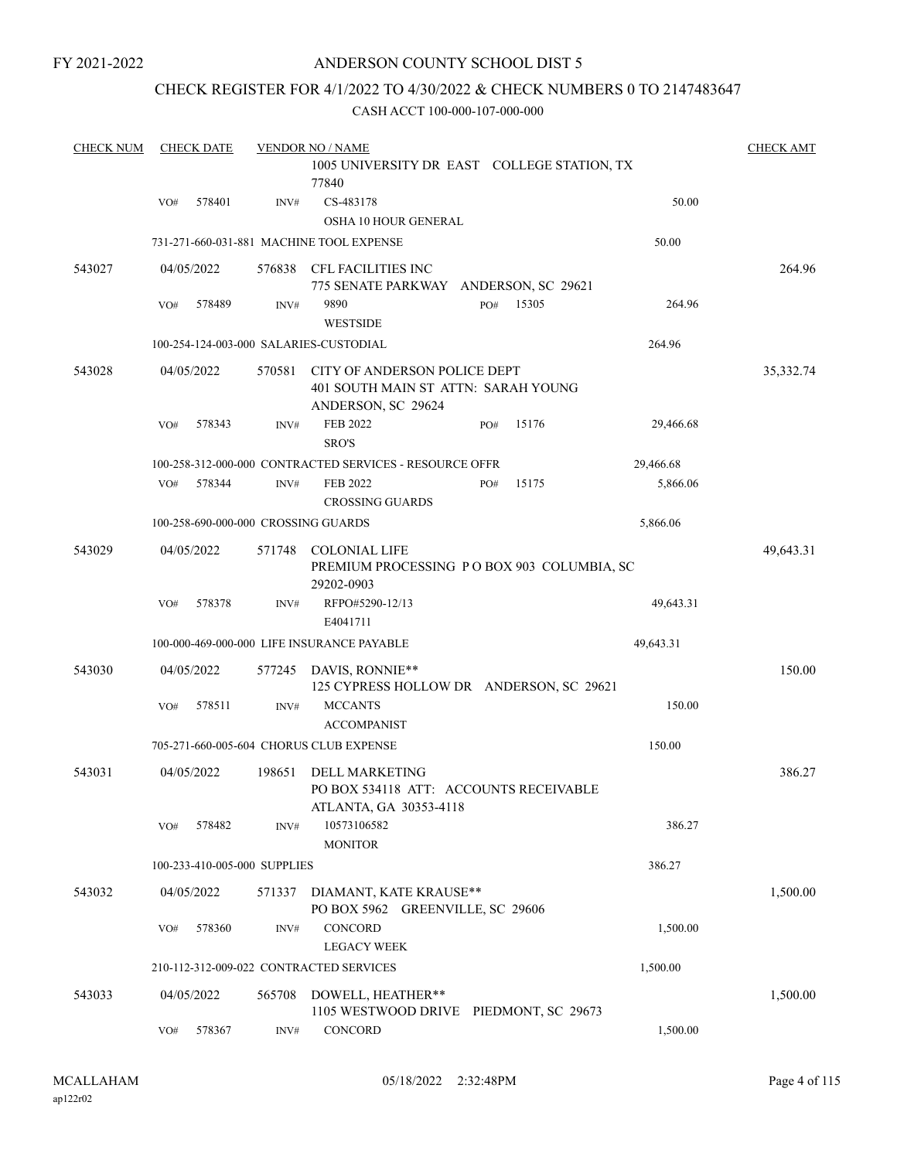# ANDERSON COUNTY SCHOOL DIST 5

### CHECK REGISTER FOR 4/1/2022 TO 4/30/2022 & CHECK NUMBERS 0 TO 2147483647

| <b>CHECK NUM</b> |     | <b>CHECK DATE</b>            |        | <b>VENDOR NO / NAME</b>                                                                   |     |       |           | <b>CHECK AMT</b> |
|------------------|-----|------------------------------|--------|-------------------------------------------------------------------------------------------|-----|-------|-----------|------------------|
|                  |     |                              |        | 1005 UNIVERSITY DR EAST COLLEGE STATION, TX<br>77840                                      |     |       |           |                  |
|                  | VO# | 578401                       | INV#   | CS-483178<br><b>OSHA 10 HOUR GENERAL</b>                                                  |     |       | 50.00     |                  |
|                  |     |                              |        | 731-271-660-031-881 MACHINE TOOL EXPENSE                                                  |     |       | 50.00     |                  |
| 543027           |     | 04/05/2022                   | 576838 | CFL FACILITIES INC<br>775 SENATE PARKWAY ANDERSON, SC 29621                               |     |       |           | 264.96           |
|                  | VO# | 578489                       | INV#   | 9890<br><b>WESTSIDE</b>                                                                   | PO# | 15305 | 264.96    |                  |
|                  |     |                              |        | 100-254-124-003-000 SALARIES-CUSTODIAL                                                    |     |       | 264.96    |                  |
| 543028           |     | 04/05/2022                   | 570581 | CITY OF ANDERSON POLICE DEPT<br>401 SOUTH MAIN ST ATTN: SARAH YOUNG<br>ANDERSON, SC 29624 |     |       |           | 35,332.74        |
|                  | VO# | 578343                       | INV#   | FEB 2022<br>SRO'S                                                                         | PO# | 15176 | 29,466.68 |                  |
|                  |     |                              |        | 100-258-312-000-000 CONTRACTED SERVICES - RESOURCE OFFR                                   |     |       | 29,466.68 |                  |
|                  | VO# | 578344                       | INV#   | <b>FEB 2022</b><br><b>CROSSING GUARDS</b>                                                 | PO# | 15175 | 5,866.06  |                  |
|                  |     |                              |        | 100-258-690-000-000 CROSSING GUARDS                                                       |     |       | 5,866.06  |                  |
| 543029           |     | 04/05/2022                   | 571748 | <b>COLONIAL LIFE</b><br>PREMIUM PROCESSING PO BOX 903 COLUMBIA, SC<br>29202-0903          |     |       |           | 49,643.31        |
|                  | VO# | 578378                       | INV#   | RFPO#5290-12/13<br>E4041711                                                               |     |       | 49,643.31 |                  |
|                  |     |                              |        | 100-000-469-000-000 LIFE INSURANCE PAYABLE                                                |     |       | 49,643.31 |                  |
| 543030           |     | 04/05/2022                   | 577245 | DAVIS, RONNIE**<br>125 CYPRESS HOLLOW DR ANDERSON, SC 29621                               |     |       |           | 150.00           |
|                  | VO# | 578511                       | INV#   | <b>MCCANTS</b><br><b>ACCOMPANIST</b>                                                      |     |       | 150.00    |                  |
|                  |     |                              |        | 705-271-660-005-604 CHORUS CLUB EXPENSE                                                   |     |       | 150.00    |                  |
| 543031           |     | 04/05/2022                   | 198651 | DELL MARKETING<br>PO BOX 534118 ATT: ACCOUNTS RECEIVABLE<br>ATLANTA, GA 30353-4118        |     |       |           | 386.27           |
|                  | VO# | 578482                       | INV#   | 10573106582<br><b>MONITOR</b>                                                             |     |       | 386.27    |                  |
|                  |     | 100-233-410-005-000 SUPPLIES |        |                                                                                           |     |       | 386.27    |                  |
| 543032           |     | 04/05/2022                   | 571337 | DIAMANT, KATE KRAUSE**<br>PO BOX 5962 GREENVILLE, SC 29606                                |     |       |           | 1,500.00         |
|                  | VO# | 578360                       | INV#   | CONCORD<br><b>LEGACY WEEK</b>                                                             |     |       | 1,500.00  |                  |
|                  |     |                              |        | 210-112-312-009-022 CONTRACTED SERVICES                                                   |     |       | 1,500.00  |                  |
| 543033           |     | 04/05/2022                   | 565708 | DOWELL, HEATHER**<br>1105 WESTWOOD DRIVE PIEDMONT, SC 29673                               |     |       |           | 1,500.00         |
|                  | VO# | 578367                       | INV#   | CONCORD                                                                                   |     |       | 1,500.00  |                  |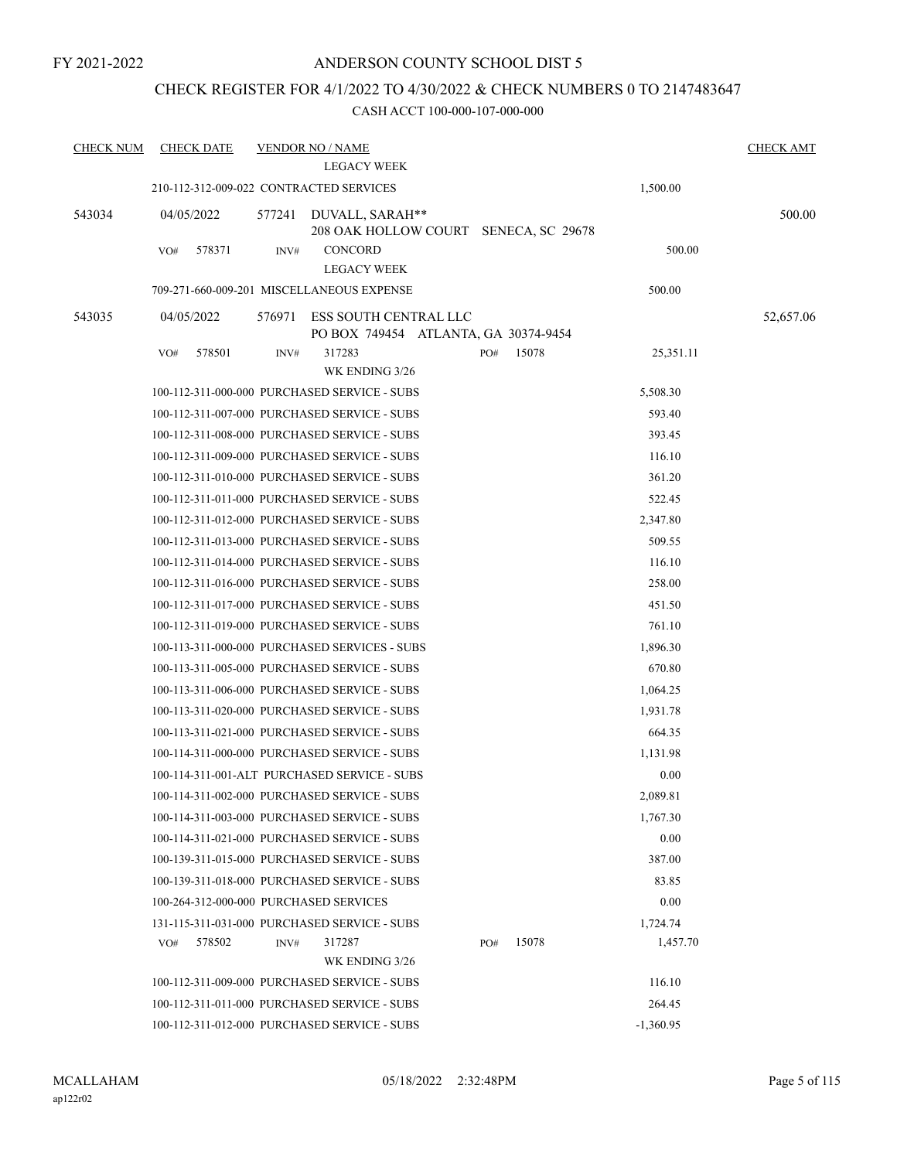# CHECK REGISTER FOR 4/1/2022 TO 4/30/2022 & CHECK NUMBERS 0 TO 2147483647

| <b>CHECK NUM</b> | <b>CHECK DATE</b>                       |        | <b>VENDOR NO / NAME</b>                                       |     |       |             | <b>CHECK AMT</b> |
|------------------|-----------------------------------------|--------|---------------------------------------------------------------|-----|-------|-------------|------------------|
|                  |                                         |        | <b>LEGACY WEEK</b>                                            |     |       |             |                  |
|                  | 210-112-312-009-022 CONTRACTED SERVICES |        |                                                               |     |       | 1,500.00    |                  |
| 543034           | 04/05/2022                              | 577241 | DUVALL, SARAH**<br>208 OAK HOLLOW COURT SENECA, SC 29678      |     |       |             | 500.00           |
|                  | 578371<br>VO#                           | INV#   | <b>CONCORD</b><br><b>LEGACY WEEK</b>                          |     |       | 500.00      |                  |
|                  |                                         |        | 709-271-660-009-201 MISCELLANEOUS EXPENSE                     |     |       | 500.00      |                  |
| 543035           | 04/05/2022                              | 576971 | ESS SOUTH CENTRAL LLC<br>PO BOX 749454 ATLANTA, GA 30374-9454 |     |       |             | 52,657.06        |
|                  | 578501<br>VO#                           | INV#   | 317283<br>WK ENDING 3/26                                      | PO# | 15078 | 25,351.11   |                  |
|                  |                                         |        | 100-112-311-000-000 PURCHASED SERVICE - SUBS                  |     |       | 5,508.30    |                  |
|                  |                                         |        | 100-112-311-007-000 PURCHASED SERVICE - SUBS                  |     |       | 593.40      |                  |
|                  |                                         |        | 100-112-311-008-000 PURCHASED SERVICE - SUBS                  |     |       | 393.45      |                  |
|                  |                                         |        | 100-112-311-009-000 PURCHASED SERVICE - SUBS                  |     |       | 116.10      |                  |
|                  |                                         |        | 100-112-311-010-000 PURCHASED SERVICE - SUBS                  |     |       | 361.20      |                  |
|                  |                                         |        | 100-112-311-011-000 PURCHASED SERVICE - SUBS                  |     |       | 522.45      |                  |
|                  |                                         |        | 100-112-311-012-000 PURCHASED SERVICE - SUBS                  |     |       | 2,347.80    |                  |
|                  |                                         |        | 100-112-311-013-000 PURCHASED SERVICE - SUBS                  |     |       | 509.55      |                  |
|                  |                                         |        | 100-112-311-014-000 PURCHASED SERVICE - SUBS                  |     |       | 116.10      |                  |
|                  |                                         |        | 100-112-311-016-000 PURCHASED SERVICE - SUBS                  |     |       | 258.00      |                  |
|                  |                                         |        | 100-112-311-017-000 PURCHASED SERVICE - SUBS                  |     |       | 451.50      |                  |
|                  |                                         |        | 100-112-311-019-000 PURCHASED SERVICE - SUBS                  |     |       | 761.10      |                  |
|                  |                                         |        | 100-113-311-000-000 PURCHASED SERVICES - SUBS                 |     |       | 1,896.30    |                  |
|                  |                                         |        | 100-113-311-005-000 PURCHASED SERVICE - SUBS                  |     |       | 670.80      |                  |
|                  |                                         |        | 100-113-311-006-000 PURCHASED SERVICE - SUBS                  |     |       | 1,064.25    |                  |
|                  |                                         |        | 100-113-311-020-000 PURCHASED SERVICE - SUBS                  |     |       | 1,931.78    |                  |
|                  |                                         |        | 100-113-311-021-000 PURCHASED SERVICE - SUBS                  |     |       | 664.35      |                  |
|                  |                                         |        | 100-114-311-000-000 PURCHASED SERVICE - SUBS                  |     |       | 1,131.98    |                  |
|                  |                                         |        | 100-114-311-001-ALT PURCHASED SERVICE - SUBS                  |     |       | 0.00        |                  |
|                  |                                         |        | 100-114-311-002-000 PURCHASED SERVICE - SUBS                  |     |       | 2,089.81    |                  |
|                  |                                         |        | 100-114-311-003-000 PURCHASED SERVICE - SUBS                  |     |       | 1,767.30    |                  |
|                  |                                         |        | 100-114-311-021-000 PURCHASED SERVICE - SUBS                  |     |       | 0.00        |                  |
|                  |                                         |        | 100-139-311-015-000 PURCHASED SERVICE - SUBS                  |     |       | 387.00      |                  |
|                  |                                         |        | 100-139-311-018-000 PURCHASED SERVICE - SUBS                  |     |       | 83.85       |                  |
|                  | 100-264-312-000-000 PURCHASED SERVICES  |        |                                                               |     |       | 0.00        |                  |
|                  |                                         |        | 131-115-311-031-000 PURCHASED SERVICE - SUBS                  |     |       | 1,724.74    |                  |
|                  | 578502<br>VO#                           | INV#   | 317287                                                        | PO# | 15078 | 1,457.70    |                  |
|                  |                                         |        | WK ENDING 3/26                                                |     |       |             |                  |
|                  |                                         |        | 100-112-311-009-000 PURCHASED SERVICE - SUBS                  |     |       | 116.10      |                  |
|                  |                                         |        | 100-112-311-011-000 PURCHASED SERVICE - SUBS                  |     |       | 264.45      |                  |
|                  |                                         |        | 100-112-311-012-000 PURCHASED SERVICE - SUBS                  |     |       | $-1,360.95$ |                  |
|                  |                                         |        |                                                               |     |       |             |                  |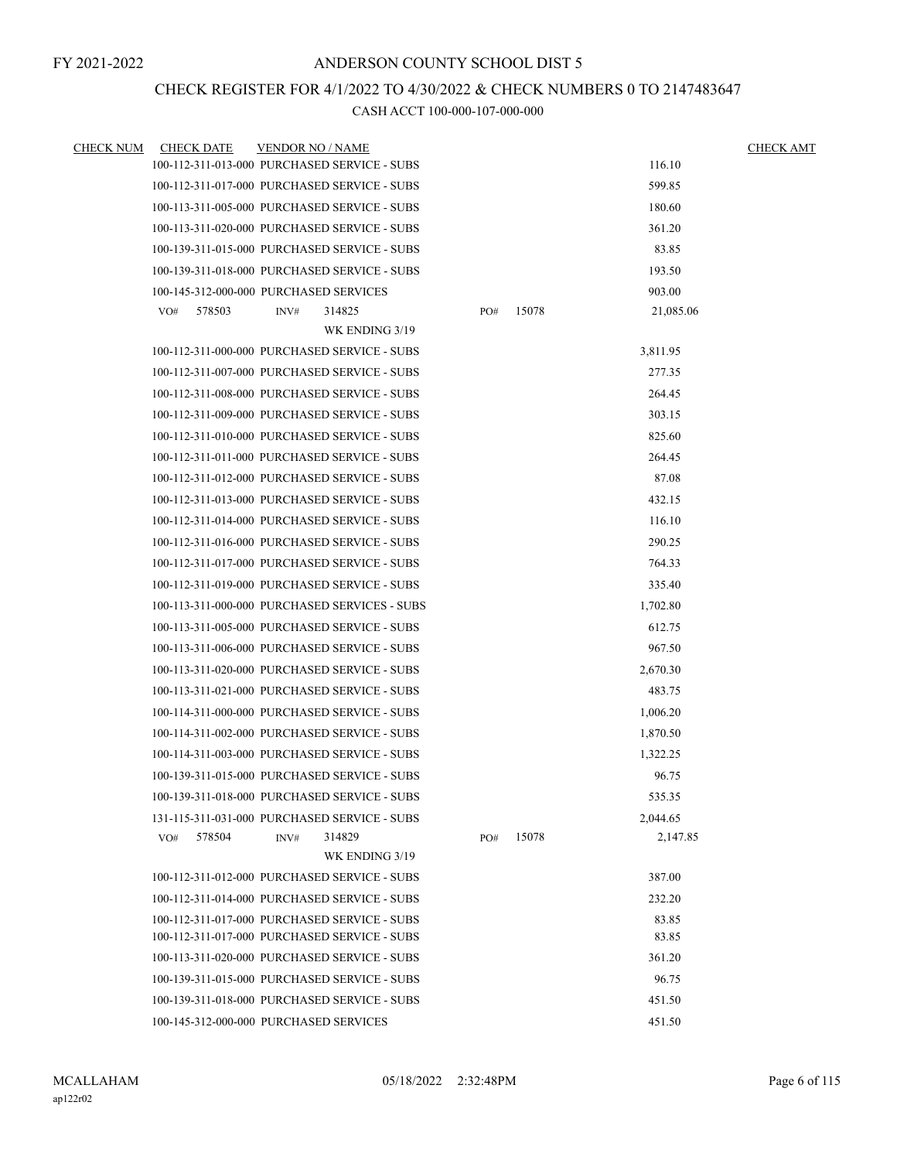# CHECK REGISTER FOR 4/1/2022 TO 4/30/2022 & CHECK NUMBERS 0 TO 2147483647

| <b>CHECK NUM</b> | <b>CHECK DATE</b> | <b>VENDOR NO / NAME</b>                       |     |       | <b>CHECK AMT</b> |  |
|------------------|-------------------|-----------------------------------------------|-----|-------|------------------|--|
|                  |                   | 100-112-311-013-000 PURCHASED SERVICE - SUBS  |     |       | 116.10           |  |
|                  |                   | 100-112-311-017-000 PURCHASED SERVICE - SUBS  |     |       | 599.85           |  |
|                  |                   | 100-113-311-005-000 PURCHASED SERVICE - SUBS  |     |       | 180.60           |  |
|                  |                   | 100-113-311-020-000 PURCHASED SERVICE - SUBS  |     |       | 361.20           |  |
|                  |                   | 100-139-311-015-000 PURCHASED SERVICE - SUBS  |     |       | 83.85            |  |
|                  |                   | 100-139-311-018-000 PURCHASED SERVICE - SUBS  |     |       | 193.50           |  |
|                  |                   | 100-145-312-000-000 PURCHASED SERVICES        |     |       | 903.00           |  |
|                  | 578503<br>VO#     | 314825<br>INV#                                | PO# | 15078 | 21,085.06        |  |
|                  |                   | WK ENDING 3/19                                |     |       |                  |  |
|                  |                   | 100-112-311-000-000 PURCHASED SERVICE - SUBS  |     |       | 3,811.95         |  |
|                  |                   | 100-112-311-007-000 PURCHASED SERVICE - SUBS  |     |       | 277.35           |  |
|                  |                   | 100-112-311-008-000 PURCHASED SERVICE - SUBS  |     |       | 264.45           |  |
|                  |                   | 100-112-311-009-000 PURCHASED SERVICE - SUBS  |     |       | 303.15           |  |
|                  |                   | 100-112-311-010-000 PURCHASED SERVICE - SUBS  |     |       | 825.60           |  |
|                  |                   | 100-112-311-011-000 PURCHASED SERVICE - SUBS  |     |       | 264.45           |  |
|                  |                   | 100-112-311-012-000 PURCHASED SERVICE - SUBS  |     |       | 87.08            |  |
|                  |                   | 100-112-311-013-000 PURCHASED SERVICE - SUBS  |     |       | 432.15           |  |
|                  |                   | 100-112-311-014-000 PURCHASED SERVICE - SUBS  |     |       | 116.10           |  |
|                  |                   | 100-112-311-016-000 PURCHASED SERVICE - SUBS  |     |       | 290.25           |  |
|                  |                   | 100-112-311-017-000 PURCHASED SERVICE - SUBS  |     |       | 764.33           |  |
|                  |                   | 100-112-311-019-000 PURCHASED SERVICE - SUBS  |     |       | 335.40           |  |
|                  |                   | 100-113-311-000-000 PURCHASED SERVICES - SUBS |     |       | 1,702.80         |  |
|                  |                   | 100-113-311-005-000 PURCHASED SERVICE - SUBS  |     |       | 612.75           |  |
|                  |                   | 100-113-311-006-000 PURCHASED SERVICE - SUBS  |     |       | 967.50           |  |
|                  |                   | 100-113-311-020-000 PURCHASED SERVICE - SUBS  |     |       | 2,670.30         |  |
|                  |                   | 100-113-311-021-000 PURCHASED SERVICE - SUBS  |     |       | 483.75           |  |
|                  |                   | 100-114-311-000-000 PURCHASED SERVICE - SUBS  |     |       | 1,006.20         |  |
|                  |                   | 100-114-311-002-000 PURCHASED SERVICE - SUBS  |     |       | 1,870.50         |  |
|                  |                   | 100-114-311-003-000 PURCHASED SERVICE - SUBS  |     |       | 1,322.25         |  |
|                  |                   | 100-139-311-015-000 PURCHASED SERVICE - SUBS  |     |       | 96.75            |  |
|                  |                   | 100-139-311-018-000 PURCHASED SERVICE - SUBS  |     |       | 535.35           |  |
|                  |                   | 131-115-311-031-000 PURCHASED SERVICE - SUBS  |     |       | 2,044.65         |  |
|                  | VO#<br>578504     | 314829<br>INV#                                | PO# | 15078 | 2,147.85         |  |
|                  |                   | WK ENDING 3/19                                |     |       |                  |  |
|                  |                   | 100-112-311-012-000 PURCHASED SERVICE - SUBS  |     |       | 387.00           |  |
|                  |                   | 100-112-311-014-000 PURCHASED SERVICE - SUBS  |     |       | 232.20           |  |
|                  |                   | 100-112-311-017-000 PURCHASED SERVICE - SUBS  |     |       | 83.85            |  |
|                  |                   | 100-112-311-017-000 PURCHASED SERVICE - SUBS  |     |       | 83.85            |  |
|                  |                   | 100-113-311-020-000 PURCHASED SERVICE - SUBS  |     |       | 361.20           |  |
|                  |                   | 100-139-311-015-000 PURCHASED SERVICE - SUBS  |     |       | 96.75            |  |
|                  |                   | 100-139-311-018-000 PURCHASED SERVICE - SUBS  |     |       | 451.50           |  |
|                  |                   | 100-145-312-000-000 PURCHASED SERVICES        |     |       | 451.50           |  |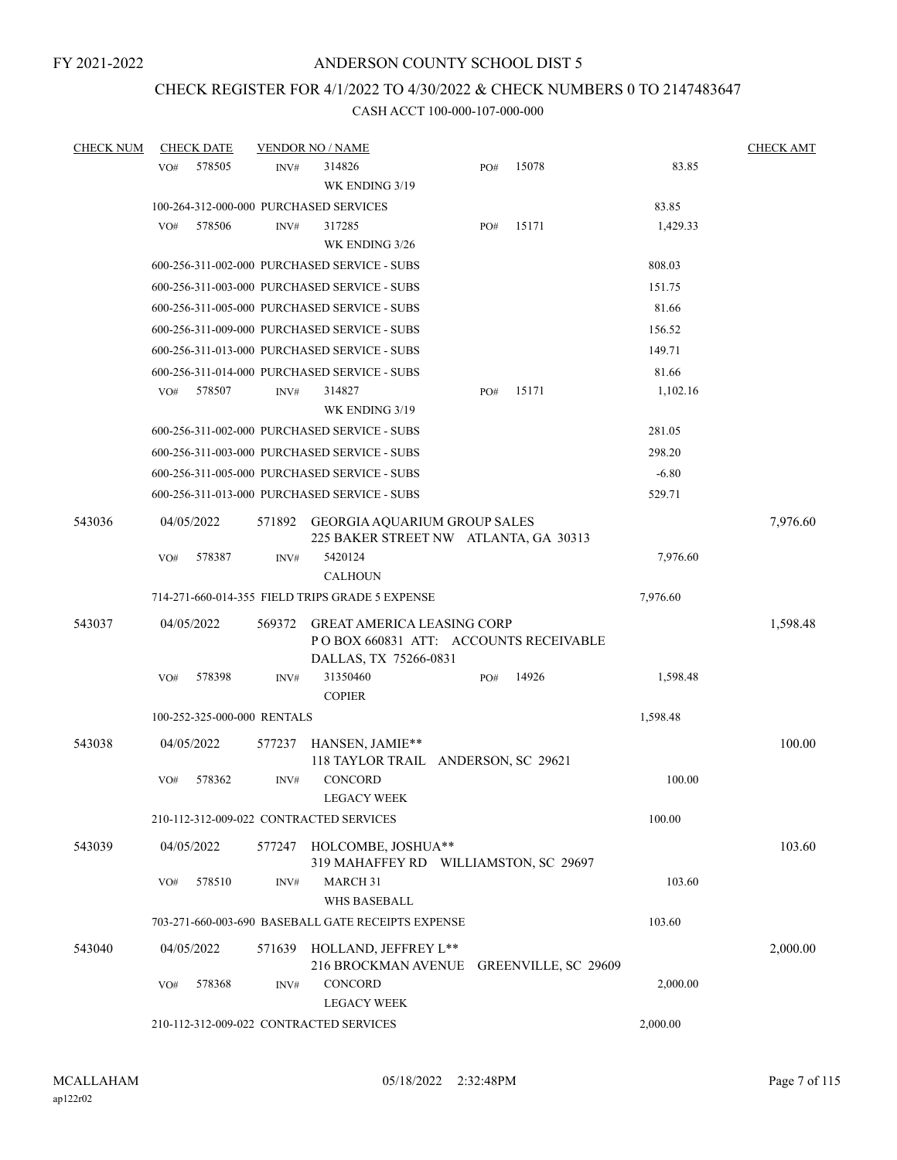# CHECK REGISTER FOR 4/1/2022 TO 4/30/2022 & CHECK NUMBERS 0 TO 2147483647

| <b>CHECK NUM</b> |     | <b>CHECK DATE</b>                       |                | <b>VENDOR NO / NAME</b>                                                                                          |  |     |                      |          | <b>CHECK AMT</b> |
|------------------|-----|-----------------------------------------|----------------|------------------------------------------------------------------------------------------------------------------|--|-----|----------------------|----------|------------------|
|                  | VO# | 578505                                  | INV#           | 314826<br>WK ENDING 3/19                                                                                         |  | PO# | 15078                | 83.85    |                  |
|                  |     |                                         |                | 100-264-312-000-000 PURCHASED SERVICES                                                                           |  |     |                      | 83.85    |                  |
|                  | VO# | 578506                                  | INV#           | 317285<br>WK ENDING 3/26                                                                                         |  | PO# | 15171                | 1,429.33 |                  |
|                  |     |                                         |                | 600-256-311-002-000 PURCHASED SERVICE - SUBS                                                                     |  |     |                      | 808.03   |                  |
|                  |     |                                         |                | 600-256-311-003-000 PURCHASED SERVICE - SUBS                                                                     |  |     |                      | 151.75   |                  |
|                  |     |                                         |                | 600-256-311-005-000 PURCHASED SERVICE - SUBS                                                                     |  |     |                      | 81.66    |                  |
|                  |     |                                         |                | 600-256-311-009-000 PURCHASED SERVICE - SUBS                                                                     |  |     |                      | 156.52   |                  |
|                  |     |                                         |                | 600-256-311-013-000 PURCHASED SERVICE - SUBS                                                                     |  |     |                      | 149.71   |                  |
|                  |     |                                         |                | 600-256-311-014-000 PURCHASED SERVICE - SUBS                                                                     |  |     |                      | 81.66    |                  |
|                  | VO# | 578507                                  | INV#           | 314827<br>WK ENDING 3/19                                                                                         |  | PO# | 15171                | 1,102.16 |                  |
|                  |     |                                         |                | 600-256-311-002-000 PURCHASED SERVICE - SUBS                                                                     |  |     |                      | 281.05   |                  |
|                  |     |                                         |                | 600-256-311-003-000 PURCHASED SERVICE - SUBS                                                                     |  |     |                      | 298.20   |                  |
|                  |     |                                         |                | 600-256-311-005-000 PURCHASED SERVICE - SUBS                                                                     |  |     |                      | $-6.80$  |                  |
|                  |     |                                         |                | 600-256-311-013-000 PURCHASED SERVICE - SUBS                                                                     |  |     |                      | 529.71   |                  |
| 543036           |     | 04/05/2022                              | 571892         | <b>GEORGIA AQUARIUM GROUP SALES</b><br>225 BAKER STREET NW ATLANTA, GA 30313                                     |  |     |                      |          | 7,976.60         |
|                  | VO# | 578387                                  | INV#           | 5420124<br><b>CALHOUN</b>                                                                                        |  |     |                      | 7,976.60 |                  |
|                  |     |                                         |                | 714-271-660-014-355 FIELD TRIPS GRADE 5 EXPENSE                                                                  |  |     |                      | 7,976.60 |                  |
| 543037           | VO# | 04/05/2022<br>578398                    | 569372<br>INV# | <b>GREAT AMERICA LEASING CORP</b><br>PO BOX 660831 ATT: ACCOUNTS RECEIVABLE<br>DALLAS, TX 75266-0831<br>31350460 |  | PO# | 14926                | 1,598.48 | 1,598.48         |
|                  |     |                                         |                | <b>COPIER</b>                                                                                                    |  |     |                      |          |                  |
|                  |     | 100-252-325-000-000 RENTALS             |                |                                                                                                                  |  |     |                      | 1,598.48 |                  |
| 543038           |     | 04/05/2022                              | 577237         | HANSEN, JAMIE**<br>118 TAYLOR TRAIL ANDERSON, SC 29621                                                           |  |     |                      |          | 100.00           |
|                  | VO# | 578362                                  | INV#           | <b>CONCORD</b><br>LEGACY WEEK                                                                                    |  |     |                      | 100.00   |                  |
|                  |     |                                         |                | 210-112-312-009-022 CONTRACTED SERVICES                                                                          |  |     |                      | 100.00   |                  |
| 543039           |     | 04/05/2022                              |                | 577247 HOLCOMBE, JOSHUA**<br>319 MAHAFFEY RD WILLIAMSTON, SC 29697                                               |  |     |                      |          | 103.60           |
|                  | VO# | 578510                                  | INV#           | MARCH 31<br><b>WHS BASEBALL</b>                                                                                  |  |     |                      | 103.60   |                  |
|                  |     |                                         |                | 703-271-660-003-690 BASEBALL GATE RECEIPTS EXPENSE                                                               |  |     |                      | 103.60   |                  |
| 543040           |     | 04/05/2022                              |                | 571639 HOLLAND, JEFFREY L**<br>216 BROCKMAN AVENUE                                                               |  |     | GREENVILLE, SC 29609 |          | 2,000.00         |
|                  | VO# | 578368                                  | INV#           | <b>CONCORD</b><br><b>LEGACY WEEK</b>                                                                             |  |     |                      | 2,000.00 |                  |
|                  |     | 210-112-312-009-022 CONTRACTED SERVICES |                |                                                                                                                  |  |     |                      |          |                  |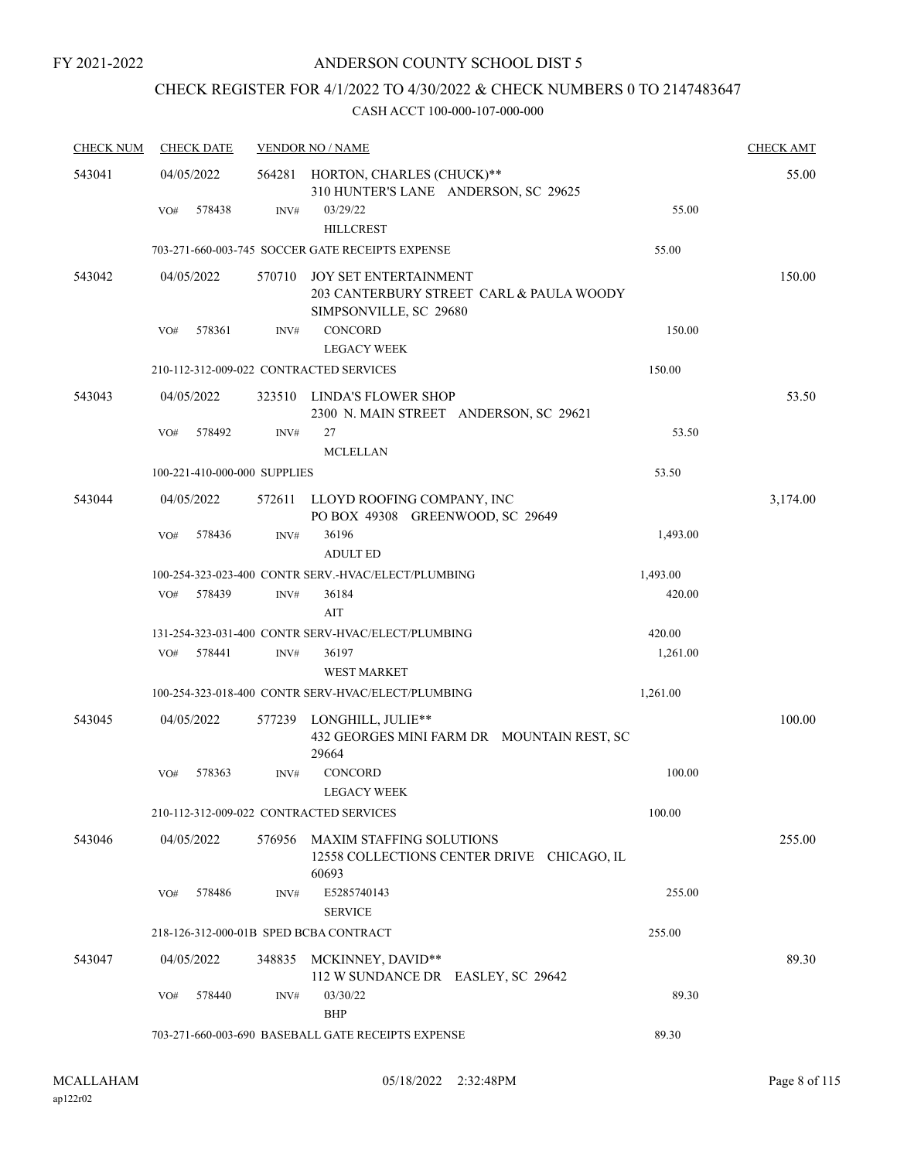# CHECK REGISTER FOR 4/1/2022 TO 4/30/2022 & CHECK NUMBERS 0 TO 2147483647

| <b>CHECK NUM</b> | <b>CHECK DATE</b>                      |        | <b>VENDOR NO / NAME</b>                                                                |          | <b>CHECK AMT</b> |
|------------------|----------------------------------------|--------|----------------------------------------------------------------------------------------|----------|------------------|
| 543041           | 04/05/2022                             |        | 564281 HORTON, CHARLES (CHUCK)**<br>310 HUNTER'S LANE ANDERSON, SC 29625               |          | 55.00            |
|                  | 578438<br>VO#                          | INV#   | 03/29/22<br><b>HILLCREST</b>                                                           | 55.00    |                  |
|                  |                                        |        | 703-271-660-003-745 SOCCER GATE RECEIPTS EXPENSE                                       | 55.00    |                  |
| 543042           | 04/05/2022                             | 570710 | JOY SET ENTERTAINMENT<br>203 CANTERBURY STREET CARL & PAULA WOODY                      |          | 150.00           |
|                  | 578361<br>VO#                          | INV#   | SIMPSONVILLE, SC 29680<br>CONCORD<br><b>LEGACY WEEK</b>                                | 150.00   |                  |
|                  |                                        |        | 210-112-312-009-022 CONTRACTED SERVICES                                                | 150.00   |                  |
| 543043           | 04/05/2022                             | 323510 | LINDA'S FLOWER SHOP<br>2300 N. MAIN STREET ANDERSON, SC 29621                          |          | 53.50            |
|                  | VO#<br>578492                          | INV#   | 27<br><b>MCLELLAN</b>                                                                  | 53.50    |                  |
|                  | 100-221-410-000-000 SUPPLIES           |        |                                                                                        | 53.50    |                  |
| 543044           | 04/05/2022                             | 572611 | LLOYD ROOFING COMPANY, INC<br>PO BOX 49308 GREENWOOD, SC 29649                         |          | 3,174.00         |
|                  | 578436<br>VO#                          | INV#   | 36196<br><b>ADULT ED</b>                                                               | 1,493.00 |                  |
|                  |                                        |        | 100-254-323-023-400 CONTR SERV.-HVAC/ELECT/PLUMBING                                    | 1,493.00 |                  |
|                  | 578439<br>VO#                          | INV#   | 36184                                                                                  | 420.00   |                  |
|                  |                                        |        | AIT                                                                                    |          |                  |
|                  |                                        |        | 131-254-323-031-400 CONTR SERV-HVAC/ELECT/PLUMBING                                     | 420.00   |                  |
|                  | 578441<br>VO#                          | INV#   | 36197<br><b>WEST MARKET</b>                                                            | 1,261.00 |                  |
|                  |                                        |        | 100-254-323-018-400 CONTR SERV-HVAC/ELECT/PLUMBING                                     | 1,261.00 |                  |
| 543045           | 04/05/2022                             | 577239 | LONGHILL, JULIE**<br>432 GEORGES MINI FARM DR MOUNTAIN REST, SC<br>29664               |          | 100.00           |
|                  | VO#<br>578363                          | INV#   | CONCORD<br><b>LEGACY WEEK</b>                                                          | 100.00   |                  |
|                  |                                        |        | 210-112-312-009-022 CONTRACTED SERVICES                                                | 100.00   |                  |
| 543046           | 04/05/2022                             | 576956 | <b>MAXIM STAFFING SOLUTIONS</b><br>12558 COLLECTIONS CENTER DRIVE CHICAGO, IL<br>60693 |          | 255.00           |
|                  | 578486<br>VO#                          | INV#   | E5285740143<br><b>SERVICE</b>                                                          | 255.00   |                  |
|                  | 218-126-312-000-01B SPED BCBA CONTRACT |        |                                                                                        | 255.00   |                  |
| 543047           | 04/05/2022                             |        | 348835 MCKINNEY, DAVID**<br>112 W SUNDANCE DR EASLEY, SC 29642                         |          | 89.30            |
|                  | 578440<br>VO#                          | INV#   | 03/30/22<br><b>BHP</b>                                                                 | 89.30    |                  |
|                  |                                        |        | 703-271-660-003-690 BASEBALL GATE RECEIPTS EXPENSE                                     | 89.30    |                  |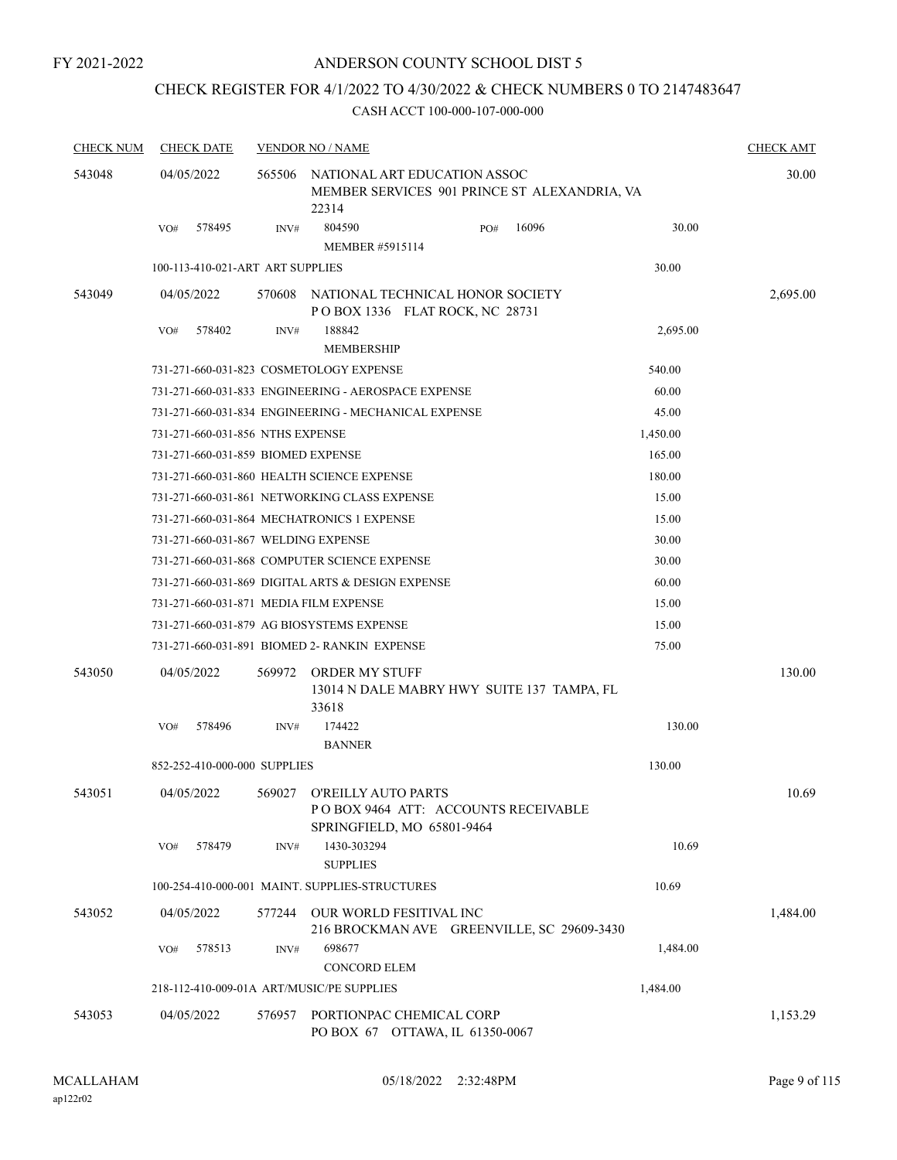# ANDERSON COUNTY SCHOOL DIST 5

# CHECK REGISTER FOR 4/1/2022 TO 4/30/2022 & CHECK NUMBERS 0 TO 2147483647

| <b>CHECK NUM</b> |            | <b>CHECK DATE</b>                |        | <b>VENDOR NO / NAME</b>                                                                         |     |       |          | <b>CHECK AMT</b> |
|------------------|------------|----------------------------------|--------|-------------------------------------------------------------------------------------------------|-----|-------|----------|------------------|
| 543048           | 04/05/2022 |                                  | 565506 | NATIONAL ART EDUCATION ASSOC<br>MEMBER SERVICES 901 PRINCE ST ALEXANDRIA, VA<br>22314           |     |       |          | 30.00            |
|                  | VO#        | 578495                           | INV#   | 804590<br><b>MEMBER #5915114</b>                                                                | PO# | 16096 | 30.00    |                  |
|                  |            | 100-113-410-021-ART ART SUPPLIES |        |                                                                                                 |     |       | 30.00    |                  |
| 543049           | 04/05/2022 |                                  |        | 570608 NATIONAL TECHNICAL HONOR SOCIETY                                                         |     |       |          | 2,695.00         |
|                  | VO#        | 578402                           | INV#   | POBOX 1336 FLAT ROCK, NC 28731<br>188842<br><b>MEMBERSHIP</b>                                   |     |       | 2,695.00 |                  |
|                  |            |                                  |        | 731-271-660-031-823 COSMETOLOGY EXPENSE                                                         |     |       | 540.00   |                  |
|                  |            |                                  |        | 731-271-660-031-833 ENGINEERING - AEROSPACE EXPENSE                                             |     |       | 60.00    |                  |
|                  |            |                                  |        | 731-271-660-031-834 ENGINEERING - MECHANICAL EXPENSE                                            |     |       | 45.00    |                  |
|                  |            | 731-271-660-031-856 NTHS EXPENSE |        |                                                                                                 |     |       | 1,450.00 |                  |
|                  |            |                                  |        | 731-271-660-031-859 BIOMED EXPENSE                                                              |     |       | 165.00   |                  |
|                  |            |                                  |        | 731-271-660-031-860 HEALTH SCIENCE EXPENSE                                                      |     |       | 180.00   |                  |
|                  |            |                                  |        | 731-271-660-031-861 NETWORKING CLASS EXPENSE                                                    |     |       | 15.00    |                  |
|                  |            |                                  |        | 731-271-660-031-864 MECHATRONICS 1 EXPENSE                                                      |     |       | 15.00    |                  |
|                  |            |                                  |        | 731-271-660-031-867 WELDING EXPENSE                                                             |     |       | 30.00    |                  |
|                  |            |                                  |        | 731-271-660-031-868 COMPUTER SCIENCE EXPENSE                                                    |     |       | 30.00    |                  |
|                  |            |                                  |        | 731-271-660-031-869 DIGITAL ARTS & DESIGN EXPENSE                                               |     |       | 60.00    |                  |
|                  |            |                                  |        | 731-271-660-031-871 MEDIA FILM EXPENSE                                                          |     |       | 15.00    |                  |
|                  |            |                                  |        | 731-271-660-031-879 AG BIOSYSTEMS EXPENSE                                                       |     |       | 15.00    |                  |
|                  |            |                                  |        | 731-271-660-031-891 BIOMED 2- RANKIN EXPENSE                                                    |     |       | 75.00    |                  |
| 543050           | 04/05/2022 |                                  | 569972 | ORDER MY STUFF<br>13014 N DALE MABRY HWY SUITE 137 TAMPA, FL<br>33618                           |     |       |          | 130.00           |
|                  | VO#        | 578496                           | INV#   | 174422                                                                                          |     |       | 130.00   |                  |
|                  |            |                                  |        | <b>BANNER</b>                                                                                   |     |       |          |                  |
|                  |            | 852-252-410-000-000 SUPPLIES     |        |                                                                                                 |     |       | 130.00   |                  |
| 543051           | 04/05/2022 |                                  |        | 569027 O'REILLY AUTO PARTS<br>POBOX 9464 ATT: ACCOUNTS RECEIVABLE<br>SPRINGFIELD, MO 65801-9464 |     |       |          | 10.69            |
|                  | VO#        | 578479                           | INV#   | 1430-303294<br><b>SUPPLIES</b>                                                                  |     |       | 10.69    |                  |
|                  |            |                                  |        | 100-254-410-000-001 MAINT. SUPPLIES-STRUCTURES                                                  |     |       | 10.69    |                  |
| 543052           | 04/05/2022 |                                  |        | 577244 OUR WORLD FESITIVAL INC<br>216 BROCKMAN AVE GREENVILLE, SC 29609-3430                    |     |       |          | 1,484.00         |
|                  | VO#        | 578513                           | INV#   | 698677                                                                                          |     |       | 1,484.00 |                  |
|                  |            |                                  |        | <b>CONCORD ELEM</b>                                                                             |     |       |          |                  |
|                  |            |                                  |        | 218-112-410-009-01A ART/MUSIC/PE SUPPLIES                                                       |     |       | 1,484.00 |                  |
| 543053           | 04/05/2022 |                                  | 576957 | PORTIONPAC CHEMICAL CORP<br>PO BOX 67 OTTAWA, IL 61350-0067                                     |     |       |          | 1,153.29         |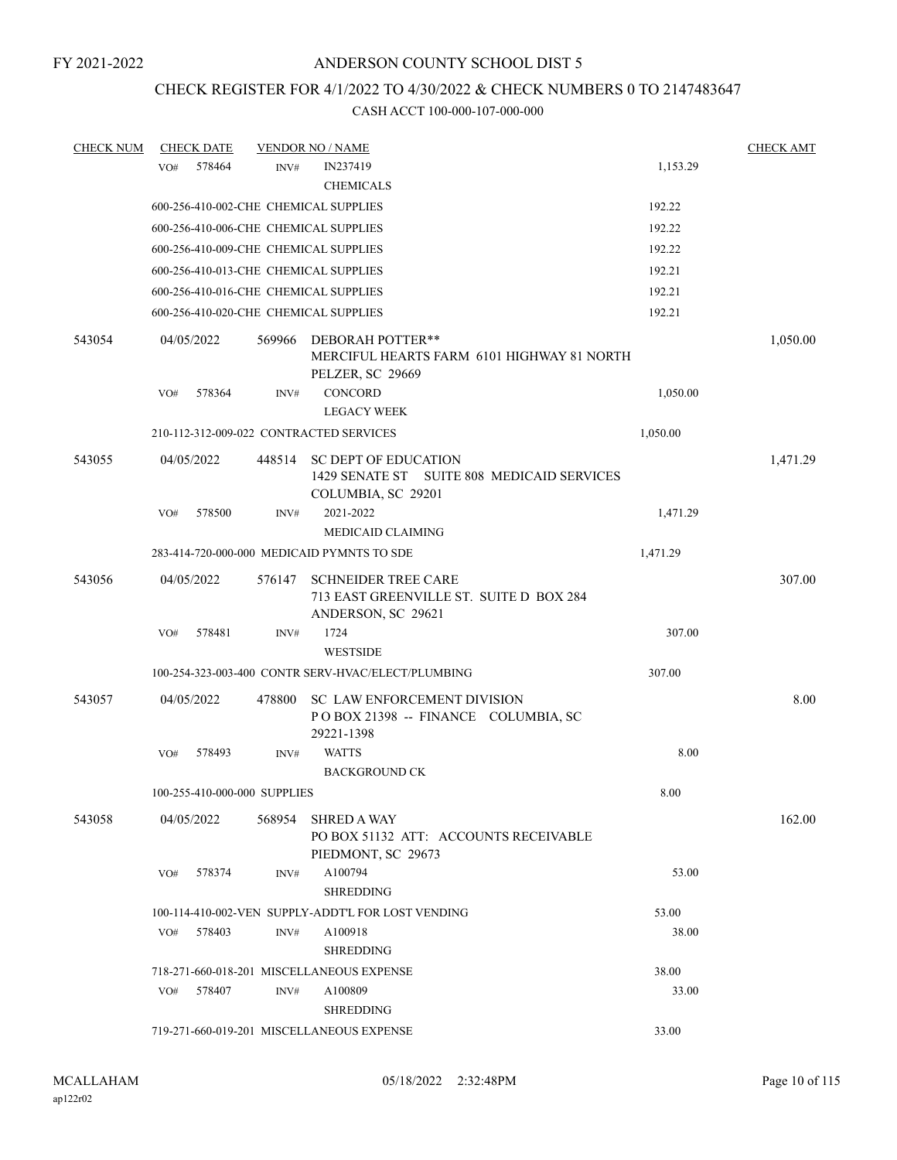# CHECK REGISTER FOR 4/1/2022 TO 4/30/2022 & CHECK NUMBERS 0 TO 2147483647

| <b>CHECK NUM</b> |     | <b>CHECK DATE</b> |                              | <b>VENDOR NO / NAME</b>                                                                         |          | <b>CHECK AMT</b> |
|------------------|-----|-------------------|------------------------------|-------------------------------------------------------------------------------------------------|----------|------------------|
|                  | VO# | 578464            | INV#                         | IN237419<br><b>CHEMICALS</b>                                                                    | 1,153.29 |                  |
|                  |     |                   |                              | 600-256-410-002-CHE CHEMICAL SUPPLIES                                                           | 192.22   |                  |
|                  |     |                   |                              | 600-256-410-006-CHE CHEMICAL SUPPLIES                                                           | 192.22   |                  |
|                  |     |                   |                              | 600-256-410-009-CHE CHEMICAL SUPPLIES                                                           | 192.22   |                  |
|                  |     |                   |                              | 600-256-410-013-CHE CHEMICAL SUPPLIES                                                           | 192.21   |                  |
|                  |     |                   |                              | 600-256-410-016-CHE CHEMICAL SUPPLIES                                                           | 192.21   |                  |
|                  |     |                   |                              | 600-256-410-020-CHE CHEMICAL SUPPLIES                                                           | 192.21   |                  |
| 543054           |     | 04/05/2022        | 569966                       | DEBORAH POTTER**<br>MERCIFUL HEARTS FARM 6101 HIGHWAY 81 NORTH<br>PELZER, SC 29669              |          | 1,050.00         |
|                  | VO# | 578364            | INV#                         | <b>CONCORD</b>                                                                                  | 1,050.00 |                  |
|                  |     |                   |                              | <b>LEGACY WEEK</b>                                                                              |          |                  |
|                  |     |                   |                              | 210-112-312-009-022 CONTRACTED SERVICES                                                         | 1,050.00 |                  |
| 543055           |     | 04/05/2022        | 448514                       | <b>SC DEPT OF EDUCATION</b><br>1429 SENATE ST SUITE 808 MEDICAID SERVICES<br>COLUMBIA, SC 29201 |          | 1,471.29         |
|                  | VO# | 578500            | INV#                         | 2021-2022<br><b>MEDICAID CLAIMING</b>                                                           | 1,471.29 |                  |
|                  |     |                   |                              | 283-414-720-000-000 MEDICAID PYMNTS TO SDE                                                      | 1,471.29 |                  |
| 543056           |     | 04/05/2022        | 576147                       | <b>SCHNEIDER TREE CARE</b><br>713 EAST GREENVILLE ST. SUITE D BOX 284<br>ANDERSON, SC 29621     |          | 307.00           |
|                  | VO# | 578481            | INV#                         | 1724<br><b>WESTSIDE</b>                                                                         | 307.00   |                  |
|                  |     |                   |                              | 100-254-323-003-400 CONTR SERV-HVAC/ELECT/PLUMBING                                              | 307.00   |                  |
| 543057           |     | 04/05/2022        | 478800                       | <b>SC LAW ENFORCEMENT DIVISION</b><br>POBOX 21398 -- FINANCE COLUMBIA, SC<br>29221-1398         |          | 8.00             |
|                  | VO# | 578493            | INV#                         | <b>WATTS</b>                                                                                    | 8.00     |                  |
|                  |     |                   |                              | <b>BACKGROUND CK</b>                                                                            |          |                  |
|                  |     |                   | 100-255-410-000-000 SUPPLIES |                                                                                                 | 8.00     |                  |
| 543058           |     | 04/05/2022        |                              | 568954 SHRED A WAY<br>PO BOX 51132 ATT: ACCOUNTS RECEIVABLE<br>PIEDMONT, SC 29673               |          | 162.00           |
|                  | VO# | 578374            | INV#                         | A100794<br><b>SHREDDING</b>                                                                     | 53.00    |                  |
|                  |     |                   |                              | 100-114-410-002-VEN SUPPLY-ADDT'L FOR LOST VENDING                                              | 53.00    |                  |
|                  | VO# | 578403            | INV#                         | A100918<br><b>SHREDDING</b>                                                                     | 38.00    |                  |
|                  |     |                   |                              | 718-271-660-018-201 MISCELLANEOUS EXPENSE                                                       | 38.00    |                  |
|                  | VO# | 578407            | INV#                         | A100809<br><b>SHREDDING</b>                                                                     | 33.00    |                  |
|                  |     |                   |                              | 719-271-660-019-201 MISCELLANEOUS EXPENSE                                                       | 33.00    |                  |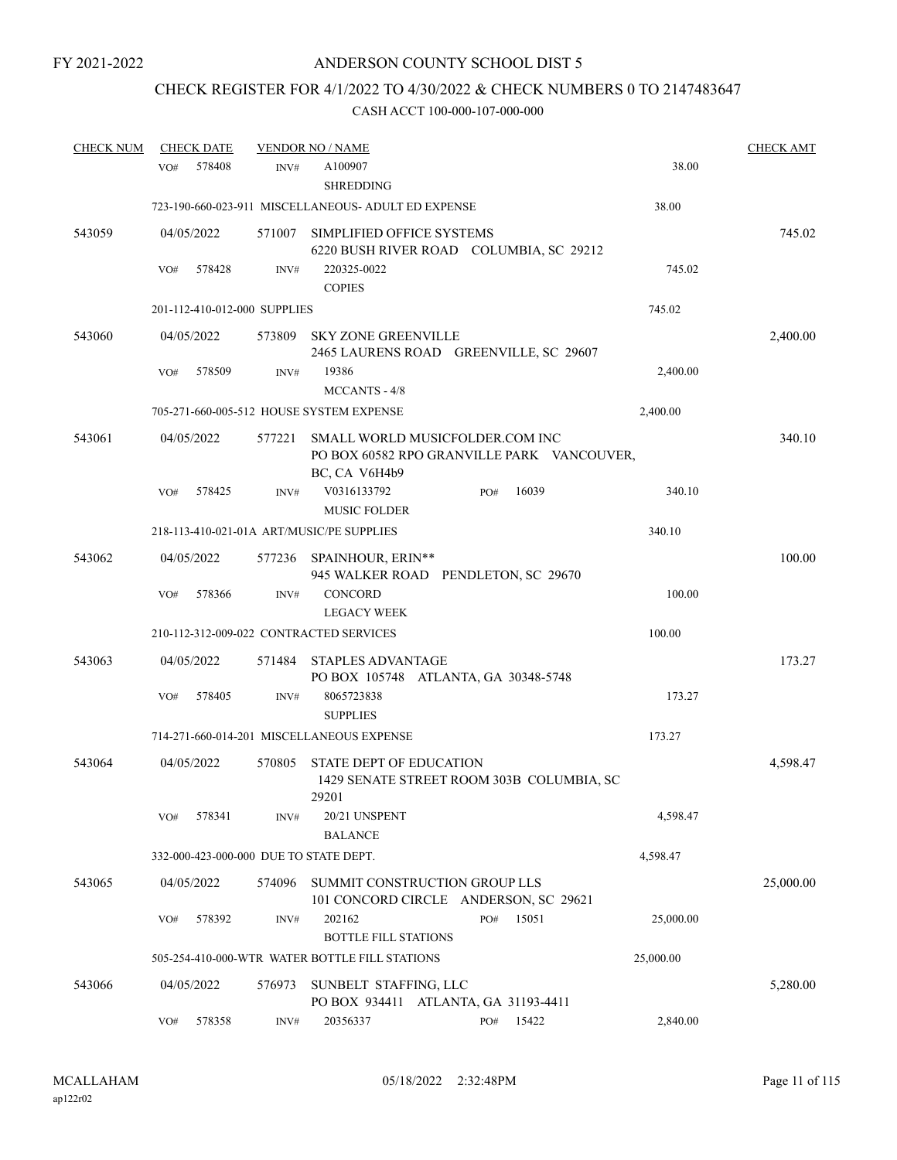# CHECK REGISTER FOR 4/1/2022 TO 4/30/2022 & CHECK NUMBERS 0 TO 2147483647

| <b>CHECK NUM</b> | <b>CHECK DATE</b>                         |                | <b>VENDOR NO / NAME</b>                                                                        |           | <b>CHECK AMT</b> |
|------------------|-------------------------------------------|----------------|------------------------------------------------------------------------------------------------|-----------|------------------|
|                  | 578408<br>VO#                             | INV#           | A100907<br><b>SHREDDING</b>                                                                    | 38.00     |                  |
|                  |                                           |                | 723-190-660-023-911 MISCELLANEOUS- ADULT ED EXPENSE                                            | 38.00     |                  |
| 543059           | 04/05/2022                                | 571007         | SIMPLIFIED OFFICE SYSTEMS<br>6220 BUSH RIVER ROAD COLUMBIA, SC 29212                           |           | 745.02           |
|                  | 578428<br>VO#                             | INV#           | 220325-0022<br><b>COPIES</b>                                                                   | 745.02    |                  |
|                  | 201-112-410-012-000 SUPPLIES              |                |                                                                                                | 745.02    |                  |
| 543060           | 04/05/2022                                | 573809         | <b>SKY ZONE GREENVILLE</b><br>2465 LAURENS ROAD GREENVILLE, SC 29607                           |           | 2,400.00         |
|                  | 578509<br>VO#                             | INV#           | 19386<br>MCCANTS - 4/8                                                                         | 2,400.00  |                  |
|                  |                                           |                | 705-271-660-005-512 HOUSE SYSTEM EXPENSE                                                       | 2,400.00  |                  |
| 543061           | 04/05/2022                                | 577221         | SMALL WORLD MUSICFOLDER.COM INC<br>PO BOX 60582 RPO GRANVILLE PARK VANCOUVER,<br>BC, CA V6H4b9 |           | 340.10           |
|                  | 578425<br>VO#                             | INV#           | V0316133792<br>16039<br>PO#<br><b>MUSIC FOLDER</b>                                             | 340.10    |                  |
|                  | 218-113-410-021-01A ART/MUSIC/PE SUPPLIES |                |                                                                                                | 340.10    |                  |
| 543062           | 04/05/2022                                | 577236         | SPAINHOUR, ERIN**<br>945 WALKER ROAD PENDLETON, SC 29670                                       |           | 100.00           |
|                  | 578366<br>VO#                             | INV#           | <b>CONCORD</b><br><b>LEGACY WEEK</b>                                                           | 100.00    |                  |
|                  | 210-112-312-009-022 CONTRACTED SERVICES   |                |                                                                                                | 100.00    |                  |
| 543063           | 04/05/2022                                | 571484         | <b>STAPLES ADVANTAGE</b><br>PO BOX 105748 ATLANTA, GA 30348-5748                               |           | 173.27           |
|                  | 578405<br>VO#                             | INV#           | 8065723838<br><b>SUPPLIES</b>                                                                  | 173.27    |                  |
|                  |                                           |                | 714-271-660-014-201 MISCELLANEOUS EXPENSE                                                      | 173.27    |                  |
| 543064           | 04/05/2022                                | 570805         | STATE DEPT OF EDUCATION<br>1429 SENATE STREET ROOM 303B COLUMBIA, SC<br>29201                  |           | 4,598.47         |
|                  | 578341<br>VO#                             | INV#           | 20/21 UNSPENT<br><b>BALANCE</b>                                                                | 4,598.47  |                  |
|                  | 332-000-423-000-000 DUE TO STATE DEPT.    |                |                                                                                                | 4,598.47  |                  |
| 543065           | 04/05/2022                                | 574096         | SUMMIT CONSTRUCTION GROUP LLS<br>101 CONCORD CIRCLE ANDERSON, SC 29621                         |           | 25,000.00        |
|                  | 578392<br>VO#                             | INV#           | 202162<br>PO#<br>15051<br><b>BOTTLE FILL STATIONS</b>                                          | 25,000.00 |                  |
|                  |                                           |                | 505-254-410-000-WTR WATER BOTTLE FILL STATIONS                                                 | 25,000.00 |                  |
| 543066           | 04/05/2022                                | 576973         | SUNBELT STAFFING, LLC<br>PO BOX 934411 ATLANTA, GA 31193-4411                                  |           | 5,280.00         |
|                  | 578358<br>VO#                             | $\text{INV}\#$ | 20356337<br>15422<br>PO#                                                                       | 2,840.00  |                  |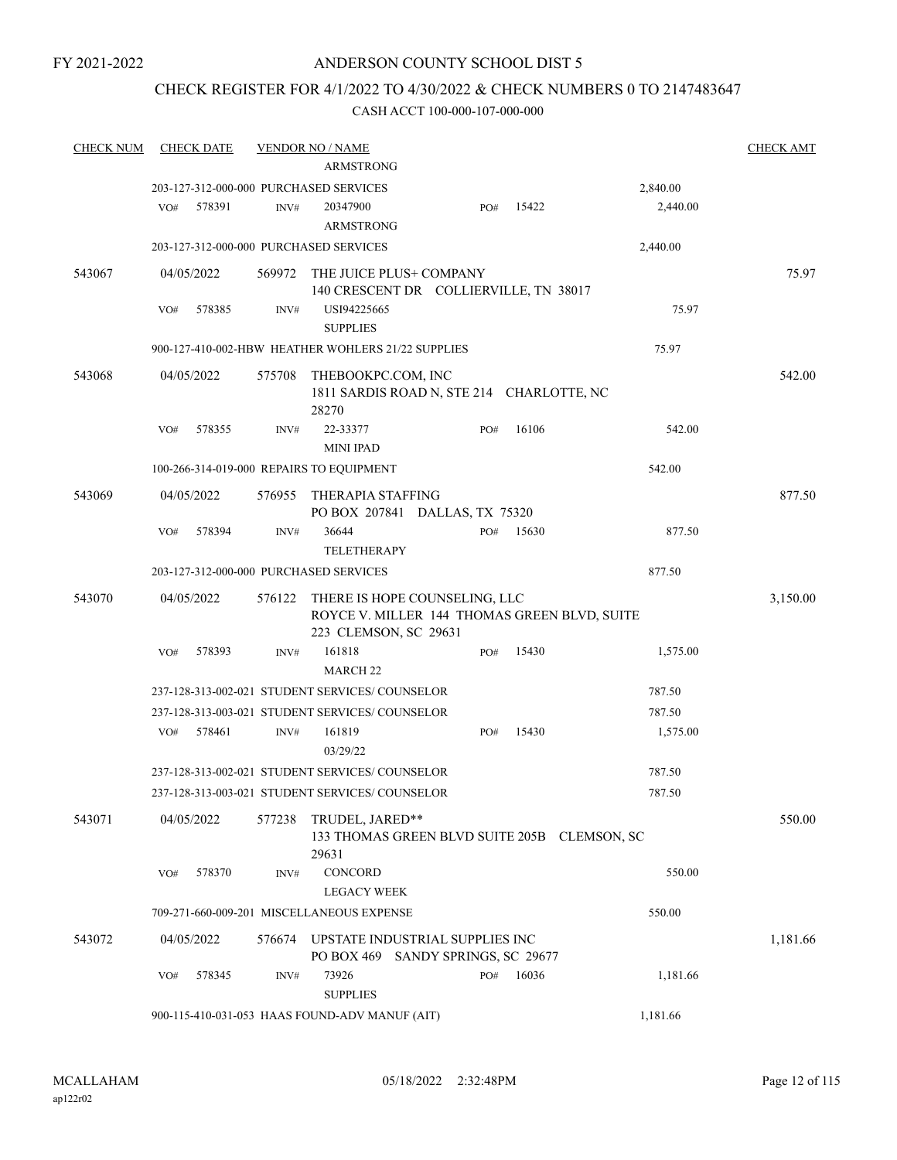# CHECK REGISTER FOR 4/1/2022 TO 4/30/2022 & CHECK NUMBERS 0 TO 2147483647

| <b>CHECK NUM</b> | <b>CHECK DATE</b>                        |        | <b>VENDOR NO / NAME</b><br><b>ARMSTRONG</b>                           |     |       |          | <b>CHECK AMT</b> |
|------------------|------------------------------------------|--------|-----------------------------------------------------------------------|-----|-------|----------|------------------|
|                  | 203-127-312-000-000 PURCHASED SERVICES   |        |                                                                       |     |       | 2,840.00 |                  |
|                  | 578391<br>VO#                            | INV#   | 20347900                                                              | PO# | 15422 | 2,440.00 |                  |
|                  |                                          |        | <b>ARMSTRONG</b>                                                      |     |       |          |                  |
|                  | 203-127-312-000-000 PURCHASED SERVICES   |        |                                                                       |     |       | 2,440.00 |                  |
|                  |                                          |        |                                                                       |     |       |          |                  |
| 543067           | 04/05/2022                               | 569972 | THE JUICE PLUS+ COMPANY                                               |     |       |          | 75.97            |
|                  | 578385                                   |        | 140 CRESCENT DR COLLIERVILLE, TN 38017                                |     |       | 75.97    |                  |
|                  | VO#                                      | INV#   | USI94225665<br><b>SUPPLIES</b>                                        |     |       |          |                  |
|                  |                                          |        | 900-127-410-002-HBW HEATHER WOHLERS 21/22 SUPPLIES                    |     |       | 75.97    |                  |
|                  |                                          |        |                                                                       |     |       |          |                  |
| 543068           | 04/05/2022                               | 575708 | THEBOOKPC.COM, INC                                                    |     |       |          | 542.00           |
|                  |                                          |        | 1811 SARDIS ROAD N, STE 214 CHARLOTTE, NC<br>28270                    |     |       |          |                  |
|                  | VO#<br>578355                            | INV#   | 22-33377                                                              | PO# | 16106 | 542.00   |                  |
|                  |                                          |        | <b>MINI IPAD</b>                                                      |     |       |          |                  |
|                  | 100-266-314-019-000 REPAIRS TO EQUIPMENT |        |                                                                       |     |       | 542.00   |                  |
|                  |                                          |        |                                                                       |     |       |          |                  |
| 543069           | 04/05/2022                               | 576955 | <b>THERAPIA STAFFING</b>                                              |     |       |          | 877.50           |
|                  | 578394<br>VO#                            | INV#   | PO BOX 207841 DALLAS, TX 75320<br>36644                               | PO# | 15630 | 877.50   |                  |
|                  |                                          |        | <b>TELETHERAPY</b>                                                    |     |       |          |                  |
|                  | 203-127-312-000-000 PURCHASED SERVICES   |        |                                                                       |     |       | 877.50   |                  |
|                  |                                          |        |                                                                       |     |       |          |                  |
| 543070           | 04/05/2022                               | 576122 | THERE IS HOPE COUNSELING, LLC                                         |     |       |          | 3,150.00         |
|                  |                                          |        | ROYCE V. MILLER 144 THOMAS GREEN BLVD, SUITE<br>223 CLEMSON, SC 29631 |     |       |          |                  |
|                  | 578393<br>VO#                            | INV#   | 161818                                                                | PO# | 15430 | 1,575.00 |                  |
|                  |                                          |        | <b>MARCH 22</b>                                                       |     |       |          |                  |
|                  |                                          |        | 237-128-313-002-021 STUDENT SERVICES/COUNSELOR                        |     |       | 787.50   |                  |
|                  |                                          |        | 237-128-313-003-021 STUDENT SERVICES/COUNSELOR                        |     |       | 787.50   |                  |
|                  | 578461<br>VO#                            | INV#   | 161819                                                                | PO# | 15430 | 1,575.00 |                  |
|                  |                                          |        | 03/29/22                                                              |     |       |          |                  |
|                  |                                          |        | 237-128-313-002-021 STUDENT SERVICES/ COUNSELOR                       |     |       | 787.50   |                  |
|                  |                                          |        | 237-128-313-003-021 STUDENT SERVICES/ COUNSELOR                       |     |       | 787.50   |                  |
|                  |                                          |        |                                                                       |     |       |          |                  |
| 543071           | 04/05/2022                               | 577238 | TRUDEL, JARED**<br>133 THOMAS GREEN BLVD SUITE 205B CLEMSON, SC       |     |       |          | 550.00           |
|                  |                                          |        | 29631                                                                 |     |       |          |                  |
|                  | 578370<br>VO#                            | INV#   | CONCORD                                                               |     |       | 550.00   |                  |
|                  |                                          |        | <b>LEGACY WEEK</b>                                                    |     |       |          |                  |
|                  |                                          |        | 709-271-660-009-201 MISCELLANEOUS EXPENSE                             |     |       | 550.00   |                  |
| 543072           | 04/05/2022                               | 576674 | UPSTATE INDUSTRIAL SUPPLIES INC                                       |     |       |          | 1,181.66         |
|                  |                                          |        | PO BOX 469 SANDY SPRINGS, SC 29677                                    |     |       |          |                  |
|                  | 578345<br>VO#                            | INV#   | 73926                                                                 | PO# | 16036 | 1,181.66 |                  |
|                  |                                          |        | <b>SUPPLIES</b>                                                       |     |       |          |                  |
|                  |                                          |        | 900-115-410-031-053 HAAS FOUND-ADV MANUF (AIT)                        |     |       | 1,181.66 |                  |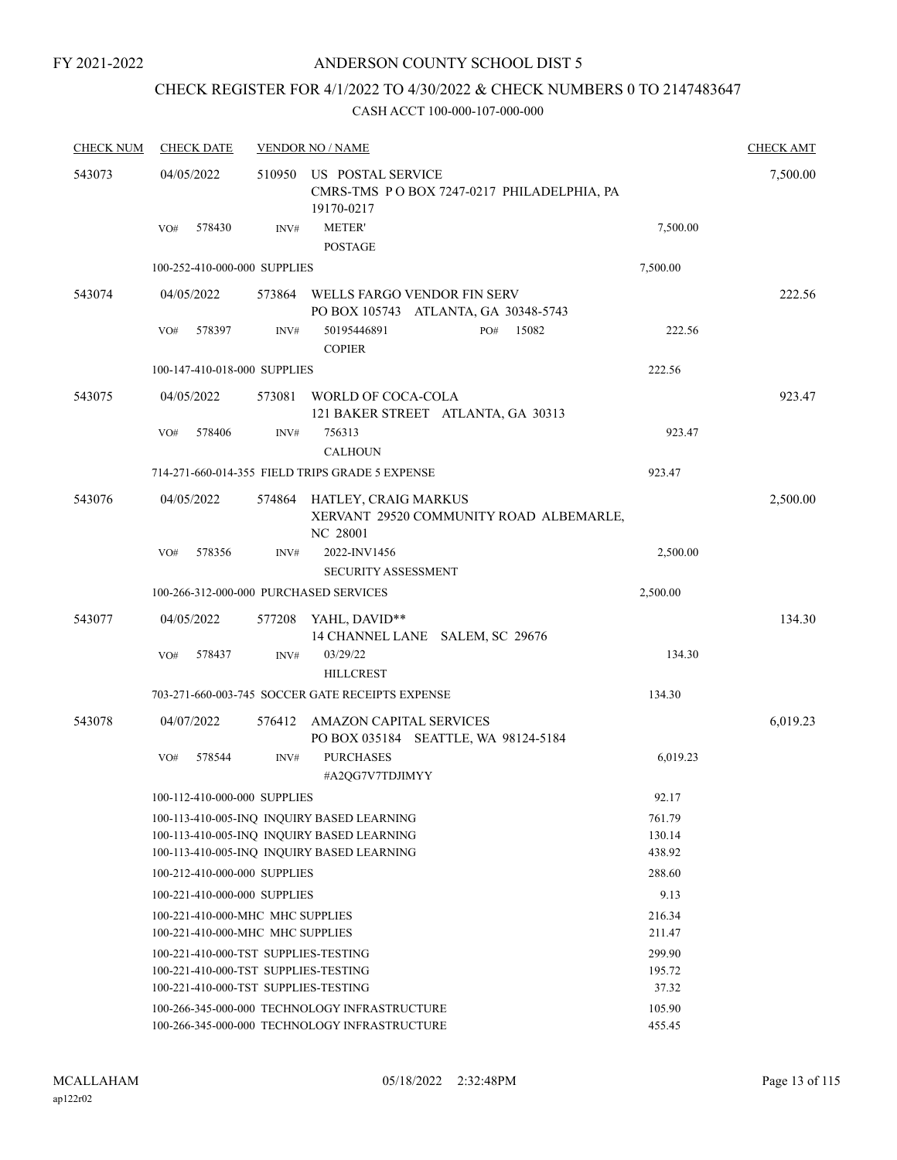# CHECK REGISTER FOR 4/1/2022 TO 4/30/2022 & CHECK NUMBERS 0 TO 2147483647

| <b>CHECK NUM</b> | <b>CHECK DATE</b>                      |        | <b>VENDOR NO / NAME</b>                                                                        |                  | <b>CHECK AMT</b> |
|------------------|----------------------------------------|--------|------------------------------------------------------------------------------------------------|------------------|------------------|
| 543073           | 04/05/2022                             | 510950 | US POSTAL SERVICE<br>CMRS-TMS PO BOX 7247-0217 PHILADELPHIA, PA<br>19170-0217                  |                  | 7,500.00         |
|                  | 578430<br>VO#                          | INV#   | <b>METER'</b><br><b>POSTAGE</b>                                                                | 7,500.00         |                  |
|                  | 100-252-410-000-000 SUPPLIES           |        |                                                                                                | 7,500.00         |                  |
| 543074           | 04/05/2022                             | 573864 | WELLS FARGO VENDOR FIN SERV<br>PO BOX 105743 ATLANTA, GA 30348-5743                            |                  | 222.56           |
|                  | 578397<br>VO#                          | INV#   | 50195446891<br>15082<br>PO#<br><b>COPIER</b>                                                   | 222.56           |                  |
|                  | 100-147-410-018-000 SUPPLIES           |        |                                                                                                | 222.56           |                  |
| 543075           | 04/05/2022                             | 573081 | WORLD OF COCA-COLA<br>121 BAKER STREET ATLANTA, GA 30313                                       |                  | 923.47           |
|                  | VO#<br>578406                          | INV#   | 756313<br><b>CALHOUN</b>                                                                       | 923.47           |                  |
|                  |                                        |        | 714-271-660-014-355 FIELD TRIPS GRADE 5 EXPENSE                                                | 923.47           |                  |
| 543076           | 04/05/2022                             |        | 574864 HATLEY, CRAIG MARKUS<br>XERVANT 29520 COMMUNITY ROAD ALBEMARLE,<br>NC 28001             |                  | 2,500.00         |
|                  | 578356<br>VO#                          | INV#   | 2022-INV1456<br><b>SECURITY ASSESSMENT</b>                                                     | 2,500.00         |                  |
|                  | 100-266-312-000-000 PURCHASED SERVICES |        |                                                                                                | 2,500.00         |                  |
| 543077           | 04/05/2022                             |        | 577208 YAHL, DAVID**<br>14 CHANNEL LANE SALEM, SC 29676                                        |                  | 134.30           |
|                  | 578437<br>VO#                          | INV#   | 03/29/22<br><b>HILLCREST</b>                                                                   | 134.30           |                  |
|                  |                                        |        | 703-271-660-003-745 SOCCER GATE RECEIPTS EXPENSE                                               | 134.30           |                  |
| 543078           | 04/07/2022                             | 576412 | AMAZON CAPITAL SERVICES<br>PO BOX 035184 SEATTLE, WA 98124-5184                                |                  | 6,019.23         |
|                  | 578544<br>VO#                          | INV#   | <b>PURCHASES</b><br>#A2QG7V7TDJIMYY                                                            | 6,019.23         |                  |
|                  | 100-112-410-000-000 SUPPLIES           |        |                                                                                                | 92.17            |                  |
|                  |                                        |        | 100-113-410-005-INQ INQUIRY BASED LEARNING                                                     | 761.79           |                  |
|                  |                                        |        | 100-113-410-005-INQ INQUIRY BASED LEARNING                                                     | 130.14           |                  |
|                  | 100-212-410-000-000 SUPPLIES           |        | 100-113-410-005-INQ INQUIRY BASED LEARNING                                                     | 438.92<br>288.60 |                  |
|                  | 100-221-410-000-000 SUPPLIES           |        |                                                                                                | 9.13             |                  |
|                  | 100-221-410-000-MHC MHC SUPPLIES       |        |                                                                                                | 216.34           |                  |
|                  | 100-221-410-000-MHC MHC SUPPLIES       |        |                                                                                                | 211.47           |                  |
|                  | 100-221-410-000-TST SUPPLIES-TESTING   |        |                                                                                                | 299.90           |                  |
|                  | 100-221-410-000-TST SUPPLIES-TESTING   |        |                                                                                                | 195.72           |                  |
|                  | 100-221-410-000-TST SUPPLIES-TESTING   |        |                                                                                                | 37.32            |                  |
|                  |                                        |        | 100-266-345-000-000 TECHNOLOGY INFRASTRUCTURE<br>100-266-345-000-000 TECHNOLOGY INFRASTRUCTURE | 105.90<br>455.45 |                  |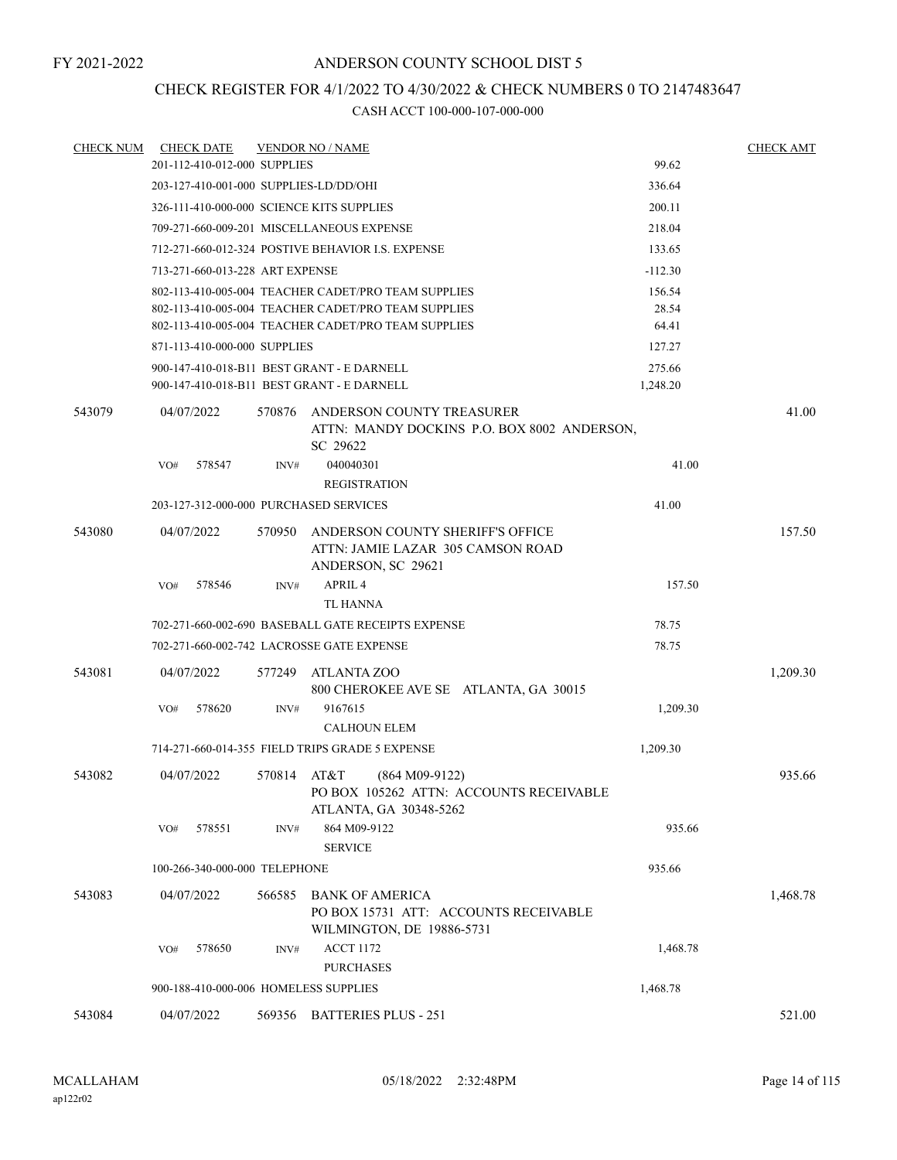# CHECK REGISTER FOR 4/1/2022 TO 4/30/2022 & CHECK NUMBERS 0 TO 2147483647

| <b>CHECK NUM</b> | <b>CHECK DATE</b>                          |             | <b>VENDOR NO / NAME</b>                                               |           | <b>CHECK AMT</b> |
|------------------|--------------------------------------------|-------------|-----------------------------------------------------------------------|-----------|------------------|
|                  | 201-112-410-012-000 SUPPLIES               |             |                                                                       | 99.62     |                  |
|                  | 203-127-410-001-000 SUPPLIES-LD/DD/OHI     |             |                                                                       | 336.64    |                  |
|                  | 326-111-410-000-000 SCIENCE KITS SUPPLIES  |             |                                                                       | 200.11    |                  |
|                  |                                            |             | 709-271-660-009-201 MISCELLANEOUS EXPENSE                             | 218.04    |                  |
|                  |                                            |             | 712-271-660-012-324 POSTIVE BEHAVIOR I.S. EXPENSE                     | 133.65    |                  |
|                  | 713-271-660-013-228 ART EXPENSE            |             |                                                                       | $-112.30$ |                  |
|                  |                                            |             | 802-113-410-005-004 TEACHER CADET/PRO TEAM SUPPLIES                   | 156.54    |                  |
|                  |                                            |             | 802-113-410-005-004 TEACHER CADET/PRO TEAM SUPPLIES                   | 28.54     |                  |
|                  |                                            |             | 802-113-410-005-004 TEACHER CADET/PRO TEAM SUPPLIES                   | 64.41     |                  |
|                  | 871-113-410-000-000 SUPPLIES               |             |                                                                       | 127.27    |                  |
|                  | 900-147-410-018-B11 BEST GRANT - E DARNELL |             |                                                                       | 275.66    |                  |
|                  | 900-147-410-018-B11 BEST GRANT - E DARNELL |             |                                                                       | 1,248.20  |                  |
| 543079           | 04/07/2022                                 | 570876      | ANDERSON COUNTY TREASURER                                             |           | 41.00            |
|                  |                                            |             | ATTN: MANDY DOCKINS P.O. BOX 8002 ANDERSON,                           |           |                  |
|                  | 578547                                     |             | SC 29622<br>040040301                                                 | 41.00     |                  |
|                  | VO#                                        | INV#        | <b>REGISTRATION</b>                                                   |           |                  |
|                  | 203-127-312-000-000 PURCHASED SERVICES     |             |                                                                       | 41.00     |                  |
|                  |                                            |             |                                                                       |           |                  |
| 543080           | 04/07/2022                                 | 570950      | ANDERSON COUNTY SHERIFF'S OFFICE<br>ATTN: JAMIE LAZAR 305 CAMSON ROAD |           | 157.50           |
|                  |                                            |             | ANDERSON, SC 29621                                                    |           |                  |
|                  | 578546<br>VO#                              | INV#        | APRIL <sub>4</sub>                                                    | 157.50    |                  |
|                  |                                            |             | <b>TL HANNA</b>                                                       |           |                  |
|                  |                                            |             | 702-271-660-002-690 BASEBALL GATE RECEIPTS EXPENSE                    | 78.75     |                  |
|                  | 702-271-660-002-742 LACROSSE GATE EXPENSE  |             |                                                                       | 78.75     |                  |
| 543081           | 04/07/2022                                 | 577249      | ATLANTA ZOO                                                           |           | 1,209.30         |
|                  |                                            |             | 800 CHEROKEE AVE SE ATLANTA, GA 30015                                 |           |                  |
|                  | 578620<br>VO#                              | INV#        | 9167615                                                               | 1,209.30  |                  |
|                  |                                            |             | <b>CALHOUN ELEM</b>                                                   |           |                  |
|                  |                                            |             | 714-271-660-014-355 FIELD TRIPS GRADE 5 EXPENSE                       | 1,209.30  |                  |
| 543082           | 04/07/2022                                 | 570814 AT&T | $(864 M09-9122)$                                                      |           | 935.66           |
|                  |                                            |             | PO BOX 105262 ATTN: ACCOUNTS RECEIVABLE                               |           |                  |
|                  |                                            |             | ATLANTA, GA 30348-5262                                                |           |                  |
|                  | 578551<br>VO#                              | INV#        | 864 M09-9122                                                          | 935.66    |                  |
|                  |                                            |             | <b>SERVICE</b>                                                        |           |                  |
|                  | 100-266-340-000-000 TELEPHONE              |             |                                                                       | 935.66    |                  |
| 543083           | 04/07/2022                                 | 566585      | <b>BANK OF AMERICA</b>                                                |           | 1,468.78         |
|                  |                                            |             | PO BOX 15731 ATT: ACCOUNTS RECEIVABLE                                 |           |                  |
|                  |                                            |             | WILMINGTON, DE 19886-5731                                             |           |                  |
|                  | 578650<br>VO#                              | INV#        | <b>ACCT 1172</b>                                                      | 1,468.78  |                  |
|                  |                                            |             | <b>PURCHASES</b>                                                      |           |                  |
|                  | 900-188-410-000-006 HOMELESS SUPPLIES      |             |                                                                       | 1,468.78  |                  |
| 543084           | 04/07/2022                                 |             | 569356 BATTERIES PLUS - 251                                           |           | 521.00           |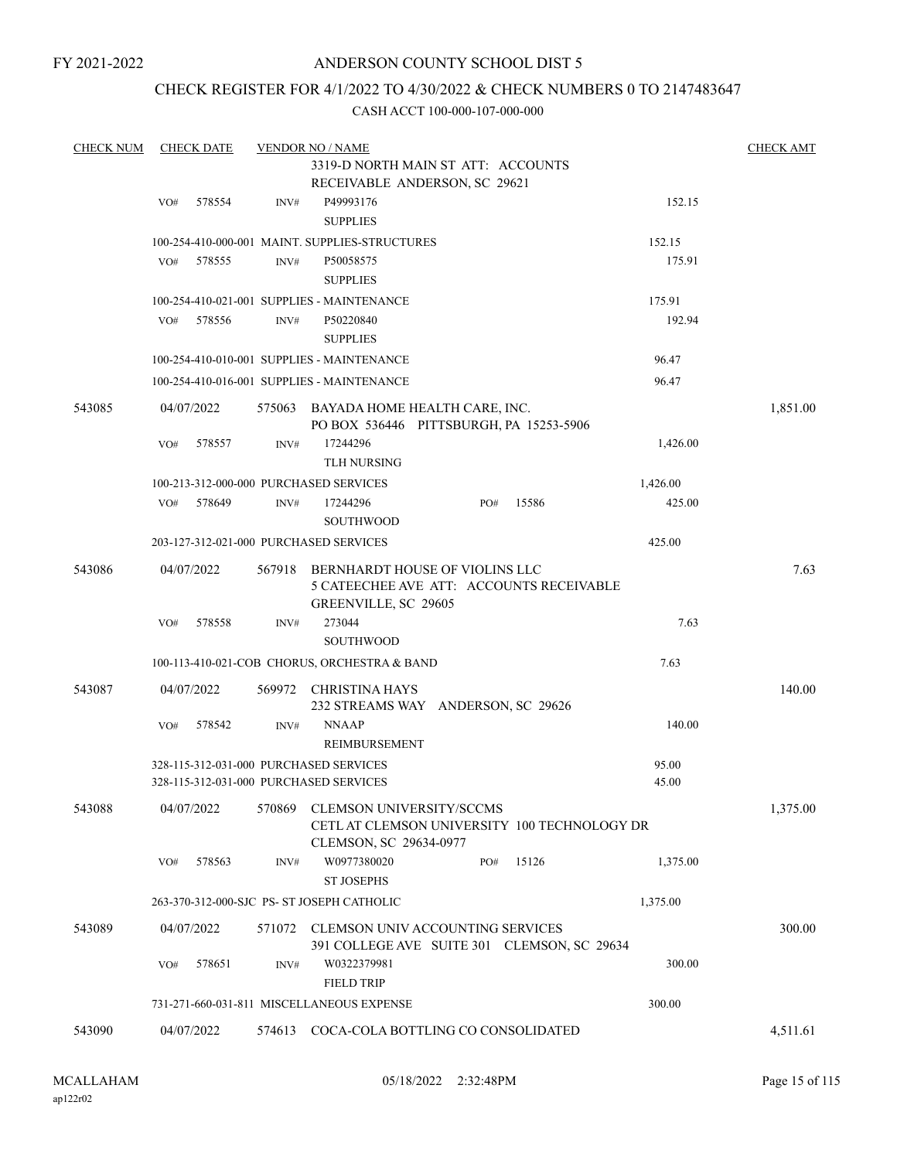# ANDERSON COUNTY SCHOOL DIST 5

# CHECK REGISTER FOR 4/1/2022 TO 4/30/2022 & CHECK NUMBERS 0 TO 2147483647

| <b>CHECK NUM</b> |     | <b>CHECK DATE</b> |        | <b>VENDOR NO / NAME</b>                             |     |       |          | <b>CHECK AMT</b> |
|------------------|-----|-------------------|--------|-----------------------------------------------------|-----|-------|----------|------------------|
|                  |     |                   |        | 3319-D NORTH MAIN ST ATT: ACCOUNTS                  |     |       |          |                  |
|                  |     |                   |        | RECEIVABLE ANDERSON, SC 29621                       |     |       |          |                  |
|                  | VO# | 578554            | INV#   | P49993176                                           |     |       | 152.15   |                  |
|                  |     |                   |        | <b>SUPPLIES</b>                                     |     |       |          |                  |
|                  |     |                   |        | 100-254-410-000-001 MAINT. SUPPLIES-STRUCTURES      |     |       | 152.15   |                  |
|                  | VO# | 578555            | INV#   | P50058575                                           |     |       | 175.91   |                  |
|                  |     |                   |        | <b>SUPPLIES</b>                                     |     |       |          |                  |
|                  |     |                   |        | 100-254-410-021-001 SUPPLIES - MAINTENANCE          |     |       | 175.91   |                  |
|                  | VO# | 578556            | INV#   | P50220840                                           |     |       | 192.94   |                  |
|                  |     |                   |        | <b>SUPPLIES</b>                                     |     |       |          |                  |
|                  |     |                   |        | 100-254-410-010-001 SUPPLIES - MAINTENANCE          |     |       | 96.47    |                  |
|                  |     |                   |        | 100-254-410-016-001 SUPPLIES - MAINTENANCE          |     |       | 96.47    |                  |
|                  |     |                   |        |                                                     |     |       |          |                  |
| 543085           |     | 04/07/2022        | 575063 | BAYADA HOME HEALTH CARE, INC.                       |     |       |          | 1,851.00         |
|                  |     | 578557            |        | PO BOX 536446 PITTSBURGH, PA 15253-5906<br>17244296 |     |       | 1,426.00 |                  |
|                  | VO# |                   | INV#   |                                                     |     |       |          |                  |
|                  |     |                   |        | <b>TLH NURSING</b>                                  |     |       |          |                  |
|                  |     |                   |        | 100-213-312-000-000 PURCHASED SERVICES              |     |       | 1,426.00 |                  |
|                  | VO# | 578649            | INV#   | 17244296                                            | PO# | 15586 | 425.00   |                  |
|                  |     |                   |        | <b>SOUTHWOOD</b>                                    |     |       |          |                  |
|                  |     |                   |        | 203-127-312-021-000 PURCHASED SERVICES              |     |       | 425.00   |                  |
| 543086           |     | 04/07/2022        | 567918 | BERNHARDT HOUSE OF VIOLINS LLC                      |     |       |          | 7.63             |
|                  |     |                   |        | 5 CATEECHEE AVE ATT: ACCOUNTS RECEIVABLE            |     |       |          |                  |
|                  |     |                   |        | GREENVILLE, SC 29605                                |     |       |          |                  |
|                  | VO# | 578558            | INV#   | 273044                                              |     |       | 7.63     |                  |
|                  |     |                   |        | SOUTHWOOD                                           |     |       |          |                  |
|                  |     |                   |        | 100-113-410-021-COB CHORUS, ORCHESTRA & BAND        |     |       | 7.63     |                  |
| 543087           |     | 04/07/2022        | 569972 | CHRISTINA HAYS                                      |     |       |          | 140.00           |
|                  |     |                   |        | 232 STREAMS WAY ANDERSON, SC 29626                  |     |       |          |                  |
|                  | VO# | 578542            | INV#   | <b>NNAAP</b>                                        |     |       | 140.00   |                  |
|                  |     |                   |        | REIMBURSEMENT                                       |     |       |          |                  |
|                  |     |                   |        | 328-115-312-031-000 PURCHASED SERVICES              |     |       | 95.00    |                  |
|                  |     |                   |        | 328-115-312-031-000 PURCHASED SERVICES              |     |       | 45.00    |                  |
|                  |     |                   |        | CLEMSON UNIVERSITY/SCCMS                            |     |       |          |                  |
| 543088           |     | 04/07/2022        | 570869 | CETL AT CLEMSON UNIVERSITY 100 TECHNOLOGY DR        |     |       |          | 1,375.00         |
|                  |     |                   |        | CLEMSON, SC 29634-0977                              |     |       |          |                  |
|                  | VO# | 578563            | INV#   | W0977380020                                         | PO# | 15126 | 1,375.00 |                  |
|                  |     |                   |        | <b>ST JOSEPHS</b>                                   |     |       |          |                  |
|                  |     |                   |        | 263-370-312-000-SJC PS- ST JOSEPH CATHOLIC          |     |       | 1,375.00 |                  |
|                  |     |                   |        |                                                     |     |       |          |                  |
| 543089           |     | 04/07/2022        | 571072 | CLEMSON UNIV ACCOUNTING SERVICES                    |     |       |          | 300.00           |
|                  |     |                   |        | 391 COLLEGE AVE SUITE 301 CLEMSON, SC 29634         |     |       |          |                  |
|                  | VO# | 578651            | INV#   | W0322379981                                         |     |       | 300.00   |                  |
|                  |     |                   |        | <b>FIELD TRIP</b>                                   |     |       |          |                  |
|                  |     |                   |        | 731-271-660-031-811 MISCELLANEOUS EXPENSE           |     |       | 300.00   |                  |
| 543090           |     | 04/07/2022        |        | 574613 COCA-COLA BOTTLING CO CONSOLIDATED           |     |       |          | 4,511.61         |
|                  |     |                   |        |                                                     |     |       |          |                  |
|                  |     |                   |        |                                                     |     |       |          |                  |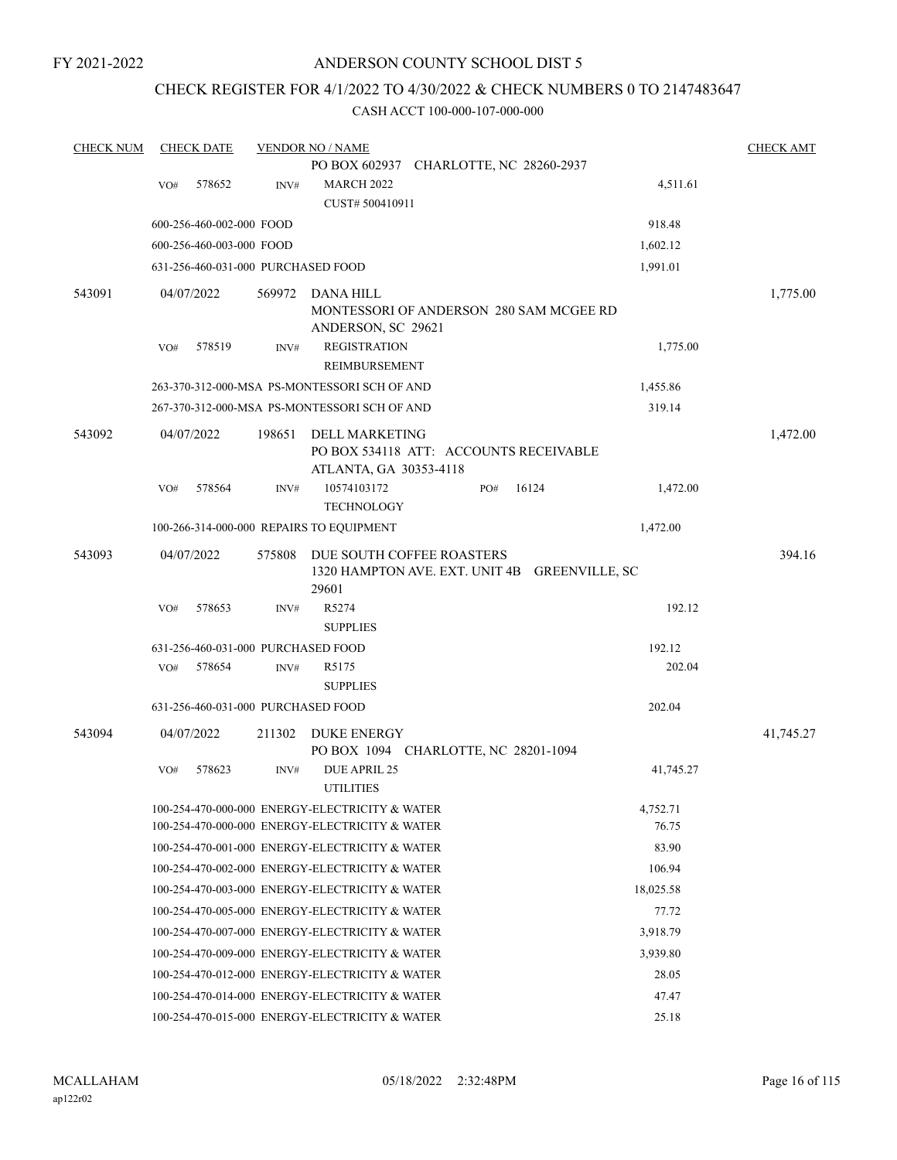# ANDERSON COUNTY SCHOOL DIST 5

# CHECK REGISTER FOR 4/1/2022 TO 4/30/2022 & CHECK NUMBERS 0 TO 2147483647

| <b>CHECK NUM</b> |     | <b>CHECK DATE</b>                  |        | <b>VENDOR NO / NAME</b>                        |                                                                            |       |           | <b>CHECK AMT</b> |
|------------------|-----|------------------------------------|--------|------------------------------------------------|----------------------------------------------------------------------------|-------|-----------|------------------|
|                  |     |                                    |        |                                                | PO BOX 602937 CHARLOTTE, NC 28260-2937                                     |       |           |                  |
|                  | VO# | 578652                             | INV#   | <b>MARCH 2022</b>                              |                                                                            |       | 4,511.61  |                  |
|                  |     |                                    |        | CUST# 500410911                                |                                                                            |       |           |                  |
|                  |     | 600-256-460-002-000 FOOD           |        |                                                |                                                                            |       | 918.48    |                  |
|                  |     | 600-256-460-003-000 FOOD           |        |                                                |                                                                            |       | 1,602.12  |                  |
|                  |     | 631-256-460-031-000 PURCHASED FOOD |        |                                                |                                                                            |       | 1,991.01  |                  |
| 543091           |     | 04/07/2022                         | 569972 | DANA HILL                                      |                                                                            |       |           | 1,775.00         |
|                  |     |                                    |        |                                                | MONTESSORI OF ANDERSON 280 SAM MCGEE RD                                    |       |           |                  |
|                  |     |                                    |        | ANDERSON, SC 29621                             |                                                                            |       |           |                  |
|                  | VO# | 578519                             | INV#   | <b>REGISTRATION</b>                            |                                                                            |       | 1,775.00  |                  |
|                  |     |                                    |        | REIMBURSEMENT                                  |                                                                            |       |           |                  |
|                  |     |                                    |        | 263-370-312-000-MSA PS-MONTESSORI SCH OF AND   |                                                                            |       | 1,455.86  |                  |
|                  |     |                                    |        | 267-370-312-000-MSA PS-MONTESSORI SCH OF AND   |                                                                            |       | 319.14    |                  |
| 543092           |     | 04/07/2022                         | 198651 | <b>DELL MARKETING</b>                          |                                                                            |       |           | 1,472.00         |
|                  |     |                                    |        |                                                | PO BOX 534118 ATT: ACCOUNTS RECEIVABLE                                     |       |           |                  |
|                  | VO# | 578564                             | INV#   | ATLANTA, GA 30353-4118<br>10574103172          | PO#                                                                        | 16124 | 1,472.00  |                  |
|                  |     |                                    |        | <b>TECHNOLOGY</b>                              |                                                                            |       |           |                  |
|                  |     |                                    |        | 100-266-314-000-000 REPAIRS TO EQUIPMENT       |                                                                            |       | 1,472.00  |                  |
|                  |     |                                    |        |                                                |                                                                            |       |           |                  |
| 543093           |     | 04/07/2022                         | 575808 |                                                | DUE SOUTH COFFEE ROASTERS<br>1320 HAMPTON AVE. EXT. UNIT 4B GREENVILLE, SC |       |           | 394.16           |
|                  |     |                                    |        | 29601                                          |                                                                            |       |           |                  |
|                  | VO# | 578653                             | INV#   | R5274                                          |                                                                            |       | 192.12    |                  |
|                  |     |                                    |        | <b>SUPPLIES</b>                                |                                                                            |       |           |                  |
|                  |     | 631-256-460-031-000 PURCHASED FOOD |        |                                                |                                                                            |       | 192.12    |                  |
|                  | VO# | 578654                             | INV#   | R5175                                          |                                                                            |       | 202.04    |                  |
|                  |     |                                    |        | <b>SUPPLIES</b>                                |                                                                            |       |           |                  |
|                  |     | 631-256-460-031-000 PURCHASED FOOD |        |                                                |                                                                            |       | 202.04    |                  |
| 543094           |     | 04/07/2022                         | 211302 | <b>DUKE ENERGY</b>                             |                                                                            |       |           | 41,745.27        |
|                  |     |                                    |        |                                                | PO BOX 1094 CHARLOTTE, NC 28201-1094                                       |       |           |                  |
|                  | VO# | 578623                             | INV#   | DUE APRIL 25                                   |                                                                            |       | 41,745.27 |                  |
|                  |     |                                    |        | <b>UTILITIES</b>                               |                                                                            |       |           |                  |
|                  |     |                                    |        | 100-254-470-000-000 ENERGY-ELECTRICITY & WATER |                                                                            |       | 4,752.71  |                  |
|                  |     |                                    |        | 100-254-470-000-000 ENERGY-ELECTRICITY & WATER |                                                                            |       | 76.75     |                  |
|                  |     |                                    |        | 100-254-470-001-000 ENERGY-ELECTRICITY & WATER |                                                                            |       | 83.90     |                  |
|                  |     |                                    |        | 100-254-470-002-000 ENERGY-ELECTRICITY & WATER |                                                                            |       | 106.94    |                  |
|                  |     |                                    |        | 100-254-470-003-000 ENERGY-ELECTRICITY & WATER |                                                                            |       | 18,025.58 |                  |
|                  |     |                                    |        | 100-254-470-005-000 ENERGY-ELECTRICITY & WATER |                                                                            |       | 77.72     |                  |
|                  |     |                                    |        | 100-254-470-007-000 ENERGY-ELECTRICITY & WATER |                                                                            |       | 3,918.79  |                  |
|                  |     |                                    |        | 100-254-470-009-000 ENERGY-ELECTRICITY & WATER |                                                                            |       | 3,939.80  |                  |
|                  |     |                                    |        | 100-254-470-012-000 ENERGY-ELECTRICITY & WATER |                                                                            |       | 28.05     |                  |
|                  |     |                                    |        | 100-254-470-014-000 ENERGY-ELECTRICITY & WATER |                                                                            |       | 47.47     |                  |
|                  |     |                                    |        | 100-254-470-015-000 ENERGY-ELECTRICITY & WATER |                                                                            |       | 25.18     |                  |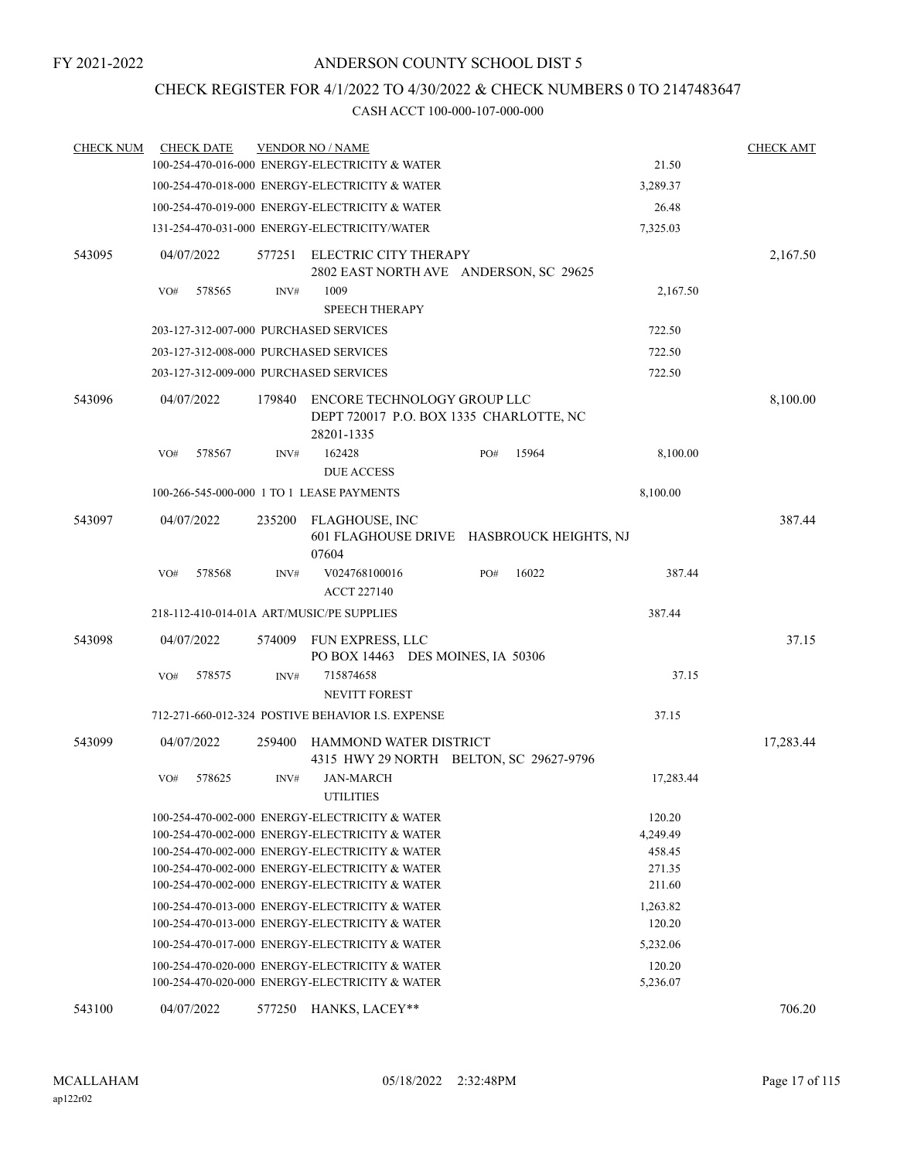# CHECK REGISTER FOR 4/1/2022 TO 4/30/2022 & CHECK NUMBERS 0 TO 2147483647

| <b>CHECK NUM</b> | <b>CHECK DATE</b>                         |        | <b>VENDOR NO / NAME</b>                                                                                                                                                                                                                                |                                           |                                                  | <b>CHECK AMT</b> |
|------------------|-------------------------------------------|--------|--------------------------------------------------------------------------------------------------------------------------------------------------------------------------------------------------------------------------------------------------------|-------------------------------------------|--------------------------------------------------|------------------|
|                  |                                           |        | 100-254-470-016-000 ENERGY-ELECTRICITY & WATER                                                                                                                                                                                                         |                                           | 21.50                                            |                  |
|                  |                                           |        | 100-254-470-018-000 ENERGY-ELECTRICITY & WATER                                                                                                                                                                                                         |                                           | 3,289.37                                         |                  |
|                  |                                           |        | 100-254-470-019-000 ENERGY-ELECTRICITY & WATER                                                                                                                                                                                                         |                                           | 26.48                                            |                  |
|                  |                                           |        | 131-254-470-031-000 ENERGY-ELECTRICITY/WATER                                                                                                                                                                                                           |                                           | 7,325.03                                         |                  |
| 543095           | 04/07/2022                                | 577251 | ELECTRIC CITY THERAPY<br>2802 EAST NORTH AVE ANDERSON, SC 29625                                                                                                                                                                                        |                                           |                                                  | 2,167.50         |
|                  | VO#<br>578565                             | INV#   | 1009<br><b>SPEECH THERAPY</b>                                                                                                                                                                                                                          |                                           | 2,167.50                                         |                  |
|                  | 203-127-312-007-000 PURCHASED SERVICES    |        |                                                                                                                                                                                                                                                        |                                           | 722.50                                           |                  |
|                  | 203-127-312-008-000 PURCHASED SERVICES    |        |                                                                                                                                                                                                                                                        |                                           | 722.50                                           |                  |
|                  | 203-127-312-009-000 PURCHASED SERVICES    |        |                                                                                                                                                                                                                                                        |                                           | 722.50                                           |                  |
| 543096           | 04/07/2022                                | 179840 | ENCORE TECHNOLOGY GROUP LLC<br>DEPT 720017 P.O. BOX 1335 CHARLOTTE, NC<br>28201-1335                                                                                                                                                                   |                                           |                                                  | 8,100.00         |
|                  | 578567<br>VO#                             | INV#   | 162428<br><b>DUE ACCESS</b>                                                                                                                                                                                                                            | 15964<br>PO#                              | 8,100.00                                         |                  |
|                  |                                           |        | 100-266-545-000-000 1 TO 1 LEASE PAYMENTS                                                                                                                                                                                                              |                                           | 8,100.00                                         |                  |
| 543097           | 04/07/2022                                | 235200 | FLAGHOUSE, INC<br>07604                                                                                                                                                                                                                                | 601 FLAGHOUSE DRIVE HASBROUCK HEIGHTS, NJ |                                                  | 387.44           |
|                  | 578568<br>VO#                             | INV#   | V024768100016<br><b>ACCT 227140</b>                                                                                                                                                                                                                    | 16022<br>PO#                              | 387.44                                           |                  |
|                  | 218-112-410-014-01A ART/MUSIC/PE SUPPLIES |        |                                                                                                                                                                                                                                                        |                                           | 387.44                                           |                  |
| 543098           | 04/07/2022                                | 574009 | FUN EXPRESS, LLC<br>PO BOX 14463 DES MOINES, IA 50306                                                                                                                                                                                                  |                                           |                                                  | 37.15            |
|                  | 578575<br>VO#                             | INV#   | 715874658<br><b>NEVITT FOREST</b>                                                                                                                                                                                                                      |                                           | 37.15                                            |                  |
|                  |                                           |        | 712-271-660-012-324 POSTIVE BEHAVIOR I.S. EXPENSE                                                                                                                                                                                                      |                                           | 37.15                                            |                  |
| 543099           | 04/07/2022                                | 259400 | HAMMOND WATER DISTRICT<br>4315 HWY 29 NORTH BELTON, SC 29627-9796                                                                                                                                                                                      |                                           |                                                  | 17,283.44        |
|                  | 578625<br>VO#                             | INV#   | <b>JAN-MARCH</b><br><b>UTILITIES</b>                                                                                                                                                                                                                   |                                           | 17,283.44                                        |                  |
|                  |                                           |        | 100-254-470-002-000 ENERGY-ELECTRICITY & WATER<br>100-254-470-002-000 ENERGY-ELECTRICITY & WATER<br>100-254-470-002-000 ENERGY-ELECTRICITY & WATER<br>100-254-470-002-000 ENERGY-ELECTRICITY & WATER<br>100-254-470-002-000 ENERGY-ELECTRICITY & WATER |                                           | 120.20<br>4,249.49<br>458.45<br>271.35<br>211.60 |                  |
|                  |                                           |        | 100-254-470-013-000 ENERGY-ELECTRICITY & WATER<br>100-254-470-013-000 ENERGY-ELECTRICITY & WATER                                                                                                                                                       |                                           | 1,263.82<br>120.20                               |                  |
|                  |                                           |        | 100-254-470-017-000 ENERGY-ELECTRICITY & WATER                                                                                                                                                                                                         |                                           | 5,232.06                                         |                  |
|                  |                                           |        | 100-254-470-020-000 ENERGY-ELECTRICITY & WATER<br>100-254-470-020-000 ENERGY-ELECTRICITY & WATER                                                                                                                                                       |                                           | 120.20<br>5,236.07                               |                  |
| 543100           | 04/07/2022                                |        | 577250 HANKS, LACEY**                                                                                                                                                                                                                                  |                                           |                                                  | 706.20           |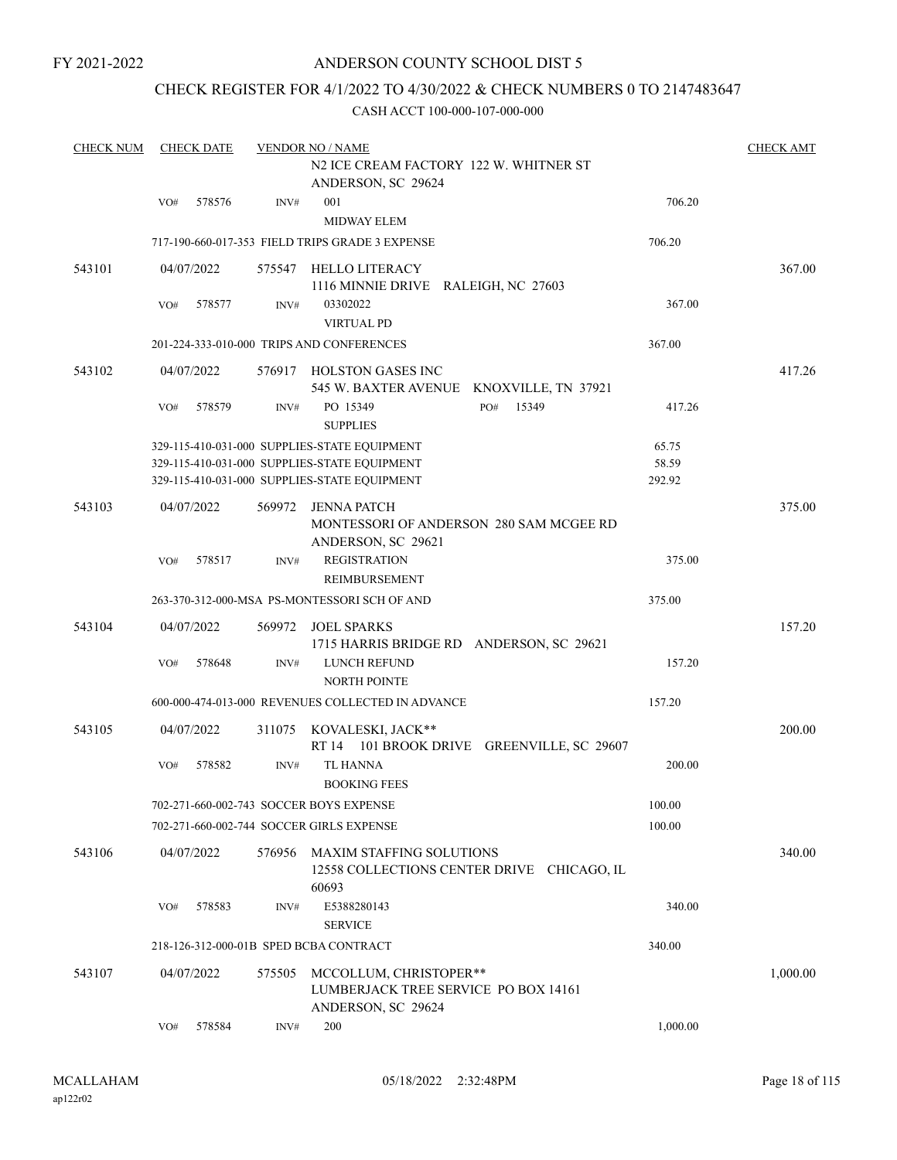# ANDERSON COUNTY SCHOOL DIST 5

# CHECK REGISTER FOR 4/1/2022 TO 4/30/2022 & CHECK NUMBERS 0 TO 2147483647

| <b>CHECK NUM</b> |     | <b>CHECK DATE</b> |        | <b>VENDOR NO / NAME</b>                                                                      |                | <b>CHECK AMT</b> |
|------------------|-----|-------------------|--------|----------------------------------------------------------------------------------------------|----------------|------------------|
|                  |     |                   |        | N2 ICE CREAM FACTORY 122 W. WHITNER ST<br>ANDERSON, SC 29624                                 |                |                  |
|                  | VO# | 578576            | INV#   | 001<br><b>MIDWAY ELEM</b>                                                                    | 706.20         |                  |
|                  |     |                   |        | 717-190-660-017-353 FIELD TRIPS GRADE 3 EXPENSE                                              | 706.20         |                  |
| 543101           |     | 04/07/2022        |        | 575547 HELLO LITERACY<br>1116 MINNIE DRIVE RALEIGH, NC 27603                                 |                | 367.00           |
|                  | VO# | 578577            | INV#   | 03302022<br><b>VIRTUAL PD</b>                                                                | 367.00         |                  |
|                  |     |                   |        | 201-224-333-010-000 TRIPS AND CONFERENCES                                                    | 367.00         |                  |
| 543102           |     | 04/07/2022        |        | 576917 HOLSTON GASES INC<br>545 W. BAXTER AVENUE KNOXVILLE, TN 37921                         |                | 417.26           |
|                  | VO# | 578579            | INV#   | PO 15349<br>PO#<br>15349<br><b>SUPPLIES</b>                                                  | 417.26         |                  |
|                  |     |                   |        | 329-115-410-031-000 SUPPLIES-STATE EQUIPMENT<br>329-115-410-031-000 SUPPLIES-STATE EQUIPMENT | 65.75<br>58.59 |                  |
|                  |     |                   |        | 329-115-410-031-000 SUPPLIES-STATE EQUIPMENT                                                 | 292.92         |                  |
| 543103           |     | 04/07/2022        | 569972 | <b>JENNA PATCH</b><br>MONTESSORI OF ANDERSON 280 SAM MCGEE RD<br>ANDERSON, SC 29621          |                | 375.00           |
|                  | VO# | 578517            | INV#   | <b>REGISTRATION</b><br>REIMBURSEMENT                                                         | 375.00         |                  |
|                  |     |                   |        | 263-370-312-000-MSA PS-MONTESSORI SCH OF AND                                                 | 375.00         |                  |
| 543104           |     | 04/07/2022        | 569972 | JOEL SPARKS<br>1715 HARRIS BRIDGE RD ANDERSON, SC 29621                                      |                | 157.20           |
|                  | VO# | 578648            | INV#   | LUNCH REFUND<br><b>NORTH POINTE</b>                                                          | 157.20         |                  |
|                  |     |                   |        | 600-000-474-013-000 REVENUES COLLECTED IN ADVANCE                                            | 157.20         |                  |
| 543105           |     | 04/07/2022        |        | 311075 KOVALESKI, JACK**<br>RT 14 101 BROOK DRIVE GREENVILLE, SC 29607                       |                | 200.00           |
|                  | VO# | 578582            | INV#   | <b>TL HANNA</b><br><b>BOOKING FEES</b>                                                       | 200.00         |                  |
|                  |     |                   |        | 702-271-660-002-743 SOCCER BOYS EXPENSE                                                      | 100.00         |                  |
|                  |     |                   |        | 702-271-660-002-744 SOCCER GIRLS EXPENSE                                                     | 100.00         |                  |
| 543106           |     | 04/07/2022        | 576956 | <b>MAXIM STAFFING SOLUTIONS</b><br>12558 COLLECTIONS CENTER DRIVE CHICAGO, IL<br>60693       |                | 340.00           |
|                  | VO# | 578583            | INV#   | E5388280143<br><b>SERVICE</b>                                                                | 340.00         |                  |
|                  |     |                   |        | 218-126-312-000-01B SPED BCBA CONTRACT                                                       | 340.00         |                  |
| 543107           |     | 04/07/2022        | 575505 | MCCOLLUM, CHRISTOPER**<br>LUMBERJACK TREE SERVICE PO BOX 14161<br>ANDERSON, SC 29624         |                | 1,000.00         |
|                  | VO# | 578584            | INV#   | 200                                                                                          | 1,000.00       |                  |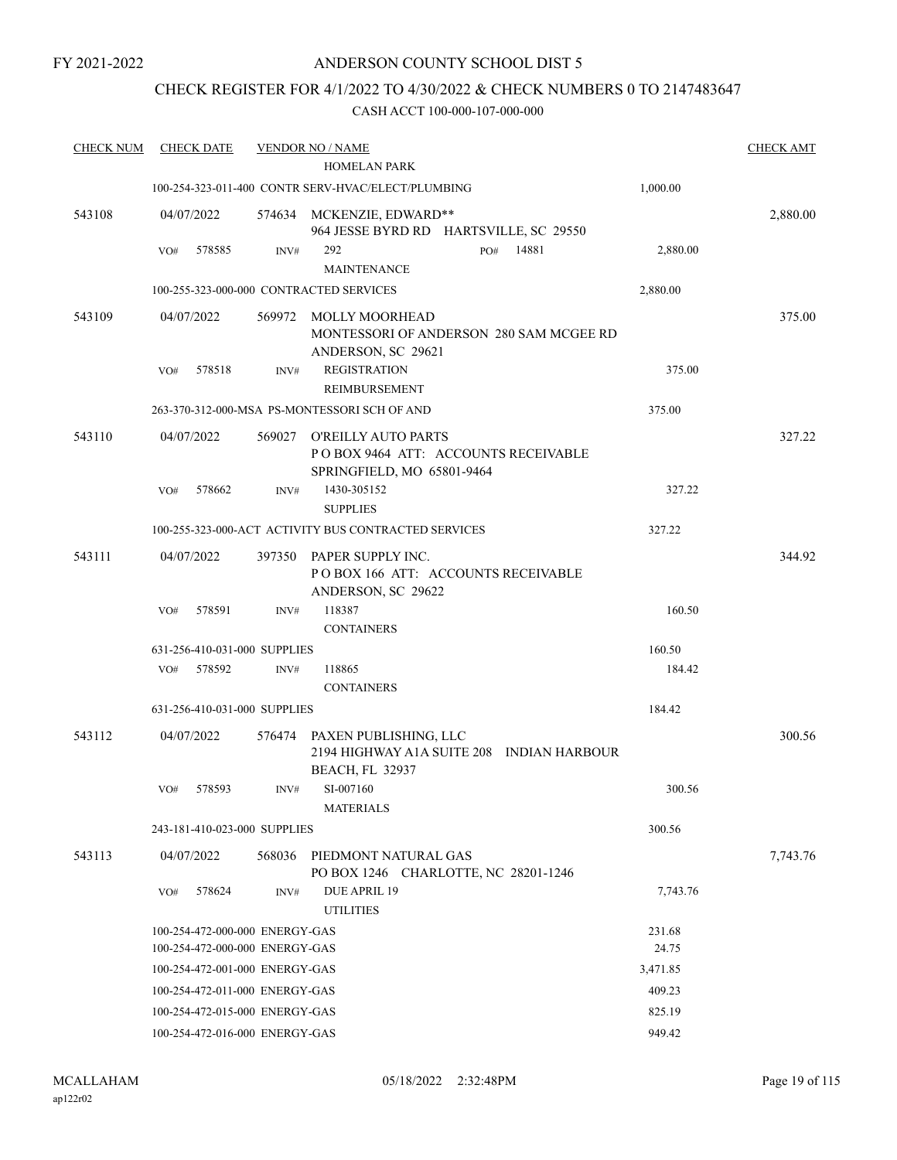# ANDERSON COUNTY SCHOOL DIST 5

# CHECK REGISTER FOR 4/1/2022 TO 4/30/2022 & CHECK NUMBERS 0 TO 2147483647

| <b>CHECK NUM</b> | <b>CHECK DATE</b>              |        | <b>VENDOR NO / NAME</b>                                                                         |          | <b>CHECK AMT</b> |
|------------------|--------------------------------|--------|-------------------------------------------------------------------------------------------------|----------|------------------|
|                  |                                |        | <b>HOMELAN PARK</b>                                                                             |          |                  |
|                  |                                |        | 100-254-323-011-400 CONTR SERV-HVAC/ELECT/PLUMBING                                              | 1,000.00 |                  |
| 543108           | 04/07/2022                     | 574634 | MCKENZIE, EDWARD**<br>964 JESSE BYRD RD HARTSVILLE, SC 29550                                    |          | 2,880.00         |
|                  | VO#<br>578585                  | INV#   | 292<br>14881<br>PO#                                                                             | 2,880.00 |                  |
|                  |                                |        | <b>MAINTENANCE</b>                                                                              |          |                  |
|                  |                                |        | 100-255-323-000-000 CONTRACTED SERVICES                                                         | 2,880.00 |                  |
| 543109           | 04/07/2022                     | 569972 | <b>MOLLY MOORHEAD</b><br>MONTESSORI OF ANDERSON 280 SAM MCGEE RD<br>ANDERSON, SC 29621          |          | 375.00           |
|                  | 578518<br>VO#                  | INV#   | <b>REGISTRATION</b><br>REIMBURSEMENT                                                            | 375.00   |                  |
|                  |                                |        | 263-370-312-000-MSA PS-MONTESSORI SCH OF AND                                                    | 375.00   |                  |
| 543110           | 04/07/2022                     | 569027 | <b>O'REILLY AUTO PARTS</b><br>POBOX 9464 ATT: ACCOUNTS RECEIVABLE<br>SPRINGFIELD, MO 65801-9464 |          | 327.22           |
|                  | 578662<br>VO#                  | INV#   | 1430-305152<br><b>SUPPLIES</b>                                                                  | 327.22   |                  |
|                  |                                |        | 100-255-323-000-ACT ACTIVITY BUS CONTRACTED SERVICES                                            | 327.22   |                  |
| 543111           | 04/07/2022                     | 397350 | PAPER SUPPLY INC.<br>POBOX 166 ATT: ACCOUNTS RECEIVABLE<br>ANDERSON, SC 29622                   |          | 344.92           |
|                  | 578591<br>VO#                  | INV#   | 118387<br><b>CONTAINERS</b>                                                                     | 160.50   |                  |
|                  | 631-256-410-031-000 SUPPLIES   |        |                                                                                                 | 160.50   |                  |
|                  | 578592<br>VO#                  | INV#   | 118865                                                                                          | 184.42   |                  |
|                  |                                |        | <b>CONTAINERS</b>                                                                               |          |                  |
|                  | 631-256-410-031-000 SUPPLIES   |        |                                                                                                 | 184.42   |                  |
| 543112           | 04/07/2022                     | 576474 | PAXEN PUBLISHING, LLC<br>2194 HIGHWAY A1A SUITE 208 INDIAN HARBOUR<br><b>BEACH, FL 32937</b>    |          | 300.56           |
|                  | VO#<br>578593                  | INV#   | SI-007160<br><b>MATERIALS</b>                                                                   | 300.56   |                  |
|                  | 243-181-410-023-000 SUPPLIES   |        |                                                                                                 | 300.56   |                  |
| 543113           | 04/07/2022                     | 568036 | PIEDMONT NATURAL GAS<br>PO BOX 1246 CHARLOTTE, NC 28201-1246                                    |          | 7,743.76         |
|                  | 578624<br>VO#                  | INV#   | DUE APRIL 19<br><b>UTILITIES</b>                                                                | 7,743.76 |                  |
|                  | 100-254-472-000-000 ENERGY-GAS |        |                                                                                                 | 231.68   |                  |
|                  | 100-254-472-000-000 ENERGY-GAS |        |                                                                                                 | 24.75    |                  |
|                  | 100-254-472-001-000 ENERGY-GAS |        |                                                                                                 | 3,471.85 |                  |
|                  | 100-254-472-011-000 ENERGY-GAS |        |                                                                                                 | 409.23   |                  |
|                  | 100-254-472-015-000 ENERGY-GAS |        |                                                                                                 | 825.19   |                  |
|                  | 100-254-472-016-000 ENERGY-GAS |        |                                                                                                 | 949.42   |                  |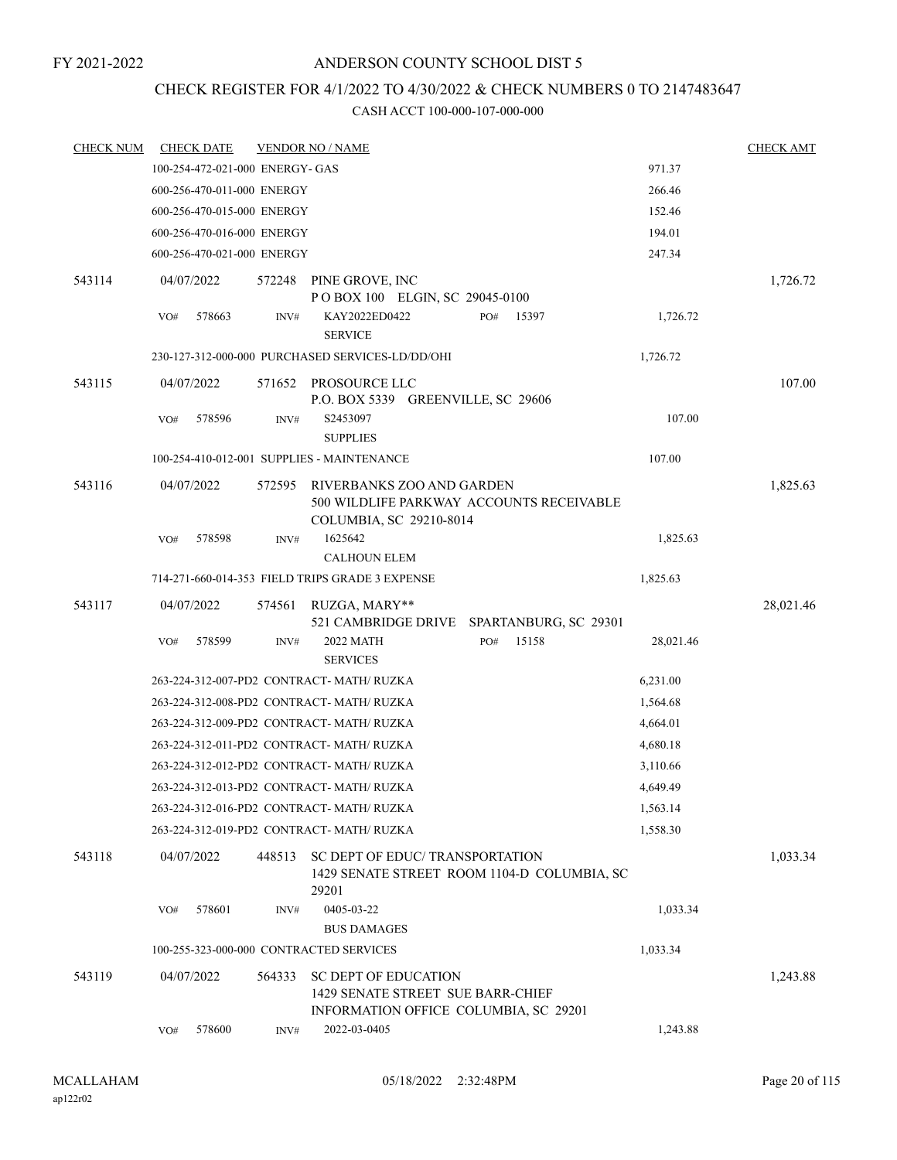# CHECK REGISTER FOR 4/1/2022 TO 4/30/2022 & CHECK NUMBERS 0 TO 2147483647

| <b>CHECK NUM</b> | <b>CHECK DATE</b>               |        |        | <b>VENDOR NO / NAME</b>                                                                |     |       |           | <b>CHECK AMT</b> |
|------------------|---------------------------------|--------|--------|----------------------------------------------------------------------------------------|-----|-------|-----------|------------------|
|                  | 100-254-472-021-000 ENERGY- GAS |        |        |                                                                                        |     |       | 971.37    |                  |
|                  | 600-256-470-011-000 ENERGY      |        |        |                                                                                        |     |       | 266.46    |                  |
|                  | 600-256-470-015-000 ENERGY      |        |        |                                                                                        |     |       | 152.46    |                  |
|                  | 600-256-470-016-000 ENERGY      |        |        |                                                                                        |     |       | 194.01    |                  |
|                  | 600-256-470-021-000 ENERGY      |        |        |                                                                                        |     |       | 247.34    |                  |
| 543114           | 04/07/2022                      |        | 572248 | PINE GROVE, INC                                                                        |     |       |           | 1,726.72         |
|                  |                                 |        |        | POBOX 100 ELGIN, SC 29045-0100                                                         |     |       |           |                  |
|                  | VO#                             | 578663 | INV#   | KAY2022ED0422<br><b>SERVICE</b>                                                        | PO# | 15397 | 1,726.72  |                  |
|                  |                                 |        |        | 230-127-312-000-000 PURCHASED SERVICES-LD/DD/OHI                                       |     |       | 1,726.72  |                  |
| 543115           | 04/07/2022                      |        | 571652 | PROSOURCE LLC<br>P.O. BOX 5339 GREENVILLE, SC 29606                                    |     |       |           | 107.00           |
|                  | VO#                             | 578596 | INV#   | S2453097                                                                               |     |       | 107.00    |                  |
|                  |                                 |        |        | <b>SUPPLIES</b>                                                                        |     |       |           |                  |
|                  |                                 |        |        | 100-254-410-012-001 SUPPLIES - MAINTENANCE                                             |     |       | 107.00    |                  |
| 543116           | 04/07/2022                      |        | 572595 | RIVERBANKS ZOO AND GARDEN<br>500 WILDLIFE PARKWAY ACCOUNTS RECEIVABLE                  |     |       |           | 1,825.63         |
|                  | VO#                             | 578598 | INV#   | COLUMBIA, SC 29210-8014<br>1625642                                                     |     |       | 1,825.63  |                  |
|                  |                                 |        |        | <b>CALHOUN ELEM</b>                                                                    |     |       |           |                  |
|                  |                                 |        |        | 714-271-660-014-353 FIELD TRIPS GRADE 3 EXPENSE                                        |     |       | 1,825.63  |                  |
| 543117           | 04/07/2022                      |        | 574561 | RUZGA, MARY**                                                                          |     |       |           | 28,021.46        |
|                  |                                 |        |        | 521 CAMBRIDGE DRIVE SPARTANBURG, SC 29301                                              |     |       |           |                  |
|                  | VO#                             | 578599 | INV#   | 2022 MATH<br><b>SERVICES</b>                                                           | PO# | 15158 | 28,021.46 |                  |
|                  |                                 |        |        | 263-224-312-007-PD2 CONTRACT- MATH/ RUZKA                                              |     |       | 6,231.00  |                  |
|                  |                                 |        |        | 263-224-312-008-PD2_CONTRACT- MATH/ RUZKA                                              |     |       | 1,564.68  |                  |
|                  |                                 |        |        | 263-224-312-009-PD2 CONTRACT- MATH/ RUZKA                                              |     |       | 4,664.01  |                  |
|                  |                                 |        |        | 263-224-312-011-PD2 CONTRACT- MATH/RUZKA                                               |     |       | 4,680.18  |                  |
|                  |                                 |        |        | 263-224-312-012-PD2 CONTRACT-MATH/RUZKA                                                |     |       | 3,110.66  |                  |
|                  |                                 |        |        | 263-224-312-013-PD2 CONTRACT- MATH/ RUZKA                                              |     |       | 4,649.49  |                  |
|                  |                                 |        |        | 263-224-312-016-PD2_CONTRACT- MATH/ RUZKA                                              |     |       | 1,563.14  |                  |
|                  |                                 |        |        | 263-224-312-019-PD2_CONTRACT- MATH/ RUZKA                                              |     |       | 1,558.30  |                  |
| 543118           | 04/07/2022                      |        | 448513 | SC DEPT OF EDUC/TRANSPORTATION<br>1429 SENATE STREET ROOM 1104-D COLUMBIA, SC<br>29201 |     |       |           | 1,033.34         |
|                  | VO#                             | 578601 | INV#   | 0405-03-22                                                                             |     |       | 1,033.34  |                  |
|                  |                                 |        |        | <b>BUS DAMAGES</b>                                                                     |     |       |           |                  |
|                  |                                 |        |        | 100-255-323-000-000 CONTRACTED SERVICES                                                |     |       | 1,033.34  |                  |
| 543119           | 04/07/2022                      |        | 564333 | <b>SC DEPT OF EDUCATION</b><br>1429 SENATE STREET SUE BARR-CHIEF                       |     |       |           | 1,243.88         |
|                  | VO#                             | 578600 | INV#   | INFORMATION OFFICE COLUMBIA, SC 29201<br>2022-03-0405                                  |     |       | 1,243.88  |                  |
|                  |                                 |        |        |                                                                                        |     |       |           |                  |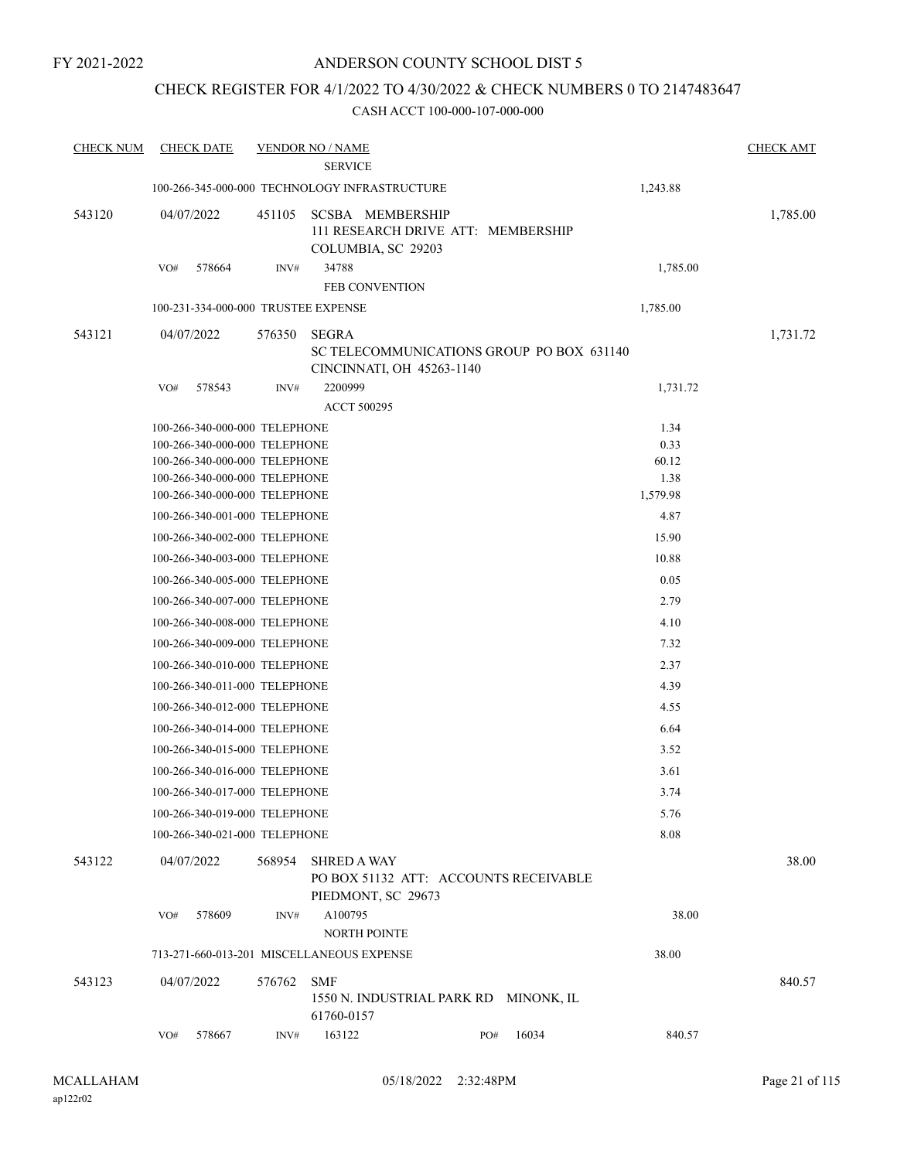# CHECK REGISTER FOR 4/1/2022 TO 4/30/2022 & CHECK NUMBERS 0 TO 2147483647

| <b>CHECK NUM</b> | <b>CHECK DATE</b>                                                                                                                                                                                                                                                                                                                                                                                                                                                                                                                                                                                                                                                                |                | <b>VENDOR NO / NAME</b><br><b>SERVICE</b>                                                                           |     |       |                                                                                                                                                                     | <b>CHECK AMT</b> |
|------------------|----------------------------------------------------------------------------------------------------------------------------------------------------------------------------------------------------------------------------------------------------------------------------------------------------------------------------------------------------------------------------------------------------------------------------------------------------------------------------------------------------------------------------------------------------------------------------------------------------------------------------------------------------------------------------------|----------------|---------------------------------------------------------------------------------------------------------------------|-----|-------|---------------------------------------------------------------------------------------------------------------------------------------------------------------------|------------------|
|                  |                                                                                                                                                                                                                                                                                                                                                                                                                                                                                                                                                                                                                                                                                  |                | 100-266-345-000-000 TECHNOLOGY INFRASTRUCTURE                                                                       |     |       | 1,243.88                                                                                                                                                            |                  |
| 543120           | 04/07/2022                                                                                                                                                                                                                                                                                                                                                                                                                                                                                                                                                                                                                                                                       | 451105         | <b>SCSBA MEMBERSHIP</b><br>111 RESEARCH DRIVE ATT: MEMBERSHIP<br>COLUMBIA, SC 29203                                 |     |       |                                                                                                                                                                     | 1,785.00         |
|                  | 578664<br>VO#                                                                                                                                                                                                                                                                                                                                                                                                                                                                                                                                                                                                                                                                    | INV#           | 34788<br><b>FEB CONVENTION</b>                                                                                      |     |       | 1,785.00                                                                                                                                                            |                  |
|                  | 100-231-334-000-000 TRUSTEE EXPENSE                                                                                                                                                                                                                                                                                                                                                                                                                                                                                                                                                                                                                                              |                |                                                                                                                     |     |       | 1,785.00                                                                                                                                                            |                  |
| 543121           | 04/07/2022                                                                                                                                                                                                                                                                                                                                                                                                                                                                                                                                                                                                                                                                       | 576350         | <b>SEGRA</b><br>SC TELECOMMUNICATIONS GROUP PO BOX 631140<br>CINCINNATI, OH 45263-1140                              |     |       |                                                                                                                                                                     | 1,731.72         |
|                  | 578543<br>VO#                                                                                                                                                                                                                                                                                                                                                                                                                                                                                                                                                                                                                                                                    | INV#           | 2200999<br>ACCT 500295                                                                                              |     |       | 1,731.72                                                                                                                                                            |                  |
|                  | 100-266-340-000-000 TELEPHONE<br>100-266-340-000-000 TELEPHONE<br>100-266-340-000-000 TELEPHONE<br>100-266-340-000-000 TELEPHONE<br>100-266-340-000-000 TELEPHONE<br>100-266-340-001-000 TELEPHONE<br>100-266-340-002-000 TELEPHONE<br>100-266-340-003-000 TELEPHONE<br>100-266-340-005-000 TELEPHONE<br>100-266-340-007-000 TELEPHONE<br>100-266-340-008-000 TELEPHONE<br>100-266-340-009-000 TELEPHONE<br>100-266-340-010-000 TELEPHONE<br>100-266-340-011-000 TELEPHONE<br>100-266-340-012-000 TELEPHONE<br>100-266-340-014-000 TELEPHONE<br>100-266-340-015-000 TELEPHONE<br>100-266-340-016-000 TELEPHONE<br>100-266-340-017-000 TELEPHONE<br>100-266-340-019-000 TELEPHONE |                |                                                                                                                     |     |       | 1.34<br>0.33<br>60.12<br>1.38<br>1,579.98<br>4.87<br>15.90<br>10.88<br>0.05<br>2.79<br>4.10<br>7.32<br>2.37<br>4.39<br>4.55<br>6.64<br>3.52<br>3.61<br>3.74<br>5.76 |                  |
|                  | 100-266-340-021-000 TELEPHONE                                                                                                                                                                                                                                                                                                                                                                                                                                                                                                                                                                                                                                                    |                |                                                                                                                     |     |       | 8.08                                                                                                                                                                |                  |
| 543122           | 04/07/2022<br>VO#<br>578609                                                                                                                                                                                                                                                                                                                                                                                                                                                                                                                                                                                                                                                      | 568954<br>INV# | <b>SHRED A WAY</b><br>PO BOX 51132 ATT: ACCOUNTS RECEIVABLE<br>PIEDMONT, SC 29673<br>A100795<br><b>NORTH POINTE</b> |     |       | 38.00                                                                                                                                                               | 38.00            |
|                  |                                                                                                                                                                                                                                                                                                                                                                                                                                                                                                                                                                                                                                                                                  |                | 713-271-660-013-201 MISCELLANEOUS EXPENSE                                                                           |     |       | 38.00                                                                                                                                                               |                  |
| 543123           | 04/07/2022                                                                                                                                                                                                                                                                                                                                                                                                                                                                                                                                                                                                                                                                       | 576762         | <b>SMF</b><br>1550 N. INDUSTRIAL PARK RD MINONK, IL<br>61760-0157                                                   |     |       |                                                                                                                                                                     | 840.57           |
|                  | 578667<br>VO#                                                                                                                                                                                                                                                                                                                                                                                                                                                                                                                                                                                                                                                                    | INV#           | 163122                                                                                                              | PO# | 16034 | 840.57                                                                                                                                                              |                  |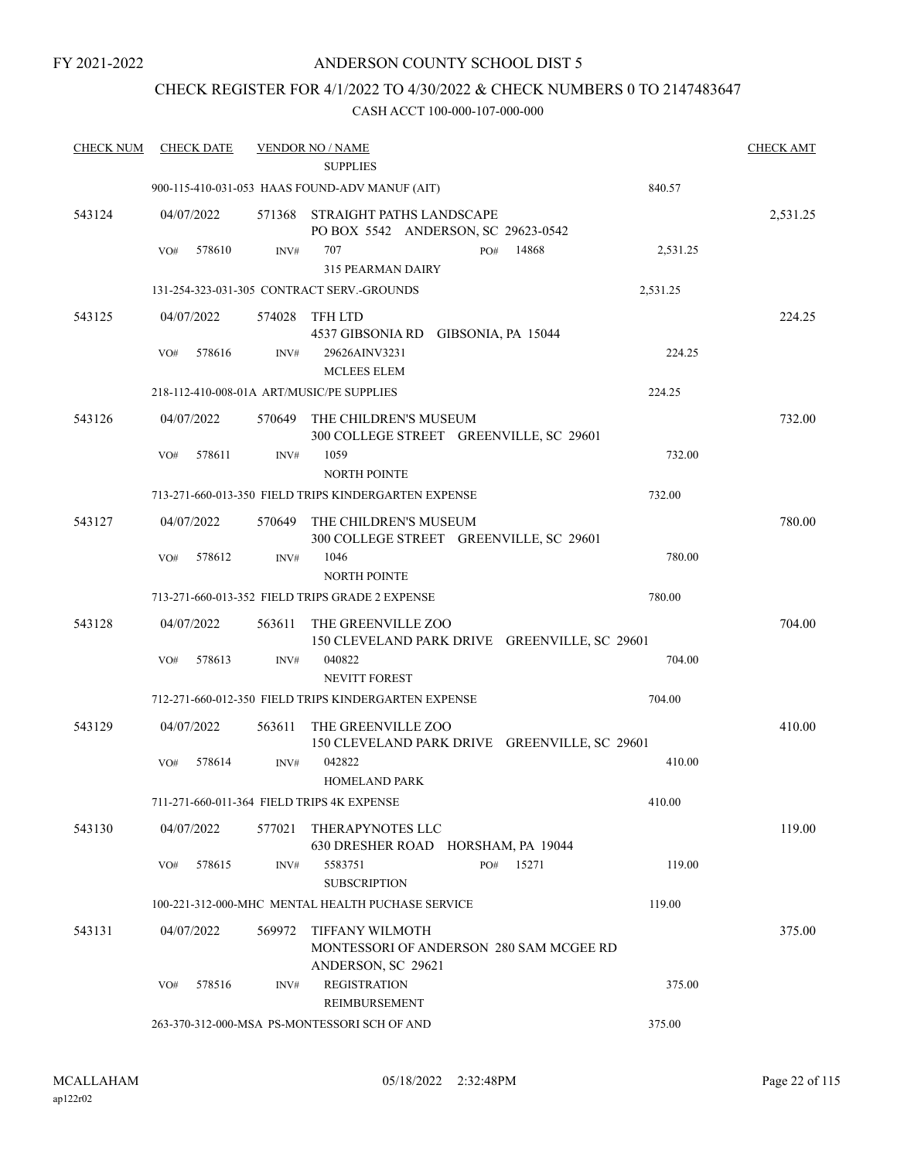# ANDERSON COUNTY SCHOOL DIST 5

# CHECK REGISTER FOR 4/1/2022 TO 4/30/2022 & CHECK NUMBERS 0 TO 2147483647

| <b>CHECK NUM</b> | <b>CHECK DATE</b> |        | <b>VENDOR NO / NAME</b>                                                                 |     |       |          | <b>CHECK AMT</b> |
|------------------|-------------------|--------|-----------------------------------------------------------------------------------------|-----|-------|----------|------------------|
|                  |                   |        | <b>SUPPLIES</b>                                                                         |     |       |          |                  |
|                  |                   |        | 900-115-410-031-053 HAAS FOUND-ADV MANUF (AIT)                                          |     |       | 840.57   |                  |
| 543124           | 04/07/2022        |        | 571368 STRAIGHT PATHS LANDSCAPE<br>PO BOX 5542 ANDERSON, SC 29623-0542                  |     |       |          | 2,531.25         |
|                  | 578610<br>VO#     | INV#   | 707<br><b>315 PEARMAN DAIRY</b>                                                         | PO# | 14868 | 2,531.25 |                  |
|                  |                   |        | 131-254-323-031-305 CONTRACT SERV.-GROUNDS                                              |     |       | 2,531.25 |                  |
| 543125           | 04/07/2022        |        | 574028 TFH LTD                                                                          |     |       |          | 224.25           |
|                  |                   |        | 4537 GIBSONIA RD GIBSONIA, PA 15044                                                     |     |       |          |                  |
|                  | 578616<br>VO#     | INV#   | 29626AINV3231<br><b>MCLEES ELEM</b>                                                     |     |       | 224.25   |                  |
|                  |                   |        | 218-112-410-008-01A ART/MUSIC/PE SUPPLIES                                               |     |       | 224.25   |                  |
| 543126           | 04/07/2022        |        | 570649 THE CHILDREN'S MUSEUM<br>300 COLLEGE STREET GREENVILLE, SC 29601                 |     |       |          | 732.00           |
|                  | 578611<br>VO#     | INV#   | 1059                                                                                    |     |       | 732.00   |                  |
|                  |                   |        | <b>NORTH POINTE</b>                                                                     |     |       |          |                  |
|                  |                   |        | 713-271-660-013-350 FIELD TRIPS KINDERGARTEN EXPENSE                                    |     |       | 732.00   |                  |
| 543127           | 04/07/2022        |        | 570649 THE CHILDREN'S MUSEUM<br>300 COLLEGE STREET GREENVILLE, SC 29601                 |     |       |          | 780.00           |
|                  | 578612<br>VO#     | INV#   | 1046<br><b>NORTH POINTE</b>                                                             |     |       | 780.00   |                  |
|                  |                   |        | 713-271-660-013-352 FIELD TRIPS GRADE 2 EXPENSE                                         |     |       | 780.00   |                  |
| 543128           | 04/07/2022        | 563611 | THE GREENVILLE ZOO<br>150 CLEVELAND PARK DRIVE GREENVILLE, SC 29601                     |     |       |          | 704.00           |
|                  | 578613<br>VO#     | INV#   | 040822<br>NEVITT FOREST                                                                 |     |       | 704.00   |                  |
|                  |                   |        | 712-271-660-012-350 FIELD TRIPS KINDERGARTEN EXPENSE                                    |     |       | 704.00   |                  |
| 543129           | 04/07/2022        | 563611 | THE GREENVILLE ZOO<br>150 CLEVELAND PARK DRIVE GREENVILLE, SC 29601                     |     |       |          | 410.00           |
|                  | VO#<br>578614     | INV#   | 042822<br><b>HOMELAND PARK</b>                                                          |     |       | 410.00   |                  |
|                  |                   |        | 711-271-660-011-364 FIELD TRIPS 4K EXPENSE                                              |     |       | 410.00   |                  |
|                  |                   |        |                                                                                         |     |       |          |                  |
| 543130           | 04/07/2022        | 577021 | THERAPYNOTES LLC<br>630 DRESHER ROAD HORSHAM, PA 19044                                  |     |       |          | 119.00           |
|                  | 578615<br>VO#     | INV#   | 5583751<br><b>SUBSCRIPTION</b>                                                          | PO# | 15271 | 119.00   |                  |
|                  |                   |        | 100-221-312-000-MHC MENTAL HEALTH PUCHASE SERVICE                                       |     |       | 119.00   |                  |
|                  |                   |        |                                                                                         |     |       |          |                  |
| 543131           | 04/07/2022        | 569972 | <b>TIFFANY WILMOTH</b><br>MONTESSORI OF ANDERSON 280 SAM MCGEE RD<br>ANDERSON, SC 29621 |     |       |          | 375.00           |
|                  | 578516<br>VO#     | INV#   | <b>REGISTRATION</b><br>REIMBURSEMENT                                                    |     |       | 375.00   |                  |
|                  |                   |        | 263-370-312-000-MSA PS-MONTESSORI SCH OF AND                                            |     |       | 375.00   |                  |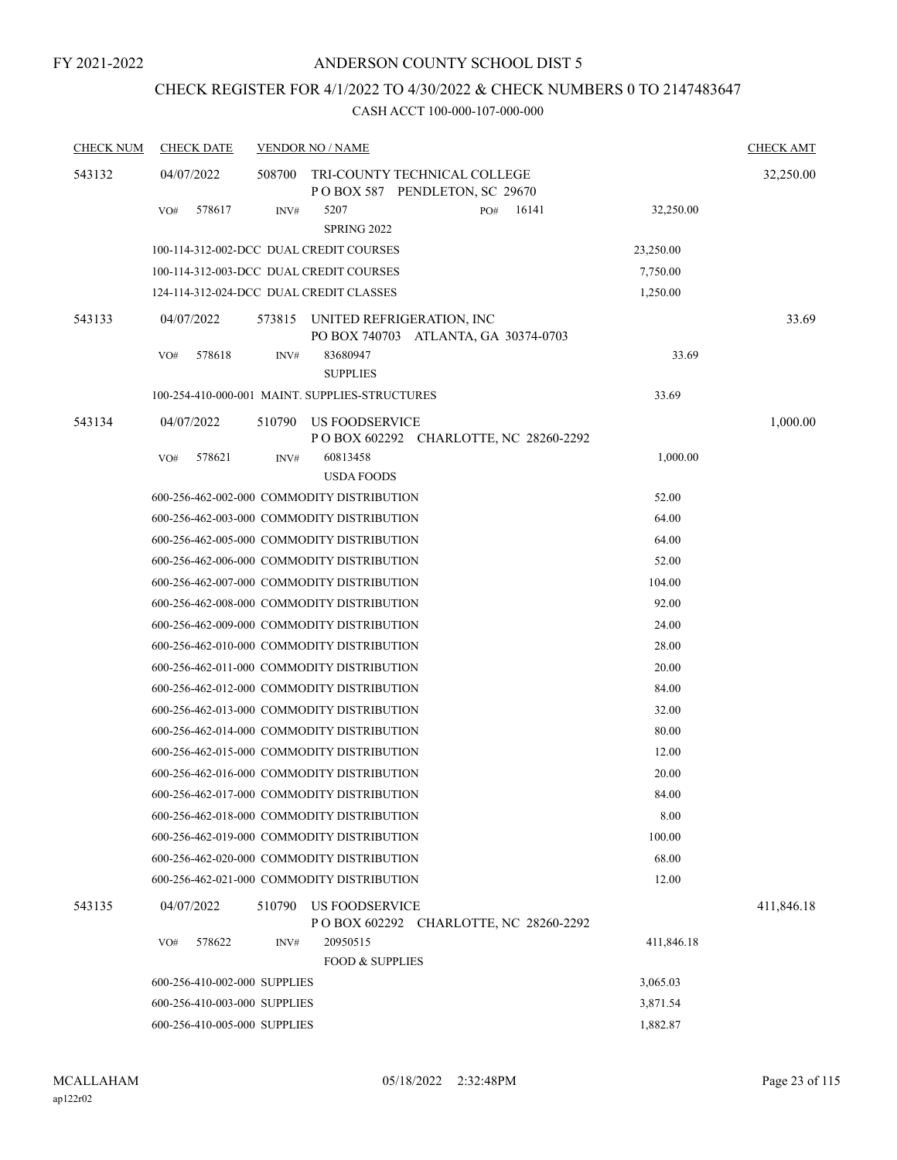# CHECK REGISTER FOR 4/1/2022 TO 4/30/2022 & CHECK NUMBERS 0 TO 2147483647

| <b>CHECK NUM</b> | <b>CHECK DATE</b>                       |        | <b>VENDOR NO / NAME</b>                                           |            | <b>CHECK AMT</b> |
|------------------|-----------------------------------------|--------|-------------------------------------------------------------------|------------|------------------|
| 543132           | 04/07/2022                              | 508700 | TRI-COUNTY TECHNICAL COLLEGE<br>POBOX 587 PENDLETON, SC 29670     |            | 32,250.00        |
|                  | 578617<br>VO#                           | INV#   | 5207<br>16141<br>PO#<br><b>SPRING 2022</b>                        | 32,250.00  |                  |
|                  |                                         |        | 100-114-312-002-DCC DUAL CREDIT COURSES                           | 23,250.00  |                  |
|                  |                                         |        | 100-114-312-003-DCC DUAL CREDIT COURSES                           | 7,750.00   |                  |
|                  | 124-114-312-024-DCC DUAL CREDIT CLASSES |        |                                                                   | 1,250.00   |                  |
| 543133           | 04/07/2022                              | 573815 | UNITED REFRIGERATION, INC<br>PO BOX 740703 ATLANTA, GA 30374-0703 |            | 33.69            |
|                  | 578618<br>VO#                           | INV#   | 83680947<br><b>SUPPLIES</b>                                       | 33.69      |                  |
|                  |                                         |        | 100-254-410-000-001 MAINT. SUPPLIES-STRUCTURES                    | 33.69      |                  |
| 543134           | 04/07/2022                              | 510790 | US FOODSERVICE<br>P O BOX 602292 CHARLOTTE, NC 28260-2292         |            | 1,000.00         |
|                  | 578621<br>VO#                           | INV#   | 60813458<br><b>USDA FOODS</b>                                     | 1,000.00   |                  |
|                  |                                         |        | 600-256-462-002-000 COMMODITY DISTRIBUTION                        | 52.00      |                  |
|                  |                                         |        | 600-256-462-003-000 COMMODITY DISTRIBUTION                        | 64.00      |                  |
|                  |                                         |        | 600-256-462-005-000 COMMODITY DISTRIBUTION                        | 64.00      |                  |
|                  |                                         |        | 600-256-462-006-000 COMMODITY DISTRIBUTION                        | 52.00      |                  |
|                  |                                         |        | 600-256-462-007-000 COMMODITY DISTRIBUTION                        | 104.00     |                  |
|                  |                                         |        | 600-256-462-008-000 COMMODITY DISTRIBUTION                        | 92.00      |                  |
|                  |                                         |        | 600-256-462-009-000 COMMODITY DISTRIBUTION                        | 24.00      |                  |
|                  |                                         |        | 600-256-462-010-000 COMMODITY DISTRIBUTION                        | 28.00      |                  |
|                  |                                         |        | 600-256-462-011-000 COMMODITY DISTRIBUTION                        | 20.00      |                  |
|                  |                                         |        | 600-256-462-012-000 COMMODITY DISTRIBUTION                        | 84.00      |                  |
|                  |                                         |        | 600-256-462-013-000 COMMODITY DISTRIBUTION                        | 32.00      |                  |
|                  |                                         |        | 600-256-462-014-000 COMMODITY DISTRIBUTION                        | 80.00      |                  |
|                  |                                         |        | 600-256-462-015-000 COMMODITY DISTRIBUTION                        | 12.00      |                  |
|                  |                                         |        | 600-256-462-016-000 COMMODITY DISTRIBUTION                        | 20.00      |                  |
|                  |                                         |        | 600-256-462-017-000 COMMODITY DISTRIBUTION                        | 84.00      |                  |
|                  |                                         |        | 600-256-462-018-000 COMMODITY DISTRIBUTION                        | 8.00       |                  |
|                  |                                         |        | 600-256-462-019-000 COMMODITY DISTRIBUTION                        | 100.00     |                  |
|                  |                                         |        | 600-256-462-020-000 COMMODITY DISTRIBUTION                        | 68.00      |                  |
|                  |                                         |        | 600-256-462-021-000 COMMODITY DISTRIBUTION                        | 12.00      |                  |
| 543135           | 04/07/2022                              | 510790 | US FOODSERVICE<br>P O BOX 602292 CHARLOTTE, NC 28260-2292         |            | 411,846.18       |
|                  | 578622<br>VO#                           | INV#   | 20950515                                                          | 411,846.18 |                  |
|                  |                                         |        | <b>FOOD &amp; SUPPLIES</b>                                        |            |                  |
|                  | 600-256-410-002-000 SUPPLIES            |        |                                                                   | 3,065.03   |                  |
|                  | 600-256-410-003-000 SUPPLIES            |        |                                                                   | 3,871.54   |                  |
|                  | 600-256-410-005-000 SUPPLIES            |        |                                                                   | 1,882.87   |                  |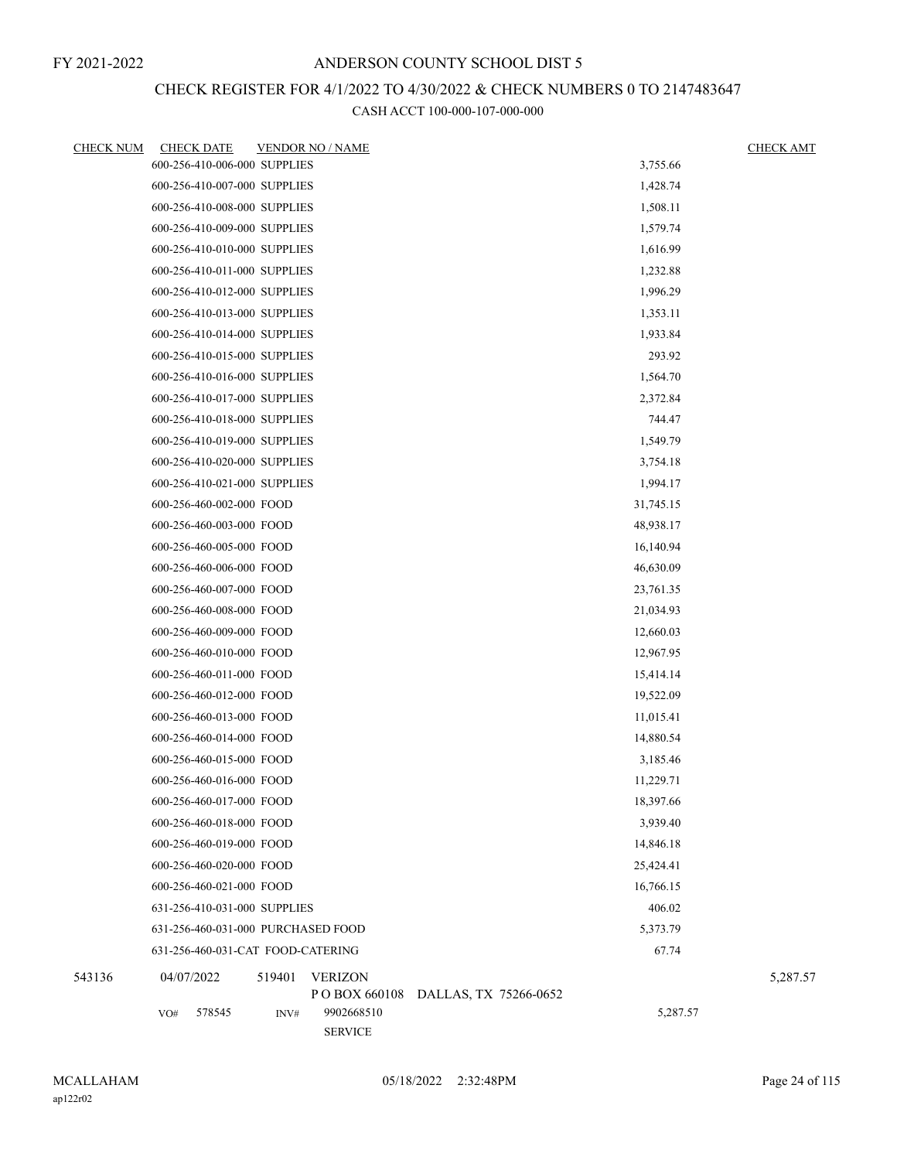# CHECK REGISTER FOR 4/1/2022 TO 4/30/2022 & CHECK NUMBERS 0 TO 2147483647

| <b>CHECK NUM</b> | <b>CHECK DATE</b>                  |        | <b>VENDOR NO / NAME</b>      |                       |           | <b>CHECK AMT</b> |
|------------------|------------------------------------|--------|------------------------------|-----------------------|-----------|------------------|
|                  | 600-256-410-006-000 SUPPLIES       |        |                              |                       | 3,755.66  |                  |
|                  | 600-256-410-007-000 SUPPLIES       |        |                              |                       | 1,428.74  |                  |
|                  | 600-256-410-008-000 SUPPLIES       |        |                              |                       | 1,508.11  |                  |
|                  | 600-256-410-009-000 SUPPLIES       |        |                              |                       | 1,579.74  |                  |
|                  | 600-256-410-010-000 SUPPLIES       |        |                              |                       | 1,616.99  |                  |
|                  | 600-256-410-011-000 SUPPLIES       |        |                              |                       | 1,232.88  |                  |
|                  | 600-256-410-012-000 SUPPLIES       |        |                              |                       | 1,996.29  |                  |
|                  | 600-256-410-013-000 SUPPLIES       |        |                              |                       | 1,353.11  |                  |
|                  | 600-256-410-014-000 SUPPLIES       |        |                              |                       | 1,933.84  |                  |
|                  | 600-256-410-015-000 SUPPLIES       |        |                              |                       | 293.92    |                  |
|                  | 600-256-410-016-000 SUPPLIES       |        |                              |                       | 1,564.70  |                  |
|                  | 600-256-410-017-000 SUPPLIES       |        |                              |                       | 2,372.84  |                  |
|                  | 600-256-410-018-000 SUPPLIES       |        |                              |                       | 744.47    |                  |
|                  | 600-256-410-019-000 SUPPLIES       |        |                              |                       | 1,549.79  |                  |
|                  | 600-256-410-020-000 SUPPLIES       |        |                              |                       | 3,754.18  |                  |
|                  | 600-256-410-021-000 SUPPLIES       |        |                              |                       | 1,994.17  |                  |
|                  | 600-256-460-002-000 FOOD           |        |                              |                       | 31,745.15 |                  |
|                  | 600-256-460-003-000 FOOD           |        |                              |                       | 48,938.17 |                  |
|                  | 600-256-460-005-000 FOOD           |        |                              |                       | 16,140.94 |                  |
|                  | 600-256-460-006-000 FOOD           |        |                              |                       | 46,630.09 |                  |
|                  | 600-256-460-007-000 FOOD           |        |                              |                       | 23,761.35 |                  |
|                  | 600-256-460-008-000 FOOD           |        |                              |                       | 21,034.93 |                  |
|                  | 600-256-460-009-000 FOOD           |        |                              |                       | 12,660.03 |                  |
|                  | 600-256-460-010-000 FOOD           |        |                              | 12,967.95             |           |                  |
|                  | 600-256-460-011-000 FOOD           |        |                              | 15,414.14             |           |                  |
|                  | 600-256-460-012-000 FOOD           |        |                              | 19,522.09             |           |                  |
|                  | 600-256-460-013-000 FOOD           |        |                              |                       | 11,015.41 |                  |
|                  | 600-256-460-014-000 FOOD           |        |                              |                       | 14,880.54 |                  |
|                  | 600-256-460-015-000 FOOD           |        |                              |                       | 3,185.46  |                  |
|                  | 600-256-460-016-000 FOOD           |        |                              |                       | 11,229.71 |                  |
|                  | 600-256-460-017-000 FOOD           |        |                              |                       | 18,397.66 |                  |
|                  | 600-256-460-018-000 FOOD           |        |                              |                       | 3,939.40  |                  |
|                  | 600-256-460-019-000 FOOD           |        |                              |                       | 14,846.18 |                  |
|                  | 600-256-460-020-000 FOOD           |        |                              |                       | 25,424.41 |                  |
|                  | 600-256-460-021-000 FOOD           |        |                              |                       | 16,766.15 |                  |
|                  | 631-256-410-031-000 SUPPLIES       |        |                              |                       | 406.02    |                  |
|                  | 631-256-460-031-000 PURCHASED FOOD |        |                              |                       | 5,373.79  |                  |
|                  | 631-256-460-031-CAT FOOD-CATERING  |        |                              |                       | 67.74     |                  |
| 543136           | 04/07/2022                         | 519401 | <b>VERIZON</b>               |                       |           | 5,287.57         |
|                  |                                    |        | PO BOX 660108                | DALLAS, TX 75266-0652 |           |                  |
|                  | 578545<br>VO#                      | INV#   | 9902668510<br><b>SERVICE</b> |                       | 5,287.57  |                  |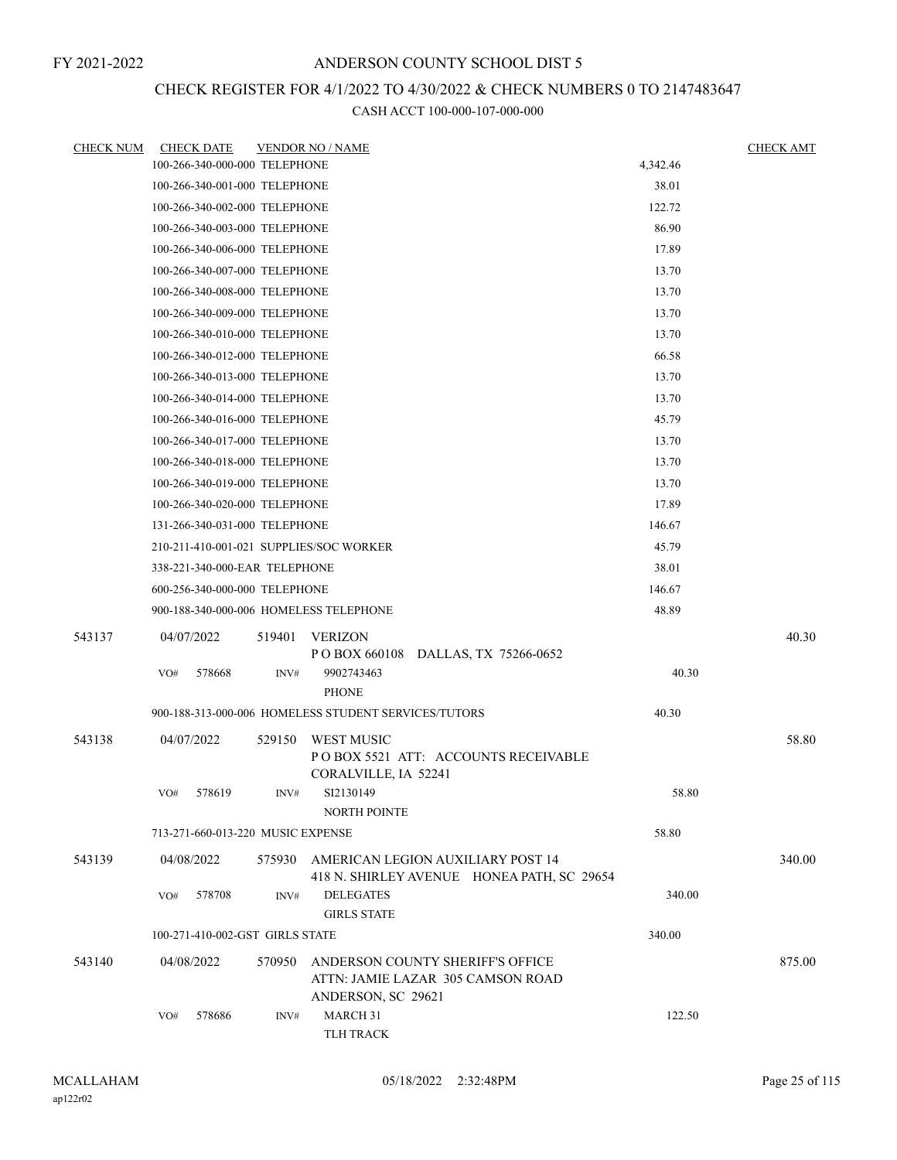# CHECK REGISTER FOR 4/1/2022 TO 4/30/2022 & CHECK NUMBERS 0 TO 2147483647

| <b>CHECK NUM</b> | <b>CHECK DATE</b>                       |        | <b>VENDOR NO / NAME</b>                                                                     |        | <b>CHECK AMT</b> |
|------------------|-----------------------------------------|--------|---------------------------------------------------------------------------------------------|--------|------------------|
|                  | 100-266-340-000-000 TELEPHONE           |        | 4,342.46                                                                                    |        |                  |
|                  | 100-266-340-001-000 TELEPHONE           |        |                                                                                             | 38.01  |                  |
|                  | 100-266-340-002-000 TELEPHONE           |        |                                                                                             | 122.72 |                  |
|                  | 100-266-340-003-000 TELEPHONE           |        |                                                                                             | 86.90  |                  |
|                  | 100-266-340-006-000 TELEPHONE           |        |                                                                                             | 17.89  |                  |
|                  | 100-266-340-007-000 TELEPHONE           |        |                                                                                             | 13.70  |                  |
|                  | 100-266-340-008-000 TELEPHONE           |        |                                                                                             | 13.70  |                  |
|                  | 100-266-340-009-000 TELEPHONE           |        |                                                                                             | 13.70  |                  |
|                  | 100-266-340-010-000 TELEPHONE           |        |                                                                                             | 13.70  |                  |
|                  | 100-266-340-012-000 TELEPHONE           |        |                                                                                             | 66.58  |                  |
|                  | 100-266-340-013-000 TELEPHONE           |        |                                                                                             | 13.70  |                  |
|                  | 100-266-340-014-000 TELEPHONE           |        | 13.70                                                                                       |        |                  |
|                  | 100-266-340-016-000 TELEPHONE           |        | 45.79                                                                                       |        |                  |
|                  | 100-266-340-017-000 TELEPHONE           |        | 13.70                                                                                       |        |                  |
|                  | 100-266-340-018-000 TELEPHONE           |        | 13.70                                                                                       |        |                  |
|                  | 100-266-340-019-000 TELEPHONE           |        | 13.70                                                                                       |        |                  |
|                  | 100-266-340-020-000 TELEPHONE           |        | 17.89                                                                                       |        |                  |
|                  | 131-266-340-031-000 TELEPHONE           |        |                                                                                             | 146.67 |                  |
|                  | 210-211-410-001-021 SUPPLIES/SOC WORKER |        |                                                                                             | 45.79  |                  |
|                  | 338-221-340-000-EAR TELEPHONE           |        |                                                                                             | 38.01  |                  |
|                  | 600-256-340-000-000 TELEPHONE           |        |                                                                                             | 146.67 |                  |
|                  | 900-188-340-000-006 HOMELESS TELEPHONE  |        |                                                                                             | 48.89  |                  |
| 543137           | 04/07/2022                              | 519401 | <b>VERIZON</b><br>POBOX 660108 DALLAS, TX 75266-0652                                        |        | 40.30            |
|                  | VO#<br>578668                           | INV#   | 9902743463<br><b>PHONE</b>                                                                  | 40.30  |                  |
|                  |                                         |        | 900-188-313-000-006 HOMELESS STUDENT SERVICES/TUTORS                                        | 40.30  |                  |
| 543138           | 04/07/2022                              | 529150 | <b>WEST MUSIC</b>                                                                           |        | 58.80            |
|                  |                                         |        | POBOX 5521 ATT: ACCOUNTS RECEIVABLE<br>CORALVILLE, IA 52241                                 |        |                  |
|                  | VO# 578619                              | INV#   | SI2130149<br><b>NORTH POINTE</b>                                                            | 58.80  |                  |
|                  | 713-271-660-013-220 MUSIC EXPENSE       |        |                                                                                             | 58.80  |                  |
| 543139           | 04/08/2022                              | 575930 | AMERICAN LEGION AUXILIARY POST 14<br>418 N. SHIRLEY AVENUE HONEA PATH, SC 29654             |        | 340.00           |
|                  | 578708<br>VO#                           | INV#   | <b>DELEGATES</b><br><b>GIRLS STATE</b>                                                      | 340.00 |                  |
|                  | 100-271-410-002-GST GIRLS STATE         |        |                                                                                             | 340.00 |                  |
| 543140           | 04/08/2022                              | 570950 | ANDERSON COUNTY SHERIFF'S OFFICE<br>ATTN: JAMIE LAZAR 305 CAMSON ROAD<br>ANDERSON, SC 29621 |        | 875.00           |
|                  | 578686<br>VO#                           | INV#   | MARCH 31<br>TLH TRACK                                                                       | 122.50 |                  |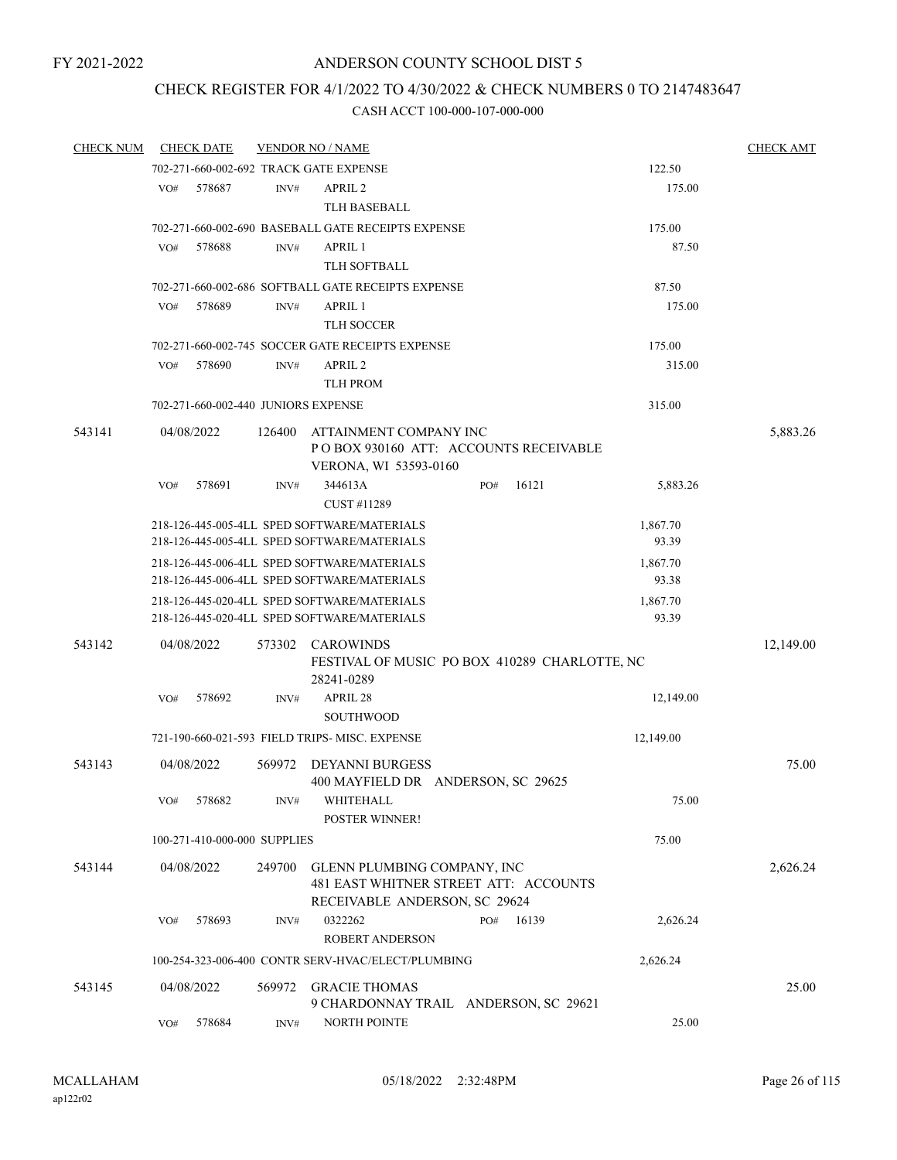# CHECK REGISTER FOR 4/1/2022 TO 4/30/2022 & CHECK NUMBERS 0 TO 2147483647

| <b>CHECK NUM</b> |     | <b>CHECK DATE</b>                   |                | <b>VENDOR NO / NAME</b>                                                                               |     |       |           | <b>CHECK AMT</b> |
|------------------|-----|-------------------------------------|----------------|-------------------------------------------------------------------------------------------------------|-----|-------|-----------|------------------|
|                  |     |                                     |                | 702-271-660-002-692 TRACK GATE EXPENSE                                                                |     |       | 122.50    |                  |
|                  | VO# | 578687                              | $\text{INV}\#$ | APRIL <sub>2</sub>                                                                                    |     |       | 175.00    |                  |
|                  |     |                                     |                | <b>TLH BASEBALL</b>                                                                                   |     |       |           |                  |
|                  |     |                                     |                | 702-271-660-002-690 BASEBALL GATE RECEIPTS EXPENSE                                                    |     |       | 175.00    |                  |
|                  | VO# | 578688                              | INV#           | APRIL 1                                                                                               |     |       | 87.50     |                  |
|                  |     |                                     |                | <b>TLH SOFTBALL</b>                                                                                   |     |       |           |                  |
|                  |     |                                     |                | 702-271-660-002-686 SOFTBALL GATE RECEIPTS EXPENSE                                                    |     |       | 87.50     |                  |
|                  | VO# | 578689                              | INV#           | APRIL 1                                                                                               |     |       | 175.00    |                  |
|                  |     |                                     |                | <b>TLH SOCCER</b>                                                                                     |     |       |           |                  |
|                  |     |                                     |                | 702-271-660-002-745 SOCCER GATE RECEIPTS EXPENSE                                                      |     |       | 175.00    |                  |
|                  | VO# | 578690                              | INV#           | APRIL <sub>2</sub>                                                                                    |     |       | 315.00    |                  |
|                  |     |                                     |                | <b>TLH PROM</b>                                                                                       |     |       |           |                  |
|                  |     | 702-271-660-002-440 JUNIORS EXPENSE |                |                                                                                                       |     |       | 315.00    |                  |
| 543141           |     | 04/08/2022                          | 126400         | ATTAINMENT COMPANY INC                                                                                |     |       |           | 5,883.26         |
|                  |     |                                     |                | POBOX 930160 ATT: ACCOUNTS RECEIVABLE<br>VERONA, WI 53593-0160                                        |     |       |           |                  |
|                  | VO# | 578691                              | INV#           | 344613A<br>CUST #11289                                                                                | PO# | 16121 | 5,883.26  |                  |
|                  |     |                                     |                | 218-126-445-005-4LL SPED SOFTWARE/MATERIALS                                                           |     |       | 1,867.70  |                  |
|                  |     |                                     |                | 218-126-445-005-4LL SPED SOFTWARE/MATERIALS                                                           |     |       | 93.39     |                  |
|                  |     |                                     |                | 218-126-445-006-4LL SPED SOFTWARE/MATERIALS                                                           |     |       | 1,867.70  |                  |
|                  |     |                                     |                | 218-126-445-006-4LL SPED SOFTWARE/MATERIALS                                                           |     |       | 93.38     |                  |
|                  |     |                                     |                | 218-126-445-020-4LL SPED SOFTWARE/MATERIALS                                                           |     |       | 1,867.70  |                  |
|                  |     |                                     |                | 218-126-445-020-4LL SPED SOFTWARE/MATERIALS                                                           |     |       | 93.39     |                  |
| 543142           |     | 04/08/2022                          | 573302         | <b>CAROWINDS</b><br>FESTIVAL OF MUSIC PO BOX 410289 CHARLOTTE, NC                                     |     |       |           | 12,149.00        |
|                  |     |                                     |                | 28241-0289                                                                                            |     |       |           |                  |
|                  | VO# | 578692                              | INV#           | APRIL 28                                                                                              |     |       | 12,149.00 |                  |
|                  |     |                                     |                | <b>SOUTHWOOD</b>                                                                                      |     |       |           |                  |
|                  |     |                                     |                | 721-190-660-021-593 FIELD TRIPS- MISC. EXPENSE                                                        |     |       | 12,149.00 |                  |
| 543143           |     | 04/08/2022                          | 569972         | <b>DEYANNI BURGESS</b><br>400 MAYFIELD DR ANDERSON, SC 29625                                          |     |       |           | 75.00            |
|                  | VO# | 578682                              | INV#           | WHITEHALL<br><b>POSTER WINNER!</b>                                                                    |     |       | 75.00     |                  |
|                  |     | 100-271-410-000-000 SUPPLIES        |                |                                                                                                       |     |       | 75.00     |                  |
| 543144           |     | 04/08/2022                          | 249700         | GLENN PLUMBING COMPANY, INC<br>481 EAST WHITNER STREET ATT: ACCOUNTS<br>RECEIVABLE ANDERSON, SC 29624 |     |       |           | 2,626.24         |
|                  | VO# | 578693                              | INV#           | 0322262                                                                                               | PO# | 16139 | 2,626.24  |                  |
|                  |     |                                     |                | <b>ROBERT ANDERSON</b>                                                                                |     |       |           |                  |
|                  |     |                                     |                | 100-254-323-006-400 CONTR SERV-HVAC/ELECT/PLUMBING                                                    |     |       | 2,626.24  |                  |
|                  |     |                                     |                |                                                                                                       |     |       |           |                  |
| 543145           |     | 04/08/2022                          | 569972         | <b>GRACIE THOMAS</b>                                                                                  |     |       |           | 25.00            |
|                  | VO# | 578684                              | INV#           | 9 CHARDONNAY TRAIL ANDERSON, SC 29621<br>NORTH POINTE                                                 |     |       | 25.00     |                  |
|                  |     |                                     |                |                                                                                                       |     |       |           |                  |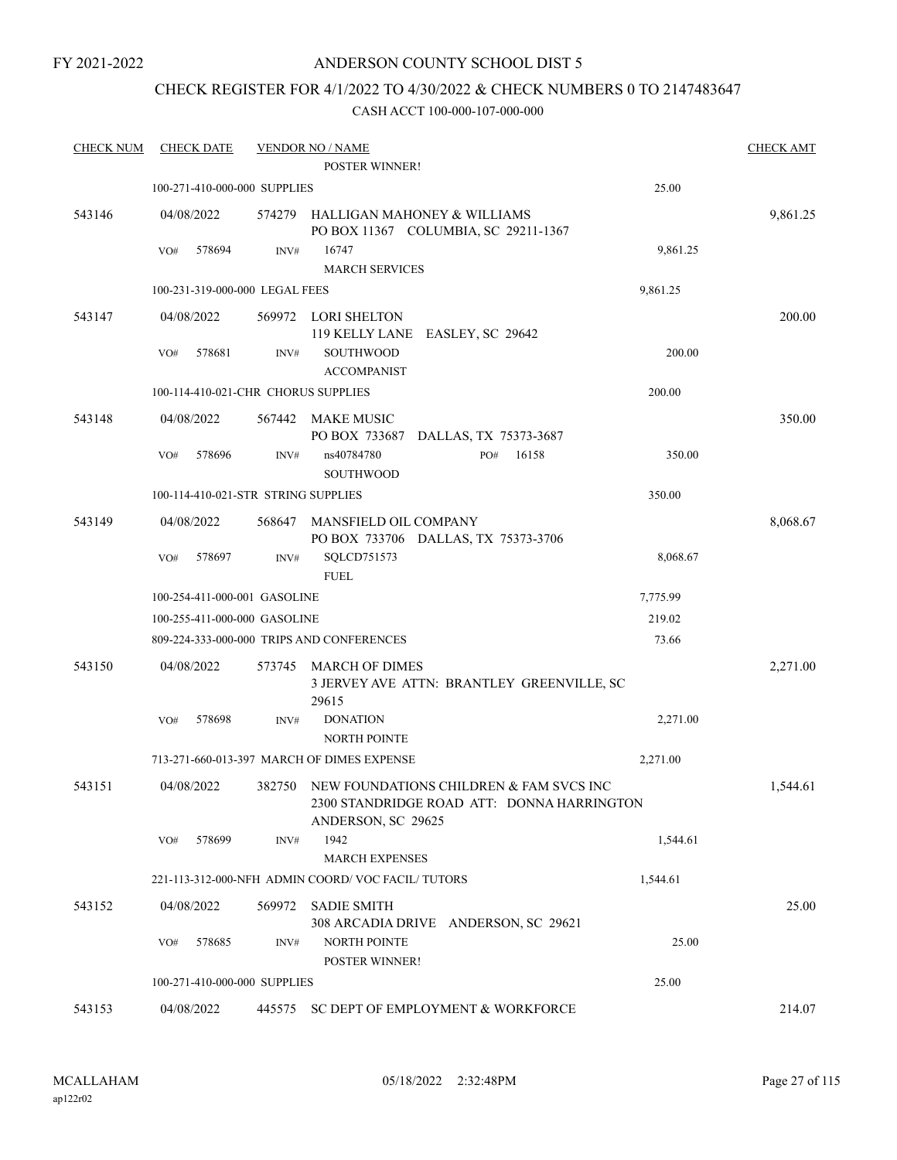# ANDERSON COUNTY SCHOOL DIST 5

# CHECK REGISTER FOR 4/1/2022 TO 4/30/2022 & CHECK NUMBERS 0 TO 2147483647

| <b>CHECK NUM</b> | <b>CHECK DATE</b>                   |        | <b>VENDOR NO / NAME</b><br><b>POSTER WINNER!</b> |                                                                                              |          | <b>CHECK AMT</b> |
|------------------|-------------------------------------|--------|--------------------------------------------------|----------------------------------------------------------------------------------------------|----------|------------------|
|                  |                                     |        |                                                  |                                                                                              |          |                  |
|                  | 100-271-410-000-000 SUPPLIES        |        |                                                  |                                                                                              | 25.00    |                  |
| 543146           | 04/08/2022                          |        | 574279 HALLIGAN MAHONEY & WILLIAMS               | PO BOX 11367 COLUMBIA, SC 29211-1367                                                         |          | 9,861.25         |
|                  | 578694<br>VO#                       | INV#   | 16747<br><b>MARCH SERVICES</b>                   |                                                                                              | 9,861.25 |                  |
|                  | 100-231-319-000-000 LEGAL FEES      |        |                                                  |                                                                                              | 9,861.25 |                  |
| 543147           | 04/08/2022                          | 569972 | LORI SHELTON                                     |                                                                                              |          | 200.00           |
|                  |                                     |        | 119 KELLY LANE EASLEY, SC 29642                  |                                                                                              |          |                  |
|                  | 578681<br>VO#                       | INV#   | <b>SOUTHWOOD</b><br><b>ACCOMPANIST</b>           |                                                                                              | 200.00   |                  |
|                  | 100-114-410-021-CHR CHORUS SUPPLIES |        |                                                  |                                                                                              | 200.00   |                  |
| 543148           | 04/08/2022                          | 567442 | MAKE MUSIC                                       |                                                                                              |          | 350.00           |
|                  |                                     |        |                                                  | PO BOX 733687 DALLAS, TX 75373-3687                                                          |          |                  |
|                  | VO#<br>578696                       | INV#   | ns40784780<br>SOUTHWOOD                          | 16158<br>PO#                                                                                 | 350.00   |                  |
|                  | 100-114-410-021-STR STRING SUPPLIES |        |                                                  |                                                                                              | 350.00   |                  |
| 543149           | 04/08/2022                          | 568647 | <b>MANSFIELD OIL COMPANY</b>                     | PO BOX 733706 DALLAS, TX 75373-3706                                                          |          | 8,068.67         |
|                  | 578697<br>VO#                       | INV#   | SQLCD751573<br><b>FUEL</b>                       |                                                                                              | 8,068.67 |                  |
|                  | 100-254-411-000-001 GASOLINE        |        |                                                  |                                                                                              | 7,775.99 |                  |
|                  | 100-255-411-000-000 GASOLINE        |        |                                                  |                                                                                              | 219.02   |                  |
|                  |                                     |        | 809-224-333-000-000 TRIPS AND CONFERENCES        |                                                                                              | 73.66    |                  |
|                  |                                     |        |                                                  |                                                                                              |          |                  |
| 543150           | 04/08/2022                          | 573745 | MARCH OF DIMES<br>29615                          | 3 JERVEY AVE ATTN: BRANTLEY GREENVILLE, SC                                                   |          | 2,271.00         |
|                  | 578698<br>VO#                       | INV#   | <b>DONATION</b><br><b>NORTH POINTE</b>           |                                                                                              | 2,271.00 |                  |
|                  |                                     |        | 713-271-660-013-397 MARCH OF DIMES EXPENSE       |                                                                                              | 2,271.00 |                  |
| 543151           | 04/08/2022                          |        | ANDERSON, SC 29625                               | 382750 NEW FOUNDATIONS CHILDREN & FAM SVCS INC<br>2300 STANDRIDGE ROAD ATT: DONNA HARRINGTON |          | 1,544.61         |
|                  | 578699<br>VO#                       | INV#   | 1942<br><b>MARCH EXPENSES</b>                    |                                                                                              | 1,544.61 |                  |
|                  |                                     |        | 221-113-312-000-NFH ADMIN COORD/VOC FACIL/TUTORS |                                                                                              | 1,544.61 |                  |
| 543152           | 04/08/2022                          | 569972 | <b>SADIE SMITH</b>                               |                                                                                              |          | 25.00            |
|                  |                                     |        |                                                  | 308 ARCADIA DRIVE ANDERSON, SC 29621                                                         |          |                  |
|                  | 578685<br>VO#                       | INV#   | <b>NORTH POINTE</b><br>POSTER WINNER!            |                                                                                              | 25.00    |                  |
|                  | 100-271-410-000-000 SUPPLIES        |        |                                                  |                                                                                              | 25.00    |                  |
| 543153           | 04/08/2022                          | 445575 |                                                  | SC DEPT OF EMPLOYMENT & WORKFORCE                                                            |          | 214.07           |
|                  |                                     |        |                                                  |                                                                                              |          |                  |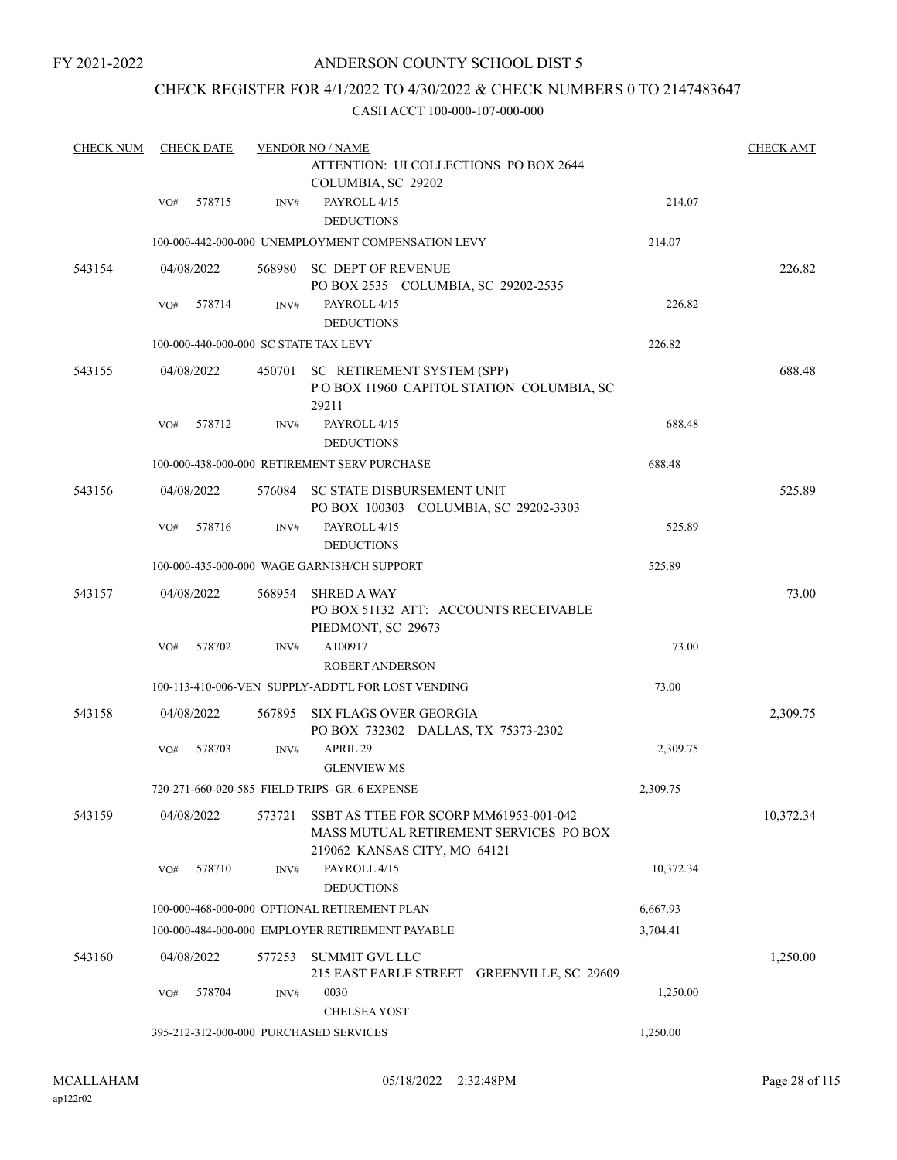# ANDERSON COUNTY SCHOOL DIST 5

# CHECK REGISTER FOR 4/1/2022 TO 4/30/2022 & CHECK NUMBERS 0 TO 2147483647

| <b>CHECK NUM</b> |     | <b>CHECK DATE</b> |        | <b>VENDOR NO / NAME</b>                                                                                          |           | <b>CHECK AMT</b> |
|------------------|-----|-------------------|--------|------------------------------------------------------------------------------------------------------------------|-----------|------------------|
|                  |     |                   |        | ATTENTION: UI COLLECTIONS PO BOX 2644<br>COLUMBIA, SC 29202                                                      |           |                  |
|                  | VO# | 578715            | INV#   | PAYROLL 4/15                                                                                                     | 214.07    |                  |
|                  |     |                   |        | <b>DEDUCTIONS</b>                                                                                                |           |                  |
|                  |     |                   |        | 100-000-442-000-000 UNEMPLOYMENT COMPENSATION LEVY                                                               | 214.07    |                  |
| 543154           |     | 04/08/2022        |        | 568980 SC DEPT OF REVENUE<br>PO BOX 2535 COLUMBIA, SC 29202-2535                                                 |           | 226.82           |
|                  | VO# | 578714            | INV#   | PAYROLL 4/15                                                                                                     | 226.82    |                  |
|                  |     |                   |        | <b>DEDUCTIONS</b>                                                                                                |           |                  |
|                  |     |                   |        | 100-000-440-000-000 SC STATE TAX LEVY                                                                            | 226.82    |                  |
| 543155           |     | 04/08/2022        | 450701 | SC RETIREMENT SYSTEM (SPP)<br>POBOX 11960 CAPITOL STATION COLUMBIA, SC<br>29211                                  |           | 688.48           |
|                  | VO# | 578712            | INV#   | PAYROLL 4/15                                                                                                     | 688.48    |                  |
|                  |     |                   |        | <b>DEDUCTIONS</b>                                                                                                |           |                  |
|                  |     |                   |        | 100-000-438-000-000 RETIREMENT SERV PURCHASE                                                                     | 688.48    |                  |
| 543156           |     | 04/08/2022        | 576084 | SC STATE DISBURSEMENT UNIT<br>PO BOX 100303 COLUMBIA, SC 29202-3303                                              |           | 525.89           |
|                  | VO# | 578716            | INV#   | PAYROLL 4/15<br><b>DEDUCTIONS</b>                                                                                | 525.89    |                  |
|                  |     |                   |        | 100-000-435-000-000 WAGE GARNISH/CH SUPPORT                                                                      | 525.89    |                  |
| 543157           |     | 04/08/2022        | 568954 | <b>SHRED A WAY</b><br>PO BOX 51132 ATT: ACCOUNTS RECEIVABLE<br>PIEDMONT, SC 29673                                |           | 73.00            |
|                  | VO# | 578702            | INV#   | A100917                                                                                                          | 73.00     |                  |
|                  |     |                   |        | <b>ROBERT ANDERSON</b>                                                                                           |           |                  |
|                  |     |                   |        | 100-113-410-006-VEN SUPPLY-ADDT'L FOR LOST VENDING                                                               | 73.00     |                  |
| 543158           |     | 04/08/2022        | 567895 | <b>SIX FLAGS OVER GEORGIA</b><br>PO BOX 732302 DALLAS, TX 75373-2302                                             |           | 2,309.75         |
|                  | VO# | 578703            | INV#   | APRIL 29<br><b>GLENVIEW MS</b>                                                                                   | 2,309.75  |                  |
|                  |     |                   |        | 720-271-660-020-585 FIELD TRIPS- GR. 6 EXPENSE                                                                   | 2,309.75  |                  |
| 543159           |     | 04/08/2022        | 573721 | SSBT AS TTEE FOR SCORP MM61953-001-042<br>MASS MUTUAL RETIREMENT SERVICES PO BOX<br>219062 KANSAS CITY, MO 64121 |           | 10,372.34        |
|                  | VO# | 578710            | INV#   | PAYROLL 4/15<br><b>DEDUCTIONS</b>                                                                                | 10,372.34 |                  |
|                  |     |                   |        | 100-000-468-000-000 OPTIONAL RETIREMENT PLAN                                                                     | 6,667.93  |                  |
|                  |     |                   |        | 100-000-484-000-000 EMPLOYER RETIREMENT PAYABLE                                                                  | 3,704.41  |                  |
| 543160           |     | 04/08/2022        | 577253 | <b>SUMMIT GVL LLC</b><br>215 EAST EARLE STREET GREENVILLE, SC 29609                                              |           | 1,250.00         |
|                  | VO# | 578704            | INV#   | 0030<br><b>CHELSEA YOST</b>                                                                                      | 1,250.00  |                  |
|                  |     |                   |        | 395-212-312-000-000 PURCHASED SERVICES                                                                           | 1,250.00  |                  |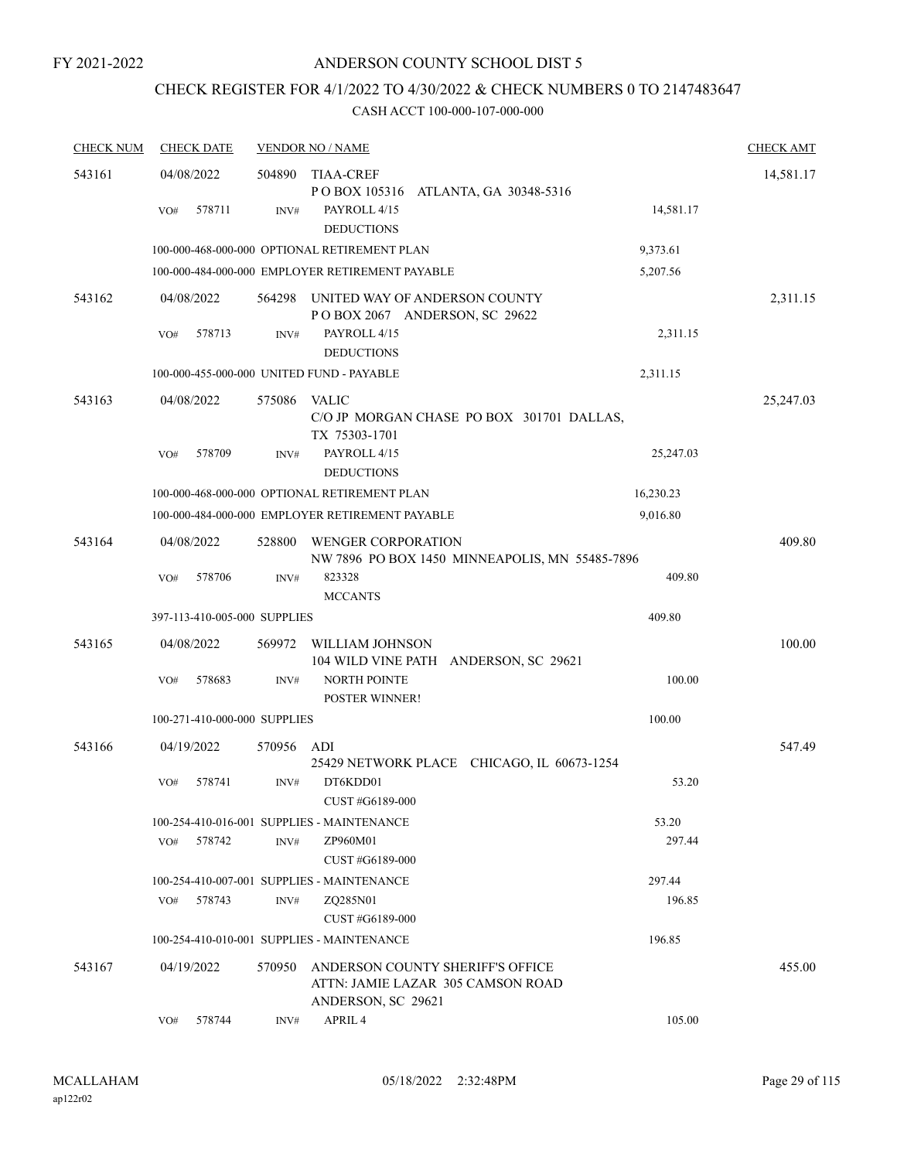# CHECK REGISTER FOR 4/1/2022 TO 4/30/2022 & CHECK NUMBERS 0 TO 2147483647

| <b>CHECK NUM</b> | <b>CHECK DATE</b>            |        | <b>VENDOR NO / NAME</b>                                                                     |                 | <b>CHECK AMT</b> |
|------------------|------------------------------|--------|---------------------------------------------------------------------------------------------|-----------------|------------------|
| 543161           | 04/08/2022                   | 504890 | TIAA-CREF                                                                                   |                 | 14,581.17        |
|                  |                              |        | POBOX 105316 ATLANTA, GA 30348-5316                                                         |                 |                  |
|                  | 578711<br>VO#                | INV#   | PAYROLL 4/15<br><b>DEDUCTIONS</b>                                                           | 14,581.17       |                  |
|                  |                              |        | 100-000-468-000-000 OPTIONAL RETIREMENT PLAN                                                | 9,373.61        |                  |
|                  |                              |        | 100-000-484-000-000 EMPLOYER RETIREMENT PAYABLE                                             | 5,207.56        |                  |
| 543162           | 04/08/2022                   | 564298 | UNITED WAY OF ANDERSON COUNTY<br>POBOX 2067 ANDERSON, SC 29622                              |                 | 2,311.15         |
|                  | 578713<br>VO#                | INV#   | PAYROLL 4/15<br><b>DEDUCTIONS</b>                                                           | 2,311.15        |                  |
|                  |                              |        | 100-000-455-000-000 UNITED FUND - PAYABLE                                                   | 2,311.15        |                  |
| 543163           | 04/08/2022                   | 575086 | <b>VALIC</b>                                                                                |                 | 25,247.03        |
|                  |                              |        | C/O JP MORGAN CHASE PO BOX 301701 DALLAS,<br>TX 75303-1701                                  |                 |                  |
|                  | 578709<br>VO#                | INV#   | PAYROLL 4/15                                                                                | 25,247.03       |                  |
|                  |                              |        | <b>DEDUCTIONS</b>                                                                           |                 |                  |
|                  |                              |        | 100-000-468-000-000 OPTIONAL RETIREMENT PLAN                                                | 16,230.23       |                  |
|                  |                              |        | 100-000-484-000-000 EMPLOYER RETIREMENT PAYABLE                                             | 9,016.80        |                  |
| 543164           | 04/08/2022                   | 528800 | <b>WENGER CORPORATION</b><br>NW 7896 PO BOX 1450 MINNEAPOLIS, MN 55485-7896                 |                 | 409.80           |
|                  | 578706<br>VO#                | INV#   | 823328<br><b>MCCANTS</b>                                                                    | 409.80          |                  |
|                  | 397-113-410-005-000 SUPPLIES |        |                                                                                             | 409.80          |                  |
| 543165           | 04/08/2022                   | 569972 | WILLIAM JOHNSON<br>104 WILD VINE PATH ANDERSON, SC 29621                                    |                 | 100.00           |
|                  | 578683<br>VO#                | INV#   | <b>NORTH POINTE</b>                                                                         | 100.00          |                  |
|                  |                              |        | POSTER WINNER!                                                                              |                 |                  |
|                  | 100-271-410-000-000 SUPPLIES |        |                                                                                             | 100.00          |                  |
| 543166           | 04/19/2022                   | 570956 | ADI<br>25429 NETWORK PLACE CHICAGO, IL 60673-1254                                           |                 | 547.49           |
|                  | 578741<br>VO#                | INV#   | DT6KDD01                                                                                    | 53.20           |                  |
|                  |                              |        | CUST #G6189-000<br>100-254-410-016-001 SUPPLIES - MAINTENANCE                               |                 |                  |
|                  | 578742<br>VO#                | INV#   | ZP960M01                                                                                    | 53.20<br>297.44 |                  |
|                  |                              |        | CUST #G6189-000                                                                             |                 |                  |
|                  |                              |        | 100-254-410-007-001 SUPPLIES - MAINTENANCE                                                  | 297.44          |                  |
|                  | 578743<br>VO#                | INV#   | ZO285N01                                                                                    | 196.85          |                  |
|                  |                              |        | CUST #G6189-000                                                                             |                 |                  |
|                  |                              |        | 100-254-410-010-001 SUPPLIES - MAINTENANCE                                                  | 196.85          |                  |
| 543167           | 04/19/2022                   | 570950 | ANDERSON COUNTY SHERIFF'S OFFICE<br>ATTN: JAMIE LAZAR 305 CAMSON ROAD<br>ANDERSON, SC 29621 |                 | 455.00           |
|                  | 578744<br>VO#                | INV#   | APRIL 4                                                                                     | 105.00          |                  |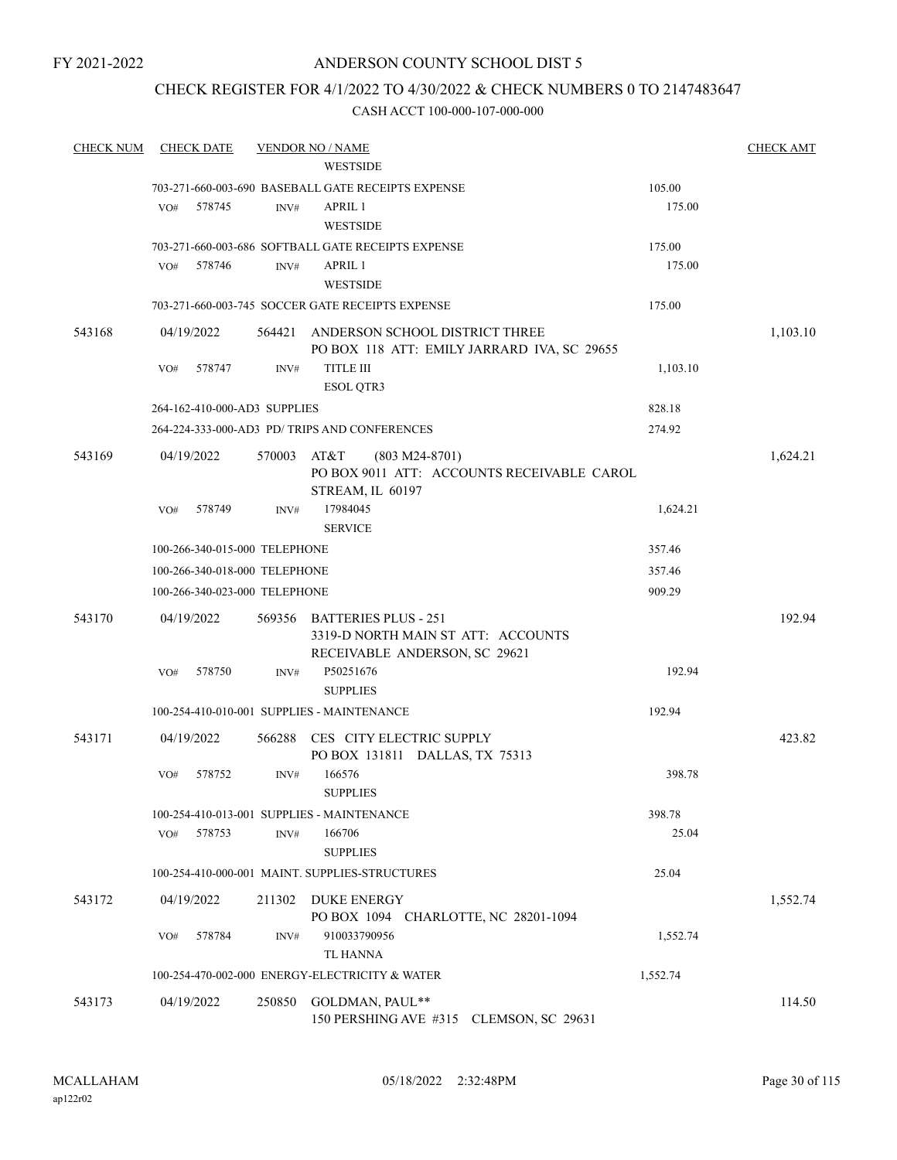# ANDERSON COUNTY SCHOOL DIST 5

# CHECK REGISTER FOR 4/1/2022 TO 4/30/2022 & CHECK NUMBERS 0 TO 2147483647

| <b>CHECK NUM</b> | <b>CHECK DATE</b>             |        | <b>VENDOR NO / NAME</b>                                                                            |          | <b>CHECK AMT</b> |
|------------------|-------------------------------|--------|----------------------------------------------------------------------------------------------------|----------|------------------|
|                  |                               |        | <b>WESTSIDE</b>                                                                                    |          |                  |
|                  |                               |        | 703-271-660-003-690 BASEBALL GATE RECEIPTS EXPENSE                                                 | 105.00   |                  |
|                  | VO#<br>578745                 | INV#   | APRIL 1<br><b>WESTSIDE</b>                                                                         | 175.00   |                  |
|                  |                               |        | 703-271-660-003-686 SOFTBALL GATE RECEIPTS EXPENSE                                                 | 175.00   |                  |
|                  | 578746<br>VO#                 | INV#   | APRIL 1<br><b>WESTSIDE</b>                                                                         | 175.00   |                  |
|                  |                               |        | 703-271-660-003-745 SOCCER GATE RECEIPTS EXPENSE                                                   | 175.00   |                  |
| 543168           | 04/19/2022                    | 564421 | ANDERSON SCHOOL DISTRICT THREE<br>PO BOX 118 ATT: EMILY JARRARD IVA, SC 29655                      |          | 1,103.10         |
|                  | 578747<br>VO#                 | INV#   | <b>TITLE III</b><br><b>ESOL QTR3</b>                                                               | 1,103.10 |                  |
|                  | 264-162-410-000-AD3 SUPPLIES  |        |                                                                                                    | 828.18   |                  |
|                  |                               |        | 264-224-333-000-AD3 PD/ TRIPS AND CONFERENCES                                                      | 274.92   |                  |
| 543169           | 04/19/2022                    | 570003 | AT&T<br>$(803 M24-8701)$<br>PO BOX 9011 ATT: ACCOUNTS RECEIVABLE CAROL<br>STREAM, IL 60197         |          | 1,624.21         |
|                  | VO#<br>578749                 | INV#   | 17984045<br><b>SERVICE</b>                                                                         | 1,624.21 |                  |
|                  | 100-266-340-015-000 TELEPHONE |        |                                                                                                    | 357.46   |                  |
|                  | 100-266-340-018-000 TELEPHONE |        |                                                                                                    | 357.46   |                  |
|                  | 100-266-340-023-000 TELEPHONE |        |                                                                                                    | 909.29   |                  |
| 543170           | 04/19/2022                    | 569356 | <b>BATTERIES PLUS - 251</b><br>3319-D NORTH MAIN ST ATT: ACCOUNTS<br>RECEIVABLE ANDERSON, SC 29621 |          | 192.94           |
|                  | 578750<br>VO#                 | INV#   | P50251676<br><b>SUPPLIES</b>                                                                       | 192.94   |                  |
|                  |                               |        | 100-254-410-010-001 SUPPLIES - MAINTENANCE                                                         | 192.94   |                  |
| 543171           | 04/19/2022                    | 566288 | CES CITY ELECTRIC SUPPLY<br>PO BOX 131811 DALLAS, TX 75313                                         |          | 423.82           |
|                  | VO#<br>578752                 | INV#   | 166576<br><b>SUPPLIES</b>                                                                          | 398.78   |                  |
|                  |                               |        | 100-254-410-013-001 SUPPLIES - MAINTENANCE                                                         | 398.78   |                  |
|                  | 578753<br>VO#                 | INV#   | 166706<br><b>SUPPLIES</b>                                                                          | 25.04    |                  |
|                  |                               |        | 100-254-410-000-001 MAINT. SUPPLIES-STRUCTURES                                                     | 25.04    |                  |
| 543172           | 04/19/2022                    | 211302 | <b>DUKE ENERGY</b><br>PO BOX 1094 CHARLOTTE, NC 28201-1094                                         |          | 1,552.74         |
|                  | 578784<br>VO#                 | INV#   | 910033790956<br>TL HANNA                                                                           | 1,552.74 |                  |
|                  |                               |        | 100-254-470-002-000 ENERGY-ELECTRICITY & WATER                                                     | 1,552.74 |                  |
| 543173           | 04/19/2022                    |        | 250850 GOLDMAN, PAUL**<br>150 PERSHING AVE #315 CLEMSON, SC 29631                                  |          | 114.50           |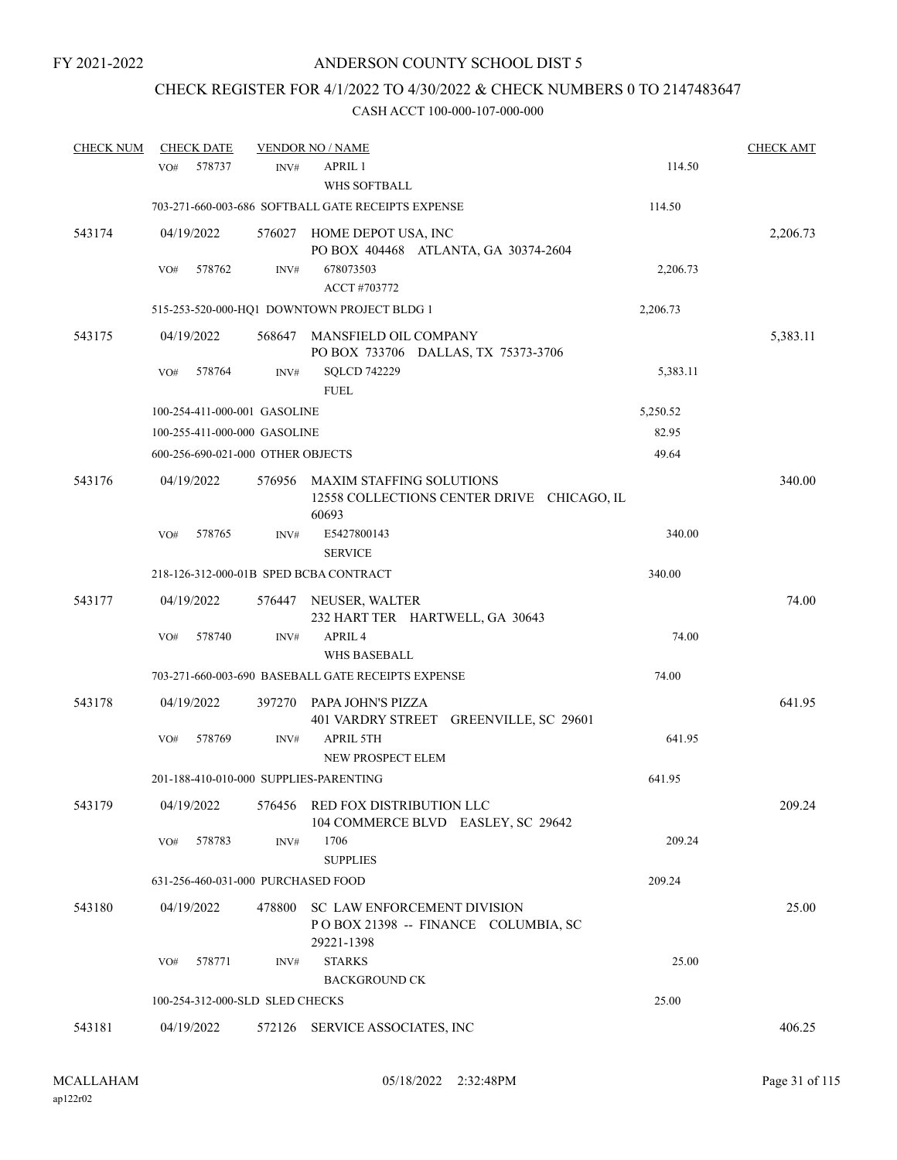# CHECK REGISTER FOR 4/1/2022 TO 4/30/2022 & CHECK NUMBERS 0 TO 2147483647

| <b>CHECK NUM</b> | <b>CHECK DATE</b>                      |        | <b>VENDOR NO / NAME</b>                                                          |          | <b>CHECK AMT</b> |
|------------------|----------------------------------------|--------|----------------------------------------------------------------------------------|----------|------------------|
|                  | 578737<br>VO#                          | INV#   | <b>APRIL 1</b><br>WHS SOFTBALL                                                   | 114.50   |                  |
|                  |                                        |        | 703-271-660-003-686 SOFTBALL GATE RECEIPTS EXPENSE                               | 114.50   |                  |
| 543174           | 04/19/2022                             |        | 576027 HOME DEPOT USA, INC<br>PO BOX 404468 ATLANTA, GA 30374-2604               |          | 2,206.73         |
|                  | 578762<br>VO#                          | INV#   | 678073503<br>ACCT #703772                                                        | 2,206.73 |                  |
|                  |                                        |        | 515-253-520-000-HQ1 DOWNTOWN PROJECT BLDG 1                                      | 2,206.73 |                  |
| 543175           | 04/19/2022                             | 568647 | MANSFIELD OIL COMPANY<br>PO BOX 733706 DALLAS, TX 75373-3706                     |          | 5,383.11         |
|                  | 578764<br>VO#                          | INV#   | <b>SQLCD 742229</b><br><b>FUEL</b>                                               | 5,383.11 |                  |
|                  | 100-254-411-000-001 GASOLINE           |        |                                                                                  | 5,250.52 |                  |
|                  | 100-255-411-000-000 GASOLINE           |        |                                                                                  | 82.95    |                  |
|                  | 600-256-690-021-000 OTHER OBJECTS      |        |                                                                                  | 49.64    |                  |
| 543176           | 04/19/2022                             | 576956 | MAXIM STAFFING SOLUTIONS<br>12558 COLLECTIONS CENTER DRIVE CHICAGO, IL<br>60693  |          | 340.00           |
|                  | 578765<br>VO#                          | INV#   | E5427800143<br><b>SERVICE</b>                                                    | 340.00   |                  |
|                  |                                        |        | 218-126-312-000-01B SPED BCBA CONTRACT                                           | 340.00   |                  |
| 543177           | 04/19/2022                             |        | 576447 NEUSER, WALTER<br>232 HART TER HARTWELL, GA 30643                         |          | 74.00            |
|                  | 578740<br>VO#                          | INV#   | APRIL <sub>4</sub><br><b>WHS BASEBALL</b>                                        | 74.00    |                  |
|                  |                                        |        | 703-271-660-003-690 BASEBALL GATE RECEIPTS EXPENSE                               | 74.00    |                  |
| 543178           | 04/19/2022                             | 397270 | PAPA JOHN'S PIZZA<br>401 VARDRY STREET GREENVILLE, SC 29601                      |          | 641.95           |
|                  | 578769<br>VO#                          | INV#   | <b>APRIL 5TH</b><br>NEW PROSPECT ELEM                                            | 641.95   |                  |
|                  | 201-188-410-010-000 SUPPLIES-PARENTING |        |                                                                                  | 641.95   |                  |
| 543179           | 04/19/2022                             | 576456 | RED FOX DISTRIBUTION LLC<br>104 COMMERCE BLVD EASLEY, SC 29642                   |          | 209.24           |
|                  | VO#<br>578783                          | INV#   | 1706<br><b>SUPPLIES</b>                                                          | 209.24   |                  |
|                  | 631-256-460-031-000 PURCHASED FOOD     |        |                                                                                  | 209.24   |                  |
| 543180           | 04/19/2022                             | 478800 | SC LAW ENFORCEMENT DIVISION<br>POBOX 21398 -- FINANCE COLUMBIA, SC<br>29221-1398 |          | 25.00            |
|                  | 578771<br>VO#                          | INV#   | <b>STARKS</b><br><b>BACKGROUND CK</b>                                            | 25.00    |                  |
|                  | 100-254-312-000-SLD SLED CHECKS        |        |                                                                                  | 25.00    |                  |
| 543181           | 04/19/2022                             |        | 572126 SERVICE ASSOCIATES, INC                                                   |          | 406.25           |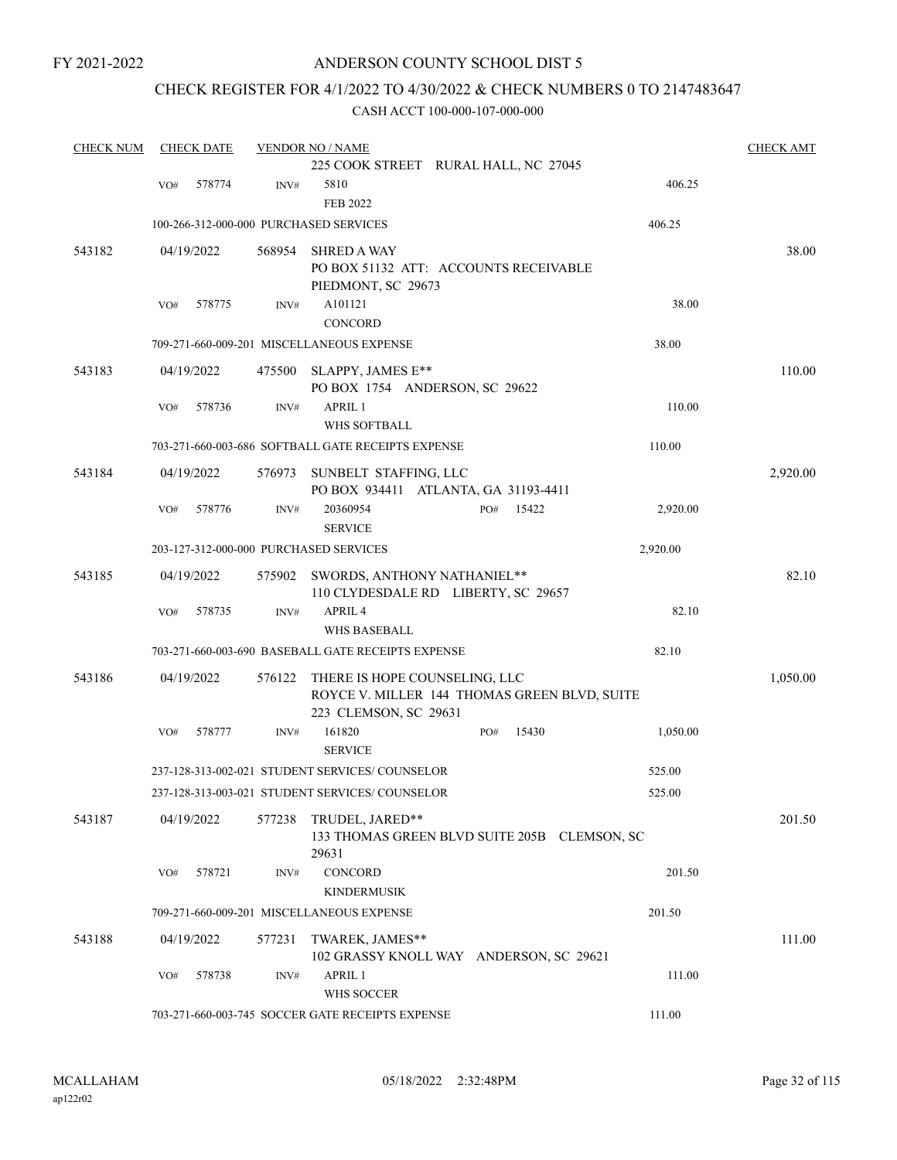# ANDERSON COUNTY SCHOOL DIST 5

# CHECK REGISTER FOR 4/1/2022 TO 4/30/2022 & CHECK NUMBERS 0 TO 2147483647

| <b>CHECK NUM</b> |     | <b>CHECK DATE</b> |                | <b>VENDOR NO / NAME</b>                            |              |          | <b>CHECK AMT</b> |
|------------------|-----|-------------------|----------------|----------------------------------------------------|--------------|----------|------------------|
|                  |     |                   |                | 225 COOK STREET RURAL HALL, NC 27045               |              |          |                  |
|                  | VO# | 578774            | INV#           | 5810                                               |              | 406.25   |                  |
|                  |     |                   |                | <b>FEB 2022</b>                                    |              |          |                  |
|                  |     |                   |                | 100-266-312-000-000 PURCHASED SERVICES             |              | 406.25   |                  |
| 543182           |     | 04/19/2022        | 568954         | <b>SHRED A WAY</b>                                 |              |          | 38.00            |
|                  |     |                   |                | PO BOX 51132 ATT: ACCOUNTS RECEIVABLE              |              |          |                  |
|                  |     |                   |                | PIEDMONT, SC 29673                                 |              |          |                  |
|                  | VO# | 578775            | INV#           | A101121                                            |              | 38.00    |                  |
|                  |     |                   |                | <b>CONCORD</b>                                     |              |          |                  |
|                  |     |                   |                | 709-271-660-009-201 MISCELLANEOUS EXPENSE          |              | 38.00    |                  |
| 543183           |     | 04/19/2022        | 475500         | SLAPPY, JAMES E**                                  |              |          | 110.00           |
|                  |     |                   |                | PO BOX 1754 ANDERSON, SC 29622                     |              |          |                  |
|                  | VO# | 578736            | INV#           | <b>APRIL 1</b>                                     |              | 110.00   |                  |
|                  |     |                   |                | WHS SOFTBALL                                       |              |          |                  |
|                  |     |                   |                | 703-271-660-003-686 SOFTBALL GATE RECEIPTS EXPENSE |              | 110.00   |                  |
| 543184           |     | 04/19/2022        | 576973         | SUNBELT STAFFING, LLC                              |              |          | 2,920.00         |
|                  |     |                   |                | PO BOX 934411 ATLANTA, GA 31193-4411               |              |          |                  |
|                  | VO# | 578776            | INV#           | 20360954                                           | 15422<br>PO# | 2,920.00 |                  |
|                  |     |                   |                | <b>SERVICE</b>                                     |              |          |                  |
|                  |     |                   |                | 203-127-312-000-000 PURCHASED SERVICES             |              | 2,920.00 |                  |
| 543185           |     | 04/19/2022        |                | 575902 SWORDS, ANTHONY NATHANIEL**                 |              |          | 82.10            |
|                  |     |                   |                | 110 CLYDESDALE RD LIBERTY, SC 29657                |              |          |                  |
|                  | VO# | 578735            | $\text{INV}\#$ | APRIL <sub>4</sub>                                 |              | 82.10    |                  |
|                  |     |                   |                | <b>WHS BASEBALL</b>                                |              |          |                  |
|                  |     |                   |                | 703-271-660-003-690 BASEBALL GATE RECEIPTS EXPENSE |              | 82.10    |                  |
| 543186           |     | 04/19/2022        | 576122         | THERE IS HOPE COUNSELING, LLC                      |              |          | 1,050.00         |
|                  |     |                   |                | ROYCE V. MILLER 144 THOMAS GREEN BLVD, SUITE       |              |          |                  |
|                  |     |                   |                | 223 CLEMSON, SC 29631                              |              |          |                  |
|                  | VO# | 578777            | INV#           | 161820                                             | 15430<br>PO# | 1,050.00 |                  |
|                  |     |                   |                | <b>SERVICE</b>                                     |              |          |                  |
|                  |     |                   |                | 237-128-313-002-021 STUDENT SERVICES/ COUNSELOR    |              | 525.00   |                  |
|                  |     |                   |                | 237-128-313-003-021 STUDENT SERVICES/ COUNSELOR    |              | 525.00   |                  |
| 543187           |     | 04/19/2022        | 577238         | TRUDEL, JARED**                                    |              |          | 201.50           |
|                  |     |                   |                | 133 THOMAS GREEN BLVD SUITE 205B CLEMSON, SC       |              |          |                  |
|                  |     |                   |                | 29631                                              |              |          |                  |
|                  | VO# | 578721            | INV#           | CONCORD                                            |              | 201.50   |                  |
|                  |     |                   |                | <b>KINDERMUSIK</b>                                 |              |          |                  |
|                  |     |                   |                | 709-271-660-009-201 MISCELLANEOUS EXPENSE          |              | 201.50   |                  |
| 543188           |     | 04/19/2022        | 577231         | TWAREK, JAMES**                                    |              |          | 111.00           |
|                  |     |                   |                | 102 GRASSY KNOLL WAY ANDERSON, SC 29621            |              |          |                  |
|                  | VO# | 578738            | INV#           | APRIL 1                                            |              | 111.00   |                  |
|                  |     |                   |                | WHS SOCCER                                         |              |          |                  |
|                  |     |                   |                | 703-271-660-003-745 SOCCER GATE RECEIPTS EXPENSE   |              | 111.00   |                  |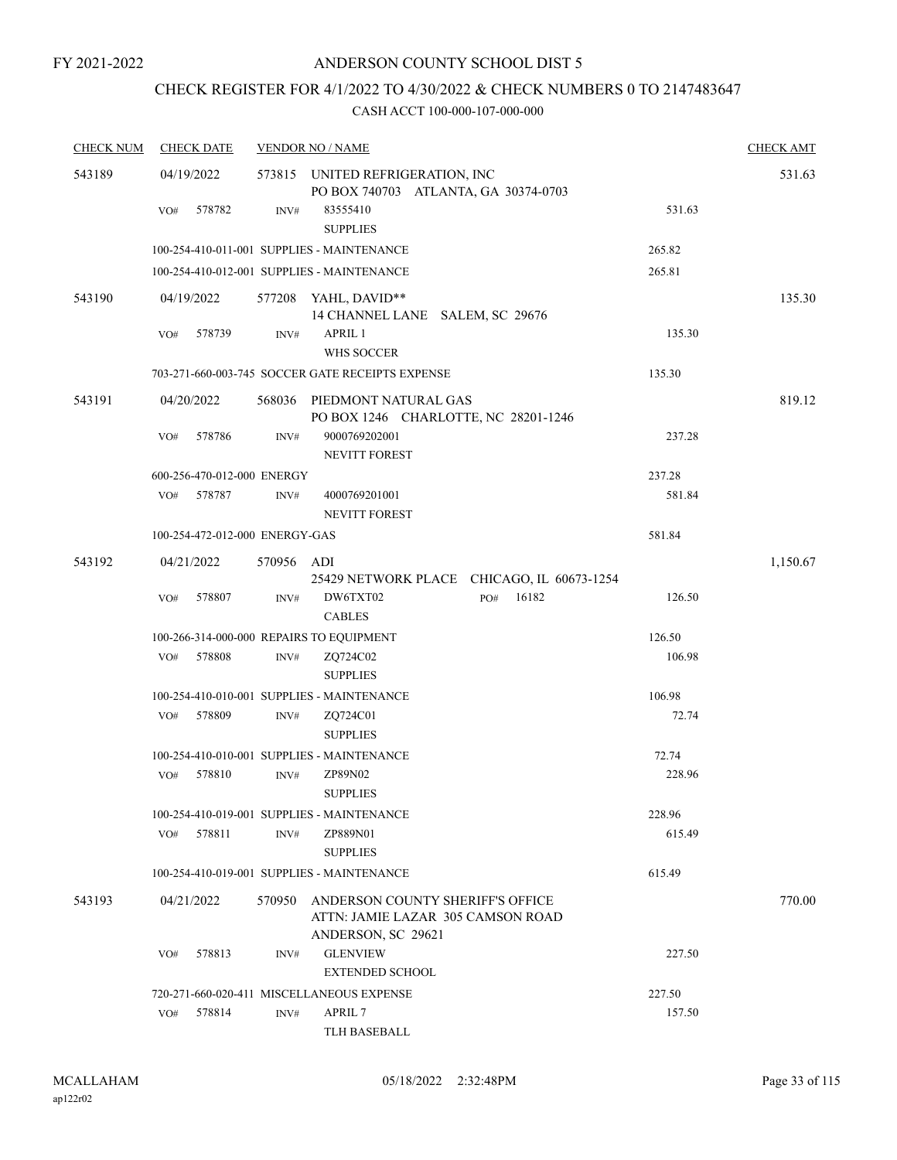# CHECK REGISTER FOR 4/1/2022 TO 4/30/2022 & CHECK NUMBERS 0 TO 2147483647

| <b>CHECK NUM</b> | <b>CHECK DATE</b>                        |        | <b>VENDOR NO / NAME</b>                                                                     |              |        | <b>CHECK AMT</b> |
|------------------|------------------------------------------|--------|---------------------------------------------------------------------------------------------|--------------|--------|------------------|
| 543189           | 04/19/2022                               |        | 573815 UNITED REFRIGERATION, INC<br>PO BOX 740703 ATLANTA, GA 30374-0703                    |              |        | 531.63           |
|                  | 578782<br>VO#                            | INV#   | 83555410<br><b>SUPPLIES</b>                                                                 |              | 531.63 |                  |
|                  |                                          |        | 100-254-410-011-001 SUPPLIES - MAINTENANCE                                                  |              | 265.82 |                  |
|                  |                                          |        | 100-254-410-012-001 SUPPLIES - MAINTENANCE                                                  |              | 265.81 |                  |
| 543190           | 04/19/2022                               | 577208 | YAHL, DAVID**<br>14 CHANNEL LANE SALEM, SC 29676                                            |              |        | 135.30           |
|                  | 578739<br>VO#                            | INV#   | APRIL 1<br>WHS SOCCER                                                                       |              | 135.30 |                  |
|                  |                                          |        | 703-271-660-003-745 SOCCER GATE RECEIPTS EXPENSE                                            |              | 135.30 |                  |
| 543191           | 04/20/2022                               | 568036 | PIEDMONT NATURAL GAS<br>PO BOX 1246 CHARLOTTE, NC 28201-1246                                |              |        | 819.12           |
|                  | 578786<br>VO#                            | INV#   | 9000769202001<br><b>NEVITT FOREST</b>                                                       |              | 237.28 |                  |
|                  | 600-256-470-012-000 ENERGY               |        |                                                                                             |              | 237.28 |                  |
|                  | 578787<br>VO#                            | INV#   | 4000769201001<br><b>NEVITT FOREST</b>                                                       |              | 581.84 |                  |
|                  | 100-254-472-012-000 ENERGY-GAS           |        |                                                                                             |              | 581.84 |                  |
| 543192           | 04/21/2022                               | 570956 | ADI<br>25429 NETWORK PLACE CHICAGO, IL 60673-1254                                           |              |        | 1,150.67         |
|                  | 578807<br>VO#                            | INV#   | DW6TXT02<br><b>CABLES</b>                                                                   | 16182<br>PO# | 126.50 |                  |
|                  | 100-266-314-000-000 REPAIRS TO EQUIPMENT |        |                                                                                             |              | 126.50 |                  |
|                  | 578808<br>VO#                            | INV#   | ZQ724C02<br><b>SUPPLIES</b>                                                                 |              | 106.98 |                  |
|                  |                                          |        | 100-254-410-010-001 SUPPLIES - MAINTENANCE                                                  |              | 106.98 |                  |
|                  | 578809<br>VO#                            | INV#   | ZQ724C01<br><b>SUPPLIES</b>                                                                 |              | 72.74  |                  |
|                  |                                          |        | 100-254-410-010-001 SUPPLIES - MAINTENANCE                                                  |              | 72.74  |                  |
|                  | 578810<br>VO#                            | INV#   | ZP89N02<br><b>SUPPLIES</b>                                                                  |              | 228.96 |                  |
|                  |                                          |        | 100-254-410-019-001 SUPPLIES - MAINTENANCE                                                  |              | 228.96 |                  |
|                  | 578811<br>VO#                            | INV#   | ZP889N01<br><b>SUPPLIES</b>                                                                 |              | 615.49 |                  |
|                  |                                          |        | 100-254-410-019-001 SUPPLIES - MAINTENANCE                                                  |              | 615.49 |                  |
| 543193           | 04/21/2022                               | 570950 | ANDERSON COUNTY SHERIFF'S OFFICE<br>ATTN: JAMIE LAZAR 305 CAMSON ROAD<br>ANDERSON, SC 29621 |              |        | 770.00           |
|                  | 578813<br>VO#                            | INV#   | <b>GLENVIEW</b><br><b>EXTENDED SCHOOL</b>                                                   |              | 227.50 |                  |
|                  |                                          |        | 720-271-660-020-411 MISCELLANEOUS EXPENSE                                                   |              | 227.50 |                  |
|                  | 578814<br>VO#                            | INV#   | APRIL 7<br>TLH BASEBALL                                                                     |              | 157.50 |                  |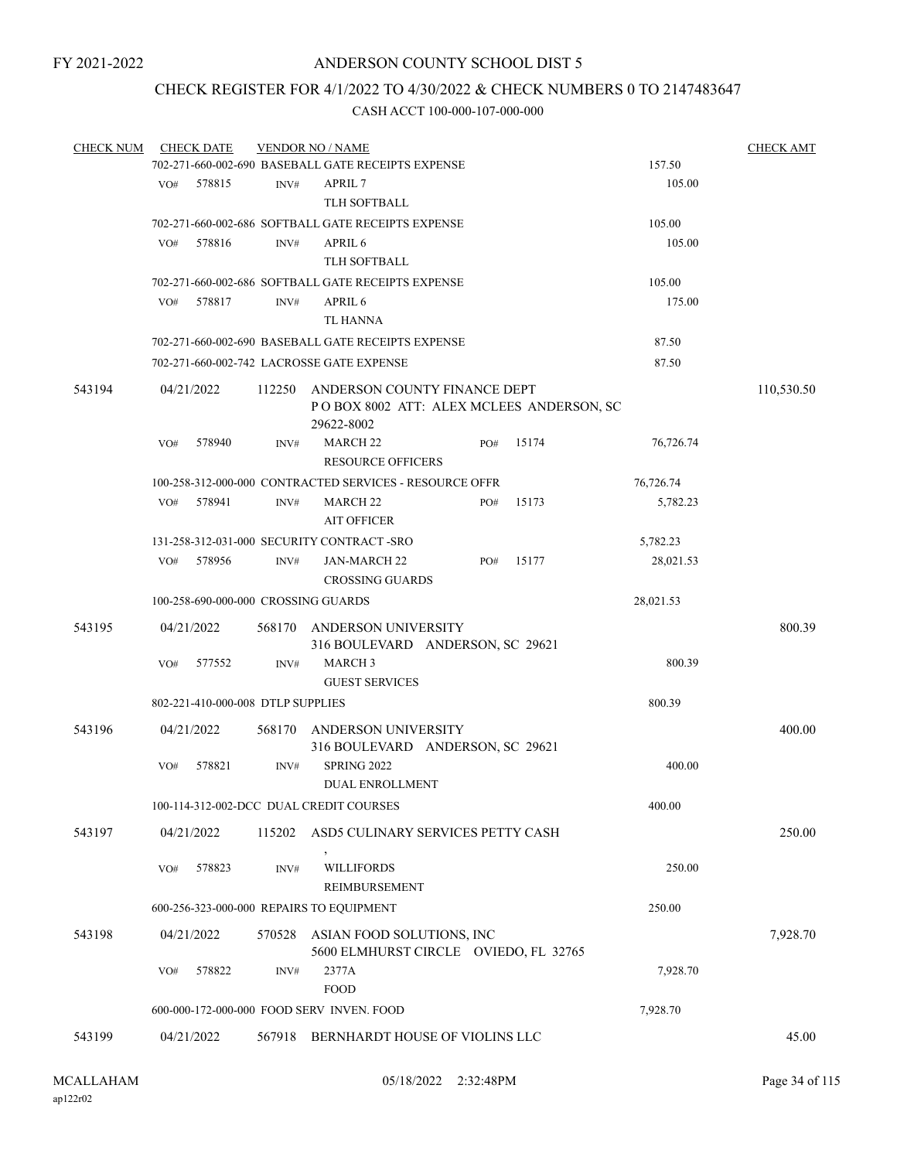# CHECK REGISTER FOR 4/1/2022 TO 4/30/2022 & CHECK NUMBERS 0 TO 2147483647

| <b>CHECK NUM</b> |     | <b>CHECK DATE</b>                 |        | <b>VENDOR NO / NAME</b>                                 |     |       |           | <b>CHECK AMT</b> |
|------------------|-----|-----------------------------------|--------|---------------------------------------------------------|-----|-------|-----------|------------------|
|                  |     |                                   |        | 702-271-660-002-690 BASEBALL GATE RECEIPTS EXPENSE      |     |       | 157.50    |                  |
|                  | VO# | 578815                            | INV#   | APRIL 7                                                 |     |       | 105.00    |                  |
|                  |     |                                   |        | TLH SOFTBALL                                            |     |       |           |                  |
|                  |     |                                   |        | 702-271-660-002-686 SOFTBALL GATE RECEIPTS EXPENSE      |     |       | 105.00    |                  |
|                  | VO# | 578816                            | INV#   | APRIL <sub>6</sub>                                      |     |       | 105.00    |                  |
|                  |     |                                   |        | <b>TLH SOFTBALL</b>                                     |     |       |           |                  |
|                  |     |                                   |        | 702-271-660-002-686 SOFTBALL GATE RECEIPTS EXPENSE      |     |       | 105.00    |                  |
|                  | VO# | 578817                            | INV#   | APRIL <sub>6</sub>                                      |     |       | 175.00    |                  |
|                  |     |                                   |        | TL HANNA                                                |     |       |           |                  |
|                  |     |                                   |        | 702-271-660-002-690 BASEBALL GATE RECEIPTS EXPENSE      |     |       | 87.50     |                  |
|                  |     |                                   |        | 702-271-660-002-742 LACROSSE GATE EXPENSE               |     |       | 87.50     |                  |
|                  |     |                                   |        |                                                         |     |       |           |                  |
| 543194           |     | 04/21/2022                        |        | 112250 ANDERSON COUNTY FINANCE DEPT                     |     |       |           | 110,530.50       |
|                  |     |                                   |        | POBOX 8002 ATT: ALEX MCLEES ANDERSON, SC                |     |       |           |                  |
|                  |     |                                   |        | 29622-8002                                              |     |       |           |                  |
|                  | VO# | 578940                            | INV#   | <b>MARCH 22</b><br><b>RESOURCE OFFICERS</b>             | PO# | 15174 | 76,726.74 |                  |
|                  |     |                                   |        |                                                         |     |       |           |                  |
|                  |     |                                   |        | 100-258-312-000-000 CONTRACTED SERVICES - RESOURCE OFFR |     |       | 76,726.74 |                  |
|                  | VO# | 578941                            | INV#   | MARCH <sub>22</sub>                                     | PO# | 15173 | 5,782.23  |                  |
|                  |     |                                   |        | <b>AIT OFFICER</b>                                      |     |       |           |                  |
|                  |     |                                   |        | 131-258-312-031-000 SECURITY CONTRACT-SRO               |     |       | 5,782.23  |                  |
|                  | VO# | 578956                            | INV#   | <b>JAN-MARCH 22</b>                                     | PO# | 15177 | 28,021.53 |                  |
|                  |     |                                   |        | <b>CROSSING GUARDS</b>                                  |     |       |           |                  |
|                  |     |                                   |        | 100-258-690-000-000 CROSSING GUARDS                     |     |       | 28,021.53 |                  |
| 543195           |     | 04/21/2022                        |        | 568170 ANDERSON UNIVERSITY                              |     |       |           | 800.39           |
|                  |     |                                   |        | 316 BOULEVARD ANDERSON, SC 29621                        |     |       |           |                  |
|                  | VO# | 577552                            | INV#   | <b>MARCH 3</b>                                          |     |       | 800.39    |                  |
|                  |     |                                   |        | <b>GUEST SERVICES</b>                                   |     |       |           |                  |
|                  |     | 802-221-410-000-008 DTLP SUPPLIES |        |                                                         |     |       | 800.39    |                  |
| 543196           |     | 04/21/2022                        |        | 568170 ANDERSON UNIVERSITY                              |     |       |           | 400.00           |
|                  |     |                                   |        | 316 BOULEVARD ANDERSON, SC 29621                        |     |       |           |                  |
|                  | VO# | 578821                            | INV#   | <b>SPRING 2022</b>                                      |     |       | 400.00    |                  |
|                  |     |                                   |        | <b>DUAL ENROLLMENT</b>                                  |     |       |           |                  |
|                  |     |                                   |        | 100-114-312-002-DCC DUAL CREDIT COURSES                 |     |       | 400.00    |                  |
|                  |     |                                   |        |                                                         |     |       |           |                  |
| 543197           |     | 04/21/2022                        | 115202 | ASD5 CULINARY SERVICES PETTY CASH                       |     |       |           | 250.00           |
|                  |     |                                   |        |                                                         |     |       |           |                  |
|                  | VO# | 578823                            | INV#   | <b>WILLIFORDS</b>                                       |     |       | 250.00    |                  |
|                  |     |                                   |        | <b>REIMBURSEMENT</b>                                    |     |       |           |                  |
|                  |     |                                   |        | 600-256-323-000-000 REPAIRS TO EQUIPMENT                |     |       | 250.00    |                  |
| 543198           |     | 04/21/2022                        | 570528 | ASIAN FOOD SOLUTIONS, INC                               |     |       |           | 7,928.70         |
|                  |     |                                   |        | 5600 ELMHURST CIRCLE OVIEDO, FL 32765                   |     |       |           |                  |
|                  | VO# | 578822                            | INV#   | 2377A                                                   |     |       | 7,928.70  |                  |
|                  |     |                                   |        | <b>FOOD</b>                                             |     |       |           |                  |
|                  |     |                                   |        | 600-000-172-000-000 FOOD SERV INVEN. FOOD               |     |       | 7,928.70  |                  |
| 543199           |     | 04/21/2022                        |        | 567918 BERNHARDT HOUSE OF VIOLINS LLC                   |     |       |           | 45.00            |
|                  |     |                                   |        |                                                         |     |       |           |                  |
|                  |     |                                   |        |                                                         |     |       |           |                  |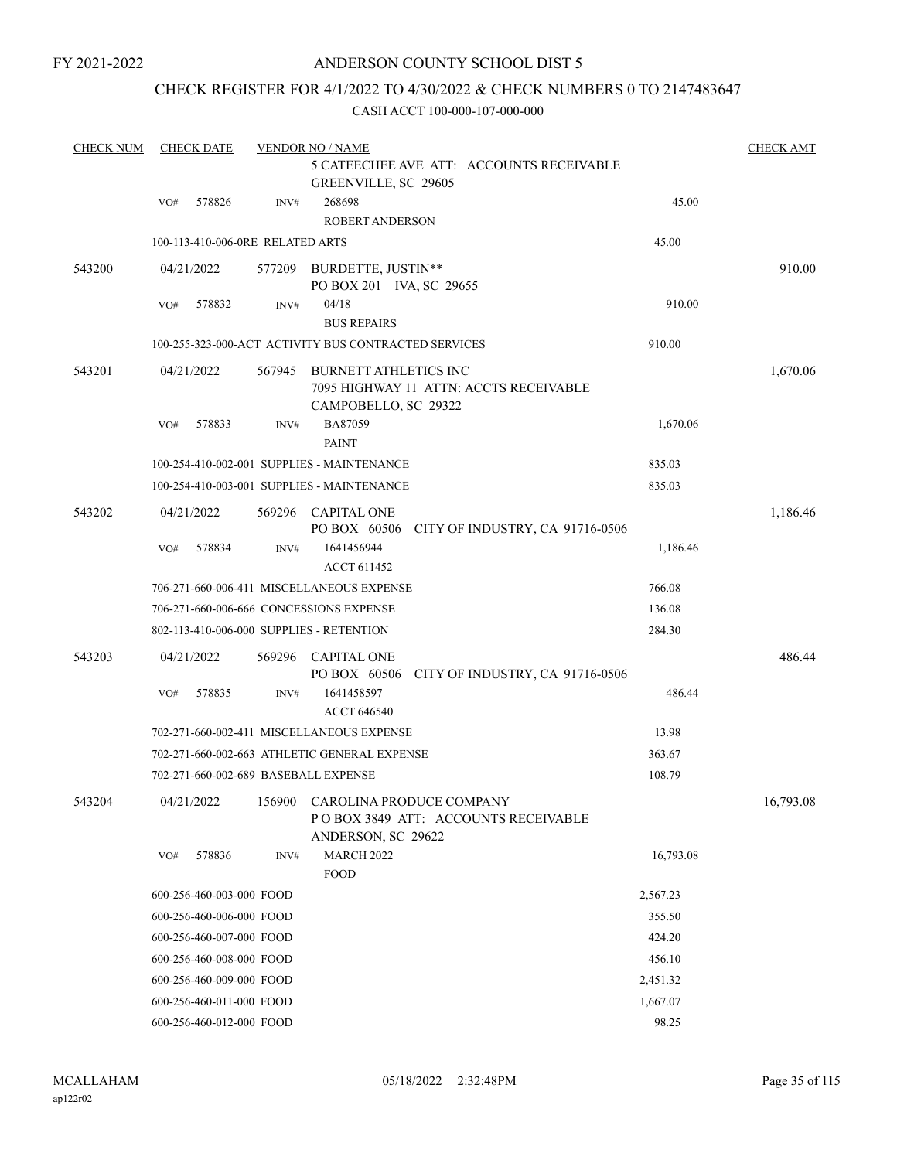# ANDERSON COUNTY SCHOOL DIST 5

# CHECK REGISTER FOR 4/1/2022 TO 4/30/2022 & CHECK NUMBERS 0 TO 2147483647

| <b>CHECK NUM</b> |     | <b>CHECK DATE</b>                |        | <b>VENDOR NO / NAME</b>                                                                 |           | <b>CHECK AMT</b> |
|------------------|-----|----------------------------------|--------|-----------------------------------------------------------------------------------------|-----------|------------------|
|                  |     |                                  |        | 5 CATEECHEE AVE ATT: ACCOUNTS RECEIVABLE<br>GREENVILLE, SC 29605                        |           |                  |
|                  | VO# | 578826                           | INV#   | 268698<br>ROBERT ANDERSON                                                               | 45.00     |                  |
|                  |     | 100-113-410-006-0RE RELATED ARTS |        |                                                                                         | 45.00     |                  |
| 543200           |     | 04/21/2022                       | 577209 | BURDETTE, JUSTIN**<br>PO BOX 201 IVA, SC 29655                                          |           | 910.00           |
|                  | VO# | 578832                           | INV#   | 04/18<br><b>BUS REPAIRS</b>                                                             | 910.00    |                  |
|                  |     |                                  |        | 100-255-323-000-ACT ACTIVITY BUS CONTRACTED SERVICES                                    | 910.00    |                  |
| 543201           |     | 04/21/2022                       | 567945 | BURNETT ATHLETICS INC<br>7095 HIGHWAY 11 ATTN: ACCTS RECEIVABLE<br>CAMPOBELLO, SC 29322 |           | 1,670.06         |
|                  | VO# | 578833                           | INV#   | BA87059<br><b>PAINT</b>                                                                 | 1,670.06  |                  |
|                  |     |                                  |        | 100-254-410-002-001 SUPPLIES - MAINTENANCE                                              | 835.03    |                  |
|                  |     |                                  |        | 100-254-410-003-001 SUPPLIES - MAINTENANCE                                              | 835.03    |                  |
| 543202           |     | 04/21/2022                       |        | 569296 CAPITAL ONE<br>PO BOX 60506 CITY OF INDUSTRY, CA 91716-0506                      |           | 1,186.46         |
|                  | VO# | 578834                           | INV#   | 1641456944<br><b>ACCT 611452</b>                                                        | 1,186.46  |                  |
|                  |     |                                  |        | 706-271-660-006-411 MISCELLANEOUS EXPENSE                                               | 766.08    |                  |
|                  |     |                                  |        | 706-271-660-006-666 CONCESSIONS EXPENSE                                                 | 136.08    |                  |
|                  |     |                                  |        | 802-113-410-006-000 SUPPLIES - RETENTION                                                | 284.30    |                  |
| 543203           |     | 04/21/2022                       |        | 569296 CAPITAL ONE<br>PO BOX 60506 CITY OF INDUSTRY, CA 91716-0506                      |           | 486.44           |
|                  | VO# | 578835                           | INV#   | 1641458597<br><b>ACCT 646540</b>                                                        | 486.44    |                  |
|                  |     |                                  |        | 702-271-660-002-411 MISCELLANEOUS EXPENSE                                               | 13.98     |                  |
|                  |     |                                  |        | 702-271-660-002-663 ATHLETIC GENERAL EXPENSE                                            | 363.67    |                  |
|                  |     |                                  |        | 702-271-660-002-689 BASEBALL EXPENSE                                                    | 108.79    |                  |
| 543204           |     | 04/21/2022                       | 156900 | CAROLINA PRODUCE COMPANY<br>POBOX 3849 ATT: ACCOUNTS RECEIVABLE<br>ANDERSON, SC 29622   |           | 16,793.08        |
|                  | VO# | 578836                           | INV#   | <b>MARCH 2022</b><br><b>FOOD</b>                                                        | 16,793.08 |                  |
|                  |     | 600-256-460-003-000 FOOD         |        |                                                                                         | 2,567.23  |                  |
|                  |     | 600-256-460-006-000 FOOD         |        |                                                                                         | 355.50    |                  |
|                  |     | 600-256-460-007-000 FOOD         |        |                                                                                         | 424.20    |                  |
|                  |     | 600-256-460-008-000 FOOD         |        |                                                                                         | 456.10    |                  |
|                  |     | 600-256-460-009-000 FOOD         |        |                                                                                         | 2,451.32  |                  |
|                  |     | 600-256-460-011-000 FOOD         |        |                                                                                         | 1,667.07  |                  |
|                  |     | 600-256-460-012-000 FOOD         |        |                                                                                         | 98.25     |                  |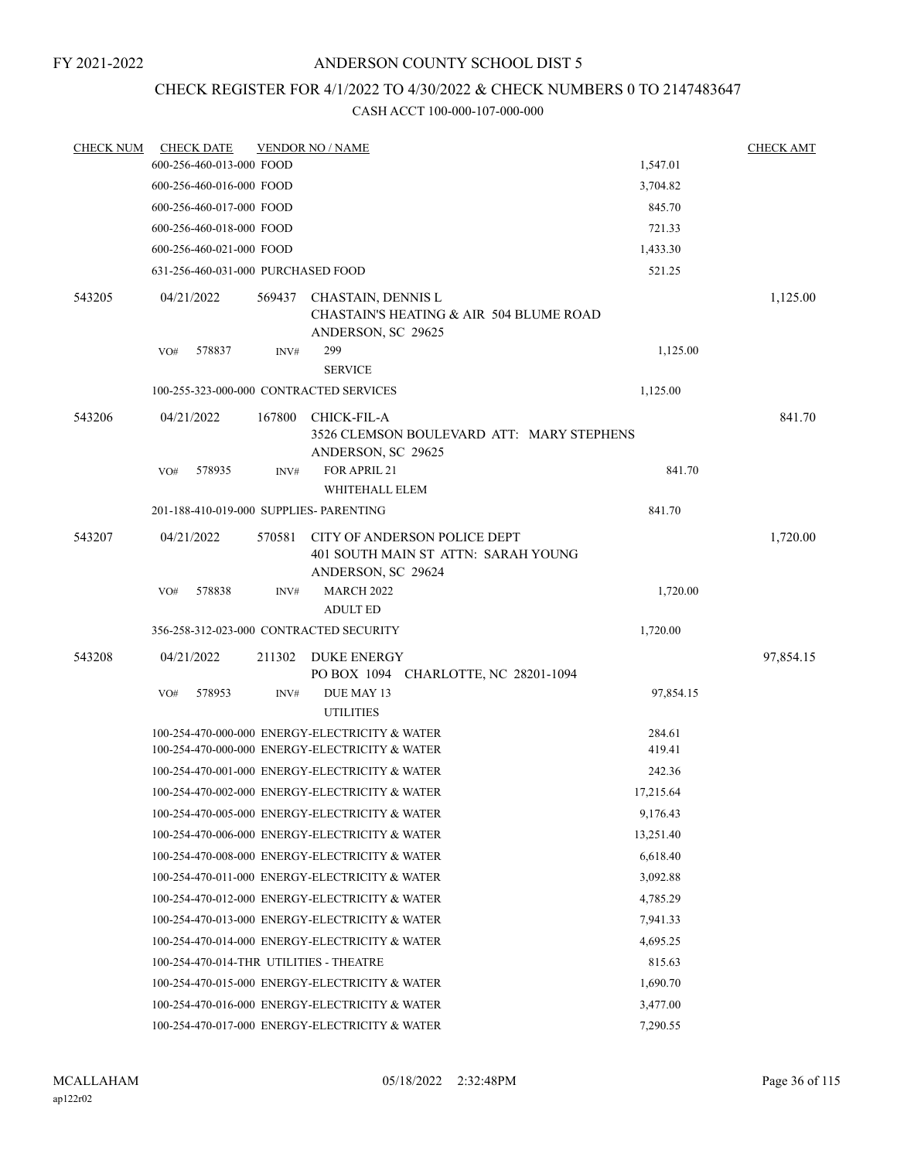# ANDERSON COUNTY SCHOOL DIST 5

# CHECK REGISTER FOR 4/1/2022 TO 4/30/2022 & CHECK NUMBERS 0 TO 2147483647

| <b>CHECK NUM</b> |     | <b>CHECK DATE</b>                  |        | <b>VENDOR NO / NAME</b>                                                                          |                  | <b>CHECK AMT</b> |
|------------------|-----|------------------------------------|--------|--------------------------------------------------------------------------------------------------|------------------|------------------|
|                  |     | 600-256-460-013-000 FOOD           |        |                                                                                                  | 1,547.01         |                  |
|                  |     | 600-256-460-016-000 FOOD           |        |                                                                                                  | 3,704.82         |                  |
|                  |     | 600-256-460-017-000 FOOD           |        |                                                                                                  | 845.70           |                  |
|                  |     | 600-256-460-018-000 FOOD           |        |                                                                                                  | 721.33           |                  |
|                  |     | 600-256-460-021-000 FOOD           |        |                                                                                                  | 1,433.30         |                  |
|                  |     | 631-256-460-031-000 PURCHASED FOOD |        |                                                                                                  | 521.25           |                  |
| 543205           |     | 04/21/2022                         | 569437 | CHASTAIN, DENNIS L<br>CHASTAIN'S HEATING & AIR 504 BLUME ROAD<br>ANDERSON, SC 29625              |                  | 1,125.00         |
|                  | VO# | 578837                             | INV#   | 299<br><b>SERVICE</b>                                                                            | 1,125.00         |                  |
|                  |     |                                    |        | 100-255-323-000-000 CONTRACTED SERVICES                                                          | 1,125.00         |                  |
| 543206           |     | 04/21/2022                         | 167800 | <b>CHICK-FIL-A</b><br>3526 CLEMSON BOULEVARD ATT: MARY STEPHENS<br>ANDERSON, SC 29625            |                  | 841.70           |
|                  | VO# | 578935                             | INV#   | FOR APRIL 21<br>WHITEHALL ELEM                                                                   | 841.70           |                  |
|                  |     |                                    |        | 201-188-410-019-000 SUPPLIES- PARENTING                                                          | 841.70           |                  |
| 543207           |     | 04/21/2022                         | 570581 | CITY OF ANDERSON POLICE DEPT<br>401 SOUTH MAIN ST ATTN: SARAH YOUNG<br>ANDERSON, SC 29624        |                  | 1,720.00         |
|                  | VO# | 578838                             | INV#   | <b>MARCH 2022</b><br><b>ADULT ED</b>                                                             | 1,720.00         |                  |
|                  |     |                                    |        | 356-258-312-023-000 CONTRACTED SECURITY                                                          | 1,720.00         |                  |
| 543208           |     | 04/21/2022                         | 211302 | DUKE ENERGY<br>PO BOX 1094 CHARLOTTE, NC 28201-1094                                              |                  | 97,854.15        |
|                  | VO# | 578953                             | INV#   | DUE MAY 13<br><b>UTILITIES</b>                                                                   | 97,854.15        |                  |
|                  |     |                                    |        | 100-254-470-000-000 ENERGY-ELECTRICITY & WATER<br>100-254-470-000-000 ENERGY-ELECTRICITY & WATER | 284.61<br>419.41 |                  |
|                  |     |                                    |        | 100-254-470-001-000 ENERGY-ELECTRICITY & WATER                                                   | 242.36           |                  |
|                  |     |                                    |        | 100-254-470-002-000 ENERGY-ELECTRICITY & WATER                                                   | 17,215.64        |                  |
|                  |     |                                    |        | 100-254-470-005-000 ENERGY-ELECTRICITY & WATER                                                   | 9,176.43         |                  |
|                  |     |                                    |        | 100-254-470-006-000 ENERGY-ELECTRICITY & WATER                                                   | 13,251.40        |                  |
|                  |     |                                    |        | 100-254-470-008-000 ENERGY-ELECTRICITY & WATER                                                   | 6,618.40         |                  |
|                  |     |                                    |        | 100-254-470-011-000 ENERGY-ELECTRICITY & WATER                                                   | 3,092.88         |                  |
|                  |     |                                    |        | 100-254-470-012-000 ENERGY-ELECTRICITY & WATER                                                   | 4,785.29         |                  |
|                  |     |                                    |        | 100-254-470-013-000 ENERGY-ELECTRICITY & WATER                                                   | 7,941.33         |                  |
|                  |     |                                    |        | 100-254-470-014-000 ENERGY-ELECTRICITY & WATER                                                   | 4,695.25         |                  |
|                  |     |                                    |        | 100-254-470-014-THR UTILITIES - THEATRE                                                          | 815.63           |                  |
|                  |     |                                    |        | 100-254-470-015-000 ENERGY-ELECTRICITY & WATER                                                   | 1,690.70         |                  |
|                  |     |                                    |        | 100-254-470-016-000 ENERGY-ELECTRICITY & WATER                                                   | 3,477.00         |                  |
|                  |     |                                    |        | 100-254-470-017-000 ENERGY-ELECTRICITY & WATER                                                   | 7,290.55         |                  |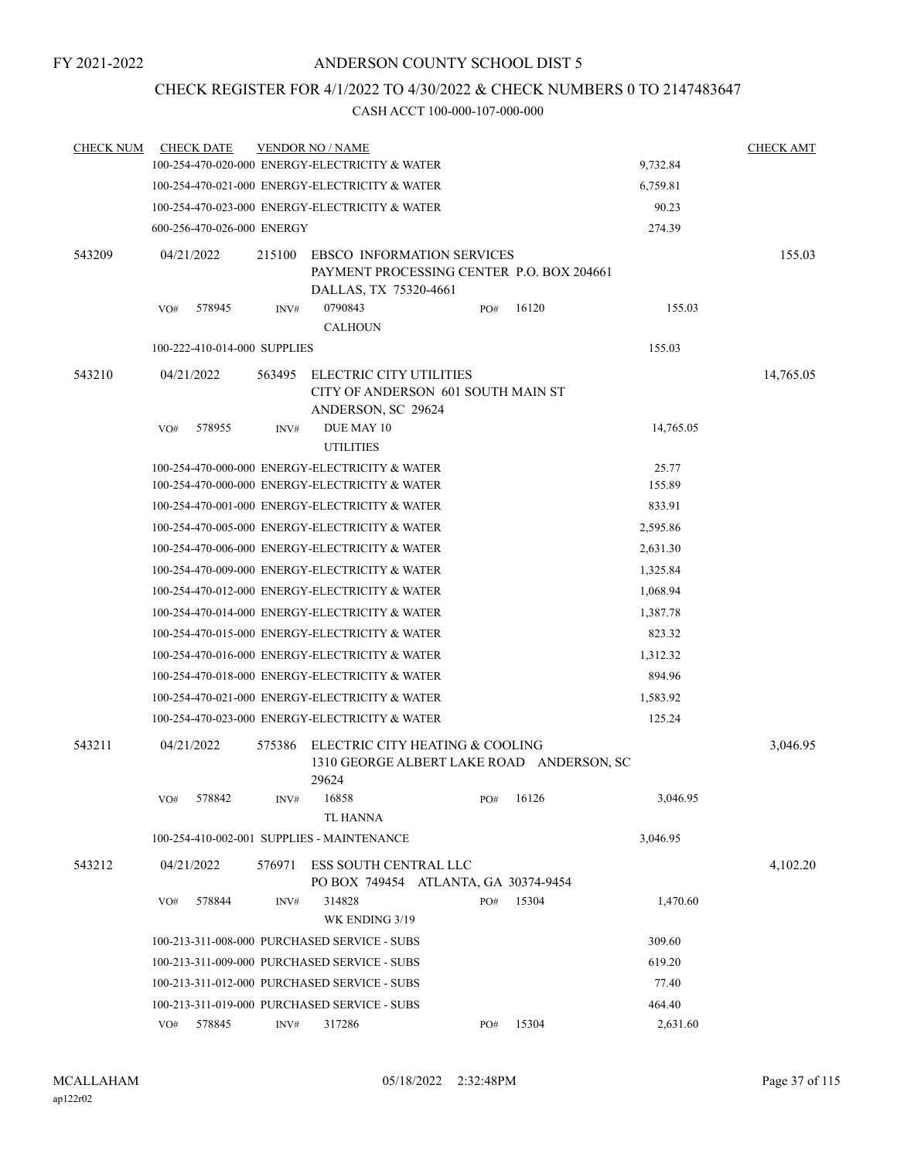# CHECK REGISTER FOR 4/1/2022 TO 4/30/2022 & CHECK NUMBERS 0 TO 2147483647

| <b>CHECK NUM</b> |                                                            | <b>CHECK DATE</b>            |                                                                                          | <b>VENDOR NO / NAME</b>                                                               |  |     |           |  |           | <b>CHECK AMT</b> |  |
|------------------|------------------------------------------------------------|------------------------------|------------------------------------------------------------------------------------------|---------------------------------------------------------------------------------------|--|-----|-----------|--|-----------|------------------|--|
|                  |                                                            |                              |                                                                                          | 100-254-470-020-000 ENERGY-ELECTRICITY & WATER                                        |  |     |           |  | 9,732.84  |                  |  |
|                  |                                                            |                              |                                                                                          | 100-254-470-021-000 ENERGY-ELECTRICITY & WATER                                        |  |     |           |  | 6,759.81  |                  |  |
|                  | 100-254-470-023-000 ENERGY-ELECTRICITY & WATER<br>90.23    |                              |                                                                                          |                                                                                       |  |     |           |  |           |                  |  |
|                  |                                                            | 600-256-470-026-000 ENERGY   |                                                                                          |                                                                                       |  |     |           |  | 274.39    |                  |  |
| 543209           | 04/21/2022                                                 |                              | 215100<br><b>EBSCO INFORMATION SERVICES</b><br>PAYMENT PROCESSING CENTER P.O. BOX 204661 |                                                                                       |  |     |           |  |           | 155.03           |  |
|                  |                                                            |                              |                                                                                          | DALLAS, TX 75320-4661                                                                 |  |     |           |  |           |                  |  |
|                  | VO#                                                        | 578945                       | INV#                                                                                     | 0790843<br><b>CALHOUN</b>                                                             |  | PO# | 16120     |  | 155.03    |                  |  |
|                  |                                                            | 100-222-410-014-000 SUPPLIES |                                                                                          |                                                                                       |  |     |           |  | 155.03    |                  |  |
| 543210           | 04/21/2022                                                 |                              | 563495                                                                                   | ELECTRIC CITY UTILITIES<br>CITY OF ANDERSON 601 SOUTH MAIN ST<br>ANDERSON, SC 29624   |  |     |           |  |           | 14,765.05        |  |
|                  | VO#                                                        | 578955                       | INV#                                                                                     | DUE MAY 10<br><b>UTILITIES</b>                                                        |  |     |           |  | 14,765.05 |                  |  |
|                  |                                                            |                              |                                                                                          | 100-254-470-000-000 ENERGY-ELECTRICITY & WATER                                        |  |     |           |  | 25.77     |                  |  |
|                  |                                                            |                              |                                                                                          | 100-254-470-000-000 ENERGY-ELECTRICITY & WATER                                        |  |     |           |  | 155.89    |                  |  |
|                  |                                                            |                              |                                                                                          | 100-254-470-001-000 ENERGY-ELECTRICITY & WATER                                        |  |     |           |  | 833.91    |                  |  |
|                  | 100-254-470-005-000 ENERGY-ELECTRICITY & WATER<br>2,595.86 |                              |                                                                                          |                                                                                       |  |     |           |  |           |                  |  |
|                  |                                                            |                              |                                                                                          | 100-254-470-006-000 ENERGY-ELECTRICITY & WATER                                        |  |     |           |  | 2,631.30  |                  |  |
|                  |                                                            |                              |                                                                                          | 100-254-470-009-000 ENERGY-ELECTRICITY & WATER                                        |  |     |           |  | 1,325.84  |                  |  |
|                  |                                                            |                              |                                                                                          | 100-254-470-012-000 ENERGY-ELECTRICITY & WATER                                        |  |     |           |  | 1,068.94  |                  |  |
|                  | 100-254-470-014-000 ENERGY-ELECTRICITY & WATER<br>1,387.78 |                              |                                                                                          |                                                                                       |  |     |           |  |           |                  |  |
|                  |                                                            |                              |                                                                                          | 100-254-470-015-000 ENERGY-ELECTRICITY & WATER                                        |  |     |           |  | 823.32    |                  |  |
|                  |                                                            |                              |                                                                                          | 100-254-470-016-000 ENERGY-ELECTRICITY & WATER                                        |  |     |           |  | 1,312.32  |                  |  |
|                  |                                                            |                              |                                                                                          | 100-254-470-018-000 ENERGY-ELECTRICITY & WATER                                        |  |     |           |  | 894.96    |                  |  |
|                  |                                                            |                              |                                                                                          | 100-254-470-021-000 ENERGY-ELECTRICITY & WATER                                        |  |     |           |  | 1,583.92  |                  |  |
|                  |                                                            |                              |                                                                                          | 100-254-470-023-000 ENERGY-ELECTRICITY & WATER                                        |  |     |           |  | 125.24    |                  |  |
| 543211           | 04/21/2022                                                 |                              | 575386                                                                                   | ELECTRIC CITY HEATING & COOLING<br>1310 GEORGE ALBERT LAKE ROAD ANDERSON, SC<br>29624 |  |     |           |  |           | 3,046.95         |  |
|                  | VO# 578842                                                 |                              |                                                                                          | INV# 16858<br><b>TL HANNA</b>                                                         |  |     | PO# 16126 |  | 3,046.95  |                  |  |
|                  |                                                            |                              |                                                                                          | 100-254-410-002-001 SUPPLIES - MAINTENANCE                                            |  |     |           |  | 3,046.95  |                  |  |
| 543212           | 04/21/2022                                                 |                              | 576971                                                                                   | ESS SOUTH CENTRAL LLC<br>PO BOX 749454 ATLANTA, GA 30374-9454                         |  |     |           |  |           | 4,102.20         |  |
|                  | VO#                                                        | 578844                       | INV#                                                                                     | 314828<br>WK ENDING 3/19                                                              |  | PO# | 15304     |  | 1,470.60  |                  |  |
|                  |                                                            |                              |                                                                                          | 100-213-311-008-000 PURCHASED SERVICE - SUBS                                          |  |     |           |  | 309.60    |                  |  |
|                  |                                                            |                              |                                                                                          | 100-213-311-009-000 PURCHASED SERVICE - SUBS                                          |  |     |           |  | 619.20    |                  |  |
|                  |                                                            |                              |                                                                                          | 100-213-311-012-000 PURCHASED SERVICE - SUBS                                          |  |     |           |  | 77.40     |                  |  |
|                  |                                                            |                              |                                                                                          | 100-213-311-019-000 PURCHASED SERVICE - SUBS                                          |  |     |           |  | 464.40    |                  |  |
|                  | VO# 578845                                                 |                              | INV#                                                                                     | 317286                                                                                |  | PO# | 15304     |  | 2,631.60  |                  |  |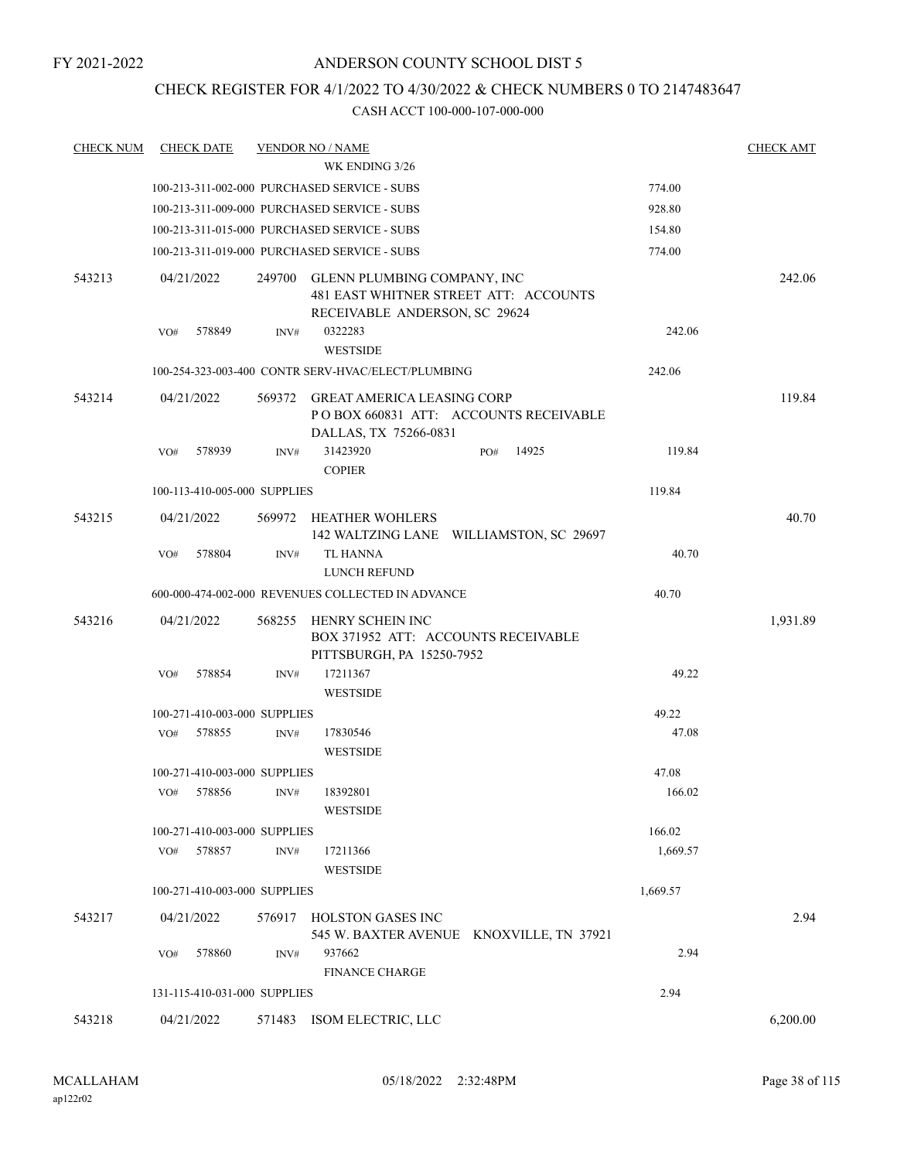# CHECK REGISTER FOR 4/1/2022 TO 4/30/2022 & CHECK NUMBERS 0 TO 2147483647

| <b>CHECK NUM</b> | <b>CHECK DATE</b>            |        | <b>VENDOR NO / NAME</b>                                                                               |          | <b>CHECK AMT</b> |
|------------------|------------------------------|--------|-------------------------------------------------------------------------------------------------------|----------|------------------|
|                  |                              |        | WK ENDING 3/26                                                                                        |          |                  |
|                  |                              |        | 100-213-311-002-000 PURCHASED SERVICE - SUBS                                                          | 774.00   |                  |
|                  |                              |        | 100-213-311-009-000 PURCHASED SERVICE - SUBS                                                          | 928.80   |                  |
|                  |                              |        | 100-213-311-015-000 PURCHASED SERVICE - SUBS                                                          | 154.80   |                  |
|                  |                              |        | 100-213-311-019-000 PURCHASED SERVICE - SUBS                                                          | 774.00   |                  |
| 543213           | 04/21/2022                   | 249700 | GLENN PLUMBING COMPANY, INC<br>481 EAST WHITNER STREET ATT: ACCOUNTS<br>RECEIVABLE ANDERSON, SC 29624 |          | 242.06           |
|                  | VO#<br>578849                | INV#   | 0322283<br><b>WESTSIDE</b>                                                                            | 242.06   |                  |
|                  |                              |        | 100-254-323-003-400 CONTR SERV-HVAC/ELECT/PLUMBING                                                    | 242.06   |                  |
| 543214           | 04/21/2022                   |        | 569372 GREAT AMERICA LEASING CORP<br>PO BOX 660831 ATT: ACCOUNTS RECEIVABLE<br>DALLAS, TX 75266-0831  |          | 119.84           |
|                  | 578939<br>VO#                | INV#   | 31423920<br>14925<br>PO#<br><b>COPIER</b>                                                             | 119.84   |                  |
|                  | 100-113-410-005-000 SUPPLIES |        |                                                                                                       | 119.84   |                  |
| 543215           | 04/21/2022                   |        | 569972 HEATHER WOHLERS<br>142 WALTZING LANE WILLIAMSTON, SC 29697                                     |          | 40.70            |
|                  | 578804<br>VO#                | INV#   | TL HANNA<br>LUNCH REFUND                                                                              | 40.70    |                  |
|                  |                              |        | 600-000-474-002-000 REVENUES COLLECTED IN ADVANCE                                                     | 40.70    |                  |
| 543216           | 04/21/2022                   | 568255 | HENRY SCHEIN INC<br>BOX 371952 ATT: ACCOUNTS RECEIVABLE<br>PITTSBURGH, PA 15250-7952                  |          | 1,931.89         |
|                  | 578854<br>VO#                | INV#   | 17211367<br><b>WESTSIDE</b>                                                                           | 49.22    |                  |
|                  | 100-271-410-003-000 SUPPLIES |        |                                                                                                       | 49.22    |                  |
|                  | 578855<br>VO#                | INV#   | 17830546<br><b>WESTSIDE</b>                                                                           | 47.08    |                  |
|                  | 100-271-410-003-000 SUPPLIES |        |                                                                                                       | 47.08    |                  |
|                  | VO# 578856                   | INV#   | 18392801<br><b>WESTSIDE</b>                                                                           | 166.02   |                  |
|                  | 100-271-410-003-000 SUPPLIES |        |                                                                                                       | 166.02   |                  |
|                  | 578857<br>VO#                | INV#   | 17211366<br><b>WESTSIDE</b>                                                                           | 1,669.57 |                  |
|                  | 100-271-410-003-000 SUPPLIES |        |                                                                                                       | 1,669.57 |                  |
| 543217           | 04/21/2022                   | 576917 | HOLSTON GASES INC<br>545 W. BAXTER AVENUE KNOXVILLE, TN 37921                                         |          | 2.94             |
|                  | VO#<br>578860                | INV#   | 937662<br><b>FINANCE CHARGE</b>                                                                       | 2.94     |                  |
|                  | 131-115-410-031-000 SUPPLIES |        |                                                                                                       | 2.94     |                  |
| 543218           | 04/21/2022                   |        | 571483 ISOM ELECTRIC, LLC                                                                             |          | 6,200.00         |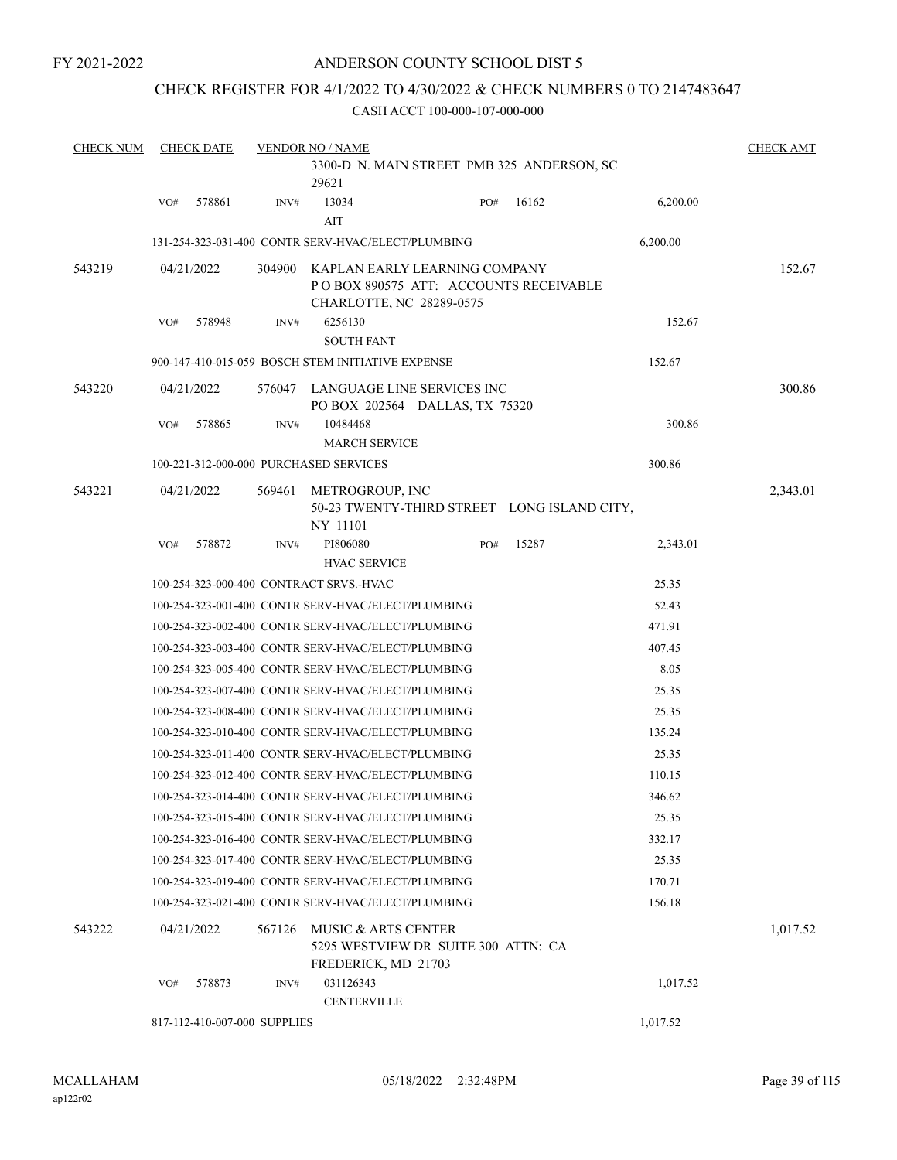FY 2021-2022

# ANDERSON COUNTY SCHOOL DIST 5

# CHECK REGISTER FOR 4/1/2022 TO 4/30/2022 & CHECK NUMBERS 0 TO 2147483647

| <b>CHECK NUM</b> |     | <b>CHECK DATE</b>            |        | <b>VENDOR NO / NAME</b>                                   |                                             |       |          | <b>CHECK AMT</b> |
|------------------|-----|------------------------------|--------|-----------------------------------------------------------|---------------------------------------------|-------|----------|------------------|
|                  |     |                              |        | 29621                                                     | 3300-D N. MAIN STREET PMB 325 ANDERSON, SC  |       |          |                  |
|                  | VO# | 578861                       | INV#   | 13034<br>AIT                                              | PO#                                         | 16162 | 6,200.00 |                  |
|                  |     |                              |        | 131-254-323-031-400 CONTR SERV-HVAC/ELECT/PLUMBING        |                                             |       | 6,200.00 |                  |
| 543219           |     | 04/21/2022                   | 304900 | KAPLAN EARLY LEARNING COMPANY<br>CHARLOTTE, NC 28289-0575 | POBOX 890575 ATT: ACCOUNTS RECEIVABLE       |       |          | 152.67           |
|                  | VO# | 578948                       | INV#   | 6256130<br><b>SOUTH FANT</b>                              |                                             |       | 152.67   |                  |
|                  |     |                              |        | 900-147-410-015-059 BOSCH STEM INITIATIVE EXPENSE         |                                             |       | 152.67   |                  |
| 543220           |     | 04/21/2022                   | 576047 | LANGUAGE LINE SERVICES INC                                | PO BOX 202564 DALLAS, TX 75320              |       |          | 300.86           |
|                  | VO# | 578865                       | INV#   | 10484468<br><b>MARCH SERVICE</b>                          |                                             |       | 300.86   |                  |
|                  |     |                              |        | 100-221-312-000-000 PURCHASED SERVICES                    |                                             |       | 300.86   |                  |
| 543221           |     | 04/21/2022                   | 569461 | METROGROUP, INC<br>NY 11101                               | 50-23 TWENTY-THIRD STREET LONG ISLAND CITY, |       |          | 2,343.01         |
|                  | VO# | 578872                       | INV#   | PI806080<br><b>HVAC SERVICE</b>                           | PO#                                         | 15287 | 2,343.01 |                  |
|                  |     |                              |        | 100-254-323-000-400 CONTRACT SRVS.-HVAC                   |                                             |       | 25.35    |                  |
|                  |     |                              |        | 100-254-323-001-400 CONTR SERV-HVAC/ELECT/PLUMBING        |                                             |       | 52.43    |                  |
|                  |     |                              |        | 100-254-323-002-400 CONTR SERV-HVAC/ELECT/PLUMBING        |                                             |       | 471.91   |                  |
|                  |     |                              |        | 100-254-323-003-400 CONTR SERV-HVAC/ELECT/PLUMBING        |                                             |       | 407.45   |                  |
|                  |     |                              |        | 100-254-323-005-400 CONTR SERV-HVAC/ELECT/PLUMBING        |                                             |       | 8.05     |                  |
|                  |     |                              |        | 100-254-323-007-400 CONTR SERV-HVAC/ELECT/PLUMBING        |                                             |       | 25.35    |                  |
|                  |     |                              |        | 100-254-323-008-400 CONTR SERV-HVAC/ELECT/PLUMBING        |                                             |       | 25.35    |                  |
|                  |     |                              |        | 100-254-323-010-400 CONTR SERV-HVAC/ELECT/PLUMBING        |                                             |       | 135.24   |                  |
|                  |     |                              |        | 100-254-323-011-400 CONTR SERV-HVAC/ELECT/PLUMBING        |                                             |       | 25.35    |                  |
|                  |     |                              |        | 100-254-323-012-400 CONTR SERV-HVAC/ELECT/PLUMBING        |                                             |       | 110.15   |                  |
|                  |     |                              |        | 100-254-323-014-400 CONTR SERV-HVAC/ELECT/PLUMBING        |                                             |       | 346.62   |                  |
|                  |     |                              |        | 100-254-323-015-400 CONTR SERV-HVAC/ELECT/PLUMBING        |                                             |       | 25.35    |                  |
|                  |     |                              |        | 100-254-323-016-400 CONTR SERV-HVAC/ELECT/PLUMBING        |                                             |       | 332.17   |                  |
|                  |     |                              |        | 100-254-323-017-400 CONTR SERV-HVAC/ELECT/PLUMBING        |                                             |       | 25.35    |                  |
|                  |     |                              |        | 100-254-323-019-400 CONTR SERV-HVAC/ELECT/PLUMBING        |                                             |       | 170.71   |                  |
|                  |     |                              |        | 100-254-323-021-400 CONTR SERV-HVAC/ELECT/PLUMBING        |                                             |       | 156.18   |                  |
| 543222           |     | 04/21/2022                   | 567126 | <b>MUSIC &amp; ARTS CENTER</b><br>FREDERICK, MD 21703     | 5295 WESTVIEW DR SUITE 300 ATTN: CA         |       |          | 1,017.52         |
|                  | VO# | 578873                       | INV#   | 031126343<br><b>CENTERVILLE</b>                           |                                             |       | 1,017.52 |                  |
|                  |     | 817-112-410-007-000 SUPPLIES |        |                                                           |                                             |       | 1,017.52 |                  |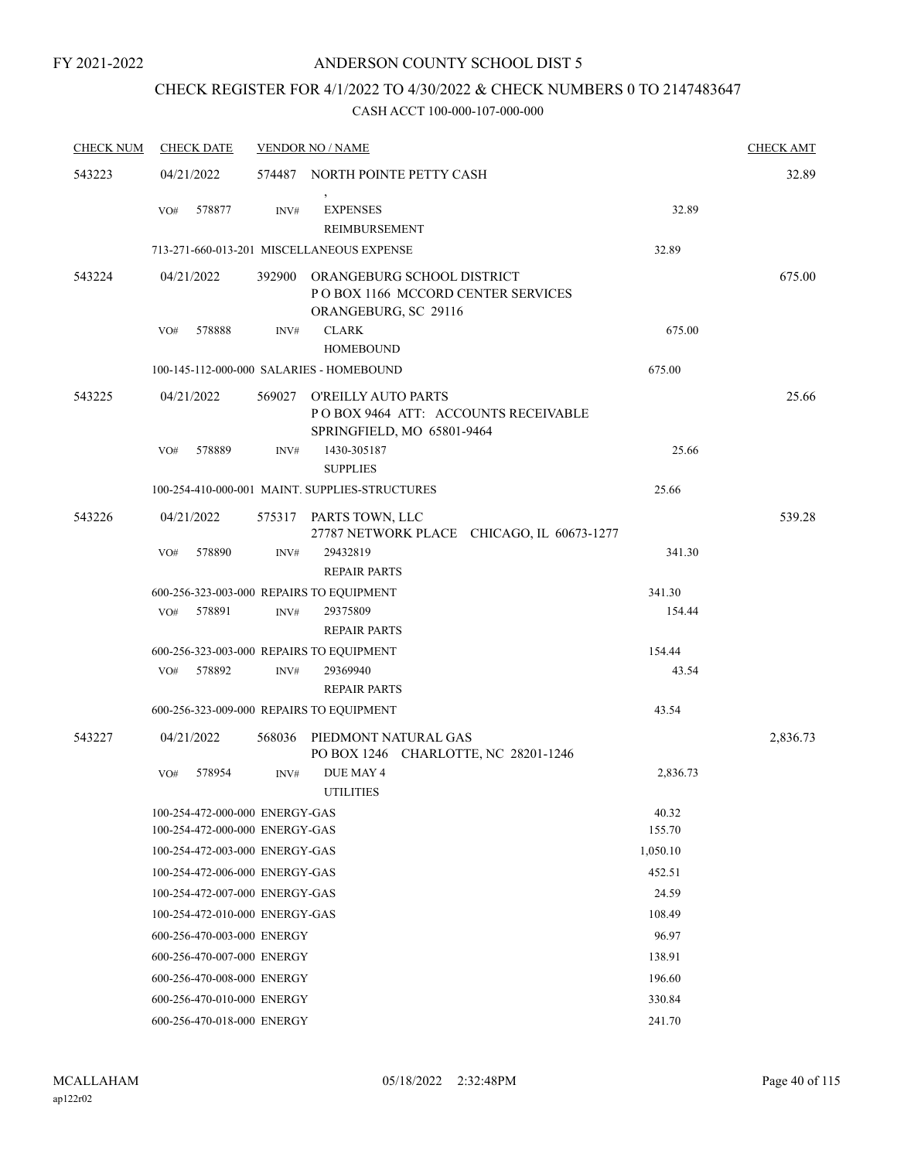# CHECK REGISTER FOR 4/1/2022 TO 4/30/2022 & CHECK NUMBERS 0 TO 2147483647

| <b>CHECK NUM</b> | <b>CHECK DATE</b>                                                |        | <b>VENDOR NO / NAME</b>                                                                         |                 | <b>CHECK AMT</b> |
|------------------|------------------------------------------------------------------|--------|-------------------------------------------------------------------------------------------------|-----------------|------------------|
| 543223           | 04/21/2022                                                       |        | 574487 NORTH POINTE PETTY CASH                                                                  |                 | 32.89            |
|                  | 578877<br>VO#                                                    | INV#   | $\,$<br><b>EXPENSES</b><br>REIMBURSEMENT                                                        | 32.89           |                  |
|                  |                                                                  |        | 713-271-660-013-201 MISCELLANEOUS EXPENSE                                                       | 32.89           |                  |
| 543224           | 04/21/2022                                                       | 392900 | ORANGEBURG SCHOOL DISTRICT<br>PO BOX 1166 MCCORD CENTER SERVICES<br>ORANGEBURG, SC 29116        |                 | 675.00           |
|                  | 578888<br>VO#                                                    | INV#   | <b>CLARK</b><br><b>HOMEBOUND</b>                                                                | 675.00          |                  |
|                  |                                                                  |        | 100-145-112-000-000 SALARIES - HOMEBOUND                                                        | 675.00          |                  |
| 543225           | 04/21/2022                                                       |        | 569027 O'REILLY AUTO PARTS<br>POBOX 9464 ATT: ACCOUNTS RECEIVABLE<br>SPRINGFIELD, MO 65801-9464 |                 | 25.66            |
|                  | 578889<br>VO#                                                    | INV#   | 1430-305187<br><b>SUPPLIES</b>                                                                  | 25.66           |                  |
|                  |                                                                  |        | 100-254-410-000-001 MAINT. SUPPLIES-STRUCTURES                                                  | 25.66           |                  |
| 543226           | 04/21/2022                                                       |        | 575317 PARTS TOWN, LLC<br>27787 NETWORK PLACE CHICAGO, IL 60673-1277                            |                 | 539.28           |
|                  | 578890<br>VO#                                                    | INV#   | 29432819<br><b>REPAIR PARTS</b>                                                                 | 341.30          |                  |
|                  | 600-256-323-003-000 REPAIRS TO EQUIPMENT                         |        |                                                                                                 | 341.30          |                  |
|                  | 578891<br>VO#                                                    | INV#   | 29375809<br><b>REPAIR PARTS</b>                                                                 | 154.44          |                  |
|                  | 600-256-323-003-000 REPAIRS TO EQUIPMENT                         |        |                                                                                                 | 154.44          |                  |
|                  | 578892<br>VO#                                                    | INV#   | 29369940<br><b>REPAIR PARTS</b>                                                                 | 43.54           |                  |
|                  | 600-256-323-009-000 REPAIRS TO EQUIPMENT                         |        |                                                                                                 | 43.54           |                  |
| 543227           | 04/21/2022                                                       | 568036 | PIEDMONT NATURAL GAS<br>PO BOX 1246 CHARLOTTE, NC 28201-1246                                    |                 | 2,836.73         |
|                  | 578954<br>VO#                                                    | INV#   | DUE MAY 4<br><b>UTILITIES</b>                                                                   | 2,836.73        |                  |
|                  | 100-254-472-000-000 ENERGY-GAS<br>100-254-472-000-000 ENERGY-GAS |        |                                                                                                 | 40.32<br>155.70 |                  |
|                  | 100-254-472-003-000 ENERGY-GAS                                   |        |                                                                                                 | 1,050.10        |                  |
|                  | 100-254-472-006-000 ENERGY-GAS                                   |        |                                                                                                 | 452.51          |                  |
|                  | 100-254-472-007-000 ENERGY-GAS                                   |        |                                                                                                 | 24.59           |                  |
|                  | 100-254-472-010-000 ENERGY-GAS                                   |        |                                                                                                 | 108.49          |                  |
|                  | 600-256-470-003-000 ENERGY                                       |        |                                                                                                 | 96.97           |                  |
|                  | 600-256-470-007-000 ENERGY                                       |        |                                                                                                 | 138.91          |                  |
|                  | 600-256-470-008-000 ENERGY                                       |        |                                                                                                 | 196.60          |                  |
|                  | 600-256-470-010-000 ENERGY                                       |        |                                                                                                 | 330.84          |                  |
|                  | 600-256-470-018-000 ENERGY                                       |        |                                                                                                 | 241.70          |                  |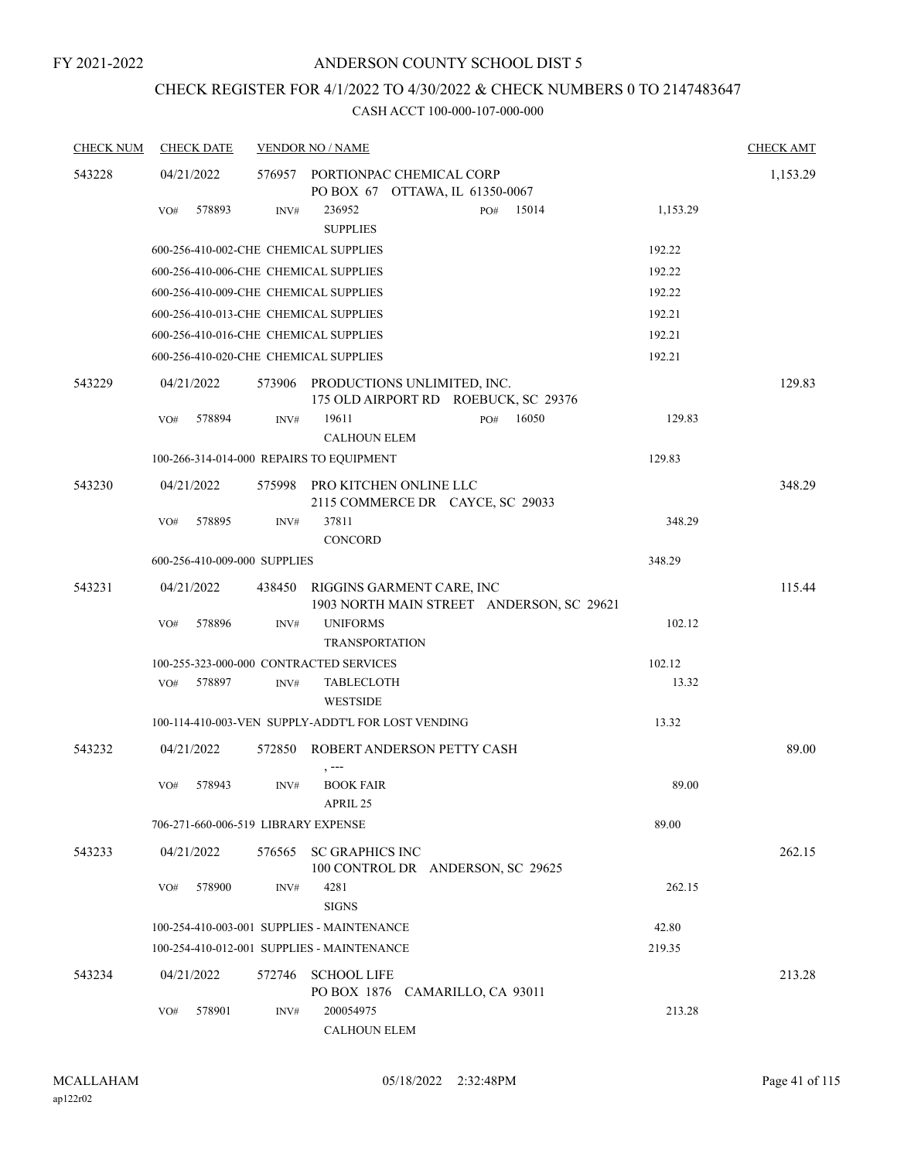# CHECK REGISTER FOR 4/1/2022 TO 4/30/2022 & CHECK NUMBERS 0 TO 2147483647

| <b>CHECK NUM</b> | <b>CHECK DATE</b> |                                       | <b>VENDOR NO / NAME</b>                                                |          | <b>CHECK AMT</b> |
|------------------|-------------------|---------------------------------------|------------------------------------------------------------------------|----------|------------------|
| 543228           | 04/21/2022        |                                       | 576957 PORTIONPAC CHEMICAL CORP                                        |          | 1,153.29         |
|                  |                   |                                       | PO BOX 67 OTTAWA, IL 61350-0067                                        |          |                  |
|                  | VO#               | 578893<br>INV#                        | 15014<br>236952<br>PO#<br><b>SUPPLIES</b>                              | 1,153.29 |                  |
|                  |                   | 600-256-410-002-CHE CHEMICAL SUPPLIES |                                                                        | 192.22   |                  |
|                  |                   | 600-256-410-006-CHE CHEMICAL SUPPLIES |                                                                        | 192.22   |                  |
|                  |                   | 600-256-410-009-CHE CHEMICAL SUPPLIES |                                                                        | 192.22   |                  |
|                  |                   | 600-256-410-013-CHE CHEMICAL SUPPLIES |                                                                        | 192.21   |                  |
|                  |                   | 600-256-410-016-CHE CHEMICAL SUPPLIES |                                                                        | 192.21   |                  |
|                  |                   | 600-256-410-020-CHE CHEMICAL SUPPLIES |                                                                        | 192.21   |                  |
| 543229           | 04/21/2022        | 573906                                | PRODUCTIONS UNLIMITED, INC.<br>175 OLD AIRPORT RD ROEBUCK, SC 29376    |          | 129.83           |
|                  | VO#               | 578894<br>INV#                        | 19611<br>PO#<br>16050                                                  | 129.83   |                  |
|                  |                   |                                       | <b>CALHOUN ELEM</b>                                                    |          |                  |
|                  |                   |                                       | 100-266-314-014-000 REPAIRS TO EQUIPMENT                               | 129.83   |                  |
| 543230           | 04/21/2022        | 575998                                | PRO KITCHEN ONLINE LLC<br>2115 COMMERCE DR CAYCE, SC 29033             |          | 348.29           |
|                  | VO#               | 578895<br>INV#                        | 37811<br>CONCORD                                                       | 348.29   |                  |
|                  |                   | 600-256-410-009-000 SUPPLIES          |                                                                        | 348.29   |                  |
| 543231           | 04/21/2022        | 438450                                | RIGGINS GARMENT CARE, INC<br>1903 NORTH MAIN STREET ANDERSON, SC 29621 |          | 115.44           |
|                  | VO#               | 578896<br>INV#                        | <b>UNIFORMS</b><br><b>TRANSPORTATION</b>                               | 102.12   |                  |
|                  |                   |                                       | 100-255-323-000-000 CONTRACTED SERVICES                                | 102.12   |                  |
|                  | VO#               | 578897<br>INV#                        | <b>TABLECLOTH</b><br><b>WESTSIDE</b>                                   | 13.32    |                  |
|                  |                   |                                       | 100-114-410-003-VEN SUPPLY-ADDT'L FOR LOST VENDING                     | 13.32    |                  |
| 543232           | 04/21/2022        | 572850                                | ROBERT ANDERSON PETTY CASH                                             |          | 89.00            |
|                  | VO#               | 578943<br>INV#                        | <b>BOOK FAIR</b><br>APRIL 25                                           | 89.00    |                  |
|                  |                   | 706-271-660-006-519 LIBRARY EXPENSE   |                                                                        | 89.00    |                  |
| 543233           | 04/21/2022        | 576565                                | <b>SC GRAPHICS INC</b><br>100 CONTROL DR ANDERSON, SC 29625            |          | 262.15           |
|                  | VO#               | 578900<br>INV#                        | 4281<br><b>SIGNS</b>                                                   | 262.15   |                  |
|                  |                   |                                       | 100-254-410-003-001 SUPPLIES - MAINTENANCE                             | 42.80    |                  |
|                  |                   |                                       | 100-254-410-012-001 SUPPLIES - MAINTENANCE                             | 219.35   |                  |
| 543234           | 04/21/2022        | 572746                                | <b>SCHOOL LIFE</b>                                                     |          | 213.28           |
|                  | VO#               | 578901<br>INV#                        | PO BOX 1876 CAMARILLO, CA 93011<br>200054975<br><b>CALHOUN ELEM</b>    | 213.28   |                  |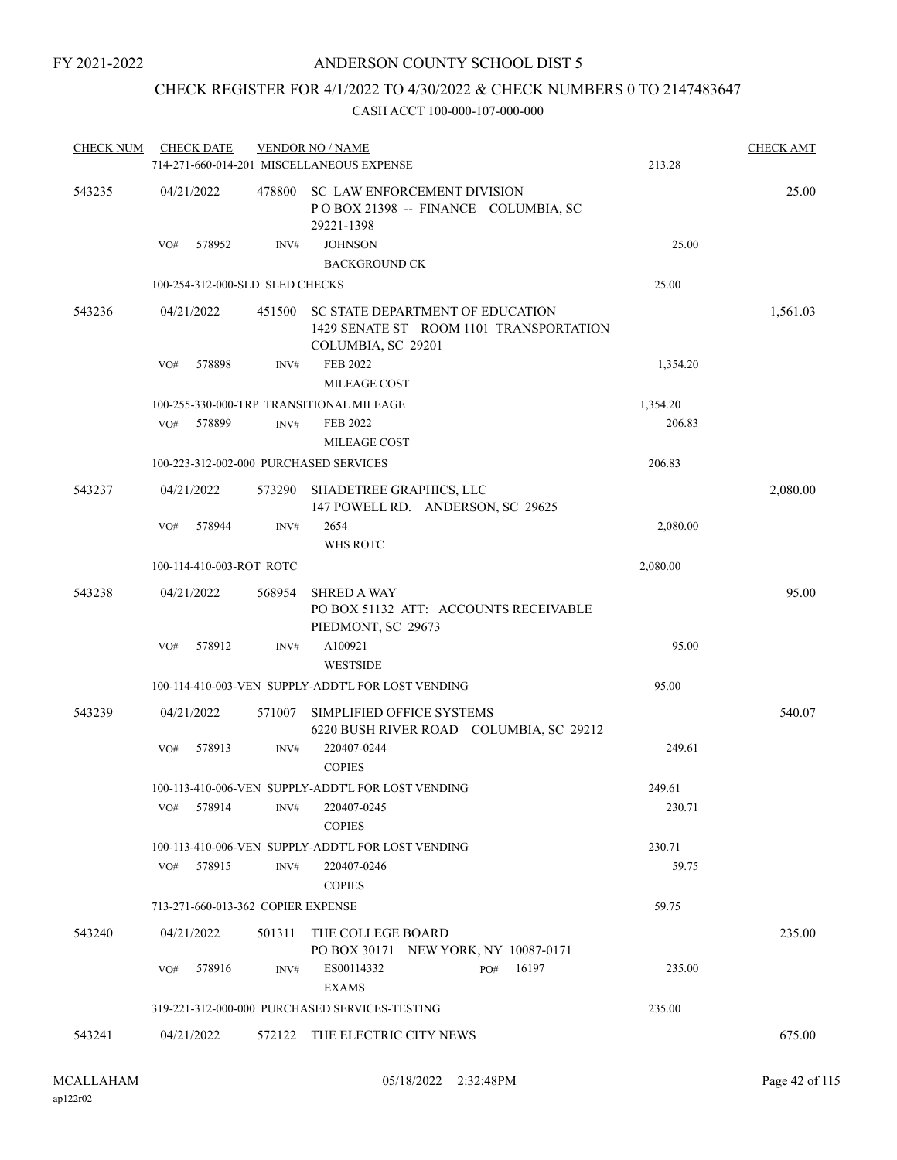# CHECK REGISTER FOR 4/1/2022 TO 4/30/2022 & CHECK NUMBERS 0 TO 2147483647

| <b>CHECK NUM</b> | <b>CHECK DATE</b>                      |        | <b>VENDOR NO / NAME</b>                                                                                  |          | <b>CHECK AMT</b> |
|------------------|----------------------------------------|--------|----------------------------------------------------------------------------------------------------------|----------|------------------|
|                  |                                        |        | 714-271-660-014-201 MISCELLANEOUS EXPENSE                                                                | 213.28   |                  |
| 543235           | 04/21/2022                             |        | 478800 SC LAW ENFORCEMENT DIVISION<br>POBOX 21398 -- FINANCE COLUMBIA, SC<br>29221-1398                  |          | 25.00            |
|                  | 578952<br>VO#                          | INV#   | <b>JOHNSON</b><br><b>BACKGROUND CK</b>                                                                   | 25.00    |                  |
|                  | 100-254-312-000-SLD SLED CHECKS        |        |                                                                                                          | 25.00    |                  |
| 543236           | 04/21/2022                             |        | 451500 SC STATE DEPARTMENT OF EDUCATION<br>1429 SENATE ST ROOM 1101 TRANSPORTATION<br>COLUMBIA, SC 29201 |          | 1,561.03         |
|                  | 578898<br>VO#                          | INV#   | <b>FEB 2022</b>                                                                                          | 1,354.20 |                  |
|                  |                                        |        | MILEAGE COST<br>100-255-330-000-TRP TRANSITIONAL MILEAGE                                                 | 1,354.20 |                  |
|                  | 578899<br>VO#                          | INV#   | FEB 2022<br><b>MILEAGE COST</b>                                                                          | 206.83   |                  |
|                  | 100-223-312-002-000 PURCHASED SERVICES |        |                                                                                                          | 206.83   |                  |
|                  |                                        |        |                                                                                                          |          |                  |
| 543237           | 04/21/2022                             |        | 573290 SHADETREE GRAPHICS, LLC<br>147 POWELL RD. ANDERSON, SC 29625                                      |          | 2,080.00         |
|                  | VO#<br>578944                          | INV#   | 2654                                                                                                     | 2,080.00 |                  |
|                  |                                        |        | <b>WHS ROTC</b>                                                                                          |          |                  |
|                  | 100-114-410-003-ROT ROTC               |        |                                                                                                          | 2,080.00 |                  |
| 543238           | 04/21/2022                             | 568954 | <b>SHRED A WAY</b><br>PO BOX 51132 ATT: ACCOUNTS RECEIVABLE<br>PIEDMONT, SC 29673                        |          | 95.00            |
|                  | 578912<br>VO#                          | INV#   | A100921                                                                                                  | 95.00    |                  |
|                  |                                        |        | <b>WESTSIDE</b>                                                                                          |          |                  |
|                  |                                        |        | 100-114-410-003-VEN SUPPLY-ADDT'L FOR LOST VENDING                                                       | 95.00    |                  |
| 543239           | 04/21/2022                             | 571007 | SIMPLIFIED OFFICE SYSTEMS<br>6220 BUSH RIVER ROAD COLUMBIA, SC 29212                                     |          | 540.07           |
|                  | VO#<br>578913                          | INV#   | 220407-0244<br><b>COPIES</b>                                                                             | 249.61   |                  |
|                  |                                        |        | 100-113-410-006-VEN SUPPLY-ADDT'L FOR LOST VENDING                                                       | 249.61   |                  |
|                  | 578914<br>VO#                          | INV#   | 220407-0245<br><b>COPIES</b>                                                                             | 230.71   |                  |
|                  |                                        |        | 100-113-410-006-VEN SUPPLY-ADDT'L FOR LOST VENDING                                                       | 230.71   |                  |
|                  | 578915<br>VO#                          | INV#   | 220407-0246<br><b>COPIES</b>                                                                             | 59.75    |                  |
|                  | 713-271-660-013-362 COPIER EXPENSE     |        |                                                                                                          | 59.75    |                  |
| 543240           | 04/21/2022                             | 501311 | THE COLLEGE BOARD                                                                                        |          | 235.00           |
|                  | 578916<br>VO#                          | INV#   | PO BOX 30171 NEW YORK, NY 10087-0171<br>16197<br>ES00114332<br>PO#<br><b>EXAMS</b>                       | 235.00   |                  |
|                  |                                        |        | 319-221-312-000-000 PURCHASED SERVICES-TESTING                                                           | 235.00   |                  |
| 543241           | 04/21/2022                             |        | 572122 THE ELECTRIC CITY NEWS                                                                            |          | 675.00           |
|                  |                                        |        |                                                                                                          |          |                  |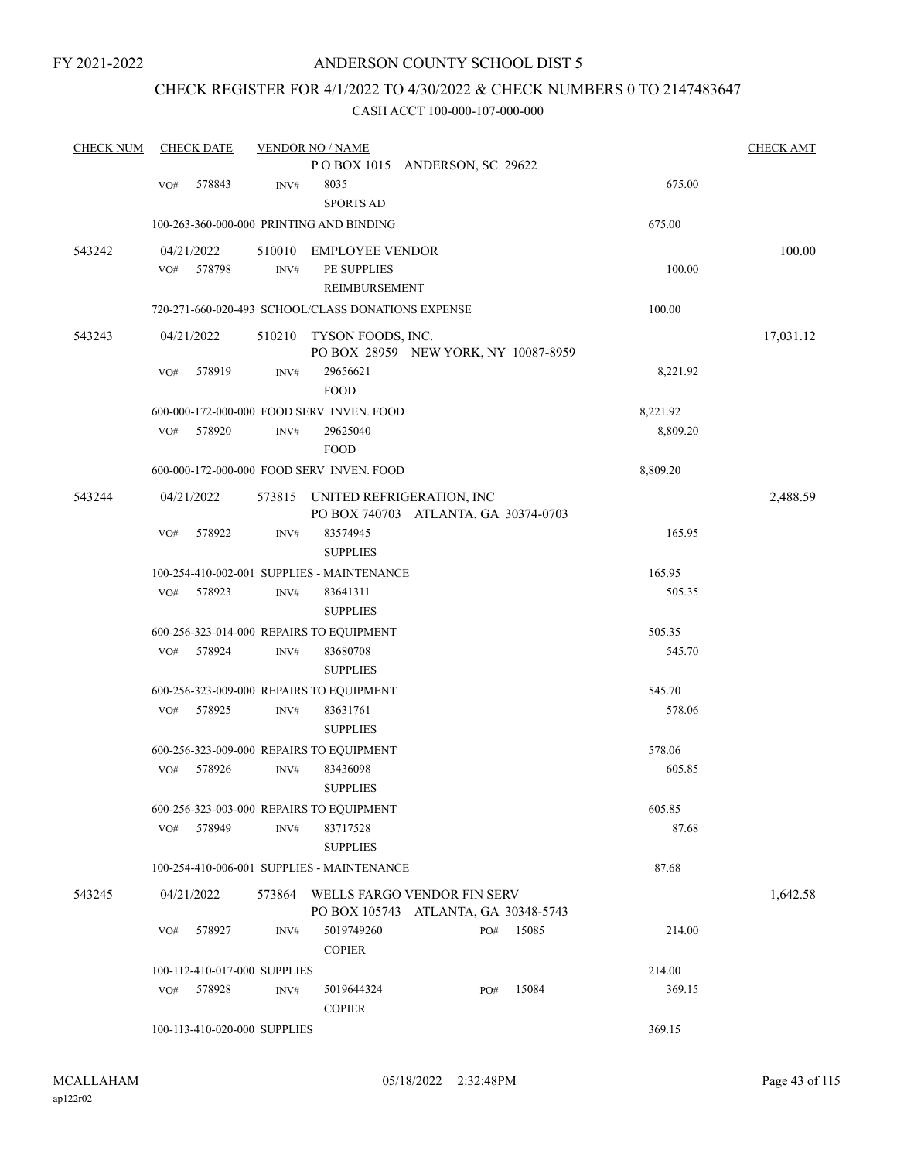# CHECK REGISTER FOR 4/1/2022 TO 4/30/2022 & CHECK NUMBERS 0 TO 2147483647

| <b>CHECK NUM</b> |     | <b>CHECK DATE</b>            |                | <b>VENDOR NO / NAME</b>                            |                                      |       |          | <b>CHECK AMT</b> |
|------------------|-----|------------------------------|----------------|----------------------------------------------------|--------------------------------------|-------|----------|------------------|
|                  |     |                              |                |                                                    | POBOX 1015 ANDERSON, SC 29622        |       |          |                  |
|                  | VO# | 578843                       | INV#           | 8035                                               |                                      |       | 675.00   |                  |
|                  |     |                              |                | <b>SPORTS AD</b>                                   |                                      |       |          |                  |
|                  |     |                              |                | 100-263-360-000-000 PRINTING AND BINDING           |                                      |       | 675.00   |                  |
| 543242           |     | 04/21/2022                   | 510010         | <b>EMPLOYEE VENDOR</b>                             |                                      |       |          | 100.00           |
|                  | VO# | 578798                       | INV#           | PE SUPPLIES                                        |                                      |       | 100.00   |                  |
|                  |     |                              |                | REIMBURSEMENT                                      |                                      |       |          |                  |
|                  |     |                              |                | 720-271-660-020-493 SCHOOL/CLASS DONATIONS EXPENSE |                                      |       | 100.00   |                  |
| 543243           |     | 04/21/2022                   | 510210         | TYSON FOODS, INC.                                  |                                      |       |          | 17,031.12        |
|                  |     |                              |                |                                                    | PO BOX 28959 NEW YORK, NY 10087-8959 |       |          |                  |
|                  | VO# | 578919                       | INV#           | 29656621                                           |                                      |       | 8,221.92 |                  |
|                  |     |                              |                | <b>FOOD</b>                                        |                                      |       |          |                  |
|                  |     |                              |                | 600-000-172-000-000 FOOD SERV INVEN. FOOD          |                                      |       | 8,221.92 |                  |
|                  | VO# | 578920                       | INV#           | 29625040                                           |                                      |       | 8,809.20 |                  |
|                  |     |                              |                | <b>FOOD</b>                                        |                                      |       |          |                  |
|                  |     |                              |                | 600-000-172-000-000 FOOD SERV INVEN. FOOD          |                                      |       | 8,809.20 |                  |
| 543244           |     | 04/21/2022                   | 573815         |                                                    | UNITED REFRIGERATION, INC            |       |          | 2,488.59         |
|                  |     |                              |                |                                                    | PO BOX 740703 ATLANTA, GA 30374-0703 |       |          |                  |
|                  | VO# | 578922                       | INV#           | 83574945                                           |                                      |       | 165.95   |                  |
|                  |     |                              |                | <b>SUPPLIES</b>                                    |                                      |       |          |                  |
|                  |     |                              |                | 100-254-410-002-001 SUPPLIES - MAINTENANCE         |                                      |       | 165.95   |                  |
|                  | VO# | 578923                       | $\text{INV}\#$ | 83641311                                           |                                      |       | 505.35   |                  |
|                  |     |                              |                | <b>SUPPLIES</b>                                    |                                      |       |          |                  |
|                  |     |                              |                | 600-256-323-014-000 REPAIRS TO EQUIPMENT           |                                      |       | 505.35   |                  |
|                  | VO# | 578924                       | INV#           | 83680708                                           |                                      |       | 545.70   |                  |
|                  |     |                              |                | <b>SUPPLIES</b>                                    |                                      |       |          |                  |
|                  |     |                              |                | 600-256-323-009-000 REPAIRS TO EQUIPMENT           |                                      |       | 545.70   |                  |
|                  | VO# | 578925                       | INV#           | 83631761                                           |                                      |       | 578.06   |                  |
|                  |     |                              |                | <b>SUPPLIES</b>                                    |                                      |       |          |                  |
|                  |     |                              |                | 600-256-323-009-000 REPAIRS TO EQUIPMENT           |                                      |       | 578.06   |                  |
|                  | VO# | 578926                       | $\text{INV}\#$ | 83436098                                           |                                      |       | 605.85   |                  |
|                  |     |                              |                | <b>SUPPLIES</b>                                    |                                      |       |          |                  |
|                  |     |                              |                | 600-256-323-003-000 REPAIRS TO EQUIPMENT           |                                      |       | 605.85   |                  |
|                  | VO# | 578949                       | $\text{INV}\#$ | 83717528                                           |                                      |       | 87.68    |                  |
|                  |     |                              |                | <b>SUPPLIES</b>                                    |                                      |       |          |                  |
|                  |     |                              |                | 100-254-410-006-001 SUPPLIES - MAINTENANCE         |                                      |       | 87.68    |                  |
| 543245           |     | 04/21/2022                   |                |                                                    | 573864 WELLS FARGO VENDOR FIN SERV   |       |          | 1,642.58         |
|                  |     |                              |                |                                                    | PO BOX 105743 ATLANTA, GA 30348-5743 |       |          |                  |
|                  | VO# | 578927                       | INV#           | 5019749260                                         | PO#                                  | 15085 | 214.00   |                  |
|                  |     |                              |                | <b>COPIER</b>                                      |                                      |       |          |                  |
|                  |     | 100-112-410-017-000 SUPPLIES |                |                                                    |                                      |       | 214.00   |                  |
|                  | VO# | 578928                       | INV#           | 5019644324                                         | PO#                                  | 15084 | 369.15   |                  |
|                  |     |                              |                | <b>COPIER</b>                                      |                                      |       |          |                  |
|                  |     | 100-113-410-020-000 SUPPLIES |                |                                                    |                                      |       | 369.15   |                  |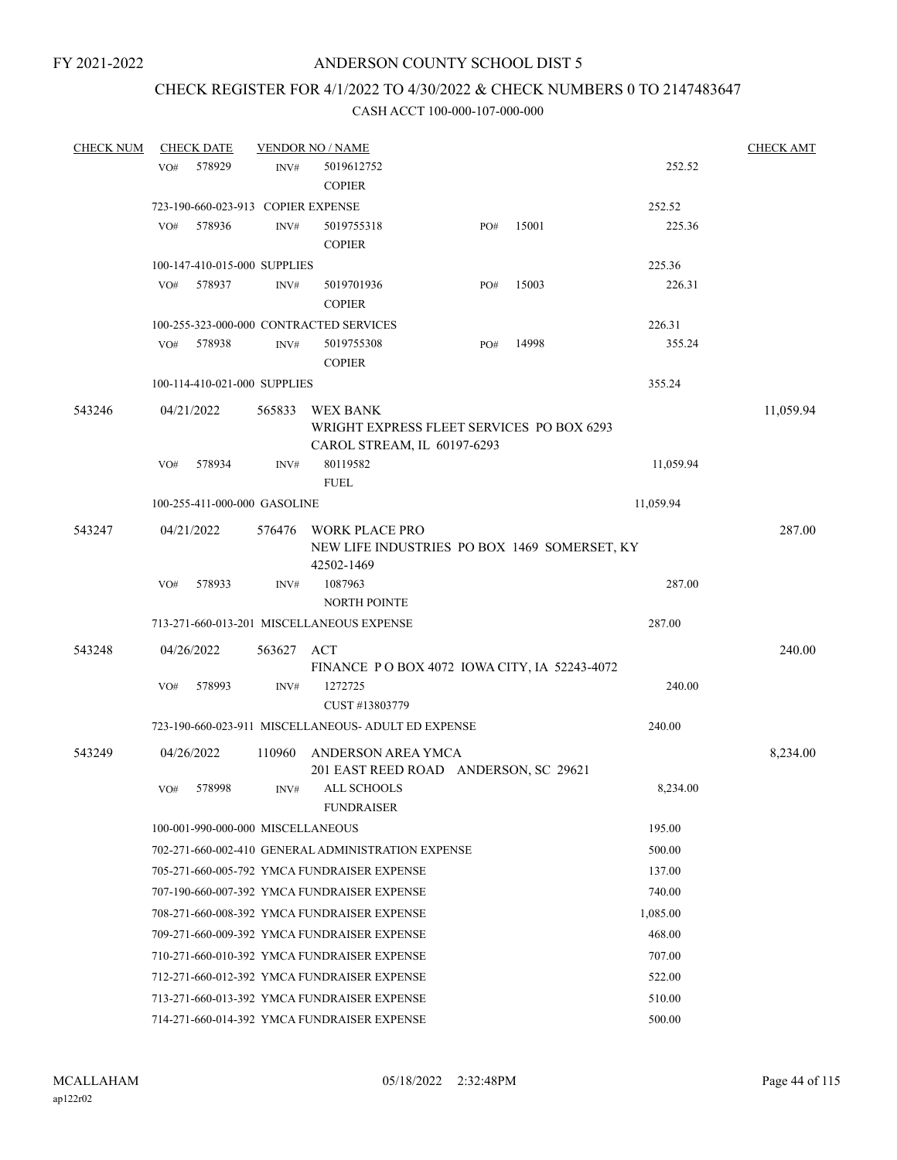# CHECK REGISTER FOR 4/1/2022 TO 4/30/2022 & CHECK NUMBERS 0 TO 2147483647

| <b>CHECK NUM</b> |     | <b>CHECK DATE</b>                  |                | <b>VENDOR NO / NAME</b>                             |     |       |           | <b>CHECK AMT</b> |
|------------------|-----|------------------------------------|----------------|-----------------------------------------------------|-----|-------|-----------|------------------|
|                  | VO# | 578929                             | INV#           | 5019612752                                          |     |       | 252.52    |                  |
|                  |     |                                    |                | <b>COPIER</b>                                       |     |       |           |                  |
|                  |     | 723-190-660-023-913 COPIER EXPENSE |                |                                                     |     |       | 252.52    |                  |
|                  | VO# | 578936                             | INV#           | 5019755318                                          | PO# | 15001 | 225.36    |                  |
|                  |     |                                    |                | <b>COPIER</b>                                       |     |       |           |                  |
|                  |     | 100-147-410-015-000 SUPPLIES       |                |                                                     |     |       | 225.36    |                  |
|                  | VO# | 578937                             | INV#           | 5019701936                                          | PO# | 15003 | 226.31    |                  |
|                  |     |                                    |                | <b>COPIER</b>                                       |     |       |           |                  |
|                  |     |                                    |                | 100-255-323-000-000 CONTRACTED SERVICES             |     |       | 226.31    |                  |
|                  | VO# | 578938                             | $\text{INV}\#$ | 5019755308                                          | PO# | 14998 | 355.24    |                  |
|                  |     |                                    |                | <b>COPIER</b>                                       |     |       |           |                  |
|                  |     | 100-114-410-021-000 SUPPLIES       |                |                                                     |     |       | 355.24    |                  |
| 543246           |     | 04/21/2022                         | 565833         | WEX BANK                                            |     |       |           | 11,059.94        |
|                  |     |                                    |                | WRIGHT EXPRESS FLEET SERVICES PO BOX 6293           |     |       |           |                  |
|                  |     |                                    |                | CAROL STREAM, IL 60197-6293                         |     |       |           |                  |
|                  | VO# | 578934                             | INV#           | 80119582                                            |     |       | 11,059.94 |                  |
|                  |     |                                    |                | <b>FUEL</b>                                         |     |       |           |                  |
|                  |     | 100-255-411-000-000 GASOLINE       |                |                                                     |     |       | 11,059.94 |                  |
| 543247           |     | 04/21/2022                         | 576476         | <b>WORK PLACE PRO</b>                               |     |       |           | 287.00           |
|                  |     |                                    |                | NEW LIFE INDUSTRIES PO BOX 1469 SOMERSET, KY        |     |       |           |                  |
|                  |     |                                    |                | 42502-1469                                          |     |       |           |                  |
|                  | VO# | 578933                             | INV#           | 1087963                                             |     |       | 287.00    |                  |
|                  |     |                                    |                | <b>NORTH POINTE</b>                                 |     |       |           |                  |
|                  |     |                                    |                | 713-271-660-013-201 MISCELLANEOUS EXPENSE           |     |       | 287.00    |                  |
| 543248           |     | 04/26/2022                         | 563627 ACT     |                                                     |     |       |           | 240.00           |
|                  |     |                                    |                | FINANCE PO BOX 4072 IOWA CITY, IA 52243-4072        |     |       |           |                  |
|                  | VO# | 578993                             | INV#           | 1272725                                             |     |       | 240.00    |                  |
|                  |     |                                    |                | CUST #13803779                                      |     |       |           |                  |
|                  |     |                                    |                | 723-190-660-023-911 MISCELLANEOUS- ADULT ED EXPENSE |     |       | 240.00    |                  |
| 543249           |     | 04/26/2022                         | 110960         | ANDERSON AREA YMCA                                  |     |       |           | 8,234.00         |
|                  |     |                                    |                | 201 EAST REED ROAD ANDERSON, SC 29621               |     |       |           |                  |
|                  | VO# | 578998                             | INV#           | ALL SCHOOLS                                         |     |       | 8,234.00  |                  |
|                  |     |                                    |                | <b>FUNDRAISER</b>                                   |     |       |           |                  |
|                  |     | 100-001-990-000-000 MISCELLANEOUS  |                |                                                     |     |       | 195.00    |                  |
|                  |     |                                    |                | 702-271-660-002-410 GENERAL ADMINISTRATION EXPENSE  |     |       | 500.00    |                  |
|                  |     |                                    |                | 705-271-660-005-792 YMCA FUNDRAISER EXPENSE         |     |       | 137.00    |                  |
|                  |     |                                    |                | 707-190-660-007-392 YMCA FUNDRAISER EXPENSE         |     |       | 740.00    |                  |
|                  |     |                                    |                | 708-271-660-008-392 YMCA FUNDRAISER EXPENSE         |     |       | 1.085.00  |                  |
|                  |     |                                    |                | 709-271-660-009-392 YMCA FUNDRAISER EXPENSE         |     |       | 468.00    |                  |
|                  |     |                                    |                | 710-271-660-010-392 YMCA FUNDRAISER EXPENSE         |     |       | 707.00    |                  |
|                  |     |                                    |                | 712-271-660-012-392 YMCA FUNDRAISER EXPENSE         |     |       | 522.00    |                  |
|                  |     |                                    |                | 713-271-660-013-392 YMCA FUNDRAISER EXPENSE         |     |       | 510.00    |                  |
|                  |     |                                    |                | 714-271-660-014-392 YMCA FUNDRAISER EXPENSE         |     |       | 500.00    |                  |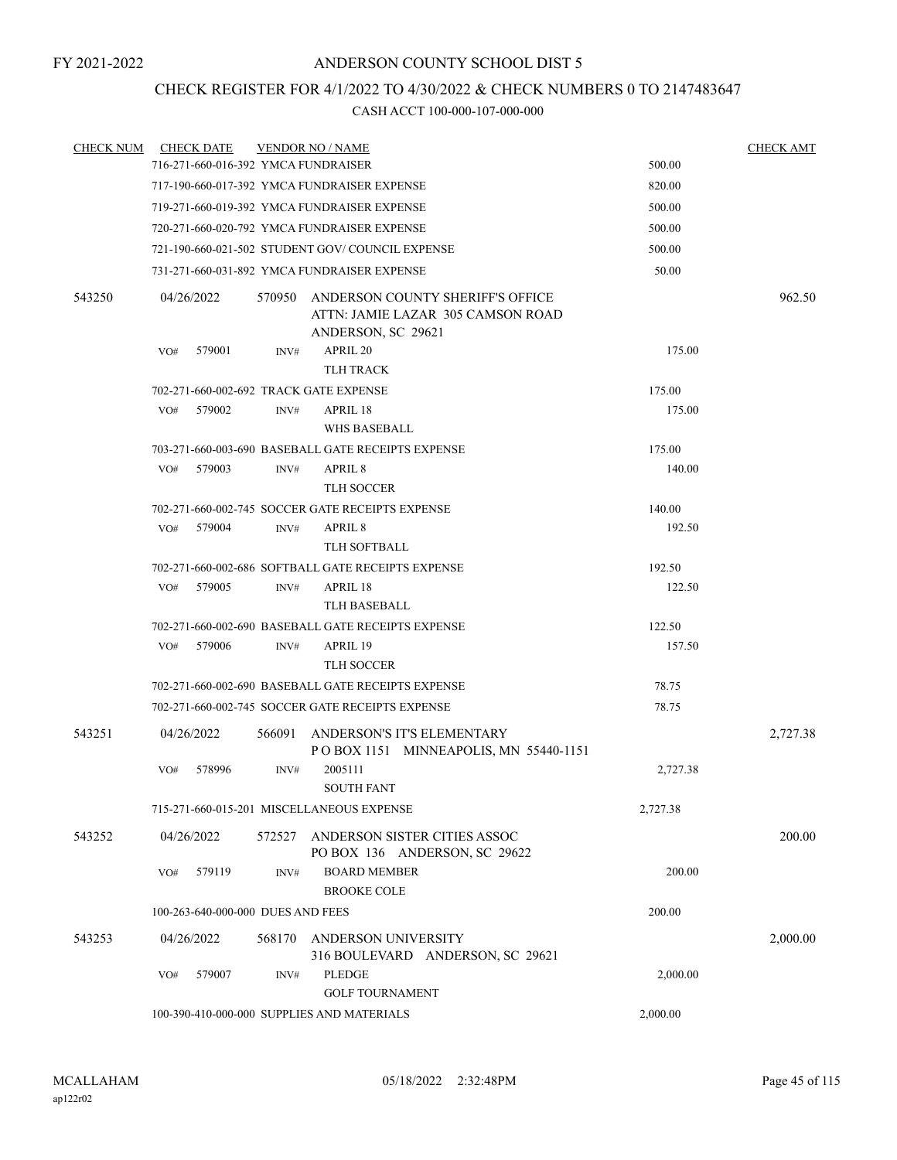# CHECK REGISTER FOR 4/1/2022 TO 4/30/2022 & CHECK NUMBERS 0 TO 2147483647

| <b>CHECK NUM</b> |     | <b>CHECK DATE</b>                 |        | <b>VENDOR NO / NAME</b>                                                                     |          | <b>CHECK AMT</b> |
|------------------|-----|-----------------------------------|--------|---------------------------------------------------------------------------------------------|----------|------------------|
|                  |     |                                   |        | 716-271-660-016-392 YMCA FUNDRAISER                                                         | 500.00   |                  |
|                  |     |                                   |        | 717-190-660-017-392 YMCA FUNDRAISER EXPENSE                                                 | 820.00   |                  |
|                  |     |                                   |        | 719-271-660-019-392 YMCA FUNDRAISER EXPENSE                                                 | 500.00   |                  |
|                  |     |                                   |        | 720-271-660-020-792 YMCA FUNDRAISER EXPENSE                                                 | 500.00   |                  |
|                  |     |                                   |        | 721-190-660-021-502 STUDENT GOV/COUNCIL EXPENSE                                             | 500.00   |                  |
|                  |     |                                   |        | 731-271-660-031-892 YMCA FUNDRAISER EXPENSE                                                 | 50.00    |                  |
| 543250           |     | 04/26/2022                        | 570950 | ANDERSON COUNTY SHERIFF'S OFFICE<br>ATTN: JAMIE LAZAR 305 CAMSON ROAD<br>ANDERSON, SC 29621 |          | 962.50           |
|                  | VO# | 579001                            | INV#   | APRIL 20<br><b>TLH TRACK</b>                                                                | 175.00   |                  |
|                  |     |                                   |        | 702-271-660-002-692 TRACK GATE EXPENSE                                                      | 175.00   |                  |
|                  | VO# | 579002                            | INV#   | APRIL 18                                                                                    | 175.00   |                  |
|                  |     |                                   |        | WHS BASEBALL                                                                                |          |                  |
|                  |     |                                   |        | 703-271-660-003-690 BASEBALL GATE RECEIPTS EXPENSE                                          | 175.00   |                  |
|                  | VO# | 579003                            | INV#   | APRIL 8                                                                                     | 140.00   |                  |
|                  |     |                                   |        | <b>TLH SOCCER</b>                                                                           |          |                  |
|                  |     |                                   |        | 702-271-660-002-745 SOCCER GATE RECEIPTS EXPENSE                                            | 140.00   |                  |
|                  | VO# | 579004                            | INV#   | APRIL <sub>8</sub>                                                                          | 192.50   |                  |
|                  |     |                                   |        | TLH SOFTBALL                                                                                |          |                  |
|                  |     |                                   |        | 702-271-660-002-686 SOFTBALL GATE RECEIPTS EXPENSE                                          | 192.50   |                  |
|                  | VO# | 579005                            | INV#   | APRIL 18                                                                                    | 122.50   |                  |
|                  |     |                                   |        | TLH BASEBALL                                                                                |          |                  |
|                  |     |                                   |        | 702-271-660-002-690 BASEBALL GATE RECEIPTS EXPENSE                                          | 122.50   |                  |
|                  | VO# | 579006                            | INV#   | APRIL 19                                                                                    | 157.50   |                  |
|                  |     |                                   |        | TLH SOCCER                                                                                  |          |                  |
|                  |     |                                   |        | 702-271-660-002-690 BASEBALL GATE RECEIPTS EXPENSE                                          | 78.75    |                  |
|                  |     |                                   |        | 702-271-660-002-745 SOCCER GATE RECEIPTS EXPENSE                                            | 78.75    |                  |
| 543251           |     | 04/26/2022                        | 566091 | ANDERSON'S IT'S ELEMENTARY<br>POBOX 1151 MINNEAPOLIS, MN 55440-1151                         |          | 2,727.38         |
|                  | VO# | 578996                            | INV#   | 2005111<br><b>SOUTH FANT</b>                                                                | 2,727.38 |                  |
|                  |     |                                   |        | 715-271-660-015-201 MISCELLANEOUS EXPENSE                                                   | 2,727.38 |                  |
| 543252           |     | 04/26/2022                        | 572527 | ANDERSON SISTER CITIES ASSOC<br>PO BOX 136 ANDERSON, SC 29622                               |          | 200.00           |
|                  | VO# | 579119                            | INV#   | <b>BOARD MEMBER</b><br><b>BROOKE COLE</b>                                                   | 200.00   |                  |
|                  |     | 100-263-640-000-000 DUES AND FEES |        |                                                                                             | 200.00   |                  |
|                  |     |                                   |        |                                                                                             |          |                  |
| 543253           |     | 04/26/2022                        | 568170 | ANDERSON UNIVERSITY<br>316 BOULEVARD ANDERSON, SC 29621                                     |          | 2,000.00         |
|                  | VO# | 579007                            | INV#   | PLEDGE                                                                                      | 2,000.00 |                  |
|                  |     |                                   |        |                                                                                             |          |                  |
|                  |     |                                   |        | 100-390-410-000-000 SUPPLIES AND MATERIALS                                                  | 2,000.00 |                  |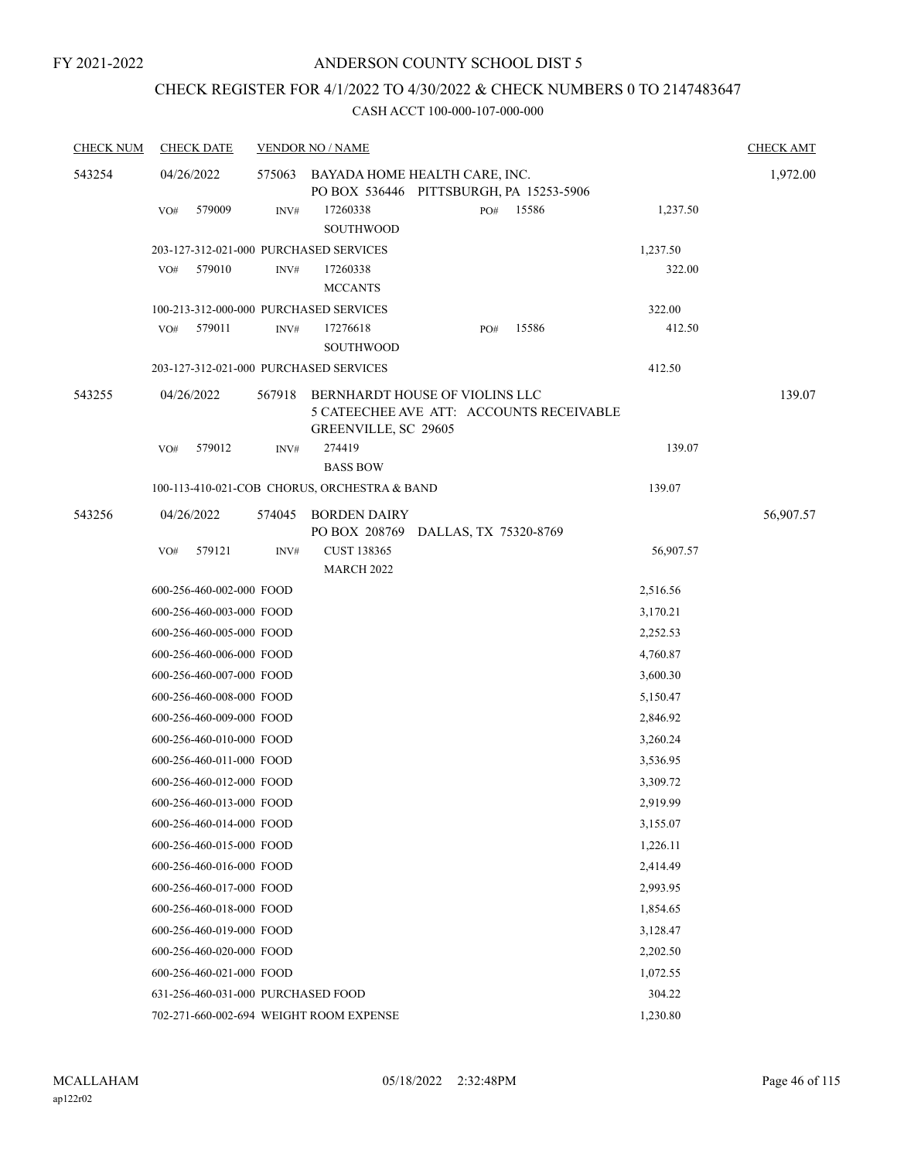# CHECK REGISTER FOR 4/1/2022 TO 4/30/2022 & CHECK NUMBERS 0 TO 2147483647

| <b>CHECK NUM</b> | <b>CHECK DATE</b>                      |        | <b>VENDOR NO / NAME</b>                                                                            |     |       |           | <b>CHECK AMT</b> |
|------------------|----------------------------------------|--------|----------------------------------------------------------------------------------------------------|-----|-------|-----------|------------------|
| 543254           | 04/26/2022                             | 575063 | BAYADA HOME HEALTH CARE, INC.<br>PO BOX 536446 PITTSBURGH, PA 15253-5906                           |     |       |           | 1,972.00         |
|                  | 579009<br>VO#                          | INV#   | 17260338<br>SOUTHWOOD                                                                              | PO# | 15586 | 1,237.50  |                  |
|                  | 203-127-312-021-000 PURCHASED SERVICES |        |                                                                                                    |     |       | 1,237.50  |                  |
|                  | 579010<br>VO#                          | INV#   | 17260338<br><b>MCCANTS</b>                                                                         |     |       | 322.00    |                  |
|                  | 100-213-312-000-000 PURCHASED SERVICES |        |                                                                                                    |     |       | 322.00    |                  |
|                  | VO#<br>579011                          | INV#   | 17276618<br>SOUTHWOOD                                                                              | PO# | 15586 | 412.50    |                  |
|                  | 203-127-312-021-000 PURCHASED SERVICES |        |                                                                                                    |     |       | 412.50    |                  |
| 543255           | 04/26/2022                             | 567918 | BERNHARDT HOUSE OF VIOLINS LLC<br>5 CATEECHEE AVE ATT: ACCOUNTS RECEIVABLE<br>GREENVILLE, SC 29605 |     |       |           | 139.07           |
|                  | 579012<br>VO#                          | INV#   | 274419<br><b>BASS BOW</b>                                                                          |     |       | 139.07    |                  |
|                  |                                        |        | 100-113-410-021-COB CHORUS, ORCHESTRA & BAND                                                       |     |       | 139.07    |                  |
| 543256           | 04/26/2022                             | 574045 | <b>BORDEN DAIRY</b><br>PO BOX 208769 DALLAS, TX 75320-8769                                         |     |       |           | 56,907.57        |
|                  | 579121<br>VO#                          | INV#   | CUST 138365<br><b>MARCH 2022</b>                                                                   |     |       | 56,907.57 |                  |
|                  | 600-256-460-002-000 FOOD               |        |                                                                                                    |     |       | 2,516.56  |                  |
|                  | 600-256-460-003-000 FOOD               |        |                                                                                                    |     |       | 3,170.21  |                  |
|                  | 600-256-460-005-000 FOOD               |        |                                                                                                    |     |       | 2,252.53  |                  |
|                  | 600-256-460-006-000 FOOD               |        |                                                                                                    |     |       | 4,760.87  |                  |
|                  | 600-256-460-007-000 FOOD               |        |                                                                                                    |     |       | 3,600.30  |                  |
|                  | 600-256-460-008-000 FOOD               |        |                                                                                                    |     |       | 5,150.47  |                  |
|                  | 600-256-460-009-000 FOOD               |        |                                                                                                    |     |       | 2,846.92  |                  |
|                  | 600-256-460-010-000 FOOD               |        |                                                                                                    |     |       | 3,260.24  |                  |
|                  | 600-256-460-011-000 FOOD               |        |                                                                                                    |     |       | 3,536.95  |                  |
|                  | 600-256-460-012-000 FOOD               |        |                                                                                                    |     |       | 3,309.72  |                  |
|                  | 600-256-460-013-000 FOOD               |        |                                                                                                    |     |       | 2,919.99  |                  |
|                  | 600-256-460-014-000 FOOD               |        |                                                                                                    |     |       | 3,155.07  |                  |
|                  | 600-256-460-015-000 FOOD               |        |                                                                                                    |     |       | 1,226.11  |                  |
|                  | 600-256-460-016-000 FOOD               |        |                                                                                                    |     |       | 2,414.49  |                  |
|                  | 600-256-460-017-000 FOOD               |        |                                                                                                    |     |       | 2,993.95  |                  |
|                  | 600-256-460-018-000 FOOD               |        |                                                                                                    |     |       | 1,854.65  |                  |
|                  | 600-256-460-019-000 FOOD               |        |                                                                                                    |     |       | 3,128.47  |                  |
|                  | 600-256-460-020-000 FOOD               |        |                                                                                                    |     |       | 2,202.50  |                  |
|                  | 600-256-460-021-000 FOOD               |        |                                                                                                    |     |       | 1,072.55  |                  |
|                  | 631-256-460-031-000 PURCHASED FOOD     |        |                                                                                                    |     |       | 304.22    |                  |
|                  |                                        |        | 702-271-660-002-694 WEIGHT ROOM EXPENSE                                                            |     |       | 1,230.80  |                  |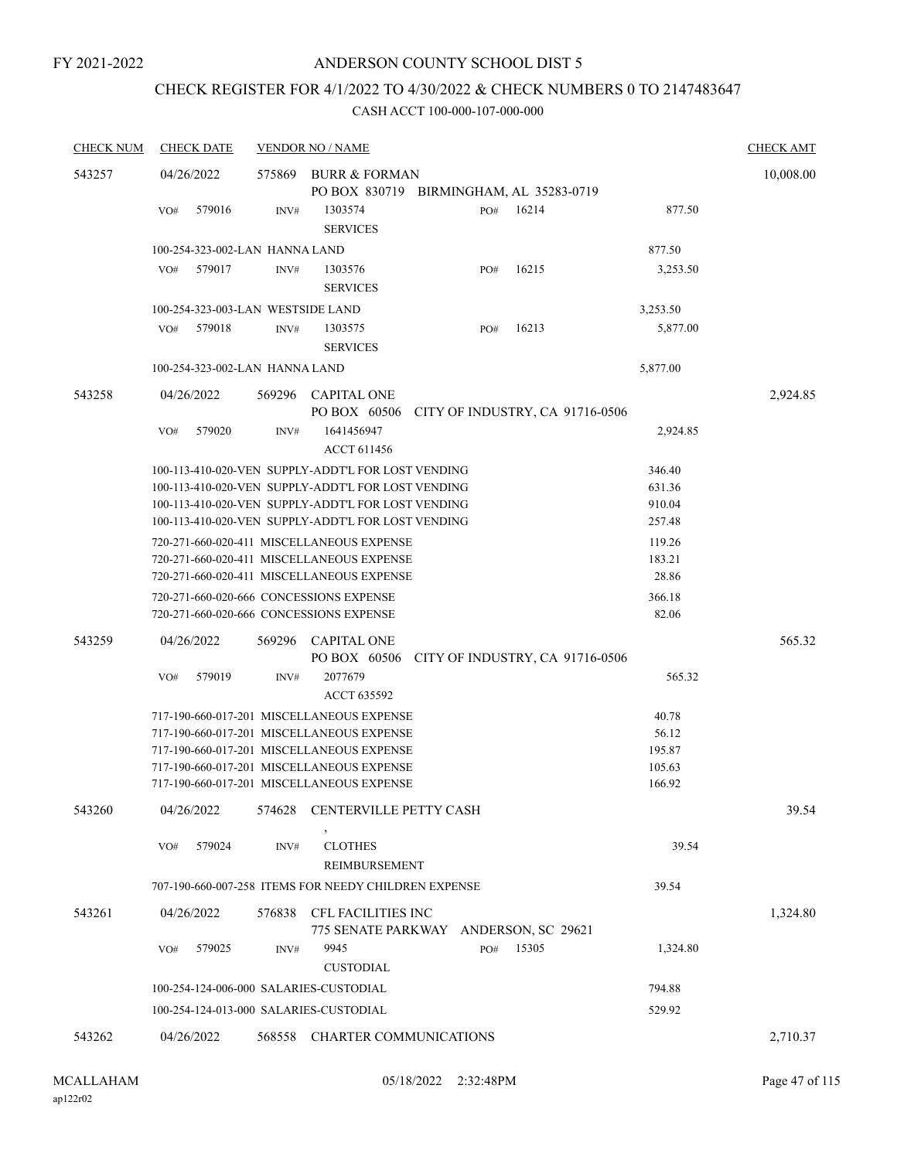# CHECK REGISTER FOR 4/1/2022 TO 4/30/2022 & CHECK NUMBERS 0 TO 2147483647

| <b>CHECK NUM</b> | <b>CHECK DATE</b>                       |        | <b>VENDOR NO / NAME</b>                                                                                  |     |                                 |                  | <b>CHECK AMT</b> |
|------------------|-----------------------------------------|--------|----------------------------------------------------------------------------------------------------------|-----|---------------------------------|------------------|------------------|
| 543257           | 04/26/2022                              | 575869 | BURR & FORMAN                                                                                            |     |                                 |                  | 10,008.00        |
|                  | 579016<br>VO#                           | INV#   | PO BOX 830719 BIRMINGHAM, AL 35283-0719<br>1303574                                                       | PO# | 16214                           | 877.50           |                  |
|                  |                                         |        | <b>SERVICES</b>                                                                                          |     |                                 |                  |                  |
|                  | 100-254-323-002-LAN HANNA LAND          |        |                                                                                                          |     |                                 | 877.50           |                  |
|                  | 579017<br>VO#                           | INV#   | 1303576<br><b>SERVICES</b>                                                                               | PO# | 16215                           | 3,253.50         |                  |
|                  | 100-254-323-003-LAN WESTSIDE LAND       |        |                                                                                                          |     |                                 | 3,253.50         |                  |
|                  | 579018<br>VO#                           | INV#   | 1303575<br><b>SERVICES</b>                                                                               | PO# | 16213                           | 5,877.00         |                  |
|                  | 100-254-323-002-LAN HANNA LAND          |        |                                                                                                          |     |                                 | 5,877.00         |                  |
| 543258           | 04/26/2022                              |        | 569296 CAPITAL ONE<br>PO BOX 60506                                                                       |     | CITY OF INDUSTRY, CA 91716-0506 |                  | 2,924.85         |
|                  | 579020<br>VO#                           | INV#   | 1641456947                                                                                               |     |                                 | 2,924.85         |                  |
|                  |                                         |        | <b>ACCT 611456</b>                                                                                       |     |                                 |                  |                  |
|                  |                                         |        | 100-113-410-020-VEN SUPPLY-ADDT'L FOR LOST VENDING                                                       |     |                                 | 346.40           |                  |
|                  |                                         |        | 100-113-410-020-VEN SUPPLY-ADDT'L FOR LOST VENDING                                                       |     |                                 | 631.36           |                  |
|                  |                                         |        | 100-113-410-020-VEN SUPPLY-ADDT'L FOR LOST VENDING<br>100-113-410-020-VEN SUPPLY-ADDT'L FOR LOST VENDING |     |                                 | 910.04<br>257.48 |                  |
|                  |                                         |        | 720-271-660-020-411 MISCELLANEOUS EXPENSE                                                                |     |                                 | 119.26           |                  |
|                  |                                         |        | 720-271-660-020-411 MISCELLANEOUS EXPENSE                                                                |     |                                 | 183.21           |                  |
|                  |                                         |        | 720-271-660-020-411 MISCELLANEOUS EXPENSE                                                                |     |                                 | 28.86            |                  |
|                  | 720-271-660-020-666 CONCESSIONS EXPENSE |        |                                                                                                          |     |                                 | 366.18           |                  |
|                  | 720-271-660-020-666 CONCESSIONS EXPENSE |        |                                                                                                          |     |                                 | 82.06            |                  |
| 543259           | 04/26/2022                              | 569296 | CAPITAL ONE                                                                                              |     |                                 |                  | 565.32           |
|                  |                                         |        | PO BOX 60506                                                                                             |     | CITY OF INDUSTRY, CA 91716-0506 |                  |                  |
|                  | 579019<br>VO#                           | INV#   | 2077679<br><b>ACCT 635592</b>                                                                            |     |                                 | 565.32           |                  |
|                  |                                         |        | 717-190-660-017-201 MISCELLANEOUS EXPENSE                                                                |     |                                 | 40.78            |                  |
|                  |                                         |        | 717-190-660-017-201 MISCELLANEOUS EXPENSE                                                                |     |                                 | 56.12            |                  |
|                  |                                         |        | 717-190-660-017-201 MISCELLANEOUS EXPENSE                                                                |     |                                 | 195.87           |                  |
|                  |                                         |        | 717-190-660-017-201 MISCELLANEOUS EXPENSE<br>717-190-660-017-201 MISCELLANEOUS EXPENSE                   |     |                                 | 105.63<br>166.92 |                  |
|                  |                                         |        |                                                                                                          |     |                                 |                  |                  |
| 543260           | 04/26/2022                              | 574628 | CENTERVILLE PETTY CASH                                                                                   |     |                                 |                  | 39.54            |
|                  | 579024<br>VO#                           | INV#   | <b>CLOTHES</b><br><b>REIMBURSEMENT</b>                                                                   |     |                                 | 39.54            |                  |
|                  |                                         |        | 707-190-660-007-258 ITEMS FOR NEEDY CHILDREN EXPENSE                                                     |     |                                 | 39.54            |                  |
| 543261           | 04/26/2022                              |        | 576838 CFL FACILITIES INC<br>775 SENATE PARKWAY ANDERSON, SC 29621                                       |     |                                 |                  | 1,324.80         |
|                  | 579025<br>VO#                           | INV#   | 9945<br><b>CUSTODIAL</b>                                                                                 | PO# | 15305                           | 1,324.80         |                  |
|                  | 100-254-124-006-000 SALARIES-CUSTODIAL  |        |                                                                                                          |     |                                 | 794.88           |                  |
|                  | 100-254-124-013-000 SALARIES-CUSTODIAL  |        |                                                                                                          |     |                                 | 529.92           |                  |
| 543262           | 04/26/2022                              |        | 568558 CHARTER COMMUNICATIONS                                                                            |     |                                 |                  | 2,710.37         |
|                  |                                         |        |                                                                                                          |     |                                 |                  |                  |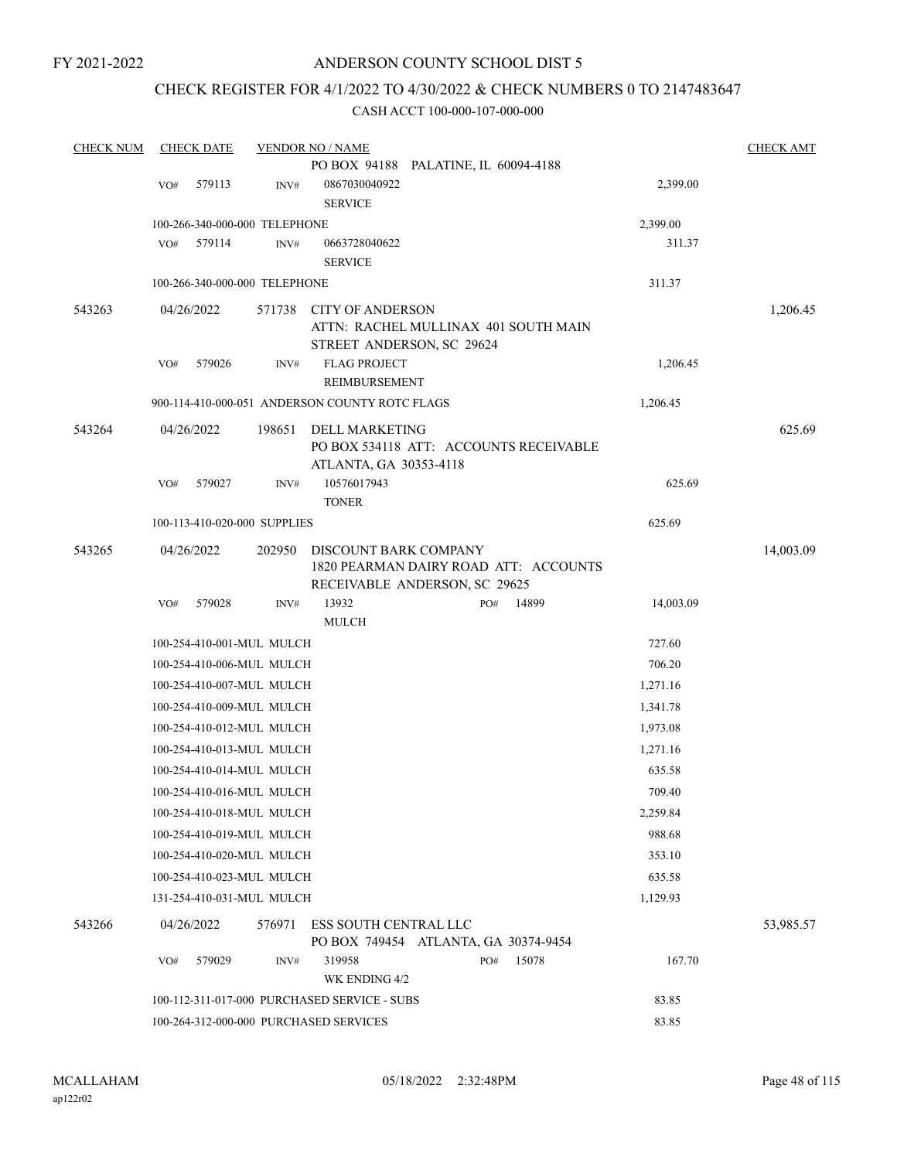# CHECK REGISTER FOR 4/1/2022 TO 4/30/2022 & CHECK NUMBERS 0 TO 2147483647

| <b>CHECK NUM</b> |     | <b>CHECK DATE</b> |                                        | <b>VENDOR NO / NAME</b>                                       |       |                                        |           | <b>CHECK AMT</b> |
|------------------|-----|-------------------|----------------------------------------|---------------------------------------------------------------|-------|----------------------------------------|-----------|------------------|
|                  |     |                   |                                        | PO BOX 94188 PALATINE, IL 60094-4188                          |       |                                        |           |                  |
|                  | VO# | 579113            | INV#                                   | 0867030040922                                                 |       |                                        | 2,399.00  |                  |
|                  |     |                   |                                        | <b>SERVICE</b>                                                |       |                                        |           |                  |
|                  |     |                   | 100-266-340-000-000 TELEPHONE          |                                                               |       |                                        | 2,399.00  |                  |
|                  | VO# | 579114            | INV#                                   | 0663728040622                                                 |       |                                        | 311.37    |                  |
|                  |     |                   |                                        | <b>SERVICE</b>                                                |       |                                        |           |                  |
|                  |     |                   | 100-266-340-000-000 TELEPHONE          |                                                               |       |                                        | 311.37    |                  |
| 543263           |     | 04/26/2022        | 571738                                 | <b>CITY OF ANDERSON</b><br>STREET ANDERSON, SC 29624          |       | ATTN: RACHEL MULLINAX 401 SOUTH MAIN   |           | 1,206.45         |
|                  | VO# | 579026            | INV#                                   | <b>FLAG PROJECT</b>                                           |       |                                        | 1,206.45  |                  |
|                  |     |                   |                                        | REIMBURSEMENT                                                 |       |                                        |           |                  |
|                  |     |                   |                                        | 900-114-410-000-051 ANDERSON COUNTY ROTC FLAGS                |       |                                        | 1,206.45  |                  |
| 543264           |     | 04/26/2022        | 198651                                 | <b>DELL MARKETING</b><br>ATLANTA, GA 30353-4118               |       | PO BOX 534118 ATT: ACCOUNTS RECEIVABLE |           | 625.69           |
|                  | VO# | 579027            | INV#                                   | 10576017943<br><b>TONER</b>                                   |       |                                        | 625.69    |                  |
|                  |     |                   | 100-113-410-020-000 SUPPLIES           |                                                               |       |                                        | 625.69    |                  |
| 543265           |     | 04/26/2022        | 202950                                 | DISCOUNT BARK COMPANY<br>RECEIVABLE ANDERSON, SC 29625        |       | 1820 PEARMAN DAIRY ROAD ATT: ACCOUNTS  |           | 14,003.09        |
|                  | VO# | 579028            | INV#                                   | 13932                                                         |       | 14899<br>PO#                           | 14,003.09 |                  |
|                  |     |                   |                                        | <b>MULCH</b>                                                  |       |                                        |           |                  |
|                  |     |                   | 100-254-410-001-MUL MULCH              |                                                               |       |                                        | 727.60    |                  |
|                  |     |                   | 100-254-410-006-MUL MULCH              |                                                               |       |                                        | 706.20    |                  |
|                  |     |                   | 100-254-410-007-MUL MULCH              |                                                               |       |                                        | 1,271.16  |                  |
|                  |     |                   | 100-254-410-009-MUL MULCH              |                                                               |       |                                        | 1,341.78  |                  |
|                  |     |                   | 100-254-410-012-MUL MULCH              |                                                               |       |                                        | 1,973.08  |                  |
|                  |     |                   | 100-254-410-013-MUL MULCH              |                                                               |       |                                        | 1,271.16  |                  |
|                  |     |                   | 100-254-410-014-MUL MULCH              |                                                               |       |                                        | 635.58    |                  |
|                  |     |                   | 100-254-410-016-MUL MULCH              |                                                               |       |                                        | 709.40    |                  |
|                  |     |                   | 100-254-410-018-MUL MULCH              |                                                               |       |                                        | 2,259.84  |                  |
|                  |     |                   | 100-254-410-019-MUL MULCH              |                                                               |       |                                        | 988.68    |                  |
|                  |     |                   |                                        |                                                               |       |                                        |           |                  |
|                  |     |                   | 100-254-410-020-MUL MULCH              |                                                               |       |                                        | 353.10    |                  |
|                  |     |                   | 100-254-410-023-MUL MULCH              |                                                               |       |                                        | 635.58    |                  |
|                  |     |                   | 131-254-410-031-MUL MULCH              |                                                               |       |                                        | 1,129.93  |                  |
| 543266           |     | 04/26/2022        | 576971                                 | ESS SOUTH CENTRAL LLC<br>PO BOX 749454 ATLANTA, GA 30374-9454 |       |                                        |           | 53,985.57        |
|                  | VO# | 579029            | INV#                                   | 319958                                                        |       | 15078<br>PO#                           | 167.70    |                  |
|                  |     |                   |                                        | WK ENDING 4/2                                                 |       |                                        |           |                  |
|                  |     |                   |                                        | 100-112-311-017-000 PURCHASED SERVICE - SUBS                  |       |                                        | 83.85     |                  |
|                  |     |                   | 100-264-312-000-000 PURCHASED SERVICES |                                                               | 83.85 |                                        |           |                  |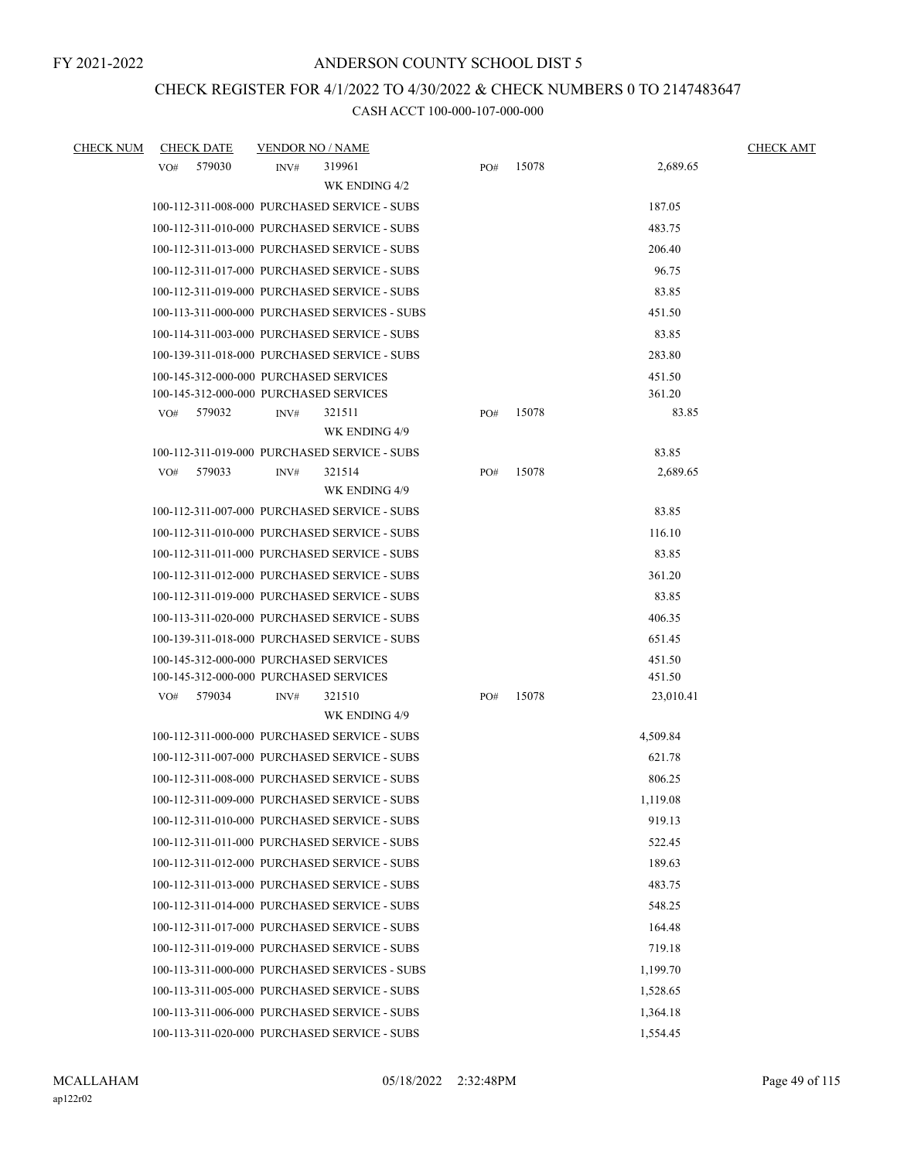# CHECK REGISTER FOR 4/1/2022 TO 4/30/2022 & CHECK NUMBERS 0 TO 2147483647

| <b>CHECK NUM</b> | <b>CHECK DATE</b> |        | <b>VENDOR NO / NAME</b>                |                                               |     |       |           | <b>CHECK AMT</b> |
|------------------|-------------------|--------|----------------------------------------|-----------------------------------------------|-----|-------|-----------|------------------|
|                  | VO#               | 579030 | INV#                                   | 319961<br>WK ENDING 4/2                       | PO# | 15078 | 2,689.65  |                  |
|                  |                   |        |                                        | 100-112-311-008-000 PURCHASED SERVICE - SUBS  |     |       | 187.05    |                  |
|                  |                   |        |                                        | 100-112-311-010-000 PURCHASED SERVICE - SUBS  |     |       | 483.75    |                  |
|                  |                   |        |                                        | 100-112-311-013-000 PURCHASED SERVICE - SUBS  |     |       | 206.40    |                  |
|                  |                   |        |                                        | 100-112-311-017-000 PURCHASED SERVICE - SUBS  |     |       | 96.75     |                  |
|                  |                   |        |                                        | 100-112-311-019-000 PURCHASED SERVICE - SUBS  |     |       | 83.85     |                  |
|                  |                   |        |                                        | 100-113-311-000-000 PURCHASED SERVICES - SUBS |     |       | 451.50    |                  |
|                  |                   |        |                                        | 100-114-311-003-000 PURCHASED SERVICE - SUBS  |     |       | 83.85     |                  |
|                  |                   |        |                                        | 100-139-311-018-000 PURCHASED SERVICE - SUBS  |     |       | 283.80    |                  |
|                  |                   |        | 100-145-312-000-000 PURCHASED SERVICES |                                               |     |       | 451.50    |                  |
|                  |                   |        | 100-145-312-000-000 PURCHASED SERVICES |                                               |     |       | 361.20    |                  |
|                  | VO#               | 579032 | INV#                                   | 321511                                        | PO# | 15078 | 83.85     |                  |
|                  |                   |        |                                        | WK ENDING 4/9                                 |     |       |           |                  |
|                  |                   |        |                                        | 100-112-311-019-000 PURCHASED SERVICE - SUBS  |     |       | 83.85     |                  |
|                  | VO#               | 579033 | INV#                                   | 321514                                        | PO# | 15078 | 2,689.65  |                  |
|                  |                   |        |                                        | WK ENDING 4/9                                 |     |       |           |                  |
|                  |                   |        |                                        | 100-112-311-007-000 PURCHASED SERVICE - SUBS  |     |       | 83.85     |                  |
|                  |                   |        |                                        | 100-112-311-010-000 PURCHASED SERVICE - SUBS  |     |       | 116.10    |                  |
|                  |                   |        |                                        | 100-112-311-011-000 PURCHASED SERVICE - SUBS  |     |       | 83.85     |                  |
|                  |                   |        |                                        | 100-112-311-012-000 PURCHASED SERVICE - SUBS  |     |       | 361.20    |                  |
|                  |                   |        |                                        | 100-112-311-019-000 PURCHASED SERVICE - SUBS  |     |       | 83.85     |                  |
|                  |                   |        |                                        | 100-113-311-020-000 PURCHASED SERVICE - SUBS  |     |       | 406.35    |                  |
|                  |                   |        |                                        | 100-139-311-018-000 PURCHASED SERVICE - SUBS  |     |       | 651.45    |                  |
|                  |                   |        | 100-145-312-000-000 PURCHASED SERVICES |                                               |     |       | 451.50    |                  |
|                  |                   |        | 100-145-312-000-000 PURCHASED SERVICES |                                               |     |       | 451.50    |                  |
|                  | VO#               | 579034 | INV#                                   | 321510<br>WK ENDING 4/9                       | PO# | 15078 | 23,010.41 |                  |
|                  |                   |        |                                        | 100-112-311-000-000 PURCHASED SERVICE - SUBS  |     |       | 4,509.84  |                  |
|                  |                   |        |                                        | 100-112-311-007-000 PURCHASED SERVICE - SUBS  |     |       | 621.78    |                  |
|                  |                   |        |                                        | 100-112-311-008-000 PURCHASED SERVICE - SUBS  |     |       | 806.25    |                  |
|                  |                   |        |                                        | 100-112-311-009-000 PURCHASED SERVICE - SUBS  |     |       | 1,119.08  |                  |
|                  |                   |        |                                        | 100-112-311-010-000 PURCHASED SERVICE - SUBS  |     |       | 919.13    |                  |
|                  |                   |        |                                        | 100-112-311-011-000 PURCHASED SERVICE - SUBS  |     |       | 522.45    |                  |
|                  |                   |        |                                        | 100-112-311-012-000 PURCHASED SERVICE - SUBS  |     |       | 189.63    |                  |
|                  |                   |        |                                        | 100-112-311-013-000 PURCHASED SERVICE - SUBS  |     |       | 483.75    |                  |
|                  |                   |        |                                        | 100-112-311-014-000 PURCHASED SERVICE - SUBS  |     |       | 548.25    |                  |
|                  |                   |        |                                        | 100-112-311-017-000 PURCHASED SERVICE - SUBS  |     |       | 164.48    |                  |
|                  |                   |        |                                        | 100-112-311-019-000 PURCHASED SERVICE - SUBS  |     |       | 719.18    |                  |
|                  |                   |        |                                        | 100-113-311-000-000 PURCHASED SERVICES - SUBS |     |       | 1,199.70  |                  |
|                  |                   |        |                                        | 100-113-311-005-000 PURCHASED SERVICE - SUBS  |     |       | 1,528.65  |                  |
|                  |                   |        |                                        | 100-113-311-006-000 PURCHASED SERVICE - SUBS  |     |       | 1,364.18  |                  |
|                  |                   |        |                                        | 100-113-311-020-000 PURCHASED SERVICE - SUBS  |     |       | 1,554.45  |                  |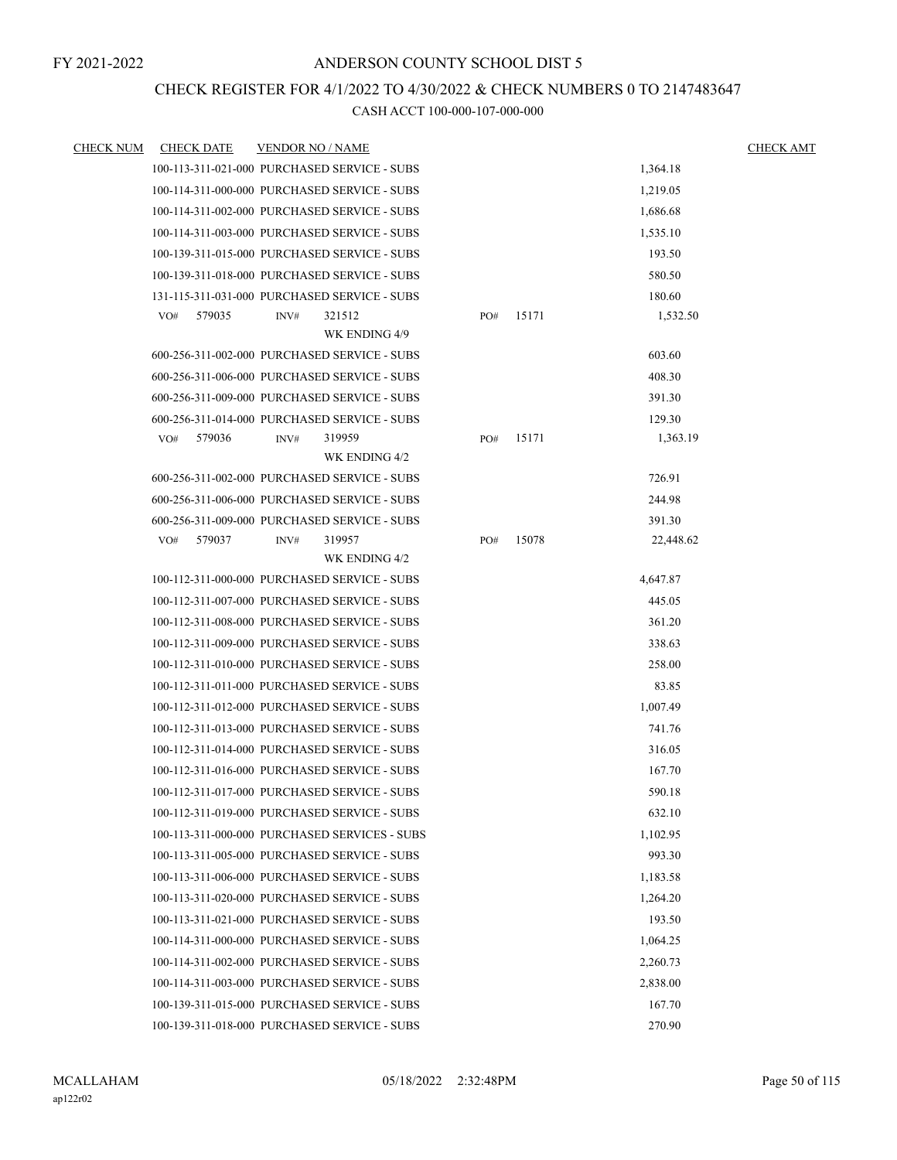# CHECK REGISTER FOR 4/1/2022 TO 4/30/2022 & CHECK NUMBERS 0 TO 2147483647

| <b>CHECK NUM</b> | <b>CHECK DATE</b> | <b>VENDOR NO / NAME</b>                                                                      |     |       |                  | <b>CHECK AMT</b> |
|------------------|-------------------|----------------------------------------------------------------------------------------------|-----|-------|------------------|------------------|
|                  |                   | 100-113-311-021-000 PURCHASED SERVICE - SUBS                                                 |     |       | 1,364.18         |                  |
|                  |                   | 100-114-311-000-000 PURCHASED SERVICE - SUBS                                                 |     |       | 1,219.05         |                  |
|                  |                   | 100-114-311-002-000 PURCHASED SERVICE - SUBS                                                 |     |       | 1,686.68         |                  |
|                  |                   | 100-114-311-003-000 PURCHASED SERVICE - SUBS                                                 |     |       | 1,535.10         |                  |
|                  |                   | 100-139-311-015-000 PURCHASED SERVICE - SUBS                                                 |     |       | 193.50           |                  |
|                  |                   | 100-139-311-018-000 PURCHASED SERVICE - SUBS                                                 |     |       | 580.50           |                  |
|                  |                   | 131-115-311-031-000 PURCHASED SERVICE - SUBS                                                 |     |       | 180.60           |                  |
|                  | VO#<br>579035     | 321512<br>INV#                                                                               | PO# | 15171 | 1,532.50         |                  |
|                  |                   | WK ENDING 4/9                                                                                |     |       |                  |                  |
|                  |                   | 600-256-311-002-000 PURCHASED SERVICE - SUBS                                                 |     |       | 603.60           |                  |
|                  |                   | 600-256-311-006-000 PURCHASED SERVICE - SUBS                                                 |     |       | 408.30           |                  |
|                  |                   | 600-256-311-009-000 PURCHASED SERVICE - SUBS                                                 |     |       | 391.30           |                  |
|                  |                   | 600-256-311-014-000 PURCHASED SERVICE - SUBS                                                 |     |       | 129.30           |                  |
|                  | 579036<br>VO#     | 319959<br>INV#                                                                               | PO# | 15171 | 1,363.19         |                  |
|                  |                   | WK ENDING 4/2<br>600-256-311-002-000 PURCHASED SERVICE - SUBS                                |     |       | 726.91           |                  |
|                  |                   |                                                                                              |     |       |                  |                  |
|                  |                   | 600-256-311-006-000 PURCHASED SERVICE - SUBS<br>600-256-311-009-000 PURCHASED SERVICE - SUBS |     |       | 244.98<br>391.30 |                  |
|                  | VO#<br>579037     | 319957<br>INV#                                                                               | PO# | 15078 | 22,448.62        |                  |
|                  |                   | WK ENDING 4/2                                                                                |     |       |                  |                  |
|                  |                   | 100-112-311-000-000 PURCHASED SERVICE - SUBS                                                 |     |       | 4,647.87         |                  |
|                  |                   | 100-112-311-007-000 PURCHASED SERVICE - SUBS                                                 |     |       | 445.05           |                  |
|                  |                   | 100-112-311-008-000 PURCHASED SERVICE - SUBS                                                 |     |       | 361.20           |                  |
|                  |                   | 100-112-311-009-000 PURCHASED SERVICE - SUBS                                                 |     |       | 338.63           |                  |
|                  |                   | 100-112-311-010-000 PURCHASED SERVICE - SUBS                                                 |     |       | 258.00           |                  |
|                  |                   | 100-112-311-011-000 PURCHASED SERVICE - SUBS                                                 |     |       | 83.85            |                  |
|                  |                   | 100-112-311-012-000 PURCHASED SERVICE - SUBS                                                 |     |       | 1.007.49         |                  |
|                  |                   | 100-112-311-013-000 PURCHASED SERVICE - SUBS                                                 |     |       | 741.76           |                  |
|                  |                   | 100-112-311-014-000 PURCHASED SERVICE - SUBS                                                 |     |       | 316.05           |                  |
|                  |                   | 100-112-311-016-000 PURCHASED SERVICE - SUBS                                                 |     |       | 167.70           |                  |
|                  |                   | 100-112-311-017-000 PURCHASED SERVICE - SUBS                                                 |     |       | 590.18           |                  |
|                  |                   | 100-112-311-019-000 PURCHASED SERVICE - SUBS                                                 |     |       | 632.10           |                  |
|                  |                   | 100-113-311-000-000 PURCHASED SERVICES - SUBS                                                |     |       | 1,102.95         |                  |
|                  |                   | 100-113-311-005-000 PURCHASED SERVICE - SUBS                                                 |     |       | 993.30           |                  |
|                  |                   | 100-113-311-006-000 PURCHASED SERVICE - SUBS                                                 |     |       | 1,183.58         |                  |
|                  |                   | 100-113-311-020-000 PURCHASED SERVICE - SUBS                                                 |     |       | 1.264.20         |                  |
|                  |                   | 100-113-311-021-000 PURCHASED SERVICE - SUBS                                                 |     |       | 193.50           |                  |
|                  |                   | 100-114-311-000-000 PURCHASED SERVICE - SUBS                                                 |     |       | 1,064.25         |                  |
|                  |                   | 100-114-311-002-000 PURCHASED SERVICE - SUBS                                                 |     |       | 2,260.73         |                  |
|                  |                   | 100-114-311-003-000 PURCHASED SERVICE - SUBS                                                 |     |       | 2,838.00         |                  |
|                  |                   | 100-139-311-015-000 PURCHASED SERVICE - SUBS                                                 |     |       | 167.70           |                  |
|                  |                   | 100-139-311-018-000 PURCHASED SERVICE - SUBS                                                 |     |       | 270.90           |                  |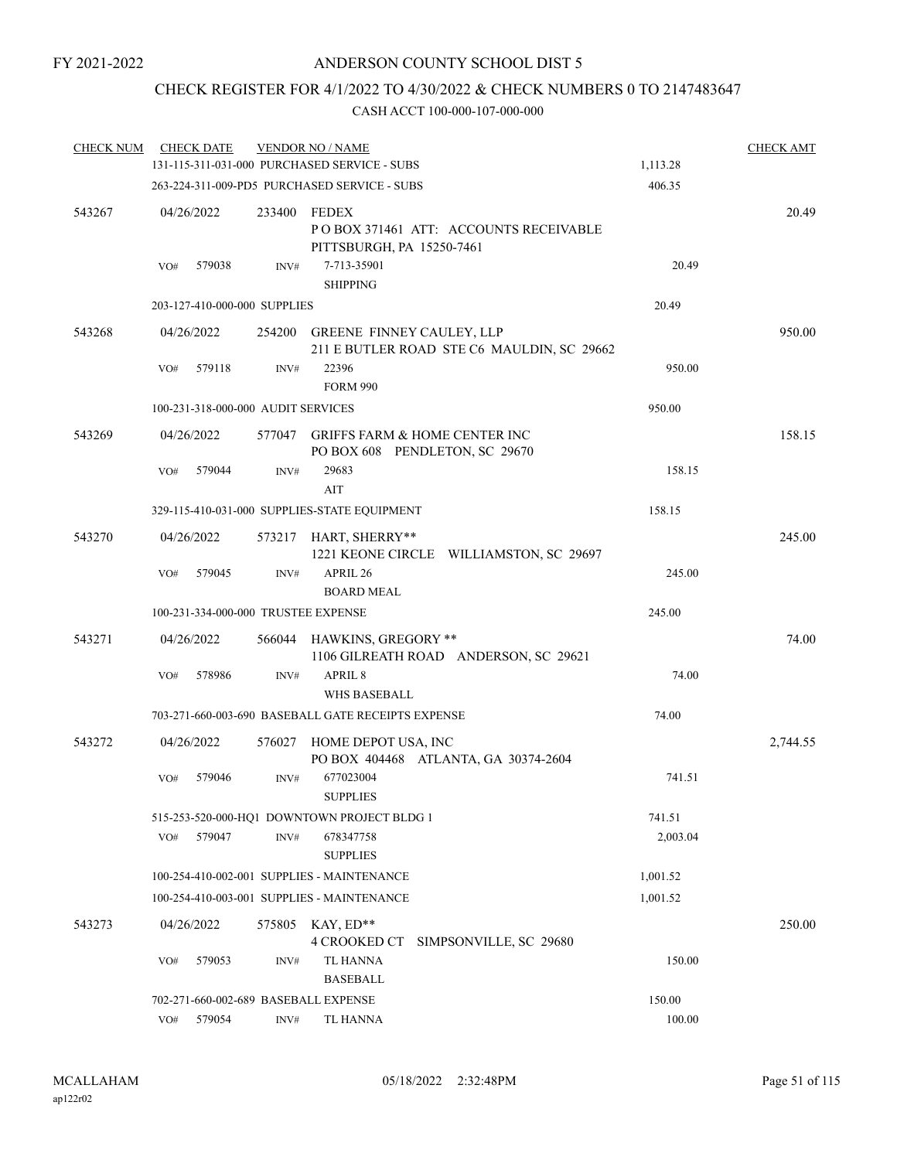# CHECK REGISTER FOR 4/1/2022 TO 4/30/2022 & CHECK NUMBERS 0 TO 2147483647

| <b>CHECK NUM</b> |     | <b>CHECK DATE</b> |                                    | <b>VENDOR NO / NAME</b>                                                      |          | <b>CHECK AMT</b> |
|------------------|-----|-------------------|------------------------------------|------------------------------------------------------------------------------|----------|------------------|
|                  |     |                   |                                    | 131-115-311-031-000 PURCHASED SERVICE - SUBS                                 | 1,113.28 |                  |
|                  |     |                   |                                    | 263-224-311-009-PD5 PURCHASED SERVICE - SUBS                                 | 406.35   |                  |
| 543267           |     | 04/26/2022        | 233400                             | FEDEX<br>PO BOX 371461 ATT: ACCOUNTS RECEIVABLE<br>PITTSBURGH, PA 15250-7461 |          | 20.49            |
|                  | VO# | 579038            | INV#                               | 7-713-35901<br><b>SHIPPING</b>                                               | 20.49    |                  |
|                  |     |                   | 203-127-410-000-000 SUPPLIES       |                                                                              | 20.49    |                  |
| 543268           |     | 04/26/2022        | 254200                             | GREENE FINNEY CAULEY, LLP<br>211 E BUTLER ROAD STE C6 MAULDIN, SC 29662      |          | 950.00           |
|                  | VO# | 579118            | INV#                               | 22396<br><b>FORM 990</b>                                                     | 950.00   |                  |
|                  |     |                   | 100-231-318-000-000 AUDIT SERVICES |                                                                              | 950.00   |                  |
| 543269           |     | 04/26/2022        | 577047                             | <b>GRIFFS FARM &amp; HOME CENTER INC</b><br>PO BOX 608 PENDLETON, SC 29670   |          | 158.15           |
|                  | VO# | 579044            | INV#                               | 29683                                                                        | 158.15   |                  |
|                  |     |                   |                                    | AIT                                                                          |          |                  |
|                  |     |                   |                                    | 329-115-410-031-000 SUPPLIES-STATE EQUIPMENT                                 | 158.15   |                  |
| 543270           |     | 04/26/2022        | 573217                             | HART, SHERRY**<br>1221 KEONE CIRCLE WILLIAMSTON, SC 29697                    |          | 245.00           |
|                  | VO# | 579045            | INV#                               | APRIL 26<br><b>BOARD MEAL</b>                                                | 245.00   |                  |
|                  |     |                   |                                    | 100-231-334-000-000 TRUSTEE EXPENSE                                          | 245.00   |                  |
| 543271           |     | 04/26/2022        | 566044                             | HAWKINS, GREGORY **<br>1106 GILREATH ROAD ANDERSON, SC 29621                 |          | 74.00            |
|                  | VO# | 578986            | INV#                               | APRIL 8<br><b>WHS BASEBALL</b>                                               | 74.00    |                  |
|                  |     |                   |                                    | 703-271-660-003-690 BASEBALL GATE RECEIPTS EXPENSE                           | 74.00    |                  |
| 543272           |     | 04/26/2022        | 576027                             | HOME DEPOT USA, INC<br>PO BOX 404468 ATLANTA, GA 30374-2604                  |          | 2,744.55         |
|                  | VO# | 579046            | INV#                               | 677023004<br><b>SUPPLIES</b>                                                 | 741.51   |                  |
|                  |     |                   |                                    | 515-253-520-000-HO1 DOWNTOWN PROJECT BLDG 1                                  | 741.51   |                  |
|                  | VO# | 579047            | INV#                               | 678347758<br><b>SUPPLIES</b>                                                 | 2,003.04 |                  |
|                  |     |                   |                                    | 100-254-410-002-001 SUPPLIES - MAINTENANCE                                   | 1,001.52 |                  |
|                  |     |                   |                                    | 100-254-410-003-001 SUPPLIES - MAINTENANCE                                   | 1,001.52 |                  |
| 543273           |     | 04/26/2022        |                                    | 575805 KAY, ED**<br>4 CROOKED CT<br>SIMPSONVILLE, SC 29680                   |          | 250.00           |
|                  | VO# | 579053            | INV#                               | <b>TL HANNA</b><br><b>BASEBALL</b>                                           | 150.00   |                  |
|                  |     |                   |                                    | 702-271-660-002-689 BASEBALL EXPENSE                                         | 150.00   |                  |
|                  | VO# | 579054            | INV#                               | TL HANNA                                                                     | 100.00   |                  |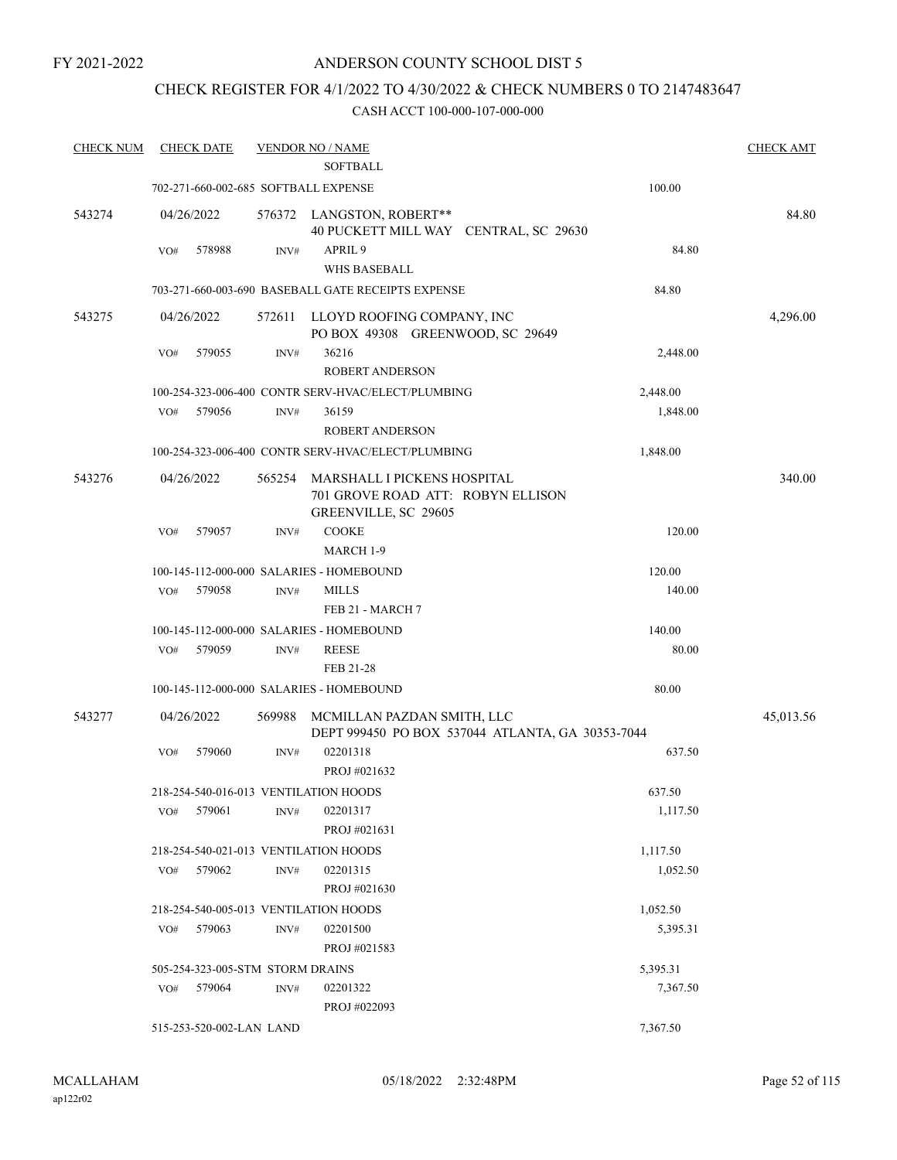FY 2021-2022

# ANDERSON COUNTY SCHOOL DIST 5

# CHECK REGISTER FOR 4/1/2022 TO 4/30/2022 & CHECK NUMBERS 0 TO 2147483647

| <b>CHECK NUM</b> | <b>CHECK DATE</b>                     |                  | <b>VENDOR NO / NAME</b><br><b>SOFTBALL</b>                                               |                                                  | <b>CHECK AMT</b> |
|------------------|---------------------------------------|------------------|------------------------------------------------------------------------------------------|--------------------------------------------------|------------------|
|                  | 702-271-660-002-685 SOFTBALL EXPENSE  |                  |                                                                                          | 100.00                                           |                  |
| 543274           | 04/26/2022                            |                  | 576372 LANGSTON, ROBERT**<br>40 PUCKETT MILL WAY CENTRAL, SC 29630                       |                                                  | 84.80            |
|                  | 578988<br>VO#                         | INV#             | APRIL <sub>9</sub><br><b>WHS BASEBALL</b>                                                | 84.80                                            |                  |
|                  |                                       |                  | 703-271-660-003-690 BASEBALL GATE RECEIPTS EXPENSE                                       | 84.80                                            |                  |
| 543275           | 04/26/2022                            | 572611           | LLOYD ROOFING COMPANY, INC<br>PO BOX 49308 GREENWOOD, SC 29649                           |                                                  | 4,296.00         |
|                  | 579055<br>VO#                         | $\text{INV}\#$   | 36216<br><b>ROBERT ANDERSON</b>                                                          | 2,448.00                                         |                  |
|                  |                                       |                  | 100-254-323-006-400 CONTR SERV-HVAC/ELECT/PLUMBING                                       | 2,448.00                                         |                  |
|                  | 579056<br>VO#                         | INV#             | 36159<br><b>ROBERT ANDERSON</b>                                                          | 1,848.00                                         |                  |
|                  |                                       |                  | 100-254-323-006-400 CONTR SERV-HVAC/ELECT/PLUMBING                                       | 1,848.00                                         |                  |
| 543276           | 04/26/2022                            | 565254           | MARSHALL I PICKENS HOSPITAL<br>701 GROVE ROAD ATT: ROBYN ELLISON<br>GREENVILLE, SC 29605 |                                                  | 340.00           |
|                  | 579057<br>VO#                         | INV#             | <b>COOKE</b><br>MARCH 1-9                                                                | 120.00                                           |                  |
|                  |                                       |                  | 100-145-112-000-000 SALARIES - HOMEBOUND                                                 | 120.00                                           |                  |
|                  | VO#<br>579058                         | $\mathrm{INV}\#$ | <b>MILLS</b><br>FEB 21 - MARCH 7                                                         | 140.00                                           |                  |
|                  |                                       |                  | 100-145-112-000-000 SALARIES - HOMEBOUND                                                 | 140.00                                           |                  |
|                  | 579059<br>VO#                         | INV#             | <b>REESE</b><br>FEB 21-28                                                                | 80.00                                            |                  |
|                  |                                       |                  | 100-145-112-000-000 SALARIES - HOMEBOUND                                                 | 80.00                                            |                  |
| 543277           | 04/26/2022                            | 569988           | MCMILLAN PAZDAN SMITH, LLC                                                               | DEPT 999450 PO BOX 537044 ATLANTA, GA 30353-7044 | 45,013.56        |
|                  | 579060<br>VO#                         | INV#             | 02201318<br>PROJ #021632                                                                 | 637.50                                           |                  |
|                  | 218-254-540-016-013 VENTILATION HOODS |                  |                                                                                          | 637.50                                           |                  |
|                  | 579061<br>VO#                         | INV#             | 02201317<br>PROJ #021631                                                                 | 1,117.50                                         |                  |
|                  | 218-254-540-021-013 VENTILATION HOODS |                  |                                                                                          | 1,117.50                                         |                  |
|                  | 579062<br>VO#                         | INV#             | 02201315<br>PROJ #021630                                                                 | 1,052.50                                         |                  |
|                  | 218-254-540-005-013 VENTILATION HOODS |                  |                                                                                          | 1,052.50                                         |                  |
|                  | VO#<br>579063                         | INV#             | 02201500<br>PROJ #021583                                                                 | 5,395.31                                         |                  |
|                  | 505-254-323-005-STM STORM DRAINS      |                  |                                                                                          | 5,395.31                                         |                  |
|                  | 579064<br>VO#                         | INV#             | 02201322<br>PROJ #022093                                                                 | 7,367.50                                         |                  |
|                  | 515-253-520-002-LAN LAND              |                  |                                                                                          | 7,367.50                                         |                  |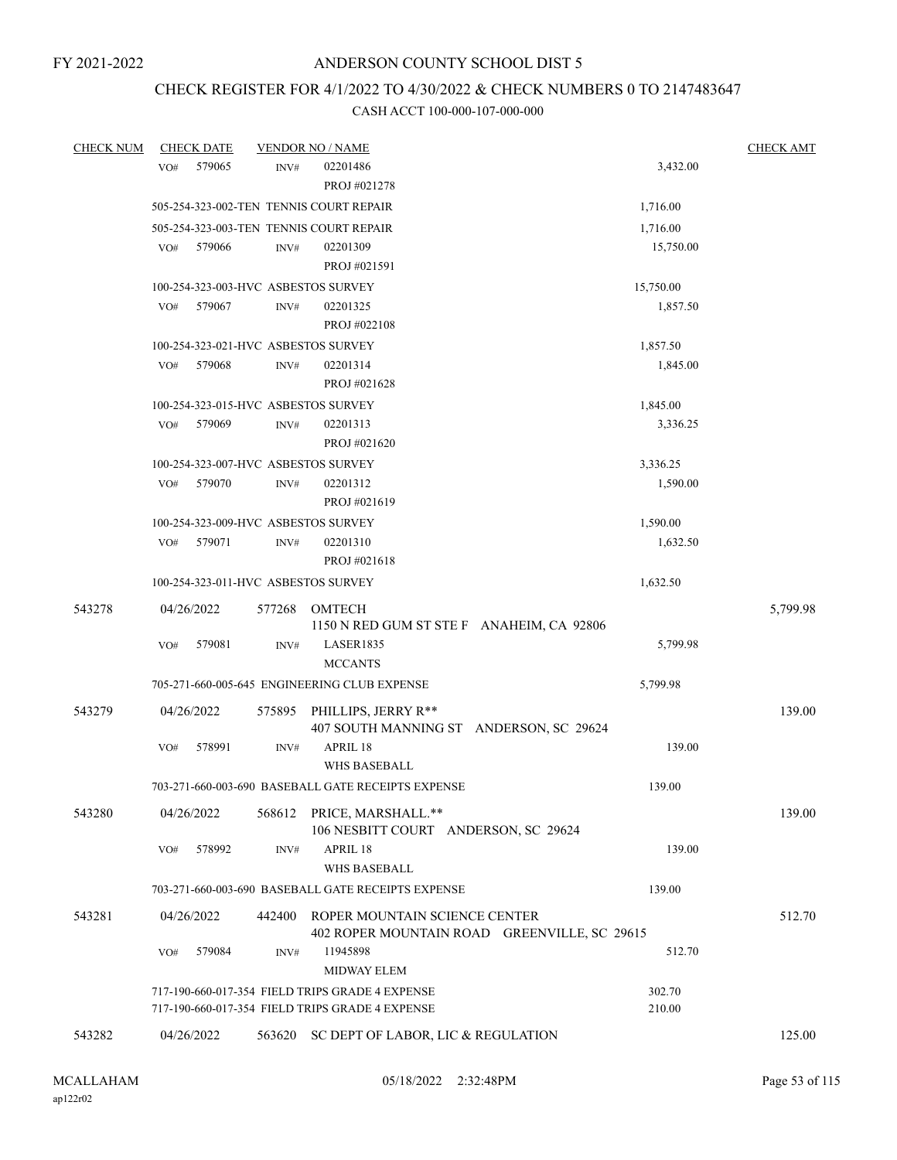# CHECK REGISTER FOR 4/1/2022 TO 4/30/2022 & CHECK NUMBERS 0 TO 2147483647

| <b>CHECK NUM</b> | <b>CHECK DATE</b>                       |        | <b>VENDOR NO / NAME</b>                                                       |           | <b>CHECK AMT</b> |
|------------------|-----------------------------------------|--------|-------------------------------------------------------------------------------|-----------|------------------|
|                  | 579065<br>VO#                           | INV#   | 02201486                                                                      | 3,432.00  |                  |
|                  |                                         |        | PROJ #021278                                                                  |           |                  |
|                  | 505-254-323-002-TEN TENNIS COURT REPAIR |        |                                                                               | 1,716.00  |                  |
|                  | 505-254-323-003-TEN TENNIS COURT REPAIR |        |                                                                               | 1,716.00  |                  |
|                  | 579066<br>VO#                           | INV#   | 02201309                                                                      | 15,750.00 |                  |
|                  |                                         |        | PROJ #021591                                                                  |           |                  |
|                  | 100-254-323-003-HVC ASBESTOS SURVEY     |        |                                                                               | 15,750.00 |                  |
|                  | VO#<br>579067                           | INV#   | 02201325                                                                      | 1,857.50  |                  |
|                  |                                         |        | PROJ #022108                                                                  |           |                  |
|                  | 100-254-323-021-HVC ASBESTOS SURVEY     |        |                                                                               | 1,857.50  |                  |
|                  | 579068<br>VO#                           | INV#   | 02201314                                                                      | 1,845.00  |                  |
|                  |                                         |        | PROJ #021628                                                                  |           |                  |
|                  | 100-254-323-015-HVC ASBESTOS SURVEY     |        |                                                                               | 1,845.00  |                  |
|                  | 579069<br>VO#                           | INV#   | 02201313                                                                      | 3,336.25  |                  |
|                  |                                         |        | PROJ #021620                                                                  |           |                  |
|                  | 100-254-323-007-HVC ASBESTOS SURVEY     |        |                                                                               | 3,336.25  |                  |
|                  | 579070<br>VO#                           | INV#   | 02201312                                                                      | 1,590.00  |                  |
|                  |                                         |        | PROJ #021619                                                                  |           |                  |
|                  | 100-254-323-009-HVC ASBESTOS SURVEY     |        |                                                                               | 1,590.00  |                  |
|                  | 579071<br>VO#                           | INV#   | 02201310                                                                      | 1,632.50  |                  |
|                  |                                         |        | PROJ #021618                                                                  |           |                  |
|                  | 100-254-323-011-HVC ASBESTOS SURVEY     |        |                                                                               | 1,632.50  |                  |
| 543278           | 04/26/2022                              | 577268 | <b>OMTECH</b>                                                                 |           | 5,799.98         |
|                  |                                         |        | 1150 N RED GUM ST STE F ANAHEIM, CA 92806                                     |           |                  |
|                  | VO#<br>579081                           | INV#   | LASER1835                                                                     | 5,799.98  |                  |
|                  |                                         |        | <b>MCCANTS</b>                                                                |           |                  |
|                  |                                         |        | 705-271-660-005-645 ENGINEERING CLUB EXPENSE                                  | 5,799.98  |                  |
| 543279           | 04/26/2022                              | 575895 | PHILLIPS, JERRY R**                                                           |           | 139.00           |
|                  |                                         |        | 407 SOUTH MANNING ST ANDERSON, SC 29624                                       |           |                  |
|                  | 578991<br>VO#                           | INV#   | APRIL 18                                                                      | 139.00    |                  |
|                  |                                         |        | <b>WHS BASEBALL</b>                                                           |           |                  |
|                  |                                         |        | 703-271-660-003-690 BASEBALL GATE RECEIPTS EXPENSE                            | 139.00    |                  |
|                  |                                         |        |                                                                               |           |                  |
| 543280           | 04/26/2022                              |        | 568612 PRICE, MARSHALL.**<br>106 NESBITT COURT ANDERSON, SC 29624             |           | 139.00           |
|                  | VO#<br>578992                           | INV#   | APRIL 18                                                                      | 139.00    |                  |
|                  |                                         |        | WHS BASEBALL                                                                  |           |                  |
|                  |                                         |        | 703-271-660-003-690 BASEBALL GATE RECEIPTS EXPENSE                            | 139.00    |                  |
|                  |                                         |        |                                                                               |           |                  |
| 543281           | 04/26/2022                              | 442400 | ROPER MOUNTAIN SCIENCE CENTER<br>402 ROPER MOUNTAIN ROAD GREENVILLE, SC 29615 |           | 512.70           |
|                  | 579084<br>VO#                           | INV#   | 11945898                                                                      | 512.70    |                  |
|                  |                                         |        | MIDWAY ELEM                                                                   |           |                  |
|                  |                                         |        | 717-190-660-017-354 FIELD TRIPS GRADE 4 EXPENSE                               | 302.70    |                  |
|                  |                                         |        | 717-190-660-017-354 FIELD TRIPS GRADE 4 EXPENSE                               | 210.00    |                  |
|                  |                                         |        |                                                                               |           |                  |
| 543282           | 04/26/2022                              |        | 563620 SC DEPT OF LABOR, LIC & REGULATION                                     |           | 125.00           |
|                  |                                         |        |                                                                               |           |                  |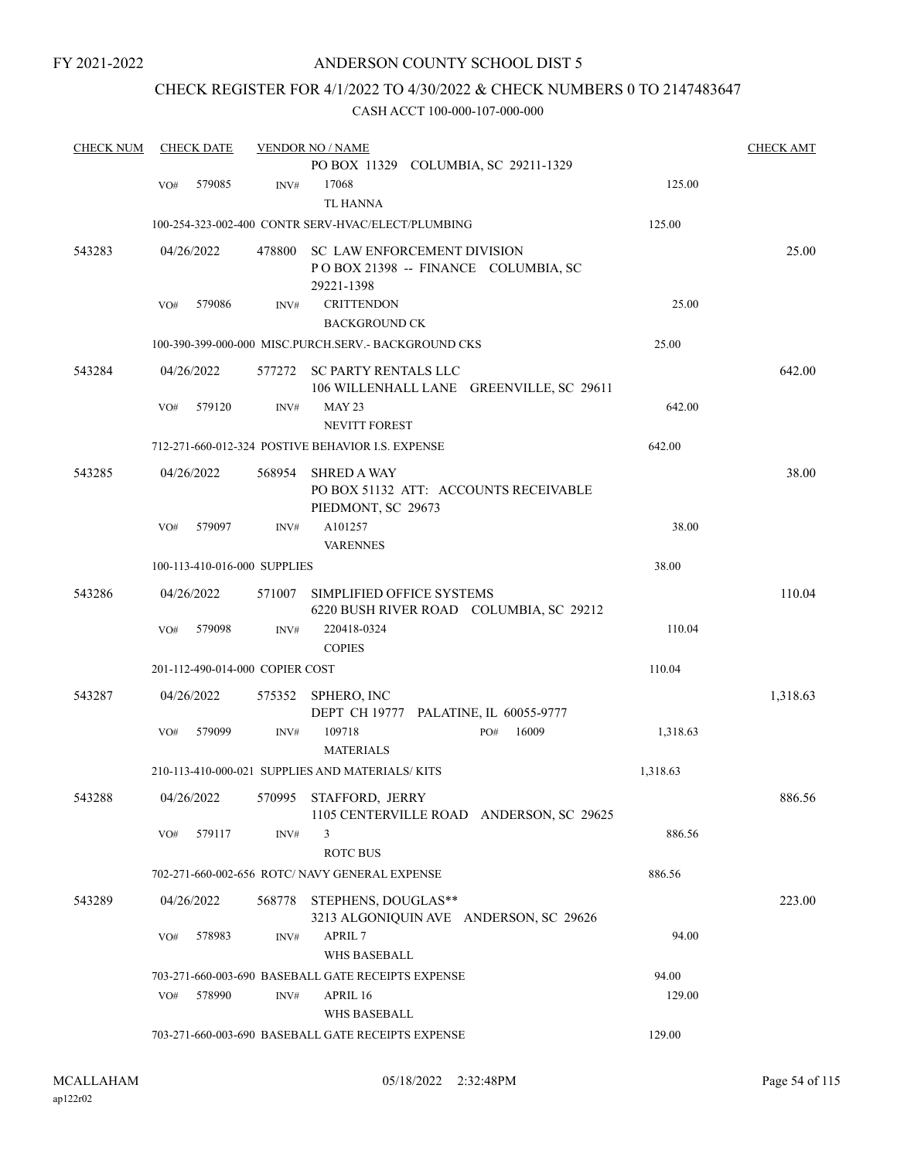FY 2021-2022

# ANDERSON COUNTY SCHOOL DIST 5

# CHECK REGISTER FOR 4/1/2022 TO 4/30/2022 & CHECK NUMBERS 0 TO 2147483647

| <b>CHECK NUM</b> |     | <b>CHECK DATE</b> |                                 | <b>VENDOR NO / NAME</b>                                 |                                          |          | <b>CHECK AMT</b> |
|------------------|-----|-------------------|---------------------------------|---------------------------------------------------------|------------------------------------------|----------|------------------|
|                  |     |                   |                                 |                                                         | PO BOX 11329 COLUMBIA, SC 29211-1329     |          |                  |
|                  | VO# | 579085            | INV#                            | 17068                                                   |                                          | 125.00   |                  |
|                  |     |                   |                                 | <b>TL HANNA</b>                                         |                                          |          |                  |
|                  |     |                   |                                 | 100-254-323-002-400 CONTR SERV-HVAC/ELECT/PLUMBING      |                                          | 125.00   |                  |
| 543283           |     | 04/26/2022        | 478800                          | <b>SC LAW ENFORCEMENT DIVISION</b>                      | POBOX 21398 -- FINANCE COLUMBIA, SC      |          | 25.00            |
|                  | VO# | 579086            | INV#                            | 29221-1398<br><b>CRITTENDON</b><br><b>BACKGROUND CK</b> |                                          | 25.00    |                  |
|                  |     |                   |                                 | 100-390-399-000-000 MISC.PURCH.SERV. - BACKGROUND CKS   |                                          | 25.00    |                  |
| 543284           |     | 04/26/2022        | 577272                          | SC PARTY RENTALS LLC                                    | 106 WILLENHALL LANE GREENVILLE, SC 29611 |          | 642.00           |
|                  | VO# | 579120            | INV#                            | <b>MAY 23</b><br><b>NEVITT FOREST</b>                   |                                          | 642.00   |                  |
|                  |     |                   |                                 | 712-271-660-012-324 POSTIVE BEHAVIOR I.S. EXPENSE       |                                          | 642.00   |                  |
| 543285           |     |                   |                                 |                                                         |                                          |          |                  |
|                  |     | 04/26/2022        | 568954                          | <b>SHRED A WAY</b><br>PIEDMONT, SC 29673                | PO BOX 51132 ATT: ACCOUNTS RECEIVABLE    |          | 38.00            |
|                  | VO# | 579097            | INV#                            | A101257<br><b>VARENNES</b>                              |                                          | 38.00    |                  |
|                  |     |                   | 100-113-410-016-000 SUPPLIES    |                                                         |                                          | 38.00    |                  |
| 543286           |     | 04/26/2022        | 571007                          | SIMPLIFIED OFFICE SYSTEMS                               | 6220 BUSH RIVER ROAD COLUMBIA, SC 29212  |          | 110.04           |
|                  | VO# | 579098            | INV#                            | 220418-0324<br><b>COPIES</b>                            |                                          | 110.04   |                  |
|                  |     |                   | 201-112-490-014-000 COPIER COST |                                                         |                                          | 110.04   |                  |
| 543287           |     | 04/26/2022        | 575352                          | SPHERO, INC                                             | DEPT CH 19777 PALATINE, IL 60055-9777    |          | 1,318.63         |
|                  | VO# | 579099            | INV#                            | 109718<br><b>MATERIALS</b>                              | 16009<br>PO#                             | 1,318.63 |                  |
|                  |     |                   |                                 | 210-113-410-000-021 SUPPLIES AND MATERIALS/KITS         |                                          | 1,318.63 |                  |
| 543288           |     | 04/26/2022        |                                 | 570995 STAFFORD, JERRY                                  | 1105 CENTERVILLE ROAD ANDERSON, SC 29625 |          | 886.56           |
|                  | VO# | 579117            | INV#                            | 3<br><b>ROTC BUS</b>                                    |                                          | 886.56   |                  |
|                  |     |                   |                                 | 702-271-660-002-656 ROTC/ NAVY GENERAL EXPENSE          |                                          | 886.56   |                  |
| 543289           |     | 04/26/2022        | 568778                          | STEPHENS, DOUGLAS**                                     | 3213 ALGONIQUIN AVE ANDERSON, SC 29626   |          | 223.00           |
|                  | VO# | 578983            | INV#                            | APRIL 7<br>WHS BASEBALL                                 |                                          | 94.00    |                  |
|                  |     |                   |                                 | 703-271-660-003-690 BASEBALL GATE RECEIPTS EXPENSE      |                                          | 94.00    |                  |
|                  | VO# | 578990            | INV#                            | APRIL 16<br>WHS BASEBALL                                |                                          | 129.00   |                  |
|                  |     |                   |                                 | 703-271-660-003-690 BASEBALL GATE RECEIPTS EXPENSE      |                                          | 129.00   |                  |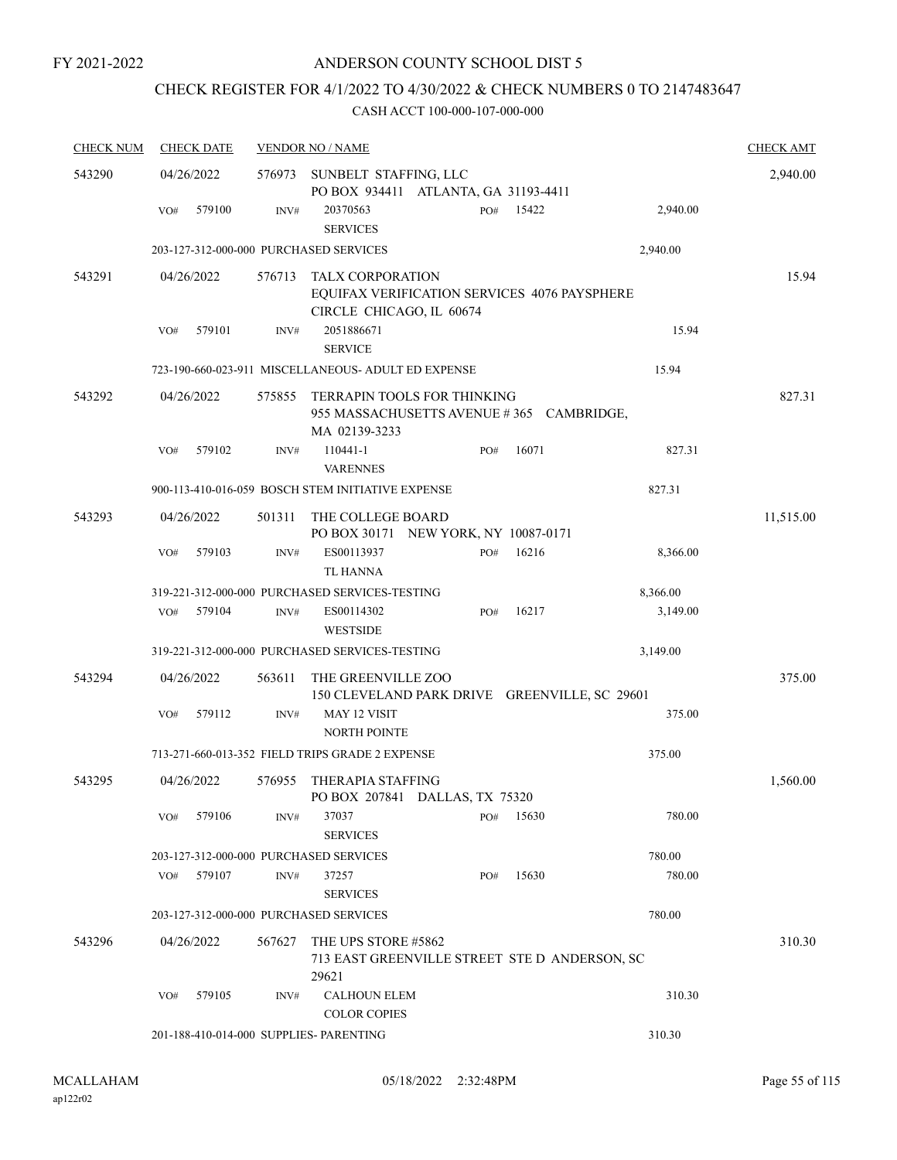# CHECK REGISTER FOR 4/1/2022 TO 4/30/2022 & CHECK NUMBERS 0 TO 2147483647

| <b>CHECK NUM</b> | <b>CHECK DATE</b>                       |        | <b>VENDOR NO / NAME</b>                                                                             |     |       |          | <b>CHECK AMT</b> |
|------------------|-----------------------------------------|--------|-----------------------------------------------------------------------------------------------------|-----|-------|----------|------------------|
| 543290           | 04/26/2022                              | 576973 | SUNBELT STAFFING, LLC<br>PO BOX 934411 ATLANTA, GA 31193-4411                                       |     |       |          | 2,940.00         |
|                  | 579100<br>VO#                           | INV#   | 20370563<br><b>SERVICES</b>                                                                         | PO# | 15422 | 2,940.00 |                  |
|                  | 203-127-312-000-000 PURCHASED SERVICES  |        |                                                                                                     |     |       | 2,940.00 |                  |
| 543291           | 04/26/2022                              | 576713 | <b>TALX CORPORATION</b><br>EQUIFAX VERIFICATION SERVICES 4076 PAYSPHERE<br>CIRCLE CHICAGO, IL 60674 |     |       |          | 15.94            |
|                  | 579101<br>VO#                           | INV#   | 2051886671<br><b>SERVICE</b>                                                                        |     |       | 15.94    |                  |
|                  |                                         |        | 723-190-660-023-911 MISCELLANEOUS- ADULT ED EXPENSE                                                 |     |       | 15.94    |                  |
| 543292           | 04/26/2022                              | 575855 | TERRAPIN TOOLS FOR THINKING<br>955 MASSACHUSETTS AVENUE #365 CAMBRIDGE,<br>MA 02139-3233            |     |       |          | 827.31           |
|                  | 579102<br>VO#                           | INV#   | 110441-1<br><b>VARENNES</b>                                                                         | PO# | 16071 | 827.31   |                  |
|                  |                                         |        | 900-113-410-016-059 BOSCH STEM INITIATIVE EXPENSE                                                   |     |       | 827.31   |                  |
| 543293           | 04/26/2022                              | 501311 | THE COLLEGE BOARD<br>PO BOX 30171 NEW YORK, NY 10087-0171                                           |     |       |          | 11,515.00        |
|                  | 579103<br>VO#                           | INV#   | ES00113937<br>TL HANNA                                                                              | PO# | 16216 | 8,366.00 |                  |
|                  |                                         |        | 319-221-312-000-000 PURCHASED SERVICES-TESTING                                                      |     |       | 8,366.00 |                  |
|                  | 579104<br>VO#                           | INV#   | ES00114302<br><b>WESTSIDE</b>                                                                       | PO# | 16217 | 3,149.00 |                  |
|                  |                                         |        | 319-221-312-000-000 PURCHASED SERVICES-TESTING                                                      |     |       | 3,149.00 |                  |
| 543294           | 04/26/2022                              | 563611 | THE GREENVILLE ZOO<br>150 CLEVELAND PARK DRIVE GREENVILLE, SC 29601                                 |     |       |          | 375.00           |
|                  | 579112<br>VO#                           | INV#   | MAY 12 VISIT<br><b>NORTH POINTE</b>                                                                 |     |       | 375.00   |                  |
|                  |                                         |        | 713-271-660-013-352 FIELD TRIPS GRADE 2 EXPENSE                                                     |     |       | 375.00   |                  |
| 543295           | 04/26/2022                              | 576955 | THERAPIA STAFFING<br>PO BOX 207841 DALLAS, TX 75320                                                 |     |       |          | 1,560.00         |
|                  | 579106<br>VO#                           | INV#   | 37037<br><b>SERVICES</b>                                                                            | PO# | 15630 | 780.00   |                  |
|                  | 203-127-312-000-000 PURCHASED SERVICES  |        |                                                                                                     |     |       | 780.00   |                  |
|                  | VO#<br>579107                           | INV#   | 37257<br><b>SERVICES</b>                                                                            | PO# | 15630 | 780.00   |                  |
|                  | 203-127-312-000-000 PURCHASED SERVICES  |        |                                                                                                     |     |       | 780.00   |                  |
| 543296           | 04/26/2022                              | 567627 | THE UPS STORE #5862<br>713 EAST GREENVILLE STREET STE D ANDERSON, SC<br>29621                       |     |       |          | 310.30           |
|                  | 579105<br>VO#                           | INV#   | <b>CALHOUN ELEM</b><br><b>COLOR COPIES</b>                                                          |     |       | 310.30   |                  |
|                  | 201-188-410-014-000 SUPPLIES- PARENTING |        |                                                                                                     |     |       | 310.30   |                  |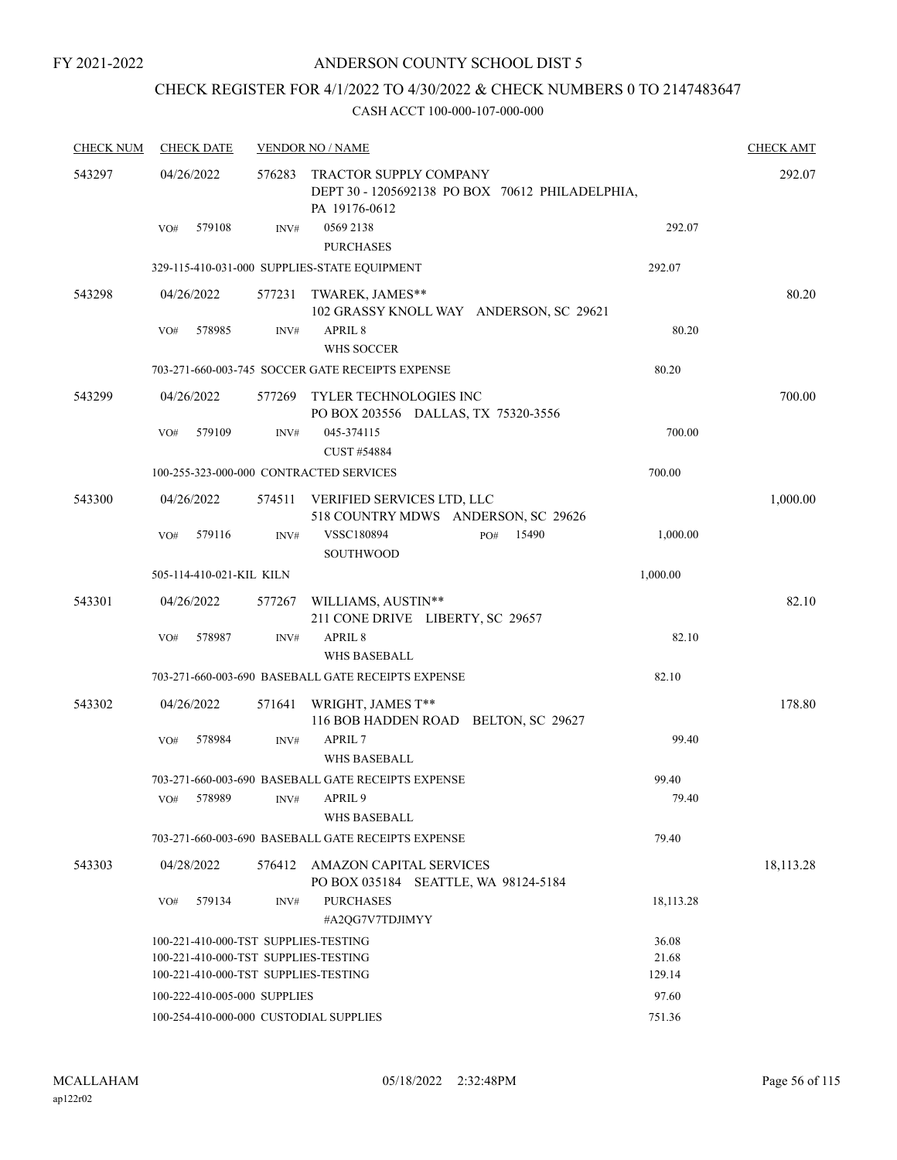# CHECK REGISTER FOR 4/1/2022 TO 4/30/2022 & CHECK NUMBERS 0 TO 2147483647

| <b>CHECK NUM</b> | <b>CHECK DATE</b>                                                            |        | <b>VENDOR NO / NAME</b>                                            |                                                 |                 | <b>CHECK AMT</b> |
|------------------|------------------------------------------------------------------------------|--------|--------------------------------------------------------------------|-------------------------------------------------|-----------------|------------------|
| 543297           | 04/26/2022                                                                   | 576283 | TRACTOR SUPPLY COMPANY<br>PA 19176-0612                            | DEPT 30 - 1205692138 PO BOX 70612 PHILADELPHIA, |                 | 292.07           |
|                  | 579108<br>VO#                                                                | INV#   | 0569 2138<br><b>PURCHASES</b>                                      |                                                 | 292.07          |                  |
|                  |                                                                              |        | 329-115-410-031-000 SUPPLIES-STATE EQUIPMENT                       |                                                 | 292.07          |                  |
| 543298           | 04/26/2022                                                                   | 577231 | TWAREK, JAMES**<br>102 GRASSY KNOLL WAY ANDERSON, SC 29621         |                                                 |                 | 80.20            |
|                  | 578985<br>VO#                                                                | INV#   | APRIL 8<br><b>WHS SOCCER</b>                                       |                                                 | 80.20           |                  |
|                  |                                                                              |        | 703-271-660-003-745 SOCCER GATE RECEIPTS EXPENSE                   |                                                 | 80.20           |                  |
| 543299           | 04/26/2022                                                                   | 577269 | TYLER TECHNOLOGIES INC<br>PO BOX 203556 DALLAS, TX 75320-3556      |                                                 |                 | 700.00           |
|                  | 579109<br>VO#                                                                | INV#   | 045-374115<br>CUST #54884                                          |                                                 | 700.00          |                  |
|                  | 100-255-323-000-000 CONTRACTED SERVICES                                      |        |                                                                    |                                                 | 700.00          |                  |
| 543300           | 04/26/2022                                                                   | 574511 | VERIFIED SERVICES LTD, LLC<br>518 COUNTRY MDWS ANDERSON, SC 29626  |                                                 |                 | 1,000.00         |
|                  | 579116<br>VO#                                                                | INV#   | <b>VSSC180894</b><br><b>SOUTHWOOD</b>                              | 15490<br>PO#                                    | 1,000.00        |                  |
|                  | 505-114-410-021-KIL KILN                                                     |        |                                                                    |                                                 | 1,000.00        |                  |
| 543301           | 04/26/2022                                                                   | 577267 | WILLIAMS, AUSTIN**<br>211 CONE DRIVE LIBERTY, SC 29657             |                                                 |                 | 82.10            |
|                  | 578987<br>VO#                                                                | INV#   | APRIL 8<br><b>WHS BASEBALL</b>                                     |                                                 | 82.10           |                  |
|                  |                                                                              |        | 703-271-660-003-690 BASEBALL GATE RECEIPTS EXPENSE                 |                                                 | 82.10           |                  |
| 543302           | 04/26/2022                                                                   | 571641 | WRIGHT, JAMES T**<br>116 BOB HADDEN ROAD BELTON, SC 29627          |                                                 |                 | 178.80           |
|                  | 578984<br>VO#                                                                | INV#   | APRIL 7<br><b>WHS BASEBALL</b>                                     |                                                 | 99.40           |                  |
|                  | 578989<br>VO#                                                                |        | 703-271-660-003-690 BASEBALL GATE RECEIPTS EXPENSE<br>INV# APRIL 9 |                                                 | 99.40<br>79.40  |                  |
|                  |                                                                              |        | WHS BASEBALL                                                       |                                                 |                 |                  |
|                  |                                                                              |        | 703-271-660-003-690 BASEBALL GATE RECEIPTS EXPENSE                 |                                                 | 79.40           |                  |
| 543303           | 04/28/2022                                                                   | 576412 | AMAZON CAPITAL SERVICES<br>PO BOX 035184 SEATTLE, WA 98124-5184    |                                                 |                 | 18, 113. 28      |
|                  | 579134<br>VO#                                                                | INV#   | <b>PURCHASES</b><br>#A2OG7V7TDJIMYY                                |                                                 | 18, 113. 28     |                  |
|                  | 100-221-410-000-TST SUPPLIES-TESTING                                         |        |                                                                    |                                                 | 36.08           |                  |
|                  | 100-221-410-000-TST SUPPLIES-TESTING<br>100-221-410-000-TST SUPPLIES-TESTING |        |                                                                    |                                                 | 21.68<br>129.14 |                  |
|                  | 100-222-410-005-000 SUPPLIES                                                 |        |                                                                    |                                                 | 97.60           |                  |
|                  | 100-254-410-000-000 CUSTODIAL SUPPLIES                                       |        |                                                                    |                                                 | 751.36          |                  |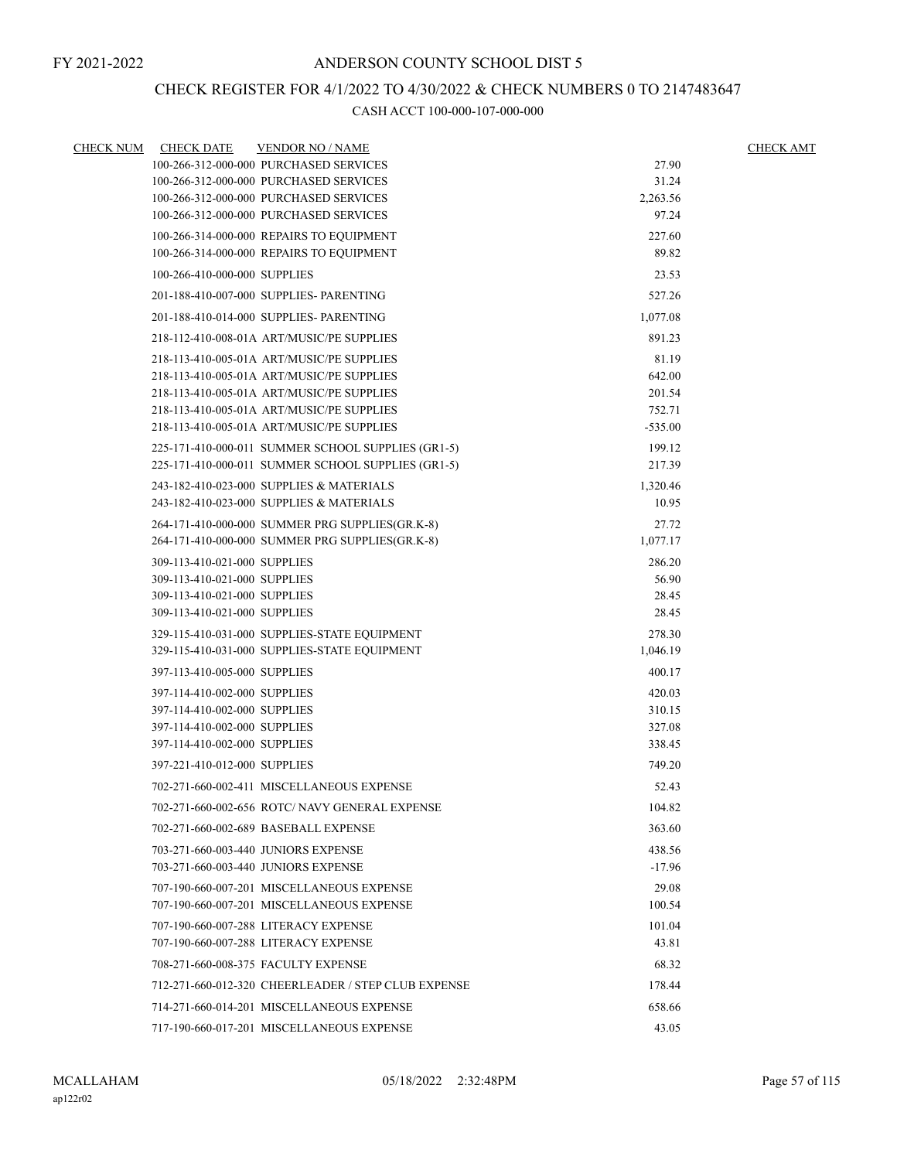# CHECK REGISTER FOR 4/1/2022 TO 4/30/2022 & CHECK NUMBERS 0 TO 2147483647

| <b>CHECK NUM</b> | <b>CHECK DATE</b>            | <b>VENDOR NO / NAME</b>                             |           | <b>CHECK AMT</b> |
|------------------|------------------------------|-----------------------------------------------------|-----------|------------------|
|                  |                              | 100-266-312-000-000 PURCHASED SERVICES              | 27.90     |                  |
|                  |                              | 100-266-312-000-000 PURCHASED SERVICES              | 31.24     |                  |
|                  |                              | 100-266-312-000-000 PURCHASED SERVICES              | 2,263.56  |                  |
|                  |                              | 100-266-312-000-000 PURCHASED SERVICES              | 97.24     |                  |
|                  |                              | 100-266-314-000-000 REPAIRS TO EQUIPMENT            | 227.60    |                  |
|                  |                              | 100-266-314-000-000 REPAIRS TO EQUIPMENT            | 89.82     |                  |
|                  | 100-266-410-000-000 SUPPLIES |                                                     | 23.53     |                  |
|                  |                              | 201-188-410-007-000 SUPPLIES- PARENTING             | 527.26    |                  |
|                  |                              | 201-188-410-014-000 SUPPLIES- PARENTING             | 1,077.08  |                  |
|                  |                              | 218-112-410-008-01A ART/MUSIC/PE SUPPLIES           | 891.23    |                  |
|                  |                              | 218-113-410-005-01A ART/MUSIC/PE SUPPLIES           | 81.19     |                  |
|                  |                              | 218-113-410-005-01A ART/MUSIC/PE SUPPLIES           | 642.00    |                  |
|                  |                              | 218-113-410-005-01A ART/MUSIC/PE SUPPLIES           | 201.54    |                  |
|                  |                              | 218-113-410-005-01A ART/MUSIC/PE SUPPLIES           | 752.71    |                  |
|                  |                              | 218-113-410-005-01A ART/MUSIC/PE SUPPLIES           | $-535.00$ |                  |
|                  |                              | 225-171-410-000-011 SUMMER SCHOOL SUPPLIES (GR1-5)  | 199.12    |                  |
|                  |                              | 225-171-410-000-011 SUMMER SCHOOL SUPPLIES (GR1-5)  | 217.39    |                  |
|                  |                              | 243-182-410-023-000 SUPPLIES & MATERIALS            | 1,320.46  |                  |
|                  |                              | 243-182-410-023-000 SUPPLIES & MATERIALS            | 10.95     |                  |
|                  |                              | 264-171-410-000-000 SUMMER PRG SUPPLIES(GR.K-8)     | 27.72     |                  |
|                  |                              | 264-171-410-000-000 SUMMER PRG SUPPLIES(GR.K-8)     | 1,077.17  |                  |
|                  | 309-113-410-021-000 SUPPLIES |                                                     | 286.20    |                  |
|                  | 309-113-410-021-000 SUPPLIES |                                                     | 56.90     |                  |
|                  | 309-113-410-021-000 SUPPLIES |                                                     | 28.45     |                  |
|                  | 309-113-410-021-000 SUPPLIES |                                                     | 28.45     |                  |
|                  |                              | 329-115-410-031-000 SUPPLIES-STATE EQUIPMENT        | 278.30    |                  |
|                  |                              | 329-115-410-031-000 SUPPLIES-STATE EQUIPMENT        | 1,046.19  |                  |
|                  | 397-113-410-005-000 SUPPLIES |                                                     | 400.17    |                  |
|                  | 397-114-410-002-000 SUPPLIES |                                                     | 420.03    |                  |
|                  | 397-114-410-002-000 SUPPLIES |                                                     | 310.15    |                  |
|                  | 397-114-410-002-000 SUPPLIES |                                                     | 327.08    |                  |
|                  | 397-114-410-002-000 SUPPLIES |                                                     | 338.45    |                  |
|                  | 397-221-410-012-000 SUPPLIES |                                                     | 749.20    |                  |
|                  |                              | 702-271-660-002-411 MISCELLANEOUS EXPENSE           | 52.43     |                  |
|                  |                              | 702-271-660-002-656 ROTC/ NAVY GENERAL EXPENSE      | 104.82    |                  |
|                  |                              | 702-271-660-002-689 BASEBALL EXPENSE                | 363.60    |                  |
|                  |                              | 703-271-660-003-440 JUNIORS EXPENSE                 | 438.56    |                  |
|                  |                              | 703-271-660-003-440 JUNIORS EXPENSE                 | $-17.96$  |                  |
|                  |                              | 707-190-660-007-201 MISCELLANEOUS EXPENSE           | 29.08     |                  |
|                  |                              | 707-190-660-007-201 MISCELLANEOUS EXPENSE           | 100.54    |                  |
|                  |                              | 707-190-660-007-288 LITERACY EXPENSE                | 101.04    |                  |
|                  |                              | 707-190-660-007-288 LITERACY EXPENSE                | 43.81     |                  |
|                  |                              | 708-271-660-008-375 FACULTY EXPENSE                 | 68.32     |                  |
|                  |                              | 712-271-660-012-320 CHEERLEADER / STEP CLUB EXPENSE | 178.44    |                  |
|                  |                              | 714-271-660-014-201 MISCELLANEOUS EXPENSE           | 658.66    |                  |
|                  |                              | 717-190-660-017-201 MISCELLANEOUS EXPENSE           | 43.05     |                  |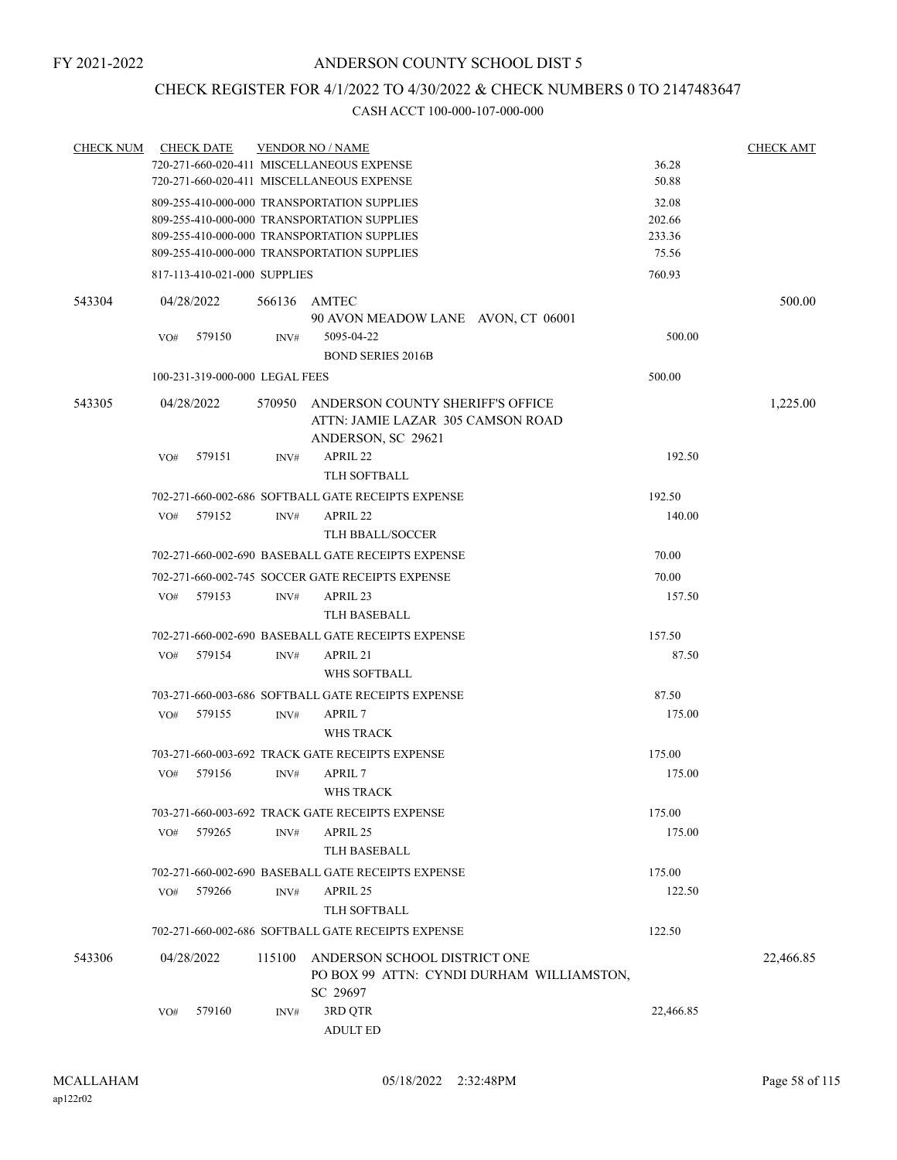# CHECK REGISTER FOR 4/1/2022 TO 4/30/2022 & CHECK NUMBERS 0 TO 2147483647

| <b>CHECK NUM</b> |     | <b>CHECK DATE</b>                           |        | <b>VENDOR NO / NAME</b>                                                                    |                  | <b>CHECK AMT</b> |
|------------------|-----|---------------------------------------------|--------|--------------------------------------------------------------------------------------------|------------------|------------------|
|                  |     |                                             |        | 720-271-660-020-411 MISCELLANEOUS EXPENSE                                                  | 36.28            |                  |
|                  |     |                                             |        | 720-271-660-020-411 MISCELLANEOUS EXPENSE                                                  | 50.88            |                  |
|                  |     |                                             |        | 809-255-410-000-000 TRANSPORTATION SUPPLIES                                                | 32.08            |                  |
|                  |     | 809-255-410-000-000 TRANSPORTATION SUPPLIES | 202.66 |                                                                                            |                  |                  |
|                  |     |                                             |        | 809-255-410-000-000 TRANSPORTATION SUPPLIES<br>809-255-410-000-000 TRANSPORTATION SUPPLIES | 233.36<br>75.56  |                  |
|                  |     | 817-113-410-021-000 SUPPLIES                |        |                                                                                            | 760.93           |                  |
| 543304           |     | 04/28/2022                                  |        | 566136 AMTEC                                                                               |                  | 500.00           |
|                  |     |                                             |        | 90 AVON MEADOW LANE AVON, CT 06001                                                         |                  |                  |
|                  | VO# | 579150                                      | INV#   | 5095-04-22<br><b>BOND SERIES 2016B</b>                                                     | 500.00           |                  |
|                  |     | 100-231-319-000-000 LEGAL FEES              |        |                                                                                            | 500.00           |                  |
|                  |     |                                             |        |                                                                                            |                  |                  |
| 543305           |     | 04/28/2022                                  | 570950 | ANDERSON COUNTY SHERIFF'S OFFICE<br>ATTN: JAMIE LAZAR 305 CAMSON ROAD                      |                  | 1,225.00         |
|                  |     |                                             |        | ANDERSON, SC 29621                                                                         |                  |                  |
|                  | VO# | 579151                                      | INV#   | APRIL 22<br><b>TLH SOFTBALL</b>                                                            | 192.50           |                  |
|                  |     |                                             |        |                                                                                            |                  |                  |
|                  | VO# | 579152                                      | INV#   | 702-271-660-002-686 SOFTBALL GATE RECEIPTS EXPENSE<br>APRIL 22                             | 192.50<br>140.00 |                  |
|                  |     |                                             |        | <b>TLH BBALL/SOCCER</b>                                                                    |                  |                  |
|                  |     |                                             |        | 702-271-660-002-690 BASEBALL GATE RECEIPTS EXPENSE                                         | 70.00            |                  |
|                  |     |                                             |        |                                                                                            |                  |                  |
|                  |     |                                             |        | 702-271-660-002-745 SOCCER GATE RECEIPTS EXPENSE                                           | 70.00            |                  |
|                  | VO# | 579153                                      | INV#   | APRIL 23<br><b>TLH BASEBALL</b>                                                            | 157.50           |                  |
|                  |     |                                             |        |                                                                                            |                  |                  |
|                  |     | 579154                                      |        | 702-271-660-002-690 BASEBALL GATE RECEIPTS EXPENSE<br>APRIL 21                             | 157.50           |                  |
|                  | VO# |                                             | INV#   | WHS SOFTBALL                                                                               | 87.50            |                  |
|                  |     |                                             |        | 703-271-660-003-686 SOFTBALL GATE RECEIPTS EXPENSE                                         | 87.50            |                  |
|                  | VO# | 579155                                      | INV#   | APRIL 7                                                                                    | 175.00           |                  |
|                  |     |                                             |        | <b>WHS TRACK</b>                                                                           |                  |                  |
|                  |     |                                             |        | 703-271-660-003-692 TRACK GATE RECEIPTS EXPENSE                                            | 175.00           |                  |
|                  | VO# | 579156                                      | INV#   | APRIL 7                                                                                    | 175.00           |                  |
|                  |     |                                             |        | WHS TRACK                                                                                  |                  |                  |
|                  |     |                                             |        | 703-271-660-003-692 TRACK GATE RECEIPTS EXPENSE                                            | 175.00           |                  |
|                  | VO# | 579265                                      | INV#   | APRIL 25                                                                                   | 175.00           |                  |
|                  |     |                                             |        | TLH BASEBALL                                                                               |                  |                  |
|                  |     |                                             |        | 702-271-660-002-690 BASEBALL GATE RECEIPTS EXPENSE                                         | 175.00           |                  |
|                  | VO# | 579266                                      | INV#   | APRIL 25                                                                                   | 122.50           |                  |
|                  |     |                                             |        | TLH SOFTBALL                                                                               |                  |                  |
|                  |     |                                             |        | 702-271-660-002-686 SOFTBALL GATE RECEIPTS EXPENSE                                         | 122.50           |                  |
| 543306           |     | 04/28/2022                                  | 115100 | ANDERSON SCHOOL DISTRICT ONE                                                               |                  | 22,466.85        |
|                  |     |                                             |        | PO BOX 99 ATTN: CYNDI DURHAM WILLIAMSTON,<br>SC 29697                                      |                  |                  |
|                  | VO# | 579160                                      | INV#   | 3RD QTR                                                                                    | 22,466.85        |                  |
|                  |     |                                             |        | <b>ADULT ED</b>                                                                            |                  |                  |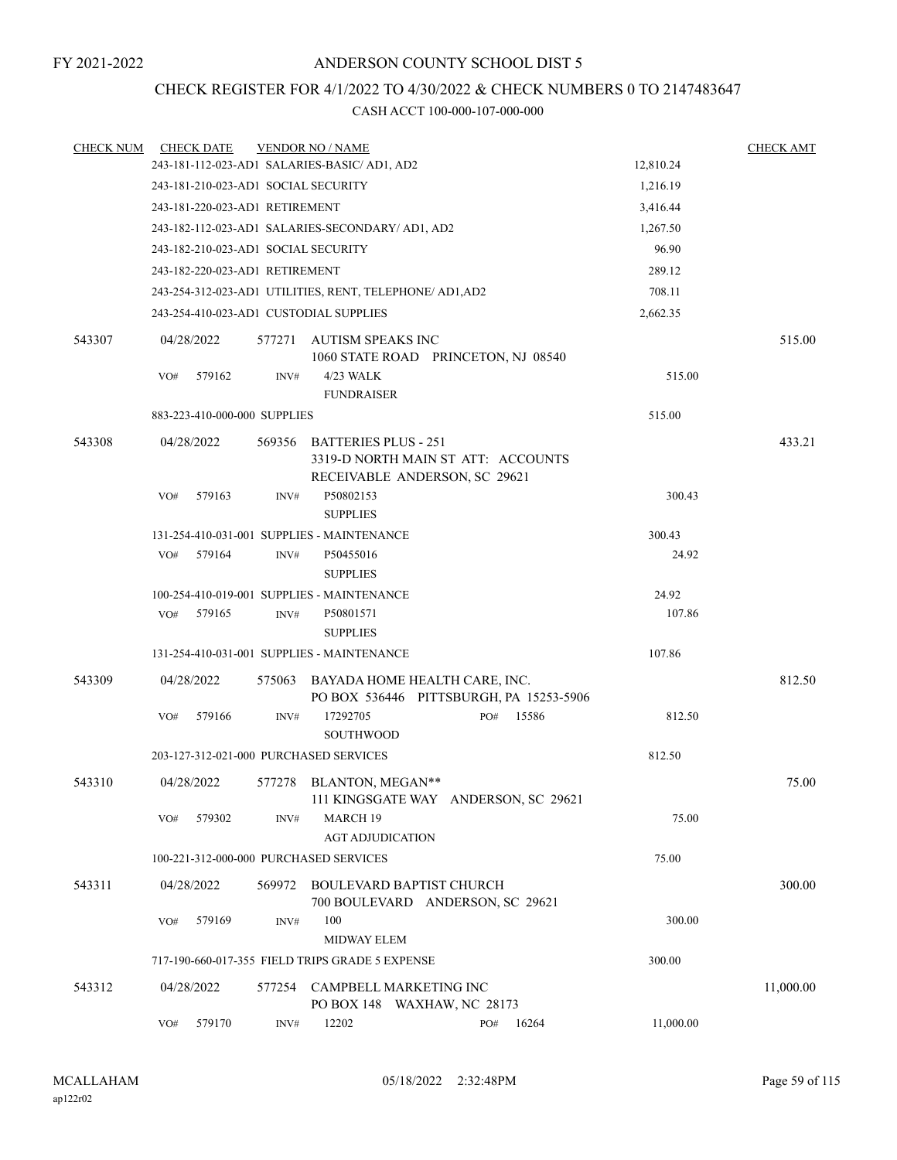# CHECK REGISTER FOR 4/1/2022 TO 4/30/2022 & CHECK NUMBERS 0 TO 2147483647

| <b>CHECK NUM</b> |            | <b>CHECK DATE</b> |                                            | <b>VENDOR NO / NAME</b>                                                                            |  |              |           | <b>CHECK AMT</b> |
|------------------|------------|-------------------|--------------------------------------------|----------------------------------------------------------------------------------------------------|--|--------------|-----------|------------------|
|                  |            |                   |                                            | 243-181-112-023-AD1 SALARIES-BASIC/ AD1, AD2                                                       |  |              | 12,810.24 |                  |
|                  |            |                   |                                            | 243-181-210-023-AD1 SOCIAL SECURITY                                                                |  |              | 1,216.19  |                  |
|                  |            |                   | 243-181-220-023-AD1 RETIREMENT             |                                                                                                    |  |              | 3,416.44  |                  |
|                  |            |                   |                                            | 243-182-112-023-AD1 SALARIES-SECONDARY/ AD1, AD2                                                   |  |              | 1,267.50  |                  |
|                  |            |                   |                                            | 243-182-210-023-AD1 SOCIAL SECURITY                                                                |  |              | 96.90     |                  |
|                  |            |                   | 243-182-220-023-AD1 RETIREMENT             |                                                                                                    |  |              | 289.12    |                  |
|                  |            |                   |                                            | 243-254-312-023-AD1 UTILITIES, RENT, TELEPHONE/ AD1, AD2                                           |  |              | 708.11    |                  |
|                  |            |                   |                                            | 243-254-410-023-AD1 CUSTODIAL SUPPLIES                                                             |  |              | 2,662.35  |                  |
| 543307           | 04/28/2022 |                   |                                            | 577271 AUTISM SPEAKS INC<br>1060 STATE ROAD PRINCETON, NJ 08540                                    |  |              |           | 515.00           |
|                  | VO#        | 579162            | INV#                                       | 4/23 WALK<br><b>FUNDRAISER</b>                                                                     |  |              | 515.00    |                  |
|                  |            |                   | 883-223-410-000-000 SUPPLIES               |                                                                                                    |  |              | 515.00    |                  |
| 543308           | 04/28/2022 |                   | 569356                                     | <b>BATTERIES PLUS - 251</b><br>3319-D NORTH MAIN ST ATT: ACCOUNTS<br>RECEIVABLE ANDERSON, SC 29621 |  |              |           | 433.21           |
|                  | VO#        | 579163            | INV#                                       | P50802153<br><b>SUPPLIES</b>                                                                       |  |              | 300.43    |                  |
|                  |            |                   | 131-254-410-031-001 SUPPLIES - MAINTENANCE | 300.43                                                                                             |  |              |           |                  |
|                  | VO#        | 579164            | INV#                                       | P50455016<br><b>SUPPLIES</b>                                                                       |  |              | 24.92     |                  |
|                  |            |                   |                                            | 100-254-410-019-001 SUPPLIES - MAINTENANCE                                                         |  |              | 24.92     |                  |
|                  | VO#        | 579165            | INV#                                       | P50801571<br><b>SUPPLIES</b>                                                                       |  |              | 107.86    |                  |
|                  |            |                   |                                            | 131-254-410-031-001 SUPPLIES - MAINTENANCE                                                         |  |              | 107.86    |                  |
| 543309           | 04/28/2022 |                   | 575063                                     | BAYADA HOME HEALTH CARE, INC.<br>PO BOX 536446 PITTSBURGH, PA 15253-5906                           |  |              |           | 812.50           |
|                  | VO#        | 579166            | INV#                                       | 17292705<br><b>SOUTHWOOD</b>                                                                       |  | 15586<br>PO# | 812.50    |                  |
|                  |            |                   |                                            | 203-127-312-021-000 PURCHASED SERVICES                                                             |  |              | 812.50    |                  |
| 543310           | 04/28/2022 |                   |                                            | 577278 BLANTON, MEGAN**<br>111 KINGSGATE WAY ANDERSON, SC 29621                                    |  |              |           | 75.00            |
|                  | VO#        | 579302            | INV#                                       | MARCH 19<br><b>AGT ADJUDICATION</b>                                                                |  |              | 75.00     |                  |
|                  |            |                   |                                            | 100-221-312-000-000 PURCHASED SERVICES                                                             |  |              | 75.00     |                  |
| 543311           | 04/28/2022 |                   | 569972                                     | BOULEVARD BAPTIST CHURCH<br>700 BOULEVARD ANDERSON, SC 29621                                       |  |              |           | 300.00           |
|                  | VO#        | 579169            | INV#                                       | 100<br><b>MIDWAY ELEM</b>                                                                          |  |              | 300.00    |                  |
|                  |            |                   |                                            | 717-190-660-017-355 FIELD TRIPS GRADE 5 EXPENSE                                                    |  |              | 300.00    |                  |
| 543312           | 04/28/2022 |                   | 577254                                     | CAMPBELL MARKETING INC<br>PO BOX 148 WAXHAW, NC 28173                                              |  |              |           | 11,000.00        |
|                  | VO#        | 579170            | INV#                                       | 12202                                                                                              |  | 16264<br>PO# | 11,000.00 |                  |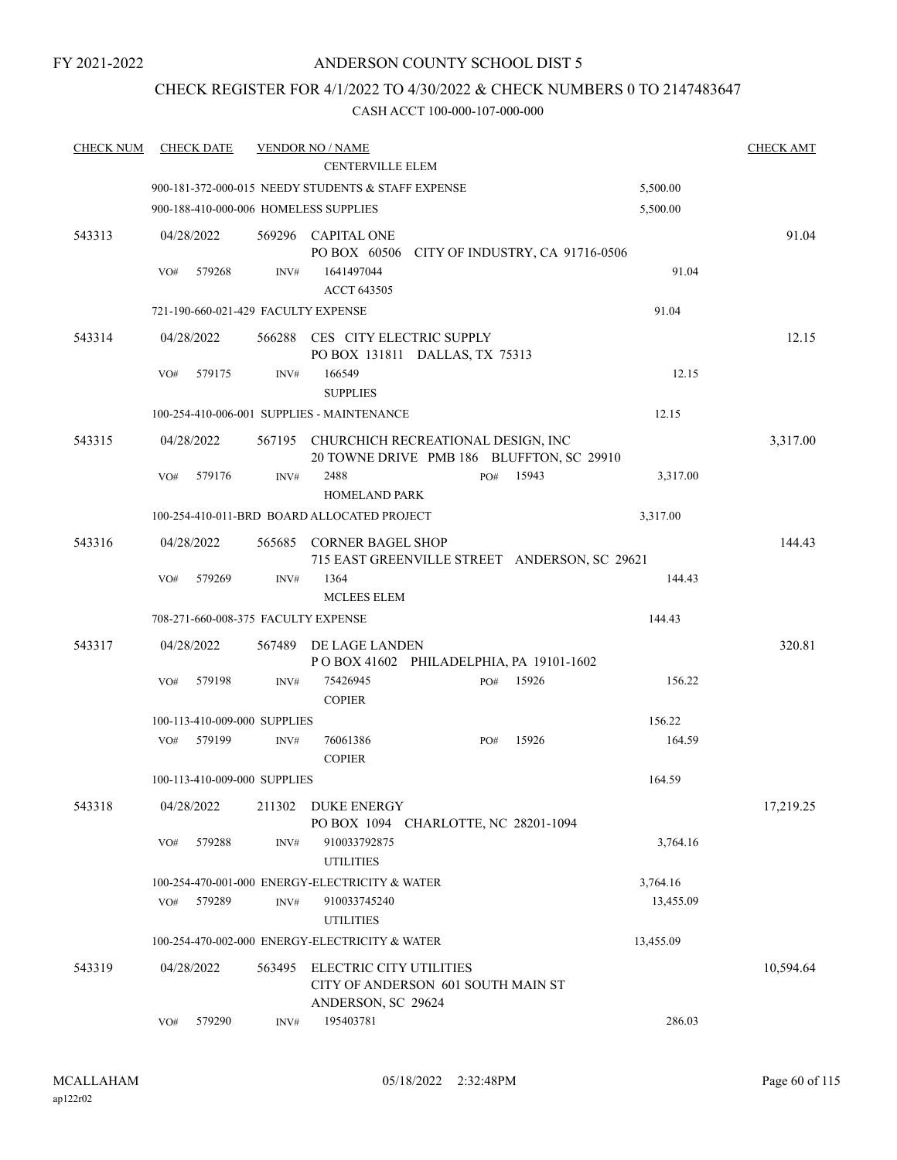FY 2021-2022

# ANDERSON COUNTY SCHOOL DIST 5

# CHECK REGISTER FOR 4/1/2022 TO 4/30/2022 & CHECK NUMBERS 0 TO 2147483647

| <b>CHECK NUM</b> | <b>CHECK DATE</b>                     |        | <b>VENDOR NO / NAME</b>                                                                    |     |       |           | <b>CHECK AMT</b> |
|------------------|---------------------------------------|--------|--------------------------------------------------------------------------------------------|-----|-------|-----------|------------------|
|                  |                                       |        | <b>CENTERVILLE ELEM</b>                                                                    |     |       |           |                  |
|                  |                                       |        | 900-181-372-000-015 NEEDY STUDENTS & STAFF EXPENSE                                         |     |       | 5,500.00  |                  |
|                  | 900-188-410-000-006 HOMELESS SUPPLIES |        |                                                                                            |     |       | 5,500.00  |                  |
| 543313           | 04/28/2022                            |        | 569296 CAPITAL ONE<br>PO BOX 60506 CITY OF INDUSTRY, CA 91716-0506                         |     |       |           | 91.04            |
|                  | 579268<br>VO#                         | INV#   | 1641497044<br>ACCT 643505                                                                  |     |       | 91.04     |                  |
|                  | 721-190-660-021-429 FACULTY EXPENSE   |        |                                                                                            |     |       | 91.04     |                  |
| 543314           | 04/28/2022                            |        | 566288 CES CITY ELECTRIC SUPPLY<br>PO BOX 131811 DALLAS, TX 75313                          |     |       |           | 12.15            |
|                  | 579175<br>VO#                         | INV#   | 166549<br><b>SUPPLIES</b>                                                                  |     |       | 12.15     |                  |
|                  |                                       |        | 100-254-410-006-001 SUPPLIES - MAINTENANCE                                                 |     |       | 12.15     |                  |
| 543315           | 04/28/2022                            |        | 567195 CHURCHICH RECREATIONAL DESIGN, INC<br>20 TOWNE DRIVE PMB 186 BLUFFTON, SC 29910     |     |       |           | 3,317.00         |
|                  | 579176<br>VO#                         | INV#   | 2488<br><b>HOMELAND PARK</b>                                                               | PO# | 15943 | 3,317.00  |                  |
|                  |                                       |        | 100-254-410-011-BRD BOARD ALLOCATED PROJECT                                                |     |       | 3,317.00  |                  |
| 543316           | 04/28/2022                            |        | 565685 CORNER BAGEL SHOP<br>715 EAST GREENVILLE STREET ANDERSON, SC 29621                  |     |       |           | 144.43           |
|                  | VO#<br>579269                         | INV#   | 1364<br><b>MCLEES ELEM</b>                                                                 |     |       | 144.43    |                  |
|                  | 708-271-660-008-375 FACULTY EXPENSE   |        |                                                                                            |     |       | 144.43    |                  |
| 543317           | 04/28/2022                            | 567489 | DE LAGE LANDEN<br>POBOX 41602 PHILADELPHIA, PA 19101-1602                                  |     |       |           | 320.81           |
|                  | 579198<br>VO#                         | INV#   | 75426945<br><b>COPIER</b>                                                                  | PO# | 15926 | 156.22    |                  |
|                  | 100-113-410-009-000 SUPPLIES          |        |                                                                                            |     |       | 156.22    |                  |
|                  | 579199<br>VO#                         | INV#   | 76061386<br><b>COPIER</b>                                                                  | PO# | 15926 | 164.59    |                  |
|                  | 100-113-410-009-000 SUPPLIES          |        |                                                                                            |     |       | 164.59    |                  |
| 543318           | 04/28/2022                            | 211302 | DUKE ENERGY<br>PO BOX 1094 CHARLOTTE, NC 28201-1094                                        |     |       |           | 17,219.25        |
|                  | VO#<br>579288                         | INV#   | 910033792875<br><b>UTILITIES</b>                                                           |     |       | 3,764.16  |                  |
|                  |                                       |        | 100-254-470-001-000 ENERGY-ELECTRICITY & WATER                                             |     |       | 3,764.16  |                  |
|                  | 579289<br>VO#                         | INV#   | 910033745240                                                                               |     |       | 13,455.09 |                  |
|                  |                                       |        | <b>UTILITIES</b>                                                                           |     |       |           |                  |
|                  |                                       |        | 100-254-470-002-000 ENERGY-ELECTRICITY & WATER                                             |     |       | 13,455.09 |                  |
| 543319           | 04/28/2022                            | 563495 | <b>ELECTRIC CITY UTILITIES</b><br>CITY OF ANDERSON 601 SOUTH MAIN ST<br>ANDERSON, SC 29624 |     |       |           | 10,594.64        |
|                  | 579290<br>VO#                         | INV#   | 195403781                                                                                  |     |       | 286.03    |                  |
|                  |                                       |        |                                                                                            |     |       |           |                  |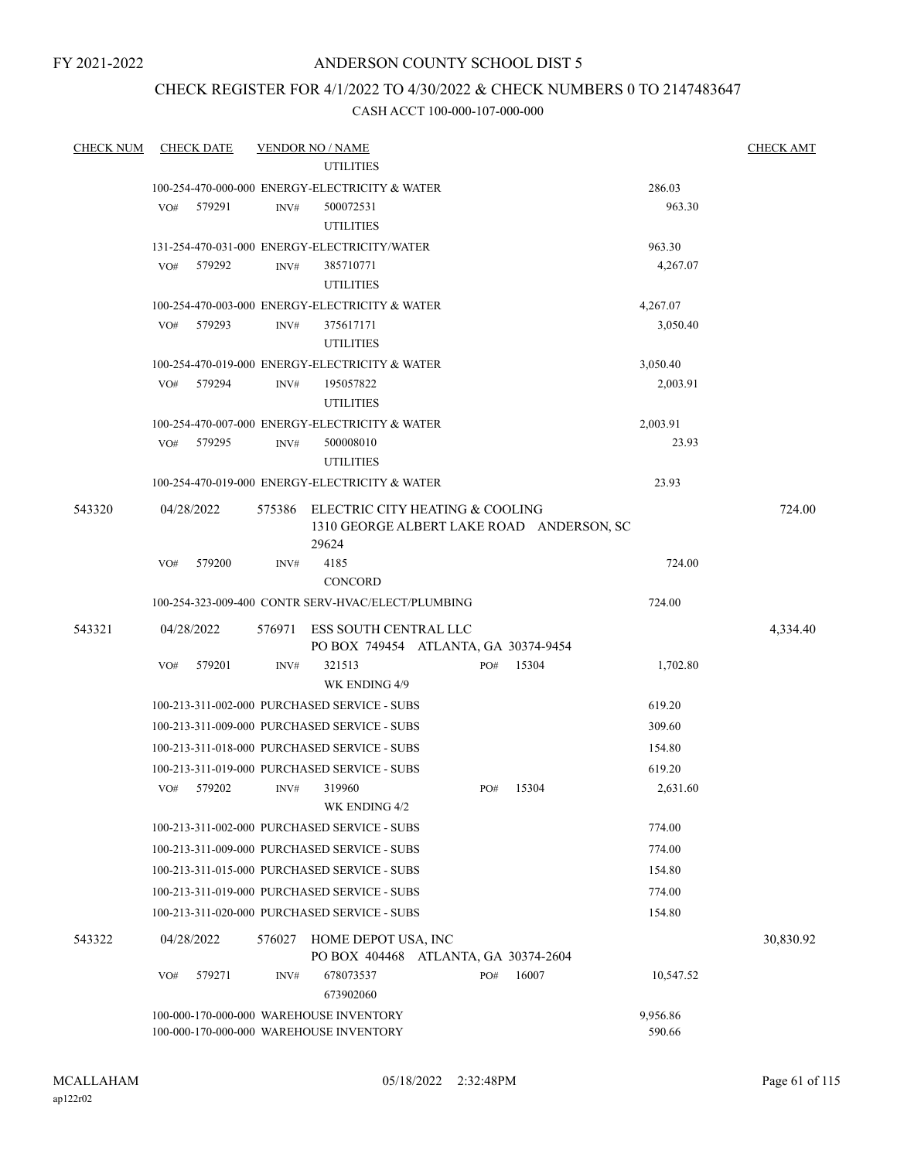FY 2021-2022

# ANDERSON COUNTY SCHOOL DIST 5

# CHECK REGISTER FOR 4/1/2022 TO 4/30/2022 & CHECK NUMBERS 0 TO 2147483647

| <b>CHECK NUM</b> |     | <b>CHECK DATE</b> |                | <b>VENDOR NO / NAME</b>                                                            |     |       |                    | <b>CHECK AMT</b> |
|------------------|-----|-------------------|----------------|------------------------------------------------------------------------------------|-----|-------|--------------------|------------------|
|                  |     |                   |                | <b>UTILITIES</b>                                                                   |     |       |                    |                  |
|                  |     |                   |                | 100-254-470-000-000 ENERGY-ELECTRICITY & WATER                                     |     |       | 286.03             |                  |
|                  | VO# | 579291            | $\text{INV}\#$ | 500072531<br><b>UTILITIES</b>                                                      |     |       | 963.30             |                  |
|                  |     |                   |                | 131-254-470-031-000 ENERGY-ELECTRICITY/WATER                                       |     |       | 963.30             |                  |
|                  | VO# | 579292            | INV#           | 385710771<br><b>UTILITIES</b>                                                      |     |       | 4,267.07           |                  |
|                  |     |                   |                | 100-254-470-003-000 ENERGY-ELECTRICITY & WATER                                     |     |       | 4,267.07           |                  |
|                  | VO# | 579293            | INV#           | 375617171<br><b>UTILITIES</b>                                                      |     |       | 3,050.40           |                  |
|                  |     |                   |                | 100-254-470-019-000 ENERGY-ELECTRICITY & WATER                                     |     |       | 3,050.40           |                  |
|                  | VO# | 579294            | INV#           | 195057822<br><b>UTILITIES</b>                                                      |     |       | 2,003.91           |                  |
|                  |     |                   |                | 100-254-470-007-000 ENERGY-ELECTRICITY & WATER                                     |     |       | 2,003.91           |                  |
|                  | VO# | 579295            | INV#           | 500008010<br><b>UTILITIES</b>                                                      |     |       | 23.93              |                  |
|                  |     |                   |                | 100-254-470-019-000 ENERGY-ELECTRICITY & WATER                                     |     |       | 23.93              |                  |
| 543320           |     | 04/28/2022        | 575386         | ELECTRIC CITY HEATING & COOLING<br>1310 GEORGE ALBERT LAKE ROAD ANDERSON, SC       |     |       |                    | 724.00           |
|                  |     |                   |                | 29624                                                                              |     |       |                    |                  |
|                  | VO# | 579200            | INV#           | 4185<br><b>CONCORD</b>                                                             |     |       | 724.00             |                  |
|                  |     |                   |                | 100-254-323-009-400 CONTR SERV-HVAC/ELECT/PLUMBING                                 |     |       | 724.00             |                  |
| 543321           |     | 04/28/2022        | 576971         | ESS SOUTH CENTRAL LLC<br>PO BOX 749454 ATLANTA, GA 30374-9454                      |     |       |                    | 4,334.40         |
|                  | VO# | 579201            | INV#           | 321513<br>WK ENDING 4/9                                                            | PO# | 15304 | 1,702.80           |                  |
|                  |     |                   |                | 100-213-311-002-000 PURCHASED SERVICE - SUBS                                       |     |       | 619.20             |                  |
|                  |     |                   |                | 100-213-311-009-000 PURCHASED SERVICE - SUBS                                       |     |       | 309.60             |                  |
|                  |     |                   |                | 100-213-311-018-000 PURCHASED SERVICE - SUBS                                       |     |       | 154.80             |                  |
|                  |     |                   |                | 100-213-311-019-000 PURCHASED SERVICE - SUBS                                       |     |       | 619.20             |                  |
|                  | VO# | 579202            | INV#           | 319960<br>WK ENDING 4/2                                                            | PO# | 15304 | 2.631.60           |                  |
|                  |     |                   |                | 100-213-311-002-000 PURCHASED SERVICE - SUBS                                       |     |       | 774.00             |                  |
|                  |     |                   |                | 100-213-311-009-000 PURCHASED SERVICE - SUBS                                       |     |       | 774.00             |                  |
|                  |     |                   |                | 100-213-311-015-000 PURCHASED SERVICE - SUBS                                       |     |       | 154.80             |                  |
|                  |     |                   |                | 100-213-311-019-000 PURCHASED SERVICE - SUBS                                       |     |       | 774.00             |                  |
|                  |     |                   |                | 100-213-311-020-000 PURCHASED SERVICE - SUBS                                       |     |       | 154.80             |                  |
| 543322           |     | 04/28/2022        | 576027         | HOME DEPOT USA, INC<br>PO BOX 404468 ATLANTA, GA 30374-2604                        |     |       |                    | 30,830.92        |
|                  | VO# | 579271            | INV#           | 678073537<br>673902060                                                             | PO# | 16007 | 10,547.52          |                  |
|                  |     |                   |                | 100-000-170-000-000 WAREHOUSE INVENTORY<br>100-000-170-000-000 WAREHOUSE INVENTORY |     |       | 9,956.86<br>590.66 |                  |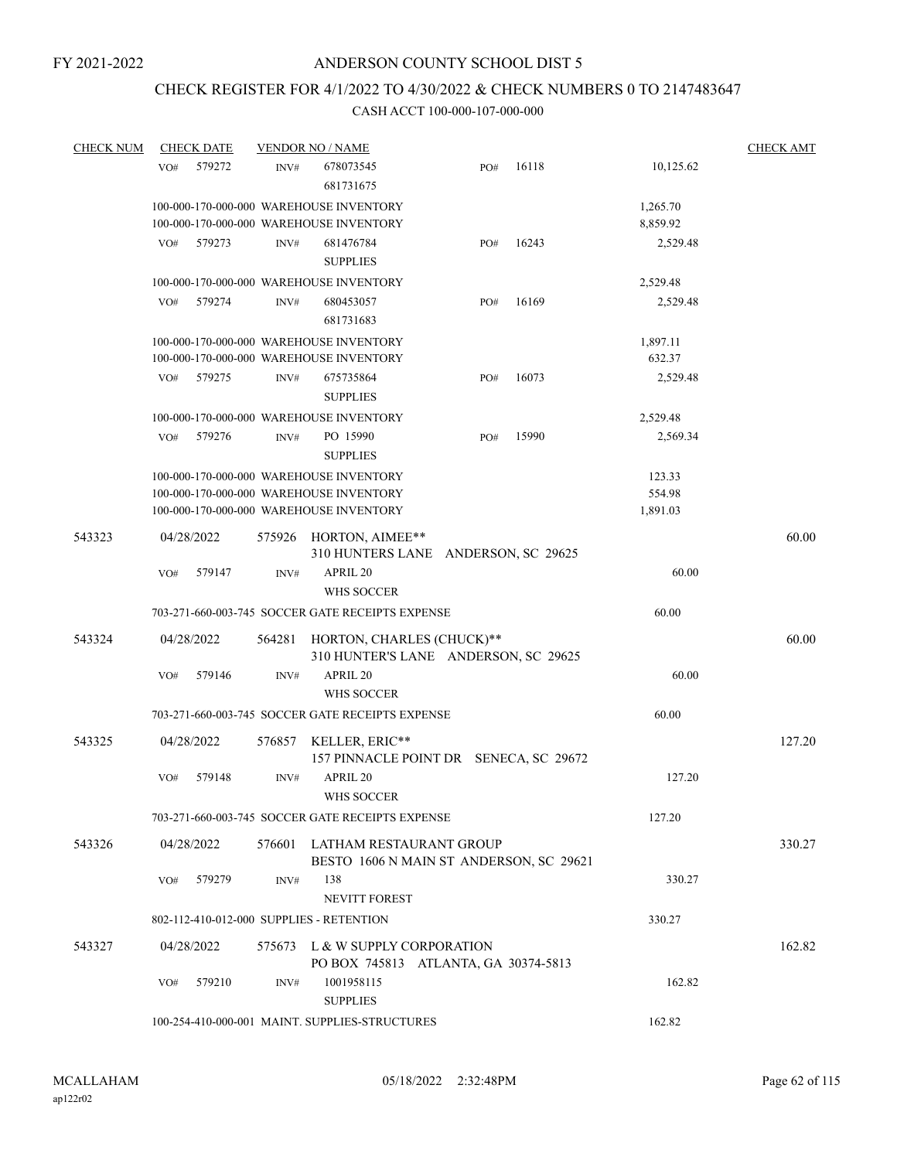# CHECK REGISTER FOR 4/1/2022 TO 4/30/2022 & CHECK NUMBERS 0 TO 2147483647

| <b>CHECK NUM</b> | <b>CHECK DATE</b> |                | <b>VENDOR NO / NAME</b>                                           |     |       |           | <b>CHECK AMT</b> |
|------------------|-------------------|----------------|-------------------------------------------------------------------|-----|-------|-----------|------------------|
|                  | 579272<br>VO#     | INV#           | 678073545<br>681731675                                            | PO# | 16118 | 10,125.62 |                  |
|                  |                   |                | 100-000-170-000-000 WAREHOUSE INVENTORY                           |     |       | 1,265.70  |                  |
|                  |                   |                | 100-000-170-000-000 WAREHOUSE INVENTORY                           |     |       | 8,859.92  |                  |
|                  | 579273<br>VO#     | INV#           | 681476784                                                         | PO# | 16243 | 2,529.48  |                  |
|                  |                   |                | <b>SUPPLIES</b>                                                   |     |       |           |                  |
|                  |                   |                | 100-000-170-000-000 WAREHOUSE INVENTORY                           |     |       | 2,529.48  |                  |
|                  | VO#<br>579274     | INV#           | 680453057                                                         | PO# | 16169 | 2,529.48  |                  |
|                  |                   |                | 681731683                                                         |     |       |           |                  |
|                  |                   |                | 100-000-170-000-000 WAREHOUSE INVENTORY                           |     |       | 1,897.11  |                  |
|                  |                   |                | 100-000-170-000-000 WAREHOUSE INVENTORY                           |     |       | 632.37    |                  |
|                  | 579275<br>VO#     | INV#           | 675735864<br><b>SUPPLIES</b>                                      | PO# | 16073 | 2,529.48  |                  |
|                  |                   |                | 100-000-170-000-000 WAREHOUSE INVENTORY                           |     |       | 2,529.48  |                  |
|                  | 579276<br>VO#     | $\text{INV}\#$ | PO 15990                                                          | PO# | 15990 | 2,569.34  |                  |
|                  |                   |                | <b>SUPPLIES</b>                                                   |     |       |           |                  |
|                  |                   |                | 100-000-170-000-000 WAREHOUSE INVENTORY                           |     |       | 123.33    |                  |
|                  |                   |                | 100-000-170-000-000 WAREHOUSE INVENTORY                           |     |       | 554.98    |                  |
|                  |                   |                | 100-000-170-000-000 WAREHOUSE INVENTORY                           |     |       | 1,891.03  |                  |
|                  |                   |                |                                                                   |     |       |           |                  |
| 543323           | 04/28/2022        | 575926         | HORTON, AIMEE**                                                   |     |       |           | 60.00            |
|                  |                   |                | 310 HUNTERS LANE ANDERSON, SC 29625                               |     |       |           |                  |
|                  | 579147<br>VO#     | INV#           | APRIL 20                                                          |     |       | 60.00     |                  |
|                  |                   |                | WHS SOCCER<br>703-271-660-003-745 SOCCER GATE RECEIPTS EXPENSE    |     |       | 60.00     |                  |
|                  |                   |                |                                                                   |     |       |           |                  |
| 543324           | 04/28/2022        | 564281         | HORTON, CHARLES (CHUCK)**<br>310 HUNTER'S LANE ANDERSON, SC 29625 |     |       |           | 60.00            |
|                  | 579146<br>VO#     | INV#           | APRIL 20<br>WHS SOCCER                                            |     |       | 60.00     |                  |
|                  |                   |                | 703-271-660-003-745 SOCCER GATE RECEIPTS EXPENSE                  |     |       | 60.00     |                  |
| 543325           | 04/28/2022        | 576857         | KELLER, ERIC**                                                    |     |       |           | 127.20           |
|                  |                   |                | 157 PINNACLE POINT DR SENECA, SC 29672                            |     |       |           |                  |
|                  | VO#<br>579148     | INV#           | APRIL 20                                                          |     |       | 127.20    |                  |
|                  |                   |                | WHS SOCCER                                                        |     |       |           |                  |
|                  |                   |                | 703-271-660-003-745 SOCCER GATE RECEIPTS EXPENSE                  |     |       | 127.20    |                  |
| 543326           | 04/28/2022        |                | 576601 LATHAM RESTAURANT GROUP                                    |     |       |           | 330.27           |
|                  |                   |                | BESTO 1606 N MAIN ST ANDERSON, SC 29621                           |     |       |           |                  |
|                  | 579279<br>VO#     | INV#           | 138                                                               |     |       | 330.27    |                  |
|                  |                   |                | <b>NEVITT FOREST</b>                                              |     |       |           |                  |
|                  |                   |                | 802-112-410-012-000 SUPPLIES - RETENTION                          |     |       | 330.27    |                  |
| 543327           | 04/28/2022        |                | 575673 L & W SUPPLY CORPORATION                                   |     |       |           | 162.82           |
|                  |                   |                | PO BOX 745813 ATLANTA, GA 30374-5813                              |     |       |           |                  |
|                  | 579210<br>VO#     | INV#           | 1001958115<br><b>SUPPLIES</b>                                     |     |       | 162.82    |                  |
|                  |                   |                | 100-254-410-000-001 MAINT. SUPPLIES-STRUCTURES                    |     |       | 162.82    |                  |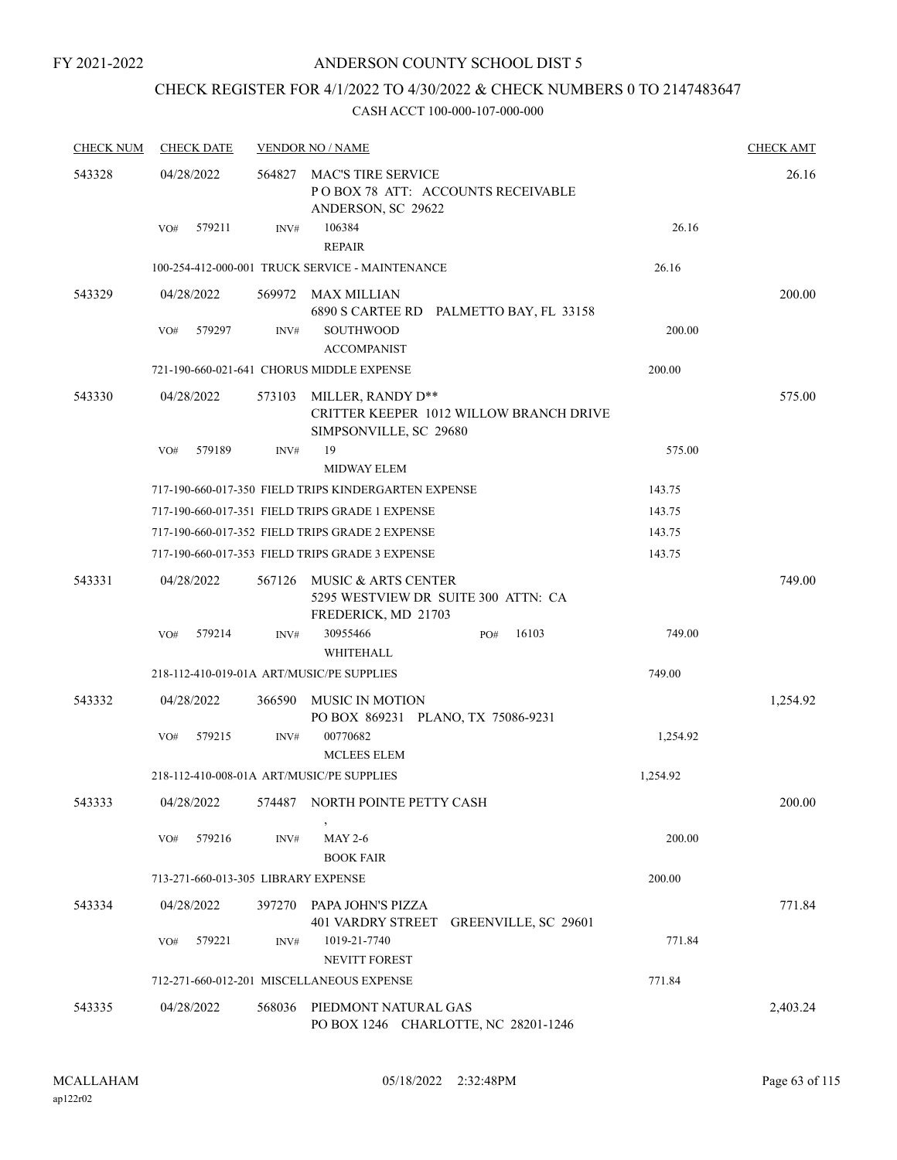# CHECK REGISTER FOR 4/1/2022 TO 4/30/2022 & CHECK NUMBERS 0 TO 2147483647

| <b>CHECK NUM</b> | <b>CHECK DATE</b>                         |        | <b>VENDOR NO / NAME</b>                                                                |          | <b>CHECK AMT</b> |
|------------------|-------------------------------------------|--------|----------------------------------------------------------------------------------------|----------|------------------|
| 543328           | 04/28/2022                                | 564827 | MAC'S TIRE SERVICE<br>POBOX 78 ATT: ACCOUNTS RECEIVABLE<br>ANDERSON, SC 29622          |          | 26.16            |
|                  | 579211<br>VO#                             | INV#   | 106384<br><b>REPAIR</b>                                                                | 26.16    |                  |
|                  |                                           |        | 100-254-412-000-001 TRUCK SERVICE - MAINTENANCE                                        | 26.16    |                  |
| 543329           | 04/28/2022                                | 569972 | MAX MILLIAN<br>6890 S CARTEE RD PALMETTO BAY, FL 33158                                 |          | 200.00           |
|                  | 579297<br>VO#                             | INV#   | <b>SOUTHWOOD</b><br><b>ACCOMPANIST</b>                                                 | 200.00   |                  |
|                  |                                           |        | 721-190-660-021-641 CHORUS MIDDLE EXPENSE                                              | 200.00   |                  |
| 543330           | 04/28/2022                                | 573103 | MILLER, RANDY D**<br>CRITTER KEEPER 1012 WILLOW BRANCH DRIVE<br>SIMPSONVILLE, SC 29680 |          | 575.00           |
|                  | 579189<br>VO#                             | INV#   | 19<br>MIDWAY ELEM                                                                      | 575.00   |                  |
|                  |                                           |        | 717-190-660-017-350 FIELD TRIPS KINDERGARTEN EXPENSE                                   | 143.75   |                  |
|                  |                                           |        | 717-190-660-017-351 FIELD TRIPS GRADE 1 EXPENSE                                        | 143.75   |                  |
|                  |                                           |        | 717-190-660-017-352 FIELD TRIPS GRADE 2 EXPENSE                                        | 143.75   |                  |
|                  |                                           |        | 717-190-660-017-353 FIELD TRIPS GRADE 3 EXPENSE                                        | 143.75   |                  |
| 543331           | 04/28/2022                                | 567126 | MUSIC & ARTS CENTER<br>5295 WESTVIEW DR SUITE 300 ATTN: CA<br>FREDERICK, MD 21703      |          | 749.00           |
|                  | 579214<br>VO#                             | INV#   | 30955466<br>16103<br>PO#<br>WHITEHALL                                                  | 749.00   |                  |
|                  | 218-112-410-019-01A ART/MUSIC/PE SUPPLIES |        |                                                                                        | 749.00   |                  |
| 543332           | 04/28/2022                                | 366590 | MUSIC IN MOTION<br>PO BOX 869231 PLANO, TX 75086-9231                                  |          | 1,254.92         |
|                  | 579215<br>VO#                             | INV#   | 00770682<br><b>MCLEES ELEM</b>                                                         | 1,254.92 |                  |
|                  | 218-112-410-008-01A ART/MUSIC/PE SUPPLIES |        |                                                                                        | 1,254.92 |                  |
| 543333           | 04/28/2022                                |        | 574487 NORTH POINTE PETTY CASH                                                         |          | 200.00           |
|                  | 579216<br>VO#                             | INV#   | <b>MAY 2-6</b><br><b>BOOK FAIR</b>                                                     | 200.00   |                  |
|                  | 713-271-660-013-305 LIBRARY EXPENSE       |        |                                                                                        | 200.00   |                  |
| 543334           | 04/28/2022                                | 397270 | PAPA JOHN'S PIZZA<br>401 VARDRY STREET GREENVILLE, SC 29601                            |          | 771.84           |
|                  | 579221<br>VO#                             | INV#   | 1019-21-7740<br>NEVITT FOREST                                                          | 771.84   |                  |
|                  |                                           |        | 712-271-660-012-201 MISCELLANEOUS EXPENSE                                              | 771.84   |                  |
| 543335           | 04/28/2022                                | 568036 | PIEDMONT NATURAL GAS<br>PO BOX 1246 CHARLOTTE, NC 28201-1246                           |          | 2,403.24         |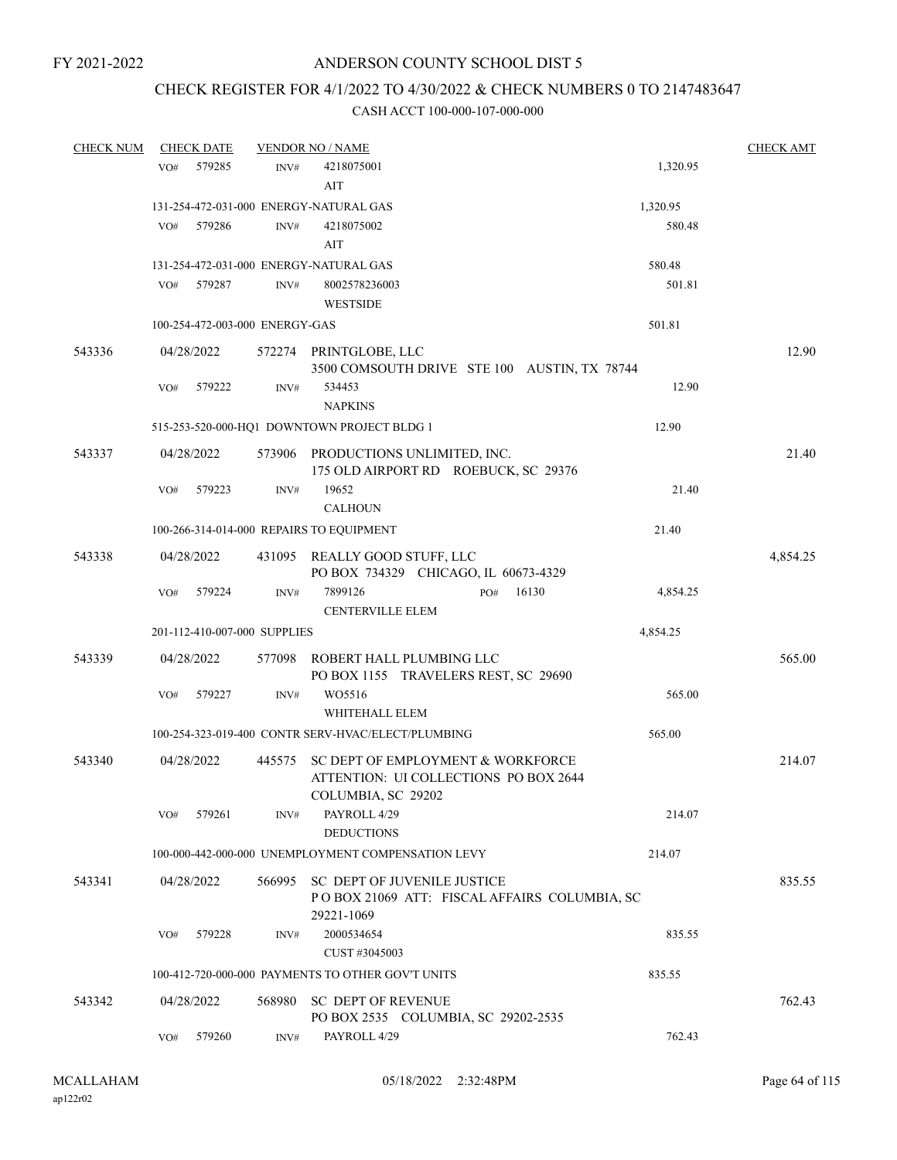# CHECK REGISTER FOR 4/1/2022 TO 4/30/2022 & CHECK NUMBERS 0 TO 2147483647

| <b>CHECK NUM</b> |                 | <b>CHECK DATE</b> |                                | <b>VENDOR NO / NAME</b>                                                                          |              |          | <b>CHECK AMT</b> |
|------------------|-----------------|-------------------|--------------------------------|--------------------------------------------------------------------------------------------------|--------------|----------|------------------|
|                  | VO <sub>#</sub> | 579285            | INV#                           | 4218075001                                                                                       |              | 1,320.95 |                  |
|                  |                 |                   |                                | AIT                                                                                              |              |          |                  |
|                  |                 |                   |                                | 131-254-472-031-000 ENERGY-NATURAL GAS                                                           |              | 1,320.95 |                  |
|                  | VO#             | 579286            | INV#                           | 4218075002<br>AIT                                                                                |              | 580.48   |                  |
|                  |                 |                   |                                | 131-254-472-031-000 ENERGY-NATURAL GAS                                                           |              | 580.48   |                  |
|                  | VO#             | 579287            | INV#                           | 8002578236003                                                                                    |              | 501.81   |                  |
|                  |                 |                   |                                | <b>WESTSIDE</b>                                                                                  |              |          |                  |
|                  |                 |                   | 100-254-472-003-000 ENERGY-GAS |                                                                                                  |              | 501.81   |                  |
| 543336           | 04/28/2022      |                   |                                | 572274 PRINTGLOBE, LLC<br>3500 COMSOUTH DRIVE STE 100 AUSTIN, TX 78744                           |              |          | 12.90            |
|                  | VO#             | 579222            | INV#                           | 534453                                                                                           |              | 12.90    |                  |
|                  |                 |                   |                                | <b>NAPKINS</b>                                                                                   |              |          |                  |
|                  |                 |                   |                                | 515-253-520-000-HQ1 DOWNTOWN PROJECT BLDG 1                                                      |              | 12.90    |                  |
| 543337           | 04/28/2022      |                   | 573906                         | PRODUCTIONS UNLIMITED, INC.<br>175 OLD AIRPORT RD ROEBUCK, SC 29376                              |              |          | 21.40            |
|                  | VO#             | 579223            | INV#                           | 19652<br><b>CALHOUN</b>                                                                          |              | 21.40    |                  |
|                  |                 |                   |                                | 100-266-314-014-000 REPAIRS TO EQUIPMENT                                                         |              | 21.40    |                  |
| 543338           | 04/28/2022      |                   |                                | 431095 REALLY GOOD STUFF, LLC<br>PO BOX 734329 CHICAGO, IL 60673-4329                            |              |          | 4,854.25         |
|                  | VO#             | 579224            | INV#                           | 7899126<br><b>CENTERVILLE ELEM</b>                                                               | 16130<br>PO# | 4,854.25 |                  |
|                  |                 |                   | 201-112-410-007-000 SUPPLIES   |                                                                                                  |              | 4,854.25 |                  |
| 543339           | 04/28/2022      |                   | 577098                         | ROBERT HALL PLUMBING LLC<br>PO BOX 1155 TRAVELERS REST, SC 29690                                 |              |          | 565.00           |
|                  | VO#             | 579227            | INV#                           | WO5516                                                                                           |              | 565.00   |                  |
|                  |                 |                   |                                | WHITEHALL ELEM                                                                                   |              |          |                  |
|                  |                 |                   |                                | 100-254-323-019-400 CONTR SERV-HVAC/ELECT/PLUMBING                                               |              | 565.00   |                  |
| 543340           | 04/28/2022      |                   | 445575                         | SC DEPT OF EMPLOYMENT & WORKFORCE<br>ATTENTION: UI COLLECTIONS PO BOX 2644<br>COLUMBIA, SC 29202 |              |          | 214.07           |
|                  | VO#             | 579261            | INV#                           | PAYROLL 4/29                                                                                     |              | 214.07   |                  |
|                  |                 |                   |                                | <b>DEDUCTIONS</b>                                                                                |              |          |                  |
|                  |                 |                   |                                | 100-000-442-000-000 UNEMPLOYMENT COMPENSATION LEVY                                               |              | 214.07   |                  |
| 543341           | 04/28/2022      |                   | 566995                         | <b>SC DEPT OF JUVENILE JUSTICE</b><br>POBOX 21069 ATT: FISCAL AFFAIRS COLUMBIA, SC<br>29221-1069 |              |          | 835.55           |
|                  | VO# 579228      |                   | INV#                           | 2000534654<br>CUST #3045003                                                                      |              | 835.55   |                  |
|                  |                 |                   |                                | 100-412-720-000-000 PAYMENTS TO OTHER GOV'T UNITS                                                |              | 835.55   |                  |
| 543342           | 04/28/2022      |                   | 568980                         | <b>SC DEPT OF REVENUE</b><br>PO BOX 2535 COLUMBIA, SC 29202-2535                                 |              |          | 762.43           |
|                  | VO#             | 579260            | INV#                           | PAYROLL 4/29                                                                                     |              | 762.43   |                  |
|                  |                 |                   |                                |                                                                                                  |              |          |                  |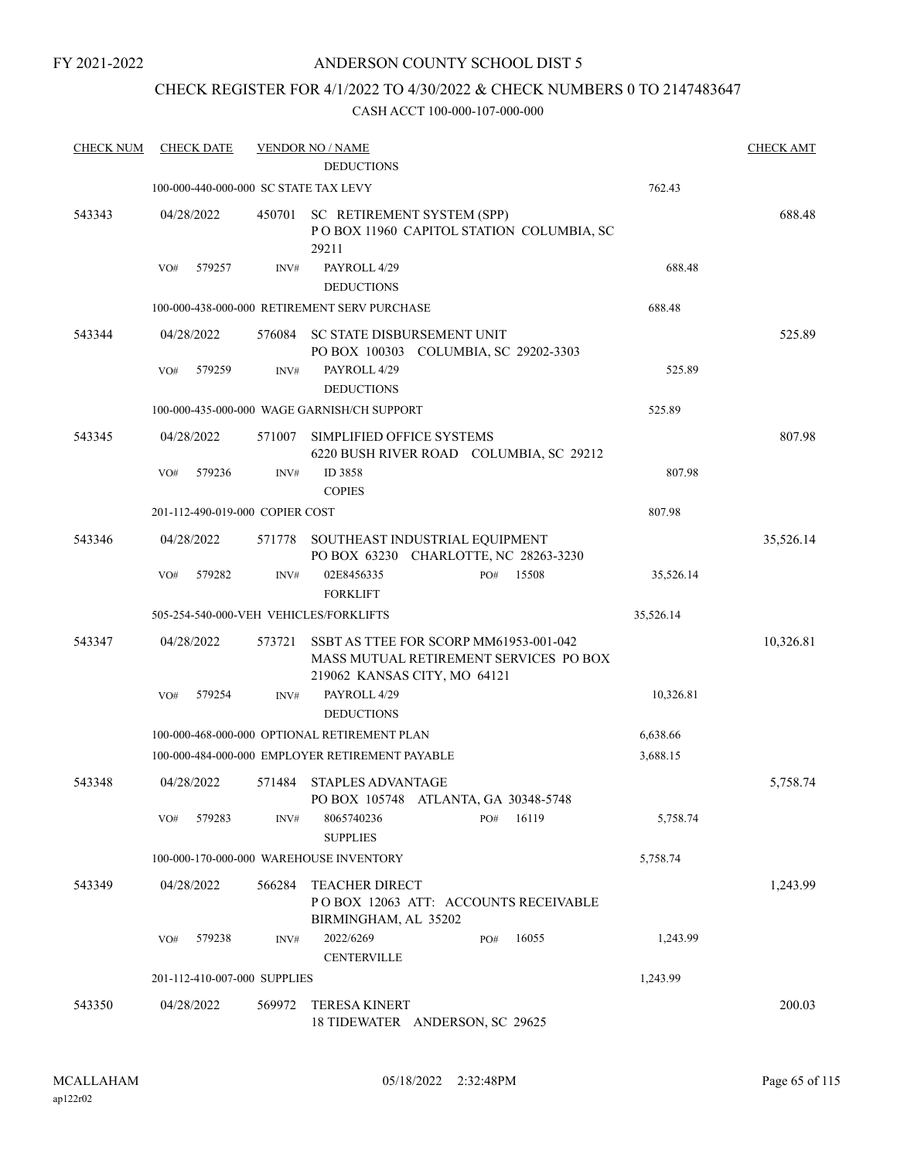FY 2021-2022

# ANDERSON COUNTY SCHOOL DIST 5

# CHECK REGISTER FOR 4/1/2022 TO 4/30/2022 & CHECK NUMBERS 0 TO 2147483647

| <b>CHECK NUM</b> | <b>CHECK DATE</b>                      |        | <b>VENDOR NO / NAME</b>                                                                                          |           | <b>CHECK AMT</b> |
|------------------|----------------------------------------|--------|------------------------------------------------------------------------------------------------------------------|-----------|------------------|
|                  | 100-000-440-000-000 SC STATE TAX LEVY  |        | <b>DEDUCTIONS</b>                                                                                                | 762.43    |                  |
| 543343           | 04/28/2022                             | 450701 | SC RETIREMENT SYSTEM (SPP)<br>POBOX 11960 CAPITOL STATION COLUMBIA, SC<br>29211                                  |           | 688.48           |
|                  | 579257<br>VO#                          | INV#   | PAYROLL 4/29<br><b>DEDUCTIONS</b>                                                                                | 688.48    |                  |
|                  |                                        |        | 100-000-438-000-000 RETIREMENT SERV PURCHASE                                                                     | 688.48    |                  |
| 543344           | 04/28/2022                             | 576084 | SC STATE DISBURSEMENT UNIT<br>PO BOX 100303 COLUMBIA, SC 29202-3303                                              |           | 525.89           |
|                  | 579259<br>VO#                          | INV#   | PAYROLL 4/29<br><b>DEDUCTIONS</b>                                                                                | 525.89    |                  |
|                  |                                        |        | 100-000-435-000-000 WAGE GARNISH/CH SUPPORT                                                                      | 525.89    |                  |
| 543345           | 04/28/2022                             | 571007 | SIMPLIFIED OFFICE SYSTEMS<br>6220 BUSH RIVER ROAD COLUMBIA, SC 29212                                             |           | 807.98           |
|                  | 579236<br>VO#                          | INV#   | ID 3858<br><b>COPIES</b>                                                                                         | 807.98    |                  |
|                  | 201-112-490-019-000 COPIER COST        |        |                                                                                                                  | 807.98    |                  |
| 543346           | 04/28/2022                             | 571778 | SOUTHEAST INDUSTRIAL EQUIPMENT<br>PO BOX 63230 CHARLOTTE, NC 28263-3230                                          |           | 35,526.14        |
|                  | 579282<br>VO#                          | INV#   | 02E8456335<br>15508<br>PO#<br><b>FORKLIFT</b>                                                                    | 35,526.14 |                  |
|                  | 505-254-540-000-VEH VEHICLES/FORKLIFTS |        |                                                                                                                  | 35,526.14 |                  |
| 543347           | 04/28/2022                             | 573721 | SSBT AS TTEE FOR SCORP MM61953-001-042<br>MASS MUTUAL RETIREMENT SERVICES PO BOX<br>219062 KANSAS CITY, MO 64121 |           | 10,326.81        |
|                  | 579254<br>VO#                          | INV#   | PAYROLL 4/29<br><b>DEDUCTIONS</b>                                                                                | 10,326.81 |                  |
|                  |                                        |        | 100-000-468-000-000 OPTIONAL RETIREMENT PLAN                                                                     | 6,638.66  |                  |
|                  |                                        |        | 100-000-484-000-000 EMPLOYER RETIREMENT PAYABLE                                                                  | 3,688.15  |                  |
| 543348           | 04/28/2022                             | 571484 | <b>STAPLES ADVANTAGE</b><br>PO BOX 105748 ATLANTA, GA 30348-5748                                                 |           | 5,758.74         |
|                  | 579283<br>VO#                          | INV#   | 8065740236<br>16119<br>PO#<br><b>SUPPLIES</b>                                                                    | 5,758.74  |                  |
|                  |                                        |        | 100-000-170-000-000 WAREHOUSE INVENTORY                                                                          | 5,758.74  |                  |
| 543349           | 04/28/2022                             | 566284 | <b>TEACHER DIRECT</b><br>POBOX 12063 ATT: ACCOUNTS RECEIVABLE<br>BIRMINGHAM, AL 35202                            |           | 1,243.99         |
|                  | 579238<br>VO#                          | INV#   | 2022/6269<br>16055<br>PO#<br><b>CENTERVILLE</b>                                                                  | 1,243.99  |                  |
|                  | 201-112-410-007-000 SUPPLIES           |        |                                                                                                                  | 1,243.99  |                  |
| 543350           | 04/28/2022                             | 569972 | TERESA KINERT<br>18 TIDEWATER ANDERSON, SC 29625                                                                 |           | 200.03           |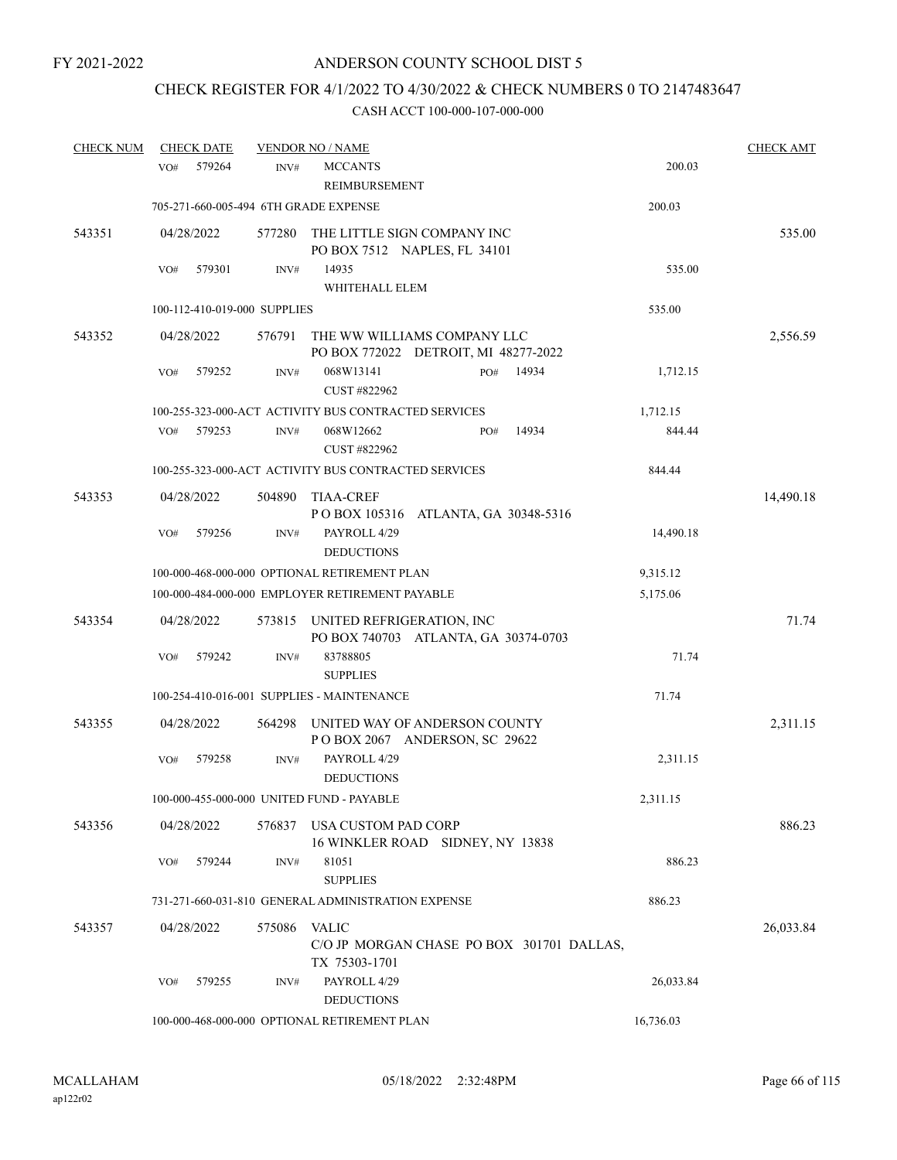# CHECK REGISTER FOR 4/1/2022 TO 4/30/2022 & CHECK NUMBERS 0 TO 2147483647

| <b>CHECK NUM</b> | <b>CHECK DATE</b> |                                       | <b>VENDOR NO / NAME</b>                              |                                                                     |       |           | <b>CHECK AMT</b> |
|------------------|-------------------|---------------------------------------|------------------------------------------------------|---------------------------------------------------------------------|-------|-----------|------------------|
|                  | VO <sub>#</sub>   | 579264<br>INV#                        | <b>MCCANTS</b><br>REIMBURSEMENT                      |                                                                     |       | 200.03    |                  |
|                  |                   | 705-271-660-005-494 6TH GRADE EXPENSE |                                                      |                                                                     |       | 200.03    |                  |
| 543351           | 04/28/2022        | 577280                                |                                                      | THE LITTLE SIGN COMPANY INC<br>PO BOX 7512 NAPLES, FL 34101         |       |           | 535.00           |
|                  | VO#               | 579301<br>INV#                        | 14935                                                |                                                                     |       | 535.00    |                  |
|                  |                   |                                       | WHITEHALL ELEM                                       |                                                                     |       |           |                  |
|                  |                   | 100-112-410-019-000 SUPPLIES          |                                                      |                                                                     |       | 535.00    |                  |
| 543352           | 04/28/2022        | 576791                                |                                                      | THE WW WILLIAMS COMPANY LLC<br>PO BOX 772022 DETROIT, MI 48277-2022 |       |           | 2,556.59         |
|                  | VO#               | 579252<br>INV#                        | 068W13141<br>CUST #822962                            | PO#                                                                 | 14934 | 1,712.15  |                  |
|                  |                   |                                       | 100-255-323-000-ACT ACTIVITY BUS CONTRACTED SERVICES |                                                                     |       | 1,712.15  |                  |
|                  | VO#               | 579253<br>INV#                        | 068W12662<br>CUST #822962                            | PO#                                                                 | 14934 | 844.44    |                  |
|                  |                   |                                       | 100-255-323-000-ACT ACTIVITY BUS CONTRACTED SERVICES |                                                                     |       | 844.44    |                  |
| 543353           | 04/28/2022        | 504890                                | <b>TIAA-CREF</b>                                     | POBOX 105316 ATLANTA, GA 30348-5316                                 |       |           | 14,490.18        |
|                  | VO#               | 579256<br>INV#                        | PAYROLL 4/29<br><b>DEDUCTIONS</b>                    |                                                                     |       | 14,490.18 |                  |
|                  |                   |                                       | 100-000-468-000-000 OPTIONAL RETIREMENT PLAN         |                                                                     |       | 9,315.12  |                  |
|                  |                   |                                       | 100-000-484-000-000 EMPLOYER RETIREMENT PAYABLE      |                                                                     |       | 5,175.06  |                  |
| 543354           | 04/28/2022        | 573815                                | UNITED REFRIGERATION, INC                            | PO BOX 740703 ATLANTA, GA 30374-0703                                |       |           | 71.74            |
|                  | VO#               | 579242<br>INV#                        | 83788805<br><b>SUPPLIES</b>                          |                                                                     |       | 71.74     |                  |
|                  |                   |                                       | 100-254-410-016-001 SUPPLIES - MAINTENANCE           |                                                                     |       | 71.74     |                  |
| 543355           | 04/28/2022        | 564298                                |                                                      | UNITED WAY OF ANDERSON COUNTY<br>POBOX 2067 ANDERSON, SC 29622      |       |           | 2,311.15         |
|                  | VO#               | 579258<br>INV#                        | PAYROLL 4/29<br><b>DEDUCTIONS</b>                    |                                                                     |       | 2,311.15  |                  |
|                  |                   |                                       | 100-000-455-000-000 UNITED FUND - PAYABLE            |                                                                     |       | 2,311.15  |                  |
| 543356           | 04/28/2022        | 576837                                | USA CUSTOM PAD CORP                                  | 16 WINKLER ROAD SIDNEY, NY 13838                                    |       |           | 886.23           |
|                  | VO#               | 579244<br>INV#                        | 81051<br><b>SUPPLIES</b>                             |                                                                     |       | 886.23    |                  |
|                  |                   |                                       | 731-271-660-031-810 GENERAL ADMINISTRATION EXPENSE   |                                                                     |       | 886.23    |                  |
| 543357           | 04/28/2022        | 575086                                | VALIC                                                | C/O JP MORGAN CHASE PO BOX 301701 DALLAS,                           |       |           | 26,033.84        |
|                  | VO#               | 579255<br>INV#                        | TX 75303-1701<br>PAYROLL 4/29<br><b>DEDUCTIONS</b>   |                                                                     |       | 26,033.84 |                  |
|                  |                   |                                       | 100-000-468-000-000 OPTIONAL RETIREMENT PLAN         |                                                                     |       | 16,736.03 |                  |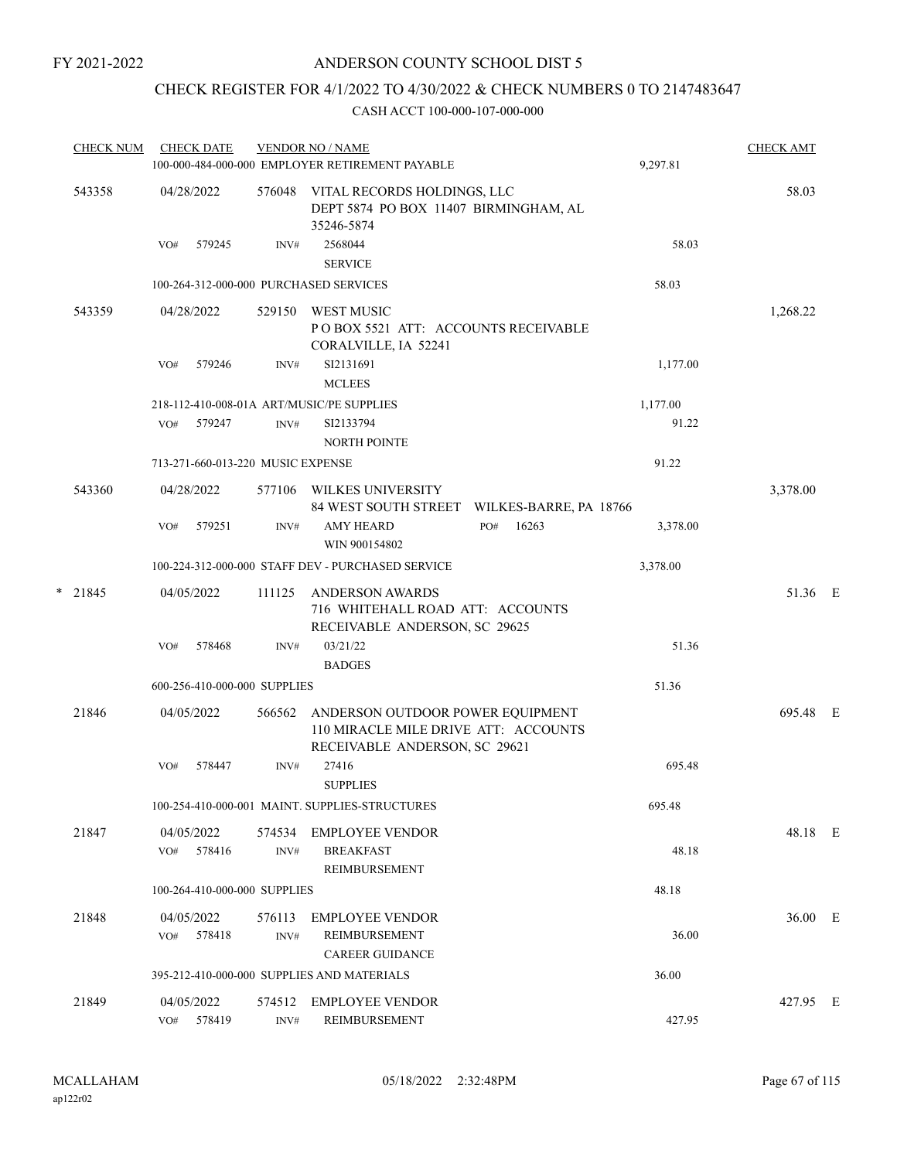# CHECK REGISTER FOR 4/1/2022 TO 4/30/2022 & CHECK NUMBERS 0 TO 2147483647

| <b>CHECK NUM</b> |            | <b>CHECK DATE</b>                 |                | <b>VENDOR NO / NAME</b><br>100-000-484-000-000 EMPLOYER RETIREMENT PAYABLE |                        | 9,297.81 | <b>CHECK AMT</b> |  |
|------------------|------------|-----------------------------------|----------------|----------------------------------------------------------------------------|------------------------|----------|------------------|--|
| 543358           | 04/28/2022 |                                   | 576048         | VITAL RECORDS HOLDINGS, LLC                                                |                        |          | 58.03            |  |
|                  |            |                                   |                | DEPT 5874 PO BOX 11407 BIRMINGHAM, AL                                      |                        |          |                  |  |
|                  | VO#        | 579245                            | INV#           | 35246-5874<br>2568044                                                      |                        | 58.03    |                  |  |
|                  |            |                                   |                | <b>SERVICE</b>                                                             |                        |          |                  |  |
|                  |            |                                   |                | 100-264-312-000-000 PURCHASED SERVICES                                     |                        | 58.03    |                  |  |
| 543359           | 04/28/2022 |                                   | 529150         | WEST MUSIC                                                                 |                        |          | 1,268.22         |  |
|                  |            |                                   |                | POBOX 5521 ATT: ACCOUNTS RECEIVABLE                                        |                        |          |                  |  |
|                  |            |                                   |                | CORALVILLE, IA 52241                                                       |                        |          |                  |  |
|                  | VO#        | 579246                            | INV#           | SI2131691<br><b>MCLEES</b>                                                 |                        | 1,177.00 |                  |  |
|                  |            |                                   |                | 218-112-410-008-01A ART/MUSIC/PE SUPPLIES                                  |                        | 1,177.00 |                  |  |
|                  | VO#        | 579247                            | INV#           | SI2133794                                                                  |                        | 91.22    |                  |  |
|                  |            |                                   |                | <b>NORTH POINTE</b>                                                        |                        |          |                  |  |
|                  |            | 713-271-660-013-220 MUSIC EXPENSE |                |                                                                            |                        | 91.22    |                  |  |
| 543360           | 04/28/2022 |                                   | 577106         | WILKES UNIVERSITY                                                          |                        |          | 3,378.00         |  |
|                  |            |                                   |                | 84 WEST SOUTH STREET                                                       | WILKES-BARRE, PA 18766 |          |                  |  |
|                  | VO#        | 579251                            | INV#           | AMY HEARD                                                                  | 16263<br>PO#           | 3,378.00 |                  |  |
|                  |            |                                   |                | WIN 900154802                                                              |                        |          |                  |  |
|                  |            |                                   |                | 100-224-312-000-000 STAFF DEV - PURCHASED SERVICE                          |                        | 3,378.00 |                  |  |
| $*$ 21845        | 04/05/2022 |                                   | 111125         | <b>ANDERSON AWARDS</b>                                                     |                        |          | 51.36 E          |  |
|                  |            |                                   |                | 716 WHITEHALL ROAD ATT: ACCOUNTS<br>RECEIVABLE ANDERSON, SC 29625          |                        |          |                  |  |
|                  | VO#        | 578468                            | INV#           | 03/21/22                                                                   |                        | 51.36    |                  |  |
|                  |            |                                   |                | <b>BADGES</b>                                                              |                        |          |                  |  |
|                  |            | 600-256-410-000-000 SUPPLIES      |                |                                                                            |                        | 51.36    |                  |  |
| 21846            | 04/05/2022 |                                   | 566562         | ANDERSON OUTDOOR POWER EQUIPMENT                                           |                        |          | 695.48 E         |  |
|                  |            |                                   |                | 110 MIRACLE MILE DRIVE ATT: ACCOUNTS<br>RECEIVABLE ANDERSON, SC 29621      |                        |          |                  |  |
|                  | VO#        | 578447                            | INV#           | 27416                                                                      |                        | 695.48   |                  |  |
|                  |            |                                   |                | <b>SUPPLIES</b>                                                            |                        |          |                  |  |
|                  |            |                                   |                | 100-254-410-000-001 MAINT. SUPPLIES-STRUCTURES                             |                        | 695.48   |                  |  |
| 21847            | 04/05/2022 |                                   | 574534         | <b>EMPLOYEE VENDOR</b>                                                     |                        |          | 48.18 E          |  |
|                  | VO#        | 578416                            | INV#           | <b>BREAKFAST</b>                                                           |                        | 48.18    |                  |  |
|                  |            |                                   |                | REIMBURSEMENT                                                              |                        |          |                  |  |
|                  |            | 100-264-410-000-000 SUPPLIES      |                |                                                                            |                        | 48.18    |                  |  |
| 21848            | 04/05/2022 |                                   | 576113         | <b>EMPLOYEE VENDOR</b>                                                     |                        |          | 36.00 E          |  |
|                  |            | VO# 578418                        | INV#           | <b>REIMBURSEMENT</b>                                                       |                        | 36.00    |                  |  |
|                  |            |                                   |                | <b>CAREER GUIDANCE</b>                                                     |                        |          |                  |  |
|                  |            |                                   |                | 395-212-410-000-000 SUPPLIES AND MATERIALS                                 |                        | 36.00    |                  |  |
| 21849            | 04/05/2022 |                                   | 574512         | EMPLOYEE VENDOR                                                            |                        |          | 427.95 E         |  |
|                  |            | VO# 578419                        | $\text{INV}\#$ | REIMBURSEMENT                                                              |                        | 427.95   |                  |  |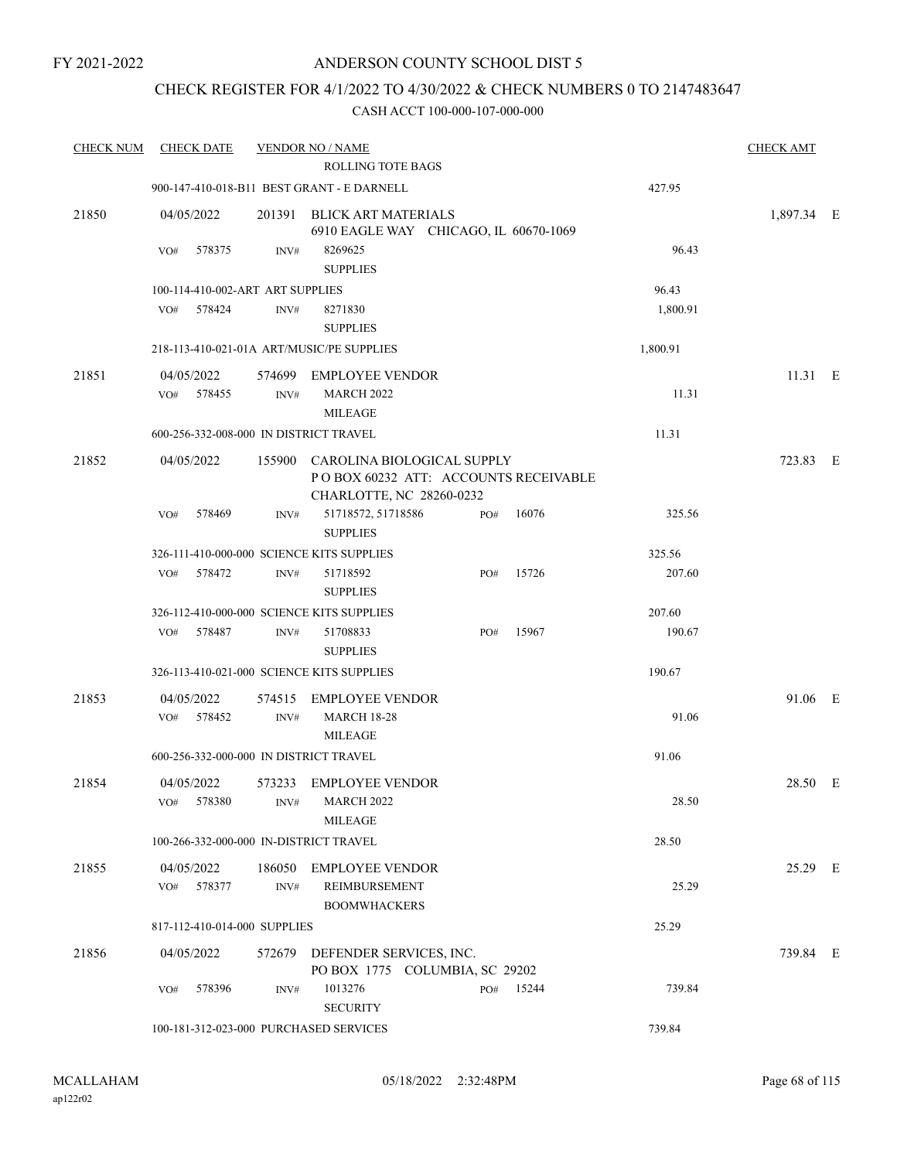# CHECK REGISTER FOR 4/1/2022 TO 4/30/2022 & CHECK NUMBERS 0 TO 2147483647

| <b>CHECK NUM</b> |                   | <b>CHECK DATE</b> |                                  | <b>VENDOR NO / NAME</b>                                                                        |     |       |          | <b>CHECK AMT</b> |  |
|------------------|-------------------|-------------------|----------------------------------|------------------------------------------------------------------------------------------------|-----|-------|----------|------------------|--|
|                  |                   |                   |                                  | ROLLING TOTE BAGS                                                                              |     |       |          |                  |  |
|                  |                   |                   |                                  | 900-147-410-018-B11 BEST GRANT - E DARNELL                                                     |     |       | 427.95   |                  |  |
| 21850            | 04/05/2022        |                   | 201391                           | <b>BLICK ART MATERIALS</b><br>6910 EAGLE WAY CHICAGO, IL 60670-1069                            |     |       |          | 1,897.34 E       |  |
|                  | VO#               | 578375            | INV#                             | 8269625<br><b>SUPPLIES</b>                                                                     |     |       | 96.43    |                  |  |
|                  |                   |                   | 100-114-410-002-ART ART SUPPLIES |                                                                                                |     |       | 96.43    |                  |  |
|                  | VO#               | 578424            | INV#                             | 8271830<br><b>SUPPLIES</b>                                                                     |     |       | 1,800.91 |                  |  |
|                  |                   |                   |                                  | 218-113-410-021-01A ART/MUSIC/PE SUPPLIES                                                      |     |       | 1,800.91 |                  |  |
| 21851            | 04/05/2022<br>VO# | 578455            | INV#                             | 574699 EMPLOYEE VENDOR<br><b>MARCH 2022</b><br><b>MILEAGE</b>                                  |     |       | 11.31    | 11.31 E          |  |
|                  |                   |                   |                                  | 600-256-332-008-000 IN DISTRICT TRAVEL                                                         |     |       | 11.31    |                  |  |
|                  |                   |                   |                                  |                                                                                                |     |       |          |                  |  |
| 21852            | 04/05/2022        |                   | 155900                           | CAROLINA BIOLOGICAL SUPPLY<br>POBOX 60232 ATT: ACCOUNTS RECEIVABLE<br>CHARLOTTE, NC 28260-0232 |     |       |          | 723.83 E         |  |
|                  | VO#               | 578469            | INV#                             | 51718572, 51718586<br><b>SUPPLIES</b>                                                          | PO# | 16076 | 325.56   |                  |  |
|                  |                   |                   |                                  | 326-111-410-000-000 SCIENCE KITS SUPPLIES                                                      |     |       | 325.56   |                  |  |
|                  | VO#               | 578472            | INV#                             | 51718592<br><b>SUPPLIES</b>                                                                    | PO# | 15726 | 207.60   |                  |  |
|                  |                   |                   |                                  | 326-112-410-000-000 SCIENCE KITS SUPPLIES                                                      |     |       | 207.60   |                  |  |
|                  | VO#               | 578487            | INV#                             | 51708833<br><b>SUPPLIES</b>                                                                    | PO# | 15967 | 190.67   |                  |  |
|                  |                   |                   |                                  | 326-113-410-021-000 SCIENCE KITS SUPPLIES                                                      |     |       | 190.67   |                  |  |
| 21853            | 04/05/2022        |                   | 574515                           | <b>EMPLOYEE VENDOR</b>                                                                         |     |       |          | 91.06 E          |  |
|                  | VO#               | 578452            | $\text{INV}\#$                   | <b>MARCH 18-28</b><br><b>MILEAGE</b>                                                           |     |       | 91.06    |                  |  |
|                  |                   |                   |                                  | 600-256-332-000-000 IN DISTRICT TRAVEL                                                         |     |       | 91.06    |                  |  |
| 21854            | 04/05/2022        |                   |                                  | 573233 EMPLOYEE VENDOR                                                                         |     |       |          | 28.50 E          |  |
|                  | VO#               | 578380            | INV#                             | MARCH 2022<br><b>MILEAGE</b>                                                                   |     |       | 28.50    |                  |  |
|                  |                   |                   |                                  | 100-266-332-000-000 IN-DISTRICT TRAVEL                                                         |     |       | 28.50    |                  |  |
| 21855            | 04/05/2022        | VO# 578377        | 186050<br>INV#                   | <b>EMPLOYEE VENDOR</b><br>REIMBURSEMENT<br><b>BOOMWHACKERS</b>                                 |     |       | 25.29    | 25.29 E          |  |
|                  |                   |                   | 817-112-410-014-000 SUPPLIES     |                                                                                                |     |       | 25.29    |                  |  |
| 21856            | 04/05/2022        |                   |                                  | 572679 DEFENDER SERVICES, INC.<br>PO BOX 1775 COLUMBIA, SC 29202                               |     |       |          | 739.84 E         |  |
|                  | VO#               | 578396            | INV#                             | 1013276<br><b>SECURITY</b>                                                                     | PO# | 15244 | 739.84   |                  |  |
|                  |                   |                   |                                  | 100-181-312-023-000 PURCHASED SERVICES                                                         |     |       | 739.84   |                  |  |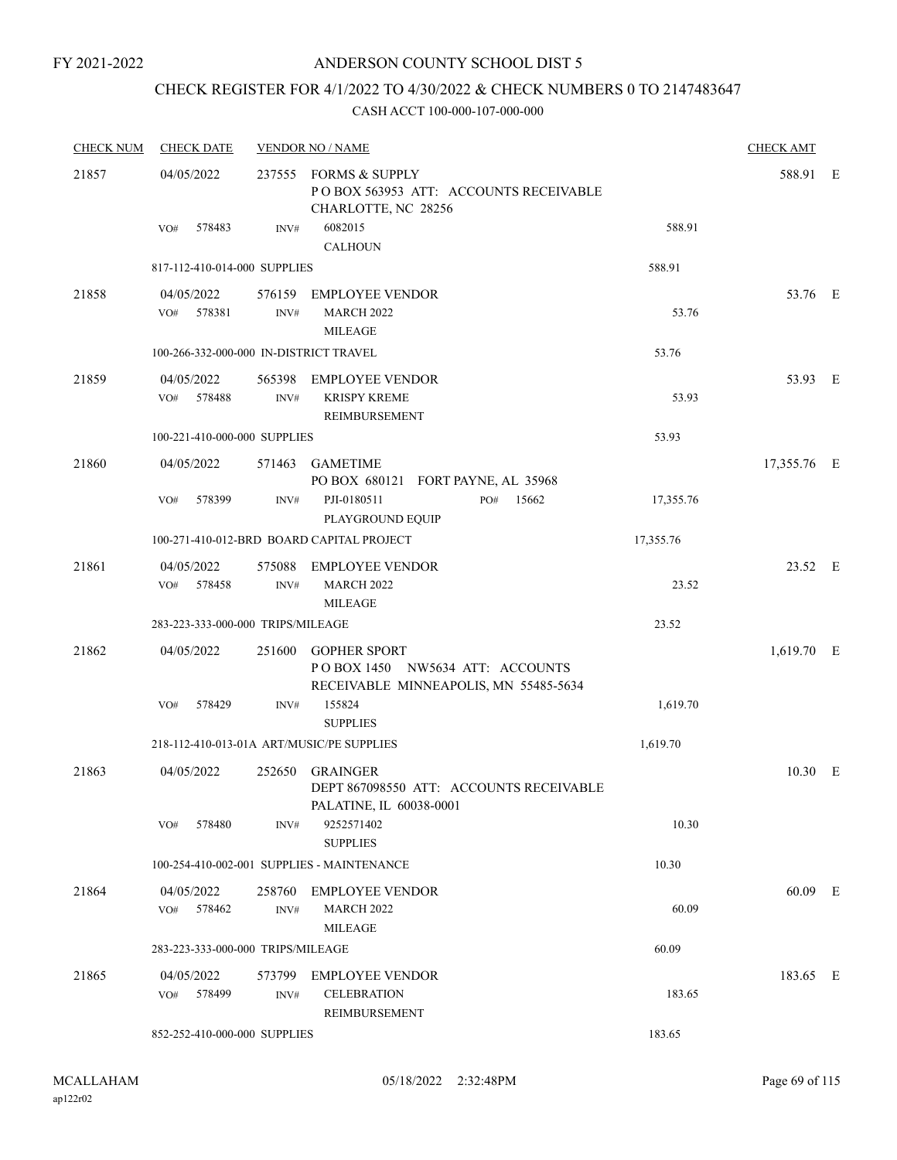FY 2021-2022

# ANDERSON COUNTY SCHOOL DIST 5

# CHECK REGISTER FOR 4/1/2022 TO 4/30/2022 & CHECK NUMBERS 0 TO 2147483647

| <b>CHECK NUM</b> | <b>CHECK DATE</b>                      |                | <b>VENDOR NO / NAME</b>                                                                         |           | <b>CHECK AMT</b> |  |
|------------------|----------------------------------------|----------------|-------------------------------------------------------------------------------------------------|-----------|------------------|--|
| 21857            | 04/05/2022                             |                | 237555 FORMS & SUPPLY<br>POBOX 563953 ATT: ACCOUNTS RECEIVABLE<br>CHARLOTTE, NC 28256           |           | 588.91 E         |  |
|                  | 578483<br>VO#                          | INV#           | 6082015<br><b>CALHOUN</b>                                                                       | 588.91    |                  |  |
|                  | 817-112-410-014-000 SUPPLIES           |                |                                                                                                 | 588.91    |                  |  |
| 21858            | 04/05/2022<br>VO# 578381               | INV#           | 576159 EMPLOYEE VENDOR<br><b>MARCH 2022</b><br><b>MILEAGE</b>                                   | 53.76     | 53.76 E          |  |
|                  | 100-266-332-000-000 IN-DISTRICT TRAVEL |                |                                                                                                 | 53.76     |                  |  |
| 21859            | 04/05/2022<br>VO#<br>578488            | INV#           | 565398 EMPLOYEE VENDOR<br><b>KRISPY KREME</b><br>REIMBURSEMENT                                  | 53.93     | 53.93 E          |  |
|                  | 100-221-410-000-000 SUPPLIES           |                |                                                                                                 | 53.93     |                  |  |
| 21860            | 04/05/2022                             |                | 571463 GAMETIME<br>PO BOX 680121 FORT PAYNE, AL 35968<br>PO# 15662                              |           | 17,355.76 E      |  |
|                  | 578399<br>VO#                          | INV#           | PJI-0180511<br>PLAYGROUND EQUIP                                                                 | 17,355.76 |                  |  |
|                  |                                        |                | 100-271-410-012-BRD BOARD CAPITAL PROJECT                                                       | 17,355.76 |                  |  |
| 21861            | 04/05/2022<br>578458<br>VO#            | INV#           | 575088 EMPLOYEE VENDOR<br><b>MARCH 2022</b><br><b>MILEAGE</b>                                   | 23.52     | 23.52 E          |  |
|                  | 283-223-333-000-000 TRIPS/MILEAGE      |                |                                                                                                 | 23.52     |                  |  |
| 21862            | 04/05/2022                             | 251600         | <b>GOPHER SPORT</b><br>POBOX 1450 NW5634 ATT: ACCOUNTS<br>RECEIVABLE MINNEAPOLIS, MN 55485-5634 |           | $1,619.70$ E     |  |
|                  | 578429<br>VO#                          | INV#           | 155824<br><b>SUPPLIES</b>                                                                       | 1,619.70  |                  |  |
|                  |                                        |                | 218-112-410-013-01A ART/MUSIC/PE SUPPLIES                                                       | 1,619.70  |                  |  |
| 21863            | 04/05/2022                             | 252650         | <b>GRAINGER</b><br>DEPT 867098550 ATT: ACCOUNTS RECEIVABLE<br>PALATINE, IL 60038-0001           |           | 10.30 E          |  |
|                  | 578480<br>VO#                          | INV#           | 9252571402<br><b>SUPPLIES</b>                                                                   | 10.30     |                  |  |
|                  |                                        |                | 100-254-410-002-001 SUPPLIES - MAINTENANCE                                                      | 10.30     |                  |  |
| 21864            | 04/05/2022<br>VO# 578462               | 258760<br>INV# | EMPLOYEE VENDOR<br><b>MARCH 2022</b><br><b>MILEAGE</b>                                          | 60.09     | 60.09 E          |  |
|                  | 283-223-333-000-000 TRIPS/MILEAGE      |                |                                                                                                 | 60.09     |                  |  |
| 21865            | 04/05/2022<br>578499<br>VO#            | 573799<br>INV# | <b>EMPLOYEE VENDOR</b><br><b>CELEBRATION</b><br>REIMBURSEMENT                                   | 183.65    | 183.65 E         |  |
|                  | 852-252-410-000-000 SUPPLIES           |                |                                                                                                 | 183.65    |                  |  |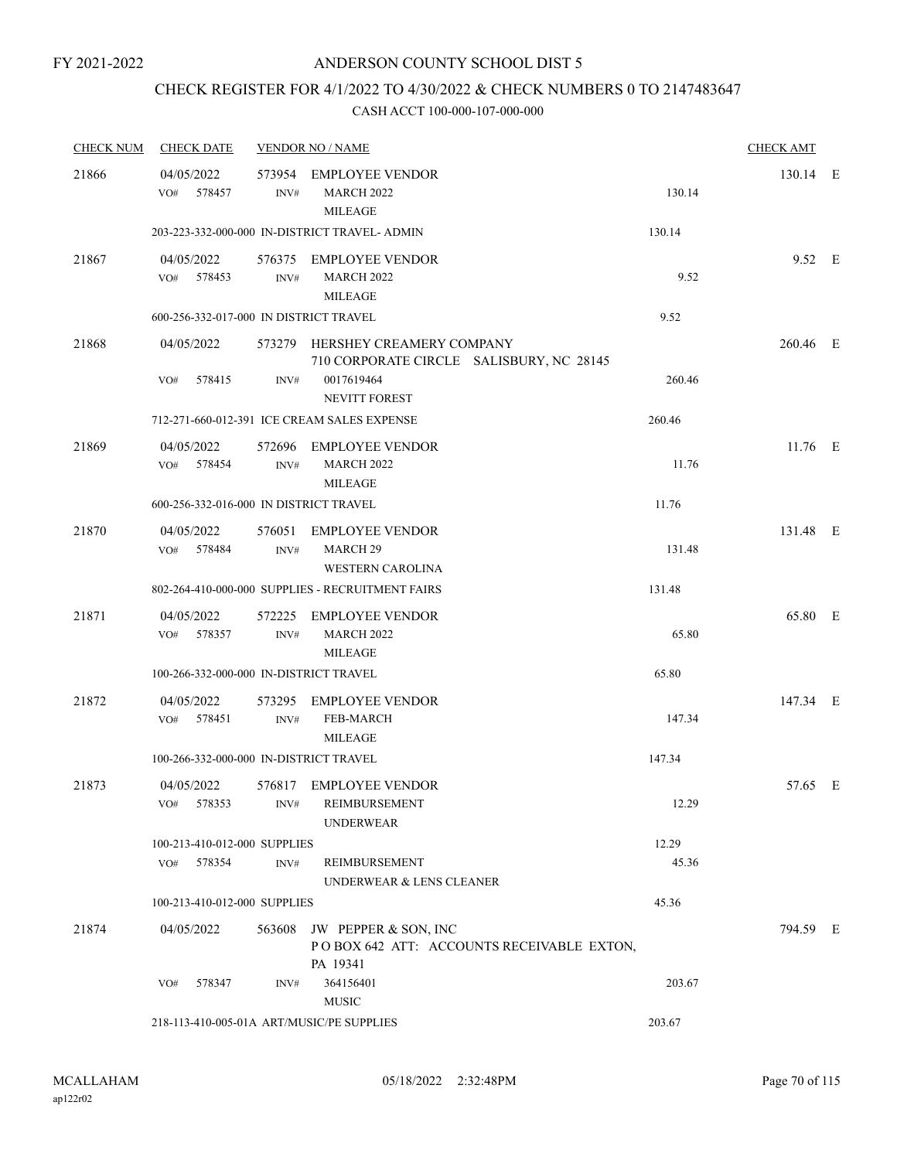# CHECK REGISTER FOR 4/1/2022 TO 4/30/2022 & CHECK NUMBERS 0 TO 2147483647

| <b>CHECK NUM</b> | <b>CHECK DATE</b>                         |                | <b>VENDOR NO / NAME</b>                                                       |        | <b>CHECK AMT</b> |  |
|------------------|-------------------------------------------|----------------|-------------------------------------------------------------------------------|--------|------------------|--|
| 21866            | 04/05/2022<br>578457<br>VO#               | INV#           | 573954 EMPLOYEE VENDOR<br><b>MARCH 2022</b><br><b>MILEAGE</b>                 | 130.14 | 130.14 E         |  |
|                  |                                           |                | 203-223-332-000-000 IN-DISTRICT TRAVEL- ADMIN                                 | 130.14 |                  |  |
| 21867            | 04/05/2022<br>VO# 578453                  | INV#           | 576375 EMPLOYEE VENDOR<br><b>MARCH 2022</b><br><b>MILEAGE</b>                 | 9.52   | $9.52$ E         |  |
|                  | 600-256-332-017-000 IN DISTRICT TRAVEL    |                |                                                                               | 9.52   |                  |  |
| 21868            | 04/05/2022                                |                | 573279 HERSHEY CREAMERY COMPANY<br>710 CORPORATE CIRCLE SALISBURY, NC 28145   |        | 260.46 E         |  |
|                  | 578415<br>VO#                             | INV#           | 0017619464<br><b>NEVITT FOREST</b>                                            | 260.46 |                  |  |
|                  |                                           |                | 712-271-660-012-391 ICE CREAM SALES EXPENSE                                   | 260.46 |                  |  |
| 21869            | 04/05/2022<br>578454<br>VO#               | INV#           | 572696 EMPLOYEE VENDOR<br><b>MARCH 2022</b><br><b>MILEAGE</b>                 | 11.76  | $11.76$ E        |  |
|                  | 600-256-332-016-000 IN DISTRICT TRAVEL    |                |                                                                               | 11.76  |                  |  |
| 21870            | 04/05/2022<br>578484<br>VO#               | INV#           | 576051 EMPLOYEE VENDOR<br>MARCH <sub>29</sub><br><b>WESTERN CAROLINA</b>      | 131.48 | 131.48 E         |  |
|                  |                                           |                | 802-264-410-000-000 SUPPLIES - RECRUITMENT FAIRS                              | 131.48 |                  |  |
| 21871            | 04/05/2022<br>578357<br>VO#               | 572225<br>INV# | <b>EMPLOYEE VENDOR</b><br><b>MARCH 2022</b><br><b>MILEAGE</b>                 | 65.80  | 65.80 E          |  |
|                  | 100-266-332-000-000 IN-DISTRICT TRAVEL    |                |                                                                               | 65.80  |                  |  |
| 21872            | 04/05/2022<br>VO# 578451                  | 573295<br>INV# | <b>EMPLOYEE VENDOR</b><br>FEB-MARCH<br><b>MILEAGE</b>                         | 147.34 | 147.34 E         |  |
|                  | 100-266-332-000-000 IN-DISTRICT TRAVEL    |                |                                                                               | 147.34 |                  |  |
| 21873            | 04/05/2022<br>578353<br>VO#               | INV#           | 576817 EMPLOYEE VENDOR<br>REIMBURSEMENT<br><b>UNDERWEAR</b>                   | 12.29  | 57.65 E          |  |
|                  | 100-213-410-012-000 SUPPLIES              |                |                                                                               | 12.29  |                  |  |
|                  | VO# 578354                                | INV#           | REIMBURSEMENT<br>UNDERWEAR & LENS CLEANER                                     | 45.36  |                  |  |
|                  | 100-213-410-012-000 SUPPLIES              |                |                                                                               | 45.36  |                  |  |
| 21874            | 04/05/2022                                | 563608         | JW PEPPER & SON, INC<br>POBOX 642 ATT: ACCOUNTS RECEIVABLE EXTON,<br>PA 19341 |        | 794.59 E         |  |
|                  | 578347<br>VO#                             | INV#           | 364156401<br><b>MUSIC</b>                                                     | 203.67 |                  |  |
|                  | 218-113-410-005-01A ART/MUSIC/PE SUPPLIES |                |                                                                               | 203.67 |                  |  |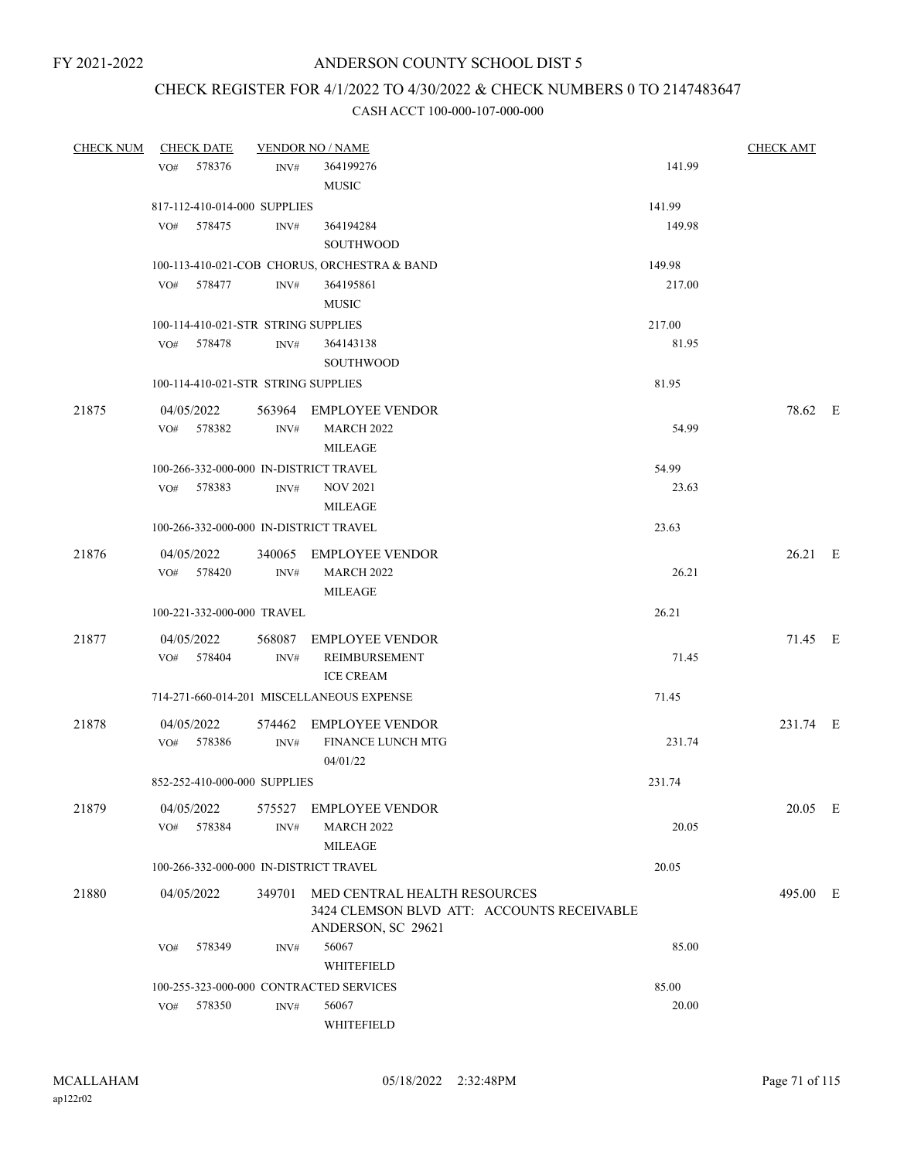# CHECK REGISTER FOR 4/1/2022 TO 4/30/2022 & CHECK NUMBERS 0 TO 2147483647

| <b>CHECK NUM</b> | <b>CHECK DATE</b>                      |                | <b>VENDOR NO / NAME</b>                      |        | <b>CHECK AMT</b> |  |
|------------------|----------------------------------------|----------------|----------------------------------------------|--------|------------------|--|
|                  | VO# 578376                             | INV#           | 364199276                                    | 141.99 |                  |  |
|                  |                                        |                | <b>MUSIC</b>                                 |        |                  |  |
|                  | 817-112-410-014-000 SUPPLIES           |                |                                              | 141.99 |                  |  |
|                  | VO# 578475                             | INV#           | 364194284                                    | 149.98 |                  |  |
|                  |                                        |                | <b>SOUTHWOOD</b>                             |        |                  |  |
|                  |                                        |                | 100-113-410-021-COB CHORUS, ORCHESTRA & BAND | 149.98 |                  |  |
|                  | 578477<br>VO#                          | INV#           | 364195861                                    | 217.00 |                  |  |
|                  |                                        |                | <b>MUSIC</b>                                 |        |                  |  |
|                  | 100-114-410-021-STR STRING SUPPLIES    |                |                                              | 217.00 |                  |  |
|                  | 578478<br>VO#                          | INV#           | 364143138                                    | 81.95  |                  |  |
|                  |                                        |                | <b>SOUTHWOOD</b>                             |        |                  |  |
|                  | 100-114-410-021-STR STRING SUPPLIES    |                |                                              | 81.95  |                  |  |
|                  |                                        |                |                                              |        |                  |  |
| 21875            | 04/05/2022<br>VO# 578382               | INV#           | 563964 EMPLOYEE VENDOR<br><b>MARCH 2022</b>  | 54.99  | 78.62 E          |  |
|                  |                                        |                | <b>MILEAGE</b>                               |        |                  |  |
|                  | 100-266-332-000-000 IN-DISTRICT TRAVEL |                |                                              | 54.99  |                  |  |
|                  | VO# 578383                             | INV#           | <b>NOV 2021</b>                              | 23.63  |                  |  |
|                  |                                        |                | <b>MILEAGE</b>                               |        |                  |  |
|                  | 100-266-332-000-000 IN-DISTRICT TRAVEL |                |                                              | 23.63  |                  |  |
|                  |                                        |                |                                              |        |                  |  |
| 21876            | 04/05/2022                             |                | 340065 EMPLOYEE VENDOR                       |        | $26.21$ E        |  |
|                  | VO# 578420                             | INV#           | <b>MARCH 2022</b>                            | 26.21  |                  |  |
|                  |                                        |                | <b>MILEAGE</b>                               |        |                  |  |
|                  | 100-221-332-000-000 TRAVEL             |                |                                              | 26.21  |                  |  |
| 21877            | 04/05/2022                             |                | 568087 EMPLOYEE VENDOR                       |        | 71.45 E          |  |
|                  | VO# 578404                             | INV#           | REIMBURSEMENT                                | 71.45  |                  |  |
|                  |                                        |                | <b>ICE CREAM</b>                             |        |                  |  |
|                  |                                        |                | 714-271-660-014-201 MISCELLANEOUS EXPENSE    | 71.45  |                  |  |
| 21878            | 04/05/2022                             |                | 574462 EMPLOYEE VENDOR                       |        | 231.74 E         |  |
|                  | VO# 578386                             | INV#           | <b>FINANCE LUNCH MTG</b>                     | 231.74 |                  |  |
|                  |                                        |                | 04/01/22                                     |        |                  |  |
|                  | 852-252-410-000-000 SUPPLIES           |                |                                              | 231.74 |                  |  |
| 21879            |                                        |                | 575527 EMPLOYEE VENDOR                       |        | 20.05 E          |  |
|                  | 04/05/2022<br>578384<br>VO#            | INV#           | <b>MARCH 2022</b>                            | 20.05  |                  |  |
|                  |                                        |                | <b>MILEAGE</b>                               |        |                  |  |
|                  | 100-266-332-000-000 IN-DISTRICT TRAVEL |                |                                              | 20.05  |                  |  |
|                  |                                        |                |                                              |        |                  |  |
| 21880            | 04/05/2022                             |                | 349701 MED CENTRAL HEALTH RESOURCES          |        | 495.00 E         |  |
|                  |                                        |                | 3424 CLEMSON BLVD ATT: ACCOUNTS RECEIVABLE   |        |                  |  |
|                  |                                        |                | ANDERSON, SC 29621<br>56067                  | 85.00  |                  |  |
|                  | 578349<br>VO#                          | INV#           | WHITEFIELD                                   |        |                  |  |
|                  |                                        |                | 100-255-323-000-000 CONTRACTED SERVICES      | 85.00  |                  |  |
|                  | 578350<br>VO#                          | $\text{INV}\#$ | 56067                                        | 20.00  |                  |  |
|                  |                                        |                | WHITEFIELD                                   |        |                  |  |
|                  |                                        |                |                                              |        |                  |  |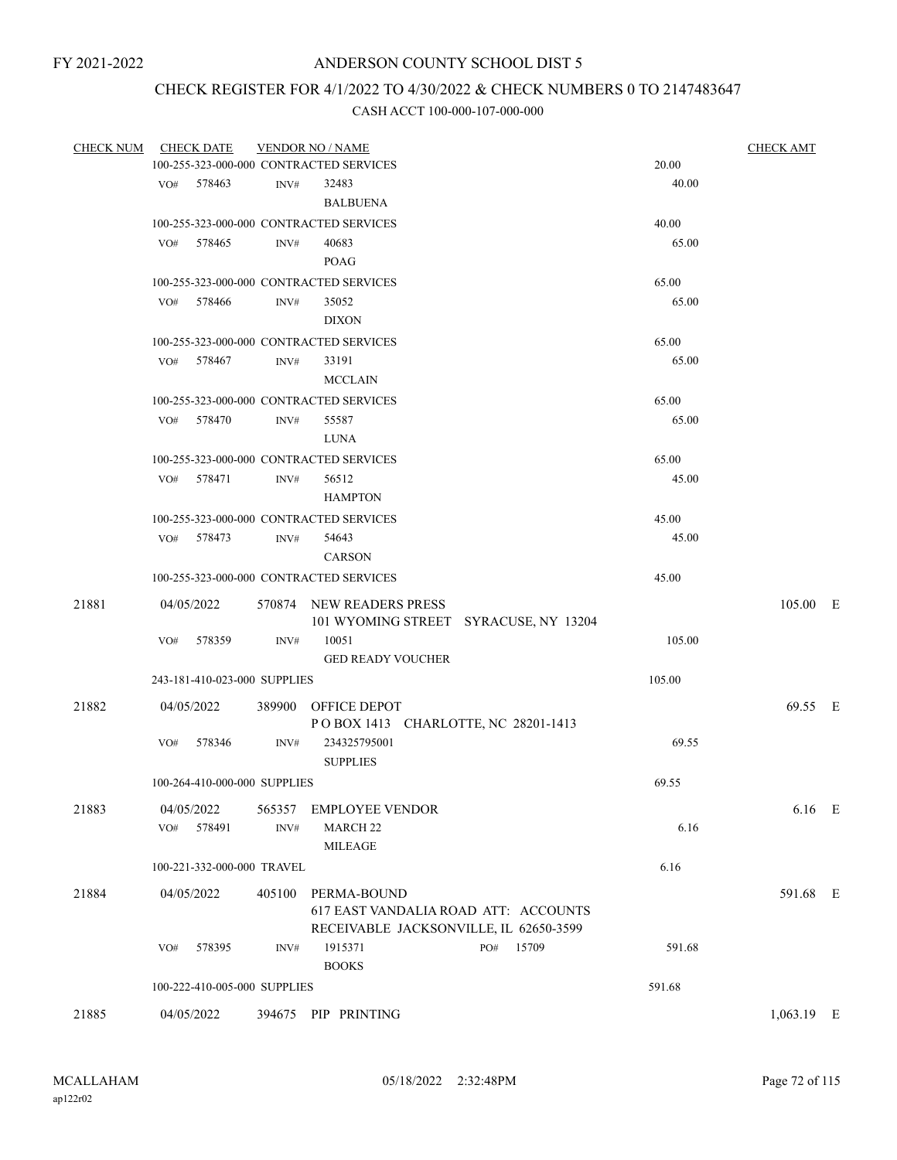# CHECK REGISTER FOR 4/1/2022 TO 4/30/2022 & CHECK NUMBERS 0 TO 2147483647

|       | CHECK NUM CHECK DATE                    |        | <b>VENDOR NO / NAME</b>                |        | <b>CHECK AMT</b> |  |
|-------|-----------------------------------------|--------|----------------------------------------|--------|------------------|--|
|       | 100-255-323-000-000 CONTRACTED SERVICES |        |                                        | 20.00  |                  |  |
|       | VO# 578463                              | INV#   | 32483                                  | 40.00  |                  |  |
|       |                                         |        | <b>BALBUENA</b>                        |        |                  |  |
|       | 100-255-323-000-000 CONTRACTED SERVICES |        |                                        | 40.00  |                  |  |
|       | VO# 578465                              | INV#   | 40683                                  | 65.00  |                  |  |
|       |                                         |        | POAG                                   |        |                  |  |
|       |                                         |        |                                        |        |                  |  |
|       | 100-255-323-000-000 CONTRACTED SERVICES |        |                                        | 65.00  |                  |  |
|       | 578466<br>VO#                           | INV#   | 35052                                  | 65.00  |                  |  |
|       |                                         |        | <b>DIXON</b>                           |        |                  |  |
|       | 100-255-323-000-000 CONTRACTED SERVICES |        |                                        | 65.00  |                  |  |
|       | VO# 578467                              | INV#   | 33191                                  | 65.00  |                  |  |
|       |                                         |        | <b>MCCLAIN</b>                         |        |                  |  |
|       | 100-255-323-000-000 CONTRACTED SERVICES |        |                                        | 65.00  |                  |  |
|       | VO#<br>578470                           | INV#   | 55587                                  | 65.00  |                  |  |
|       |                                         |        | LUNA                                   |        |                  |  |
|       | 100-255-323-000-000 CONTRACTED SERVICES |        |                                        | 65.00  |                  |  |
|       | 578471<br>VO#                           |        | 56512                                  | 45.00  |                  |  |
|       |                                         | INV#   |                                        |        |                  |  |
|       |                                         |        | <b>HAMPTON</b>                         |        |                  |  |
|       | 100-255-323-000-000 CONTRACTED SERVICES |        |                                        | 45.00  |                  |  |
|       | VO# 578473                              | INV#   | 54643                                  | 45.00  |                  |  |
|       |                                         |        | <b>CARSON</b>                          |        |                  |  |
|       | 100-255-323-000-000 CONTRACTED SERVICES |        |                                        | 45.00  |                  |  |
| 21881 | 04/05/2022                              |        | 570874 NEW READERS PRESS               |        | 105.00 E         |  |
|       |                                         |        | 101 WYOMING STREET SYRACUSE, NY 13204  |        |                  |  |
|       | 578359<br>VO#                           | INV#   | 10051                                  | 105.00 |                  |  |
|       |                                         |        | <b>GED READY VOUCHER</b>               |        |                  |  |
|       | 243-181-410-023-000 SUPPLIES            |        |                                        | 105.00 |                  |  |
|       |                                         |        |                                        |        |                  |  |
| 21882 | 04/05/2022                              |        | 389900 OFFICE DEPOT                    |        | 69.55 E          |  |
|       |                                         |        | POBOX 1413 CHARLOTTE, NC 28201-1413    |        |                  |  |
|       | 578346<br>VO#                           | INV#   | 234325795001                           | 69.55  |                  |  |
|       |                                         |        | <b>SUPPLIES</b>                        |        |                  |  |
|       | 100-264-410-000-000 SUPPLIES            |        |                                        | 69.55  |                  |  |
| 21883 | 04/05/2022                              | 565357 | <b>EMPLOYEE VENDOR</b>                 |        | $6.16$ E         |  |
|       | 578491<br>VO#                           | INV#   | <b>MARCH 22</b>                        | 6.16   |                  |  |
|       |                                         |        | MILEAGE                                |        |                  |  |
|       | 100-221-332-000-000 TRAVEL              |        |                                        | 6.16   |                  |  |
| 21884 | 04/05/2022                              |        | 405100 PERMA-BOUND                     |        | 591.68 E         |  |
|       |                                         |        | 617 EAST VANDALIA ROAD ATT: ACCOUNTS   |        |                  |  |
|       |                                         |        | RECEIVABLE JACKSONVILLE, IL 62650-3599 |        |                  |  |
|       | 578395<br>VO#                           | INV#   | 15709<br>1915371<br>PO#                | 591.68 |                  |  |
|       |                                         |        | <b>BOOKS</b>                           |        |                  |  |
|       |                                         |        |                                        |        |                  |  |
|       | 100-222-410-005-000 SUPPLIES            |        |                                        | 591.68 |                  |  |
| 21885 | 04/05/2022                              |        | 394675 PIP PRINTING                    |        | 1,063.19 E       |  |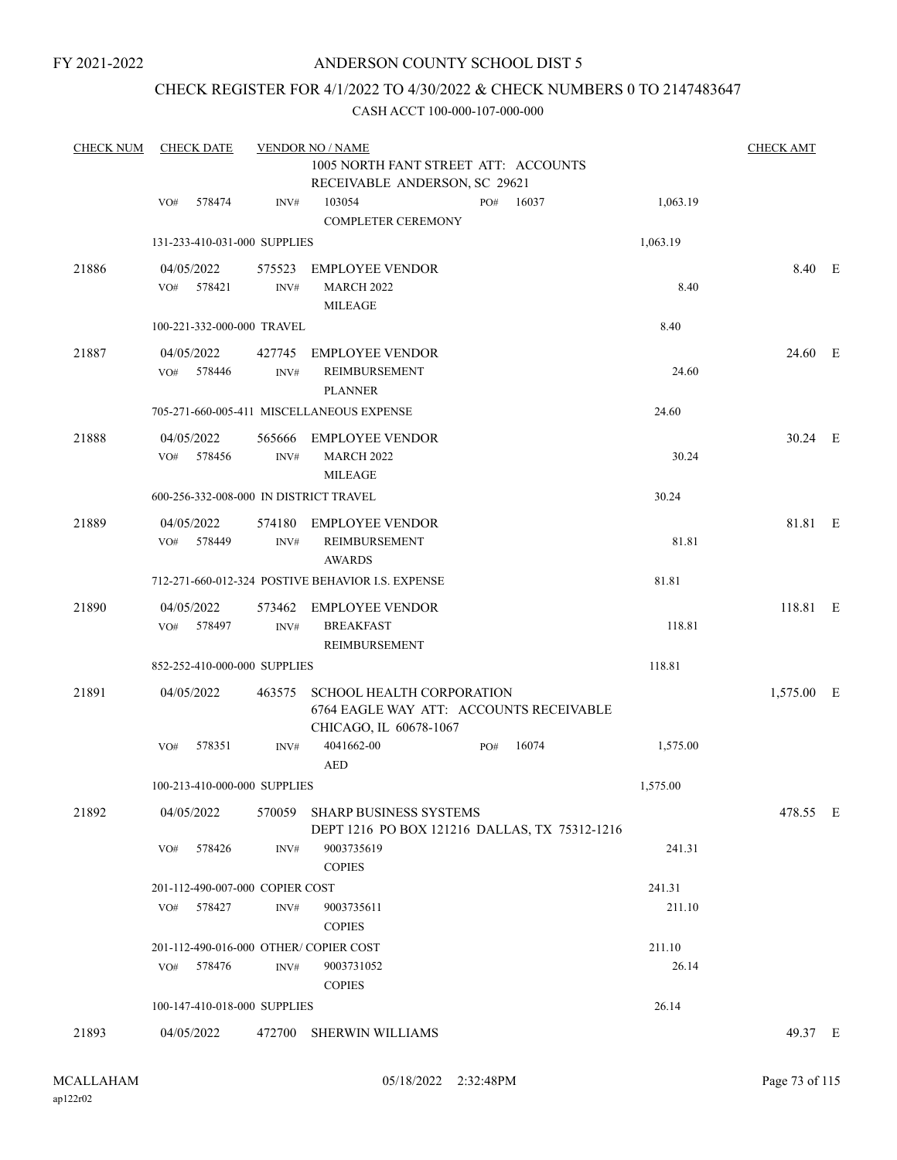FY 2021-2022

### ANDERSON COUNTY SCHOOL DIST 5

### CHECK REGISTER FOR 4/1/2022 TO 4/30/2022 & CHECK NUMBERS 0 TO 2147483647

| <b>CHECK NUM</b> | <b>CHECK DATE</b>                      |                | <b>VENDOR NO / NAME</b>                                                                               |     |       |          | <b>CHECK AMT</b> |  |
|------------------|----------------------------------------|----------------|-------------------------------------------------------------------------------------------------------|-----|-------|----------|------------------|--|
|                  |                                        |                | 1005 NORTH FANT STREET ATT: ACCOUNTS<br>RECEIVABLE ANDERSON, SC 29621                                 |     |       |          |                  |  |
|                  | 578474<br>VO#                          | INV#           | 103054<br><b>COMPLETER CEREMONY</b>                                                                   | PO# | 16037 | 1,063.19 |                  |  |
|                  | 131-233-410-031-000 SUPPLIES           |                |                                                                                                       |     |       | 1,063.19 |                  |  |
| 21886            | 04/05/2022<br>578421<br>VO#            | 575523<br>INV# | <b>EMPLOYEE VENDOR</b><br><b>MARCH 2022</b><br><b>MILEAGE</b>                                         |     |       | 8.40     | 8.40 E           |  |
|                  | 100-221-332-000-000 TRAVEL             |                |                                                                                                       |     |       | 8.40     |                  |  |
| 21887            | 04/05/2022<br>578446<br>VO#            | 427745<br>INV# | <b>EMPLOYEE VENDOR</b><br>REIMBURSEMENT<br><b>PLANNER</b>                                             |     |       | 24.60    | 24.60 E          |  |
|                  |                                        |                | 705-271-660-005-411 MISCELLANEOUS EXPENSE                                                             |     |       | 24.60    |                  |  |
| 21888            | 04/05/2022<br>578456<br>VO#            | 565666<br>INV# | <b>EMPLOYEE VENDOR</b><br><b>MARCH 2022</b><br><b>MILEAGE</b>                                         |     |       | 30.24    | 30.24 E          |  |
|                  | 600-256-332-008-000 IN DISTRICT TRAVEL |                |                                                                                                       |     |       | 30.24    |                  |  |
| 21889            | 04/05/2022<br>578449<br>VO#            | 574180<br>INV# | <b>EMPLOYEE VENDOR</b><br>REIMBURSEMENT<br><b>AWARDS</b>                                              |     |       | 81.81    | 81.81 E          |  |
|                  |                                        |                | 712-271-660-012-324 POSTIVE BEHAVIOR I.S. EXPENSE                                                     |     |       | 81.81    |                  |  |
| 21890            | 04/05/2022<br>VO# 578497               | 573462<br>INV# | EMPLOYEE VENDOR<br><b>BREAKFAST</b><br>REIMBURSEMENT                                                  |     |       | 118.81   | 118.81 E         |  |
|                  | 852-252-410-000-000 SUPPLIES           |                |                                                                                                       |     |       | 118.81   |                  |  |
| 21891            | 04/05/2022                             | 463575         | <b>SCHOOL HEALTH CORPORATION</b><br>6764 EAGLE WAY ATT: ACCOUNTS RECEIVABLE<br>CHICAGO, IL 60678-1067 |     |       |          | 1,575.00 E       |  |
|                  | 578351<br>VO#                          | INV#           | 4041662-00<br><b>AED</b>                                                                              | PO# | 16074 | 1,575.00 |                  |  |
|                  | 100-213-410-000-000 SUPPLIES           |                |                                                                                                       |     |       | 1,575.00 |                  |  |
| 21892            | 04/05/2022                             |                | 570059 SHARP BUSINESS SYSTEMS<br>DEPT 1216 PO BOX 121216 DALLAS, TX 75312-1216                        |     |       |          | 478.55 E         |  |
|                  | 578426<br>VO#                          | INV#           | 9003735619<br><b>COPIES</b>                                                                           |     |       | 241.31   |                  |  |
|                  | 201-112-490-007-000 COPIER COST        |                |                                                                                                       |     |       | 241.31   |                  |  |
|                  | 578427<br>VO#                          | $\text{INV}\#$ | 9003735611<br><b>COPIES</b>                                                                           |     |       | 211.10   |                  |  |
|                  | 201-112-490-016-000 OTHER/COPIER COST  |                |                                                                                                       |     |       | 211.10   |                  |  |
|                  | VO#<br>578476                          | INV#           | 9003731052<br><b>COPIES</b>                                                                           |     |       | 26.14    |                  |  |
|                  | 100-147-410-018-000 SUPPLIES           |                |                                                                                                       |     |       | 26.14    |                  |  |
| 21893            | 04/05/2022                             |                | 472700 SHERWIN WILLIAMS                                                                               |     |       |          | 49.37 E          |  |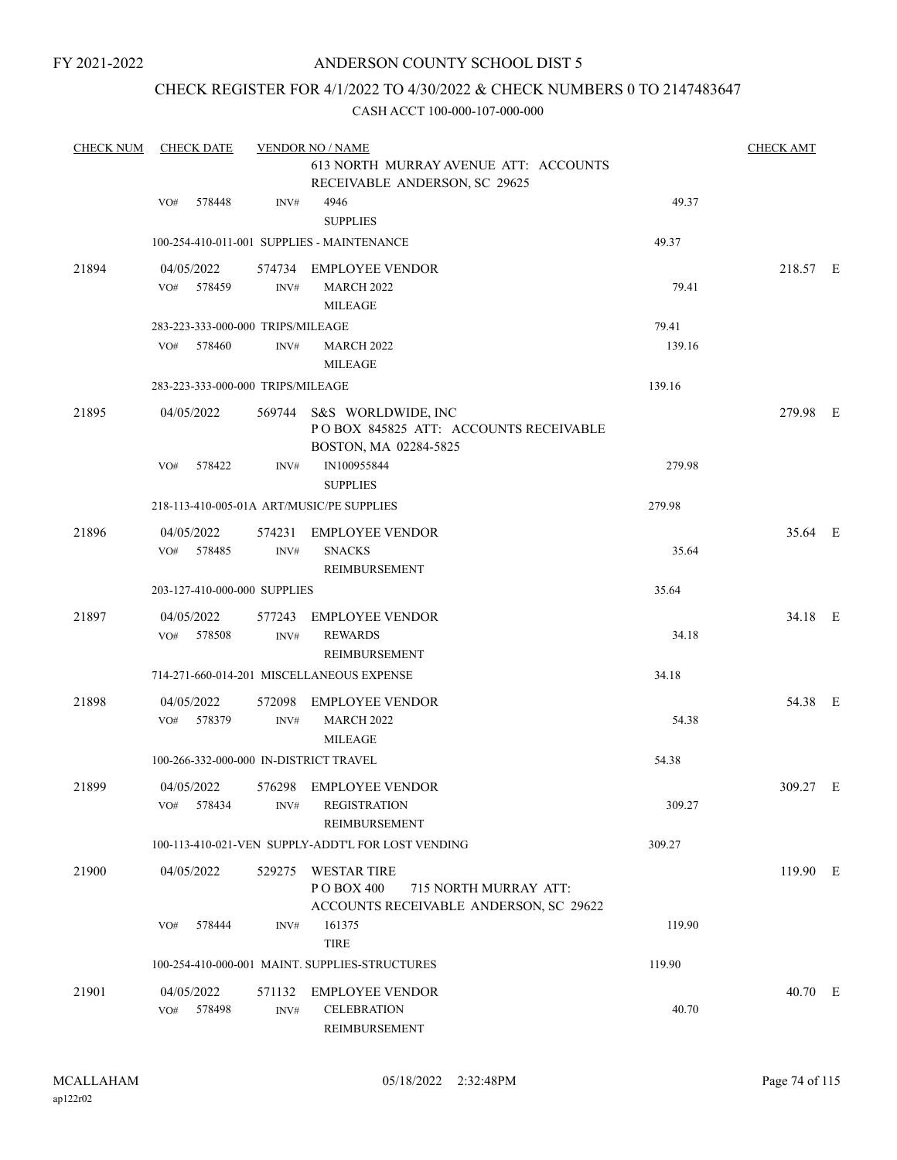FY 2021-2022

### ANDERSON COUNTY SCHOOL DIST 5

### CHECK REGISTER FOR 4/1/2022 TO 4/30/2022 & CHECK NUMBERS 0 TO 2147483647

| <b>CHECK NUM</b> | <b>CHECK DATE</b>                      |                | <b>VENDOR NO / NAME</b>                                                                              |        | <b>CHECK AMT</b> |  |
|------------------|----------------------------------------|----------------|------------------------------------------------------------------------------------------------------|--------|------------------|--|
|                  |                                        |                | 613 NORTH MURRAY AVENUE ATT: ACCOUNTS<br>RECEIVABLE ANDERSON, SC 29625                               |        |                  |  |
|                  | 578448<br>VO#                          | INV#           | 4946<br><b>SUPPLIES</b>                                                                              | 49.37  |                  |  |
|                  |                                        |                | 100-254-410-011-001 SUPPLIES - MAINTENANCE                                                           | 49.37  |                  |  |
| 21894            | 04/05/2022<br>578459<br>VO#            | INV#           | 574734 EMPLOYEE VENDOR<br><b>MARCH 2022</b><br><b>MILEAGE</b>                                        | 79.41  | 218.57 E         |  |
|                  | 283-223-333-000-000 TRIPS/MILEAGE      |                |                                                                                                      | 79.41  |                  |  |
|                  | VO#<br>578460                          | INV#           | <b>MARCH 2022</b><br><b>MILEAGE</b>                                                                  | 139.16 |                  |  |
|                  | 283-223-333-000-000 TRIPS/MILEAGE      |                |                                                                                                      | 139.16 |                  |  |
| 21895            | 04/05/2022                             |                | 569744 S&S WORLDWIDE, INC<br>POBOX 845825 ATT: ACCOUNTS RECEIVABLE<br>BOSTON, MA 02284-5825          |        | 279.98 E         |  |
|                  | 578422<br>VO#                          | INV#           | IN100955844<br><b>SUPPLIES</b>                                                                       | 279.98 |                  |  |
|                  |                                        |                | 218-113-410-005-01A ART/MUSIC/PE SUPPLIES                                                            | 279.98 |                  |  |
| 21896            | 04/05/2022<br>578485<br>VO#            | INV#           | 574231 EMPLOYEE VENDOR<br><b>SNACKS</b><br>REIMBURSEMENT                                             | 35.64  | 35.64 E          |  |
|                  | 203-127-410-000-000 SUPPLIES           |                |                                                                                                      | 35.64  |                  |  |
| 21897            | 04/05/2022<br>578508<br>VO#            | 577243<br>INV# | <b>EMPLOYEE VENDOR</b><br><b>REWARDS</b><br>REIMBURSEMENT                                            | 34.18  | 34.18 E          |  |
|                  |                                        |                | 714-271-660-014-201 MISCELLANEOUS EXPENSE                                                            | 34.18  |                  |  |
| 21898            | 04/05/2022<br>578379<br>VO#            | 572098<br>INV# | EMPLOYEE VENDOR<br><b>MARCH 2022</b><br><b>MILEAGE</b>                                               | 54.38  | 54.38 E          |  |
|                  | 100-266-332-000-000 IN-DISTRICT TRAVEL |                |                                                                                                      | 54.38  |                  |  |
| 21899            | 04/05/2022<br>578434<br>VO#            | INV#           | 576298 EMPLOYEE VENDOR<br><b>REGISTRATION</b><br>REIMBURSEMENT                                       | 309.27 | 309.27 E         |  |
|                  |                                        |                | 100-113-410-021-VEN SUPPLY-ADDT'L FOR LOST VENDING                                                   | 309.27 |                  |  |
| 21900            | 04/05/2022                             |                | 529275 WESTAR TIRE<br>P O BOX 400<br>715 NORTH MURRAY ATT:<br>ACCOUNTS RECEIVABLE ANDERSON, SC 29622 |        | 119.90 E         |  |
|                  | 578444<br>VO#                          | INV#           | 161375<br><b>TIRE</b>                                                                                | 119.90 |                  |  |
|                  |                                        |                | 100-254-410-000-001 MAINT. SUPPLIES-STRUCTURES                                                       | 119.90 |                  |  |
| 21901            | 04/05/2022<br>VO#<br>578498            | 571132<br>INV# | <b>EMPLOYEE VENDOR</b><br><b>CELEBRATION</b><br>REIMBURSEMENT                                        | 40.70  | 40.70 E          |  |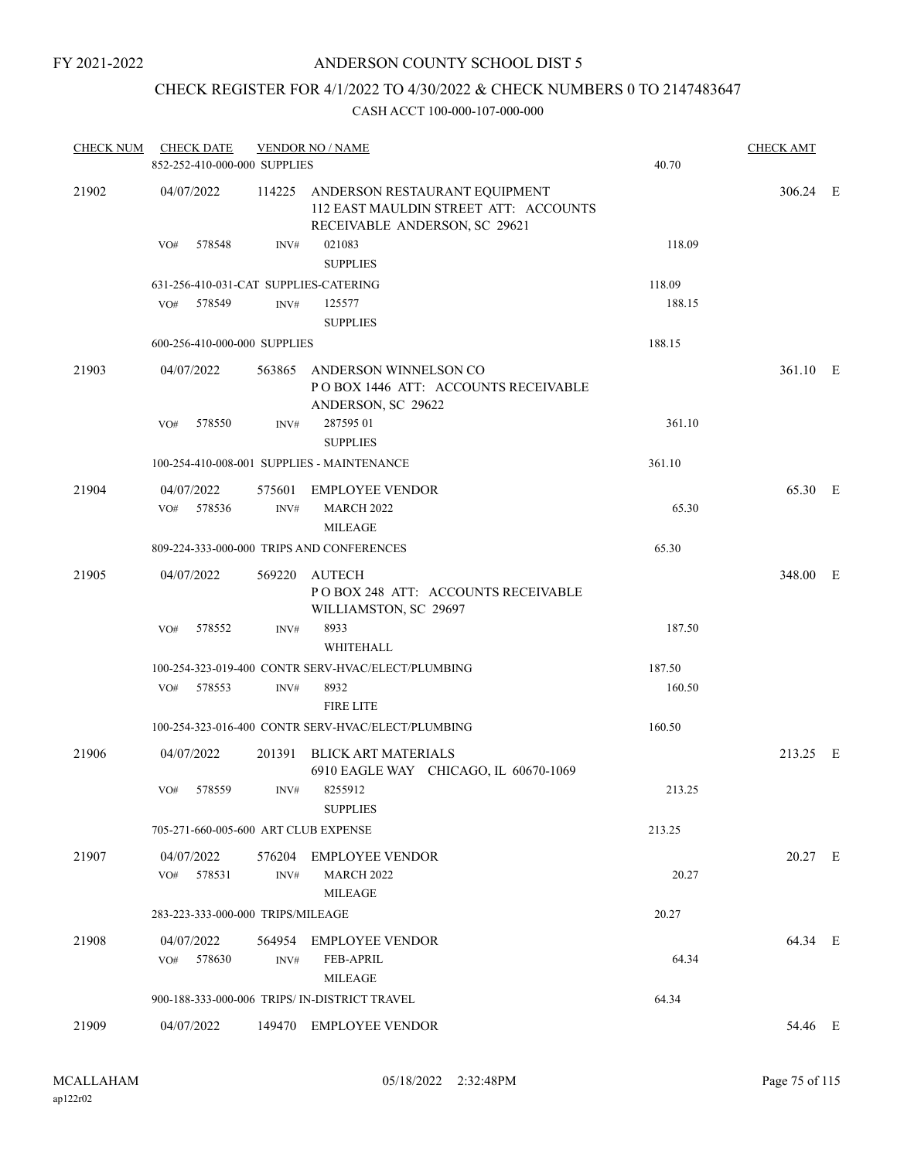### CHECK REGISTER FOR 4/1/2022 TO 4/30/2022 & CHECK NUMBERS 0 TO 2147483647

| <b>CHECK NUM</b> | <b>CHECK DATE</b> |        | 852-252-410-000-000 SUPPLIES      | <b>VENDOR NO / NAME</b>                                                                                        | 40.70  | <b>CHECK AMT</b> |  |
|------------------|-------------------|--------|-----------------------------------|----------------------------------------------------------------------------------------------------------------|--------|------------------|--|
| 21902            | 04/07/2022        |        |                                   | 114225 ANDERSON RESTAURANT EQUIPMENT<br>112 EAST MAULDIN STREET ATT: ACCOUNTS<br>RECEIVABLE ANDERSON, SC 29621 |        | 306.24 E         |  |
|                  | VO#               | 578548 | INV#                              | 021083<br><b>SUPPLIES</b>                                                                                      | 118.09 |                  |  |
|                  |                   |        |                                   | 631-256-410-031-CAT SUPPLIES-CATERING                                                                          | 118.09 |                  |  |
|                  | VO# 578549        |        | INV#                              | 125577<br><b>SUPPLIES</b>                                                                                      | 188.15 |                  |  |
|                  |                   |        | 600-256-410-000-000 SUPPLIES      |                                                                                                                | 188.15 |                  |  |
| 21903            | 04/07/2022        |        |                                   | 563865 ANDERSON WINNELSON CO<br>POBOX 1446 ATT: ACCOUNTS RECEIVABLE<br>ANDERSON, SC 29622                      |        | 361.10 E         |  |
|                  | VO#               | 578550 | INV#                              | 287595 01<br><b>SUPPLIES</b>                                                                                   | 361.10 |                  |  |
|                  |                   |        |                                   | 100-254-410-008-001 SUPPLIES - MAINTENANCE                                                                     | 361.10 |                  |  |
| 21904            | 04/07/2022        |        |                                   | 575601 EMPLOYEE VENDOR                                                                                         |        | 65.30 E          |  |
|                  | VO# 578536        |        | INV#                              | <b>MARCH 2022</b><br><b>MILEAGE</b>                                                                            | 65.30  |                  |  |
|                  |                   |        |                                   | 809-224-333-000-000 TRIPS AND CONFERENCES                                                                      | 65.30  |                  |  |
| 21905            | 04/07/2022        |        |                                   | 569220 AUTECH<br>POBOX 248 ATT: ACCOUNTS RECEIVABLE<br>WILLIAMSTON, SC 29697                                   |        | 348.00 E         |  |
|                  | VO#               | 578552 | INV#                              | 8933<br>WHITEHALL                                                                                              | 187.50 |                  |  |
|                  |                   |        |                                   | 100-254-323-019-400 CONTR SERV-HVAC/ELECT/PLUMBING                                                             | 187.50 |                  |  |
|                  | VO# 578553        |        | INV#                              | 8932<br><b>FIRE LITE</b>                                                                                       | 160.50 |                  |  |
|                  |                   |        |                                   | 100-254-323-016-400 CONTR SERV-HVAC/ELECT/PLUMBING                                                             | 160.50 |                  |  |
| 21906            | 04/07/2022        |        |                                   | 201391 BLICK ART MATERIALS                                                                                     |        | 213.25 E         |  |
|                  | VO#               | 578559 | INV#                              | 6910 EAGLE WAY CHICAGO, IL 60670-1069<br>8255912<br><b>SUPPLIES</b>                                            | 213.25 |                  |  |
|                  |                   |        |                                   | 705-271-660-005-600 ART CLUB EXPENSE                                                                           | 213.25 |                  |  |
| 21907            | 04/07/2022        |        | 576204                            | <b>EMPLOYEE VENDOR</b>                                                                                         |        | 20.27 E          |  |
|                  | VO#               | 578531 | INV#                              | <b>MARCH 2022</b><br><b>MILEAGE</b>                                                                            | 20.27  |                  |  |
|                  |                   |        | 283-223-333-000-000 TRIPS/MILEAGE |                                                                                                                | 20.27  |                  |  |
| 21908            | 04/07/2022<br>VO# | 578630 | 564954<br>INV#                    | <b>EMPLOYEE VENDOR</b><br><b>FEB-APRIL</b><br><b>MILEAGE</b>                                                   | 64.34  | 64.34 E          |  |
|                  |                   |        |                                   | 900-188-333-000-006 TRIPS/ IN-DISTRICT TRAVEL                                                                  | 64.34  |                  |  |
| 21909            | 04/07/2022        |        |                                   | 149470 EMPLOYEE VENDOR                                                                                         |        | 54.46 E          |  |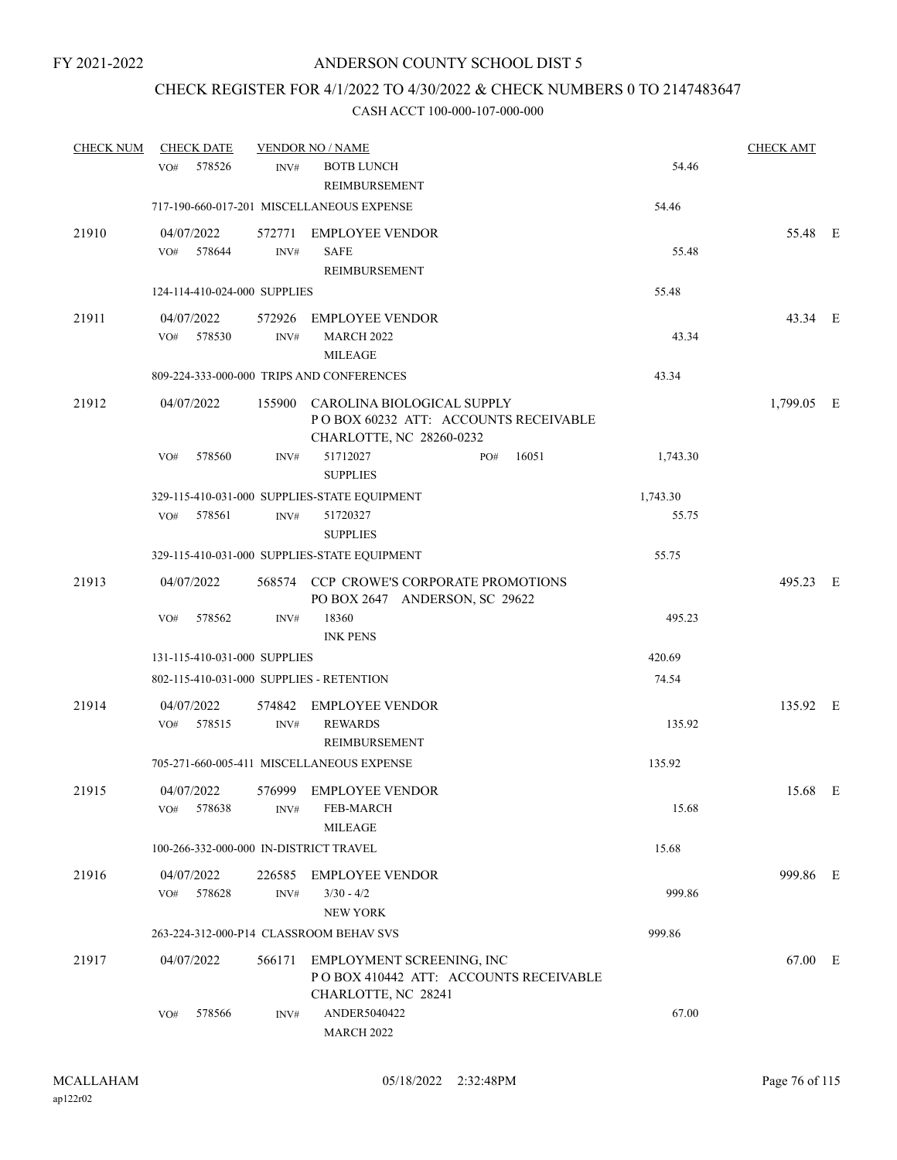### CHECK REGISTER FOR 4/1/2022 TO 4/30/2022 & CHECK NUMBERS 0 TO 2147483647

| <b>CHECK NUM</b> | <b>CHECK DATE</b>                        |                | <b>VENDOR NO / NAME</b>                                                                        |          | <b>CHECK AMT</b> |  |
|------------------|------------------------------------------|----------------|------------------------------------------------------------------------------------------------|----------|------------------|--|
|                  | 578526<br>VO#                            | INV#           | <b>BOTB LUNCH</b><br>REIMBURSEMENT                                                             | 54.46    |                  |  |
|                  |                                          |                | 717-190-660-017-201 MISCELLANEOUS EXPENSE                                                      | 54.46    |                  |  |
| 21910            | 04/07/2022<br>578644<br>VO#              | 572771<br>INV# | <b>EMPLOYEE VENDOR</b><br><b>SAFE</b><br>REIMBURSEMENT                                         | 55.48    | 55.48 E          |  |
|                  | 124-114-410-024-000 SUPPLIES             |                |                                                                                                | 55.48    |                  |  |
| 21911            | 04/07/2022<br>578530<br>VO#              | 572926<br>INV# | EMPLOYEE VENDOR<br><b>MARCH 2022</b><br><b>MILEAGE</b>                                         | 43.34    | 43.34 E          |  |
|                  |                                          |                | 809-224-333-000-000 TRIPS AND CONFERENCES                                                      | 43.34    |                  |  |
| 21912            | 04/07/2022                               | 155900         | CAROLINA BIOLOGICAL SUPPLY<br>POBOX 60232 ATT: ACCOUNTS RECEIVABLE<br>CHARLOTTE, NC 28260-0232 |          | 1,799.05 E       |  |
|                  | 578560<br>VO#                            | INV#           | 51712027<br>16051<br>PO#<br><b>SUPPLIES</b>                                                    | 1,743.30 |                  |  |
|                  |                                          |                | 329-115-410-031-000 SUPPLIES-STATE EQUIPMENT                                                   | 1,743.30 |                  |  |
|                  | 578561<br>VO#                            | INV#           | 51720327<br><b>SUPPLIES</b>                                                                    | 55.75    |                  |  |
|                  |                                          |                | 329-115-410-031-000 SUPPLIES-STATE EQUIPMENT                                                   | 55.75    |                  |  |
| 21913            | 04/07/2022                               |                | 568574 CCP CROWE'S CORPORATE PROMOTIONS<br>PO BOX 2647 ANDERSON, SC 29622                      |          | 495.23 E         |  |
|                  | 578562<br>VO#                            | INV#           | 18360<br><b>INK PENS</b>                                                                       | 495.23   |                  |  |
|                  | 131-115-410-031-000 SUPPLIES             |                |                                                                                                | 420.69   |                  |  |
|                  | 802-115-410-031-000 SUPPLIES - RETENTION |                |                                                                                                | 74.54    |                  |  |
| 21914            | 04/07/2022<br>578515<br>VO#              | INV#           | 574842 EMPLOYEE VENDOR<br><b>REWARDS</b><br>REIMBURSEMENT                                      | 135.92   | 135.92 E         |  |
|                  |                                          |                | 705-271-660-005-411 MISCELLANEOUS EXPENSE                                                      | 135.92   |                  |  |
| 21915            | 04/07/2022<br>578638<br>VO#              | 576999<br>INV# | <b>EMPLOYEE VENDOR</b><br>FEB-MARCH<br><b>MILEAGE</b>                                          | 15.68    | 15.68 E          |  |
|                  | 100-266-332-000-000 IN-DISTRICT TRAVEL   |                |                                                                                                | 15.68    |                  |  |
| 21916            | 04/07/2022<br>578628<br>VO#              | 226585<br>INV# | <b>EMPLOYEE VENDOR</b><br>$3/30 - 4/2$<br><b>NEW YORK</b>                                      | 999.86   | 999.86 E         |  |
|                  | 263-224-312-000-P14 CLASSROOM BEHAV SVS  |                |                                                                                                | 999.86   |                  |  |
| 21917            | 04/07/2022                               | 566171         | EMPLOYMENT SCREENING, INC<br>PO BOX 410442 ATT: ACCOUNTS RECEIVABLE<br>CHARLOTTE, NC 28241     |          | 67.00 E          |  |
|                  | 578566<br>VO#                            | INV#           | ANDER5040422<br><b>MARCH 2022</b>                                                              | 67.00    |                  |  |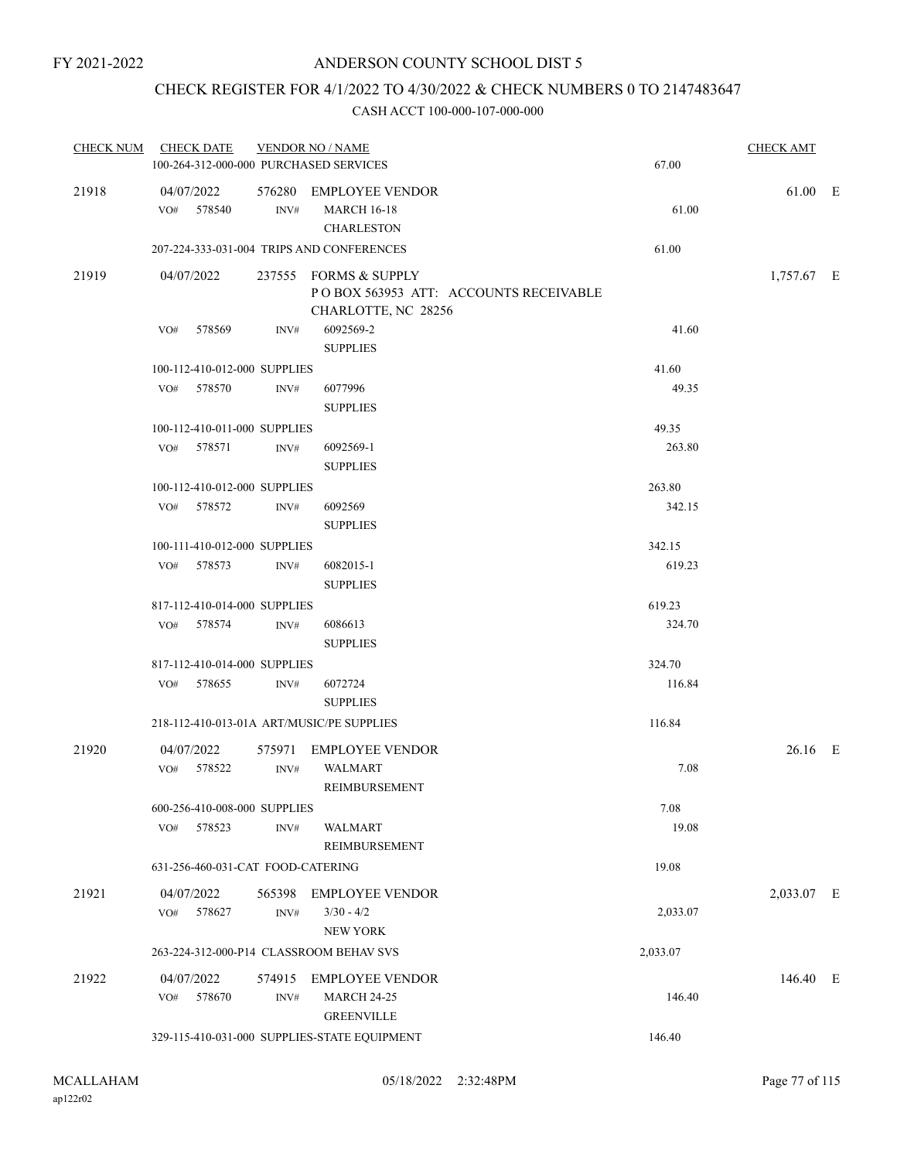### CHECK REGISTER FOR 4/1/2022 TO 4/30/2022 & CHECK NUMBERS 0 TO 2147483647

|       | CHECK NUM CHECK DATE                      |                  | <b>VENDOR NO / NAME</b>                      |                  | <b>CHECK AMT</b> |  |
|-------|-------------------------------------------|------------------|----------------------------------------------|------------------|------------------|--|
|       | 100-264-312-000-000 PURCHASED SERVICES    |                  |                                              | 67.00            |                  |  |
| 21918 | 04/07/2022                                |                  | 576280 EMPLOYEE VENDOR                       |                  | 61.00 E          |  |
|       | VO# 578540                                | INV#             | <b>MARCH 16-18</b>                           | 61.00            |                  |  |
|       |                                           |                  | <b>CHARLESTON</b>                            |                  |                  |  |
|       |                                           |                  | 207-224-333-031-004 TRIPS AND CONFERENCES    | 61.00            |                  |  |
| 21919 | 04/07/2022                                |                  | 237555 FORMS & SUPPLY                        |                  | 1,757.67 E       |  |
|       |                                           |                  | POBOX 563953 ATT: ACCOUNTS RECEIVABLE        |                  |                  |  |
|       | 578569                                    |                  | CHARLOTTE, NC 28256<br>6092569-2             | 41.60            |                  |  |
|       | VO#                                       | INV#             | <b>SUPPLIES</b>                              |                  |                  |  |
|       | 100-112-410-012-000 SUPPLIES              |                  |                                              | 41.60            |                  |  |
|       | VO# 578570                                | INV#             | 6077996                                      | 49.35            |                  |  |
|       |                                           |                  | <b>SUPPLIES</b>                              |                  |                  |  |
|       | 100-112-410-011-000 SUPPLIES              |                  |                                              | 49.35            |                  |  |
|       | VO# 578571                                | INV#             | 6092569-1                                    | 263.80           |                  |  |
|       |                                           |                  | <b>SUPPLIES</b>                              |                  |                  |  |
|       | 100-112-410-012-000 SUPPLIES              |                  |                                              | 263.80           |                  |  |
|       | VO# 578572                                | INV#             | 6092569                                      | 342.15           |                  |  |
|       |                                           |                  | <b>SUPPLIES</b>                              |                  |                  |  |
|       | 100-111-410-012-000 SUPPLIES              |                  |                                              | 342.15           |                  |  |
|       | 578573<br>VO#                             | INV#             | 6082015-1                                    | 619.23           |                  |  |
|       |                                           |                  | <b>SUPPLIES</b>                              |                  |                  |  |
|       | 817-112-410-014-000 SUPPLIES              |                  | 6086613                                      | 619.23<br>324.70 |                  |  |
|       | VO# 578574                                | INV#             | <b>SUPPLIES</b>                              |                  |                  |  |
|       | 817-112-410-014-000 SUPPLIES              |                  |                                              | 324.70           |                  |  |
|       | 578655<br>VO#                             | INV#             | 6072724                                      | 116.84           |                  |  |
|       |                                           |                  | <b>SUPPLIES</b>                              |                  |                  |  |
|       | 218-112-410-013-01A ART/MUSIC/PE SUPPLIES |                  |                                              | 116.84           |                  |  |
| 21920 | 04/07/2022                                |                  | 575971 EMPLOYEE VENDOR                       |                  | 26.16 E          |  |
|       | 578522<br>VO#                             | INV#             | <b>WALMART</b>                               | 7.08             |                  |  |
|       |                                           |                  | REIMBURSEMENT                                |                  |                  |  |
|       | 600-256-410-008-000 SUPPLIES              |                  |                                              | 7.08             |                  |  |
|       | 578523<br>VO#                             | INV#             | WALMART                                      | 19.08            |                  |  |
|       |                                           |                  | <b>REIMBURSEMENT</b>                         |                  |                  |  |
|       | 631-256-460-031-CAT FOOD-CATERING         |                  |                                              | 19.08            |                  |  |
| 21921 | 04/07/2022                                | 565398           | <b>EMPLOYEE VENDOR</b>                       |                  | 2,033.07 E       |  |
|       | 578627<br>VO#                             | $\mathrm{INV}\#$ | $3/30 - 4/2$                                 | 2,033.07         |                  |  |
|       |                                           |                  | <b>NEW YORK</b>                              |                  |                  |  |
|       | 263-224-312-000-P14 CLASSROOM BEHAV SVS   |                  |                                              | 2,033.07         |                  |  |
| 21922 | 04/07/2022                                | 574915           | <b>EMPLOYEE VENDOR</b>                       |                  | 146.40 E         |  |
|       | 578670<br>VO#                             | INV#             | <b>MARCH 24-25</b>                           | 146.40           |                  |  |
|       |                                           |                  | <b>GREENVILLE</b>                            |                  |                  |  |
|       |                                           |                  | 329-115-410-031-000 SUPPLIES-STATE EQUIPMENT | 146.40           |                  |  |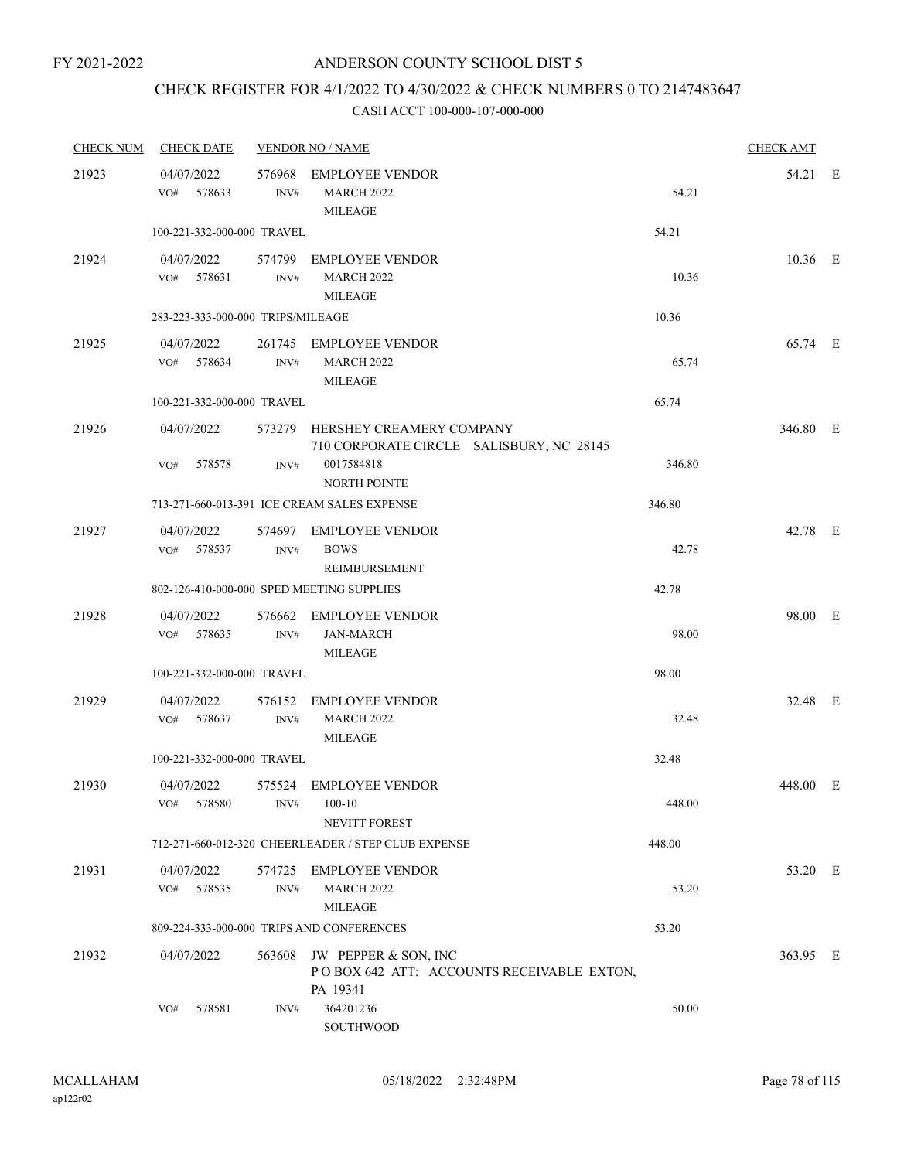## CHECK REGISTER FOR 4/1/2022 TO 4/30/2022 & CHECK NUMBERS 0 TO 2147483647

| <b>CHECK NUM</b> | <b>CHECK DATE</b>                         |                | <b>VENDOR NO / NAME</b>                                                              |        | <b>CHECK AMT</b> |  |
|------------------|-------------------------------------------|----------------|--------------------------------------------------------------------------------------|--------|------------------|--|
| 21923            | 04/07/2022<br>578633<br>VO#               | INV#           | 576968 EMPLOYEE VENDOR<br>MARCH 2022<br><b>MILEAGE</b>                               | 54.21  | 54.21 E          |  |
|                  | 100-221-332-000-000 TRAVEL                |                |                                                                                      | 54.21  |                  |  |
| 21924            | 04/07/2022<br>VO# 578631                  | INV#           | 574799 EMPLOYEE VENDOR<br><b>MARCH 2022</b><br><b>MILEAGE</b>                        | 10.36  | $10.36$ E        |  |
|                  | 283-223-333-000-000 TRIPS/MILEAGE         |                |                                                                                      | 10.36  |                  |  |
| 21925            | 04/07/2022<br>VO#<br>578634               | INV#           | 261745 EMPLOYEE VENDOR<br><b>MARCH 2022</b><br><b>MILEAGE</b>                        | 65.74  | 65.74 E          |  |
|                  | 100-221-332-000-000 TRAVEL                |                |                                                                                      | 65.74  |                  |  |
| 21926            | 04/07/2022                                |                | 573279 HERSHEY CREAMERY COMPANY<br>710 CORPORATE CIRCLE SALISBURY, NC 28145          |        | 346.80 E         |  |
|                  | 578578<br>VO#                             | INV#           | 0017584818<br><b>NORTH POINTE</b>                                                    | 346.80 |                  |  |
|                  |                                           |                | 713-271-660-013-391 ICE CREAM SALES EXPENSE                                          | 346.80 |                  |  |
| 21927            | 04/07/2022<br>578537<br>VO#               | INV#           | 574697 EMPLOYEE VENDOR<br><b>BOWS</b><br>REIMBURSEMENT                               | 42.78  | 42.78 E          |  |
|                  | 802-126-410-000-000 SPED MEETING SUPPLIES |                |                                                                                      | 42.78  |                  |  |
| 21928            | 04/07/2022<br>578635<br>VO#               | INV#           | 576662 EMPLOYEE VENDOR<br>JAN-MARCH<br><b>MILEAGE</b>                                | 98.00  | 98.00 E          |  |
|                  | 100-221-332-000-000 TRAVEL                |                |                                                                                      | 98.00  |                  |  |
| 21929            | 04/07/2022<br>VO#<br>578637               | 576152<br>INV# | <b>EMPLOYEE VENDOR</b><br><b>MARCH 2022</b><br><b>MILEAGE</b>                        | 32.48  | 32.48 E          |  |
|                  | 100-221-332-000-000 TRAVEL                |                |                                                                                      | 32.48  |                  |  |
| 21930            | 04/07/2022<br>578580<br>VO#               | INV#           | 575524 EMPLOYEE VENDOR<br>$100 - 10$<br>NEVITT FOREST                                | 448.00 | 448.00 E         |  |
|                  |                                           |                | 712-271-660-012-320 CHEERLEADER / STEP CLUB EXPENSE                                  | 448.00 |                  |  |
| 21931            | 04/07/2022<br>578535<br>VO#               | 574725<br>INV# | EMPLOYEE VENDOR<br><b>MARCH 2022</b><br><b>MILEAGE</b>                               | 53.20  | 53.20 E          |  |
|                  |                                           |                | 809-224-333-000-000 TRIPS AND CONFERENCES                                            | 53.20  |                  |  |
| 21932            | 04/07/2022                                |                | 563608 JW PEPPER & SON, INC<br>POBOX 642 ATT: ACCOUNTS RECEIVABLE EXTON,<br>PA 19341 |        | 363.95 E         |  |
|                  | 578581<br>VO#                             | INV#           | 364201236<br>SOUTHWOOD                                                               | 50.00  |                  |  |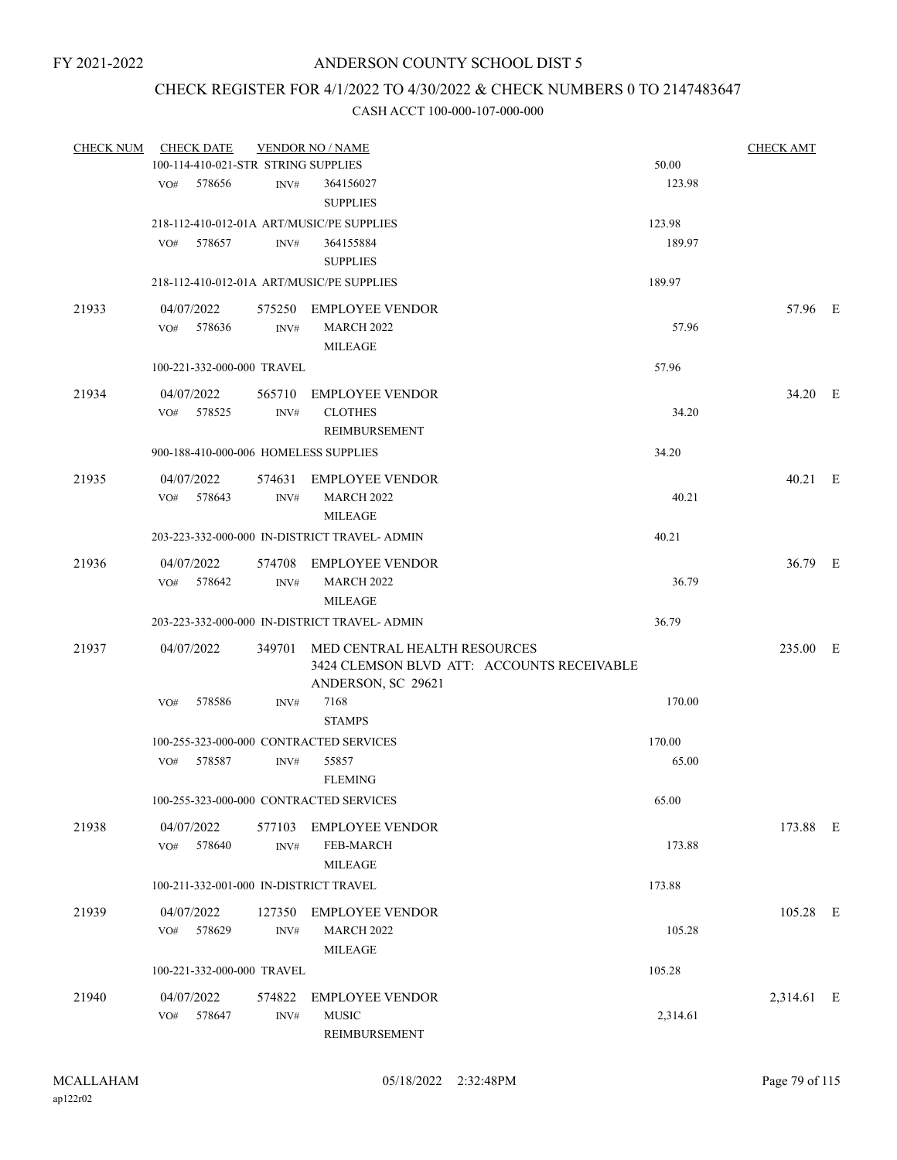### CHECK REGISTER FOR 4/1/2022 TO 4/30/2022 & CHECK NUMBERS 0 TO 2147483647

| <b>CHECK NUM</b> | <b>CHECK DATE</b>                       |                | <b>VENDOR NO / NAME</b>                                                    |          | <b>CHECK AMT</b> |  |
|------------------|-----------------------------------------|----------------|----------------------------------------------------------------------------|----------|------------------|--|
|                  | 100-114-410-021-STR STRING SUPPLIES     |                |                                                                            | 50.00    |                  |  |
|                  | 578656<br>VO#                           | INV#           | 364156027<br><b>SUPPLIES</b>                                               | 123.98   |                  |  |
|                  |                                         |                | 218-112-410-012-01A ART/MUSIC/PE SUPPLIES                                  | 123.98   |                  |  |
|                  | 578657<br>VO#                           | INV#           | 364155884                                                                  | 189.97   |                  |  |
|                  |                                         |                | <b>SUPPLIES</b>                                                            |          |                  |  |
|                  |                                         |                | 218-112-410-012-01A ART/MUSIC/PE SUPPLIES                                  | 189.97   |                  |  |
| 21933            | 04/07/2022                              |                | 575250 EMPLOYEE VENDOR                                                     |          | 57.96 E          |  |
|                  | VO# 578636                              | INV#           | <b>MARCH 2022</b>                                                          | 57.96    |                  |  |
|                  |                                         |                | <b>MILEAGE</b>                                                             |          |                  |  |
|                  | 100-221-332-000-000 TRAVEL              |                |                                                                            | 57.96    |                  |  |
| 21934            | 04/07/2022                              | 565710         | <b>EMPLOYEE VENDOR</b>                                                     |          | 34.20 E          |  |
|                  | VO# 578525                              | INV#           | <b>CLOTHES</b>                                                             | 34.20    |                  |  |
|                  |                                         |                | REIMBURSEMENT                                                              |          |                  |  |
|                  | 900-188-410-000-006 HOMELESS SUPPLIES   |                |                                                                            | 34.20    |                  |  |
| 21935            | 04/07/2022                              |                | 574631 EMPLOYEE VENDOR                                                     |          | 40.21 E          |  |
|                  | VO# 578643                              | INV#           | <b>MARCH 2022</b>                                                          | 40.21    |                  |  |
|                  |                                         |                | <b>MILEAGE</b>                                                             |          |                  |  |
|                  |                                         |                | 203-223-332-000-000 IN-DISTRICT TRAVEL- ADMIN                              | 40.21    |                  |  |
| 21936            | 04/07/2022                              |                | 574708 EMPLOYEE VENDOR                                                     |          | 36.79 E          |  |
|                  | 578642<br>VO#                           | INV#           | <b>MARCH 2022</b>                                                          | 36.79    |                  |  |
|                  |                                         |                | <b>MILEAGE</b>                                                             |          |                  |  |
|                  |                                         |                | 203-223-332-000-000 IN-DISTRICT TRAVEL- ADMIN                              | 36.79    |                  |  |
| 21937            | 04/07/2022                              | 349701         | MED CENTRAL HEALTH RESOURCES<br>3424 CLEMSON BLVD ATT: ACCOUNTS RECEIVABLE |          | 235.00 E         |  |
|                  |                                         |                | ANDERSON, SC 29621                                                         |          |                  |  |
|                  | 578586<br>VO#                           | INV#           | 7168                                                                       | 170.00   |                  |  |
|                  |                                         |                | <b>STAMPS</b>                                                              |          |                  |  |
|                  |                                         |                | 100-255-323-000-000 CONTRACTED SERVICES                                    | 170.00   |                  |  |
|                  | VO#<br>578587                           | INV#           | 55857                                                                      | 65.00    |                  |  |
|                  |                                         |                | <b>FLEMING</b>                                                             |          |                  |  |
|                  | 100-255-323-000-000 CONTRACTED SERVICES |                |                                                                            | 65.00    |                  |  |
| 21938            | 04/07/2022                              |                | 577103 EMPLOYEE VENDOR                                                     |          | 173.88 E         |  |
|                  | 578640<br>VO#                           | $\text{INV}\#$ | <b>FEB-MARCH</b>                                                           | 173.88   |                  |  |
|                  |                                         |                | <b>MILEAGE</b>                                                             |          |                  |  |
|                  | 100-211-332-001-000 IN-DISTRICT TRAVEL  |                |                                                                            | 173.88   |                  |  |
| 21939            | 04/07/2022                              | 127350         | <b>EMPLOYEE VENDOR</b>                                                     |          | 105.28 E         |  |
|                  | 578629<br>VO#                           | INV#           | <b>MARCH 2022</b>                                                          | 105.28   |                  |  |
|                  |                                         |                | <b>MILEAGE</b>                                                             |          |                  |  |
|                  | 100-221-332-000-000 TRAVEL              |                |                                                                            | 105.28   |                  |  |
| 21940            | 04/07/2022                              | 574822         | <b>EMPLOYEE VENDOR</b>                                                     |          | 2,314.61 E       |  |
|                  | 578647<br>VO#                           | INV#           | <b>MUSIC</b>                                                               | 2,314.61 |                  |  |
|                  |                                         |                | REIMBURSEMENT                                                              |          |                  |  |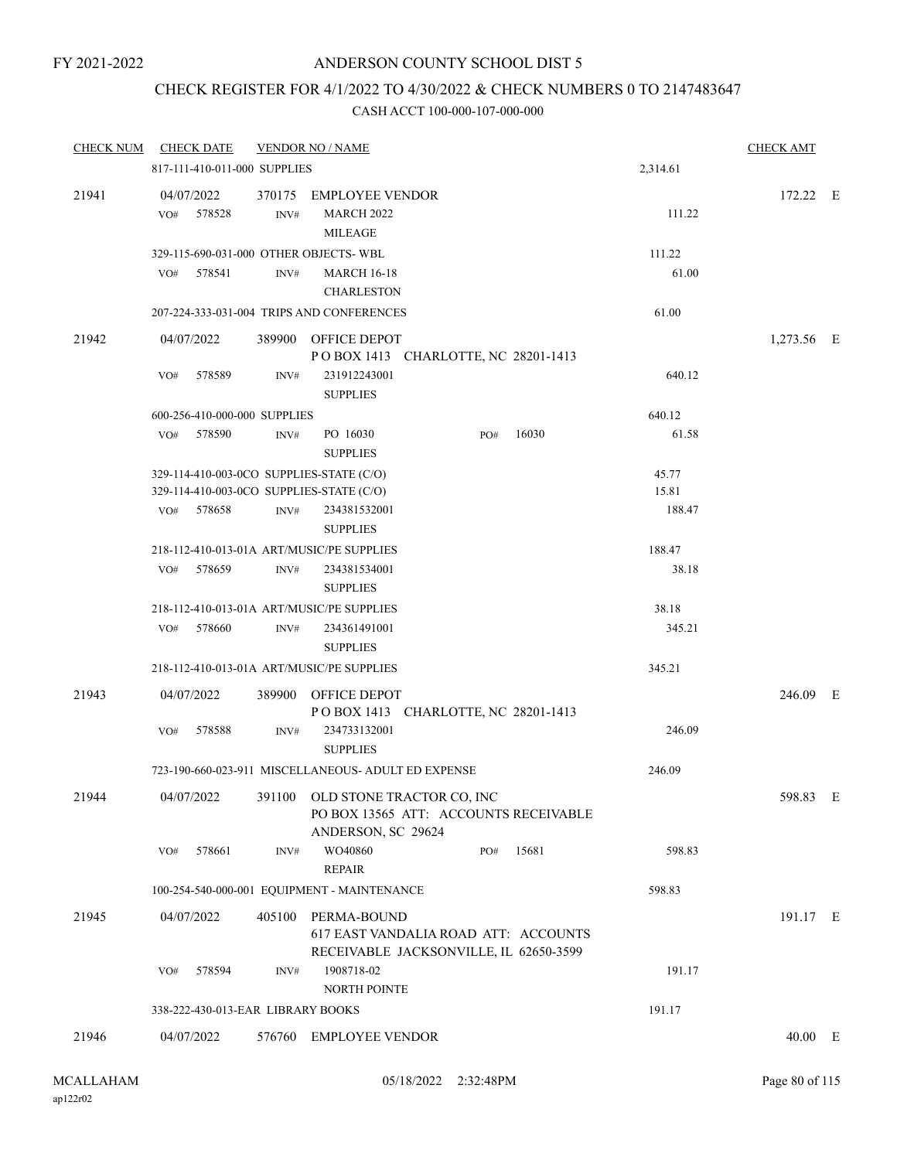### CHECK REGISTER FOR 4/1/2022 TO 4/30/2022 & CHECK NUMBERS 0 TO 2147483647

| <b>CHECK NUM</b> |            | <b>CHECK DATE</b>                 |      | <b>VENDOR NO / NAME</b>                                                                              |     |       |                | <b>CHECK AMT</b> |         |
|------------------|------------|-----------------------------------|------|------------------------------------------------------------------------------------------------------|-----|-------|----------------|------------------|---------|
|                  |            | 817-111-410-011-000 SUPPLIES      |      |                                                                                                      |     |       | 2,314.61       |                  |         |
| 21941            | 04/07/2022 |                                   |      | 370175 EMPLOYEE VENDOR                                                                               |     |       |                | 172.22 E         |         |
|                  | VO#        | 578528                            | INV# | <b>MARCH 2022</b><br><b>MILEAGE</b>                                                                  |     |       | 111.22         |                  |         |
|                  |            |                                   |      | 329-115-690-031-000 OTHER OBJECTS- WBL                                                               |     |       | 111.22         |                  |         |
|                  | VO#        | 578541                            | INV# | <b>MARCH 16-18</b><br><b>CHARLESTON</b>                                                              |     |       | 61.00          |                  |         |
|                  |            |                                   |      | 207-224-333-031-004 TRIPS AND CONFERENCES                                                            |     |       | 61.00          |                  |         |
| 21942            | 04/07/2022 |                                   |      | 389900 OFFICE DEPOT<br>POBOX 1413 CHARLOTTE, NC 28201-1413                                           |     |       |                | 1,273.56 E       |         |
|                  | VO#        | 578589                            | INV# | 231912243001<br><b>SUPPLIES</b>                                                                      |     |       | 640.12         |                  |         |
|                  |            | 600-256-410-000-000 SUPPLIES      |      |                                                                                                      |     |       | 640.12         |                  |         |
|                  |            | VO# 578590                        | INV# | PO 16030<br><b>SUPPLIES</b>                                                                          | PO# | 16030 | 61.58          |                  |         |
|                  |            |                                   |      | 329-114-410-003-0CO SUPPLIES-STATE (C/O)<br>329-114-410-003-0CO SUPPLIES-STATE (C/O)                 |     |       | 45.77<br>15.81 |                  |         |
|                  | VO#        | 578658                            | INV# | 234381532001<br><b>SUPPLIES</b>                                                                      |     |       | 188.47         |                  |         |
|                  |            |                                   |      | 218-112-410-013-01A ART/MUSIC/PE SUPPLIES                                                            |     |       | 188.47         |                  |         |
|                  | VO#        | 578659                            | INV# | 234381534001<br><b>SUPPLIES</b>                                                                      |     |       | 38.18          |                  |         |
|                  |            |                                   |      | 218-112-410-013-01A ART/MUSIC/PE SUPPLIES                                                            |     |       | 38.18          |                  |         |
|                  | VO#        | 578660                            | INV# | 234361491001<br><b>SUPPLIES</b>                                                                      |     |       | 345.21         |                  |         |
|                  |            |                                   |      | 218-112-410-013-01A ART/MUSIC/PE SUPPLIES                                                            |     |       | 345.21         |                  |         |
| 21943            |            | 04/07/2022                        |      | 389900 OFFICE DEPOT<br>POBOX 1413 CHARLOTTE, NC 28201-1413                                           |     |       |                | 246.09 E         |         |
|                  | VO#        | 578588                            | INV# | 234733132001<br><b>SUPPLIES</b>                                                                      |     |       | 246.09         |                  |         |
|                  |            |                                   |      | 723-190-660-023-911 MISCELLANEOUS- ADULT ED EXPENSE                                                  |     |       | 246.09         |                  |         |
| 21944            |            | 04/07/2022                        |      | 391100 OLD STONE TRACTOR CO, INC<br>PO BOX 13565 ATT: ACCOUNTS RECEIVABLE<br>ANDERSON, SC 29624      |     |       |                | 598.83 E         |         |
|                  | VO#        | 578661                            | INV# | WO40860<br><b>REPAIR</b>                                                                             | PO# | 15681 | 598.83         |                  |         |
|                  |            |                                   |      | 100-254-540-000-001 EQUIPMENT - MAINTENANCE                                                          |     |       | 598.83         |                  |         |
| 21945            |            | 04/07/2022                        |      | 405100 PERMA-BOUND<br>617 EAST VANDALIA ROAD ATT: ACCOUNTS<br>RECEIVABLE JACKSONVILLE, IL 62650-3599 |     |       |                | 191.17 E         |         |
|                  | VO#        | 578594                            | INV# | 1908718-02<br>NORTH POINTE                                                                           |     |       | 191.17         |                  |         |
|                  |            | 338-222-430-013-EAR LIBRARY BOOKS |      |                                                                                                      |     |       | 191.17         |                  |         |
| 21946            |            | 04/07/2022                        |      | 576760 EMPLOYEE VENDOR                                                                               |     |       |                |                  | 40.00 E |
|                  |            |                                   |      |                                                                                                      |     |       |                |                  |         |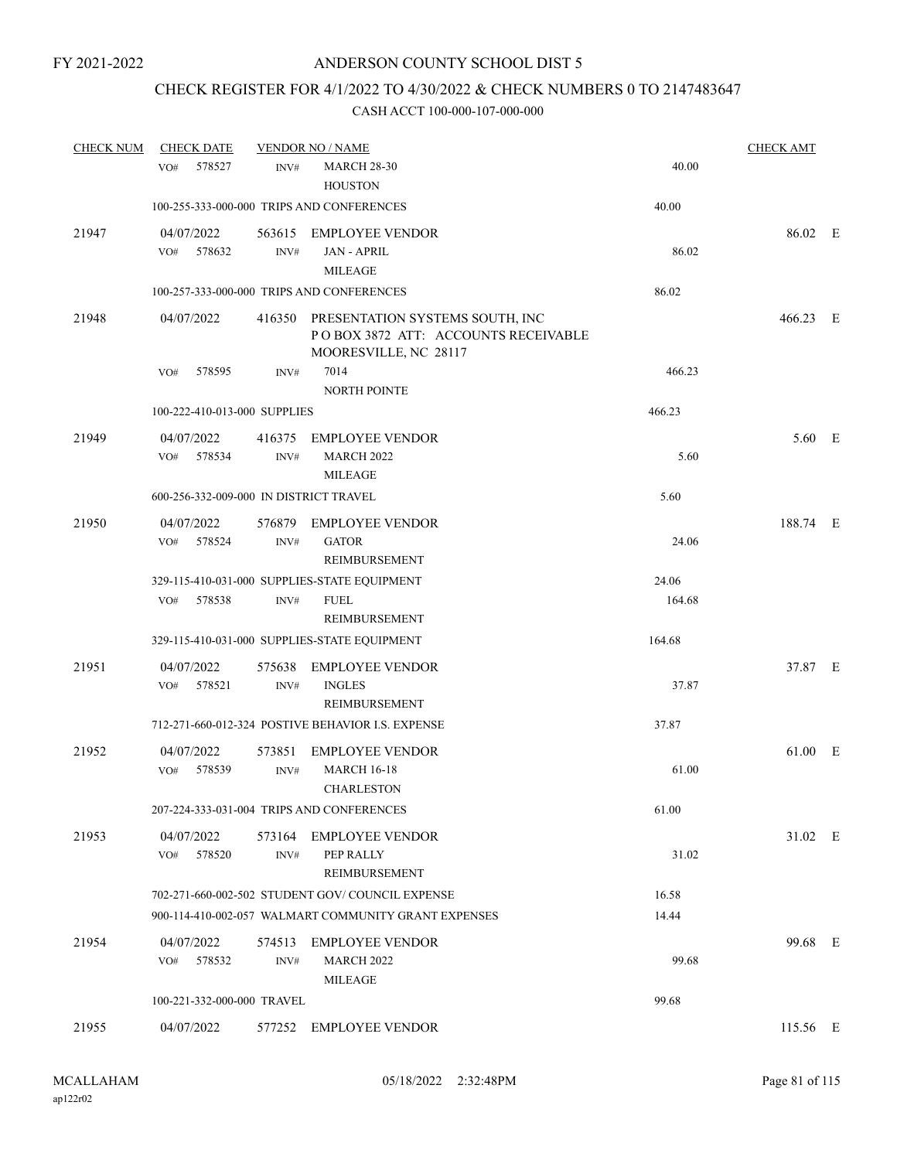### CHECK REGISTER FOR 4/1/2022 TO 4/30/2022 & CHECK NUMBERS 0 TO 2147483647

| <b>CHECK NUM</b> | <b>CHECK DATE</b>                      |        | <b>VENDOR NO / NAME</b>                                                                                 |        | <b>CHECK AMT</b> |  |
|------------------|----------------------------------------|--------|---------------------------------------------------------------------------------------------------------|--------|------------------|--|
|                  | 578527<br>VO#                          | INV#   | <b>MARCH 28-30</b>                                                                                      | 40.00  |                  |  |
|                  |                                        |        | <b>HOUSTON</b>                                                                                          |        |                  |  |
|                  |                                        |        | 100-255-333-000-000 TRIPS AND CONFERENCES                                                               | 40.00  |                  |  |
| 21947            | 04/07/2022                             | 563615 | <b>EMPLOYEE VENDOR</b>                                                                                  |        | 86.02 E          |  |
|                  | 578632<br>VO#                          | INV#   | <b>JAN - APRIL</b>                                                                                      | 86.02  |                  |  |
|                  |                                        |        | <b>MILEAGE</b>                                                                                          |        |                  |  |
|                  |                                        |        | 100-257-333-000-000 TRIPS AND CONFERENCES                                                               | 86.02  |                  |  |
| 21948            | 04/07/2022                             |        | 416350 PRESENTATION SYSTEMS SOUTH, INC<br>PO BOX 3872 ATT: ACCOUNTS RECEIVABLE<br>MOORESVILLE, NC 28117 |        | 466.23 E         |  |
|                  | 578595<br>VO#                          | INV#   | 7014                                                                                                    | 466.23 |                  |  |
|                  |                                        |        | NORTH POINTE                                                                                            |        |                  |  |
|                  | 100-222-410-013-000 SUPPLIES           |        |                                                                                                         | 466.23 |                  |  |
| 21949            | 04/07/2022                             | 416375 | <b>EMPLOYEE VENDOR</b>                                                                                  |        | 5.60 E           |  |
|                  | 578534<br>VO#                          | INV#   | <b>MARCH 2022</b>                                                                                       | 5.60   |                  |  |
|                  |                                        |        | <b>MILEAGE</b>                                                                                          |        |                  |  |
|                  | 600-256-332-009-000 IN DISTRICT TRAVEL |        |                                                                                                         | 5.60   |                  |  |
| 21950            | 04/07/2022                             | 576879 | <b>EMPLOYEE VENDOR</b>                                                                                  |        | 188.74 E         |  |
|                  | VO#<br>578524                          | INV#   | <b>GATOR</b>                                                                                            | 24.06  |                  |  |
|                  |                                        |        | REIMBURSEMENT                                                                                           |        |                  |  |
|                  |                                        |        | 329-115-410-031-000 SUPPLIES-STATE EQUIPMENT                                                            | 24.06  |                  |  |
|                  | 578538<br>VO#                          | INV#   | <b>FUEL</b>                                                                                             | 164.68 |                  |  |
|                  |                                        |        | REIMBURSEMENT                                                                                           |        |                  |  |
|                  |                                        |        | 329-115-410-031-000 SUPPLIES-STATE EQUIPMENT                                                            | 164.68 |                  |  |
| 21951            | 04/07/2022                             | 575638 | <b>EMPLOYEE VENDOR</b>                                                                                  |        | 37.87 E          |  |
|                  | 578521<br>VO#                          | INV#   | <b>INGLES</b>                                                                                           | 37.87  |                  |  |
|                  |                                        |        | REIMBURSEMENT                                                                                           |        |                  |  |
|                  |                                        |        | 712-271-660-012-324 POSTIVE BEHAVIOR I.S. EXPENSE                                                       | 37.87  |                  |  |
| 21952            | 04/07/2022                             | 573851 | <b>EMPLOYEE VENDOR</b>                                                                                  |        | 61.00 E          |  |
|                  | VO#<br>578539                          | INV#   | <b>MARCH 16-18</b>                                                                                      | 61.00  |                  |  |
|                  |                                        |        | <b>CHARLESTON</b>                                                                                       |        |                  |  |
|                  |                                        |        | 207-224-333-031-004 TRIPS AND CONFERENCES                                                               | 61.00  |                  |  |
| 21953            | 04/07/2022                             |        | 573164 EMPLOYEE VENDOR                                                                                  |        | 31.02 E          |  |
|                  | 578520<br>VO#                          | INV#   | PEP RALLY                                                                                               | 31.02  |                  |  |
|                  |                                        |        | REIMBURSEMENT                                                                                           |        |                  |  |
|                  |                                        |        | 702-271-660-002-502 STUDENT GOV/COUNCIL EXPENSE                                                         | 16.58  |                  |  |
|                  |                                        |        | 900-114-410-002-057 WALMART COMMUNITY GRANT EXPENSES                                                    | 14.44  |                  |  |
| 21954            | 04/07/2022                             | 574513 | <b>EMPLOYEE VENDOR</b>                                                                                  |        | 99.68 E          |  |
|                  | 578532<br>VO#                          | INV#   | <b>MARCH 2022</b>                                                                                       | 99.68  |                  |  |
|                  |                                        |        | <b>MILEAGE</b>                                                                                          |        |                  |  |
|                  | 100-221-332-000-000 TRAVEL             |        |                                                                                                         | 99.68  |                  |  |
| 21955            | 04/07/2022                             |        | 577252 EMPLOYEE VENDOR                                                                                  |        | 115.56 E         |  |
|                  |                                        |        |                                                                                                         |        |                  |  |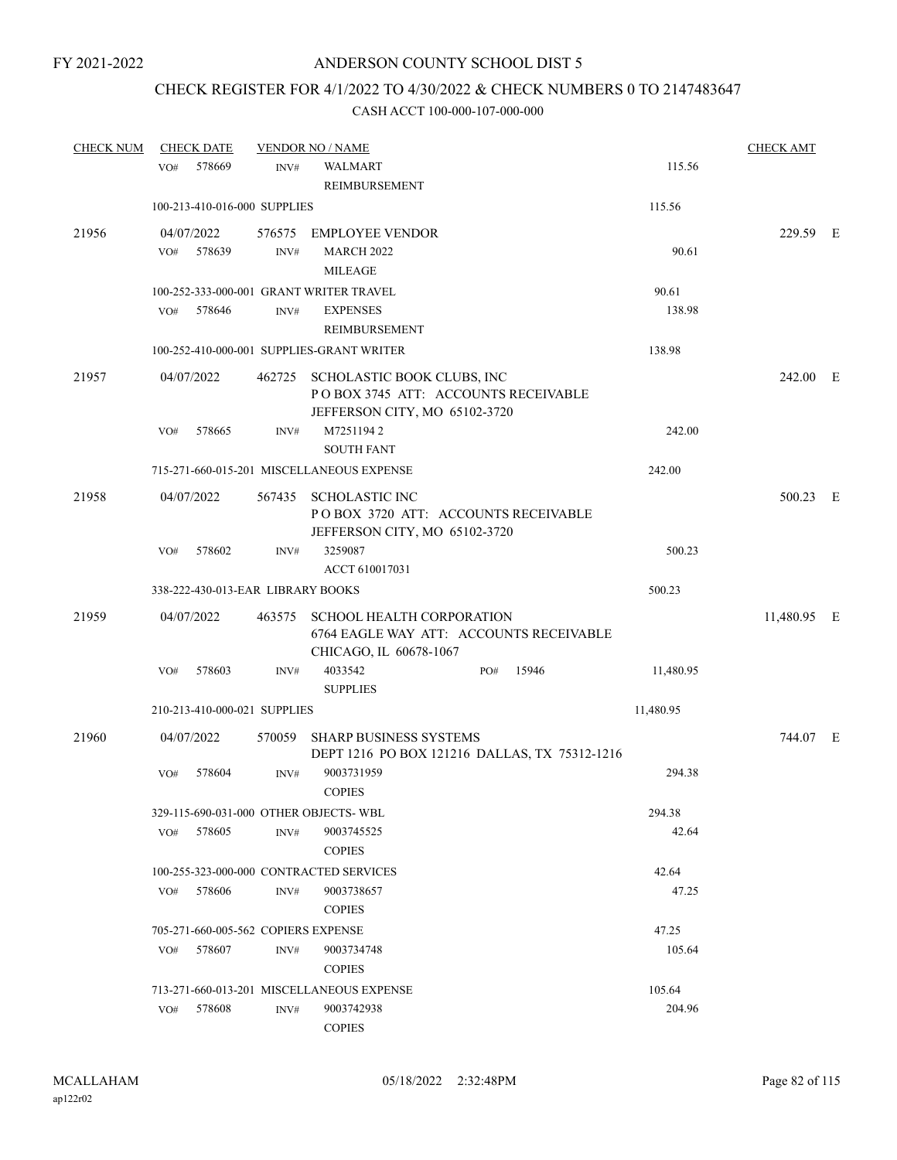### CHECK REGISTER FOR 4/1/2022 TO 4/30/2022 & CHECK NUMBERS 0 TO 2147483647

| <b>CHECK NUM</b> | <b>CHECK DATE</b> |                                     | <b>VENDOR NO / NAME</b>                       |     |       |           | <b>CHECK AMT</b> |  |
|------------------|-------------------|-------------------------------------|-----------------------------------------------|-----|-------|-----------|------------------|--|
|                  | 578669<br>VO#     | INV#                                | WALMART                                       |     |       | 115.56    |                  |  |
|                  |                   |                                     | REIMBURSEMENT                                 |     |       |           |                  |  |
|                  |                   | 100-213-410-016-000 SUPPLIES        |                                               |     |       | 115.56    |                  |  |
| 21956            | 04/07/2022        | 576575                              | EMPLOYEE VENDOR                               |     |       |           | 229.59 E         |  |
|                  | 578639<br>VO#     | $\text{INV}\#$                      | <b>MARCH 2022</b>                             |     |       | 90.61     |                  |  |
|                  |                   |                                     | <b>MILEAGE</b>                                |     |       |           |                  |  |
|                  |                   |                                     | 100-252-333-000-001 GRANT WRITER TRAVEL       |     |       | 90.61     |                  |  |
|                  | 578646<br>VO#     | INV#                                | <b>EXPENSES</b>                               |     |       | 138.98    |                  |  |
|                  |                   |                                     | <b>REIMBURSEMENT</b>                          |     |       |           |                  |  |
|                  |                   |                                     | 100-252-410-000-001 SUPPLIES-GRANT WRITER     |     |       | 138.98    |                  |  |
| 21957            | 04/07/2022        |                                     | 462725 SCHOLASTIC BOOK CLUBS, INC             |     |       |           | 242.00 E         |  |
|                  |                   |                                     | POBOX 3745 ATT: ACCOUNTS RECEIVABLE           |     |       |           |                  |  |
|                  |                   |                                     | JEFFERSON CITY, MO 65102-3720                 |     |       |           |                  |  |
|                  | 578665<br>VO#     | INV#                                | M72511942                                     |     |       | 242.00    |                  |  |
|                  |                   |                                     | <b>SOUTH FANT</b>                             |     |       |           |                  |  |
|                  |                   |                                     | 715-271-660-015-201 MISCELLANEOUS EXPENSE     |     |       | 242.00    |                  |  |
| 21958            | 04/07/2022        |                                     | 567435 SCHOLASTIC INC                         |     |       |           | 500.23 E         |  |
|                  |                   |                                     | POBOX 3720 ATT: ACCOUNTS RECEIVABLE           |     |       |           |                  |  |
|                  |                   |                                     | JEFFERSON CITY, MO 65102-3720                 |     |       |           |                  |  |
|                  | 578602<br>VO#     | INV#                                | 3259087                                       |     |       | 500.23    |                  |  |
|                  |                   |                                     | ACCT 610017031                                |     |       |           |                  |  |
|                  |                   | 338-222-430-013-EAR LIBRARY BOOKS   |                                               |     |       | 500.23    |                  |  |
| 21959            | 04/07/2022        | 463575                              | <b>SCHOOL HEALTH CORPORATION</b>              |     |       |           | 11,480.95 E      |  |
|                  |                   |                                     | 6764 EAGLE WAY ATT: ACCOUNTS RECEIVABLE       |     |       |           |                  |  |
|                  |                   |                                     | CHICAGO, IL 60678-1067                        |     |       |           |                  |  |
|                  | 578603<br>VO#     | INV#                                | 4033542<br><b>SUPPLIES</b>                    | PO# | 15946 | 11,480.95 |                  |  |
|                  |                   | 210-213-410-000-021 SUPPLIES        |                                               |     |       | 11,480.95 |                  |  |
| 21960            | 04/07/2022        | 570059                              | <b>SHARP BUSINESS SYSTEMS</b>                 |     |       |           | 744.07 E         |  |
|                  |                   |                                     | DEPT 1216 PO BOX 121216 DALLAS, TX 75312-1216 |     |       |           |                  |  |
|                  | 578604<br>VO#     | INV#                                | 9003731959                                    |     |       | 294.38    |                  |  |
|                  |                   |                                     | <b>COPIES</b>                                 |     |       |           |                  |  |
|                  |                   |                                     | 329-115-690-031-000 OTHER OBJECTS-WBL         |     |       | 294.38    |                  |  |
|                  | 578605<br>VO#     | INV#                                | 9003745525                                    |     |       | 42.64     |                  |  |
|                  |                   |                                     | <b>COPIES</b>                                 |     |       |           |                  |  |
|                  |                   |                                     | 100-255-323-000-000 CONTRACTED SERVICES       |     |       | 42.64     |                  |  |
|                  | 578606<br>VO#     | INV#                                | 9003738657                                    |     |       | 47.25     |                  |  |
|                  |                   |                                     | <b>COPIES</b>                                 |     |       |           |                  |  |
|                  |                   | 705-271-660-005-562 COPIERS EXPENSE |                                               |     |       | 47.25     |                  |  |
|                  | VO#<br>578607     | INV#                                | 9003734748                                    |     |       | 105.64    |                  |  |
|                  |                   |                                     | <b>COPIES</b>                                 |     |       |           |                  |  |
|                  |                   |                                     | 713-271-660-013-201 MISCELLANEOUS EXPENSE     |     |       | 105.64    |                  |  |
|                  | 578608<br>VO#     | INV#                                | 9003742938                                    |     |       | 204.96    |                  |  |
|                  |                   |                                     | <b>COPIES</b>                                 |     |       |           |                  |  |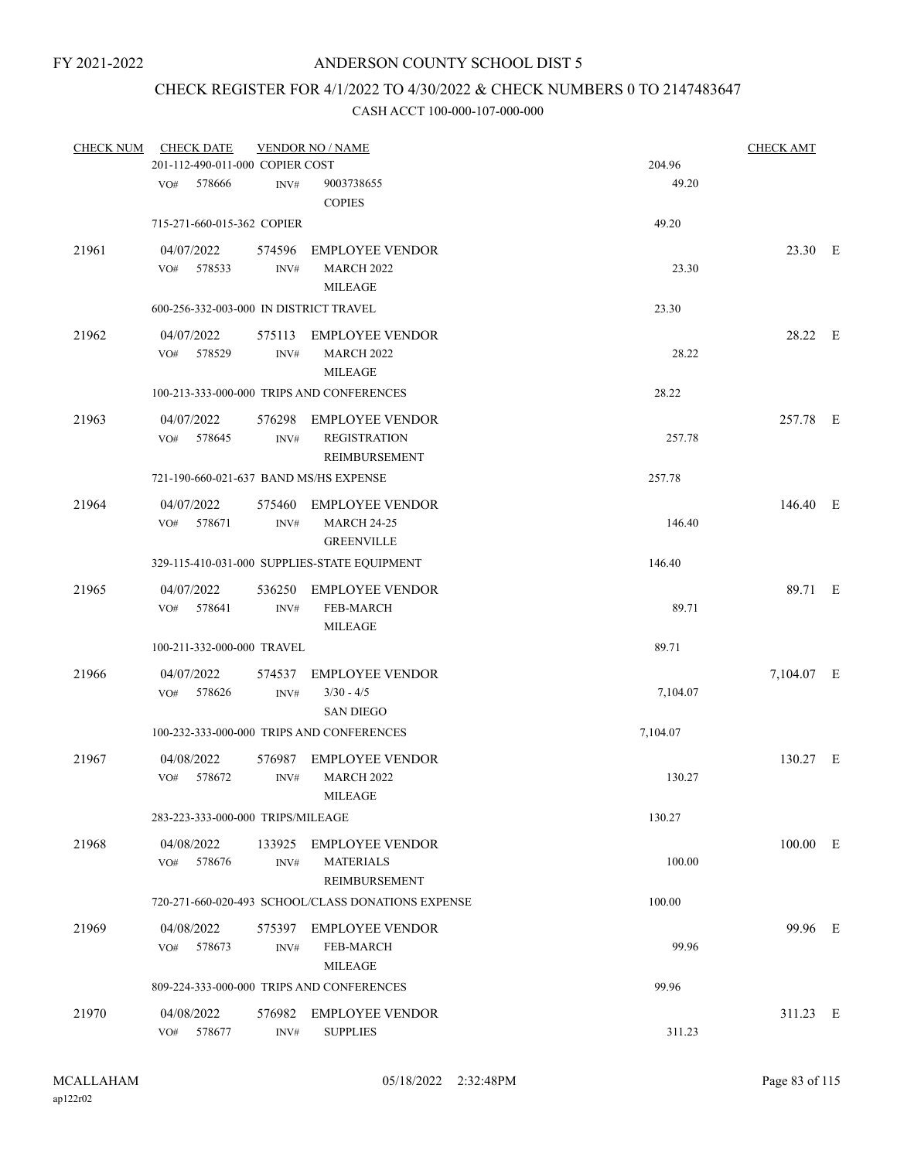### CHECK REGISTER FOR 4/1/2022 TO 4/30/2022 & CHECK NUMBERS 0 TO 2147483647

| <b>CHECK NUM</b> | <b>CHECK DATE</b><br>201-112-490-011-000 COPIER COST |                | <b>VENDOR NO / NAME</b>                                               | 204.96   | <b>CHECK AMT</b> |  |
|------------------|------------------------------------------------------|----------------|-----------------------------------------------------------------------|----------|------------------|--|
|                  | 578666<br>VO#                                        | INV#           | 9003738655<br><b>COPIES</b>                                           | 49.20    |                  |  |
|                  | 715-271-660-015-362 COPIER                           |                |                                                                       | 49.20    |                  |  |
| 21961            | 04/07/2022<br>578533<br>VO#                          | 574596<br>INV# | <b>EMPLOYEE VENDOR</b><br><b>MARCH 2022</b><br><b>MILEAGE</b>         | 23.30    | 23.30 E          |  |
|                  | 600-256-332-003-000 IN DISTRICT TRAVEL               |                |                                                                       | 23.30    |                  |  |
| 21962            | 04/07/2022<br>578529<br>VO#                          | INV#           | 575113 EMPLOYEE VENDOR<br><b>MARCH 2022</b><br><b>MILEAGE</b>         | 28.22    | 28.22 E          |  |
|                  |                                                      |                | 100-213-333-000-000 TRIPS AND CONFERENCES                             | 28.22    |                  |  |
| 21963            | 04/07/2022<br>578645<br>VO#                          | 576298<br>INV# | <b>EMPLOYEE VENDOR</b><br><b>REGISTRATION</b><br><b>REIMBURSEMENT</b> | 257.78   | 257.78 E         |  |
|                  | 721-190-660-021-637 BAND MS/HS EXPENSE               |                |                                                                       | 257.78   |                  |  |
| 21964            | 04/07/2022<br>578671<br>VO#                          | 575460<br>INV# | EMPLOYEE VENDOR<br><b>MARCH 24-25</b><br><b>GREENVILLE</b>            | 146.40   | 146.40 E         |  |
|                  |                                                      |                | 329-115-410-031-000 SUPPLIES-STATE EQUIPMENT                          | 146.40   |                  |  |
| 21965            | 04/07/2022<br>VO# 578641                             | INV#           | 536250 EMPLOYEE VENDOR<br><b>FEB-MARCH</b><br><b>MILEAGE</b>          | 89.71    | 89.71 E          |  |
|                  | 100-211-332-000-000 TRAVEL                           |                |                                                                       | 89.71    |                  |  |
| 21966            | 04/07/2022<br>578626<br>VO#                          | 574537<br>INV# | <b>EMPLOYEE VENDOR</b><br>$3/30 - 4/5$<br><b>SAN DIEGO</b>            | 7,104.07 | 7,104.07 E       |  |
|                  |                                                      |                | 100-232-333-000-000 TRIPS AND CONFERENCES                             | 7,104.07 |                  |  |
| 21967            | 04/08/2022<br>578672<br>VO#                          | INV#           | 576987 EMPLOYEE VENDOR<br><b>MARCH 2022</b><br><b>MILEAGE</b>         | 130.27   | 130.27 E         |  |
|                  | 283-223-333-000-000 TRIPS/MILEAGE                    |                |                                                                       | 130.27   |                  |  |
| 21968            | 04/08/2022<br>578676<br>VO#                          | INV#           | 133925 EMPLOYEE VENDOR<br><b>MATERIALS</b><br>REIMBURSEMENT           | 100.00   | 100.00 E         |  |
|                  |                                                      |                | 720-271-660-020-493 SCHOOL/CLASS DONATIONS EXPENSE                    | 100.00   |                  |  |
| 21969            | 04/08/2022<br>578673<br>VO#                          | INV#           | 575397 EMPLOYEE VENDOR<br><b>FEB-MARCH</b><br><b>MILEAGE</b>          | 99.96    | 99.96 E          |  |
|                  |                                                      |                | 809-224-333-000-000 TRIPS AND CONFERENCES                             | 99.96    |                  |  |
| 21970            | 04/08/2022<br>VO#<br>578677                          | 576982<br>INV# | <b>EMPLOYEE VENDOR</b><br><b>SUPPLIES</b>                             | 311.23   | 311.23 E         |  |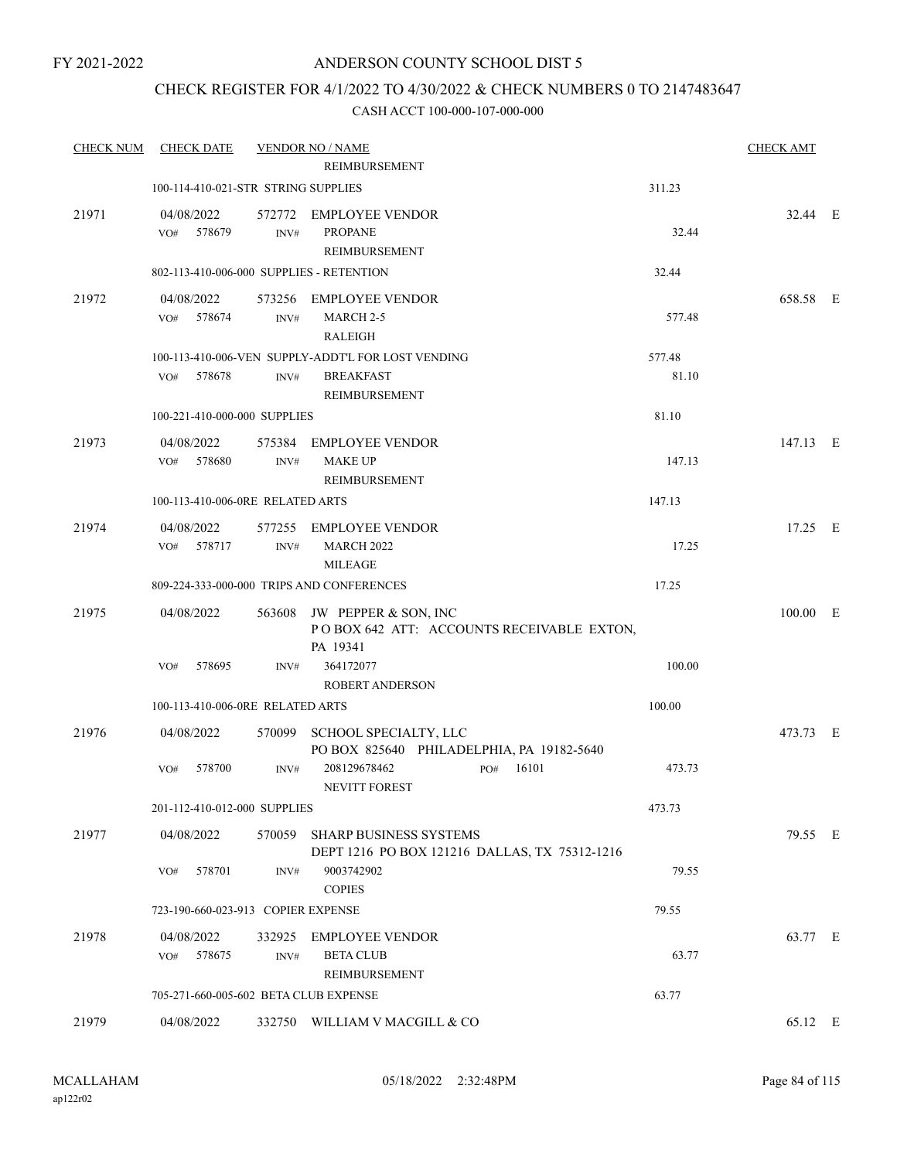### CHECK REGISTER FOR 4/1/2022 TO 4/30/2022 & CHECK NUMBERS 0 TO 2147483647

| <b>CHECK NUM</b> | <b>CHECK DATE</b>                        |                | <b>VENDOR NO / NAME</b><br>REIMBURSEMENT                                       |        | <b>CHECK AMT</b> |  |
|------------------|------------------------------------------|----------------|--------------------------------------------------------------------------------|--------|------------------|--|
|                  |                                          |                |                                                                                |        |                  |  |
|                  | 100-114-410-021-STR STRING SUPPLIES      |                |                                                                                | 311.23 |                  |  |
| 21971            | 04/08/2022<br>578679<br>VO#              | INV#           | 572772 EMPLOYEE VENDOR<br><b>PROPANE</b><br>REIMBURSEMENT                      | 32.44  | 32.44 E          |  |
|                  | 802-113-410-006-000 SUPPLIES - RETENTION |                |                                                                                | 32.44  |                  |  |
| 21972            | 04/08/2022<br>578674<br>VO#              | $\text{INV}\#$ | 573256 EMPLOYEE VENDOR<br>MARCH 2-5<br><b>RALEIGH</b>                          | 577.48 | 658.58 E         |  |
|                  |                                          |                | 100-113-410-006-VEN SUPPLY-ADDT'L FOR LOST VENDING                             | 577.48 |                  |  |
|                  | 578678<br>VO#                            | INV#           | <b>BREAKFAST</b><br><b>REIMBURSEMENT</b>                                       | 81.10  |                  |  |
|                  | 100-221-410-000-000 SUPPLIES             |                |                                                                                | 81.10  |                  |  |
| 21973            | 04/08/2022<br>578680<br>VO#              | $\text{INV}\#$ | 575384 EMPLOYEE VENDOR<br><b>MAKE UP</b><br>REIMBURSEMENT                      | 147.13 | 147.13 E         |  |
|                  | 100-113-410-006-0RE RELATED ARTS         |                |                                                                                | 147.13 |                  |  |
| 21974            | 04/08/2022<br>578717<br>VO#              | INV#           | 577255 EMPLOYEE VENDOR<br><b>MARCH 2022</b><br><b>MILEAGE</b>                  | 17.25  | 17.25 E          |  |
|                  |                                          |                | 809-224-333-000-000 TRIPS AND CONFERENCES                                      | 17.25  |                  |  |
| 21975            | 04/08/2022                               | 563608         | JW PEPPER & SON, INC<br>POBOX 642 ATT: ACCOUNTS RECEIVABLE EXTON,<br>PA 19341  |        | 100.00 E         |  |
|                  | 578695<br>VO#                            | INV#           | 364172077<br><b>ROBERT ANDERSON</b>                                            | 100.00 |                  |  |
|                  | 100-113-410-006-0RE RELATED ARTS         |                |                                                                                | 100.00 |                  |  |
| 21976            | 04/08/2022                               | 570099         | SCHOOL SPECIALTY, LLC<br>PO BOX 825640 PHILADELPHIA, PA 19182-5640             |        | 473.73 E         |  |
|                  | 578700<br>VO#                            | INV#           | 208129678462<br>16101<br>PO#<br><b>NEVITT FOREST</b>                           | 473.73 |                  |  |
|                  | 201-112-410-012-000 SUPPLIES             |                |                                                                                | 473.73 |                  |  |
| 21977            | 04/08/2022                               | 570059         | <b>SHARP BUSINESS SYSTEMS</b><br>DEPT 1216 PO BOX 121216 DALLAS, TX 75312-1216 |        | 79.55 E          |  |
|                  | VO#<br>578701                            | INV#           | 9003742902<br><b>COPIES</b>                                                    | 79.55  |                  |  |
|                  | 723-190-660-023-913 COPIER EXPENSE       |                |                                                                                | 79.55  |                  |  |
| 21978            | 04/08/2022<br>578675<br>VO#              | 332925<br>INV# | <b>EMPLOYEE VENDOR</b><br><b>BETA CLUB</b><br>REIMBURSEMENT                    | 63.77  | 63.77 E          |  |
|                  | 705-271-660-005-602 BETA CLUB EXPENSE    |                |                                                                                | 63.77  |                  |  |
| 21979            | 04/08/2022                               |                | 332750 WILLIAM V MACGILL & CO                                                  |        | 65.12 E          |  |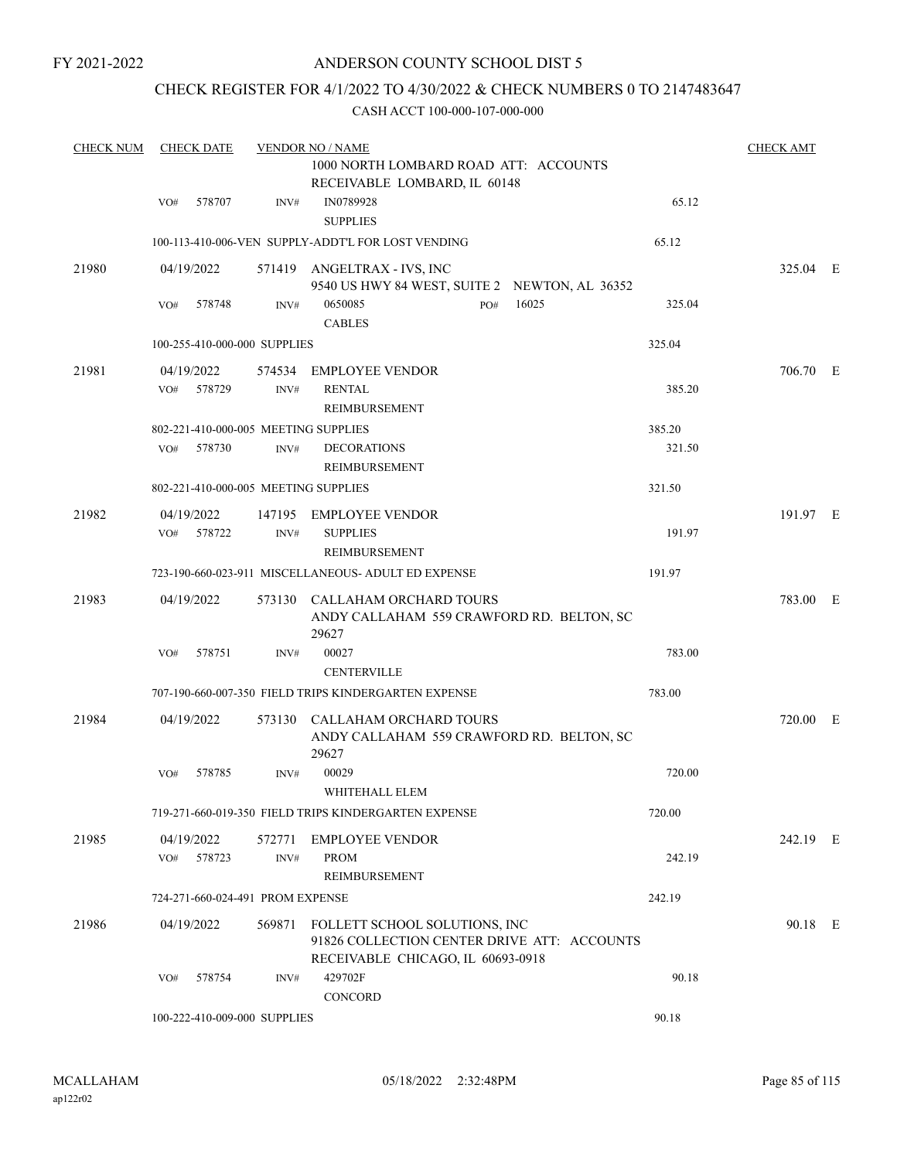FY 2021-2022

### ANDERSON COUNTY SCHOOL DIST 5

### CHECK REGISTER FOR 4/1/2022 TO 4/30/2022 & CHECK NUMBERS 0 TO 2147483647

| <b>CHECK NUM</b> | <b>CHECK DATE</b>                    |        | <b>VENDOR NO / NAME</b>                                                             |        | <b>CHECK AMT</b> |  |
|------------------|--------------------------------------|--------|-------------------------------------------------------------------------------------|--------|------------------|--|
|                  |                                      |        | 1000 NORTH LOMBARD ROAD ATT: ACCOUNTS                                               |        |                  |  |
|                  |                                      |        | RECEIVABLE LOMBARD, IL 60148                                                        |        |                  |  |
|                  | 578707<br>VO#                        | INV#   | IN0789928<br><b>SUPPLIES</b>                                                        | 65.12  |                  |  |
|                  |                                      |        | 100-113-410-006-VEN SUPPLY-ADDT'L FOR LOST VENDING                                  | 65.12  |                  |  |
| 21980            | 04/19/2022                           |        | 571419 ANGELTRAX - IVS, INC                                                         |        | 325.04 E         |  |
|                  |                                      |        | 9540 US HWY 84 WEST, SUITE 2 NEWTON, AL 36352                                       |        |                  |  |
|                  | 578748<br>VO#                        | INV#   | 0650085<br>16025<br>PO#<br><b>CABLES</b>                                            | 325.04 |                  |  |
|                  | 100-255-410-000-000 SUPPLIES         |        |                                                                                     | 325.04 |                  |  |
| 21981            | 04/19/2022                           |        | 574534 EMPLOYEE VENDOR                                                              |        | 706.70 E         |  |
|                  | 578729<br>VO#                        | INV#   | <b>RENTAL</b>                                                                       | 385.20 |                  |  |
|                  |                                      |        | REIMBURSEMENT                                                                       |        |                  |  |
|                  | 802-221-410-000-005 MEETING SUPPLIES |        |                                                                                     | 385.20 |                  |  |
|                  | 578730<br>VO#                        | INV#   | <b>DECORATIONS</b>                                                                  | 321.50 |                  |  |
|                  |                                      |        | REIMBURSEMENT                                                                       |        |                  |  |
|                  | 802-221-410-000-005 MEETING SUPPLIES |        |                                                                                     | 321.50 |                  |  |
| 21982            | 04/19/2022                           |        | 147195 EMPLOYEE VENDOR                                                              |        | 191.97 E         |  |
|                  | VO# 578722                           | INV#   | <b>SUPPLIES</b>                                                                     | 191.97 |                  |  |
|                  |                                      |        | REIMBURSEMENT                                                                       |        |                  |  |
|                  |                                      |        | 723-190-660-023-911 MISCELLANEOUS- ADULT ED EXPENSE                                 | 191.97 |                  |  |
| 21983            | 04/19/2022                           |        | 573130 CALLAHAM ORCHARD TOURS<br>ANDY CALLAHAM 559 CRAWFORD RD. BELTON, SC          |        | 783.00 E         |  |
|                  |                                      |        | 29627                                                                               |        |                  |  |
|                  | 578751<br>VO#                        | INV#   | 00027                                                                               | 783.00 |                  |  |
|                  |                                      |        | <b>CENTERVILLE</b><br>707-190-660-007-350 FIELD TRIPS KINDERGARTEN EXPENSE          | 783.00 |                  |  |
|                  |                                      |        |                                                                                     |        |                  |  |
| 21984            | 04/19/2022                           | 573130 | CALLAHAM ORCHARD TOURS<br>ANDY CALLAHAM 559 CRAWFORD RD. BELTON, SC<br>29627        |        | 720.00 E         |  |
|                  | 578785<br>VO#                        | INV#   | 00029                                                                               | 720.00 |                  |  |
|                  |                                      |        | WHITEHALL ELEM                                                                      |        |                  |  |
|                  |                                      |        | 719-271-660-019-350 FIELD TRIPS KINDERGARTEN EXPENSE                                | 720.00 |                  |  |
| 21985            | 04/19/2022                           | 572771 | <b>EMPLOYEE VENDOR</b>                                                              |        | 242.19 E         |  |
|                  | 578723<br>VO#                        | INV#   | <b>PROM</b>                                                                         | 242.19 |                  |  |
|                  |                                      |        | REIMBURSEMENT                                                                       |        |                  |  |
|                  | 724-271-660-024-491 PROM EXPENSE     |        |                                                                                     | 242.19 |                  |  |
| 21986            | 04/19/2022                           |        | 569871 FOLLETT SCHOOL SOLUTIONS, INC<br>91826 COLLECTION CENTER DRIVE ATT: ACCOUNTS |        | 90.18 E          |  |
|                  | 578754<br>VO#                        |        | RECEIVABLE CHICAGO, IL 60693-0918<br>429702F                                        | 90.18  |                  |  |
|                  |                                      | INV#   | CONCORD                                                                             |        |                  |  |
|                  | 100-222-410-009-000 SUPPLIES         |        |                                                                                     | 90.18  |                  |  |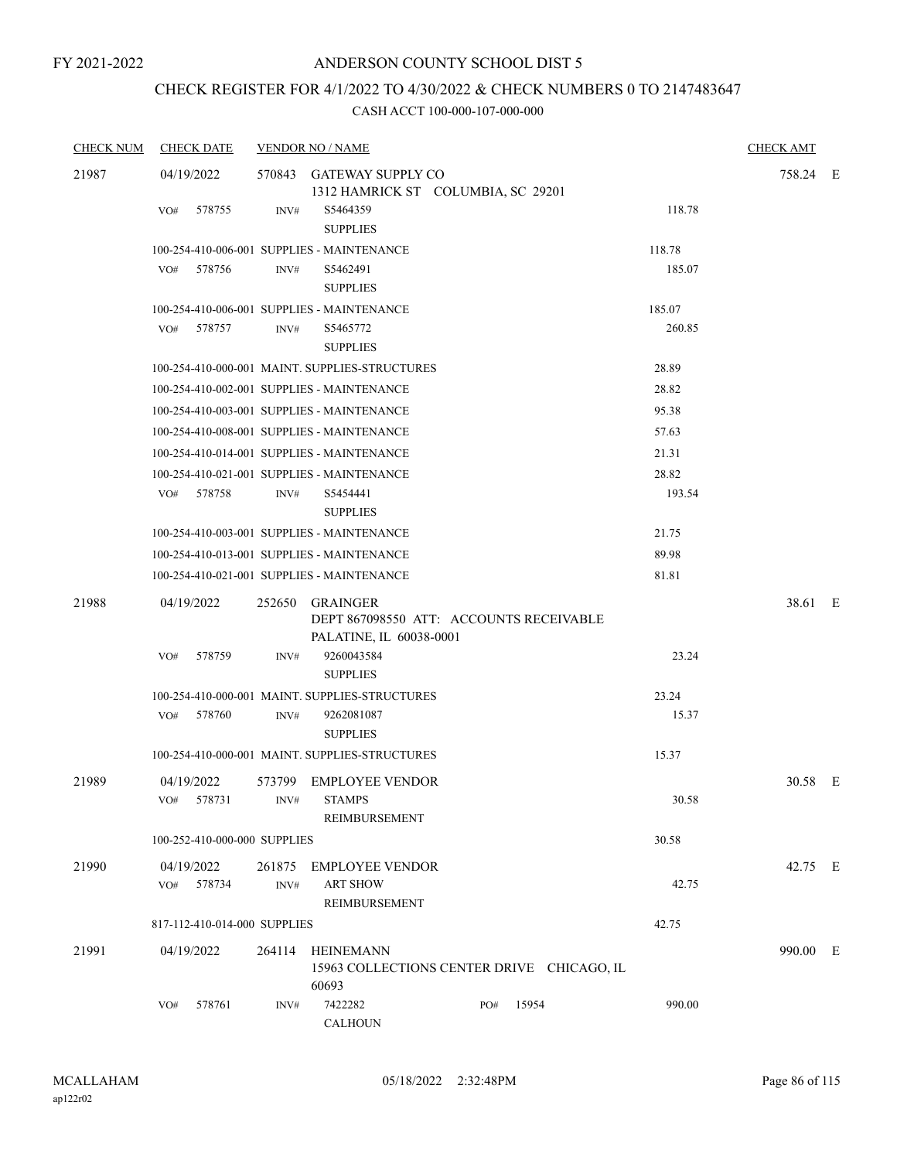## CHECK REGISTER FOR 4/1/2022 TO 4/30/2022 & CHECK NUMBERS 0 TO 2147483647

| <b>CHECK NUM</b> | <b>CHECK DATE</b>            | <b>VENDOR NO / NAME</b>                                                                                                                 | <b>CHECK AMT</b> |  |
|------------------|------------------------------|-----------------------------------------------------------------------------------------------------------------------------------------|------------------|--|
| 21987            | 04/19/2022                   | 570843 GATEWAY SUPPLY CO<br>1312 HAMRICK ST COLUMBIA, SC 29201                                                                          | 758.24 E         |  |
|                  | 578755<br>VO#                | 118.78<br>INV#<br>S5464359<br><b>SUPPLIES</b>                                                                                           |                  |  |
|                  |                              | 118.78<br>100-254-410-006-001 SUPPLIES - MAINTENANCE                                                                                    |                  |  |
|                  | 578756<br>VO#                | 185.07<br>S5462491<br>INV#<br><b>SUPPLIES</b>                                                                                           |                  |  |
|                  |                              | 100-254-410-006-001 SUPPLIES - MAINTENANCE<br>185.07                                                                                    |                  |  |
|                  | VO#<br>578757                | S5465772<br>260.85<br>INV#<br><b>SUPPLIES</b>                                                                                           |                  |  |
|                  |                              | 100-254-410-000-001 MAINT. SUPPLIES-STRUCTURES<br>28.89                                                                                 |                  |  |
|                  |                              | 100-254-410-002-001 SUPPLIES - MAINTENANCE<br>28.82                                                                                     |                  |  |
|                  |                              | 100-254-410-003-001 SUPPLIES - MAINTENANCE<br>95.38                                                                                     |                  |  |
|                  |                              | 57.63<br>100-254-410-008-001 SUPPLIES - MAINTENANCE                                                                                     |                  |  |
|                  |                              | 100-254-410-014-001 SUPPLIES - MAINTENANCE<br>21.31                                                                                     |                  |  |
|                  |                              | 28.82<br>100-254-410-021-001 SUPPLIES - MAINTENANCE                                                                                     |                  |  |
|                  | 578758<br>VO#                | 193.54<br>S5454441<br>INV#<br><b>SUPPLIES</b>                                                                                           |                  |  |
|                  |                              | 100-254-410-003-001 SUPPLIES - MAINTENANCE<br>21.75                                                                                     |                  |  |
|                  |                              | 100-254-410-013-001 SUPPLIES - MAINTENANCE<br>89.98                                                                                     |                  |  |
|                  |                              | 100-254-410-021-001 SUPPLIES - MAINTENANCE<br>81.81                                                                                     |                  |  |
| 21988            | 04/19/2022<br>578759<br>VO#  | 252650 GRAINGER<br>DEPT 867098550 ATT: ACCOUNTS RECEIVABLE<br>PALATINE, IL 60038-0001<br>9260043584<br>23.24<br>INV#<br><b>SUPPLIES</b> | 38.61 E          |  |
|                  |                              | 100-254-410-000-001 MAINT. SUPPLIES-STRUCTURES<br>23.24                                                                                 |                  |  |
|                  | 578760<br>VO#                | 15.37<br>INV#<br>9262081087<br><b>SUPPLIES</b>                                                                                          |                  |  |
|                  |                              | 100-254-410-000-001 MAINT. SUPPLIES-STRUCTURES<br>15.37                                                                                 |                  |  |
| 21989            | 04/19/2022<br>VO# 578731     | 573799 EMPLOYEE VENDOR<br>INV# STAMPS<br>30.58<br><b>REIMBURSEMENT</b>                                                                  | 30.58 E          |  |
|                  | 100-252-410-000-000 SUPPLIES | 30.58                                                                                                                                   |                  |  |
| 21990            | 04/19/2022<br>VO# 578734     | 261875 EMPLOYEE VENDOR<br><b>ART SHOW</b><br>42.75<br>INV#<br><b>REIMBURSEMENT</b>                                                      | 42.75 E          |  |
|                  | 817-112-410-014-000 SUPPLIES | 42.75                                                                                                                                   |                  |  |
| 21991            | 04/19/2022                   | 264114 HEINEMANN<br>15963 COLLECTIONS CENTER DRIVE CHICAGO, IL<br>60693                                                                 | 990.00 E         |  |
|                  | 578761<br>VO#                | 7422282<br>990.00<br>15954<br>INV#<br>PO#<br><b>CALHOUN</b>                                                                             |                  |  |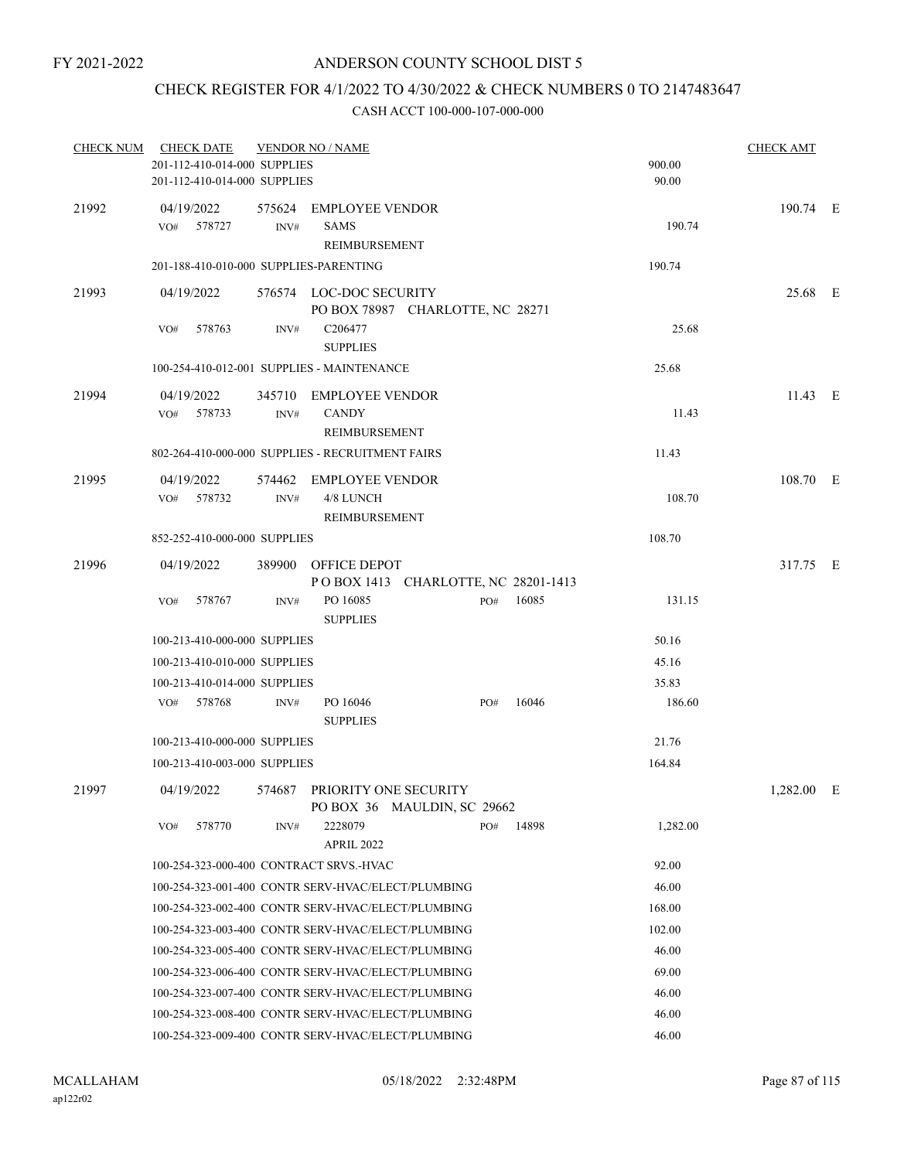### CHECK REGISTER FOR 4/1/2022 TO 4/30/2022 & CHECK NUMBERS 0 TO 2147483647

| <b>CHECK NUM</b> | <b>CHECK DATE</b>                       |        | <b>VENDOR NO / NAME</b>                                     |     |       |          | <b>CHECK AMT</b> |  |
|------------------|-----------------------------------------|--------|-------------------------------------------------------------|-----|-------|----------|------------------|--|
|                  | 201-112-410-014-000 SUPPLIES            |        |                                                             |     |       | 900.00   |                  |  |
|                  | 201-112-410-014-000 SUPPLIES            |        |                                                             |     |       | 90.00    |                  |  |
| 21992            | 04/19/2022                              | 575624 | EMPLOYEE VENDOR                                             |     |       |          | 190.74 E         |  |
|                  | 578727<br>VO#                           | INV#   | <b>SAMS</b>                                                 |     |       | 190.74   |                  |  |
|                  |                                         |        | <b>REIMBURSEMENT</b>                                        |     |       |          |                  |  |
|                  | 201-188-410-010-000 SUPPLIES-PARENTING  |        |                                                             |     |       | 190.74   |                  |  |
| 21993            | 04/19/2022                              |        | 576574 LOC-DOC SECURITY                                     |     |       |          | 25.68 E          |  |
|                  |                                         |        | PO BOX 78987 CHARLOTTE, NC 28271                            |     |       |          |                  |  |
|                  | VO#<br>578763                           | INV#   | C206477                                                     |     |       | 25.68    |                  |  |
|                  |                                         |        | <b>SUPPLIES</b>                                             |     |       |          |                  |  |
|                  |                                         |        | 100-254-410-012-001 SUPPLIES - MAINTENANCE                  |     |       | 25.68    |                  |  |
| 21994            | 04/19/2022                              |        | 345710 EMPLOYEE VENDOR                                      |     |       |          | 11.43 E          |  |
|                  | VO# 578733                              | INV#   | <b>CANDY</b>                                                |     |       | 11.43    |                  |  |
|                  |                                         |        | <b>REIMBURSEMENT</b>                                        |     |       |          |                  |  |
|                  |                                         |        | 802-264-410-000-000 SUPPLIES - RECRUITMENT FAIRS            |     |       | 11.43    |                  |  |
| 21995            | 04/19/2022                              | 574462 | EMPLOYEE VENDOR                                             |     |       |          | 108.70 E         |  |
|                  | 578732<br>VO#                           | INV#   | 4/8 LUNCH                                                   |     |       | 108.70   |                  |  |
|                  |                                         |        | REIMBURSEMENT                                               |     |       |          |                  |  |
|                  | 852-252-410-000-000 SUPPLIES            |        |                                                             |     |       | 108.70   |                  |  |
| 21996            | 04/19/2022                              |        | 389900 OFFICE DEPOT                                         |     |       |          | 317.75 E         |  |
|                  |                                         |        | POBOX 1413 CHARLOTTE, NC 28201-1413                         |     |       |          |                  |  |
|                  | VO#<br>578767                           | INV#   | PO 16085<br><b>SUPPLIES</b>                                 | PO# | 16085 | 131.15   |                  |  |
|                  | 100-213-410-000-000 SUPPLIES            |        |                                                             |     |       | 50.16    |                  |  |
|                  | 100-213-410-010-000 SUPPLIES            |        |                                                             |     |       | 45.16    |                  |  |
|                  | 100-213-410-014-000 SUPPLIES            |        |                                                             |     |       | 35.83    |                  |  |
|                  | 578768<br>VO#                           | INV#   | PO 16046                                                    | PO# | 16046 | 186.60   |                  |  |
|                  |                                         |        | <b>SUPPLIES</b>                                             |     |       |          |                  |  |
|                  | 100-213-410-000-000 SUPPLIES            |        |                                                             |     |       | 21.76    |                  |  |
|                  | 100-213-410-003-000 SUPPLIES            |        |                                                             |     |       | 164.84   |                  |  |
| 21997            | 04/19/2022                              |        | 574687 PRIORITY ONE SECURITY<br>PO BOX 36 MAULDIN, SC 29662 |     |       |          | 1,282.00 E       |  |
|                  | 578770<br>VO#                           | INV#   | 2228079                                                     | PO# | 14898 | 1,282.00 |                  |  |
|                  |                                         |        | <b>APRIL 2022</b>                                           |     |       |          |                  |  |
|                  | 100-254-323-000-400 CONTRACT SRVS.-HVAC |        |                                                             |     |       | 92.00    |                  |  |
|                  |                                         |        | 100-254-323-001-400 CONTR SERV-HVAC/ELECT/PLUMBING          |     |       | 46.00    |                  |  |
|                  |                                         |        | 100-254-323-002-400 CONTR SERV-HVAC/ELECT/PLUMBING          |     |       | 168.00   |                  |  |
|                  |                                         |        | 100-254-323-003-400 CONTR SERV-HVAC/ELECT/PLUMBING          |     |       | 102.00   |                  |  |
|                  |                                         |        | 100-254-323-005-400 CONTR SERV-HVAC/ELECT/PLUMBING          |     |       | 46.00    |                  |  |
|                  |                                         |        | 100-254-323-006-400 CONTR SERV-HVAC/ELECT/PLUMBING          |     |       | 69.00    |                  |  |
|                  |                                         |        | 100-254-323-007-400 CONTR SERV-HVAC/ELECT/PLUMBING          |     |       | 46.00    |                  |  |
|                  |                                         |        | 100-254-323-008-400 CONTR SERV-HVAC/ELECT/PLUMBING          |     |       | 46.00    |                  |  |
|                  |                                         |        | 100-254-323-009-400 CONTR SERV-HVAC/ELECT/PLUMBING          |     |       | 46.00    |                  |  |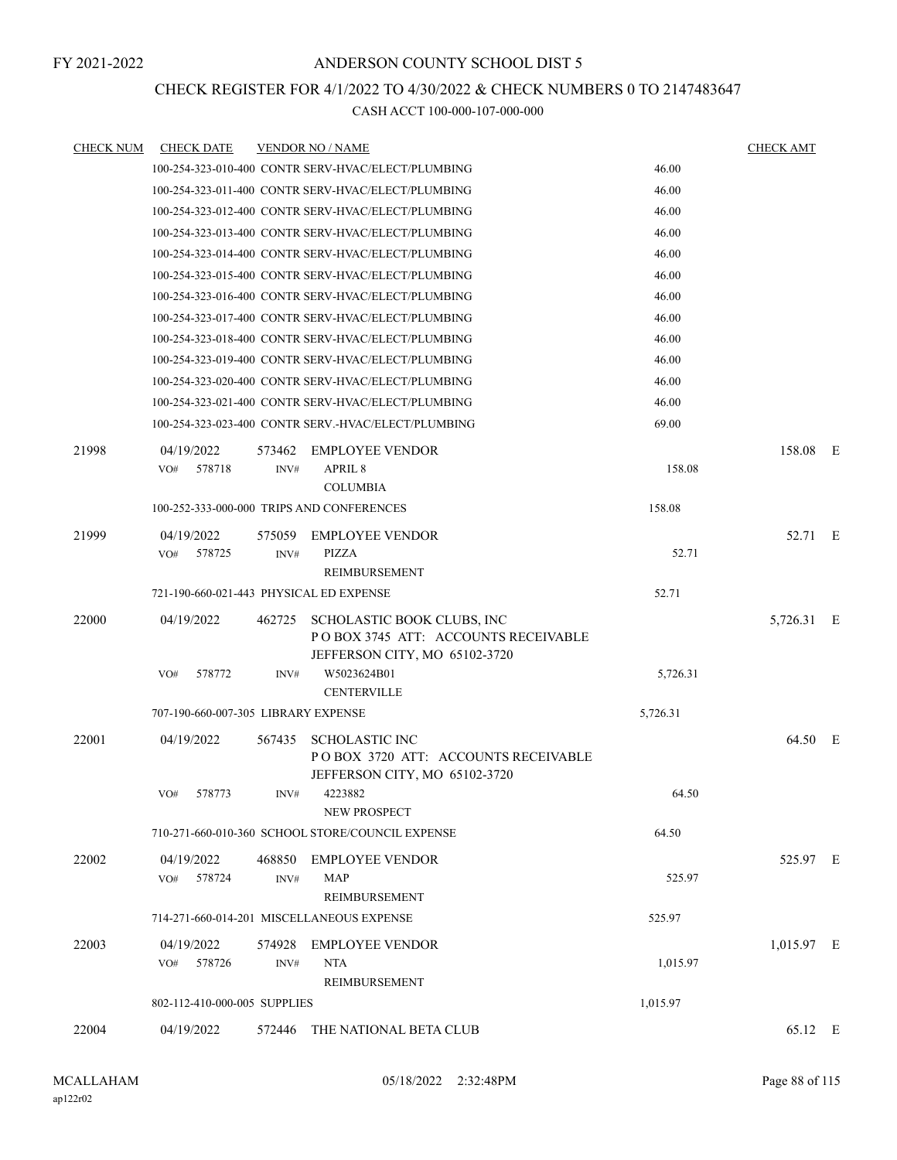# CHECK REGISTER FOR 4/1/2022 TO 4/30/2022 & CHECK NUMBERS 0 TO 2147483647

| <b>CHECK DATE</b>           |                |                                                                                                                   |                                                                                                                                                                                                                                                                                                                                                                                                                                                                                                                                                                                                                                                                                                                                                                                                                                                                                                                                                                                                                                                                                                                                                              | <b>CHECK AMT</b> |  |
|-----------------------------|----------------|-------------------------------------------------------------------------------------------------------------------|--------------------------------------------------------------------------------------------------------------------------------------------------------------------------------------------------------------------------------------------------------------------------------------------------------------------------------------------------------------------------------------------------------------------------------------------------------------------------------------------------------------------------------------------------------------------------------------------------------------------------------------------------------------------------------------------------------------------------------------------------------------------------------------------------------------------------------------------------------------------------------------------------------------------------------------------------------------------------------------------------------------------------------------------------------------------------------------------------------------------------------------------------------------|------------------|--|
|                             |                |                                                                                                                   | 46.00                                                                                                                                                                                                                                                                                                                                                                                                                                                                                                                                                                                                                                                                                                                                                                                                                                                                                                                                                                                                                                                                                                                                                        |                  |  |
|                             |                |                                                                                                                   | 46.00                                                                                                                                                                                                                                                                                                                                                                                                                                                                                                                                                                                                                                                                                                                                                                                                                                                                                                                                                                                                                                                                                                                                                        |                  |  |
|                             |                |                                                                                                                   | 46.00                                                                                                                                                                                                                                                                                                                                                                                                                                                                                                                                                                                                                                                                                                                                                                                                                                                                                                                                                                                                                                                                                                                                                        |                  |  |
|                             |                |                                                                                                                   | 46.00                                                                                                                                                                                                                                                                                                                                                                                                                                                                                                                                                                                                                                                                                                                                                                                                                                                                                                                                                                                                                                                                                                                                                        |                  |  |
|                             |                |                                                                                                                   | 46.00                                                                                                                                                                                                                                                                                                                                                                                                                                                                                                                                                                                                                                                                                                                                                                                                                                                                                                                                                                                                                                                                                                                                                        |                  |  |
|                             |                |                                                                                                                   | 46.00                                                                                                                                                                                                                                                                                                                                                                                                                                                                                                                                                                                                                                                                                                                                                                                                                                                                                                                                                                                                                                                                                                                                                        |                  |  |
|                             |                |                                                                                                                   | 46.00                                                                                                                                                                                                                                                                                                                                                                                                                                                                                                                                                                                                                                                                                                                                                                                                                                                                                                                                                                                                                                                                                                                                                        |                  |  |
|                             |                |                                                                                                                   | 46.00                                                                                                                                                                                                                                                                                                                                                                                                                                                                                                                                                                                                                                                                                                                                                                                                                                                                                                                                                                                                                                                                                                                                                        |                  |  |
|                             |                |                                                                                                                   | 46.00                                                                                                                                                                                                                                                                                                                                                                                                                                                                                                                                                                                                                                                                                                                                                                                                                                                                                                                                                                                                                                                                                                                                                        |                  |  |
|                             |                |                                                                                                                   | 46.00                                                                                                                                                                                                                                                                                                                                                                                                                                                                                                                                                                                                                                                                                                                                                                                                                                                                                                                                                                                                                                                                                                                                                        |                  |  |
|                             |                |                                                                                                                   | 46.00                                                                                                                                                                                                                                                                                                                                                                                                                                                                                                                                                                                                                                                                                                                                                                                                                                                                                                                                                                                                                                                                                                                                                        |                  |  |
|                             |                |                                                                                                                   | 46.00                                                                                                                                                                                                                                                                                                                                                                                                                                                                                                                                                                                                                                                                                                                                                                                                                                                                                                                                                                                                                                                                                                                                                        |                  |  |
|                             |                |                                                                                                                   | 69.00                                                                                                                                                                                                                                                                                                                                                                                                                                                                                                                                                                                                                                                                                                                                                                                                                                                                                                                                                                                                                                                                                                                                                        |                  |  |
| 04/19/2022<br>VO#<br>578718 | 573462<br>INV# | <b>EMPLOYEE VENDOR</b><br><b>APRIL 8</b>                                                                          | 158.08                                                                                                                                                                                                                                                                                                                                                                                                                                                                                                                                                                                                                                                                                                                                                                                                                                                                                                                                                                                                                                                                                                                                                       | 158.08 E         |  |
|                             |                |                                                                                                                   | 158.08                                                                                                                                                                                                                                                                                                                                                                                                                                                                                                                                                                                                                                                                                                                                                                                                                                                                                                                                                                                                                                                                                                                                                       |                  |  |
| 04/19/2022<br>VO# 578725    | 575059<br>INV# | <b>EMPLOYEE VENDOR</b><br>PIZZA<br><b>REIMBURSEMENT</b>                                                           | 52.71                                                                                                                                                                                                                                                                                                                                                                                                                                                                                                                                                                                                                                                                                                                                                                                                                                                                                                                                                                                                                                                                                                                                                        | 52.71 E          |  |
|                             |                |                                                                                                                   | 52.71                                                                                                                                                                                                                                                                                                                                                                                                                                                                                                                                                                                                                                                                                                                                                                                                                                                                                                                                                                                                                                                                                                                                                        |                  |  |
| 04/19/2022<br>578772<br>VO# | 462725<br>INV# | SCHOLASTIC BOOK CLUBS, INC<br>POBOX 3745 ATT: ACCOUNTS RECEIVABLE<br>JEFFERSON CITY, MO 65102-3720<br>W5023624B01 | 5,726.31                                                                                                                                                                                                                                                                                                                                                                                                                                                                                                                                                                                                                                                                                                                                                                                                                                                                                                                                                                                                                                                                                                                                                     | 5,726.31 E       |  |
|                             |                | <b>CENTERVILLE</b>                                                                                                |                                                                                                                                                                                                                                                                                                                                                                                                                                                                                                                                                                                                                                                                                                                                                                                                                                                                                                                                                                                                                                                                                                                                                              |                  |  |
|                             |                |                                                                                                                   | 5,726.31                                                                                                                                                                                                                                                                                                                                                                                                                                                                                                                                                                                                                                                                                                                                                                                                                                                                                                                                                                                                                                                                                                                                                     |                  |  |
| 04/19/2022                  | 567435         | <b>SCHOLASTIC INC</b><br>POBOX 3720 ATT: ACCOUNTS RECEIVABLE<br>JEFFERSON CITY, MO 65102-3720                     |                                                                                                                                                                                                                                                                                                                                                                                                                                                                                                                                                                                                                                                                                                                                                                                                                                                                                                                                                                                                                                                                                                                                                              | 64.50 E          |  |
| VO# 578773                  |                | NEW PROSPECT                                                                                                      | 64.50                                                                                                                                                                                                                                                                                                                                                                                                                                                                                                                                                                                                                                                                                                                                                                                                                                                                                                                                                                                                                                                                                                                                                        |                  |  |
|                             |                |                                                                                                                   | 64.50                                                                                                                                                                                                                                                                                                                                                                                                                                                                                                                                                                                                                                                                                                                                                                                                                                                                                                                                                                                                                                                                                                                                                        |                  |  |
| 04/19/2022                  |                |                                                                                                                   |                                                                                                                                                                                                                                                                                                                                                                                                                                                                                                                                                                                                                                                                                                                                                                                                                                                                                                                                                                                                                                                                                                                                                              | 525.97 E         |  |
|                             |                | <b>REIMBURSEMENT</b>                                                                                              |                                                                                                                                                                                                                                                                                                                                                                                                                                                                                                                                                                                                                                                                                                                                                                                                                                                                                                                                                                                                                                                                                                                                                              |                  |  |
|                             |                |                                                                                                                   | 525.97                                                                                                                                                                                                                                                                                                                                                                                                                                                                                                                                                                                                                                                                                                                                                                                                                                                                                                                                                                                                                                                                                                                                                       |                  |  |
| 04/19/2022<br>VO# 578726    | INV#           | <b>NTA</b><br>REIMBURSEMENT                                                                                       | 1,015.97                                                                                                                                                                                                                                                                                                                                                                                                                                                                                                                                                                                                                                                                                                                                                                                                                                                                                                                                                                                                                                                                                                                                                     | 1,015.97 E       |  |
|                             |                |                                                                                                                   | 1,015.97                                                                                                                                                                                                                                                                                                                                                                                                                                                                                                                                                                                                                                                                                                                                                                                                                                                                                                                                                                                                                                                                                                                                                     |                  |  |
| 04/19/2022                  |                |                                                                                                                   |                                                                                                                                                                                                                                                                                                                                                                                                                                                                                                                                                                                                                                                                                                                                                                                                                                                                                                                                                                                                                                                                                                                                                              | 65.12 E          |  |
|                             | VO# 578724     | INV#                                                                                                              | <b>VENDOR NO / NAME</b><br>100-254-323-010-400 CONTR SERV-HVAC/ELECT/PLUMBING<br>100-254-323-011-400 CONTR SERV-HVAC/ELECT/PLUMBING<br>100-254-323-012-400 CONTR SERV-HVAC/ELECT/PLUMBING<br>100-254-323-013-400 CONTR SERV-HVAC/ELECT/PLUMBING<br>100-254-323-014-400 CONTR SERV-HVAC/ELECT/PLUMBING<br>100-254-323-015-400 CONTR SERV-HVAC/ELECT/PLUMBING<br>100-254-323-016-400 CONTR SERV-HVAC/ELECT/PLUMBING<br>100-254-323-017-400 CONTR SERV-HVAC/ELECT/PLUMBING<br>100-254-323-018-400 CONTR SERV-HVAC/ELECT/PLUMBING<br>100-254-323-019-400 CONTR SERV-HVAC/ELECT/PLUMBING<br>100-254-323-020-400 CONTR SERV-HVAC/ELECT/PLUMBING<br>100-254-323-021-400 CONTR SERV-HVAC/ELECT/PLUMBING<br>100-254-323-023-400 CONTR SERV.-HVAC/ELECT/PLUMBING<br><b>COLUMBIA</b><br>100-252-333-000-000 TRIPS AND CONFERENCES<br>721-190-660-021-443 PHYSICAL ED EXPENSE<br>707-190-660-007-305 LIBRARY EXPENSE<br>INV# 4223882<br>710-271-660-010-360 SCHOOL STORE/COUNCIL EXPENSE<br>468850 EMPLOYEE VENDOR<br><b>MAP</b><br>714-271-660-014-201 MISCELLANEOUS EXPENSE<br>574928 EMPLOYEE VENDOR<br>802-112-410-000-005 SUPPLIES<br>572446 THE NATIONAL BETA CLUB | 525.97           |  |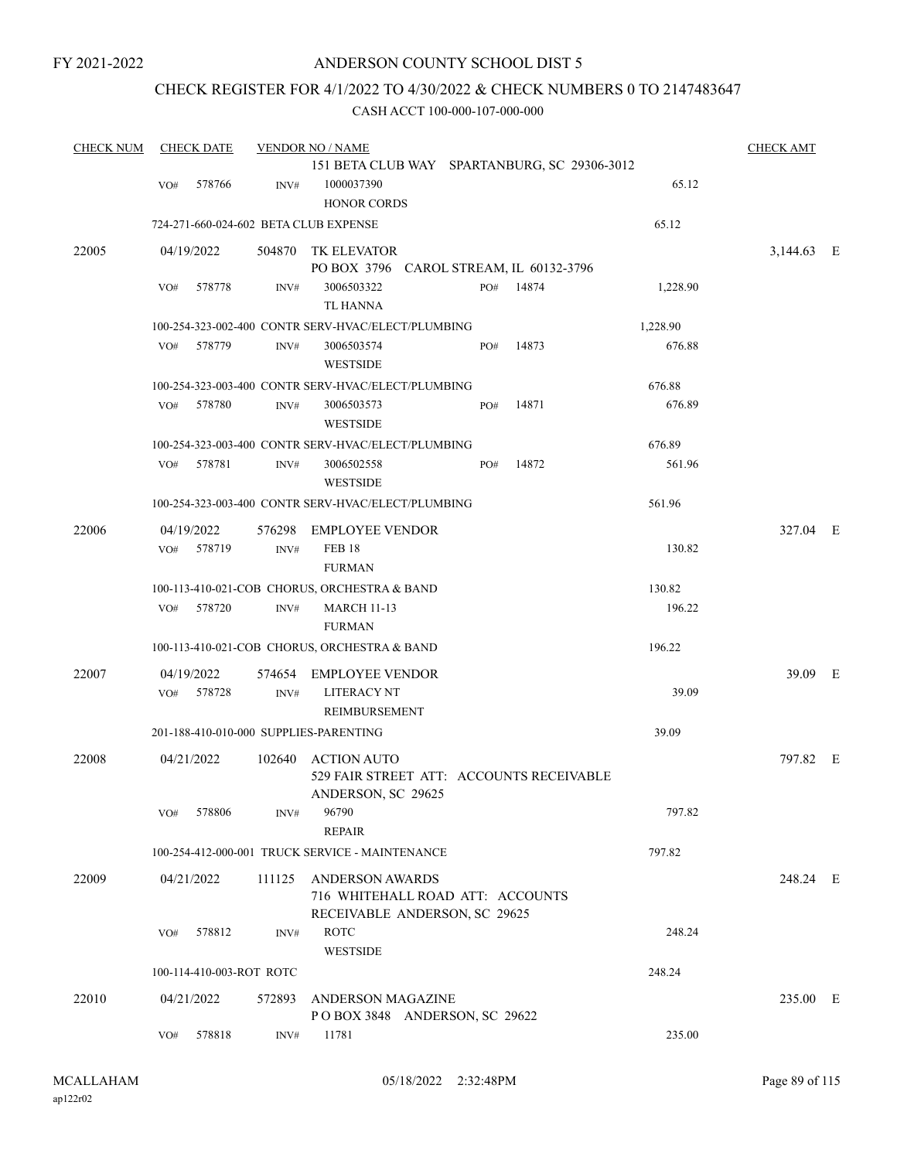### CHECK REGISTER FOR 4/1/2022 TO 4/30/2022 & CHECK NUMBERS 0 TO 2147483647

| <b>CHECK NUM</b> |     | <b>CHECK DATE</b>        |        | <b>VENDOR NO / NAME</b>                                                              |     |       |          | <b>CHECK AMT</b> |  |
|------------------|-----|--------------------------|--------|--------------------------------------------------------------------------------------|-----|-------|----------|------------------|--|
|                  | VO# | 578766                   | INV#   | 151 BETA CLUB WAY SPARTANBURG, SC 29306-3012<br>1000037390<br><b>HONOR CORDS</b>     |     |       | 65.12    |                  |  |
|                  |     |                          |        | 724-271-660-024-602 BETA CLUB EXPENSE                                                |     |       | 65.12    |                  |  |
| 22005            |     | 04/19/2022               | 504870 | TK ELEVATOR                                                                          |     |       |          | 3,144.63 E       |  |
|                  |     |                          |        | PO BOX 3796 CAROL STREAM, IL 60132-3796                                              |     |       |          |                  |  |
|                  | VO# | 578778                   | INV#   | 3006503322<br><b>TL HANNA</b>                                                        | PO# | 14874 | 1,228.90 |                  |  |
|                  |     |                          |        | 100-254-323-002-400 CONTR SERV-HVAC/ELECT/PLUMBING                                   |     |       | 1,228.90 |                  |  |
|                  | VO# | 578779                   | INV#   | 3006503574<br><b>WESTSIDE</b>                                                        | PO# | 14873 | 676.88   |                  |  |
|                  |     |                          |        | 100-254-323-003-400 CONTR SERV-HVAC/ELECT/PLUMBING                                   |     |       | 676.88   |                  |  |
|                  | VO# | 578780                   | INV#   | 3006503573<br><b>WESTSIDE</b>                                                        | PO# | 14871 | 676.89   |                  |  |
|                  |     |                          |        | 100-254-323-003-400 CONTR SERV-HVAC/ELECT/PLUMBING                                   |     |       | 676.89   |                  |  |
|                  | VO# | 578781                   | INV#   | 3006502558<br><b>WESTSIDE</b>                                                        | PO# | 14872 | 561.96   |                  |  |
|                  |     |                          |        | 100-254-323-003-400 CONTR SERV-HVAC/ELECT/PLUMBING                                   |     |       | 561.96   |                  |  |
| 22006            |     | 04/19/2022               | 576298 | <b>EMPLOYEE VENDOR</b>                                                               |     |       |          | 327.04 E         |  |
|                  | VO# | 578719                   | INV#   | <b>FEB 18</b><br><b>FURMAN</b>                                                       |     |       | 130.82   |                  |  |
|                  |     |                          |        | 100-113-410-021-COB CHORUS, ORCHESTRA & BAND                                         |     |       | 130.82   |                  |  |
|                  | VO# | 578720                   | INV#   | <b>MARCH 11-13</b><br><b>FURMAN</b>                                                  |     |       | 196.22   |                  |  |
|                  |     |                          |        | 100-113-410-021-COB CHORUS, ORCHESTRA & BAND                                         |     |       | 196.22   |                  |  |
| 22007            |     | 04/19/2022               | 574654 | <b>EMPLOYEE VENDOR</b><br><b>LITERACY NT</b>                                         |     |       | 39.09    | 39.09 E          |  |
|                  | VO# | 578728                   | INV#   | <b>REIMBURSEMENT</b>                                                                 |     |       |          |                  |  |
|                  |     |                          |        | 201-188-410-010-000 SUPPLIES-PARENTING                                               |     |       | 39.09    |                  |  |
| 22008            |     | 04/21/2022               | 102640 | <b>ACTION AUTO</b><br>529 FAIR STREET ATT: ACCOUNTS RECEIVABLE<br>ANDERSON, SC 29625 |     |       |          | 797.82 E         |  |
|                  | VO# | 578806                   | INV#   | 96790                                                                                |     |       | 797.82   |                  |  |
|                  |     |                          |        | <b>REPAIR</b>                                                                        |     |       |          |                  |  |
|                  |     |                          |        | 100-254-412-000-001 TRUCK SERVICE - MAINTENANCE                                      |     |       | 797.82   |                  |  |
| 22009            |     | 04/21/2022               | 111125 | ANDERSON AWARDS<br>716 WHITEHALL ROAD ATT: ACCOUNTS<br>RECEIVABLE ANDERSON, SC 29625 |     |       |          | 248.24 E         |  |
|                  | VO# | 578812                   | INV#   | <b>ROTC</b><br><b>WESTSIDE</b>                                                       |     |       | 248.24   |                  |  |
|                  |     | 100-114-410-003-ROT ROTC |        |                                                                                      |     |       | 248.24   |                  |  |
| 22010            |     | 04/21/2022               | 572893 | <b>ANDERSON MAGAZINE</b><br>POBOX 3848 ANDERSON, SC 29622                            |     |       |          | 235.00 E         |  |
|                  | VO# | 578818                   | INV#   | 11781                                                                                |     |       | 235.00   |                  |  |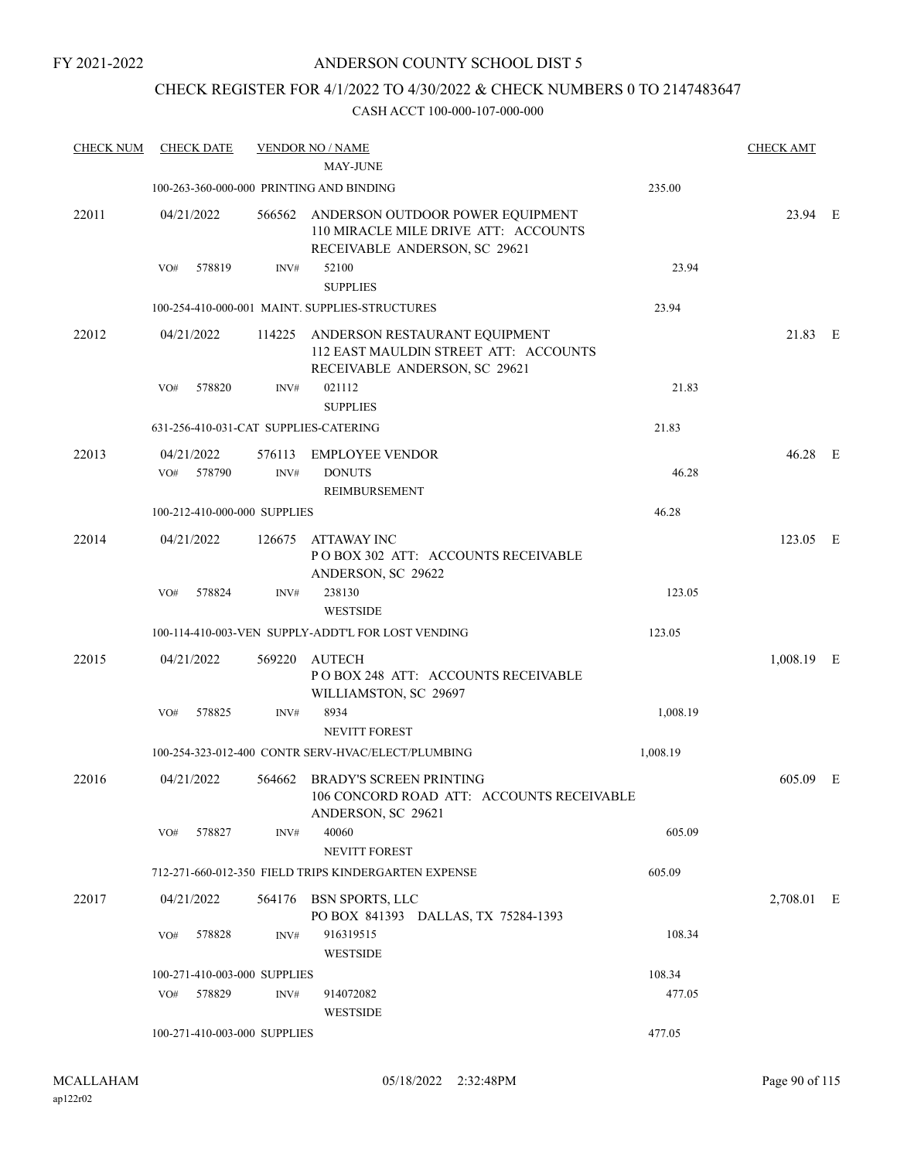### CHECK REGISTER FOR 4/1/2022 TO 4/30/2022 & CHECK NUMBERS 0 TO 2147483647

| <b>CHECK NUM</b> | <b>CHECK DATE</b>           |                                       | <b>VENDOR NO / NAME</b>                                                                                          |          | <b>CHECK AMT</b> |  |
|------------------|-----------------------------|---------------------------------------|------------------------------------------------------------------------------------------------------------------|----------|------------------|--|
|                  |                             |                                       | <b>MAY-JUNE</b>                                                                                                  |          |                  |  |
|                  |                             |                                       | 100-263-360-000-000 PRINTING AND BINDING                                                                         | 235.00   |                  |  |
| 22011            | 04/21/2022                  |                                       | 566562 ANDERSON OUTDOOR POWER EQUIPMENT<br>110 MIRACLE MILE DRIVE ATT: ACCOUNTS<br>RECEIVABLE ANDERSON, SC 29621 |          | 23.94 E          |  |
|                  | 578819<br>VO#               | INV#                                  | 52100<br><b>SUPPLIES</b>                                                                                         | 23.94    |                  |  |
|                  |                             |                                       | 100-254-410-000-001 MAINT. SUPPLIES-STRUCTURES                                                                   | 23.94    |                  |  |
| 22012            | 04/21/2022                  |                                       | 114225 ANDERSON RESTAURANT EQUIPMENT<br>112 EAST MAULDIN STREET ATT: ACCOUNTS<br>RECEIVABLE ANDERSON, SC 29621   |          | 21.83 E          |  |
|                  | 578820<br>VO#               | INV#                                  | 021112<br><b>SUPPLIES</b>                                                                                        | 21.83    |                  |  |
|                  |                             | 631-256-410-031-CAT SUPPLIES-CATERING |                                                                                                                  | 21.83    |                  |  |
| 22013            | 04/21/2022<br>578790<br>VO# | 576113<br>INV#                        | <b>EMPLOYEE VENDOR</b><br><b>DONUTS</b><br>REIMBURSEMENT                                                         | 46.28    | 46.28 E          |  |
|                  |                             | 100-212-410-000-000 SUPPLIES          |                                                                                                                  | 46.28    |                  |  |
| 22014            | 04/21/2022                  | 126675                                | ATTAWAY INC<br>PO BOX 302 ATT: ACCOUNTS RECEIVABLE<br>ANDERSON, SC 29622                                         |          | 123.05 E         |  |
|                  | 578824<br>VO#               | INV#                                  | 238130<br><b>WESTSIDE</b>                                                                                        | 123.05   |                  |  |
|                  |                             |                                       | 100-114-410-003-VEN SUPPLY-ADDT'L FOR LOST VENDING                                                               | 123.05   |                  |  |
| 22015            | 04/21/2022                  | 569220                                | <b>AUTECH</b><br>POBOX 248 ATT: ACCOUNTS RECEIVABLE<br>WILLIAMSTON, SC 29697                                     |          | 1,008.19 E       |  |
|                  | 578825<br>VO#               | INV#                                  | 8934<br>NEVITT FOREST                                                                                            | 1,008.19 |                  |  |
|                  |                             |                                       | 100-254-323-012-400 CONTR SERV-HVAC/ELECT/PLUMBING                                                               | 1,008.19 |                  |  |
| 22016            | 04/21/2022                  |                                       | 564662 BRADY'S SCREEN PRINTING<br>106 CONCORD ROAD ATT: ACCOUNTS RECEIVABLE<br>ANDERSON, SC 29621                |          | 605.09 E         |  |
|                  | 578827<br>VO#               | INV#                                  | 40060<br><b>NEVITT FOREST</b>                                                                                    | 605.09   |                  |  |
|                  |                             |                                       | 712-271-660-012-350 FIELD TRIPS KINDERGARTEN EXPENSE                                                             | 605.09   |                  |  |
| 22017            | 04/21/2022                  |                                       | 564176 BSN SPORTS, LLC<br>PO BOX 841393 DALLAS, TX 75284-1393                                                    |          | 2,708.01 E       |  |
|                  | 578828<br>VO#               | INV#                                  | 916319515<br><b>WESTSIDE</b>                                                                                     | 108.34   |                  |  |
|                  |                             | 100-271-410-003-000 SUPPLIES          |                                                                                                                  | 108.34   |                  |  |
|                  | 578829<br>VO#               | INV#                                  | 914072082<br><b>WESTSIDE</b>                                                                                     | 477.05   |                  |  |
|                  |                             | 100-271-410-003-000 SUPPLIES          |                                                                                                                  | 477.05   |                  |  |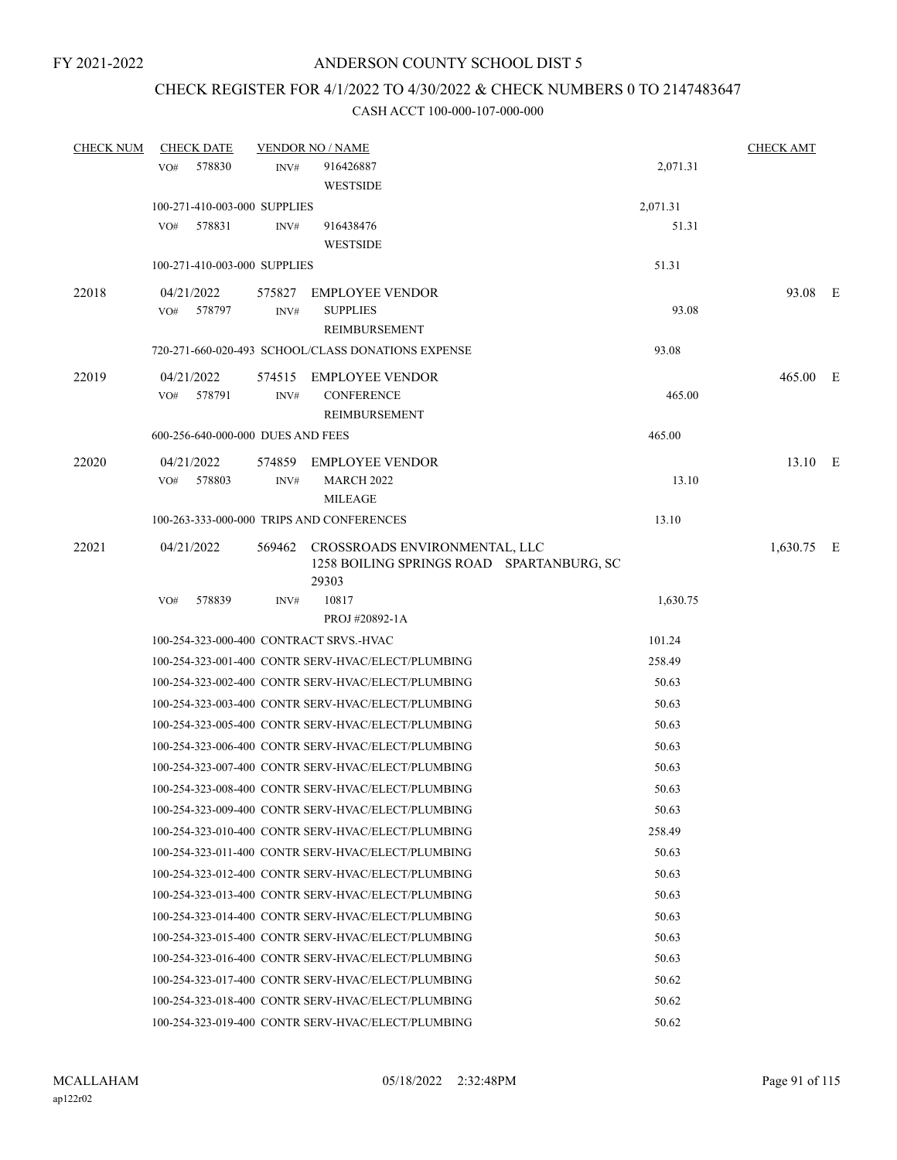### CHECK REGISTER FOR 4/1/2022 TO 4/30/2022 & CHECK NUMBERS 0 TO 2147483647

| <b>CHECK NUM</b> | <b>CHECK DATE</b>                       | <b>CHECK AMT</b> |                                                    |          |            |  |
|------------------|-----------------------------------------|------------------|----------------------------------------------------|----------|------------|--|
|                  | 578830<br>VO#                           | INV#             | 916426887                                          | 2,071.31 |            |  |
|                  |                                         |                  | <b>WESTSIDE</b>                                    |          |            |  |
|                  | 100-271-410-003-000 SUPPLIES            |                  |                                                    | 2,071.31 |            |  |
|                  | VO#<br>578831                           | INV#             | 916438476                                          | 51.31    |            |  |
|                  |                                         |                  | <b>WESTSIDE</b>                                    |          |            |  |
|                  | 100-271-410-003-000 SUPPLIES            |                  |                                                    | 51.31    |            |  |
| 22018            | 04/21/2022                              | 575827           | <b>EMPLOYEE VENDOR</b>                             |          | 93.08 E    |  |
|                  | VO# 578797                              | INV#             | <b>SUPPLIES</b>                                    | 93.08    |            |  |
|                  |                                         |                  | REIMBURSEMENT                                      |          |            |  |
|                  |                                         |                  | 720-271-660-020-493 SCHOOL/CLASS DONATIONS EXPENSE | 93.08    |            |  |
| 22019            | 04/21/2022                              |                  | 574515 EMPLOYEE VENDOR                             |          | 465.00 E   |  |
|                  | 578791<br>VO#                           | INV#             | <b>CONFERENCE</b>                                  | 465.00   |            |  |
|                  |                                         |                  | REIMBURSEMENT                                      |          |            |  |
|                  | 600-256-640-000-000 DUES AND FEES       |                  |                                                    | 465.00   |            |  |
| 22020            | 04/21/2022                              |                  | 574859 EMPLOYEE VENDOR                             |          | 13.10 E    |  |
|                  | VO#<br>578803                           | INV#             | <b>MARCH 2022</b>                                  | 13.10    |            |  |
|                  |                                         |                  | <b>MILEAGE</b>                                     |          |            |  |
|                  |                                         |                  | 100-263-333-000-000 TRIPS AND CONFERENCES          | 13.10    |            |  |
| 22021            | 04/21/2022                              | 569462           | CROSSROADS ENVIRONMENTAL, LLC                      |          | 1,630.75 E |  |
|                  |                                         |                  | 1258 BOILING SPRINGS ROAD SPARTANBURG, SC          |          |            |  |
|                  |                                         |                  | 29303                                              |          |            |  |
|                  | 578839<br>VO#                           | INV#             | 10817                                              | 1,630.75 |            |  |
|                  |                                         |                  | PROJ#20892-1A                                      |          |            |  |
|                  | 100-254-323-000-400 CONTRACT SRVS.-HVAC |                  |                                                    | 101.24   |            |  |
|                  |                                         |                  | 100-254-323-001-400 CONTR SERV-HVAC/ELECT/PLUMBING | 258.49   |            |  |
|                  |                                         |                  | 100-254-323-002-400 CONTR SERV-HVAC/ELECT/PLUMBING | 50.63    |            |  |
|                  |                                         |                  | 100-254-323-003-400 CONTR SERV-HVAC/ELECT/PLUMBING | 50.63    |            |  |
|                  |                                         |                  | 100-254-323-005-400 CONTR SERV-HVAC/ELECT/PLUMBING | 50.63    |            |  |
|                  |                                         |                  | 100-254-323-006-400 CONTR SERV-HVAC/ELECT/PLUMBING | 50.63    |            |  |
|                  |                                         |                  | 100-254-323-007-400 CONTR SERV-HVAC/ELECT/PLUMBING | 50.63    |            |  |
|                  |                                         |                  | 100-254-323-008-400 CONTR SERV-HVAC/ELECT/PLUMBING | 50.63    |            |  |
|                  |                                         |                  | 100-254-323-009-400 CONTR SERV-HVAC/ELECT/PLUMBING | 50.63    |            |  |
|                  |                                         |                  | 100-254-323-010-400 CONTR SERV-HVAC/ELECT/PLUMBING | 258.49   |            |  |
|                  |                                         |                  | 100-254-323-011-400 CONTR SERV-HVAC/ELECT/PLUMBING | 50.63    |            |  |
|                  |                                         |                  | 100-254-323-012-400 CONTR SERV-HVAC/ELECT/PLUMBING | 50.63    |            |  |
|                  |                                         |                  | 100-254-323-013-400 CONTR SERV-HVAC/ELECT/PLUMBING | 50.63    |            |  |
|                  |                                         |                  | 100-254-323-014-400 CONTR SERV-HVAC/ELECT/PLUMBING | 50.63    |            |  |
|                  |                                         |                  | 100-254-323-015-400 CONTR SERV-HVAC/ELECT/PLUMBING | 50.63    |            |  |
|                  |                                         |                  | 100-254-323-016-400 CONTR SERV-HVAC/ELECT/PLUMBING | 50.63    |            |  |
|                  |                                         |                  | 100-254-323-017-400 CONTR SERV-HVAC/ELECT/PLUMBING | 50.62    |            |  |
|                  |                                         |                  | 100-254-323-018-400 CONTR SERV-HVAC/ELECT/PLUMBING | 50.62    |            |  |
|                  |                                         |                  | 100-254-323-019-400 CONTR SERV-HVAC/ELECT/PLUMBING | 50.62    |            |  |
|                  |                                         |                  |                                                    |          |            |  |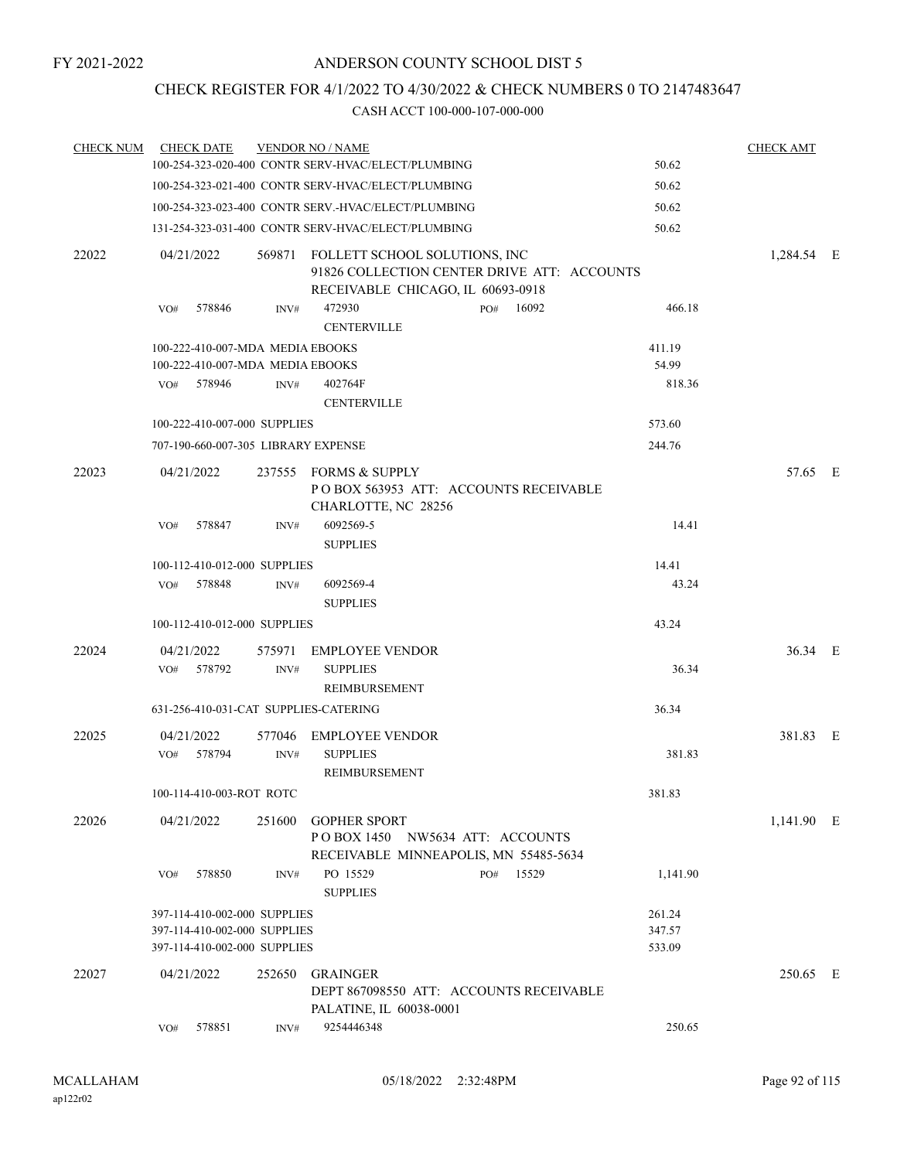### CHECK REGISTER FOR 4/1/2022 TO 4/30/2022 & CHECK NUMBERS 0 TO 2147483647

| <b>CHECK NUM</b> | <b>CHECK DATE</b>                     |        | <b>VENDOR NO / NAME</b>                                                                                                  |          | <b>CHECK AMT</b> |  |
|------------------|---------------------------------------|--------|--------------------------------------------------------------------------------------------------------------------------|----------|------------------|--|
|                  |                                       |        | 100-254-323-020-400 CONTR SERV-HVAC/ELECT/PLUMBING                                                                       | 50.62    |                  |  |
|                  |                                       |        | 100-254-323-021-400 CONTR SERV-HVAC/ELECT/PLUMBING                                                                       | 50.62    |                  |  |
|                  |                                       |        | 100-254-323-023-400 CONTR SERV.-HVAC/ELECT/PLUMBING                                                                      | 50.62    |                  |  |
|                  |                                       |        | 131-254-323-031-400 CONTR SERV-HVAC/ELECT/PLUMBING                                                                       | 50.62    |                  |  |
| 22022            | 04/21/2022                            |        | 569871 FOLLETT SCHOOL SOLUTIONS, INC<br>91826 COLLECTION CENTER DRIVE ATT: ACCOUNTS<br>RECEIVABLE CHICAGO, IL 60693-0918 |          | 1,284.54 E       |  |
|                  | 578846<br>VO#                         | INV#   | 472930<br>PO# 16092<br><b>CENTERVILLE</b>                                                                                | 466.18   |                  |  |
|                  | 100-222-410-007-MDA MEDIA EBOOKS      |        |                                                                                                                          | 411.19   |                  |  |
|                  | 100-222-410-007-MDA MEDIA EBOOKS      |        |                                                                                                                          | 54.99    |                  |  |
|                  | VO#<br>578946                         | INV#   | 402764F<br><b>CENTERVILLE</b>                                                                                            | 818.36   |                  |  |
|                  | 100-222-410-007-000 SUPPLIES          |        |                                                                                                                          | 573.60   |                  |  |
|                  | 707-190-660-007-305 LIBRARY EXPENSE   |        |                                                                                                                          | 244.76   |                  |  |
| 22023            | 04/21/2022                            |        | 237555 FORMS & SUPPLY<br>POBOX 563953 ATT: ACCOUNTS RECEIVABLE<br>CHARLOTTE, NC 28256                                    |          | 57.65 E          |  |
|                  | 578847<br>VO#                         | INV#   | 6092569-5<br><b>SUPPLIES</b>                                                                                             | 14.41    |                  |  |
|                  | 100-112-410-012-000 SUPPLIES          |        |                                                                                                                          | 14.41    |                  |  |
|                  | 578848<br>VO#                         | INV#   | 6092569-4<br><b>SUPPLIES</b>                                                                                             | 43.24    |                  |  |
|                  | 100-112-410-012-000 SUPPLIES          |        |                                                                                                                          | 43.24    |                  |  |
| 22024            | 04/21/2022                            | 575971 | EMPLOYEE VENDOR                                                                                                          |          | 36.34 E          |  |
|                  | 578792<br>VO#                         | INV#   | <b>SUPPLIES</b><br>REIMBURSEMENT                                                                                         | 36.34    |                  |  |
|                  | 631-256-410-031-CAT SUPPLIES-CATERING |        |                                                                                                                          | 36.34    |                  |  |
| 22025            | 04/21/2022                            | 577046 | EMPLOYEE VENDOR                                                                                                          |          | 381.83 E         |  |
|                  | 578794<br>VO#                         | INV#   | <b>SUPPLIES</b><br>REIMBURSEMENT                                                                                         | 381.83   |                  |  |
|                  | 100-114-410-003-ROT ROTC              |        |                                                                                                                          | 381.83   |                  |  |
| 22026            | 04/21/2022                            | 251600 | <b>GOPHER SPORT</b><br>POBOX 1450 NW5634 ATT: ACCOUNTS<br>RECEIVABLE MINNEAPOLIS, MN 55485-5634                          |          | 1,141.90 E       |  |
|                  | 578850<br>VO#                         | INV#   | PO 15529<br>15529<br>PO#<br><b>SUPPLIES</b>                                                                              | 1,141.90 |                  |  |
|                  | 397-114-410-002-000 SUPPLIES          |        |                                                                                                                          | 261.24   |                  |  |
|                  | 397-114-410-002-000 SUPPLIES          |        |                                                                                                                          | 347.57   |                  |  |
|                  | 397-114-410-002-000 SUPPLIES          |        |                                                                                                                          | 533.09   |                  |  |
| 22027            | 04/21/2022                            | 252650 | <b>GRAINGER</b><br>DEPT 867098550 ATT: ACCOUNTS RECEIVABLE<br>PALATINE, IL 60038-0001                                    |          | 250.65 E         |  |
|                  | 578851<br>VO#                         | INV#   | 9254446348                                                                                                               | 250.65   |                  |  |
|                  |                                       |        |                                                                                                                          |          |                  |  |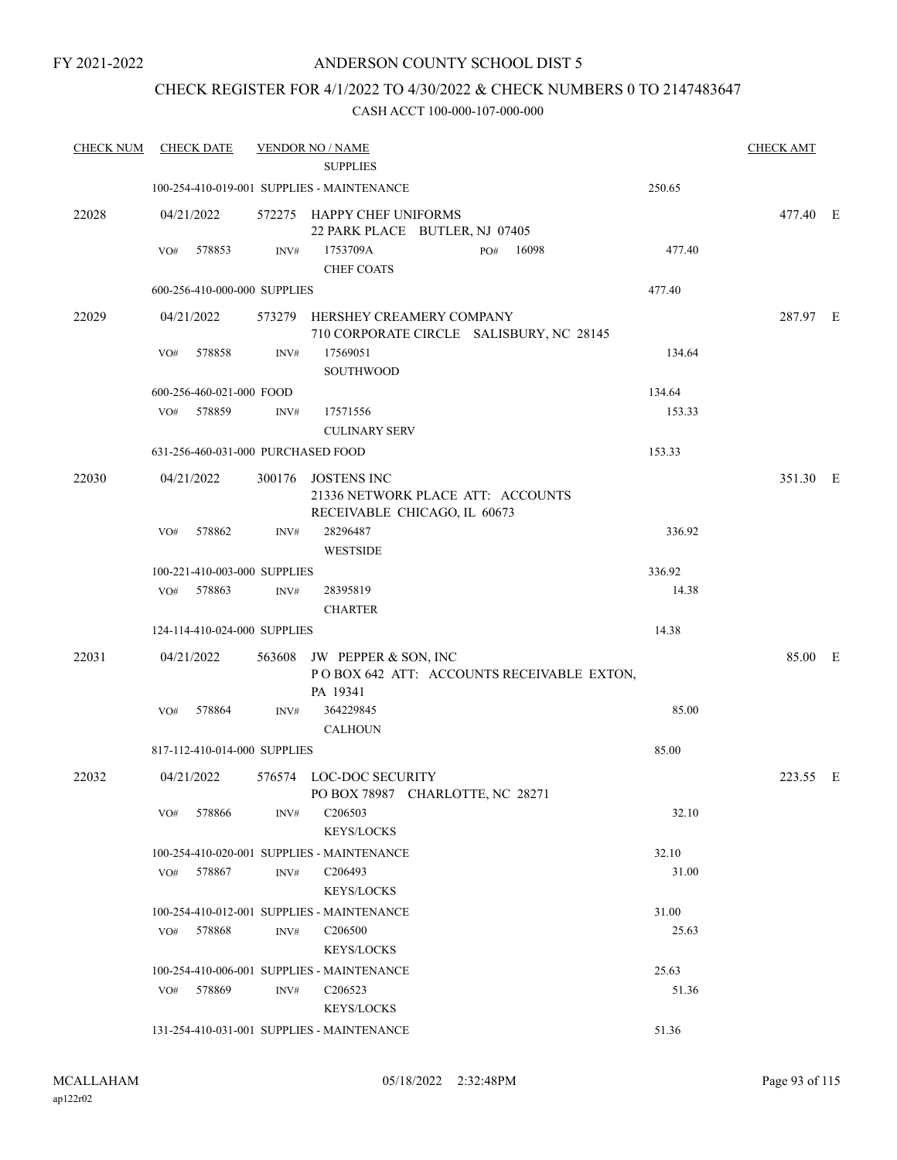FY 2021-2022

### ANDERSON COUNTY SCHOOL DIST 5

### CHECK REGISTER FOR 4/1/2022 TO 4/30/2022 & CHECK NUMBERS 0 TO 2147483647

| <b>CHECK NUM</b> | <b>CHECK DATE</b>                  |      | <b>VENDOR NO / NAME</b><br><b>SUPPLIES</b>                                              |        | <b>CHECK AMT</b> |  |
|------------------|------------------------------------|------|-----------------------------------------------------------------------------------------|--------|------------------|--|
|                  |                                    |      | 100-254-410-019-001 SUPPLIES - MAINTENANCE                                              | 250.65 |                  |  |
| 22028            | 04/21/2022                         |      | 572275 HAPPY CHEF UNIFORMS<br>22 PARK PLACE BUTLER, NJ 07405                            |        | 477.40 E         |  |
|                  | VO#<br>578853                      | INV# | 1753709A<br>16098<br>PO#<br><b>CHEF COATS</b>                                           | 477.40 |                  |  |
|                  | 600-256-410-000-000 SUPPLIES       |      |                                                                                         | 477.40 |                  |  |
| 22029            | 04/21/2022                         |      | 573279 HERSHEY CREAMERY COMPANY<br>710 CORPORATE CIRCLE SALISBURY, NC 28145             |        | 287.97 E         |  |
|                  | 578858<br>VO#                      | INV# | 17569051<br><b>SOUTHWOOD</b>                                                            | 134.64 |                  |  |
|                  | 600-256-460-021-000 FOOD           |      |                                                                                         | 134.64 |                  |  |
|                  | 578859<br>VO#                      | INV# | 17571556<br><b>CULINARY SERV</b>                                                        | 153.33 |                  |  |
|                  | 631-256-460-031-000 PURCHASED FOOD |      |                                                                                         | 153.33 |                  |  |
| 22030            | 04/21/2022                         |      | 300176 JOSTENS INC<br>21336 NETWORK PLACE ATT: ACCOUNTS<br>RECEIVABLE CHICAGO, IL 60673 |        | 351.30 E         |  |
|                  | 578862<br>VO#                      | INV# | 28296487<br><b>WESTSIDE</b>                                                             | 336.92 |                  |  |
|                  | 100-221-410-003-000 SUPPLIES       |      |                                                                                         | 336.92 |                  |  |
|                  | 578863<br>VO#                      | INV# | 28395819<br><b>CHARTER</b>                                                              | 14.38  |                  |  |
|                  | 124-114-410-024-000 SUPPLIES       |      |                                                                                         | 14.38  |                  |  |
| 22031            | 04/21/2022                         |      | 563608 JW PEPPER & SON, INC<br>POBOX 642 ATT: ACCOUNTS RECEIVABLE EXTON,<br>PA 19341    |        | 85.00 E          |  |
|                  | 578864<br>VO#                      | INV# | 364229845<br><b>CALHOUN</b>                                                             | 85.00  |                  |  |
|                  | 817-112-410-014-000 SUPPLIES       |      |                                                                                         | 85.00  |                  |  |
| 22032            | 04/21/2022                         |      | 576574 LOC-DOC SECURITY<br>PO BOX 78987 CHARLOTTE, NC 28271                             |        | 223.55 E         |  |
|                  | 578866<br>VO#                      | INV# | C <sub>206503</sub><br><b>KEYS/LOCKS</b>                                                | 32.10  |                  |  |
|                  |                                    |      | 100-254-410-020-001 SUPPLIES - MAINTENANCE                                              | 32.10  |                  |  |
|                  | 578867<br>VO#                      | INV# | C206493<br><b>KEYS/LOCKS</b>                                                            | 31.00  |                  |  |
|                  |                                    |      | 100-254-410-012-001 SUPPLIES - MAINTENANCE                                              | 31.00  |                  |  |
|                  | 578868<br>VO#                      | INV# | C <sub>206500</sub><br><b>KEYS/LOCKS</b>                                                | 25.63  |                  |  |
|                  |                                    |      | 100-254-410-006-001 SUPPLIES - MAINTENANCE                                              | 25.63  |                  |  |
|                  | 578869<br>VO#                      | INV# | C <sub>206523</sub><br><b>KEYS/LOCKS</b>                                                | 51.36  |                  |  |
|                  |                                    |      | 131-254-410-031-001 SUPPLIES - MAINTENANCE                                              | 51.36  |                  |  |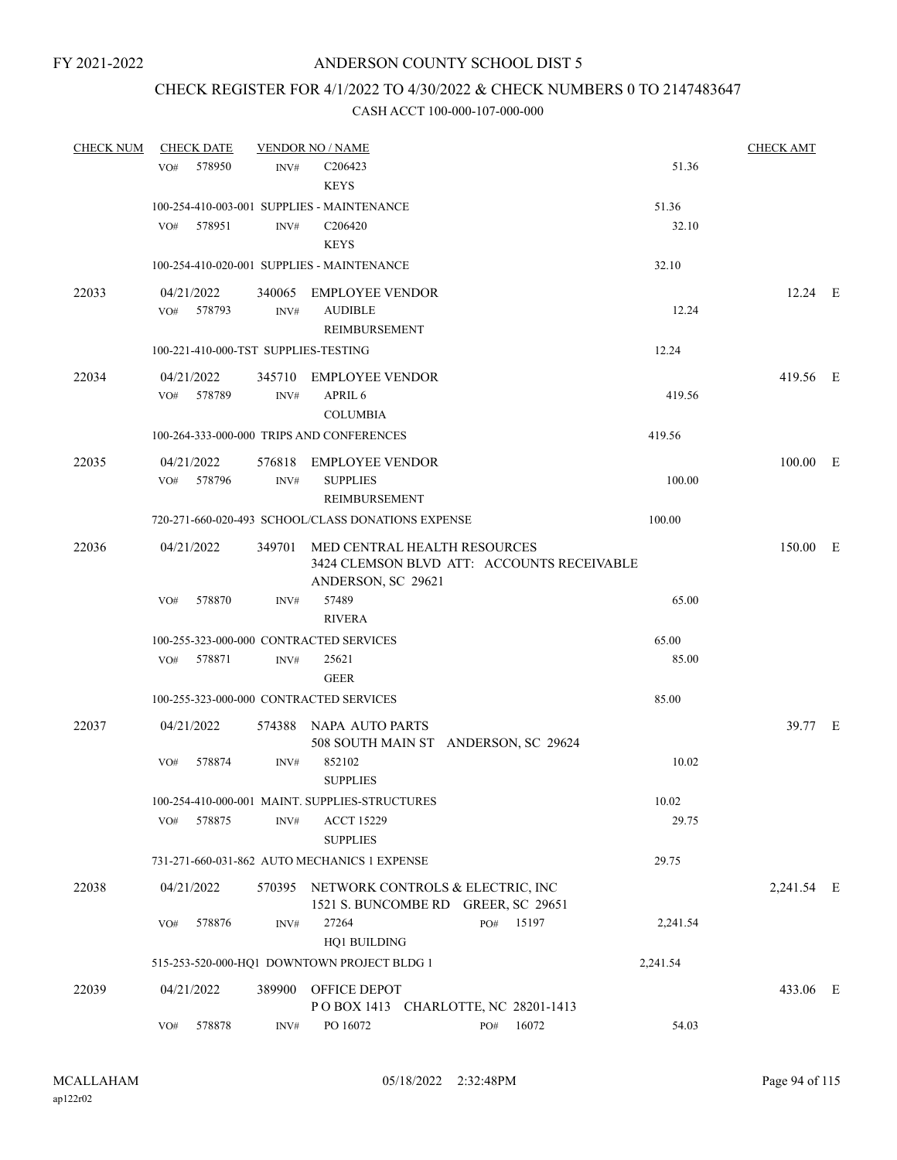### CHECK REGISTER FOR 4/1/2022 TO 4/30/2022 & CHECK NUMBERS 0 TO 2147483647

| <b>CHECK NUM</b> | <b>CHECK DATE</b>                       |        | <b>VENDOR NO / NAME</b>                            |                   | <b>CHECK AMT</b> |  |
|------------------|-----------------------------------------|--------|----------------------------------------------------|-------------------|------------------|--|
|                  | 578950<br>VO#                           | INV#   | C206423                                            | 51.36             |                  |  |
|                  |                                         |        | <b>KEYS</b>                                        |                   |                  |  |
|                  |                                         |        | 100-254-410-003-001 SUPPLIES - MAINTENANCE         | 51.36             |                  |  |
|                  | VO#<br>578951                           | INV#   | C <sub>206420</sub>                                | 32.10             |                  |  |
|                  |                                         |        | <b>KEYS</b>                                        |                   |                  |  |
|                  |                                         |        | 100-254-410-020-001 SUPPLIES - MAINTENANCE         | 32.10             |                  |  |
| 22033            | 04/21/2022                              |        | 340065 EMPLOYEE VENDOR                             |                   | 12.24 E          |  |
|                  | VO# 578793                              | INV#   | <b>AUDIBLE</b>                                     | 12.24             |                  |  |
|                  |                                         |        | REIMBURSEMENT                                      |                   |                  |  |
|                  | 100-221-410-000-TST SUPPLIES-TESTING    |        |                                                    | 12.24             |                  |  |
| 22034            | 04/21/2022                              |        | 345710 EMPLOYEE VENDOR                             |                   | 419.56 E         |  |
|                  | 578789<br>VO#                           | INV#   | APRIL 6                                            | 419.56            |                  |  |
|                  |                                         |        | <b>COLUMBIA</b>                                    |                   |                  |  |
|                  |                                         |        | 100-264-333-000-000 TRIPS AND CONFERENCES          | 419.56            |                  |  |
| 22035            | 04/21/2022                              |        | 576818 EMPLOYEE VENDOR                             |                   | 100.00 E         |  |
|                  | 578796<br>VO#                           | INV#   | <b>SUPPLIES</b>                                    | 100.00            |                  |  |
|                  |                                         |        | <b>REIMBURSEMENT</b>                               |                   |                  |  |
|                  |                                         |        | 720-271-660-020-493 SCHOOL/CLASS DONATIONS EXPENSE | 100.00            |                  |  |
| 22036            | 04/21/2022                              |        | 349701 MED CENTRAL HEALTH RESOURCES                |                   | 150.00 E         |  |
|                  |                                         |        | 3424 CLEMSON BLVD ATT: ACCOUNTS RECEIVABLE         |                   |                  |  |
|                  | 578870                                  |        | ANDERSON, SC 29621<br>57489                        | 65.00             |                  |  |
|                  | VO#                                     | INV#   | <b>RIVERA</b>                                      |                   |                  |  |
|                  | 100-255-323-000-000 CONTRACTED SERVICES |        |                                                    | 65.00             |                  |  |
|                  | 578871<br>VO#                           | INV#   | 25621                                              | 85.00             |                  |  |
|                  |                                         |        | <b>GEER</b>                                        |                   |                  |  |
|                  | 100-255-323-000-000 CONTRACTED SERVICES |        |                                                    | 85.00             |                  |  |
| 22037            | 04/21/2022                              |        | 574388 NAPA AUTO PARTS                             |                   | 39.77 E          |  |
|                  |                                         |        | 508 SOUTH MAIN ST ANDERSON, SC 29624               |                   |                  |  |
|                  | 578874<br>VO#                           | INV#   | 852102                                             | 10.02             |                  |  |
|                  |                                         |        | <b>SUPPLIES</b>                                    |                   |                  |  |
|                  |                                         |        | 100-254-410-000-001 MAINT. SUPPLIES-STRUCTURES     | $10.02\,$         |                  |  |
|                  | 578875<br>VO#                           | INV#   | <b>ACCT 15229</b>                                  | 29.75             |                  |  |
|                  |                                         |        | <b>SUPPLIES</b>                                    |                   |                  |  |
|                  |                                         |        | 731-271-660-031-862 AUTO MECHANICS 1 EXPENSE       | 29.75             |                  |  |
| 22038            | 04/21/2022                              |        | 570395 NETWORK CONTROLS & ELECTRIC, INC            |                   | 2,241.54 E       |  |
|                  |                                         |        | 1521 S. BUNCOMBE RD GREER, SC 29651                |                   |                  |  |
|                  | VO#<br>578876                           | INV#   | 27264<br>PO#                                       | 15197<br>2,241.54 |                  |  |
|                  |                                         |        | HQ1 BUILDING                                       |                   |                  |  |
|                  |                                         |        | 515-253-520-000-HQ1 DOWNTOWN PROJECT BLDG 1        | 2,241.54          |                  |  |
| 22039            | 04/21/2022                              | 389900 | OFFICE DEPOT                                       |                   | 433.06 E         |  |
|                  |                                         |        | POBOX 1413 CHARLOTTE, NC 28201-1413                |                   |                  |  |
|                  | 578878<br>VO#                           | INV#   | PO 16072<br>PO#                                    | 54.03<br>16072    |                  |  |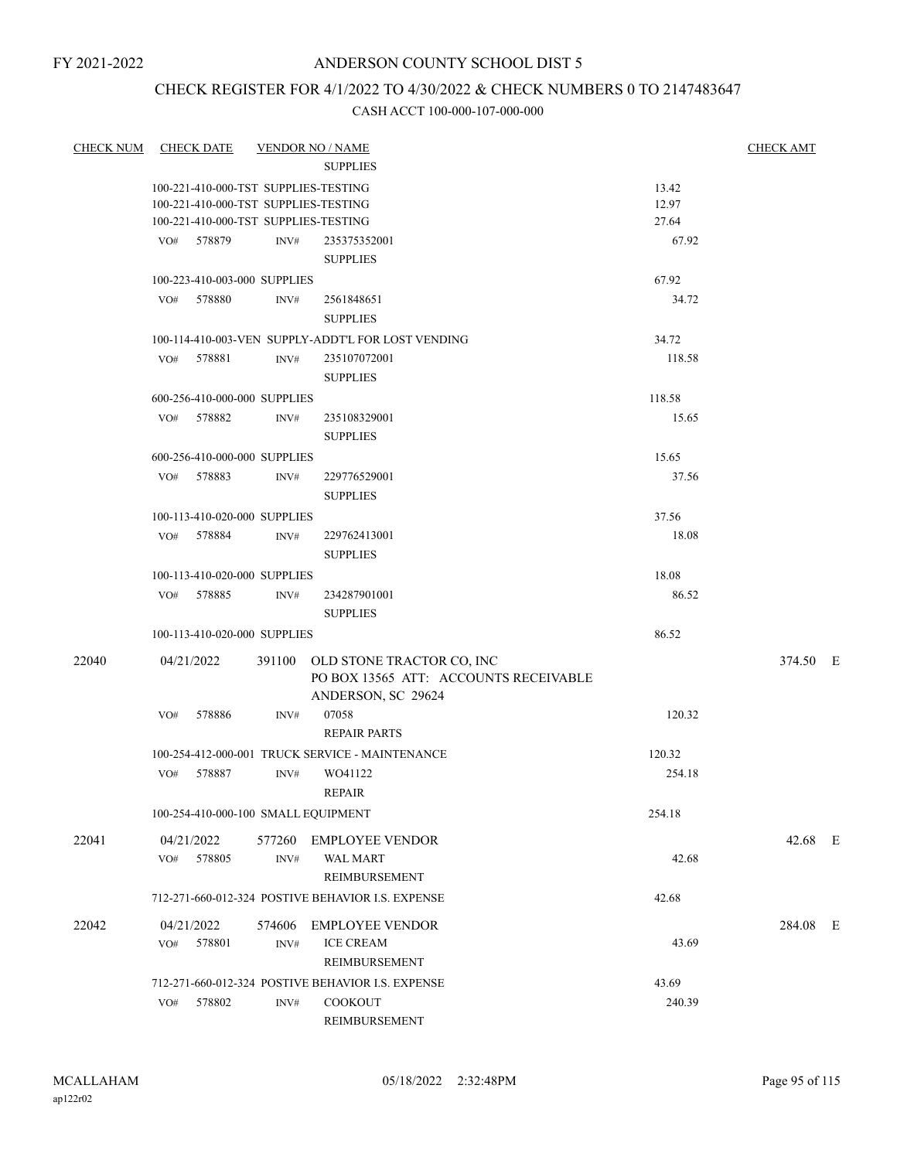### CHECK REGISTER FOR 4/1/2022 TO 4/30/2022 & CHECK NUMBERS 0 TO 2147483647

| <b>CHECK NUM</b> | <b>CHECK DATE</b>                    |                  | <b>VENDOR NO / NAME</b><br><b>SUPPLIES</b>                                                      |        | <b>CHECK AMT</b> |
|------------------|--------------------------------------|------------------|-------------------------------------------------------------------------------------------------|--------|------------------|
|                  | 100-221-410-000-TST SUPPLIES-TESTING |                  |                                                                                                 | 13.42  |                  |
|                  | 100-221-410-000-TST SUPPLIES-TESTING |                  |                                                                                                 | 12.97  |                  |
|                  | 100-221-410-000-TST SUPPLIES-TESTING |                  |                                                                                                 | 27.64  |                  |
|                  | VO# 578879                           | INV#             | 235375352001                                                                                    | 67.92  |                  |
|                  |                                      |                  | <b>SUPPLIES</b>                                                                                 |        |                  |
|                  | 100-223-410-003-000 SUPPLIES         |                  |                                                                                                 | 67.92  |                  |
|                  | VO# 578880                           | INV#             | 2561848651                                                                                      | 34.72  |                  |
|                  |                                      |                  | <b>SUPPLIES</b>                                                                                 |        |                  |
|                  |                                      |                  | 100-114-410-003-VEN SUPPLY-ADDT'L FOR LOST VENDING                                              | 34.72  |                  |
|                  | 578881<br>VO#                        | INV#             | 235107072001                                                                                    | 118.58 |                  |
|                  |                                      |                  | <b>SUPPLIES</b>                                                                                 |        |                  |
|                  |                                      |                  |                                                                                                 |        |                  |
|                  | 600-256-410-000-000 SUPPLIES         |                  |                                                                                                 | 118.58 |                  |
|                  | VO# 578882                           | INV#             | 235108329001                                                                                    | 15.65  |                  |
|                  |                                      |                  | <b>SUPPLIES</b>                                                                                 |        |                  |
|                  | 600-256-410-000-000 SUPPLIES         |                  |                                                                                                 | 15.65  |                  |
|                  | VO# 578883                           | INV#             | 229776529001                                                                                    | 37.56  |                  |
|                  |                                      |                  | <b>SUPPLIES</b>                                                                                 |        |                  |
|                  | 100-113-410-020-000 SUPPLIES         |                  |                                                                                                 | 37.56  |                  |
|                  | VO# 578884                           | INV#             | 229762413001                                                                                    | 18.08  |                  |
|                  |                                      |                  | <b>SUPPLIES</b>                                                                                 |        |                  |
|                  | 100-113-410-020-000 SUPPLIES         |                  |                                                                                                 | 18.08  |                  |
|                  | 578885<br>VO#                        | INV#             | 234287901001                                                                                    | 86.52  |                  |
|                  |                                      |                  | <b>SUPPLIES</b>                                                                                 |        |                  |
|                  | 100-113-410-020-000 SUPPLIES         |                  |                                                                                                 | 86.52  |                  |
| 22040            | 04/21/2022                           |                  | 391100 OLD STONE TRACTOR CO, INC<br>PO BOX 13565 ATT: ACCOUNTS RECEIVABLE<br>ANDERSON, SC 29624 |        | 374.50 E         |
|                  | 578886<br>VO#                        | INV#             | 07058                                                                                           | 120.32 |                  |
|                  |                                      |                  | <b>REPAIR PARTS</b>                                                                             |        |                  |
|                  |                                      |                  | 100-254-412-000-001 TRUCK SERVICE - MAINTENANCE                                                 | 120.32 |                  |
|                  | VO# 578887                           | INV#             | WO41122                                                                                         | 254.18 |                  |
|                  |                                      |                  | <b>REPAIR</b>                                                                                   |        |                  |
|                  | 100-254-410-000-100 SMALL EQUIPMENT  |                  |                                                                                                 | 254.18 |                  |
| 22041            | 04/21/2022                           |                  | 577260 EMPLOYEE VENDOR                                                                          |        | 42.68 E          |
|                  | 578805<br>VO#                        | INV#             | <b>WAL MART</b>                                                                                 | 42.68  |                  |
|                  |                                      |                  | REIMBURSEMENT                                                                                   |        |                  |
|                  |                                      |                  |                                                                                                 |        |                  |
|                  |                                      |                  | 712-271-660-012-324 POSTIVE BEHAVIOR I.S. EXPENSE                                               | 42.68  |                  |
| 22042            | 04/21/2022                           | 574606           | <b>EMPLOYEE VENDOR</b>                                                                          |        | 284.08 E         |
|                  | 578801<br>VO#                        | INV#             | <b>ICE CREAM</b>                                                                                | 43.69  |                  |
|                  |                                      |                  | REIMBURSEMENT                                                                                   |        |                  |
|                  |                                      |                  | 712-271-660-012-324 POSTIVE BEHAVIOR I.S. EXPENSE                                               | 43.69  |                  |
|                  | 578802<br>VO#                        | $\mathrm{INV}\#$ | <b>COOKOUT</b>                                                                                  | 240.39 |                  |
|                  |                                      |                  | REIMBURSEMENT                                                                                   |        |                  |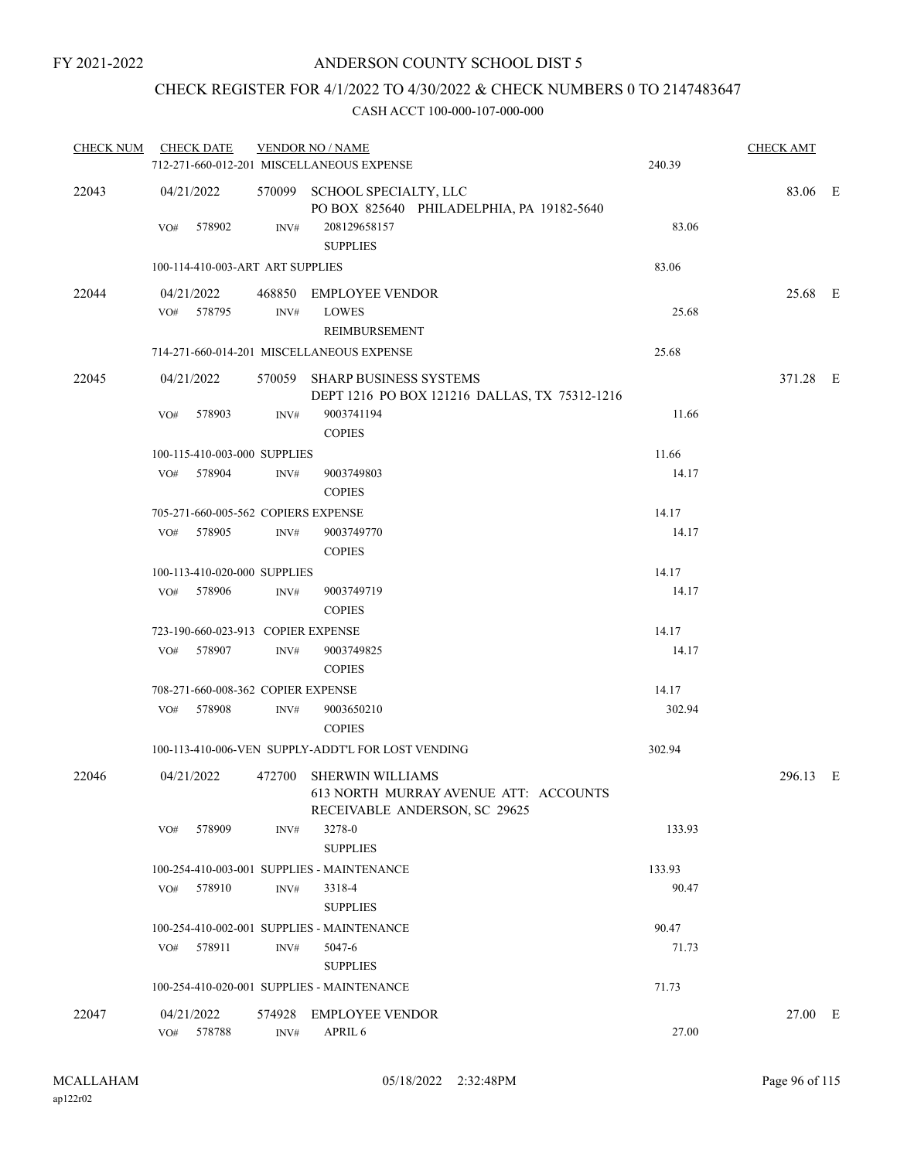### CHECK REGISTER FOR 4/1/2022 TO 4/30/2022 & CHECK NUMBERS 0 TO 2147483647

| <b>CHECK NUM</b> | <b>CHECK DATE</b>                   |                | <b>VENDOR NO / NAME</b>                                                                           |        | <b>CHECK AMT</b> |  |
|------------------|-------------------------------------|----------------|---------------------------------------------------------------------------------------------------|--------|------------------|--|
|                  |                                     |                | 712-271-660-012-201 MISCELLANEOUS EXPENSE                                                         | 240.39 |                  |  |
| 22043            | 04/21/2022                          |                | 570099 SCHOOL SPECIALTY, LLC<br>PO BOX 825640 PHILADELPHIA, PA 19182-5640                         |        | 83.06 E          |  |
|                  | VO#<br>578902                       | INV#           | 208129658157<br><b>SUPPLIES</b>                                                                   | 83.06  |                  |  |
|                  | 100-114-410-003-ART ART SUPPLIES    |                |                                                                                                   | 83.06  |                  |  |
| 22044            | 04/21/2022                          |                | 468850 EMPLOYEE VENDOR                                                                            |        | 25.68 E          |  |
|                  | VO# 578795                          | $\text{INV}\#$ | <b>LOWES</b><br>REIMBURSEMENT                                                                     | 25.68  |                  |  |
|                  |                                     |                | 714-271-660-014-201 MISCELLANEOUS EXPENSE                                                         | 25.68  |                  |  |
| 22045            | 04/21/2022                          |                | 570059 SHARP BUSINESS SYSTEMS<br>DEPT 1216 PO BOX 121216 DALLAS, TX 75312-1216                    |        | 371.28 E         |  |
|                  | 578903<br>VO#                       | INV#           | 9003741194<br><b>COPIES</b>                                                                       | 11.66  |                  |  |
|                  | 100-115-410-003-000 SUPPLIES        |                |                                                                                                   | 11.66  |                  |  |
|                  | VO# 578904                          | INV#           | 9003749803<br><b>COPIES</b>                                                                       | 14.17  |                  |  |
|                  | 705-271-660-005-562 COPIERS EXPENSE |                |                                                                                                   | 14.17  |                  |  |
|                  | 578905<br>VO#                       | INV#           | 9003749770<br><b>COPIES</b>                                                                       | 14.17  |                  |  |
|                  | 100-113-410-020-000 SUPPLIES        |                |                                                                                                   | 14.17  |                  |  |
|                  | VO# 578906                          | INV#           | 9003749719<br><b>COPIES</b>                                                                       | 14.17  |                  |  |
|                  | 723-190-660-023-913 COPIER EXPENSE  |                |                                                                                                   | 14.17  |                  |  |
|                  | VO# 578907                          | INV#           | 9003749825<br><b>COPIES</b>                                                                       | 14.17  |                  |  |
|                  | 708-271-660-008-362 COPIER EXPENSE  |                |                                                                                                   | 14.17  |                  |  |
|                  | VO# 578908                          | INV#           | 9003650210<br><b>COPIES</b>                                                                       | 302.94 |                  |  |
|                  |                                     |                | 100-113-410-006-VEN SUPPLY-ADDT'L FOR LOST VENDING                                                | 302.94 |                  |  |
| 22046            | 04/21/2022                          |                | 472700 SHERWIN WILLIAMS<br>613 NORTH MURRAY AVENUE ATT: ACCOUNTS<br>RECEIVABLE ANDERSON, SC 29625 |        | 296.13 E         |  |
|                  | 578909<br>VO#                       | INV#           | 3278-0<br><b>SUPPLIES</b>                                                                         | 133.93 |                  |  |
|                  |                                     |                | 100-254-410-003-001 SUPPLIES - MAINTENANCE                                                        | 133.93 |                  |  |
|                  | 578910<br>VO#                       | INV#           | 3318-4<br><b>SUPPLIES</b>                                                                         | 90.47  |                  |  |
|                  |                                     |                | 100-254-410-002-001 SUPPLIES - MAINTENANCE                                                        | 90.47  |                  |  |
|                  | VO# 578911                          | INV#           | 5047-6<br><b>SUPPLIES</b>                                                                         | 71.73  |                  |  |
|                  |                                     |                | 100-254-410-020-001 SUPPLIES - MAINTENANCE                                                        | 71.73  |                  |  |
| 22047            | 04/21/2022<br>578788<br>VO#         | 574928<br>INV# | <b>EMPLOYEE VENDOR</b><br>APRIL 6                                                                 | 27.00  | 27.00 E          |  |
|                  |                                     |                |                                                                                                   |        |                  |  |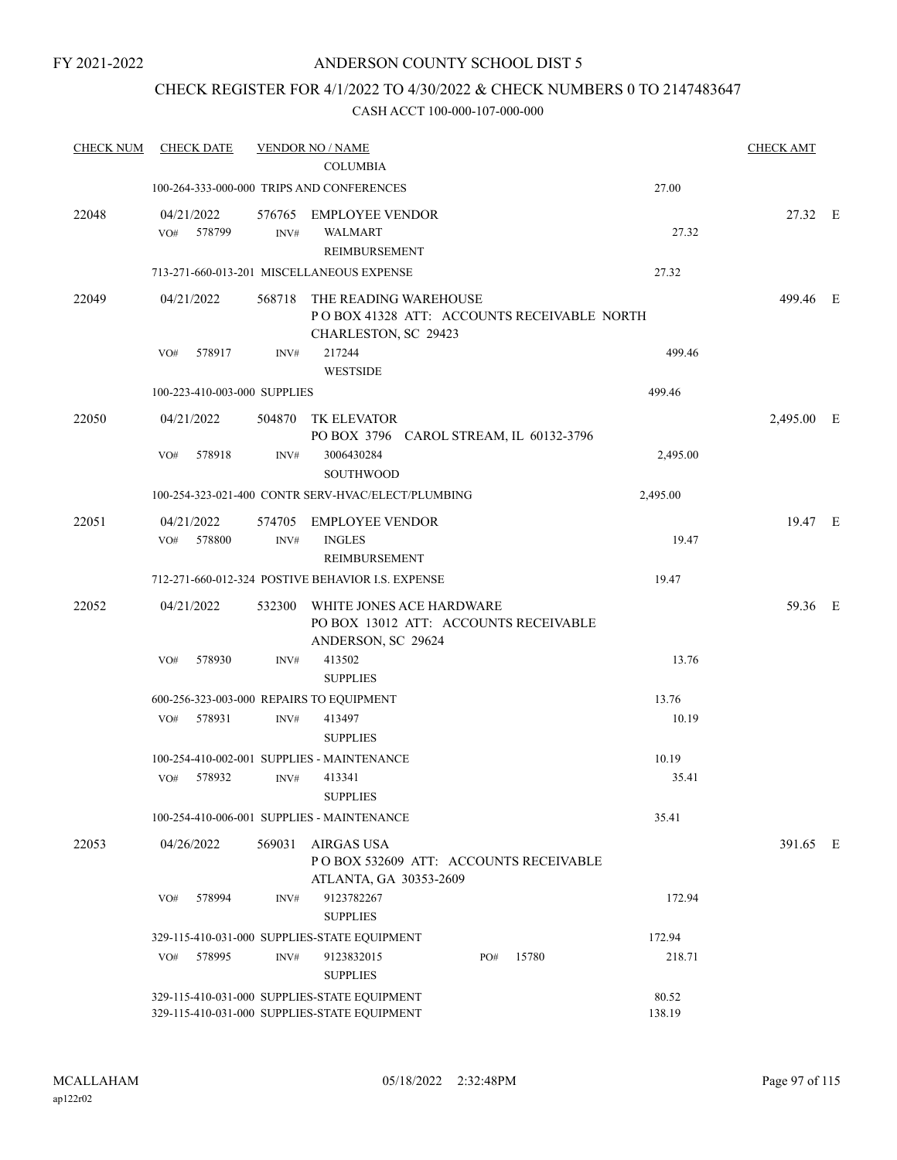### CHECK REGISTER FOR 4/1/2022 TO 4/30/2022 & CHECK NUMBERS 0 TO 2147483647

| <b>CHECK NUM</b> | <b>CHECK DATE</b>            |                | <b>VENDOR NO / NAME</b>                                                                      |     |       |                 | <b>CHECK AMT</b> |  |
|------------------|------------------------------|----------------|----------------------------------------------------------------------------------------------|-----|-------|-----------------|------------------|--|
|                  |                              |                | <b>COLUMBIA</b>                                                                              |     |       |                 |                  |  |
|                  |                              |                | 100-264-333-000-000 TRIPS AND CONFERENCES                                                    |     |       | 27.00           |                  |  |
| 22048            | 04/21/2022<br>578799<br>VO#  | 576765<br>INV# | <b>EMPLOYEE VENDOR</b><br><b>WALMART</b><br>REIMBURSEMENT                                    |     |       | 27.32           | 27.32 E          |  |
|                  |                              |                | 713-271-660-013-201 MISCELLANEOUS EXPENSE                                                    |     |       | 27.32           |                  |  |
| 22049            | 04/21/2022                   | 568718         | THE READING WAREHOUSE<br>POBOX 41328 ATT: ACCOUNTS RECEIVABLE NORTH<br>CHARLESTON, SC 29423  |     |       |                 | 499.46 E         |  |
|                  | 578917<br>VO#                | INV#           | 217244<br><b>WESTSIDE</b>                                                                    |     |       | 499.46          |                  |  |
|                  | 100-223-410-003-000 SUPPLIES |                |                                                                                              |     |       | 499.46          |                  |  |
| 22050            | 04/21/2022                   | 504870         | TK ELEVATOR<br>PO BOX 3796 CAROL STREAM, IL 60132-3796                                       |     |       |                 | 2,495.00 E       |  |
|                  | 578918<br>VO#                | INV#           | 3006430284<br><b>SOUTHWOOD</b>                                                               |     |       | 2,495.00        |                  |  |
|                  |                              |                | 100-254-323-021-400 CONTR SERV-HVAC/ELECT/PLUMBING                                           |     |       | 2,495.00        |                  |  |
| 22051            | 04/21/2022<br>VO# 578800     | 574705<br>INV# | <b>EMPLOYEE VENDOR</b><br><b>INGLES</b><br>REIMBURSEMENT                                     |     |       | 19.47           | 19.47 E          |  |
|                  |                              |                | 712-271-660-012-324 POSTIVE BEHAVIOR I.S. EXPENSE                                            |     |       | 19.47           |                  |  |
| 22052            | 04/21/2022                   | 532300         | WHITE JONES ACE HARDWARE<br>PO BOX 13012 ATT: ACCOUNTS RECEIVABLE<br>ANDERSON, SC 29624      |     |       |                 | 59.36 E          |  |
|                  | 578930<br>VO#                | INV#           | 413502<br><b>SUPPLIES</b>                                                                    |     |       | 13.76           |                  |  |
|                  |                              |                | 600-256-323-003-000 REPAIRS TO EQUIPMENT                                                     |     |       | 13.76           |                  |  |
|                  | 578931<br>VO#                | INV#           | 413497<br><b>SUPPLIES</b>                                                                    |     |       | 10.19           |                  |  |
|                  |                              |                | 100-254-410-002-001 SUPPLIES - MAINTENANCE                                                   |     |       | 10.19           |                  |  |
|                  | 578932<br>VO#                | INV#           | 413341<br><b>SUPPLIES</b>                                                                    |     |       | 35.41           |                  |  |
|                  |                              |                | 100-254-410-006-001 SUPPLIES - MAINTENANCE                                                   |     |       | 35.41           |                  |  |
| 22053            | 04/26/2022                   | 569031         | <b>AIRGAS USA</b><br>POBOX 532609 ATT: ACCOUNTS RECEIVABLE<br>ATLANTA, GA 30353-2609         |     |       |                 | 391.65 E         |  |
|                  | VO#<br>578994                | INV#           | 9123782267<br><b>SUPPLIES</b>                                                                |     |       | 172.94          |                  |  |
|                  |                              |                | 329-115-410-031-000 SUPPLIES-STATE EQUIPMENT                                                 |     |       | 172.94          |                  |  |
|                  | 578995<br>VO#                | INV#           | 9123832015<br><b>SUPPLIES</b>                                                                | PO# | 15780 | 218.71          |                  |  |
|                  |                              |                | 329-115-410-031-000 SUPPLIES-STATE EQUIPMENT<br>329-115-410-031-000 SUPPLIES-STATE EQUIPMENT |     |       | 80.52<br>138.19 |                  |  |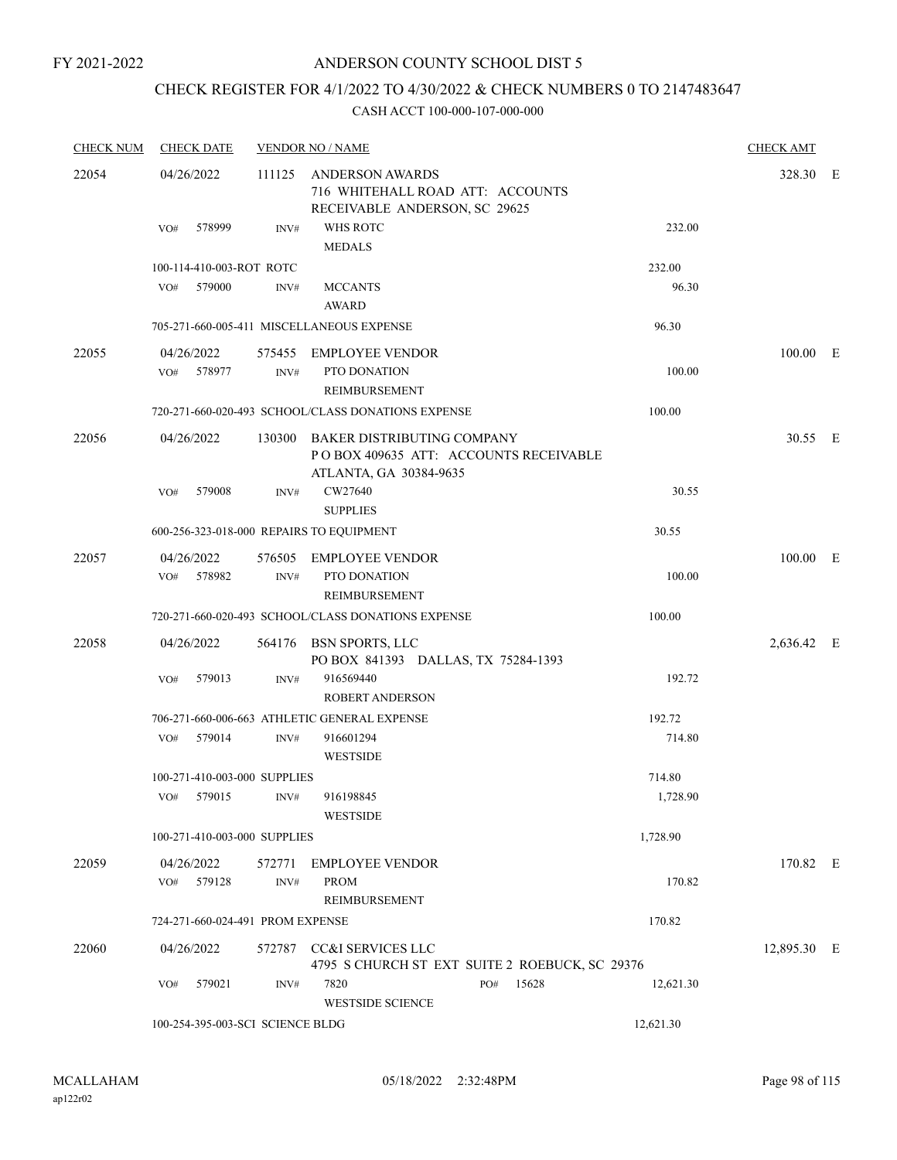FY 2021-2022

### ANDERSON COUNTY SCHOOL DIST 5

## CHECK REGISTER FOR 4/1/2022 TO 4/30/2022 & CHECK NUMBERS 0 TO 2147483647

| <b>CHECK NUM</b> | <b>CHECK DATE</b>                        |                | <b>VENDOR NO / NAME</b>                                                                              |              |           | <b>CHECK AMT</b> |  |
|------------------|------------------------------------------|----------------|------------------------------------------------------------------------------------------------------|--------------|-----------|------------------|--|
| 22054            | 04/26/2022                               | 111125         | ANDERSON AWARDS<br>716 WHITEHALL ROAD ATT: ACCOUNTS<br>RECEIVABLE ANDERSON, SC 29625                 |              |           | 328.30 E         |  |
|                  | 578999<br>VO#                            | INV#           | WHS ROTC<br><b>MEDALS</b>                                                                            |              | 232.00    |                  |  |
|                  | 100-114-410-003-ROT ROTC                 |                |                                                                                                      |              | 232.00    |                  |  |
|                  | 579000<br>VO#                            | INV#           | <b>MCCANTS</b><br><b>AWARD</b>                                                                       |              | 96.30     |                  |  |
|                  |                                          |                | 705-271-660-005-411 MISCELLANEOUS EXPENSE                                                            |              | 96.30     |                  |  |
| 22055            | 04/26/2022                               |                | 575455 EMPLOYEE VENDOR                                                                               |              |           | 100.00 E         |  |
|                  | 578977<br>VO#                            | INV#           | PTO DONATION<br>REIMBURSEMENT                                                                        |              | 100.00    |                  |  |
|                  |                                          |                | 720-271-660-020-493 SCHOOL/CLASS DONATIONS EXPENSE                                                   |              | 100.00    |                  |  |
| 22056            | 04/26/2022                               |                | 130300 BAKER DISTRIBUTING COMPANY<br>POBOX 409635 ATT: ACCOUNTS RECEIVABLE<br>ATLANTA, GA 30384-9635 |              |           | 30.55 E          |  |
|                  | 579008<br>VO#                            | INV#           | CW27640<br><b>SUPPLIES</b>                                                                           |              | 30.55     |                  |  |
|                  | 600-256-323-018-000 REPAIRS TO EQUIPMENT |                |                                                                                                      |              | 30.55     |                  |  |
| 22057            | 04/26/2022                               |                | 576505 EMPLOYEE VENDOR                                                                               |              |           | 100.00 E         |  |
|                  | VO# 578982                               | INV#           | PTO DONATION<br>REIMBURSEMENT                                                                        |              | 100.00    |                  |  |
|                  |                                          |                | 720-271-660-020-493 SCHOOL/CLASS DONATIONS EXPENSE                                                   |              | 100.00    |                  |  |
| 22058            | 04/26/2022                               |                | 564176 BSN SPORTS, LLC<br>PO BOX 841393 DALLAS, TX 75284-1393                                        |              |           | 2,636.42 E       |  |
|                  | 579013<br>VO#                            | INV#           | 916569440<br><b>ROBERT ANDERSON</b>                                                                  |              | 192.72    |                  |  |
|                  |                                          |                | 706-271-660-006-663 ATHLETIC GENERAL EXPENSE                                                         |              | 192.72    |                  |  |
|                  | VO#<br>579014                            | INV#           | 916601294<br><b>WESTSIDE</b>                                                                         |              | 714.80    |                  |  |
|                  | 100-271-410-003-000 SUPPLIES             |                |                                                                                                      |              | 714.80    |                  |  |
|                  | VO# 579015 INV#                          |                | 916198845<br><b>WESTSIDE</b>                                                                         |              | 1,728.90  |                  |  |
|                  | 100-271-410-003-000 SUPPLIES             |                |                                                                                                      |              | 1,728.90  |                  |  |
| 22059            | 04/26/2022<br>VO# 579128                 | 572771<br>INV# | <b>EMPLOYEE VENDOR</b><br><b>PROM</b><br>REIMBURSEMENT                                               |              | 170.82    | 170.82 E         |  |
|                  | 724-271-660-024-491 PROM EXPENSE         |                |                                                                                                      |              | 170.82    |                  |  |
| 22060            | 04/26/2022                               |                | 572787 CC&I SERVICES LLC<br>4795 S CHURCH ST EXT SUITE 2 ROEBUCK, SC 29376                           |              |           | 12,895.30 E      |  |
|                  | 579021<br>VO#                            | INV#           | 7820<br><b>WESTSIDE SCIENCE</b>                                                                      | 15628<br>PO# | 12,621.30 |                  |  |
|                  | 100-254-395-003-SCI SCIENCE BLDG         |                |                                                                                                      |              | 12,621.30 |                  |  |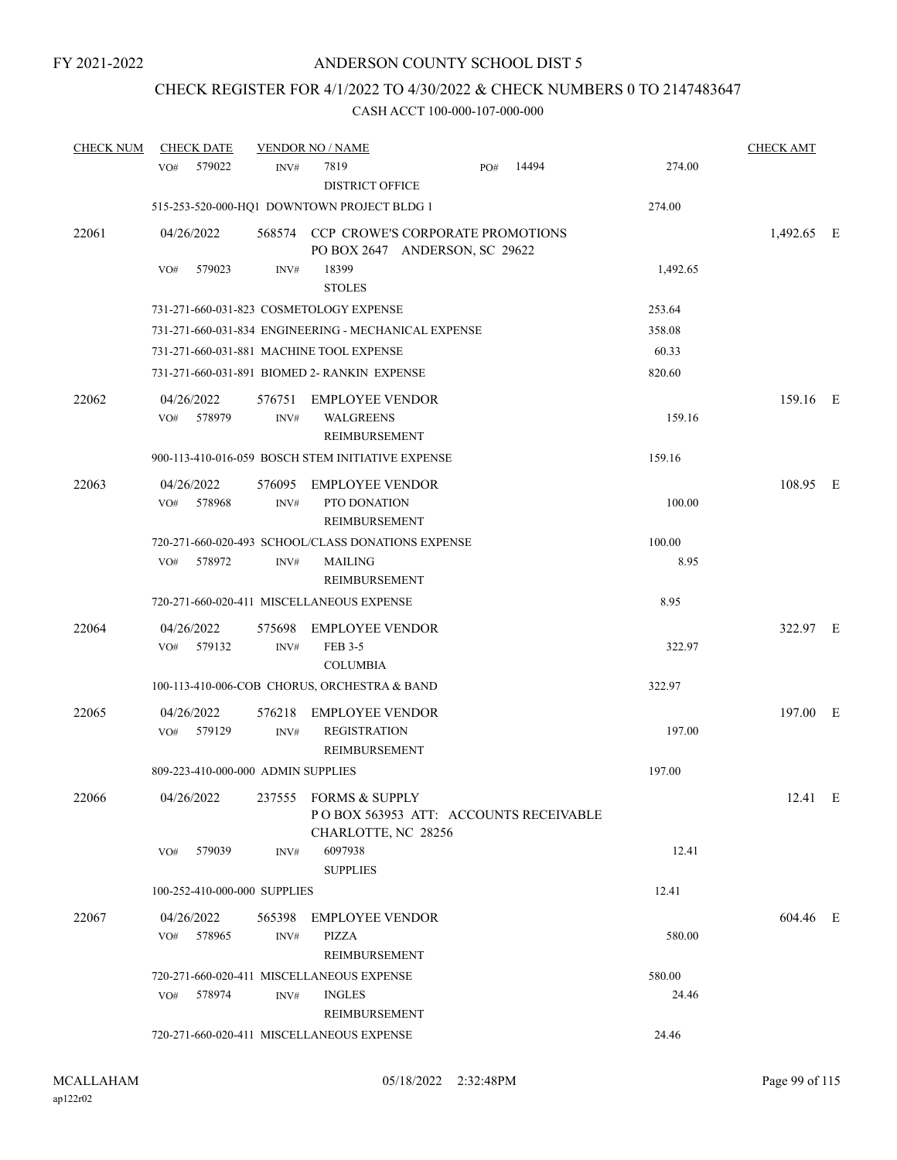### CHECK REGISTER FOR 4/1/2022 TO 4/30/2022 & CHECK NUMBERS 0 TO 2147483647

| <b>CHECK NUM</b> | <b>CHECK DATE</b>                  |                | <b>VENDOR NO / NAME</b>                                                               |     |       |          | <b>CHECK AMT</b> |  |
|------------------|------------------------------------|----------------|---------------------------------------------------------------------------------------|-----|-------|----------|------------------|--|
|                  | 579022<br>VO#                      | INV#           | 7819<br><b>DISTRICT OFFICE</b>                                                        | PO# | 14494 | 274.00   |                  |  |
|                  |                                    |                | 515-253-520-000-HQ1 DOWNTOWN PROJECT BLDG 1                                           |     |       | 274.00   |                  |  |
| 22061            | 04/26/2022                         |                | 568574 CCP CROWE'S CORPORATE PROMOTIONS<br>PO BOX 2647 ANDERSON, SC 29622             |     |       |          | 1,492.65 E       |  |
|                  | 579023<br>VO#                      | INV#           | 18399<br><b>STOLES</b>                                                                |     |       | 1,492.65 |                  |  |
|                  |                                    |                | 731-271-660-031-823 COSMETOLOGY EXPENSE                                               |     |       | 253.64   |                  |  |
|                  |                                    |                | 731-271-660-031-834 ENGINEERING - MECHANICAL EXPENSE                                  |     |       | 358.08   |                  |  |
|                  |                                    |                | 731-271-660-031-881 MACHINE TOOL EXPENSE                                              |     |       | 60.33    |                  |  |
|                  |                                    |                | 731-271-660-031-891 BIOMED 2- RANKIN EXPENSE                                          |     |       | 820.60   |                  |  |
| 22062            | 04/26/2022<br>VO# 578979           | 576751<br>INV# | <b>EMPLOYEE VENDOR</b><br><b>WALGREENS</b><br>REIMBURSEMENT                           |     |       | 159.16   | 159.16 E         |  |
|                  |                                    |                | 900-113-410-016-059 BOSCH STEM INITIATIVE EXPENSE                                     |     |       | 159.16   |                  |  |
| 22063            | 04/26/2022<br>578968<br>VO#        | 576095<br>INV# | <b>EMPLOYEE VENDOR</b><br>PTO DONATION<br><b>REIMBURSEMENT</b>                        |     |       | 100.00   | 108.95 E         |  |
|                  |                                    |                | 720-271-660-020-493 SCHOOL/CLASS DONATIONS EXPENSE                                    |     |       | 100.00   |                  |  |
|                  | 578972<br>VO#                      | INV#           | <b>MAILING</b><br>REIMBURSEMENT                                                       |     |       | 8.95     |                  |  |
|                  |                                    |                | 720-271-660-020-411 MISCELLANEOUS EXPENSE                                             |     |       | 8.95     |                  |  |
| 22064            | 04/26/2022<br>VO# 579132           | 575698<br>INV# | <b>EMPLOYEE VENDOR</b><br>FEB 3-5<br><b>COLUMBIA</b>                                  |     |       | 322.97   | 322.97 E         |  |
|                  |                                    |                | 100-113-410-006-COB CHORUS, ORCHESTRA & BAND                                          |     |       | 322.97   |                  |  |
| 22065            | 04/26/2022<br>579129<br>VO#        | 576218<br>INV# | <b>EMPLOYEE VENDOR</b><br><b>REGISTRATION</b><br><b>REIMBURSEMENT</b>                 |     |       | 197.00   | 197.00 E         |  |
|                  | 809-223-410-000-000 ADMIN SUPPLIES |                |                                                                                       |     |       | 197.00   |                  |  |
| 22066            | 04/26/2022                         |                | 237555 FORMS & SUPPLY<br>POBOX 563953 ATT: ACCOUNTS RECEIVABLE<br>CHARLOTTE, NC 28256 |     |       |          | 12.41 E          |  |
|                  | 579039<br>VO#                      | INV#           | 6097938<br><b>SUPPLIES</b>                                                            |     |       | 12.41    |                  |  |
|                  | 100-252-410-000-000 SUPPLIES       |                |                                                                                       |     |       | 12.41    |                  |  |
| 22067            | 04/26/2022                         |                | 565398 EMPLOYEE VENDOR                                                                |     |       |          | 604.46 E         |  |
|                  | VO# 578965                         | INV#           | PIZZA<br>REIMBURSEMENT                                                                |     |       | 580.00   |                  |  |
|                  |                                    |                | 720-271-660-020-411 MISCELLANEOUS EXPENSE                                             |     |       | 580.00   |                  |  |
|                  | 578974<br>VO#                      | INV#           | <b>INGLES</b><br>REIMBURSEMENT                                                        |     |       | 24.46    |                  |  |
|                  |                                    |                | 720-271-660-020-411 MISCELLANEOUS EXPENSE                                             |     |       | 24.46    |                  |  |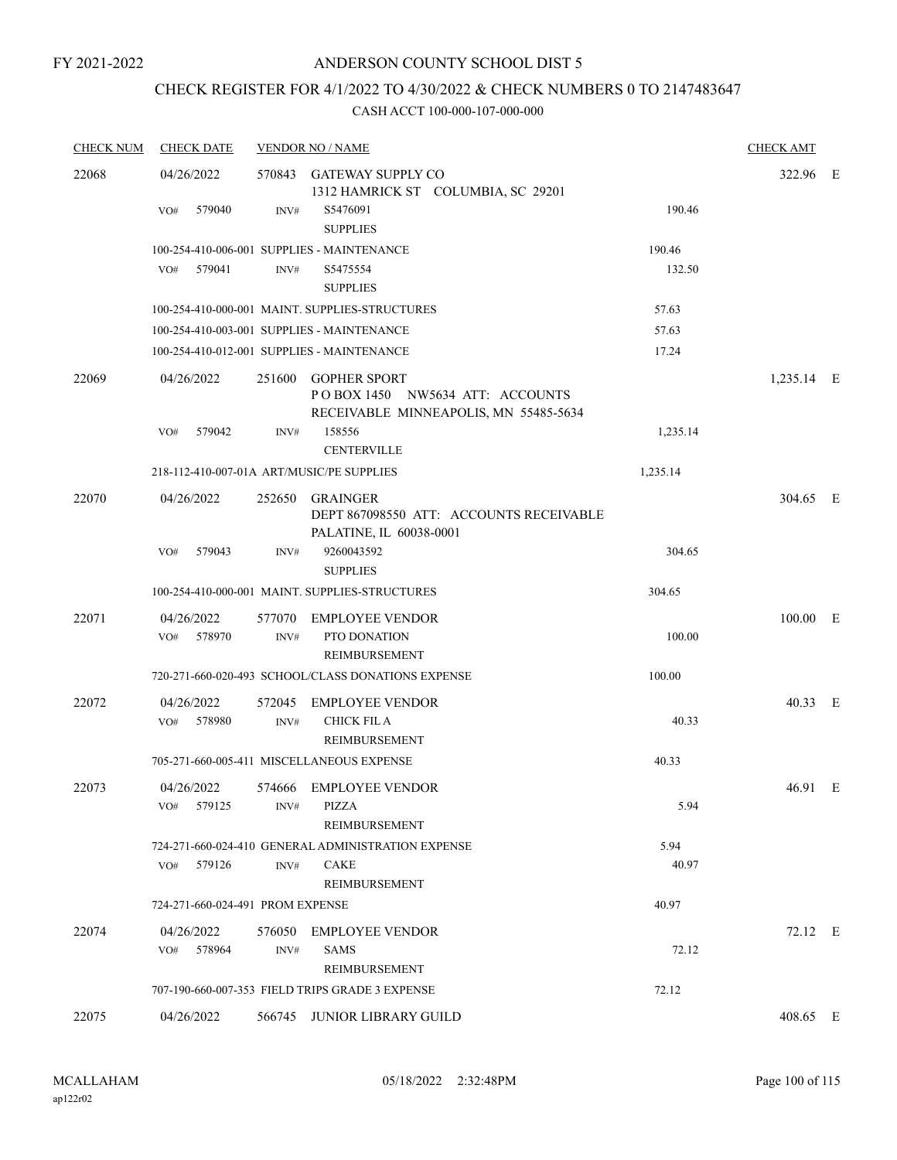### CHECK REGISTER FOR 4/1/2022 TO 4/30/2022 & CHECK NUMBERS 0 TO 2147483647

| <b>CHECK NUM</b> | <b>CHECK DATE</b>                         |                | <b>VENDOR NO / NAME</b>                                                                         |          | <b>CHECK AMT</b> |  |
|------------------|-------------------------------------------|----------------|-------------------------------------------------------------------------------------------------|----------|------------------|--|
| 22068            | 04/26/2022                                | 570843         | <b>GATEWAY SUPPLY CO</b><br>1312 HAMRICK ST COLUMBIA, SC 29201                                  |          | 322.96 E         |  |
|                  | 579040<br>VO#                             | INV#           | S5476091<br><b>SUPPLIES</b>                                                                     | 190.46   |                  |  |
|                  |                                           |                | 100-254-410-006-001 SUPPLIES - MAINTENANCE                                                      | 190.46   |                  |  |
|                  | 579041<br>VO#                             | INV#           | S5475554<br><b>SUPPLIES</b>                                                                     | 132.50   |                  |  |
|                  |                                           |                | 100-254-410-000-001 MAINT. SUPPLIES-STRUCTURES                                                  | 57.63    |                  |  |
|                  |                                           |                | 100-254-410-003-001 SUPPLIES - MAINTENANCE                                                      | 57.63    |                  |  |
|                  |                                           |                | 100-254-410-012-001 SUPPLIES - MAINTENANCE                                                      | 17.24    |                  |  |
| 22069            | 04/26/2022                                |                | 251600 GOPHER SPORT<br>POBOX 1450 NW5634 ATT: ACCOUNTS<br>RECEIVABLE MINNEAPOLIS, MN 55485-5634 |          | 1,235.14 E       |  |
|                  | 579042<br>VO#                             | INV#           | 158556<br><b>CENTERVILLE</b>                                                                    | 1,235.14 |                  |  |
|                  | 218-112-410-007-01A ART/MUSIC/PE SUPPLIES |                |                                                                                                 | 1,235.14 |                  |  |
| 22070            | 04/26/2022                                | 252650         | <b>GRAINGER</b><br>DEPT 867098550 ATT: ACCOUNTS RECEIVABLE<br>PALATINE, IL 60038-0001           |          | 304.65 E         |  |
|                  | VO#<br>579043                             | INV#           | 9260043592<br><b>SUPPLIES</b>                                                                   | 304.65   |                  |  |
|                  |                                           |                | 100-254-410-000-001 MAINT. SUPPLIES-STRUCTURES                                                  | 304.65   |                  |  |
| 22071            | 04/26/2022<br>578970<br>VO#               | INV#           | 577070 EMPLOYEE VENDOR<br>PTO DONATION<br>REIMBURSEMENT                                         | 100.00   | 100.00 E         |  |
|                  |                                           |                | 720-271-660-020-493 SCHOOL/CLASS DONATIONS EXPENSE                                              | 100.00   |                  |  |
| 22072            | 04/26/2022<br>578980<br>VO#               | 572045<br>INV# | <b>EMPLOYEE VENDOR</b><br><b>CHICK FIL A</b><br><b>REIMBURSEMENT</b>                            | 40.33    | 40.33 E          |  |
|                  |                                           |                | 705-271-660-005-411 MISCELLANEOUS EXPENSE                                                       | 40.33    |                  |  |
| 22073            | 04/26/2022<br>VO#<br>579125               | INV#           | 574666 EMPLOYEE VENDOR<br>PIZZA<br><b>REIMBURSEMENT</b>                                         | 5.94     | 46.91 E          |  |
|                  |                                           |                | 724-271-660-024-410 GENERAL ADMINISTRATION EXPENSE                                              | 5.94     |                  |  |
|                  | 579126<br>VO#                             | INV#           | <b>CAKE</b><br><b>REIMBURSEMENT</b>                                                             | 40.97    |                  |  |
|                  | 724-271-660-024-491 PROM EXPENSE          |                |                                                                                                 | 40.97    |                  |  |
| 22074            | 04/26/2022<br>578964<br>VO#               | 576050<br>INV# | <b>EMPLOYEE VENDOR</b><br><b>SAMS</b><br>REIMBURSEMENT                                          | 72.12    | 72.12 E          |  |
|                  |                                           |                | 707-190-660-007-353 FIELD TRIPS GRADE 3 EXPENSE                                                 | 72.12    |                  |  |
| 22075            | 04/26/2022                                |                | 566745 JUNIOR LIBRARY GUILD                                                                     |          | 408.65 E         |  |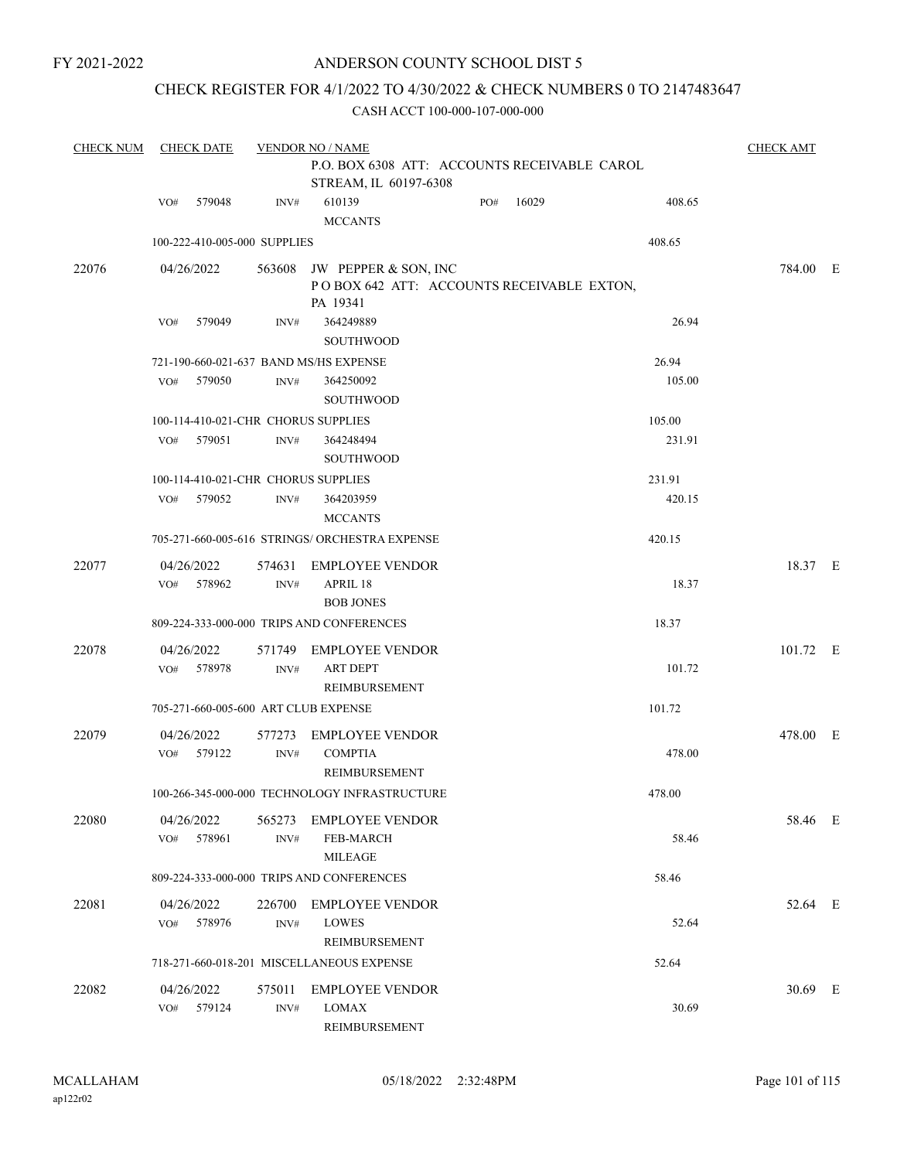FY 2021-2022

### ANDERSON COUNTY SCHOOL DIST 5

### CHECK REGISTER FOR 4/1/2022 TO 4/30/2022 & CHECK NUMBERS 0 TO 2147483647

| <b>CHECK NUM</b> | <b>CHECK DATE</b>                    | <b>CHECK AMT</b> |                                                                                      |     |       |        |          |  |
|------------------|--------------------------------------|------------------|--------------------------------------------------------------------------------------|-----|-------|--------|----------|--|
|                  |                                      |                  | P.O. BOX 6308 ATT: ACCOUNTS RECEIVABLE CAROL<br>STREAM, IL 60197-6308                |     |       |        |          |  |
|                  | 579048<br>VO#                        | INV#             | 610139<br><b>MCCANTS</b>                                                             | PO# | 16029 | 408.65 |          |  |
|                  | 100-222-410-005-000 SUPPLIES         |                  |                                                                                      |     |       | 408.65 |          |  |
| 22076            | 04/26/2022                           |                  | 563608 JW PEPPER & SON, INC<br>POBOX 642 ATT: ACCOUNTS RECEIVABLE EXTON,<br>PA 19341 |     |       |        | 784.00 E |  |
|                  | 579049<br>VO#                        | INV#             | 364249889<br><b>SOUTHWOOD</b>                                                        |     |       | 26.94  |          |  |
|                  |                                      |                  | 721-190-660-021-637 BAND MS/HS EXPENSE                                               |     |       | 26.94  |          |  |
|                  | VO#<br>579050                        | INV#             | 364250092<br><b>SOUTHWOOD</b>                                                        |     |       | 105.00 |          |  |
|                  | 100-114-410-021-CHR CHORUS SUPPLIES  |                  |                                                                                      |     |       | 105.00 |          |  |
|                  | 579051<br>VO#                        | INV#             | 364248494<br><b>SOUTHWOOD</b>                                                        |     |       | 231.91 |          |  |
|                  | 100-114-410-021-CHR CHORUS SUPPLIES  |                  |                                                                                      |     |       | 231.91 |          |  |
|                  | 579052<br>VO#                        | INV#             | 364203959<br><b>MCCANTS</b>                                                          |     |       | 420.15 |          |  |
|                  |                                      |                  | 705-271-660-005-616 STRINGS/ ORCHESTRA EXPENSE                                       |     |       | 420.15 |          |  |
| 22077            | 04/26/2022<br>578962<br>VO#          | 574631<br>INV#   | <b>EMPLOYEE VENDOR</b><br>APRIL 18                                                   |     |       | 18.37  | 18.37 E  |  |
|                  |                                      |                  | <b>BOB JONES</b><br>809-224-333-000-000 TRIPS AND CONFERENCES                        |     |       | 18.37  |          |  |
| 22078            | 04/26/2022                           | 571749           | <b>EMPLOYEE VENDOR</b>                                                               |     |       |        | 101.72 E |  |
|                  | 578978<br>VO#                        | INV#             | <b>ART DEPT</b><br>REIMBURSEMENT                                                     |     |       | 101.72 |          |  |
|                  | 705-271-660-005-600 ART CLUB EXPENSE |                  |                                                                                      |     |       | 101.72 |          |  |
| 22079            | 04/26/2022<br>VO# 579122             | 577273<br>INV#   | <b>EMPLOYEE VENDOR</b><br><b>COMPTIA</b>                                             |     |       | 478.00 | 478.00 E |  |
|                  |                                      |                  | REIMBURSEMENT                                                                        |     |       |        |          |  |
|                  |                                      |                  | 100-266-345-000-000 TECHNOLOGY INFRASTRUCTURE                                        |     |       | 478.00 |          |  |
| 22080            | 04/26/2022<br>578961<br>VO#          | 565273<br>INV#   | <b>EMPLOYEE VENDOR</b><br><b>FEB-MARCH</b><br><b>MILEAGE</b>                         |     |       | 58.46  | 58.46 E  |  |
|                  |                                      |                  | 809-224-333-000-000 TRIPS AND CONFERENCES                                            |     |       | 58.46  |          |  |
| 22081            | 04/26/2022<br>578976<br>VO#          | 226700<br>INV#   | <b>EMPLOYEE VENDOR</b><br>LOWES<br>REIMBURSEMENT                                     |     |       | 52.64  | 52.64 E  |  |
|                  |                                      |                  | 718-271-660-018-201 MISCELLANEOUS EXPENSE                                            |     |       | 52.64  |          |  |
| 22082            | 04/26/2022<br>579124<br>VO#          | 575011<br>INV#   | <b>EMPLOYEE VENDOR</b><br>LOMAX<br>REIMBURSEMENT                                     |     |       | 30.69  | 30.69 E  |  |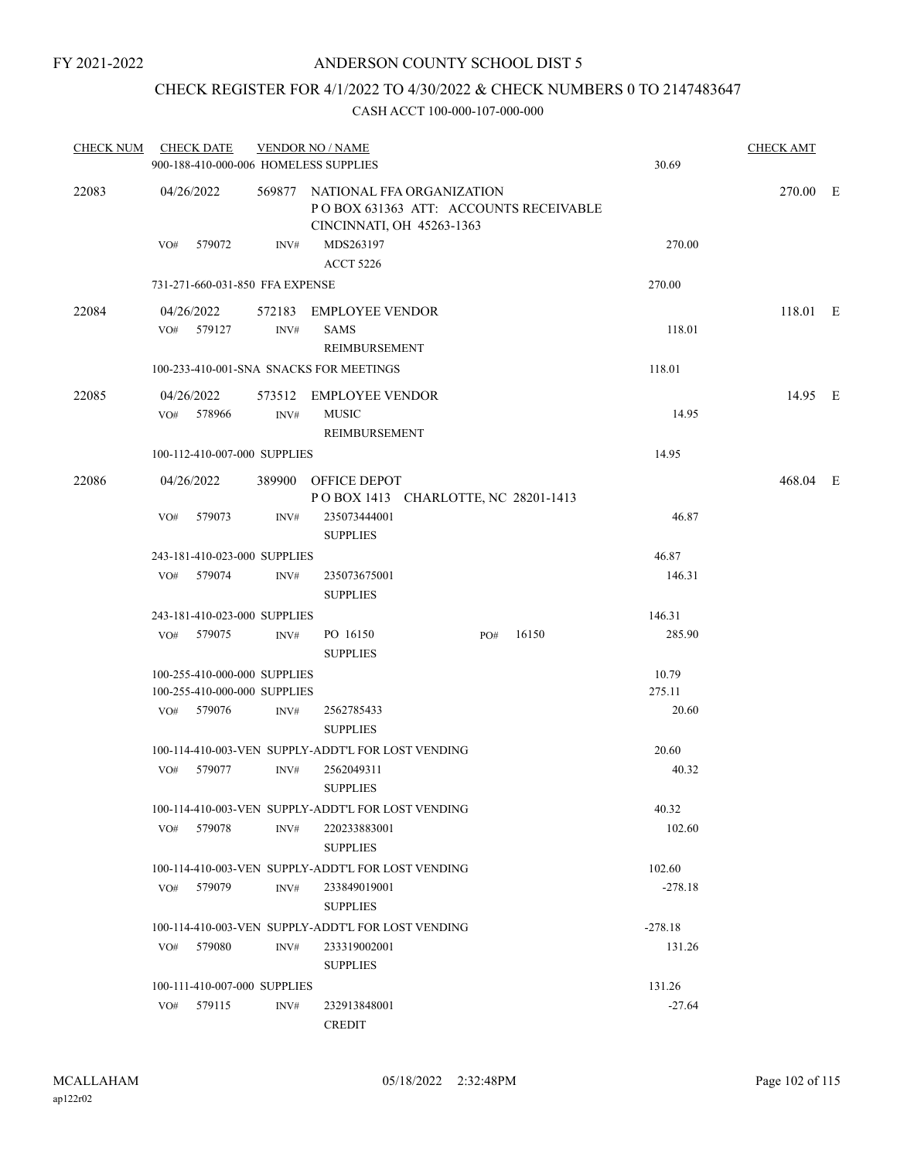### CHECK REGISTER FOR 4/1/2022 TO 4/30/2022 & CHECK NUMBERS 0 TO 2147483647

| <b>CHECK NUM</b> |     | <b>CHECK DATE</b>        |                                                              | <b>VENDOR NO / NAME</b><br>900-188-410-000-006 HOMELESS SUPPLIES                                       |     |       | 30.69           | <b>CHECK AMT</b> |  |
|------------------|-----|--------------------------|--------------------------------------------------------------|--------------------------------------------------------------------------------------------------------|-----|-------|-----------------|------------------|--|
| 22083            |     | 04/26/2022               |                                                              | 569877 NATIONAL FFA ORGANIZATION<br>POBOX 631363 ATT: ACCOUNTS RECEIVABLE<br>CINCINNATI, OH 45263-1363 |     |       |                 | 270.00 E         |  |
|                  |     | VO# 579072               | INV#                                                         | MDS263197<br><b>ACCT 5226</b>                                                                          |     |       | 270.00          |                  |  |
|                  |     |                          | 731-271-660-031-850 FFA EXPENSE                              |                                                                                                        |     |       | 270.00          |                  |  |
| 22084            |     | 04/26/2022<br>VO# 579127 | INV#                                                         | 572183 EMPLOYEE VENDOR<br><b>SAMS</b><br><b>REIMBURSEMENT</b>                                          |     |       | 118.01          | 118.01 E         |  |
|                  |     |                          |                                                              | 100-233-410-001-SNA SNACKS FOR MEETINGS                                                                |     |       | 118.01          |                  |  |
| 22085            |     | 04/26/2022<br>VO# 578966 | INV#                                                         | 573512 EMPLOYEE VENDOR<br><b>MUSIC</b><br>REIMBURSEMENT                                                |     |       | 14.95           | 14.95 E          |  |
|                  |     |                          | 100-112-410-007-000 SUPPLIES                                 |                                                                                                        |     |       | 14.95           |                  |  |
| 22086            |     | 04/26/2022               |                                                              | 389900 OFFICE DEPOT<br>POBOX 1413 CHARLOTTE, NC 28201-1413                                             |     |       |                 | 468.04 E         |  |
|                  | VO# | 579073                   | INV#                                                         | 235073444001<br><b>SUPPLIES</b>                                                                        |     |       | 46.87           |                  |  |
|                  |     |                          | 243-181-410-023-000 SUPPLIES                                 |                                                                                                        |     |       | 46.87           |                  |  |
|                  |     | VO# 579074               | INV#                                                         | 235073675001<br><b>SUPPLIES</b>                                                                        |     |       | 146.31          |                  |  |
|                  |     |                          | 243-181-410-023-000 SUPPLIES                                 |                                                                                                        |     |       | 146.31          |                  |  |
|                  |     | VO# 579075               | INV#                                                         | PO 16150<br><b>SUPPLIES</b>                                                                            | PO# | 16150 | 285.90          |                  |  |
|                  |     |                          | 100-255-410-000-000 SUPPLIES<br>100-255-410-000-000 SUPPLIES |                                                                                                        |     |       | 10.79<br>275.11 |                  |  |
|                  |     | VO# 579076               | INV#                                                         | 2562785433<br><b>SUPPLIES</b>                                                                          |     |       | 20.60           |                  |  |
|                  |     |                          |                                                              | 100-114-410-003-VEN SUPPLY-ADDT'L FOR LOST VENDING                                                     |     |       | 20.60           |                  |  |
|                  | VO# | 579077                   | INV#                                                         | 2562049311<br><b>SUPPLIES</b>                                                                          |     |       | 40.32           |                  |  |
|                  |     |                          |                                                              | 100-114-410-003-VEN SUPPLY-ADDT'L FOR LOST VENDING                                                     |     |       | 40.32           |                  |  |
|                  | VO# | 579078                   | INV#                                                         | 220233883001<br><b>SUPPLIES</b>                                                                        |     |       | 102.60          |                  |  |
|                  |     |                          |                                                              | 100-114-410-003-VEN SUPPLY-ADDT'L FOR LOST VENDING                                                     |     |       | 102.60          |                  |  |
|                  | VO# | 579079                   | INV#                                                         | 233849019001<br><b>SUPPLIES</b>                                                                        |     |       | $-278.18$       |                  |  |
|                  |     |                          |                                                              | 100-114-410-003-VEN SUPPLY-ADDT'L FOR LOST VENDING                                                     |     |       | $-278.18$       |                  |  |
|                  | VO# | 579080                   | INV#                                                         | 233319002001<br><b>SUPPLIES</b>                                                                        |     |       | 131.26          |                  |  |
|                  |     |                          | 100-111-410-007-000 SUPPLIES                                 |                                                                                                        |     |       | 131.26          |                  |  |
|                  | VO# | 579115                   | INV#                                                         | 232913848001<br><b>CREDIT</b>                                                                          |     |       | $-27.64$        |                  |  |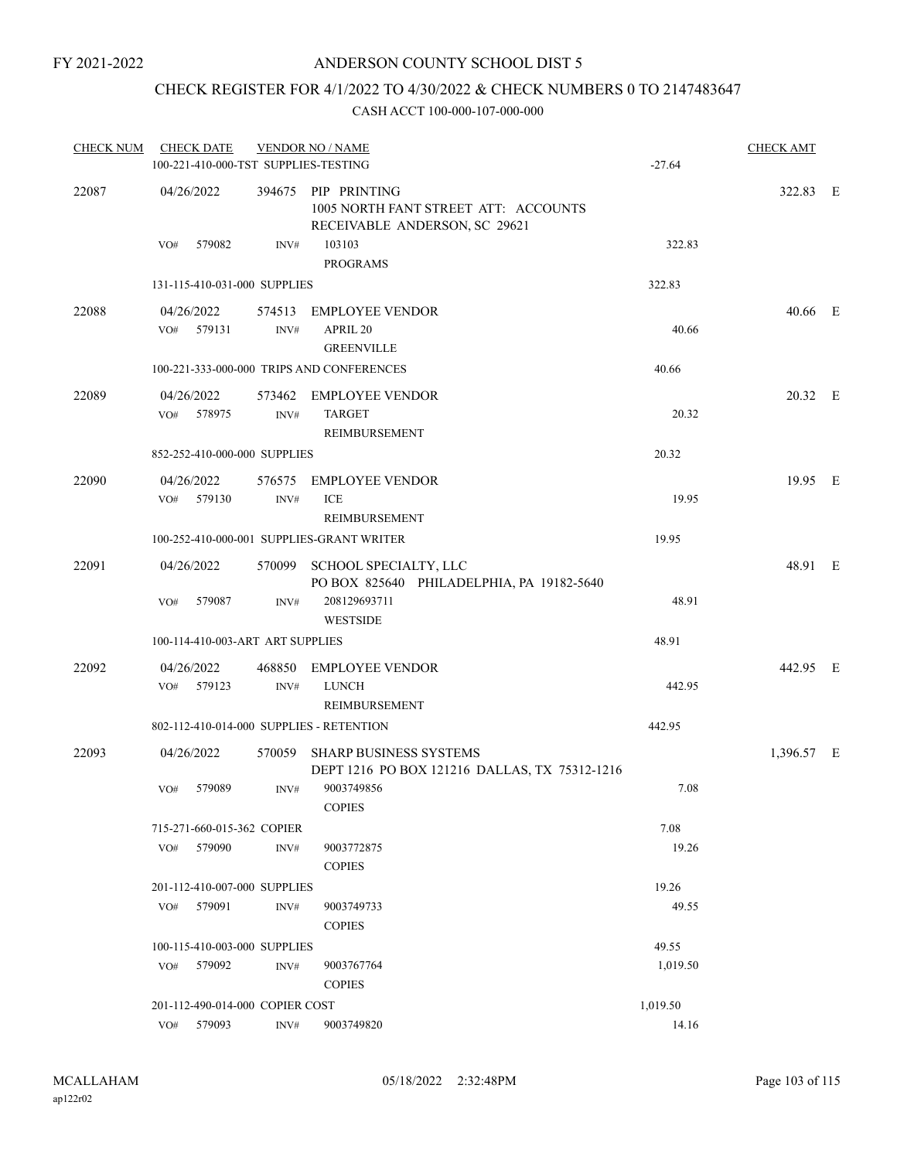### CHECK REGISTER FOR 4/1/2022 TO 4/30/2022 & CHECK NUMBERS 0 TO 2147483647

| <b>CHECK NUM</b> |                   | <b>CHECK DATE</b> |                                  | <b>VENDOR NO / NAME</b><br>100-221-410-000-TST SUPPLIES-TESTING                              | $-27.64$ | <b>CHECK AMT</b> |  |
|------------------|-------------------|-------------------|----------------------------------|----------------------------------------------------------------------------------------------|----------|------------------|--|
| 22087            | 04/26/2022        |                   |                                  | 394675 PIP PRINTING<br>1005 NORTH FANT STREET ATT: ACCOUNTS<br>RECEIVABLE ANDERSON, SC 29621 |          | 322.83 E         |  |
|                  | VO#               | 579082            | INV#                             | 103103<br><b>PROGRAMS</b>                                                                    | 322.83   |                  |  |
|                  |                   |                   | 131-115-410-031-000 SUPPLIES     |                                                                                              | 322.83   |                  |  |
| 22088            | 04/26/2022        | VO# 579131        | 574513<br>INV#                   | <b>EMPLOYEE VENDOR</b><br>APRIL 20<br><b>GREENVILLE</b>                                      | 40.66    | 40.66 E          |  |
|                  |                   |                   |                                  | 100-221-333-000-000 TRIPS AND CONFERENCES                                                    | 40.66    |                  |  |
| 22089            | 04/26/2022<br>VO# | 578975            | INV#                             | 573462 EMPLOYEE VENDOR<br><b>TARGET</b><br>REIMBURSEMENT                                     | 20.32    | 20.32 E          |  |
|                  |                   |                   | 852-252-410-000-000 SUPPLIES     |                                                                                              | 20.32    |                  |  |
| 22090            | 04/26/2022<br>VO# | 579130            | INV#                             | 576575 EMPLOYEE VENDOR<br>ICE<br><b>REIMBURSEMENT</b>                                        | 19.95    | 19.95 E          |  |
|                  |                   |                   |                                  | 100-252-410-000-001 SUPPLIES-GRANT WRITER                                                    | 19.95    |                  |  |
| 22091            | 04/26/2022        |                   | 570099                           | SCHOOL SPECIALTY, LLC<br>PO BOX 825640 PHILADELPHIA, PA 19182-5640                           |          | 48.91 E          |  |
|                  | VO#               | 579087            | INV#                             | 208129693711<br><b>WESTSIDE</b>                                                              | 48.91    |                  |  |
|                  |                   |                   | 100-114-410-003-ART ART SUPPLIES |                                                                                              | 48.91    |                  |  |
| 22092            | 04/26/2022<br>VO# | 579123            | INV#                             | 468850 EMPLOYEE VENDOR<br><b>LUNCH</b><br>REIMBURSEMENT                                      | 442.95   | 442.95 E         |  |
|                  |                   |                   |                                  | 802-112-410-014-000 SUPPLIES - RETENTION                                                     | 442.95   |                  |  |
| 22093            | 04/26/2022        |                   |                                  | 570059 SHARP BUSINESS SYSTEMS<br>DEPT 1216 PO BOX 121216 DALLAS, TX 75312-1216               |          | 1,396.57 E       |  |
|                  | VO#               | 579089            | INV#                             | 9003749856<br><b>COPIES</b>                                                                  | 7.08     |                  |  |
|                  |                   |                   | 715-271-660-015-362 COPIER       |                                                                                              | 7.08     |                  |  |
|                  | VO#               | 579090            | INV#                             | 9003772875<br><b>COPIES</b>                                                                  | 19.26    |                  |  |
|                  |                   |                   | 201-112-410-007-000 SUPPLIES     |                                                                                              | 19.26    |                  |  |
|                  | VO#               | 579091            | INV#                             | 9003749733<br><b>COPIES</b>                                                                  | 49.55    |                  |  |
|                  |                   |                   | 100-115-410-003-000 SUPPLIES     |                                                                                              | 49.55    |                  |  |
|                  | VO# 579092        |                   | INV#                             | 9003767764<br><b>COPIES</b>                                                                  | 1,019.50 |                  |  |
|                  |                   |                   | 201-112-490-014-000 COPIER COST  |                                                                                              | 1,019.50 |                  |  |
|                  |                   | VO# 579093        | INV#                             | 9003749820                                                                                   | 14.16    |                  |  |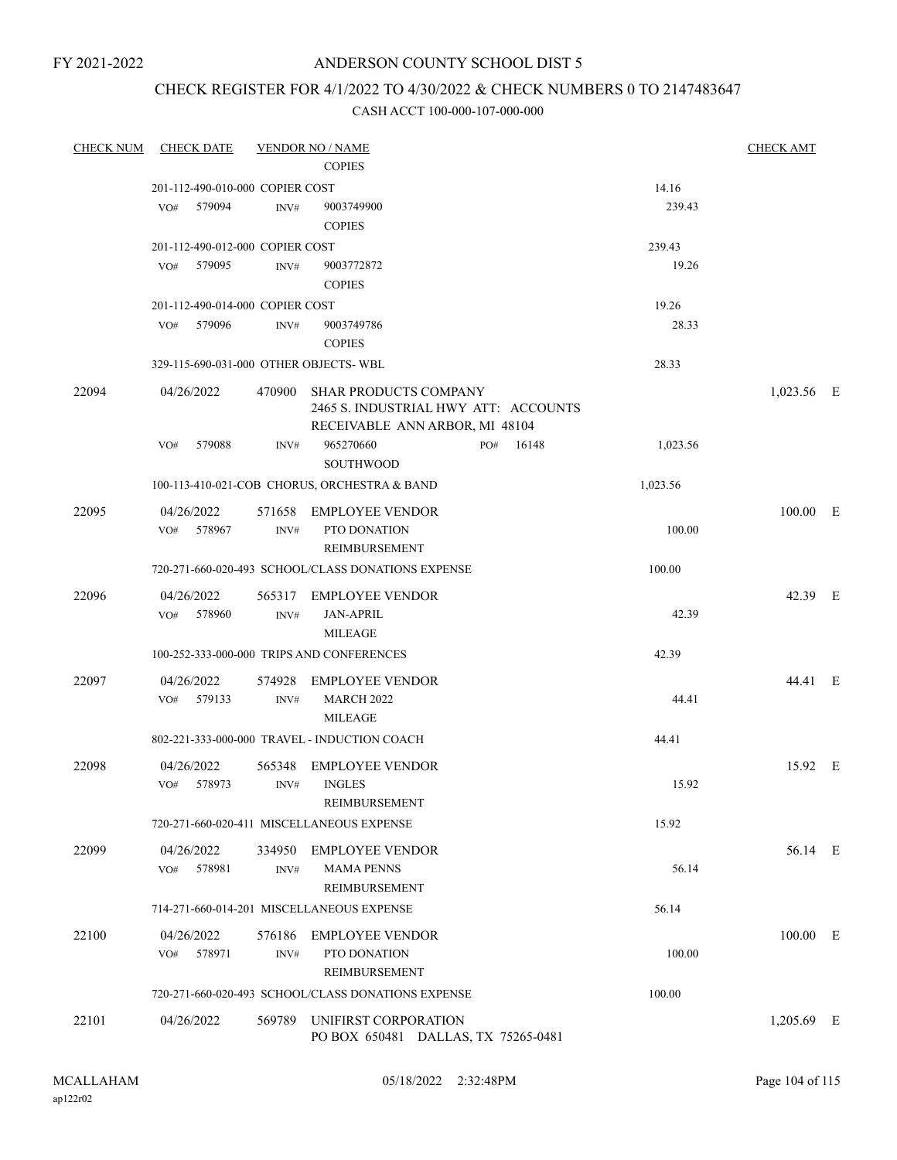FY 2021-2022

# ANDERSON COUNTY SCHOOL DIST 5

# CHECK REGISTER FOR 4/1/2022 TO 4/30/2022 & CHECK NUMBERS 0 TO 2147483647

| <b>CHECK NUM</b> | <b>CHECK DATE</b>                     |        | <b>VENDOR NO / NAME</b>                                                                                |     |       |          | <b>CHECK AMT</b> |  |
|------------------|---------------------------------------|--------|--------------------------------------------------------------------------------------------------------|-----|-------|----------|------------------|--|
|                  |                                       |        | <b>COPIES</b>                                                                                          |     |       |          |                  |  |
|                  | 201-112-490-010-000 COPIER COST       |        |                                                                                                        |     |       | 14.16    |                  |  |
|                  | 579094<br>VO#                         | INV#   | 9003749900                                                                                             |     |       | 239.43   |                  |  |
|                  |                                       |        | <b>COPIES</b>                                                                                          |     |       |          |                  |  |
|                  | 201-112-490-012-000 COPIER COST       |        |                                                                                                        |     |       | 239.43   |                  |  |
|                  | 579095<br>VO#                         | INV#   | 9003772872                                                                                             |     |       | 19.26    |                  |  |
|                  |                                       |        | <b>COPIES</b>                                                                                          |     |       |          |                  |  |
|                  | 201-112-490-014-000 COPIER COST       |        |                                                                                                        |     |       | 19.26    |                  |  |
|                  | 579096<br>VO#                         | INV#   | 9003749786                                                                                             |     |       | 28.33    |                  |  |
|                  |                                       |        | <b>COPIES</b>                                                                                          |     |       |          |                  |  |
|                  | 329-115-690-031-000 OTHER OBJECTS-WBL |        |                                                                                                        |     |       | 28.33    |                  |  |
| 22094            | 04/26/2022                            | 470900 | <b>SHAR PRODUCTS COMPANY</b><br>2465 S. INDUSTRIAL HWY ATT: ACCOUNTS<br>RECEIVABLE ANN ARBOR, MI 48104 |     |       |          | 1,023.56 E       |  |
|                  | 579088<br>VO#                         | INV#   | 965270660<br><b>SOUTHWOOD</b>                                                                          | PO# | 16148 | 1,023.56 |                  |  |
|                  |                                       |        | 100-113-410-021-COB CHORUS, ORCHESTRA & BAND                                                           |     |       | 1,023.56 |                  |  |
| 22095            | 04/26/2022                            | 571658 | <b>EMPLOYEE VENDOR</b>                                                                                 |     |       |          | 100.00 E         |  |
|                  | 578967<br>VO#                         | INV#   | PTO DONATION<br>REIMBURSEMENT                                                                          |     |       | 100.00   |                  |  |
|                  |                                       |        | 720-271-660-020-493 SCHOOL/CLASS DONATIONS EXPENSE                                                     |     |       | 100.00   |                  |  |
| 22096            | 04/26/2022                            | 565317 | <b>EMPLOYEE VENDOR</b>                                                                                 |     |       |          | 42.39 E          |  |
|                  | VO#<br>578960                         | INV#   | <b>JAN-APRIL</b>                                                                                       |     |       | 42.39    |                  |  |
|                  |                                       |        | <b>MILEAGE</b>                                                                                         |     |       |          |                  |  |
|                  |                                       |        | 100-252-333-000-000 TRIPS AND CONFERENCES                                                              |     |       | 42.39    |                  |  |
| 22097            | 04/26/2022                            | 574928 | <b>EMPLOYEE VENDOR</b>                                                                                 |     |       |          | 44.41 E          |  |
|                  | 579133<br>VO#                         | INV#   | <b>MARCH 2022</b>                                                                                      |     |       | 44.41    |                  |  |
|                  |                                       |        | <b>MILEAGE</b>                                                                                         |     |       |          |                  |  |
|                  |                                       |        | 802-221-333-000-000 TRAVEL - INDUCTION COACH                                                           |     |       | 44.41    |                  |  |
| 22098            | 04/26/2022                            | 565348 | <b>EMPLOYEE VENDOR</b>                                                                                 |     |       |          | 15.92 E          |  |
|                  | VO# 578973                            | INV#   | <b>INGLES</b>                                                                                          |     |       | 15.92    |                  |  |
|                  |                                       |        | REIMBURSEMENT                                                                                          |     |       |          |                  |  |
|                  |                                       |        | 720-271-660-020-411 MISCELLANEOUS EXPENSE                                                              |     |       | 15.92    |                  |  |
| 22099            | 04/26/2022                            | 334950 | <b>EMPLOYEE VENDOR</b>                                                                                 |     |       |          | 56.14 E          |  |
|                  | 578981<br>VO#                         | INV#   | <b>MAMA PENNS</b>                                                                                      |     |       | 56.14    |                  |  |
|                  |                                       |        | REIMBURSEMENT                                                                                          |     |       |          |                  |  |
|                  |                                       |        | 714-271-660-014-201 MISCELLANEOUS EXPENSE                                                              |     |       | 56.14    |                  |  |
| 22100            | 04/26/2022                            | 576186 | <b>EMPLOYEE VENDOR</b>                                                                                 |     |       |          | 100.00 E         |  |
|                  | 578971<br>VO#                         | INV#   | PTO DONATION                                                                                           |     |       | 100.00   |                  |  |
|                  |                                       |        | REIMBURSEMENT                                                                                          |     |       |          |                  |  |
|                  |                                       |        | 720-271-660-020-493 SCHOOL/CLASS DONATIONS EXPENSE                                                     |     |       | 100.00   |                  |  |
| 22101            | 04/26/2022                            | 569789 | UNIFIRST CORPORATION<br>PO BOX 650481 DALLAS, TX 75265-0481                                            |     |       |          | $1,205.69$ E     |  |
|                  |                                       |        |                                                                                                        |     |       |          |                  |  |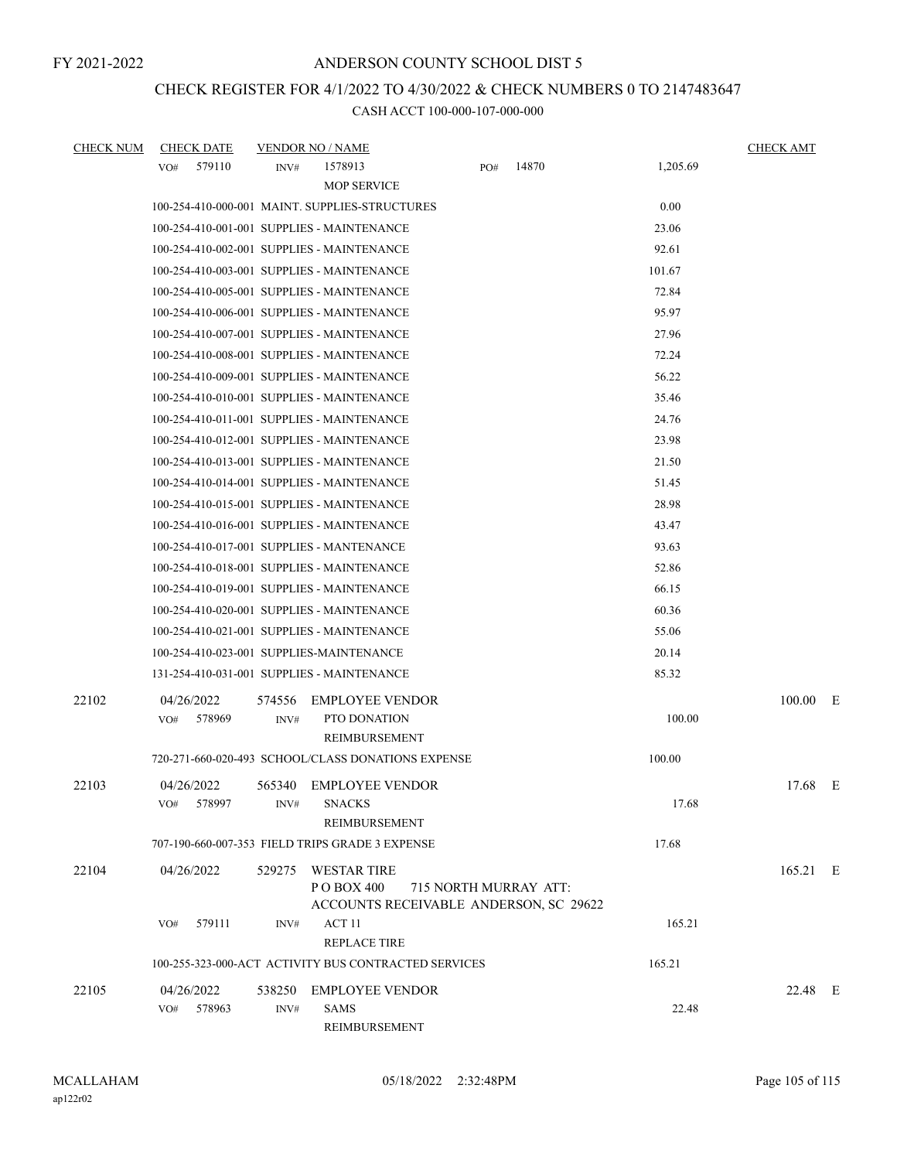# CHECK REGISTER FOR 4/1/2022 TO 4/30/2022 & CHECK NUMBERS 0 TO 2147483647

| <b>CHECK NUM</b> | <b>CHECK DATE</b>                          |                | <b>VENDOR NO / NAME</b>                                                     |     |                       |          | <b>CHECK AMT</b> |  |
|------------------|--------------------------------------------|----------------|-----------------------------------------------------------------------------|-----|-----------------------|----------|------------------|--|
|                  | 579110<br>VO#                              | INV#           | 1578913<br><b>MOP SERVICE</b>                                               | PO# | 14870                 | 1,205.69 |                  |  |
|                  |                                            |                | 100-254-410-000-001 MAINT. SUPPLIES-STRUCTURES                              |     |                       | 0.00     |                  |  |
|                  | 100-254-410-001-001 SUPPLIES - MAINTENANCE |                |                                                                             |     |                       | 23.06    |                  |  |
|                  | 100-254-410-002-001 SUPPLIES - MAINTENANCE |                |                                                                             |     |                       | 92.61    |                  |  |
|                  | 100-254-410-003-001 SUPPLIES - MAINTENANCE |                |                                                                             |     |                       | 101.67   |                  |  |
|                  | 100-254-410-005-001 SUPPLIES - MAINTENANCE |                |                                                                             |     |                       | 72.84    |                  |  |
|                  | 100-254-410-006-001 SUPPLIES - MAINTENANCE |                |                                                                             |     |                       | 95.97    |                  |  |
|                  | 100-254-410-007-001 SUPPLIES - MAINTENANCE |                |                                                                             |     |                       | 27.96    |                  |  |
|                  | 100-254-410-008-001 SUPPLIES - MAINTENANCE |                |                                                                             |     |                       | 72.24    |                  |  |
|                  | 100-254-410-009-001 SUPPLIES - MAINTENANCE |                |                                                                             |     |                       | 56.22    |                  |  |
|                  | 100-254-410-010-001 SUPPLIES - MAINTENANCE |                |                                                                             |     |                       | 35.46    |                  |  |
|                  | 100-254-410-011-001 SUPPLIES - MAINTENANCE |                |                                                                             |     |                       | 24.76    |                  |  |
|                  | 100-254-410-012-001 SUPPLIES - MAINTENANCE |                |                                                                             |     |                       | 23.98    |                  |  |
|                  | 100-254-410-013-001 SUPPLIES - MAINTENANCE |                |                                                                             |     |                       | 21.50    |                  |  |
|                  | 100-254-410-014-001 SUPPLIES - MAINTENANCE |                |                                                                             |     |                       | 51.45    |                  |  |
|                  | 100-254-410-015-001 SUPPLIES - MAINTENANCE |                |                                                                             |     |                       | 28.98    |                  |  |
|                  | 100-254-410-016-001 SUPPLIES - MAINTENANCE |                |                                                                             |     |                       | 43.47    |                  |  |
|                  | 100-254-410-017-001 SUPPLIES - MANTENANCE  |                |                                                                             |     |                       | 93.63    |                  |  |
|                  | 100-254-410-018-001 SUPPLIES - MAINTENANCE |                |                                                                             |     |                       | 52.86    |                  |  |
|                  | 100-254-410-019-001 SUPPLIES - MAINTENANCE |                |                                                                             |     |                       | 66.15    |                  |  |
|                  | 100-254-410-020-001 SUPPLIES - MAINTENANCE |                |                                                                             |     |                       | 60.36    |                  |  |
|                  | 100-254-410-021-001 SUPPLIES - MAINTENANCE |                |                                                                             |     |                       | 55.06    |                  |  |
|                  | 100-254-410-023-001 SUPPLIES-MAINTENANCE   |                |                                                                             |     |                       | 20.14    |                  |  |
|                  | 131-254-410-031-001 SUPPLIES - MAINTENANCE |                |                                                                             |     |                       | 85.32    |                  |  |
| 22102            | 04/26/2022<br>578969<br>VO#                | 574556<br>INV# | <b>EMPLOYEE VENDOR</b><br>PTO DONATION<br>REIMBURSEMENT                     |     |                       | 100.00   | $100.00$ E       |  |
|                  |                                            |                | 720-271-660-020-493 SCHOOL/CLASS DONATIONS EXPENSE                          |     |                       | 100.00   |                  |  |
| 22103            | 04/26/2022<br>578997<br>VO#                | 565340<br>INV# | EMPLOYEE VENDOR<br><b>SNACKS</b><br>REIMBURSEMENT                           |     |                       | 17.68    | 17.68 E          |  |
|                  |                                            |                | 707-190-660-007-353 FIELD TRIPS GRADE 3 EXPENSE                             |     |                       | 17.68    |                  |  |
| 22104            | 04/26/2022                                 | 529275         | <b>WESTAR TIRE</b><br>P O BOX 400<br>ACCOUNTS RECEIVABLE ANDERSON, SC 29622 |     | 715 NORTH MURRAY ATT: |          | 165.21 E         |  |
|                  | 579111<br>VO#                              | INV#           | ACT 11<br><b>REPLACE TIRE</b>                                               |     |                       | 165.21   |                  |  |
|                  |                                            |                | 100-255-323-000-ACT ACTIVITY BUS CONTRACTED SERVICES                        |     |                       | 165.21   |                  |  |
| 22105            | 04/26/2022<br>578963<br>VO#                | 538250<br>INV# | <b>EMPLOYEE VENDOR</b><br><b>SAMS</b>                                       |     |                       | 22.48    | 22.48 E          |  |
|                  |                                            |                | REIMBURSEMENT                                                               |     |                       |          |                  |  |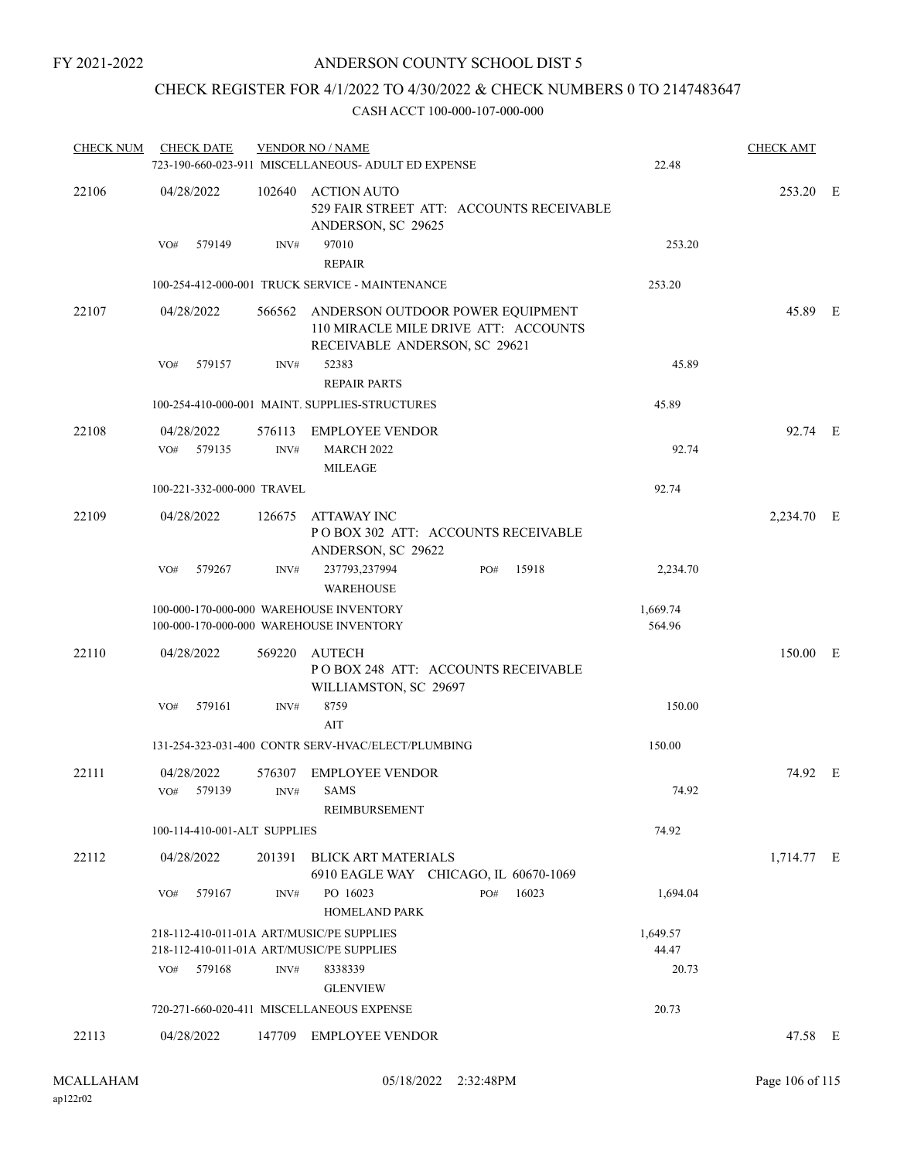### CHECK REGISTER FOR 4/1/2022 TO 4/30/2022 & CHECK NUMBERS 0 TO 2147483647

| <b>CHECK NUM</b> | <b>CHECK DATE</b>                                                                      |                | <b>VENDOR NO / NAME</b><br>723-190-660-023-911 MISCELLANEOUS- ADULT ED EXPENSE                                   | 22.48              | <b>CHECK AMT</b> |  |
|------------------|----------------------------------------------------------------------------------------|----------------|------------------------------------------------------------------------------------------------------------------|--------------------|------------------|--|
| 22106            | 04/28/2022                                                                             |                | 102640 ACTION AUTO<br>529 FAIR STREET ATT: ACCOUNTS RECEIVABLE<br>ANDERSON, SC 29625                             |                    | 253.20 E         |  |
|                  | 579149<br>VO#                                                                          | INV#           | 97010<br><b>REPAIR</b>                                                                                           | 253.20             |                  |  |
|                  |                                                                                        |                | 100-254-412-000-001 TRUCK SERVICE - MAINTENANCE                                                                  | 253.20             |                  |  |
| 22107            | 04/28/2022                                                                             |                | 566562 ANDERSON OUTDOOR POWER EQUIPMENT<br>110 MIRACLE MILE DRIVE ATT: ACCOUNTS<br>RECEIVABLE ANDERSON, SC 29621 |                    | 45.89 E          |  |
|                  | 579157<br>VO#                                                                          | INV#           | 52383<br><b>REPAIR PARTS</b>                                                                                     | 45.89              |                  |  |
|                  |                                                                                        |                | 100-254-410-000-001 MAINT. SUPPLIES-STRUCTURES                                                                   | 45.89              |                  |  |
| 22108            | 04/28/2022<br>VO# 579135                                                               | 576113<br>INV# | <b>EMPLOYEE VENDOR</b><br><b>MARCH 2022</b><br><b>MILEAGE</b>                                                    | 92.74              | 92.74 E          |  |
|                  | 100-221-332-000-000 TRAVEL                                                             |                |                                                                                                                  | 92.74              |                  |  |
| 22109            | 04/28/2022                                                                             | 126675         | <b>ATTAWAY INC</b><br>POBOX 302 ATT: ACCOUNTS RECEIVABLE<br>ANDERSON, SC 29622                                   |                    | 2,234.70 E       |  |
|                  | 579267<br>VO#                                                                          | INV#           | 237793,237994<br>15918<br>PO#<br><b>WAREHOUSE</b>                                                                | 2,234.70           |                  |  |
|                  |                                                                                        |                | 100-000-170-000-000 WAREHOUSE INVENTORY<br>100-000-170-000-000 WAREHOUSE INVENTORY                               | 1,669.74<br>564.96 |                  |  |
| 22110            | 04/28/2022                                                                             | 569220         | AUTECH<br>POBOX 248 ATT: ACCOUNTS RECEIVABLE<br>WILLIAMSTON, SC 29697                                            |                    | 150.00 E         |  |
|                  | 579161<br>VO#                                                                          | INV#           | 8759<br>AIT                                                                                                      | 150.00             |                  |  |
|                  |                                                                                        |                | 131-254-323-031-400 CONTR SERV-HVAC/ELECT/PLUMBING                                                               | 150.00             |                  |  |
| 22111            | 04/28/2022<br>579139<br>VO#                                                            | 576307<br>INV# | <b>EMPLOYEE VENDOR</b><br><b>SAMS</b><br>REIMBURSEMENT                                                           | 74.92              | 74.92 E          |  |
|                  | 100-114-410-001-ALT SUPPLIES                                                           |                |                                                                                                                  | 74.92              |                  |  |
| 22112            | 04/28/2022                                                                             | 201391         | <b>BLICK ART MATERIALS</b><br>6910 EAGLE WAY CHICAGO, IL 60670-1069                                              |                    | 1,714.77 E       |  |
|                  | VO#<br>579167                                                                          | INV#           | PO 16023<br>16023<br>PO#<br><b>HOMELAND PARK</b>                                                                 | 1,694.04           |                  |  |
|                  | 218-112-410-011-01A ART/MUSIC/PE SUPPLIES<br>218-112-410-011-01A ART/MUSIC/PE SUPPLIES |                |                                                                                                                  | 1,649.57<br>44.47  |                  |  |
|                  | VO# 579168                                                                             | INV#           | 8338339                                                                                                          | 20.73              |                  |  |
|                  |                                                                                        |                | <b>GLENVIEW</b>                                                                                                  |                    |                  |  |
|                  |                                                                                        |                | 720-271-660-020-411 MISCELLANEOUS EXPENSE                                                                        | 20.73              |                  |  |
| 22113            | 04/28/2022                                                                             |                | 147709 EMPLOYEE VENDOR                                                                                           |                    | 47.58 E          |  |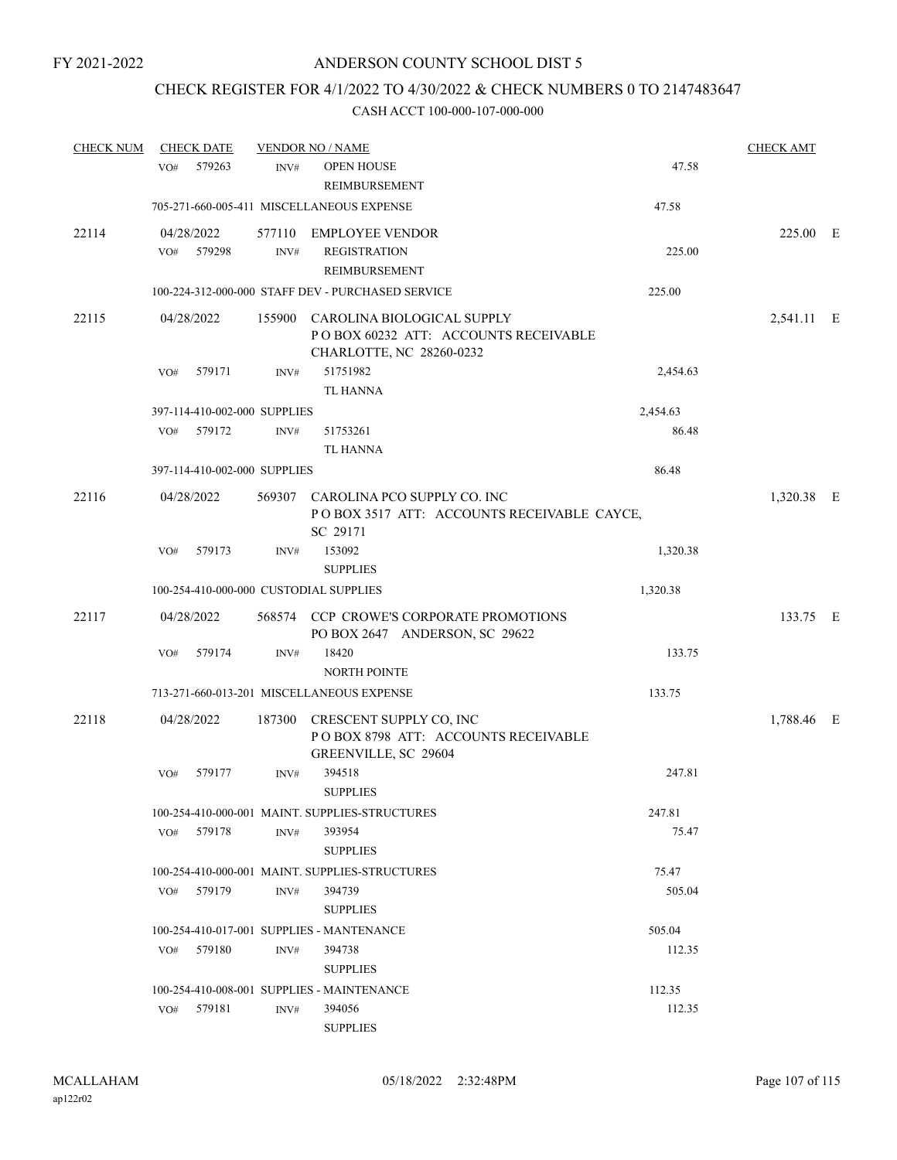### CHECK REGISTER FOR 4/1/2022 TO 4/30/2022 & CHECK NUMBERS 0 TO 2147483647

| <b>CHECK NUM</b> | <b>CHECK DATE</b>           |                                        | <b>VENDOR NO / NAME</b>                                                                               |          | <b>CHECK AMT</b> |  |
|------------------|-----------------------------|----------------------------------------|-------------------------------------------------------------------------------------------------------|----------|------------------|--|
|                  | 579263<br>VO#               | INV#                                   | <b>OPEN HOUSE</b><br><b>REIMBURSEMENT</b>                                                             | 47.58    |                  |  |
|                  |                             |                                        | 705-271-660-005-411 MISCELLANEOUS EXPENSE                                                             | 47.58    |                  |  |
| 22114            | 04/28/2022<br>579298<br>VO# | INV#                                   | 577110 EMPLOYEE VENDOR<br><b>REGISTRATION</b><br>REIMBURSEMENT                                        | 225.00   | 225.00 E         |  |
|                  |                             |                                        | 100-224-312-000-000 STAFF DEV - PURCHASED SERVICE                                                     | 225.00   |                  |  |
| 22115            | 04/28/2022                  |                                        | 155900 CAROLINA BIOLOGICAL SUPPLY<br>POBOX 60232 ATT: ACCOUNTS RECEIVABLE<br>CHARLOTTE, NC 28260-0232 |          | 2,541.11 E       |  |
|                  | 579171<br>VO#               | INV#                                   | 51751982<br>TL HANNA                                                                                  | 2,454.63 |                  |  |
|                  |                             | 397-114-410-002-000 SUPPLIES           |                                                                                                       | 2,454.63 |                  |  |
|                  | 579172<br>VO#               | INV#                                   | 51753261<br><b>TL HANNA</b>                                                                           | 86.48    |                  |  |
|                  |                             | 397-114-410-002-000 SUPPLIES           |                                                                                                       | 86.48    |                  |  |
| 22116            | 04/28/2022                  |                                        | 569307 CAROLINA PCO SUPPLY CO. INC<br>POBOX 3517 ATT: ACCOUNTS RECEIVABLE CAYCE,<br>SC 29171          |          | 1,320.38 E       |  |
|                  | VO#<br>579173               | INV#                                   | 153092<br><b>SUPPLIES</b>                                                                             | 1,320.38 |                  |  |
|                  |                             | 100-254-410-000-000 CUSTODIAL SUPPLIES |                                                                                                       | 1,320.38 |                  |  |
| 22117            | 04/28/2022                  |                                        | 568574 CCP CROWE'S CORPORATE PROMOTIONS<br>PO BOX 2647 ANDERSON, SC 29622                             |          | 133.75 E         |  |
|                  | 579174<br>VO#               | INV#                                   | 18420<br><b>NORTH POINTE</b>                                                                          | 133.75   |                  |  |
|                  |                             |                                        | 713-271-660-013-201 MISCELLANEOUS EXPENSE                                                             | 133.75   |                  |  |
| 22118            | 04/28/2022                  |                                        | 187300 CRESCENT SUPPLY CO, INC<br>POBOX 8798 ATT: ACCOUNTS RECEIVABLE<br>GREENVILLE, SC 29604         |          | 1,788.46 E       |  |
|                  | VO#<br>579177               | INV#                                   | 394518<br><b>SUPPLIES</b>                                                                             | 247.81   |                  |  |
|                  |                             |                                        | 100-254-410-000-001 MAINT. SUPPLIES-STRUCTURES                                                        | 247.81   |                  |  |
|                  | 579178<br>VO#               | INV#                                   | 393954<br><b>SUPPLIES</b>                                                                             | 75.47    |                  |  |
|                  |                             |                                        | 100-254-410-000-001 MAINT. SUPPLIES-STRUCTURES                                                        | 75.47    |                  |  |
|                  | 579179<br>VO#               | INV#                                   | 394739<br><b>SUPPLIES</b>                                                                             | 505.04   |                  |  |
|                  |                             |                                        | 100-254-410-017-001 SUPPLIES - MANTENANCE                                                             | 505.04   |                  |  |
|                  | 579180<br>VO#               | INV#                                   | 394738<br><b>SUPPLIES</b>                                                                             | 112.35   |                  |  |
|                  |                             |                                        | 100-254-410-008-001 SUPPLIES - MAINTENANCE                                                            | 112.35   |                  |  |
|                  | 579181<br>VO#               | INV#                                   | 394056<br><b>SUPPLIES</b>                                                                             | 112.35   |                  |  |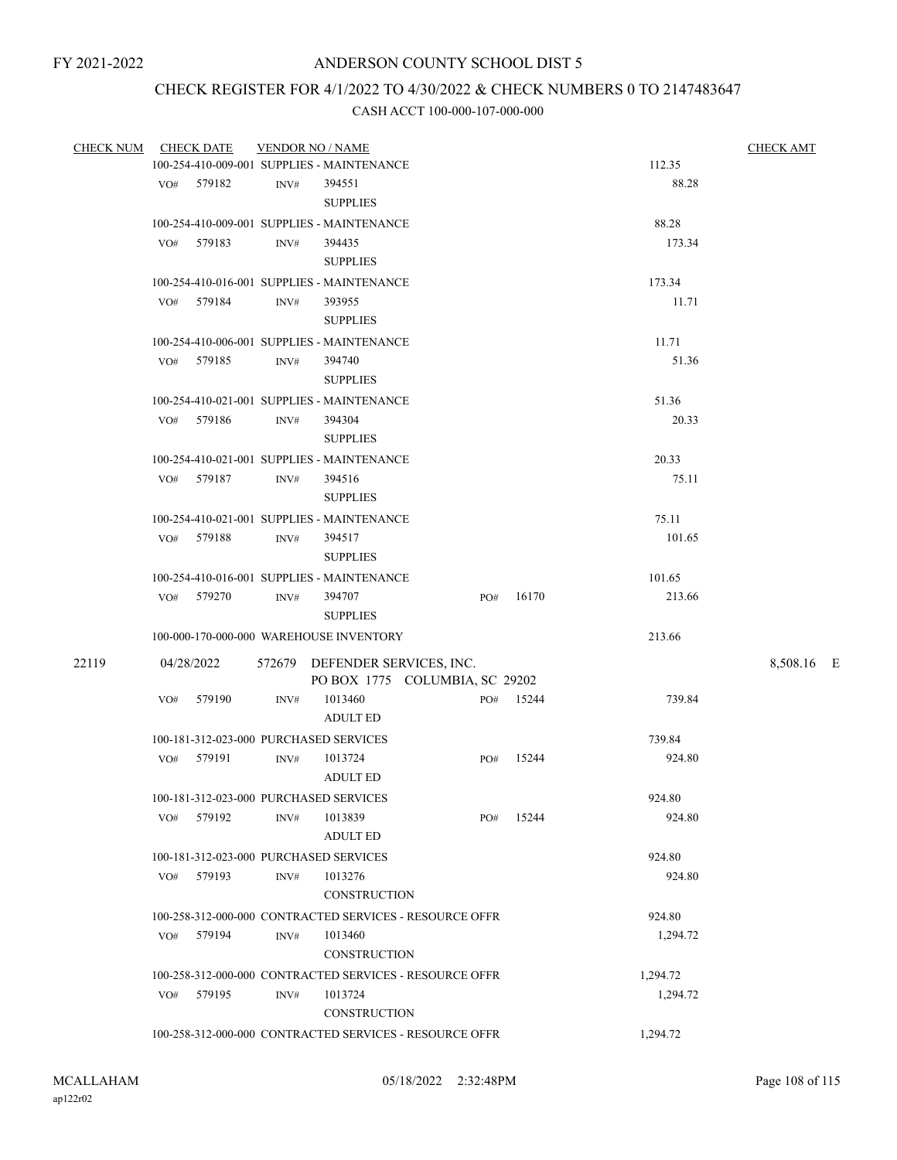### CHECK REGISTER FOR 4/1/2022 TO 4/30/2022 & CHECK NUMBERS 0 TO 2147483647

| <b>CHECK NUM</b> |            | <b>CHECK DATE</b> |      | <b>VENDOR NO / NAME</b>                                 |     |             |          | <b>CHECK AMT</b> |  |
|------------------|------------|-------------------|------|---------------------------------------------------------|-----|-------------|----------|------------------|--|
|                  |            |                   |      | 100-254-410-009-001 SUPPLIES - MAINTENANCE              |     |             | 112.35   |                  |  |
|                  |            | VO# 579182        | INV# | 394551                                                  |     |             | 88.28    |                  |  |
|                  |            |                   |      | <b>SUPPLIES</b>                                         |     |             |          |                  |  |
|                  |            |                   |      | 100-254-410-009-001 SUPPLIES - MAINTENANCE              |     |             | 88.28    |                  |  |
|                  |            | $VO#$ 579183      | INV# | 394435                                                  |     |             | 173.34   |                  |  |
|                  |            |                   |      | <b>SUPPLIES</b>                                         |     |             |          |                  |  |
|                  |            |                   |      | 100-254-410-016-001 SUPPLIES - MAINTENANCE              |     |             | 173.34   |                  |  |
|                  |            | VO# 579184        | INV# | 393955                                                  |     |             | 11.71    |                  |  |
|                  |            |                   |      | <b>SUPPLIES</b>                                         |     |             |          |                  |  |
|                  |            |                   |      | 100-254-410-006-001 SUPPLIES - MAINTENANCE              |     |             | 11.71    |                  |  |
|                  |            | VO# 579185        | INV# | 394740                                                  |     |             | 51.36    |                  |  |
|                  |            |                   |      | <b>SUPPLIES</b>                                         |     |             |          |                  |  |
|                  |            |                   |      | 100-254-410-021-001 SUPPLIES - MAINTENANCE              |     |             | 51.36    |                  |  |
|                  |            | VO# 579186        | INV# | 394304                                                  |     |             | 20.33    |                  |  |
|                  |            |                   |      | <b>SUPPLIES</b>                                         |     |             |          |                  |  |
|                  |            |                   |      | 100-254-410-021-001 SUPPLIES - MAINTENANCE              |     |             | 20.33    |                  |  |
|                  |            | VO# 579187        | INV# | 394516                                                  |     |             | 75.11    |                  |  |
|                  |            |                   |      | <b>SUPPLIES</b>                                         |     |             |          |                  |  |
|                  |            |                   |      | 100-254-410-021-001 SUPPLIES - MAINTENANCE              |     |             | 75.11    |                  |  |
|                  |            | VO# 579188        | INV# | 394517                                                  |     |             | 101.65   |                  |  |
|                  |            |                   |      | <b>SUPPLIES</b>                                         |     |             |          |                  |  |
|                  |            |                   |      | 100-254-410-016-001 SUPPLIES - MAINTENANCE              |     |             | 101.65   |                  |  |
|                  |            | VO# 579270        | INV# | 394707                                                  | PO# | 16170       | 213.66   |                  |  |
|                  |            |                   |      | <b>SUPPLIES</b>                                         |     |             |          |                  |  |
|                  |            |                   |      | 100-000-170-000-000 WAREHOUSE INVENTORY                 |     |             | 213.66   |                  |  |
| 22119            | 04/28/2022 |                   |      | 572679 DEFENDER SERVICES, INC.                          |     |             |          | 8,508.16 E       |  |
|                  |            |                   |      | PO BOX 1775 COLUMBIA, SC 29202                          |     |             |          |                  |  |
|                  | VO#        | 579190            | INV# | 1013460                                                 |     | $PO#$ 15244 | 739.84   |                  |  |
|                  |            |                   |      | <b>ADULT ED</b>                                         |     |             |          |                  |  |
|                  |            |                   |      | 100-181-312-023-000 PURCHASED SERVICES                  |     |             | 739.84   |                  |  |
|                  |            | VO# 579191        | INV# | 1013724                                                 | PO# | 15244       | 924.80   |                  |  |
|                  |            |                   |      | <b>ADULT ED</b>                                         |     |             |          |                  |  |
|                  |            |                   |      | 100-181-312-023-000 PURCHASED SERVICES                  |     |             | 924.80   |                  |  |
|                  | VO#        | 579192            | INV# | 1013839                                                 | PO# | 15244       | 924.80   |                  |  |
|                  |            |                   |      | <b>ADULT ED</b>                                         |     |             |          |                  |  |
|                  |            |                   |      | 100-181-312-023-000 PURCHASED SERVICES                  |     |             | 924.80   |                  |  |
|                  | VO#        | 579193            | INV# | 1013276                                                 |     |             | 924.80   |                  |  |
|                  |            |                   |      | <b>CONSTRUCTION</b>                                     |     |             |          |                  |  |
|                  |            |                   |      | 100-258-312-000-000 CONTRACTED SERVICES - RESOURCE OFFR |     |             | 924.80   |                  |  |
|                  | VO#        | 579194            | INV# | 1013460                                                 |     |             | 1,294.72 |                  |  |
|                  |            |                   |      | CONSTRUCTION                                            |     |             |          |                  |  |
|                  |            |                   |      | 100-258-312-000-000 CONTRACTED SERVICES - RESOURCE OFFR |     |             | 1,294.72 |                  |  |
|                  | VO#        | 579195            | INV# | 1013724                                                 |     |             | 1,294.72 |                  |  |
|                  |            |                   |      | <b>CONSTRUCTION</b>                                     |     |             |          |                  |  |
|                  |            |                   |      | 100-258-312-000-000 CONTRACTED SERVICES - RESOURCE OFFR |     |             | 1,294.72 |                  |  |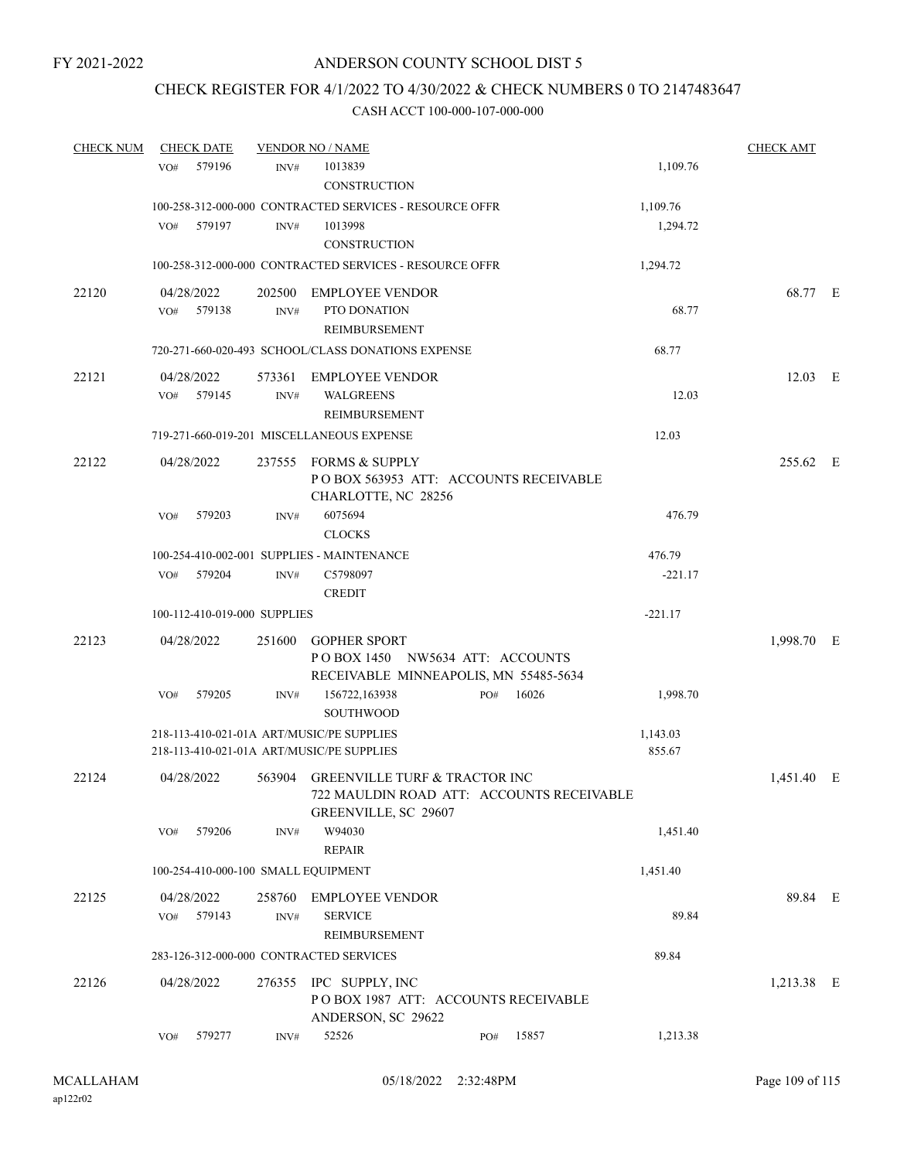# CHECK REGISTER FOR 4/1/2022 TO 4/30/2022 & CHECK NUMBERS 0 TO 2147483647

| <b>CHECK NUM</b> | <b>CHECK DATE</b> |                                     | <b>VENDOR NO / NAME</b>                                                                |              |                    | <b>CHECK AMT</b> |  |
|------------------|-------------------|-------------------------------------|----------------------------------------------------------------------------------------|--------------|--------------------|------------------|--|
|                  | 579196<br>VO#     | INV#                                | 1013839                                                                                |              | 1,109.76           |                  |  |
|                  |                   |                                     | CONSTRUCTION                                                                           |              |                    |                  |  |
|                  |                   |                                     | 100-258-312-000-000 CONTRACTED SERVICES - RESOURCE OFFR                                |              | 1,109.76           |                  |  |
|                  | 579197<br>VO#     | INV#                                | 1013998                                                                                |              | 1,294.72           |                  |  |
|                  |                   |                                     | <b>CONSTRUCTION</b>                                                                    |              |                    |                  |  |
|                  |                   |                                     | 100-258-312-000-000 CONTRACTED SERVICES - RESOURCE OFFR                                |              | 1,294.72           |                  |  |
| 22120            | 04/28/2022        | 202500                              | EMPLOYEE VENDOR                                                                        |              |                    | 68.77 E          |  |
|                  | VO# 579138        | INV#                                | PTO DONATION                                                                           |              | 68.77              |                  |  |
|                  |                   |                                     | <b>REIMBURSEMENT</b>                                                                   |              |                    |                  |  |
|                  |                   |                                     | 720-271-660-020-493 SCHOOL/CLASS DONATIONS EXPENSE                                     |              | 68.77              |                  |  |
| 22121            | 04/28/2022        |                                     | 573361 EMPLOYEE VENDOR                                                                 |              |                    | 12.03 E          |  |
|                  | VO# 579145        | INV#                                | <b>WALGREENS</b>                                                                       |              | 12.03              |                  |  |
|                  |                   |                                     | <b>REIMBURSEMENT</b>                                                                   |              |                    |                  |  |
|                  |                   |                                     | 719-271-660-019-201 MISCELLANEOUS EXPENSE                                              |              | 12.03              |                  |  |
| 22122            | 04/28/2022        |                                     | 237555 FORMS & SUPPLY                                                                  |              |                    | 255.62 E         |  |
|                  |                   |                                     | PO BOX 563953 ATT: ACCOUNTS RECEIVABLE                                                 |              |                    |                  |  |
|                  |                   |                                     | CHARLOTTE, NC 28256                                                                    |              |                    |                  |  |
|                  | VO#<br>579203     | INV#                                | 6075694<br><b>CLOCKS</b>                                                               |              | 476.79             |                  |  |
|                  |                   |                                     | 100-254-410-002-001 SUPPLIES - MAINTENANCE                                             |              | 476.79             |                  |  |
|                  | VO# 579204        | INV#                                | C5798097                                                                               |              | $-221.17$          |                  |  |
|                  |                   |                                     | <b>CREDIT</b>                                                                          |              |                    |                  |  |
|                  |                   | 100-112-410-019-000 SUPPLIES        |                                                                                        |              | $-221.17$          |                  |  |
| 22123            | 04/28/2022        |                                     | 251600 GOPHER SPORT                                                                    |              |                    | 1,998.70 E       |  |
|                  |                   |                                     | POBOX 1450 NW5634 ATT: ACCOUNTS                                                        |              |                    |                  |  |
|                  |                   |                                     | RECEIVABLE MINNEAPOLIS, MN 55485-5634                                                  |              |                    |                  |  |
|                  | VO#<br>579205     | INV#                                | 156722,163938                                                                          | 16026<br>PO# | 1,998.70           |                  |  |
|                  |                   |                                     | <b>SOUTHWOOD</b>                                                                       |              |                    |                  |  |
|                  |                   |                                     | 218-113-410-021-01A ART/MUSIC/PE SUPPLIES<br>218-113-410-021-01A ART/MUSIC/PE SUPPLIES |              | 1,143.03<br>855.67 |                  |  |
|                  |                   |                                     |                                                                                        |              |                    |                  |  |
| 22124            | 04/28/2022        |                                     | 563904 GREENVILLE TURF & TRACTOR INC                                                   |              |                    | 1,451.40 E       |  |
|                  |                   |                                     | 722 MAULDIN ROAD ATT: ACCOUNTS RECEIVABLE<br>GREENVILLE, SC 29607                      |              |                    |                  |  |
|                  | 579206<br>VO#     | INV#                                | W94030                                                                                 |              | 1,451.40           |                  |  |
|                  |                   |                                     | <b>REPAIR</b>                                                                          |              |                    |                  |  |
|                  |                   | 100-254-410-000-100 SMALL EQUIPMENT |                                                                                        |              | 1,451.40           |                  |  |
| 22125            | 04/28/2022        | 258760                              | <b>EMPLOYEE VENDOR</b>                                                                 |              |                    | 89.84 E          |  |
|                  | 579143<br>VO#     | INV#                                | <b>SERVICE</b>                                                                         |              | 89.84              |                  |  |
|                  |                   |                                     | <b>REIMBURSEMENT</b>                                                                   |              |                    |                  |  |
|                  |                   |                                     | 283-126-312-000-000 CONTRACTED SERVICES                                                |              | 89.84              |                  |  |
| 22126            | 04/28/2022        |                                     | 276355 IPC SUPPLY, INC                                                                 |              |                    | 1,213.38 E       |  |
|                  |                   |                                     | POBOX 1987 ATT: ACCOUNTS RECEIVABLE                                                    |              |                    |                  |  |
|                  |                   |                                     | ANDERSON, SC 29622                                                                     |              |                    |                  |  |
|                  | 579277<br>VO#     | INV#                                | 52526                                                                                  | 15857<br>PO# | 1,213.38           |                  |  |
|                  |                   |                                     |                                                                                        |              |                    |                  |  |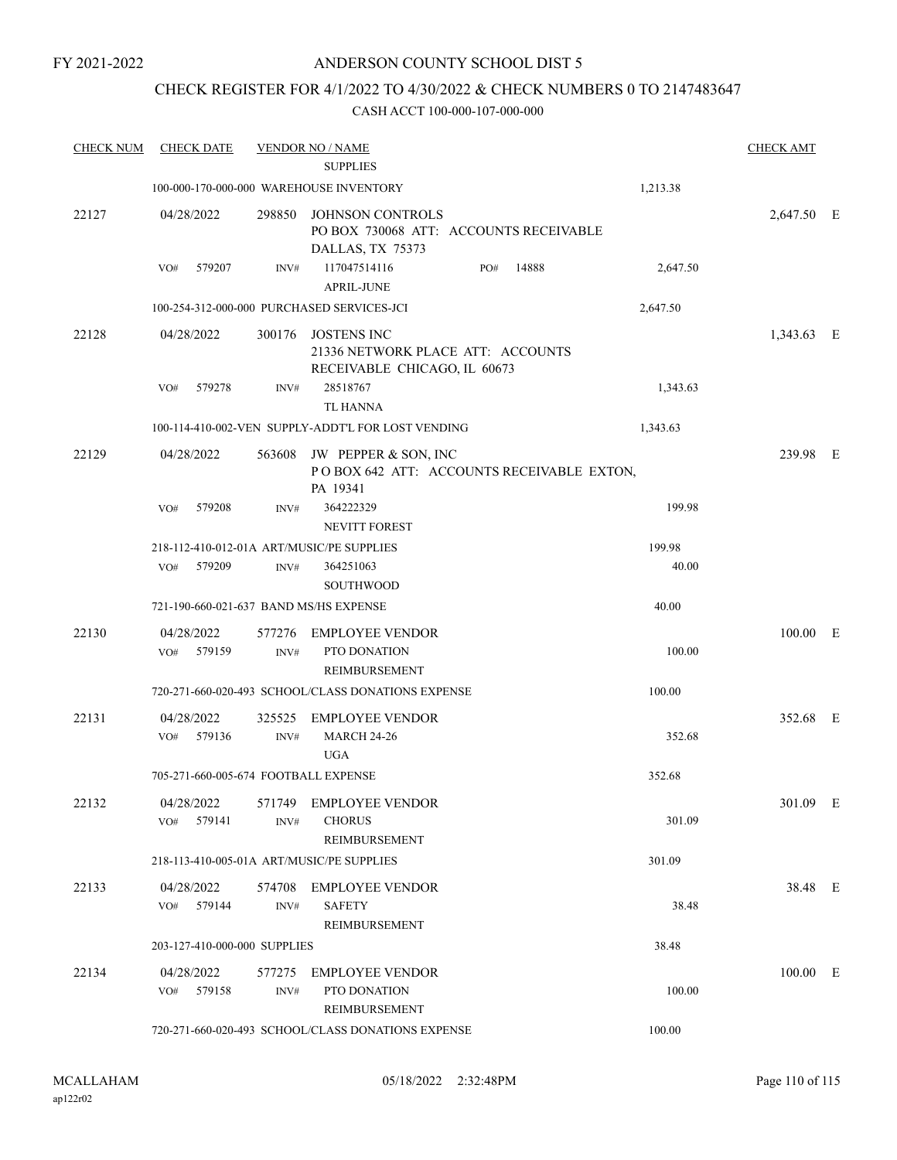### CHECK REGISTER FOR 4/1/2022 TO 4/30/2022 & CHECK NUMBERS 0 TO 2147483647

| <b>CHECK NUM</b> | CHECK DATE                             |                | <b>VENDOR NO / NAME</b>                                                                 |          | <b>CHECK AMT</b> |
|------------------|----------------------------------------|----------------|-----------------------------------------------------------------------------------------|----------|------------------|
|                  |                                        |                | <b>SUPPLIES</b>                                                                         |          |                  |
|                  |                                        |                | 100-000-170-000-000 WAREHOUSE INVENTORY                                                 | 1,213.38 |                  |
| 22127            | 04/28/2022                             | 298850         | <b>JOHNSON CONTROLS</b><br>PO BOX 730068 ATT: ACCOUNTS RECEIVABLE<br>DALLAS, TX 75373   |          | 2,647.50 E       |
|                  | 579207<br>VO#                          | INV#           | 117047514116<br>14888<br>PO#<br><b>APRIL-JUNE</b>                                       | 2,647.50 |                  |
|                  |                                        |                | 100-254-312-000-000 PURCHASED SERVICES-JCI                                              | 2,647.50 |                  |
| 22128            | 04/28/2022                             | 300176         | <b>JOSTENS INC</b><br>21336 NETWORK PLACE ATT: ACCOUNTS<br>RECEIVABLE CHICAGO, IL 60673 |          | 1,343.63 E       |
|                  | 579278<br>VO#                          | INV#           | 28518767<br><b>TL HANNA</b>                                                             | 1,343.63 |                  |
|                  |                                        |                | 100-114-410-002-VEN SUPPLY-ADDT'L FOR LOST VENDING                                      | 1,343.63 |                  |
| 22129            | 04/28/2022                             | 563608         | JW PEPPER & SON, INC<br>POBOX 642 ATT: ACCOUNTS RECEIVABLE EXTON,<br>PA 19341           |          | 239.98 E         |
|                  | VO#<br>579208                          | INV#           | 364222329<br><b>NEVITT FOREST</b>                                                       | 199.98   |                  |
|                  |                                        |                | 218-112-410-012-01A ART/MUSIC/PE SUPPLIES                                               | 199.98   |                  |
|                  | 579209<br>VO#                          | INV#           | 364251063<br><b>SOUTHWOOD</b>                                                           | 40.00    |                  |
|                  | 721-190-660-021-637 BAND MS/HS EXPENSE |                |                                                                                         | 40.00    |                  |
| 22130            | 04/28/2022<br>579159<br>VO#            | 577276<br>INV# | <b>EMPLOYEE VENDOR</b><br>PTO DONATION<br><b>REIMBURSEMENT</b>                          | 100.00   | 100.00 E         |
|                  |                                        |                | 720-271-660-020-493 SCHOOL/CLASS DONATIONS EXPENSE                                      | 100.00   |                  |
| 22131            | 04/28/2022<br>579136<br>VO#            | 325525<br>INV# | <b>EMPLOYEE VENDOR</b><br><b>MARCH 24-26</b><br><b>UGA</b>                              | 352.68   | 352.68 E         |
|                  | 705-271-660-005-674 FOOTBALL EXPENSE   |                |                                                                                         | 352.68   |                  |
| 22132            | 04/28/2022<br>VO# 579141               | 571749<br>INV# | EMPLOYEE VENDOR<br><b>CHORUS</b><br>REIMBURSEMENT                                       | 301.09   | 301.09 E         |
|                  |                                        |                | 218-113-410-005-01A ART/MUSIC/PE SUPPLIES                                               | 301.09   |                  |
| 22133            | 04/28/2022<br>VO# 579144               | INV#           | 574708 EMPLOYEE VENDOR<br><b>SAFETY</b><br>REIMBURSEMENT                                | 38.48    | 38.48 E          |
|                  | 203-127-410-000-000 SUPPLIES           |                |                                                                                         | 38.48    |                  |
| 22134            | 04/28/2022<br>579158<br>VO#            | 577275<br>INV# | EMPLOYEE VENDOR<br>PTO DONATION<br>REIMBURSEMENT                                        | 100.00   | 100.00 E         |
|                  |                                        |                | 720-271-660-020-493 SCHOOL/CLASS DONATIONS EXPENSE                                      | 100.00   |                  |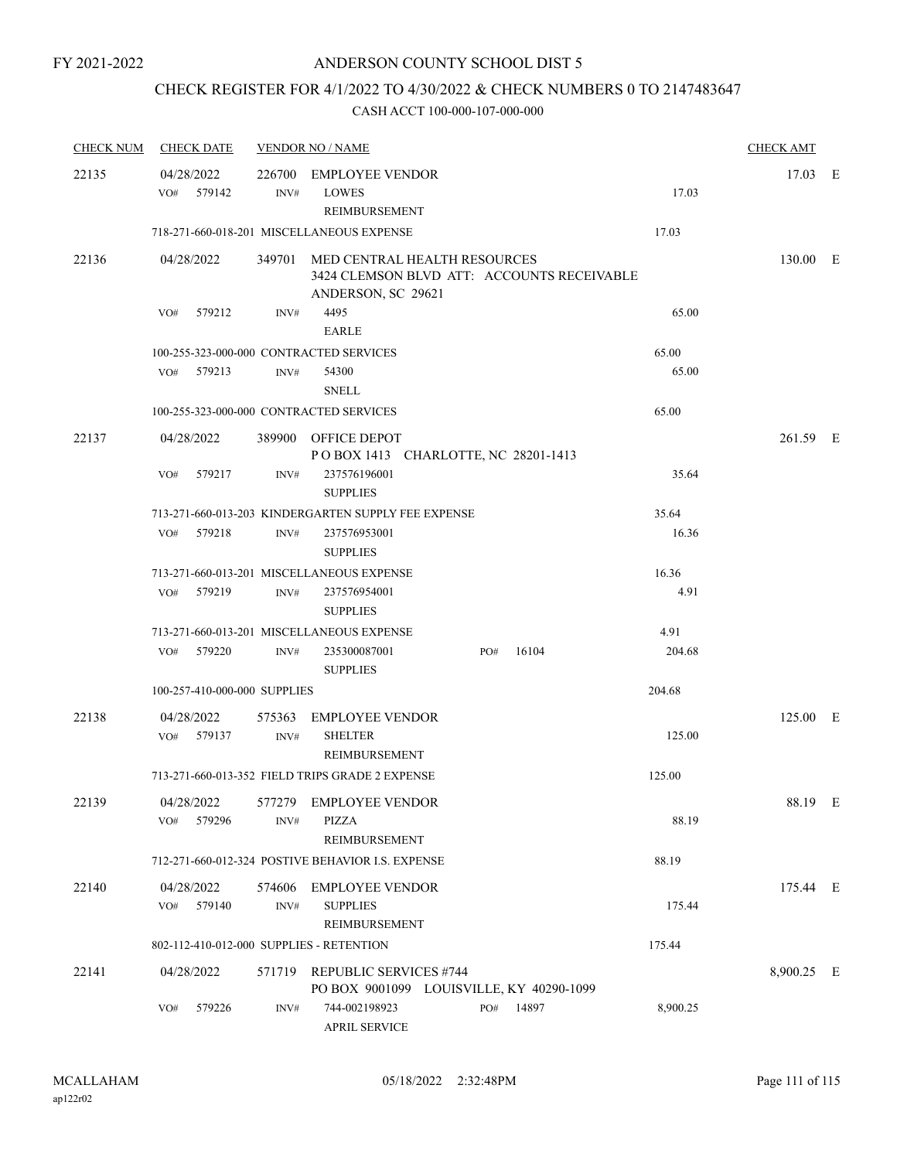# CHECK REGISTER FOR 4/1/2022 TO 4/30/2022 & CHECK NUMBERS 0 TO 2147483647

| <b>CHECK NUM</b> | <b>CHECK DATE</b>        |            |                              | <b>VENDOR NO / NAME</b>                                                                                 |     |           |          | <b>CHECK AMT</b> |  |
|------------------|--------------------------|------------|------------------------------|---------------------------------------------------------------------------------------------------------|-----|-----------|----------|------------------|--|
| 22135            | 04/28/2022<br>VO# 579142 |            | INV#                         | 226700 EMPLOYEE VENDOR<br><b>LOWES</b><br>REIMBURSEMENT                                                 |     |           | 17.03    | 17.03 E          |  |
|                  |                          |            |                              | 718-271-660-018-201 MISCELLANEOUS EXPENSE                                                               |     |           | 17.03    |                  |  |
| 22136            | 04/28/2022               |            |                              | 349701 MED CENTRAL HEALTH RESOURCES<br>3424 CLEMSON BLVD ATT: ACCOUNTS RECEIVABLE<br>ANDERSON, SC 29621 |     |           |          | 130.00 E         |  |
|                  | VO#                      | 579212     | INV#                         | 4495<br>EARLE                                                                                           |     |           | 65.00    |                  |  |
|                  |                          |            |                              | 100-255-323-000-000 CONTRACTED SERVICES                                                                 |     |           | 65.00    |                  |  |
|                  | VO# 579213               |            | INV#                         | 54300<br><b>SNELL</b>                                                                                   |     |           | 65.00    |                  |  |
|                  |                          |            |                              | 100-255-323-000-000 CONTRACTED SERVICES                                                                 |     |           | 65.00    |                  |  |
| 22137            | 04/28/2022               |            |                              | 389900 OFFICE DEPOT<br>POBOX 1413 CHARLOTTE, NC 28201-1413                                              |     |           |          | 261.59 E         |  |
|                  | VO#                      | 579217     | INV#                         | 237576196001<br><b>SUPPLIES</b>                                                                         |     |           | 35.64    |                  |  |
|                  |                          |            |                              | 713-271-660-013-203 KINDERGARTEN SUPPLY FEE EXPENSE                                                     |     |           | 35.64    |                  |  |
|                  | VO#                      | 579218     | INV#                         | 237576953001<br><b>SUPPLIES</b>                                                                         |     |           | 16.36    |                  |  |
|                  |                          |            |                              | 713-271-660-013-201 MISCELLANEOUS EXPENSE                                                               |     |           | 16.36    |                  |  |
|                  | VO#                      | 579219     | INV#                         | 237576954001<br><b>SUPPLIES</b>                                                                         |     |           | 4.91     |                  |  |
|                  |                          |            |                              | 713-271-660-013-201 MISCELLANEOUS EXPENSE                                                               |     |           | 4.91     |                  |  |
|                  | VO# 579220               |            | INV#                         | 235300087001<br><b>SUPPLIES</b>                                                                         | PO# | 16104     | 204.68   |                  |  |
|                  |                          |            | 100-257-410-000-000 SUPPLIES |                                                                                                         |     |           | 204.68   |                  |  |
| 22138            | VO# 579137               | 04/28/2022 | INV#                         | 575363 EMPLOYEE VENDOR<br><b>SHELTER</b><br>REIMBURSEMENT                                               |     |           | 125.00   | 125.00 E         |  |
|                  |                          |            |                              | 713-271-660-013-352 FIELD TRIPS GRADE 2 EXPENSE                                                         |     |           | 125.00   |                  |  |
| 22139            | VO#                      | 579296     | INV#                         | 04/28/2022 577279 EMPLOYEE VENDOR<br>PIZZA                                                              |     |           | 88.19    | 88.19 E          |  |
|                  |                          |            |                              | REIMBURSEMENT                                                                                           |     |           |          |                  |  |
|                  |                          |            |                              | 712-271-660-012-324 POSTIVE BEHAVIOR I.S. EXPENSE                                                       |     |           | 88.19    |                  |  |
| 22140            | 04/28/2022<br>VO# 579140 |            | INV#                         | 574606 EMPLOYEE VENDOR<br><b>SUPPLIES</b><br>REIMBURSEMENT                                              |     |           | 175.44   | 175.44 E         |  |
|                  |                          |            |                              | 802-112-410-012-000 SUPPLIES - RETENTION                                                                |     |           | 175.44   |                  |  |
| 22141            | 04/28/2022               |            |                              | 571719 REPUBLIC SERVICES #744<br>PO BOX 9001099 LOUISVILLE, KY 40290-1099                               |     |           |          | 8,900.25 E       |  |
|                  | VO#                      | 579226     | INV#                         | 744-002198923<br><b>APRIL SERVICE</b>                                                                   |     | PO# 14897 | 8,900.25 |                  |  |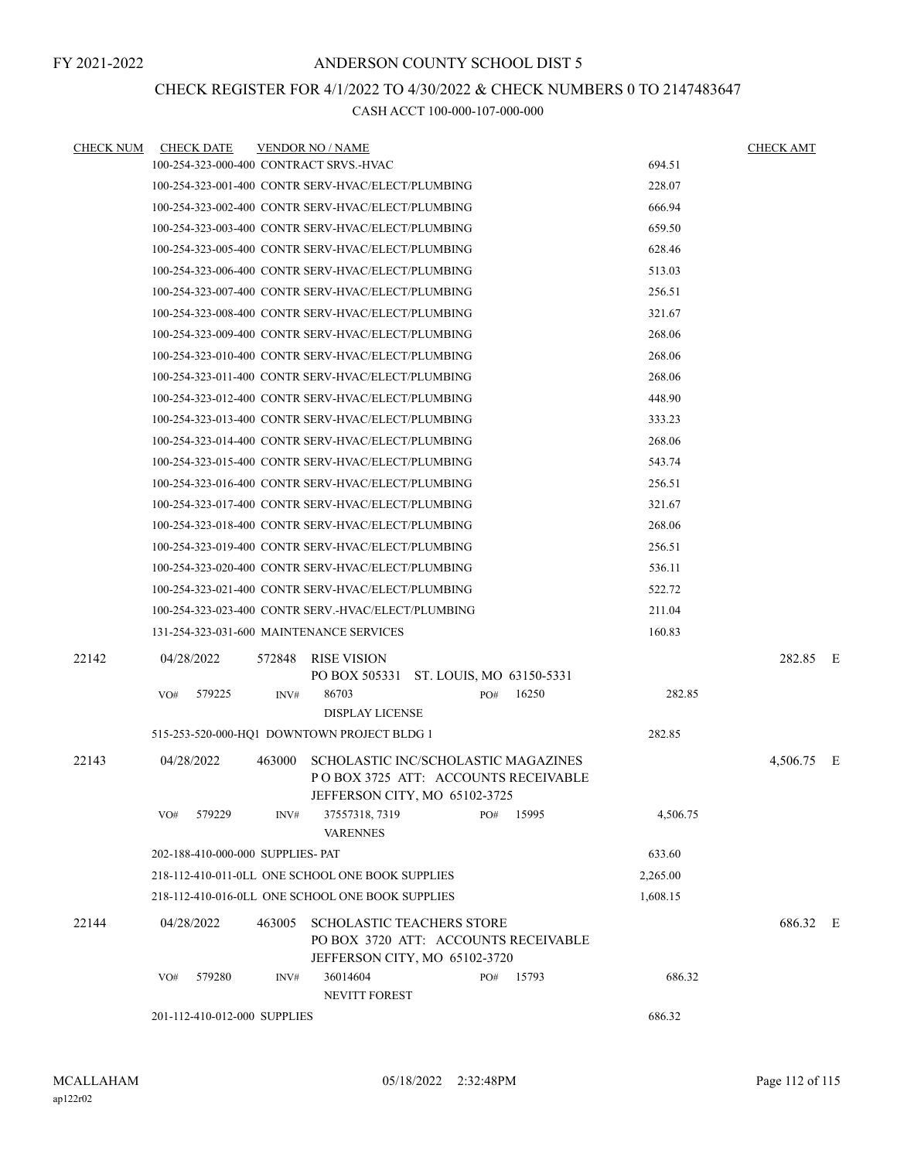### CHECK REGISTER FOR 4/1/2022 TO 4/30/2022 & CHECK NUMBERS 0 TO 2147483647

| <b>CHECK NUM</b> | <b>CHECK DATE</b>                                   |        | <b>VENDOR NO / NAME</b>                                                                                     |     |       |          | <b>CHECK AMT</b> |  |
|------------------|-----------------------------------------------------|--------|-------------------------------------------------------------------------------------------------------------|-----|-------|----------|------------------|--|
|                  | 100-254-323-000-400 CONTRACT SRVS.-HVAC             |        |                                                                                                             |     |       | 694.51   |                  |  |
|                  | 100-254-323-001-400 CONTR SERV-HVAC/ELECT/PLUMBING  |        |                                                                                                             |     |       | 228.07   |                  |  |
|                  | 100-254-323-002-400 CONTR SERV-HVAC/ELECT/PLUMBING  |        |                                                                                                             |     |       | 666.94   |                  |  |
|                  | 100-254-323-003-400 CONTR SERV-HVAC/ELECT/PLUMBING  |        |                                                                                                             |     |       | 659.50   |                  |  |
|                  | 100-254-323-005-400 CONTR SERV-HVAC/ELECT/PLUMBING  |        |                                                                                                             |     |       | 628.46   |                  |  |
|                  | 100-254-323-006-400 CONTR SERV-HVAC/ELECT/PLUMBING  |        |                                                                                                             |     |       | 513.03   |                  |  |
|                  | 100-254-323-007-400 CONTR SERV-HVAC/ELECT/PLUMBING  |        |                                                                                                             |     |       | 256.51   |                  |  |
|                  | 100-254-323-008-400 CONTR SERV-HVAC/ELECT/PLUMBING  |        |                                                                                                             |     |       | 321.67   |                  |  |
|                  | 100-254-323-009-400 CONTR SERV-HVAC/ELECT/PLUMBING  |        |                                                                                                             |     |       | 268.06   |                  |  |
|                  | 100-254-323-010-400 CONTR SERV-HVAC/ELECT/PLUMBING  |        |                                                                                                             |     |       | 268.06   |                  |  |
|                  | 100-254-323-011-400 CONTR SERV-HVAC/ELECT/PLUMBING  |        |                                                                                                             |     |       | 268.06   |                  |  |
|                  | 100-254-323-012-400 CONTR SERV-HVAC/ELECT/PLUMBING  |        |                                                                                                             |     |       | 448.90   |                  |  |
|                  | 100-254-323-013-400 CONTR SERV-HVAC/ELECT/PLUMBING  |        |                                                                                                             |     |       | 333.23   |                  |  |
|                  | 100-254-323-014-400 CONTR SERV-HVAC/ELECT/PLUMBING  |        |                                                                                                             |     |       | 268.06   |                  |  |
|                  | 100-254-323-015-400 CONTR SERV-HVAC/ELECT/PLUMBING  |        |                                                                                                             |     |       | 543.74   |                  |  |
|                  | 100-254-323-016-400 CONTR SERV-HVAC/ELECT/PLUMBING  |        |                                                                                                             |     |       | 256.51   |                  |  |
|                  | 100-254-323-017-400 CONTR SERV-HVAC/ELECT/PLUMBING  |        |                                                                                                             |     |       | 321.67   |                  |  |
|                  | 100-254-323-018-400 CONTR SERV-HVAC/ELECT/PLUMBING  |        |                                                                                                             |     |       | 268.06   |                  |  |
|                  | 100-254-323-019-400 CONTR SERV-HVAC/ELECT/PLUMBING  |        |                                                                                                             |     |       | 256.51   |                  |  |
|                  | 100-254-323-020-400 CONTR SERV-HVAC/ELECT/PLUMBING  |        |                                                                                                             |     |       | 536.11   |                  |  |
|                  | 100-254-323-021-400 CONTR SERV-HVAC/ELECT/PLUMBING  |        |                                                                                                             |     |       | 522.72   |                  |  |
|                  | 100-254-323-023-400 CONTR SERV.-HVAC/ELECT/PLUMBING |        |                                                                                                             |     |       | 211.04   |                  |  |
|                  | 131-254-323-031-600 MAINTENANCE SERVICES            |        |                                                                                                             |     |       | 160.83   |                  |  |
| 22142            | 04/28/2022                                          | 572848 | <b>RISE VISION</b><br>PO BOX 505331 ST. LOUIS, MO 63150-5331                                                |     |       |          | 282.85 E         |  |
|                  | VO#<br>579225                                       | INV#   | 86703<br><b>DISPLAY LICENSE</b>                                                                             | PO# | 16250 | 282.85   |                  |  |
|                  | 515-253-520-000-HQ1 DOWNTOWN PROJECT BLDG 1         |        |                                                                                                             |     |       | 282.85   |                  |  |
| 22143            | 04/28/2022                                          | 463000 | SCHOLASTIC INC/SCHOLASTIC MAGAZINES<br>POBOX 3725 ATT: ACCOUNTS RECEIVABLE<br>JEFFERSON CITY, MO 65102-3725 |     |       |          | 4,506.75 E       |  |
|                  | 579229<br>VO#                                       | INV#   | 37557318, 7319<br><b>VARENNES</b>                                                                           | PO# | 15995 | 4,506.75 |                  |  |
|                  | 202-188-410-000-000 SUPPLIES- PAT                   |        |                                                                                                             |     |       | 633.60   |                  |  |
|                  | 218-112-410-011-0LL ONE SCHOOL ONE BOOK SUPPLIES    |        |                                                                                                             |     |       | 2,265.00 |                  |  |
|                  | 218-112-410-016-0LL ONE SCHOOL ONE BOOK SUPPLIES    |        |                                                                                                             |     |       | 1,608.15 |                  |  |
| 22144            | 04/28/2022                                          | 463005 | <b>SCHOLASTIC TEACHERS STORE</b><br>PO BOX 3720 ATT: ACCOUNTS RECEIVABLE<br>JEFFERSON CITY, MO 65102-3720   |     |       |          | 686.32 E         |  |
|                  | 579280<br>VO#                                       | INV#   | 36014604<br>NEVITT FOREST                                                                                   | PO# | 15793 | 686.32   |                  |  |
|                  | 201-112-410-012-000 SUPPLIES                        |        |                                                                                                             |     |       | 686.32   |                  |  |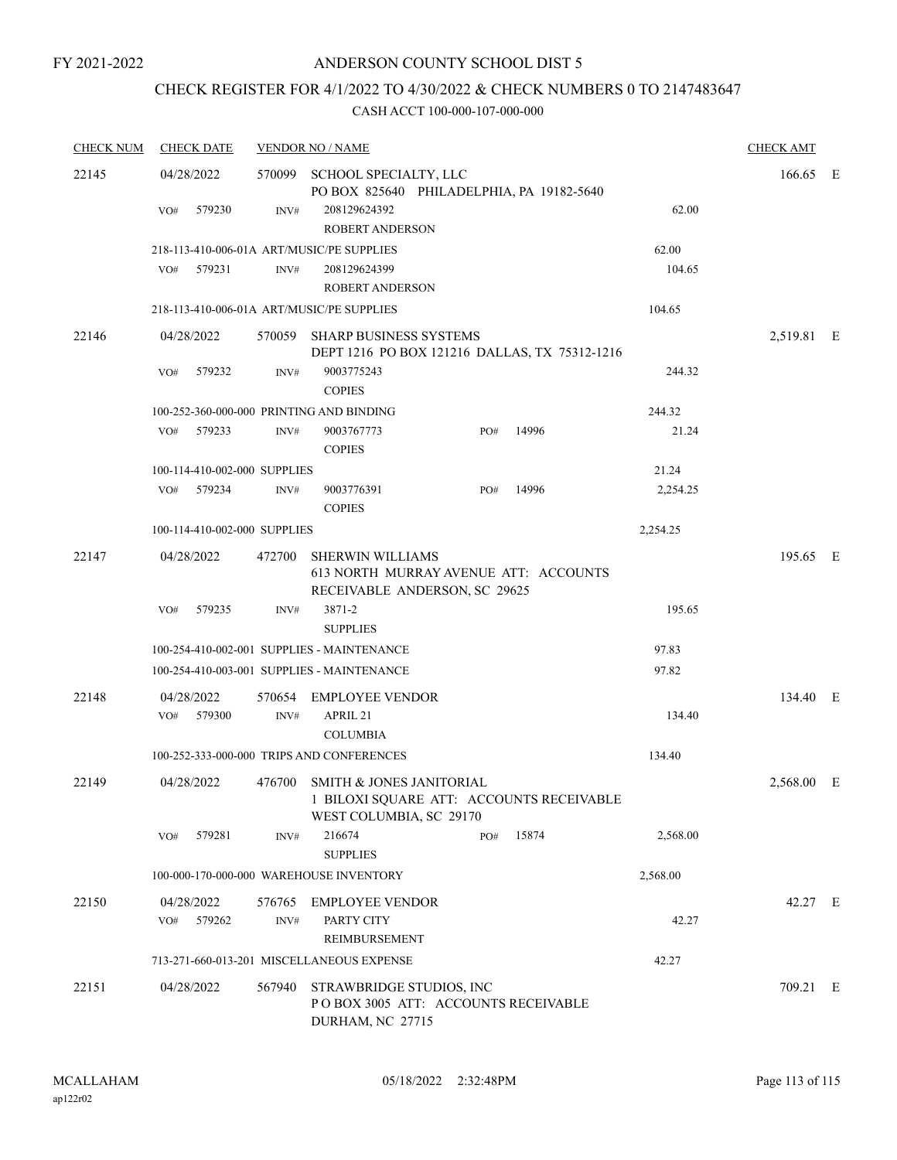# CHECK REGISTER FOR 4/1/2022 TO 4/30/2022 & CHECK NUMBERS 0 TO 2147483647

| <b>CHECK NUM</b> | <b>CHECK DATE</b>                         |                | <b>VENDOR NO / NAME</b>                                                                                |     |       |          | <b>CHECK AMT</b> |  |
|------------------|-------------------------------------------|----------------|--------------------------------------------------------------------------------------------------------|-----|-------|----------|------------------|--|
| 22145            | 04/28/2022                                |                | 570099 SCHOOL SPECIALTY, LLC<br>PO BOX 825640 PHILADELPHIA, PA 19182-5640                              |     |       |          | 166.65 E         |  |
|                  | 579230<br>VO#                             | INV#           | 208129624392<br><b>ROBERT ANDERSON</b>                                                                 |     |       | 62.00    |                  |  |
|                  | 218-113-410-006-01A ART/MUSIC/PE SUPPLIES |                |                                                                                                        |     |       | 62.00    |                  |  |
|                  | 579231<br>VO#                             | INV#           | 208129624399<br><b>ROBERT ANDERSON</b>                                                                 |     |       | 104.65   |                  |  |
|                  | 218-113-410-006-01A ART/MUSIC/PE SUPPLIES |                |                                                                                                        |     |       | 104.65   |                  |  |
| 22146            | 04/28/2022                                |                | 570059 SHARP BUSINESS SYSTEMS<br>DEPT 1216 PO BOX 121216 DALLAS, TX 75312-1216                         |     |       |          | 2,519.81 E       |  |
|                  | 579232<br>VO#                             | INV#           | 9003775243<br><b>COPIES</b>                                                                            |     |       | 244.32   |                  |  |
|                  | 100-252-360-000-000 PRINTING AND BINDING  |                |                                                                                                        |     |       | 244.32   |                  |  |
|                  | 579233<br>VO#                             | INV#           | 9003767773<br><b>COPIES</b>                                                                            | PO# | 14996 | 21.24    |                  |  |
|                  | 100-114-410-002-000 SUPPLIES              |                |                                                                                                        |     |       | 21.24    |                  |  |
|                  | VO#<br>579234                             | INV#           | 9003776391<br><b>COPIES</b>                                                                            | PO# | 14996 | 2,254.25 |                  |  |
|                  | 100-114-410-002-000 SUPPLIES              |                |                                                                                                        |     |       | 2,254.25 |                  |  |
| 22147            | 04/28/2022                                | 472700         | SHERWIN WILLIAMS<br>613 NORTH MURRAY AVENUE ATT: ACCOUNTS                                              |     |       |          | 195.65 E         |  |
|                  | 579235<br>VO#                             | INV#           | RECEIVABLE ANDERSON, SC 29625<br>3871-2                                                                |     |       | 195.65   |                  |  |
|                  |                                           |                | <b>SUPPLIES</b>                                                                                        |     |       |          |                  |  |
|                  |                                           |                | 100-254-410-002-001 SUPPLIES - MAINTENANCE                                                             |     |       | 97.83    |                  |  |
|                  |                                           |                | 100-254-410-003-001 SUPPLIES - MAINTENANCE                                                             |     |       | 97.82    |                  |  |
| 22148            | 04/28/2022<br>VO#<br>579300               | INV#           | 570654 EMPLOYEE VENDOR<br>APRIL 21                                                                     |     |       | 134.40   | 134.40 E         |  |
|                  |                                           |                | <b>COLUMBIA</b>                                                                                        |     |       |          |                  |  |
|                  |                                           |                | 100-252-333-000-000 TRIPS AND CONFERENCES                                                              |     |       | 134.40   |                  |  |
| 22149            | 04/28/2022                                |                | 476700 SMITH & JONES JANITORIAL<br>1 BILOXI SQUARE ATT: ACCOUNTS RECEIVABLE<br>WEST COLUMBIA, SC 29170 |     |       |          | 2,568.00 E       |  |
|                  | 579281<br>VO#                             | INV#           | 216674<br><b>SUPPLIES</b>                                                                              | PO# | 15874 | 2,568.00 |                  |  |
|                  |                                           |                | 100-000-170-000-000 WAREHOUSE INVENTORY                                                                |     |       | 2,568.00 |                  |  |
| 22150            | 04/28/2022<br>579262<br>VO#               | 576765<br>INV# | <b>EMPLOYEE VENDOR</b><br>PARTY CITY                                                                   |     |       | 42.27    | 42.27 E          |  |
|                  |                                           |                | REIMBURSEMENT<br>713-271-660-013-201 MISCELLANEOUS EXPENSE                                             |     |       | 42.27    |                  |  |
| 22151            | 04/28/2022                                | 567940         | STRAWBRIDGE STUDIOS, INC<br>PO BOX 3005 ATT: ACCOUNTS RECEIVABLE<br>DURHAM, NC 27715                   |     |       |          | 709.21 E         |  |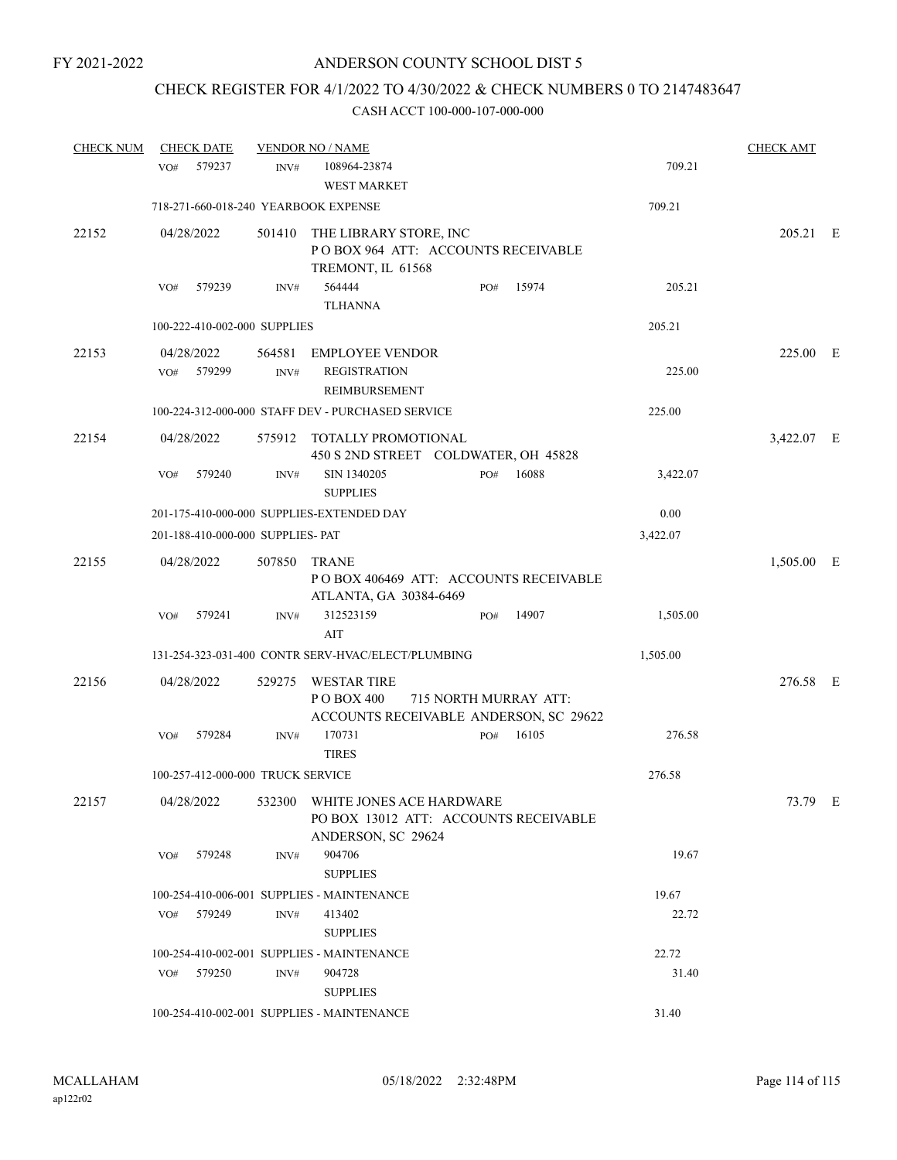# CHECK REGISTER FOR 4/1/2022 TO 4/30/2022 & CHECK NUMBERS 0 TO 2147483647

| <b>CHECK NUM</b> | <b>CHECK DATE</b>           |                                      | <b>VENDOR NO / NAME</b>                                                                  |                       |     |                                        |          | <b>CHECK AMT</b> |     |
|------------------|-----------------------------|--------------------------------------|------------------------------------------------------------------------------------------|-----------------------|-----|----------------------------------------|----------|------------------|-----|
|                  | 579237<br>VO#               | INV#                                 | 108964-23874<br><b>WEST MARKET</b>                                                       |                       |     |                                        | 709.21   |                  |     |
|                  |                             | 718-271-660-018-240 YEARBOOK EXPENSE |                                                                                          |                       |     |                                        | 709.21   |                  |     |
| 22152            | 04/28/2022                  |                                      | 501410 THE LIBRARY STORE, INC<br>POBOX 964 ATT: ACCOUNTS RECEIVABLE<br>TREMONT, IL 61568 |                       |     |                                        |          | 205.21 E         |     |
|                  | 579239<br>VO#               | INV#                                 | 564444<br><b>TLHANNA</b>                                                                 |                       | PO# | 15974                                  | 205.21   |                  |     |
|                  |                             | 100-222-410-002-000 SUPPLIES         |                                                                                          |                       |     |                                        | 205.21   |                  |     |
| 22153            | 04/28/2022<br>579299<br>VO# | 564581<br>INV#                       | <b>EMPLOYEE VENDOR</b><br><b>REGISTRATION</b><br>REIMBURSEMENT                           |                       |     |                                        | 225.00   | 225.00 E         |     |
|                  |                             |                                      | 100-224-312-000-000 STAFF DEV - PURCHASED SERVICE                                        |                       |     |                                        | 225.00   |                  |     |
| 22154            | 04/28/2022                  |                                      | 575912 TOTALLY PROMOTIONAL<br>450 S 2ND STREET COLDWATER, OH 45828                       |                       |     |                                        |          | 3,422.07 E       |     |
|                  | 579240<br>VO#               | INV#                                 | SIN 1340205<br><b>SUPPLIES</b>                                                           |                       | PO# | 16088                                  | 3,422.07 |                  |     |
|                  |                             |                                      | 201-175-410-000-000 SUPPLIES-EXTENDED DAY                                                |                       |     |                                        | 0.00     |                  |     |
|                  |                             | 201-188-410-000-000 SUPPLIES- PAT    |                                                                                          |                       |     |                                        | 3,422.07 |                  |     |
| 22155            | 04/28/2022                  | 507850                               | <b>TRANE</b><br>ATLANTA, GA 30384-6469                                                   |                       |     | POBOX 406469 ATT: ACCOUNTS RECEIVABLE  |          | 1,505.00         | – E |
|                  | 579241<br>VO#               | INV#                                 | 312523159<br>AIT                                                                         |                       | PO# | 14907                                  | 1,505.00 |                  |     |
|                  |                             |                                      | 131-254-323-031-400 CONTR SERV-HVAC/ELECT/PLUMBING                                       |                       |     |                                        | 1,505.00 |                  |     |
| 22156            | 04/28/2022                  | 529275                               | <b>WESTAR TIRE</b><br>P O BOX 400                                                        | 715 NORTH MURRAY ATT: |     | ACCOUNTS RECEIVABLE ANDERSON, SC 29622 |          | 276.58 E         |     |
|                  | VO#<br>579284               | INV#                                 | 170731<br><b>TIRES</b>                                                                   |                       | PO# | 16105                                  | 276.58   |                  |     |
|                  |                             | 100-257-412-000-000 TRUCK SERVICE    |                                                                                          |                       |     |                                        | 276.58   |                  |     |
| 22157            | 04/28/2022                  | 532300                               | WHITE JONES ACE HARDWARE<br>PO BOX 13012 ATT: ACCOUNTS RECEIVABLE<br>ANDERSON, SC 29624  |                       |     |                                        |          | 73.79 E          |     |
|                  | 579248<br>VO#               | INV#                                 | 904706<br><b>SUPPLIES</b>                                                                |                       |     |                                        | 19.67    |                  |     |
|                  |                             |                                      | 100-254-410-006-001 SUPPLIES - MAINTENANCE                                               |                       |     |                                        | 19.67    |                  |     |
|                  | VO# 579249                  | INV#                                 | 413402<br><b>SUPPLIES</b>                                                                |                       |     |                                        | 22.72    |                  |     |
|                  |                             |                                      | 100-254-410-002-001 SUPPLIES - MAINTENANCE                                               |                       |     |                                        | 22.72    |                  |     |
|                  | VO# 579250                  | INV#                                 | 904728<br><b>SUPPLIES</b>                                                                |                       |     |                                        | 31.40    |                  |     |
|                  |                             |                                      | 100-254-410-002-001 SUPPLIES - MAINTENANCE                                               |                       |     |                                        | 31.40    |                  |     |